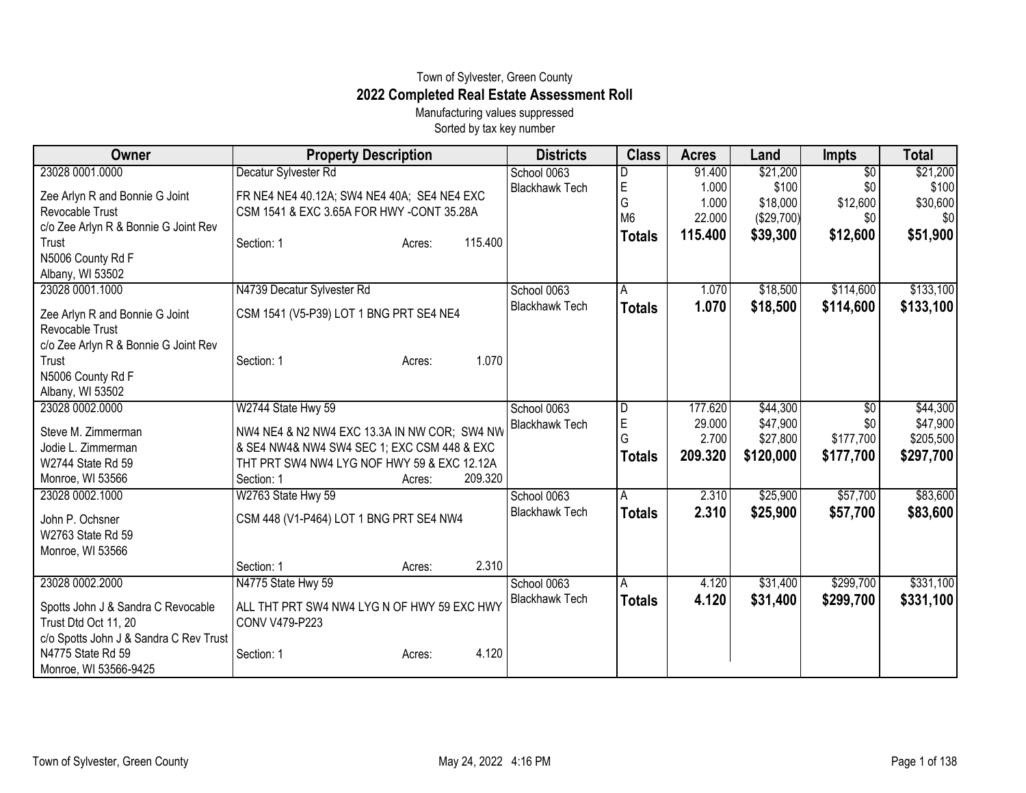## Town of Sylvester, Green County **2022 Completed Real Estate Assessment Roll**

Manufacturing values suppressed Sorted by tax key number

| Owner                                  | <b>Property Description</b>                  |         | <b>Districts</b>      | <b>Class</b>   | <b>Acres</b> | Land       | <b>Impts</b>    | <b>Total</b> |
|----------------------------------------|----------------------------------------------|---------|-----------------------|----------------|--------------|------------|-----------------|--------------|
| 23028 0001.0000                        | Decatur Sylvester Rd                         |         | School 0063           | D              | 91.400       | \$21,200   | $\overline{50}$ | \$21,200     |
| Zee Arlyn R and Bonnie G Joint         | FR NE4 NE4 40.12A; SW4 NE4 40A; SE4 NE4 EXC  |         | <b>Blackhawk Tech</b> | $\mathsf E$    | 1.000        | \$100      | \$0             | \$100        |
| Revocable Trust                        | CSM 1541 & EXC 3.65A FOR HWY -CONT 35.28A    |         |                       | G              | 1.000        | \$18,000   | \$12,600        | \$30,600     |
| c/o Zee Arlyn R & Bonnie G Joint Rev   |                                              |         |                       | M <sub>6</sub> | 22.000       | (\$29,700) | \$0             | \$0          |
| Trust                                  | Section: 1<br>Acres:                         | 115.400 |                       | <b>Totals</b>  | 115.400      | \$39,300   | \$12,600        | \$51,900     |
| N5006 County Rd F                      |                                              |         |                       |                |              |            |                 |              |
| Albany, WI 53502                       |                                              |         |                       |                |              |            |                 |              |
| 23028 0001.1000                        | N4739 Decatur Sylvester Rd                   |         | School 0063           | A              | 1.070        | \$18,500   | \$114,600       | \$133,100    |
| Zee Arlyn R and Bonnie G Joint         | CSM 1541 (V5-P39) LOT 1 BNG PRT SE4 NE4      |         | <b>Blackhawk Tech</b> | <b>Totals</b>  | 1.070        | \$18,500   | \$114,600       | \$133,100    |
| Revocable Trust                        |                                              |         |                       |                |              |            |                 |              |
| c/o Zee Arlyn R & Bonnie G Joint Rev   |                                              |         |                       |                |              |            |                 |              |
| Trust                                  | Section: 1<br>Acres:                         | 1.070   |                       |                |              |            |                 |              |
| N5006 County Rd F                      |                                              |         |                       |                |              |            |                 |              |
| Albany, WI 53502                       |                                              |         |                       |                |              |            |                 |              |
| 23028 0002.0000                        | W2744 State Hwy 59                           |         | School 0063           | $\overline{D}$ | 177.620      | \$44,300   | $\overline{50}$ | \$44,300     |
| Steve M. Zimmerman                     | NW4 NE4 & N2 NW4 EXC 13.3A IN NW COR; SW4 NW |         | <b>Blackhawk Tech</b> | E              | 29.000       | \$47,900   | \$0             | \$47,900     |
| Jodie L. Zimmerman                     | & SE4 NW4& NW4 SW4 SEC 1; EXC CSM 448 & EXC  |         |                       | G              | 2.700        | \$27,800   | \$177,700       | \$205,500    |
| W2744 State Rd 59                      | THT PRT SW4 NW4 LYG NOF HWY 59 & EXC 12.12A  |         |                       | <b>Totals</b>  | 209.320      | \$120,000  | \$177,700       | \$297,700    |
| Monroe, WI 53566                       | Section: 1<br>Acres:                         | 209.320 |                       |                |              |            |                 |              |
| 23028 0002.1000                        | W2763 State Hwy 59                           |         | School 0063           | A              | 2.310        | \$25,900   | \$57,700        | \$83,600     |
|                                        |                                              |         | <b>Blackhawk Tech</b> | <b>Totals</b>  | 2.310        | \$25,900   | \$57,700        | \$83,600     |
| John P. Ochsner                        | CSM 448 (V1-P464) LOT 1 BNG PRT SE4 NW4      |         |                       |                |              |            |                 |              |
| W2763 State Rd 59                      |                                              |         |                       |                |              |            |                 |              |
| Monroe, WI 53566                       |                                              | 2.310   |                       |                |              |            |                 |              |
|                                        | Section: 1<br>Acres:                         |         |                       |                |              |            |                 |              |
| 23028 0002.2000                        | N4775 State Hwy 59                           |         | School 0063           | A              | 4.120        | \$31,400   | \$299,700       | \$331,100    |
| Spotts John J & Sandra C Revocable     | ALL THT PRT SW4 NW4 LYG N OF HWY 59 EXC HWY  |         | <b>Blackhawk Tech</b> | <b>Totals</b>  | 4.120        | \$31,400   | \$299,700       | \$331,100    |
| Trust Dtd Oct 11, 20                   | CONV V479-P223                               |         |                       |                |              |            |                 |              |
| c/o Spotts John J & Sandra C Rev Trust |                                              |         |                       |                |              |            |                 |              |
| N4775 State Rd 59                      | Section: 1<br>Acres:                         | 4.120   |                       |                |              |            |                 |              |
| Monroe, WI 53566-9425                  |                                              |         |                       |                |              |            |                 |              |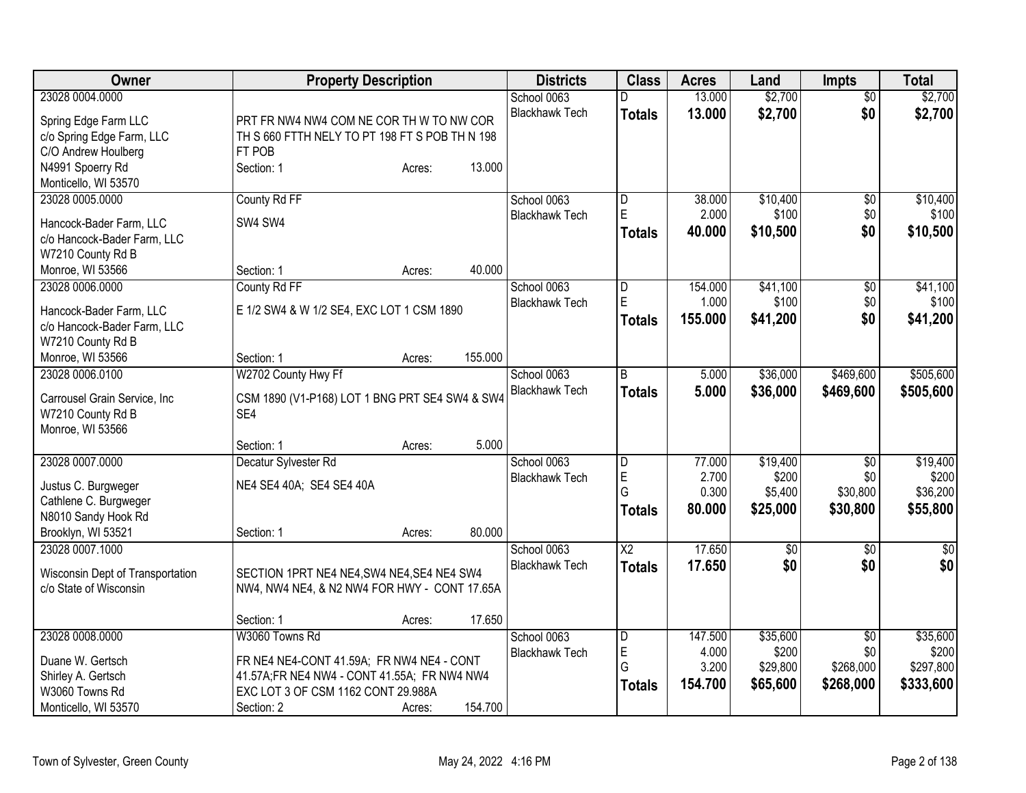| Owner                                                                                                        | <b>Property Description</b>                                                                                                                                                         | <b>Districts</b>                     | <b>Class</b>                                  | <b>Acres</b>                         | Land                                      | <b>Impts</b>                                     | <b>Total</b>                                |
|--------------------------------------------------------------------------------------------------------------|-------------------------------------------------------------------------------------------------------------------------------------------------------------------------------------|--------------------------------------|-----------------------------------------------|--------------------------------------|-------------------------------------------|--------------------------------------------------|---------------------------------------------|
| 23028 0004.0000<br>Spring Edge Farm LLC<br>c/o Spring Edge Farm, LLC                                         | PRT FR NW4 NW4 COM NE COR TH W TO NW COR<br>TH S 660 FTTH NELY TO PT 198 FT S POB TH N 198                                                                                          | School 0063<br><b>Blackhawk Tech</b> | D<br><b>Totals</b>                            | 13.000<br>13.000                     | \$2,700<br>\$2,700                        | $\overline{50}$<br>\$0                           | \$2,700<br>\$2,700                          |
| C/O Andrew Houlberg<br>N4991 Spoerry Rd<br>Monticello, WI 53570                                              | FT POB<br>13.000<br>Section: 1<br>Acres:                                                                                                                                            |                                      |                                               |                                      |                                           |                                                  |                                             |
| 23028 0005.0000<br>Hancock-Bader Farm, LLC<br>c/o Hancock-Bader Farm, LLC<br>W7210 County Rd B               | County Rd FF<br>SW4 SW4                                                                                                                                                             | School 0063<br><b>Blackhawk Tech</b> | D<br>$\overline{E}$<br>Totals                 | 38.000<br>2.000<br>40.000            | \$10,400<br>\$100<br>\$10,500             | $\overline{60}$<br>\$0<br>\$0                    | \$10,400<br>\$100<br>\$10,500               |
| Monroe, WI 53566                                                                                             | 40.000<br>Section: 1<br>Acres:                                                                                                                                                      |                                      |                                               |                                      |                                           |                                                  |                                             |
| 23028 0006.0000<br>Hancock-Bader Farm, LLC<br>c/o Hancock-Bader Farm, LLC<br>W7210 County Rd B               | County Rd FF<br>E 1/2 SW4 & W 1/2 SE4, EXC LOT 1 CSM 1890                                                                                                                           | School 0063<br><b>Blackhawk Tech</b> | $\overline{\mathsf{D}}$<br>E<br><b>Totals</b> | 154.000<br>1.000<br>155.000          | \$41,100<br>\$100<br>\$41,200             | $\overline{60}$<br>\$0<br>\$0                    | \$41,100<br>\$100<br>\$41,200               |
| Monroe, WI 53566                                                                                             | 155.000<br>Section: 1<br>Acres:                                                                                                                                                     |                                      |                                               |                                      |                                           |                                                  |                                             |
| 23028 0006.0100<br>Carrousel Grain Service, Inc<br>W7210 County Rd B<br>Monroe, WI 53566                     | W2702 County Hwy Ff<br>CSM 1890 (V1-P168) LOT 1 BNG PRT SE4 SW4 & SW4<br>SE4                                                                                                        | School 0063<br><b>Blackhawk Tech</b> | l B<br><b>Totals</b>                          | 5.000<br>5.000                       | \$36,000<br>\$36,000                      | \$469,600<br>\$469,600                           | \$505,600<br>\$505,600                      |
|                                                                                                              | 5.000<br>Section: 1<br>Acres:                                                                                                                                                       |                                      |                                               |                                      |                                           |                                                  |                                             |
| 23028 0007.0000<br>Justus C. Burgweger<br>Cathlene C. Burgweger<br>N8010 Sandy Hook Rd<br>Brooklyn, WI 53521 | Decatur Sylvester Rd<br>NE4 SE4 40A; SE4 SE4 40A<br>80.000<br>Section: 1<br>Acres:                                                                                                  | School 0063<br><b>Blackhawk Tech</b> | D<br>E<br>G<br><b>Totals</b>                  | 77.000<br>2.700<br>0.300<br>80.000   | \$19,400<br>\$200<br>\$5,400<br>\$25,000  | \$0<br>\$0<br>\$30,800<br>\$30,800               | \$19,400<br>\$200<br>\$36,200<br>\$55,800   |
| 23028 0007.1000<br>Wisconsin Dept of Transportation<br>c/o State of Wisconsin                                | SECTION 1PRT NE4 NE4, SW4 NE4, SE4 NE4 SW4<br>NW4, NW4 NE4, & N2 NW4 FOR HWY - CONT 17.65A                                                                                          | School 0063<br><b>Blackhawk Tech</b> | $\overline{X2}$<br><b>Totals</b>              | 17.650<br>17.650                     | $\sqrt{$0}$<br>\$0                        | \$0<br>\$0                                       | $\overline{50}$<br>\$0                      |
|                                                                                                              | 17.650<br>Section: 1<br>Acres:                                                                                                                                                      |                                      |                                               |                                      |                                           |                                                  |                                             |
| 23028 0008.0000<br>Duane W. Gertsch<br>Shirley A. Gertsch<br>W3060 Towns Rd<br>Monticello, WI 53570          | W3060 Towns Rd<br>FR NE4 NE4-CONT 41.59A; FR NW4 NE4 - CONT<br>41.57A;FR NE4 NW4 - CONT 41.55A; FR NW4 NW4<br>EXC LOT 3 OF CSM 1162 CONT 29.988A<br>154.700<br>Section: 2<br>Acres: | School 0063<br><b>Blackhawk Tech</b> | D<br>E<br>G<br><b>Totals</b>                  | 147.500<br>4.000<br>3.200<br>154.700 | \$35,600<br>\$200<br>\$29,800<br>\$65,600 | $\overline{30}$<br>\$0<br>\$268,000<br>\$268,000 | \$35,600<br>\$200<br>\$297,800<br>\$333,600 |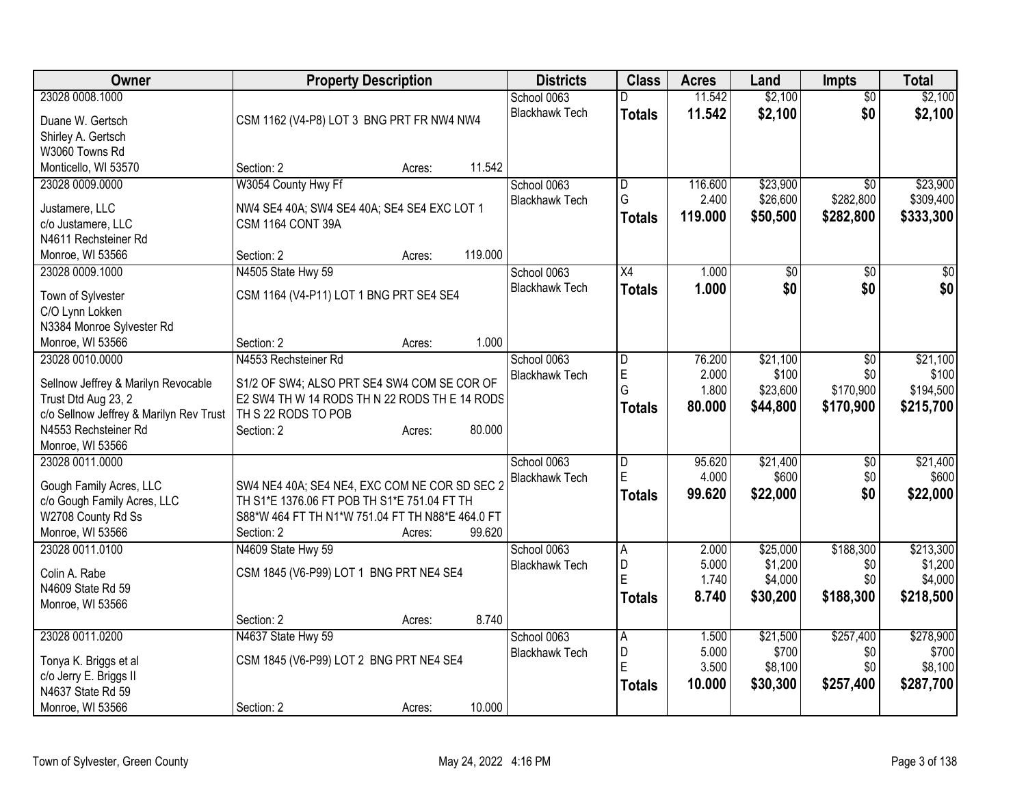| Owner                                   | <b>Property Description</b>                      |        |         | <b>Districts</b>      | <b>Class</b>   | <b>Acres</b> | Land            | <b>Impts</b>    | <b>Total</b> |
|-----------------------------------------|--------------------------------------------------|--------|---------|-----------------------|----------------|--------------|-----------------|-----------------|--------------|
| 23028 0008.1000                         |                                                  |        |         | School 0063           | D              | 11.542       | \$2,100         | $\overline{50}$ | \$2,100      |
| Duane W. Gertsch                        | CSM 1162 (V4-P8) LOT 3 BNG PRT FR NW4 NW4        |        |         | <b>Blackhawk Tech</b> | <b>Totals</b>  | 11.542       | \$2,100         | \$0             | \$2,100      |
| Shirley A. Gertsch                      |                                                  |        |         |                       |                |              |                 |                 |              |
| W3060 Towns Rd                          |                                                  |        |         |                       |                |              |                 |                 |              |
| Monticello, WI 53570                    | Section: 2                                       | Acres: | 11.542  |                       |                |              |                 |                 |              |
| 23028 0009.0000                         | W3054 County Hwy Ff                              |        |         | School 0063           | D              | 116.600      | \$23,900        | $\overline{30}$ | \$23,900     |
| Justamere, LLC                          | NW4 SE4 40A; SW4 SE4 40A; SE4 SE4 EXC LOT 1      |        |         | <b>Blackhawk Tech</b> | G              | 2.400        | \$26,600        | \$282,800       | \$309,400    |
| c/o Justamere, LLC                      | CSM 1164 CONT 39A                                |        |         |                       | <b>Totals</b>  | 119.000      | \$50,500        | \$282,800       | \$333,300    |
| N4611 Rechsteiner Rd                    |                                                  |        |         |                       |                |              |                 |                 |              |
| Monroe, WI 53566                        | Section: 2                                       | Acres: | 119.000 |                       |                |              |                 |                 |              |
| 23028 0009.1000                         | N4505 State Hwy 59                               |        |         | School 0063           | X4             | 1.000        | $\overline{50}$ | \$0             | $\sqrt{50}$  |
|                                         |                                                  |        |         | <b>Blackhawk Tech</b> | <b>Totals</b>  | 1.000        | \$0             | \$0             | \$0          |
| Town of Sylvester                       | CSM 1164 (V4-P11) LOT 1 BNG PRT SE4 SE4          |        |         |                       |                |              |                 |                 |              |
| C/O Lynn Lokken                         |                                                  |        |         |                       |                |              |                 |                 |              |
| N3384 Monroe Sylvester Rd               |                                                  |        |         |                       |                |              |                 |                 |              |
| Monroe, WI 53566                        | Section: 2                                       | Acres: | 1.000   |                       |                |              |                 |                 |              |
| 23028 0010.0000                         | N4553 Rechsteiner Rd                             |        |         | School 0063           | $\overline{D}$ | 76.200       | \$21,100        | $\overline{30}$ | \$21,100     |
| Sellnow Jeffrey & Marilyn Revocable     | S1/2 OF SW4; ALSO PRT SE4 SW4 COM SE COR OF      |        |         | <b>Blackhawk Tech</b> | E              | 2.000        | \$100           | \$0             | \$100        |
| Trust Dtd Aug 23, 2                     | E2 SW4 TH W 14 RODS TH N 22 RODS TH E 14 RODS    |        |         |                       | G              | 1.800        | \$23,600        | \$170,900       | \$194,500    |
| c/o Sellnow Jeffrey & Marilyn Rev Trust | TH S 22 RODS TO POB                              |        |         |                       | <b>Totals</b>  | 80.000       | \$44,800        | \$170,900       | \$215,700    |
| N4553 Rechsteiner Rd                    | Section: 2                                       | Acres: | 80.000  |                       |                |              |                 |                 |              |
| Monroe, WI 53566                        |                                                  |        |         |                       |                |              |                 |                 |              |
| 23028 0011.0000                         |                                                  |        |         | School 0063           | $\overline{D}$ | 95.620       | \$21,400        | $\sqrt[6]{3}$   | \$21,400     |
| Gough Family Acres, LLC                 | SW4 NE4 40A; SE4 NE4, EXC COM NE COR SD SEC 2    |        |         | <b>Blackhawk Tech</b> | ΙE             | 4.000        | \$600           | \$0             | \$600        |
| c/o Gough Family Acres, LLC             | TH S1*E 1376.06 FT POB TH S1*E 751.04 FT TH      |        |         |                       | <b>Totals</b>  | 99.620       | \$22,000        | \$0             | \$22,000     |
| W2708 County Rd Ss                      | S88*W 464 FT TH N1*W 751.04 FT TH N88*E 464.0 FT |        |         |                       |                |              |                 |                 |              |
| Monroe, WI 53566                        | Section: 2                                       | Acres: | 99.620  |                       |                |              |                 |                 |              |
| 23028 0011.0100                         | N4609 State Hwy 59                               |        |         | School 0063           | A              | 2.000        | \$25,000        | \$188,300       | \$213,300    |
|                                         |                                                  |        |         | <b>Blackhawk Tech</b> | D              | 5.000        | \$1,200         | \$0             | \$1,200      |
| Colin A. Rabe                           | CSM 1845 (V6-P99) LOT 1 BNG PRT NE4 SE4          |        |         |                       | ΙE             | 1.740        | \$4,000         | \$0             | \$4,000      |
| N4609 State Rd 59                       |                                                  |        |         |                       | Totals         | 8.740        | \$30,200        | \$188,300       | \$218,500    |
| Monroe, WI 53566                        |                                                  |        |         |                       |                |              |                 |                 |              |
|                                         | Section: 2                                       | Acres: | 8.740   |                       |                |              |                 |                 |              |
| 23028 0011.0200                         | N4637 State Hwy 59                               |        |         | School 0063           | $\overline{A}$ | 1.500        | \$21,500        | \$257,400       | \$278,900    |
| Tonya K. Briggs et al                   | CSM 1845 (V6-P99) LOT 2 BNG PRT NE4 SE4          |        |         | <b>Blackhawk Tech</b> | D              | 5.000        | \$700           | \$0             | \$700        |
| c/o Jerry E. Briggs II                  |                                                  |        |         |                       | ΙE             | 3.500        | \$8,100         | \$0             | \$8,100      |
| N4637 State Rd 59                       |                                                  |        |         |                       | Totals         | 10.000       | \$30,300        | \$257,400       | \$287,700    |
| Monroe, WI 53566                        | Section: 2                                       | Acres: | 10.000  |                       |                |              |                 |                 |              |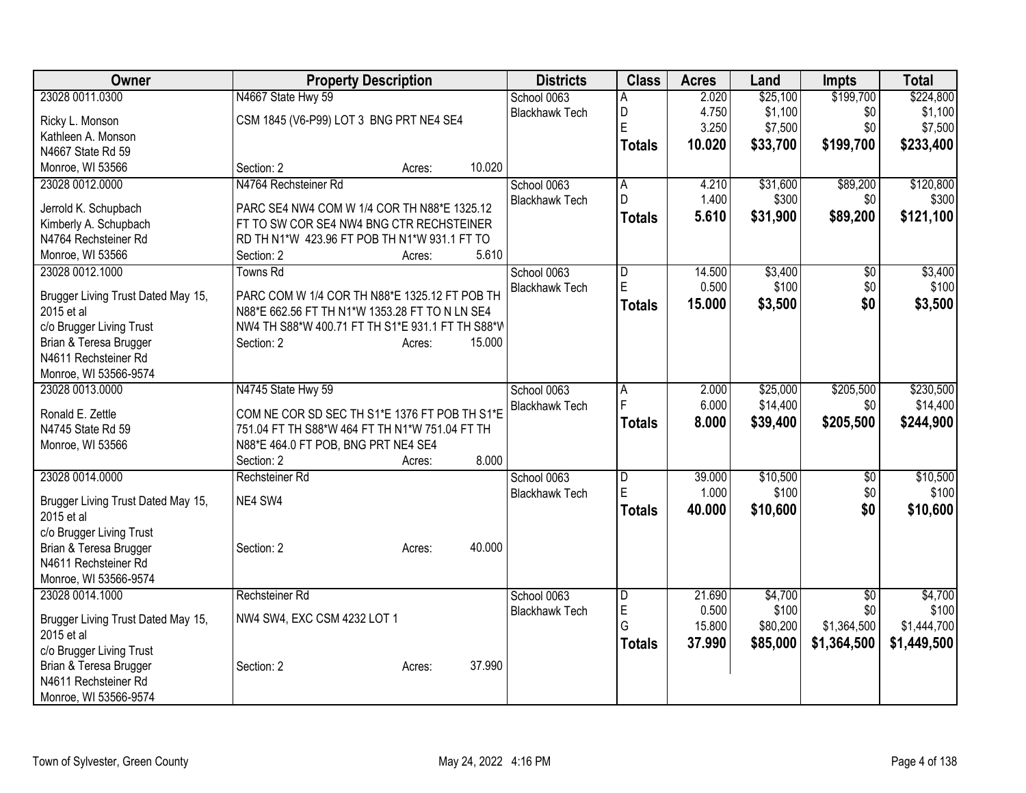| Owner                              | <b>Property Description</b>                      |                  | <b>Districts</b>      | <b>Class</b>            | <b>Acres</b> | Land     | <b>Impts</b>    | <b>Total</b> |
|------------------------------------|--------------------------------------------------|------------------|-----------------------|-------------------------|--------------|----------|-----------------|--------------|
| 23028 0011.0300                    | N4667 State Hwy 59                               |                  | School 0063           | A                       | 2.020        | \$25,100 | \$199,700       | \$224,800    |
| Ricky L. Monson                    | CSM 1845 (V6-P99) LOT 3 BNG PRT NE4 SE4          |                  | <b>Blackhawk Tech</b> | D                       | 4.750        | \$1,100  | \$0             | \$1,100      |
| Kathleen A. Monson                 |                                                  |                  |                       | E                       | 3.250        | \$7,500  | \$0             | \$7,500      |
| N4667 State Rd 59                  |                                                  |                  |                       | <b>Totals</b>           | 10.020       | \$33,700 | \$199,700       | \$233,400    |
| Monroe, WI 53566                   | Section: 2                                       | 10.020<br>Acres: |                       |                         |              |          |                 |              |
| 23028 0012.0000                    | N4764 Rechsteiner Rd                             |                  | School 0063           | A                       | 4.210        | \$31,600 | \$89,200        | \$120,800    |
|                                    |                                                  |                  | <b>Blackhawk Tech</b> | $\mathsf{D}$            | 1.400        | \$300    | \$0             | \$300        |
| Jerrold K. Schupbach               | PARC SE4 NW4 COM W 1/4 COR TH N88*E 1325.12      |                  |                       | <b>Totals</b>           | 5.610        | \$31,900 | \$89,200        | \$121,100    |
| Kimberly A. Schupbach              | FT TO SW COR SE4 NW4 BNG CTR RECHSTEINER         |                  |                       |                         |              |          |                 |              |
| N4764 Rechsteiner Rd               | RD TH N1*W 423.96 FT POB TH N1*W 931.1 FT TO     |                  |                       |                         |              |          |                 |              |
| Monroe, WI 53566                   | Section: 2                                       | 5.610<br>Acres:  |                       |                         |              |          |                 |              |
| 23028 0012.1000                    | <b>Towns Rd</b>                                  |                  | School 0063           | D                       | 14.500       | \$3,400  | \$0             | \$3,400      |
| Brugger Living Trust Dated May 15, | PARC COM W 1/4 COR TH N88*E 1325.12 FT POB TH    |                  | <b>Blackhawk Tech</b> | $\mathsf E$             | 0.500        | \$100    | \$0             | \$100        |
| 2015 et al                         | N88*E 662.56 FT TH N1*W 1353.28 FT TO N LN SE4   |                  |                       | <b>Totals</b>           | 15.000       | \$3,500  | \$0             | \$3,500      |
| c/o Brugger Living Trust           | NW4 TH S88*W 400.71 FT TH S1*E 931.1 FT TH S88*W |                  |                       |                         |              |          |                 |              |
| Brian & Teresa Brugger             | Section: 2                                       | 15.000<br>Acres: |                       |                         |              |          |                 |              |
| N4611 Rechsteiner Rd               |                                                  |                  |                       |                         |              |          |                 |              |
| Monroe, WI 53566-9574              |                                                  |                  |                       |                         |              |          |                 |              |
| 23028 0013.0000                    | N4745 State Hwy 59                               |                  | School 0063           | A                       | 2.000        | \$25,000 | \$205,500       | \$230,500    |
| Ronald E. Zettle                   | COM NE COR SD SEC TH S1*E 1376 FT POB TH S1*E    |                  | <b>Blackhawk Tech</b> | F                       | 6.000        | \$14,400 | \$0             | \$14,400     |
| N4745 State Rd 59                  | 751.04 FT TH S88*W 464 FT TH N1*W 751.04 FT TH   |                  |                       | <b>Totals</b>           | 8.000        | \$39,400 | \$205,500       | \$244,900    |
| Monroe, WI 53566                   | N88*E 464.0 FT POB, BNG PRT NE4 SE4              |                  |                       |                         |              |          |                 |              |
|                                    | Section: 2                                       | 8.000<br>Acres:  |                       |                         |              |          |                 |              |
| 23028 0014.0000                    | Rechsteiner Rd                                   |                  | School 0063           | $\overline{D}$          | 39.000       | \$10,500 | \$0             | \$10,500     |
|                                    |                                                  |                  | <b>Blackhawk Tech</b> | E                       | 1.000        | \$100    | \$0             | \$100        |
| Brugger Living Trust Dated May 15, | NE4 SW4                                          |                  |                       | Totals                  | 40.000       | \$10,600 | \$0             | \$10,600     |
| 2015 et al                         |                                                  |                  |                       |                         |              |          |                 |              |
| c/o Brugger Living Trust           |                                                  |                  |                       |                         |              |          |                 |              |
| Brian & Teresa Brugger             | Section: 2                                       | 40.000<br>Acres: |                       |                         |              |          |                 |              |
| N4611 Rechsteiner Rd               |                                                  |                  |                       |                         |              |          |                 |              |
| Monroe, WI 53566-9574              |                                                  |                  |                       |                         |              |          |                 |              |
| 23028 0014.1000                    | Rechsteiner Rd                                   |                  | School 0063           | $\overline{\mathsf{D}}$ | 21.690       | \$4,700  | $\overline{50}$ | \$4,700      |
| Brugger Living Trust Dated May 15, | NW4 SW4, EXC CSM 4232 LOT 1                      |                  | <b>Blackhawk Tech</b> | E                       | 0.500        | \$100    | \$0             | \$100        |
| 2015 et al                         |                                                  |                  |                       | G                       | 15.800       | \$80,200 | \$1,364,500     | \$1,444,700  |
| c/o Brugger Living Trust           |                                                  |                  |                       | <b>Totals</b>           | 37.990       | \$85,000 | \$1,364,500     | \$1,449,500  |
| Brian & Teresa Brugger             | Section: 2                                       | 37.990<br>Acres: |                       |                         |              |          |                 |              |
| N4611 Rechsteiner Rd               |                                                  |                  |                       |                         |              |          |                 |              |
| Monroe, WI 53566-9574              |                                                  |                  |                       |                         |              |          |                 |              |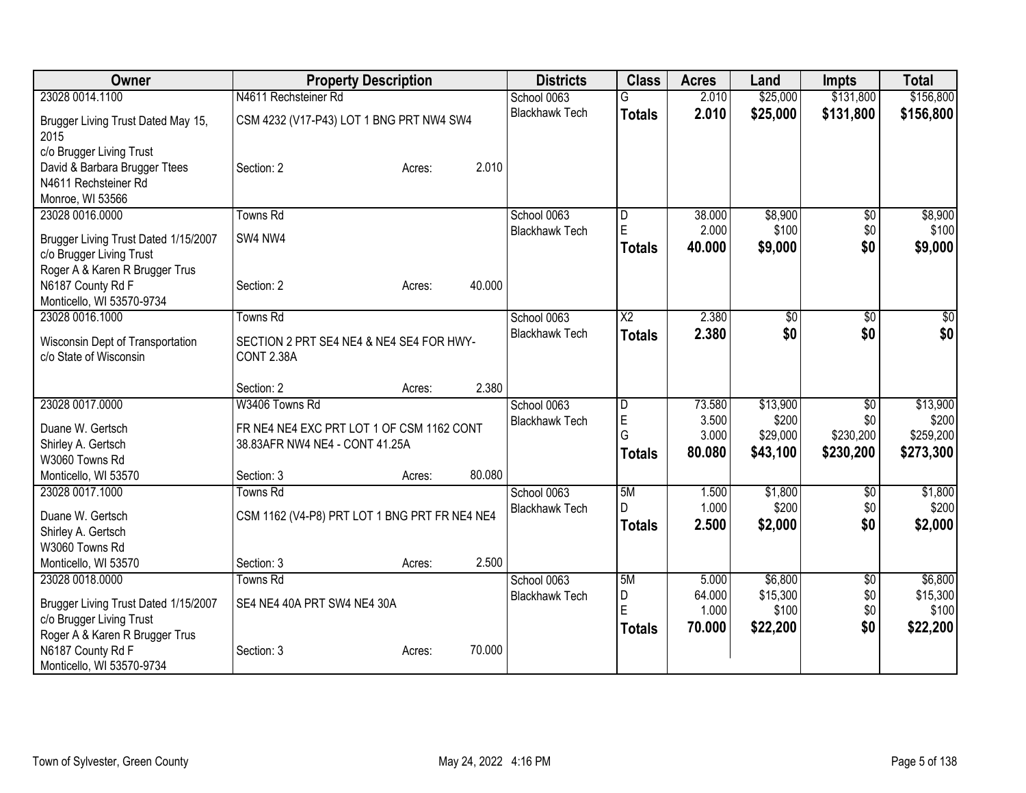| Owner                                                                                                 | <b>Property Description</b>                            | <b>Districts</b>      | <b>Class</b>       | <b>Acres</b>    | Land             | <b>Impts</b>    | <b>Total</b>     |
|-------------------------------------------------------------------------------------------------------|--------------------------------------------------------|-----------------------|--------------------|-----------------|------------------|-----------------|------------------|
| 23028 0014.1100                                                                                       | N4611 Rechsteiner Rd                                   | School 0063           |                    | 2.010           | \$25,000         | \$131,800       | \$156,800        |
| Brugger Living Trust Dated May 15,<br>2015                                                            | CSM 4232 (V17-P43) LOT 1 BNG PRT NW4 SW4               | <b>Blackhawk Tech</b> | <b>Totals</b>      | 2.010           | \$25,000         | \$131,800       | \$156,800        |
| c/o Brugger Living Trust<br>David & Barbara Brugger Ttees<br>N4611 Rechsteiner Rd<br>Monroe, WI 53566 | 2.010<br>Section: 2<br>Acres:                          |                       |                    |                 |                  |                 |                  |
| 23028 0016.0000                                                                                       | <b>Towns Rd</b>                                        | School 0063           | D                  | 38.000          | \$8,900          | $\overline{50}$ | \$8,900          |
| Brugger Living Trust Dated 1/15/2007<br>c/o Brugger Living Trust<br>Roger A & Karen R Brugger Trus    | SW4 NW4                                                | <b>Blackhawk Tech</b> | E<br><b>Totals</b> | 2.000<br>40.000 | \$100<br>\$9,000 | \$0<br>\$0      | \$100<br>\$9,000 |
| N6187 County Rd F<br>Monticello, WI 53570-9734                                                        | 40.000<br>Section: 2<br>Acres:                         |                       |                    |                 |                  |                 |                  |
| 23028 0016.1000                                                                                       | <b>Towns Rd</b>                                        | School 0063           | $\overline{X2}$    | 2.380           | $\overline{50}$  | $\overline{50}$ | $\sqrt{50}$      |
| Wisconsin Dept of Transportation<br>c/o State of Wisconsin                                            | SECTION 2 PRT SE4 NE4 & NE4 SE4 FOR HWY-<br>CONT 2.38A | <b>Blackhawk Tech</b> | <b>Totals</b>      | 2.380           | \$0              | \$0             | \$0              |
|                                                                                                       | 2.380<br>Section: 2<br>Acres:                          |                       |                    |                 |                  |                 |                  |
| 23028 0017.0000                                                                                       | W3406 Towns Rd                                         | School 0063           | D                  | 73.580          | \$13,900         | $\sqrt{6}$      | \$13,900         |
| Duane W. Gertsch                                                                                      | FR NE4 NE4 EXC PRT LOT 1 OF CSM 1162 CONT              | <b>Blackhawk Tech</b> | E                  | 3.500           | \$200            | \$0             | \$200            |
| Shirley A. Gertsch                                                                                    | 38.83AFR NW4 NE4 - CONT 41.25A                         |                       | G                  | 3.000           | \$29,000         | \$230,200       | \$259,200        |
| W3060 Towns Rd                                                                                        |                                                        |                       | <b>Totals</b>      | 80.080          | \$43,100         | \$230,200       | \$273,300        |
| Monticello, WI 53570                                                                                  | 80.080<br>Section: 3<br>Acres:                         |                       |                    |                 |                  |                 |                  |
| 23028 0017.1000                                                                                       | <b>Towns Rd</b>                                        | School 0063           | 5M                 | 1.500           | \$1,800          | \$0             | \$1,800          |
| Duane W. Gertsch                                                                                      | CSM 1162 (V4-P8) PRT LOT 1 BNG PRT FR NE4 NE4          | <b>Blackhawk Tech</b> | D                  | 1.000           | \$200            | \$0             | \$200            |
| Shirley A. Gertsch                                                                                    |                                                        |                       | <b>Totals</b>      | 2.500           | \$2,000          | \$0             | \$2,000          |
| W3060 Towns Rd                                                                                        |                                                        |                       |                    |                 |                  |                 |                  |
| Monticello, WI 53570                                                                                  | 2.500<br>Section: 3<br>Acres:                          |                       |                    |                 |                  |                 |                  |
| 23028 0018.0000                                                                                       | <b>Towns Rd</b>                                        | School 0063           | 5M                 | 5.000           | \$6,800          | \$0             | \$6,800          |
| Brugger Living Trust Dated 1/15/2007                                                                  | SE4 NE4 40A PRT SW4 NE4 30A                            | <b>Blackhawk Tech</b> | D                  | 64.000          | \$15,300         | \$0             | \$15,300         |
| c/o Brugger Living Trust                                                                              |                                                        |                       | E                  | 1.000           | \$100            | \$0             | \$100            |
| Roger A & Karen R Brugger Trus                                                                        |                                                        |                       | <b>Totals</b>      | 70.000          | \$22,200         | \$0             | \$22,200         |
| N6187 County Rd F                                                                                     | 70.000<br>Section: 3<br>Acres:                         |                       |                    |                 |                  |                 |                  |
| Monticello, WI 53570-9734                                                                             |                                                        |                       |                    |                 |                  |                 |                  |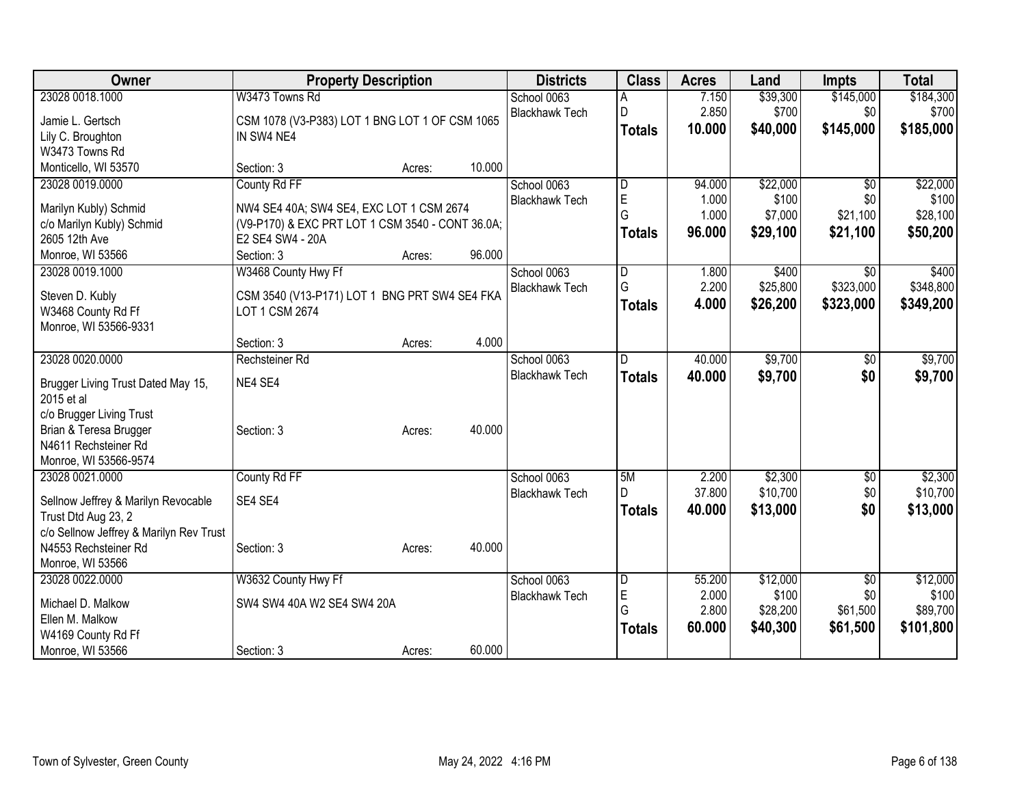| Owner                                            | <b>Property Description</b>                      |        |        | <b>Districts</b>      | <b>Class</b>  | <b>Acres</b> | Land     | <b>Impts</b>    | <b>Total</b> |
|--------------------------------------------------|--------------------------------------------------|--------|--------|-----------------------|---------------|--------------|----------|-----------------|--------------|
| 23028 0018.1000                                  | W3473 Towns Rd                                   |        |        | School 0063           |               | 7.150        | \$39,300 | \$145,000       | \$184,300    |
| Jamie L. Gertsch                                 | CSM 1078 (V3-P383) LOT 1 BNG LOT 1 OF CSM 1065   |        |        | <b>Blackhawk Tech</b> | D             | 2.850        | \$700    | \$0             | \$700        |
| Lily C. Broughton                                | IN SW4 NE4                                       |        |        |                       | <b>Totals</b> | 10.000       | \$40,000 | \$145,000       | \$185,000    |
| W3473 Towns Rd                                   |                                                  |        |        |                       |               |              |          |                 |              |
| Monticello, WI 53570                             | Section: 3                                       | Acres: | 10.000 |                       |               |              |          |                 |              |
| 23028 0019.0000                                  | County Rd FF                                     |        |        | School 0063           | D             | 94.000       | \$22,000 | $\overline{50}$ | \$22,000     |
| Marilyn Kubly) Schmid                            | NW4 SE4 40A; SW4 SE4, EXC LOT 1 CSM 2674         |        |        | <b>Blackhawk Tech</b> | E             | 1.000        | \$100    | \$0             | \$100        |
| c/o Marilyn Kubly) Schmid                        | (V9-P170) & EXC PRT LOT 1 CSM 3540 - CONT 36.0A; |        |        |                       | G             | 1.000        | \$7,000  | \$21,100        | \$28,100     |
| 2605 12th Ave                                    | E2 SE4 SW4 - 20A                                 |        |        |                       | <b>Totals</b> | 96.000       | \$29,100 | \$21,100        | \$50,200     |
| Monroe, WI 53566                                 | Section: 3                                       | Acres: | 96.000 |                       |               |              |          |                 |              |
| 23028 0019.1000                                  | W3468 County Hwy Ff                              |        |        | School 0063           | D             | 1.800        | \$400    | \$0             | \$400        |
| Steven D. Kubly                                  | CSM 3540 (V13-P171) LOT 1 BNG PRT SW4 SE4 FKA    |        |        | <b>Blackhawk Tech</b> | G             | 2.200        | \$25,800 | \$323,000       | \$348,800    |
| W3468 County Rd Ff                               | LOT 1 CSM 2674                                   |        |        |                       | <b>Totals</b> | 4.000        | \$26,200 | \$323,000       | \$349,200    |
| Monroe, WI 53566-9331                            |                                                  |        |        |                       |               |              |          |                 |              |
|                                                  | Section: 3                                       | Acres: | 4.000  |                       |               |              |          |                 |              |
| 23028 0020.0000                                  | Rechsteiner Rd                                   |        |        | School 0063           | D             | 40.000       | \$9,700  | $\sqrt[6]{}$    | \$9,700      |
|                                                  |                                                  |        |        | <b>Blackhawk Tech</b> | <b>Totals</b> | 40.000       | \$9,700  | \$0             | \$9,700      |
| Brugger Living Trust Dated May 15,<br>2015 et al | NE4 SE4                                          |        |        |                       |               |              |          |                 |              |
| c/o Brugger Living Trust                         |                                                  |        |        |                       |               |              |          |                 |              |
| Brian & Teresa Brugger                           | Section: 3                                       | Acres: | 40.000 |                       |               |              |          |                 |              |
| N4611 Rechsteiner Rd                             |                                                  |        |        |                       |               |              |          |                 |              |
| Monroe, WI 53566-9574                            |                                                  |        |        |                       |               |              |          |                 |              |
| 23028 0021.0000                                  | County Rd FF                                     |        |        | School 0063           | 5M            | 2.200        | \$2,300  | \$0             | \$2,300      |
| Sellnow Jeffrey & Marilyn Revocable              | SE4 SE4                                          |        |        | <b>Blackhawk Tech</b> | D             | 37.800       | \$10,700 | \$0             | \$10,700     |
| Trust Dtd Aug 23, 2                              |                                                  |        |        |                       | <b>Totals</b> | 40.000       | \$13,000 | \$0             | \$13,000     |
| c/o Sellnow Jeffrey & Marilyn Rev Trust          |                                                  |        |        |                       |               |              |          |                 |              |
| N4553 Rechsteiner Rd                             | Section: 3                                       | Acres: | 40.000 |                       |               |              |          |                 |              |
| Monroe, WI 53566                                 |                                                  |        |        |                       |               |              |          |                 |              |
| 23028 0022.0000                                  | W3632 County Hwy Ff                              |        |        | School 0063           | D             | 55.200       | \$12,000 | \$0             | \$12,000     |
| Michael D. Malkow                                | SW4 SW4 40A W2 SE4 SW4 20A                       |        |        | <b>Blackhawk Tech</b> | E             | 2.000        | \$100    | \$0             | \$100        |
| Ellen M. Malkow                                  |                                                  |        |        |                       | G             | 2.800        | \$28,200 | \$61,500        | \$89,700     |
| W4169 County Rd Ff                               |                                                  |        |        |                       | <b>Totals</b> | 60.000       | \$40,300 | \$61,500        | \$101,800    |
| Monroe, WI 53566                                 | Section: 3                                       | Acres: | 60.000 |                       |               |              |          |                 |              |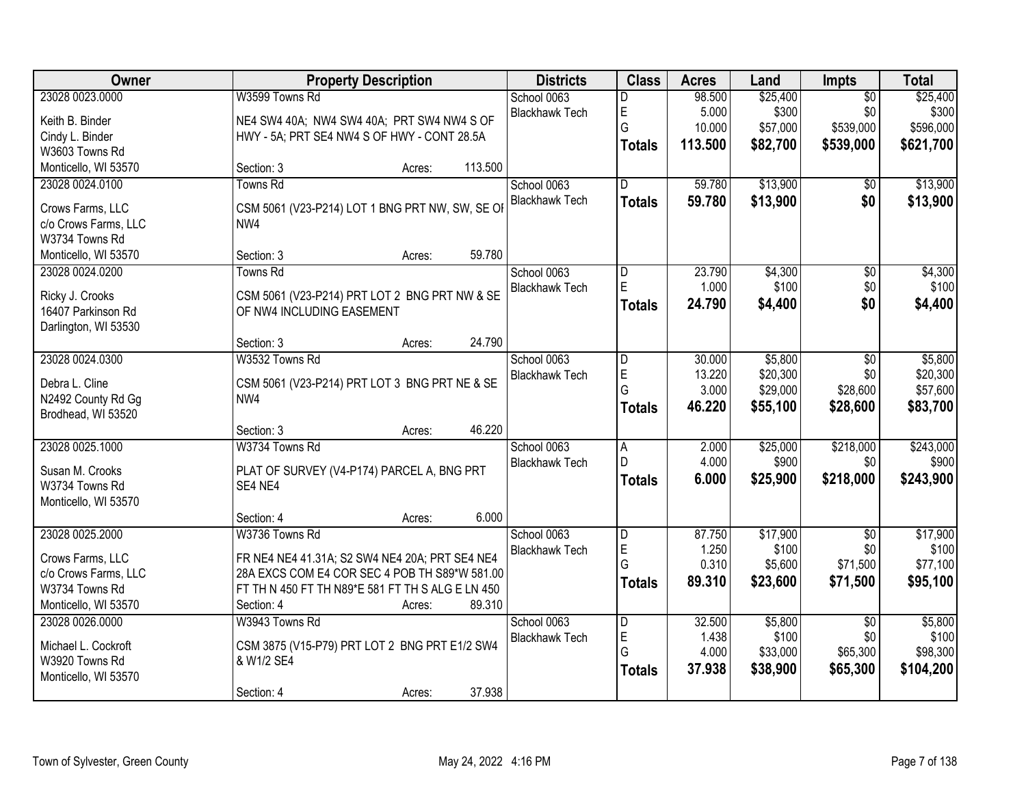| Owner                                    | <b>Property Description</b>                                      | <b>Districts</b>      | <b>Class</b>            | <b>Acres</b> | Land     | Impts           | <b>Total</b> |
|------------------------------------------|------------------------------------------------------------------|-----------------------|-------------------------|--------------|----------|-----------------|--------------|
| 23028 0023.0000                          | W3599 Towns Rd                                                   | School 0063           | D                       | 98.500       | \$25,400 | $\overline{50}$ | \$25,400     |
| Keith B. Binder                          | NE4 SW4 40A; NW4 SW4 40A; PRT SW4 NW4 S OF                       | <b>Blackhawk Tech</b> | $\mathsf E$             | 5.000        | \$300    | \$0             | \$300        |
| Cindy L. Binder                          | HWY - 5A; PRT SE4 NW4 S OF HWY - CONT 28.5A                      |                       | G                       | 10.000       | \$57,000 | \$539,000       | \$596,000    |
| W3603 Towns Rd                           |                                                                  |                       | <b>Totals</b>           | 113.500      | \$82,700 | \$539,000       | \$621,700    |
| Monticello, WI 53570                     | 113.500<br>Section: 3<br>Acres:                                  |                       |                         |              |          |                 |              |
| 23028 0024.0100                          | <b>Towns Rd</b>                                                  | School 0063           | $\overline{D}$          | 59.780       | \$13,900 | \$0             | \$13,900     |
|                                          |                                                                  | <b>Blackhawk Tech</b> | <b>Totals</b>           | 59.780       | \$13,900 | \$0             | \$13,900     |
| Crows Farms, LLC                         | CSM 5061 (V23-P214) LOT 1 BNG PRT NW, SW, SE OI                  |                       |                         |              |          |                 |              |
| c/o Crows Farms, LLC                     | NW4                                                              |                       |                         |              |          |                 |              |
| W3734 Towns Rd                           |                                                                  |                       |                         |              |          |                 |              |
| Monticello, WI 53570                     | 59.780<br>Section: 3<br>Acres:                                   |                       |                         |              |          |                 |              |
| 23028 0024.0200                          | Towns Rd                                                         | School 0063           | D                       | 23.790       | \$4,300  | $\overline{50}$ | \$4,300      |
| Ricky J. Crooks                          | CSM 5061 (V23-P214) PRT LOT 2 BNG PRT NW & SE                    | <b>Blackhawk Tech</b> | E                       | 1.000        | \$100    | \$0             | \$100        |
| 16407 Parkinson Rd                       | OF NW4 INCLUDING EASEMENT                                        |                       | <b>Totals</b>           | 24.790       | \$4,400  | \$0             | \$4,400      |
| Darlington, WI 53530                     |                                                                  |                       |                         |              |          |                 |              |
|                                          | 24.790<br>Section: 3<br>Acres:                                   |                       |                         |              |          |                 |              |
| 23028 0024.0300                          | W3532 Towns Rd                                                   | School 0063           | D                       | 30.000       | \$5,800  | \$0             | \$5,800      |
| Debra L. Cline                           |                                                                  | <b>Blackhawk Tech</b> | $\mathsf E$             | 13.220       | \$20,300 | \$0             | \$20,300     |
|                                          | CSM 5061 (V23-P214) PRT LOT 3 BNG PRT NE & SE<br>NW <sub>4</sub> |                       | G                       | 3.000        | \$29,000 | \$28,600        | \$57,600     |
| N2492 County Rd Gg<br>Brodhead, WI 53520 |                                                                  |                       | <b>Totals</b>           | 46.220       | \$55,100 | \$28,600        | \$83,700     |
|                                          | 46.220<br>Section: 3<br>Acres:                                   |                       |                         |              |          |                 |              |
| 23028 0025.1000                          | W3734 Towns Rd                                                   | School 0063           | $\overline{A}$          | 2.000        | \$25,000 | \$218,000       | \$243,000    |
|                                          |                                                                  | <b>Blackhawk Tech</b> | D                       | 4.000        | \$900    | \$0             | \$900        |
| Susan M. Crooks                          | PLAT OF SURVEY (V4-P174) PARCEL A, BNG PRT                       |                       |                         | 6.000        |          | \$218,000       | \$243,900    |
| W3734 Towns Rd                           | SE4 NE4                                                          |                       | <b>Totals</b>           |              | \$25,900 |                 |              |
| Monticello, WI 53570                     |                                                                  |                       |                         |              |          |                 |              |
|                                          | 6.000<br>Section: 4<br>Acres:                                    |                       |                         |              |          |                 |              |
| 23028 0025.2000                          | W3736 Towns Rd                                                   | School 0063           | D                       | 87.750       | \$17,900 | $\overline{50}$ | \$17,900     |
| Crows Farms, LLC                         | FR NE4 NE4 41.31A; S2 SW4 NE4 20A; PRT SE4 NE4                   | <b>Blackhawk Tech</b> | E                       | 1.250        | \$100    | \$0             | \$100        |
| c/o Crows Farms, LLC                     | 28A EXCS COM E4 COR SEC 4 POB TH S89*W 581.00                    |                       | G                       | 0.310        | \$5,600  | \$71,500        | \$77,100     |
| W3734 Towns Rd                           | FT TH N 450 FT TH N89*E 581 FT TH S ALG E LN 450                 |                       | <b>Totals</b>           | 89.310       | \$23,600 | \$71,500        | \$95,100     |
| Monticello, WI 53570                     | 89.310<br>Section: 4<br>Acres:                                   |                       |                         |              |          |                 |              |
| 23028 0026.0000                          | W3943 Towns Rd                                                   | School 0063           | $\overline{\mathsf{D}}$ | 32.500       | \$5,800  | $\overline{50}$ | \$5,800      |
|                                          |                                                                  | <b>Blackhawk Tech</b> | E                       | 1.438        | \$100    | \$0             | \$100        |
| Michael L. Cockroft                      | CSM 3875 (V15-P79) PRT LOT 2 BNG PRT E1/2 SW4                    |                       | G                       | 4.000        | \$33,000 | \$65,300        | \$98,300     |
| W3920 Towns Rd                           | & W1/2 SE4                                                       |                       | <b>Totals</b>           | 37.938       | \$38,900 | \$65,300        | \$104,200    |
| Monticello, WI 53570                     |                                                                  |                       |                         |              |          |                 |              |
|                                          | 37.938<br>Section: 4<br>Acres:                                   |                       |                         |              |          |                 |              |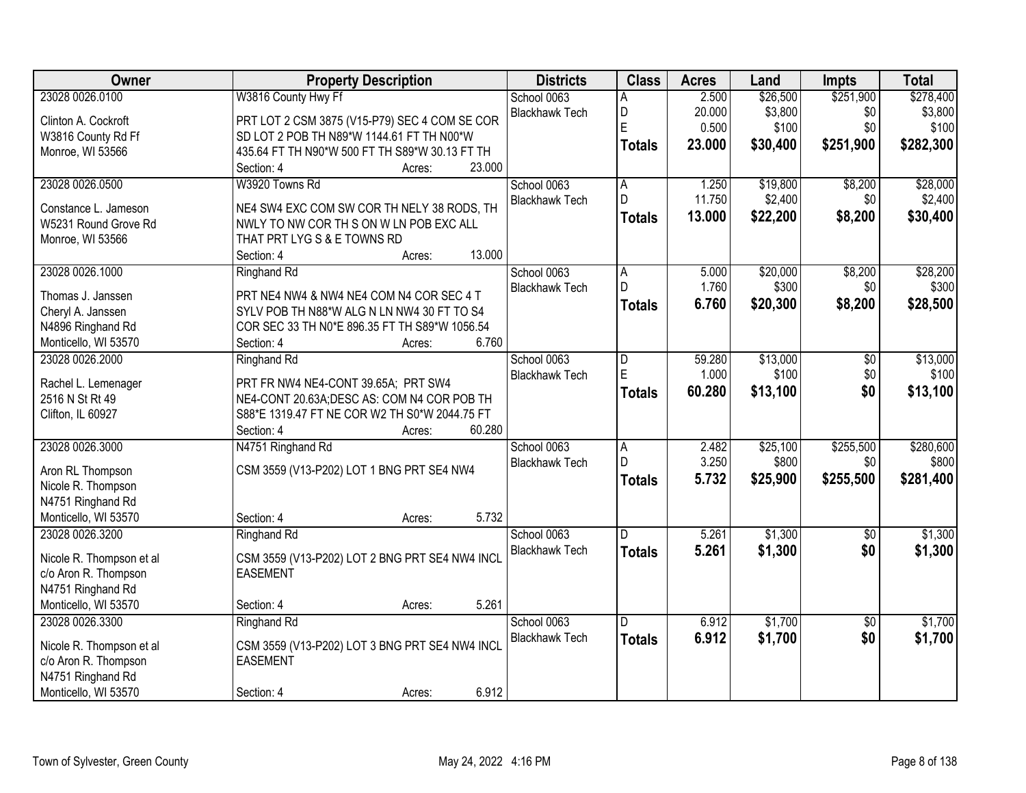| Owner                    | <b>Property Description</b>                    | <b>Districts</b>      | <b>Class</b>            | <b>Acres</b> | Land     | <b>Impts</b>    | <b>Total</b> |
|--------------------------|------------------------------------------------|-----------------------|-------------------------|--------------|----------|-----------------|--------------|
| 23028 0026.0100          | W3816 County Hwy Ff                            | School 0063           | A                       | 2.500        | \$26,500 | \$251,900       | \$278,400    |
| Clinton A. Cockroft      | PRT LOT 2 CSM 3875 (V15-P79) SEC 4 COM SE COR  | <b>Blackhawk Tech</b> | D                       | 20.000       | \$3,800  | \$0             | \$3,800      |
| W3816 County Rd Ff       | SD LOT 2 POB TH N89*W 1144.61 FT TH N00*W      |                       | E                       | 0.500        | \$100    | \$0             | \$100        |
| Monroe, WI 53566         | 435.64 FT TH N90*W 500 FT TH S89*W 30.13 FT TH |                       | <b>Totals</b>           | 23.000       | \$30,400 | \$251,900       | \$282,300    |
|                          | 23.000<br>Section: 4<br>Acres:                 |                       |                         |              |          |                 |              |
| 23028 0026.0500          | W3920 Towns Rd                                 | School 0063           | A                       | 1.250        | \$19,800 | \$8,200         | \$28,000     |
| Constance L. Jameson     | NE4 SW4 EXC COM SW COR TH NELY 38 RODS, TH     | <b>Blackhawk Tech</b> | D                       | 11.750       | \$2,400  | \$0             | \$2,400      |
| W5231 Round Grove Rd     | NWLY TO NW COR TH S ON W LN POB EXC ALL        |                       | <b>Totals</b>           | 13.000       | \$22,200 | \$8,200         | \$30,400     |
| Monroe, WI 53566         | THAT PRT LYG S & E TOWNS RD                    |                       |                         |              |          |                 |              |
|                          | 13.000<br>Section: 4<br>Acres:                 |                       |                         |              |          |                 |              |
| 23028 0026.1000          | <b>Ringhand Rd</b>                             | School 0063           | A                       | 5.000        | \$20,000 | \$8,200         | \$28,200     |
| Thomas J. Janssen        | PRT NE4 NW4 & NW4 NE4 COM N4 COR SEC 4 T       | <b>Blackhawk Tech</b> | D.                      | 1.760        | \$300    | \$0             | \$300        |
| Cheryl A. Janssen        | SYLV POB TH N88*W ALG N LN NW4 30 FT TO S4     |                       | <b>Totals</b>           | 6.760        | \$20,300 | \$8,200         | \$28,500     |
| N4896 Ringhand Rd        | COR SEC 33 TH N0*E 896.35 FT TH S89*W 1056.54  |                       |                         |              |          |                 |              |
| Monticello, WI 53570     | 6.760<br>Section: 4<br>Acres:                  |                       |                         |              |          |                 |              |
| 23028 0026.2000          | Ringhand Rd                                    | School 0063           | D                       | 59.280       | \$13,000 | \$0             | \$13,000     |
|                          |                                                | <b>Blackhawk Tech</b> | E                       | 1.000        | \$100    | \$0             | \$100        |
| Rachel L. Lemenager      | PRT FR NW4 NE4-CONT 39.65A; PRT SW4            |                       | <b>Totals</b>           | 60.280       | \$13,100 | \$0             | \$13,100     |
| 2516 N St Rt 49          | NE4-CONT 20.63A; DESC AS: COM N4 COR POB TH    |                       |                         |              |          |                 |              |
| Clifton, IL 60927        | S88*E 1319.47 FT NE COR W2 TH S0*W 2044.75 FT  |                       |                         |              |          |                 |              |
|                          | 60.280<br>Section: 4<br>Acres:                 |                       |                         |              |          |                 |              |
| 23028 0026.3000          | N4751 Ringhand Rd                              | School 0063           | $\overline{\mathsf{A}}$ | 2.482        | \$25,100 | \$255,500       | \$280,600    |
| Aron RL Thompson         | CSM 3559 (V13-P202) LOT 1 BNG PRT SE4 NW4      | <b>Blackhawk Tech</b> | D.                      | 3.250        | \$800    | \$0             | \$800        |
| Nicole R. Thompson       |                                                |                       | <b>Totals</b>           | 5.732        | \$25,900 | \$255,500       | \$281,400    |
| N4751 Ringhand Rd        |                                                |                       |                         |              |          |                 |              |
| Monticello, WI 53570     | 5.732<br>Section: 4<br>Acres:                  |                       |                         |              |          |                 |              |
| 23028 0026.3200          | Ringhand Rd                                    | School 0063           | D.                      | 5.261        | \$1,300  | $\overline{50}$ | \$1,300      |
| Nicole R. Thompson et al | CSM 3559 (V13-P202) LOT 2 BNG PRT SE4 NW4 INCL | <b>Blackhawk Tech</b> | <b>Totals</b>           | 5.261        | \$1,300  | \$0             | \$1,300      |
| c/o Aron R. Thompson     | <b>EASEMENT</b>                                |                       |                         |              |          |                 |              |
| N4751 Ringhand Rd        |                                                |                       |                         |              |          |                 |              |
| Monticello, WI 53570     | 5.261<br>Section: 4<br>Acres:                  |                       |                         |              |          |                 |              |
| 23028 0026.3300          | <b>Ringhand Rd</b>                             | School 0063           | D.                      | 6.912        | \$1,700  | $\overline{30}$ | \$1,700      |
|                          |                                                | <b>Blackhawk Tech</b> | <b>Totals</b>           | 6.912        | \$1,700  | \$0             | \$1,700      |
| Nicole R. Thompson et al | CSM 3559 (V13-P202) LOT 3 BNG PRT SE4 NW4 INCL |                       |                         |              |          |                 |              |
| c/o Aron R. Thompson     | <b>EASEMENT</b>                                |                       |                         |              |          |                 |              |
| N4751 Ringhand Rd        |                                                |                       |                         |              |          |                 |              |
| Monticello, WI 53570     | 6.912<br>Section: 4<br>Acres:                  |                       |                         |              |          |                 |              |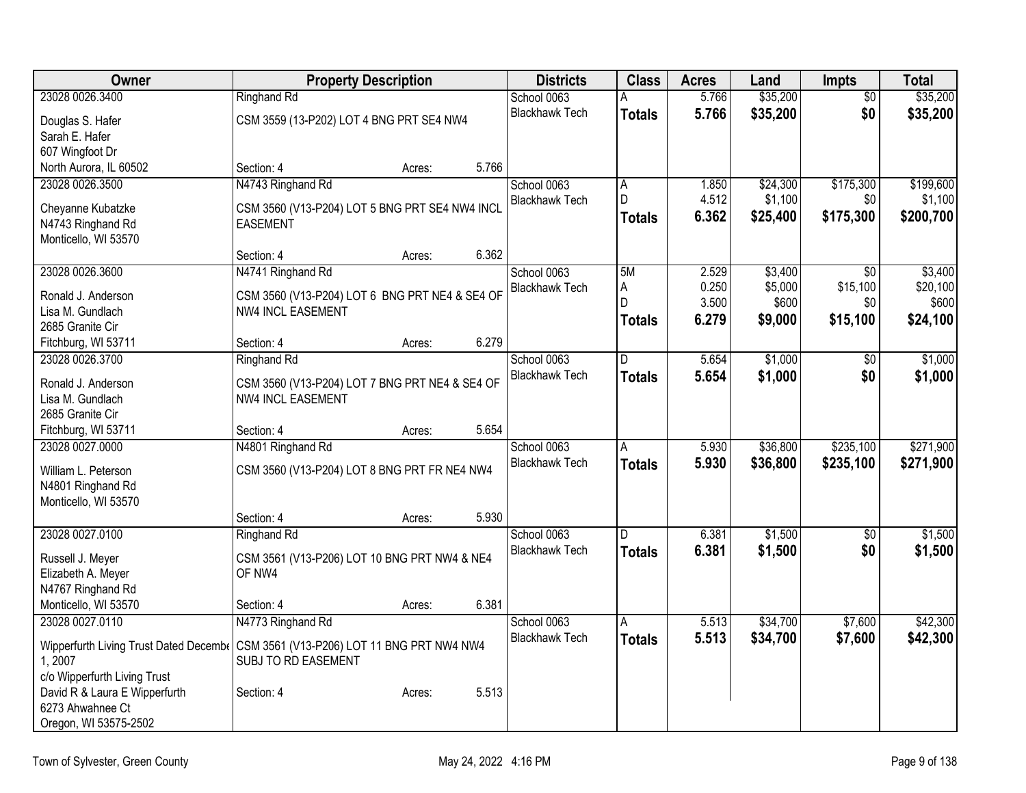| Owner                                     | <b>Property Description</b>                    |        |       | <b>Districts</b>      | <b>Class</b>   | <b>Acres</b> | Land     | <b>Impts</b>    | <b>Total</b> |
|-------------------------------------------|------------------------------------------------|--------|-------|-----------------------|----------------|--------------|----------|-----------------|--------------|
| 23028 0026.3400                           | <b>Ringhand Rd</b>                             |        |       | School 0063           | А              | 5.766        | \$35,200 | $\overline{30}$ | \$35,200     |
| Douglas S. Hafer                          | CSM 3559 (13-P202) LOT 4 BNG PRT SE4 NW4       |        |       | <b>Blackhawk Tech</b> | <b>Totals</b>  | 5.766        | \$35,200 | \$0             | \$35,200     |
| Sarah E. Hafer                            |                                                |        |       |                       |                |              |          |                 |              |
| 607 Wingfoot Dr                           |                                                |        |       |                       |                |              |          |                 |              |
| North Aurora, IL 60502                    | Section: 4                                     | Acres: | 5.766 |                       |                |              |          |                 |              |
| 23028 0026.3500                           | N4743 Ringhand Rd                              |        |       | School 0063           | A.             | 1.850        | \$24,300 | \$175,300       | \$199,600    |
| Cheyanne Kubatzke                         | CSM 3560 (V13-P204) LOT 5 BNG PRT SE4 NW4 INCL |        |       | <b>Blackhawk Tech</b> | $\mathsf{D}$   | 4.512        | \$1,100  | \$0             | \$1,100      |
| N4743 Ringhand Rd                         | <b>EASEMENT</b>                                |        |       |                       | <b>Totals</b>  | 6.362        | \$25,400 | \$175,300       | \$200,700    |
| Monticello, WI 53570                      |                                                |        |       |                       |                |              |          |                 |              |
|                                           | Section: 4                                     | Acres: | 6.362 |                       |                |              |          |                 |              |
| 23028 0026.3600                           | N4741 Ringhand Rd                              |        |       | School 0063           | 5M             | 2.529        | \$3,400  | \$0             | \$3,400      |
|                                           |                                                |        |       | <b>Blackhawk Tech</b> | A              | 0.250        | \$5,000  | \$15,100        | \$20,100     |
| Ronald J. Anderson                        | CSM 3560 (V13-P204) LOT 6 BNG PRT NE4 & SE4 OF |        |       |                       | D              | 3.500        | \$600    | \$0             | \$600        |
| Lisa M. Gundlach                          | <b>NW4 INCL EASEMENT</b>                       |        |       |                       | Totals         | 6.279        | \$9,000  | \$15,100        | \$24,100     |
| 2685 Granite Cir                          |                                                |        |       |                       |                |              |          |                 |              |
| Fitchburg, WI 53711                       | Section: 4                                     | Acres: | 6.279 |                       |                |              |          |                 |              |
| 23028 0026.3700                           | <b>Ringhand Rd</b>                             |        |       | School 0063           | $\Gamma$       | 5.654        | \$1,000  | $\overline{50}$ | \$1,000      |
| Ronald J. Anderson                        | CSM 3560 (V13-P204) LOT 7 BNG PRT NE4 & SE4 OF |        |       | <b>Blackhawk Tech</b> | <b>Totals</b>  | 5.654        | \$1,000  | \$0             | \$1,000      |
| Lisa M. Gundlach                          | <b>NW4 INCL EASEMENT</b>                       |        |       |                       |                |              |          |                 |              |
| 2685 Granite Cir                          |                                                |        |       |                       |                |              |          |                 |              |
| Fitchburg, WI 53711                       | Section: 4                                     | Acres: | 5.654 |                       |                |              |          |                 |              |
| 23028 0027,0000                           | N4801 Ringhand Rd                              |        |       | School 0063           | $\overline{A}$ | 5.930        | \$36,800 | \$235,100       | \$271,900    |
|                                           |                                                |        |       | <b>Blackhawk Tech</b> | Totals         | 5.930        | \$36,800 | \$235,100       | \$271,900    |
| William L. Peterson                       | CSM 3560 (V13-P204) LOT 8 BNG PRT FR NE4 NW4   |        |       |                       |                |              |          |                 |              |
| N4801 Ringhand Rd<br>Monticello, WI 53570 |                                                |        |       |                       |                |              |          |                 |              |
|                                           | Section: 4                                     |        | 5.930 |                       |                |              |          |                 |              |
| 23028 0027.0100                           | Ringhand Rd                                    | Acres: |       | School 0063           | ID.            | 6.381        | \$1,500  |                 | \$1,500      |
|                                           |                                                |        |       |                       |                |              |          | $\overline{50}$ |              |
| Russell J. Meyer                          | CSM 3561 (V13-P206) LOT 10 BNG PRT NW4 & NE4   |        |       | <b>Blackhawk Tech</b> | <b>Totals</b>  | 6.381        | \$1,500  | \$0             | \$1,500      |
| Elizabeth A. Meyer                        | OF NW4                                         |        |       |                       |                |              |          |                 |              |
| N4767 Ringhand Rd                         |                                                |        |       |                       |                |              |          |                 |              |
| Monticello, WI 53570                      | Section: 4                                     | Acres: | 6.381 |                       |                |              |          |                 |              |
| 23028 0027.0110                           | N4773 Ringhand Rd                              |        |       | School 0063           | A              | 5.513        | \$34,700 | \$7,600         | \$42,300     |
| Wipperfurth Living Trust Dated Decembe    | CSM 3561 (V13-P206) LOT 11 BNG PRT NW4 NW4     |        |       | <b>Blackhawk Tech</b> | Totals         | 5.513        | \$34,700 | \$7,600         | \$42,300     |
| 1,2007                                    | SUBJ TO RD EASEMENT                            |        |       |                       |                |              |          |                 |              |
| c/o Wipperfurth Living Trust              |                                                |        |       |                       |                |              |          |                 |              |
| David R & Laura E Wipperfurth             | Section: 4                                     | Acres: | 5.513 |                       |                |              |          |                 |              |
| 6273 Ahwahnee Ct                          |                                                |        |       |                       |                |              |          |                 |              |
|                                           |                                                |        |       |                       |                |              |          |                 |              |
| Oregon, WI 53575-2502                     |                                                |        |       |                       |                |              |          |                 |              |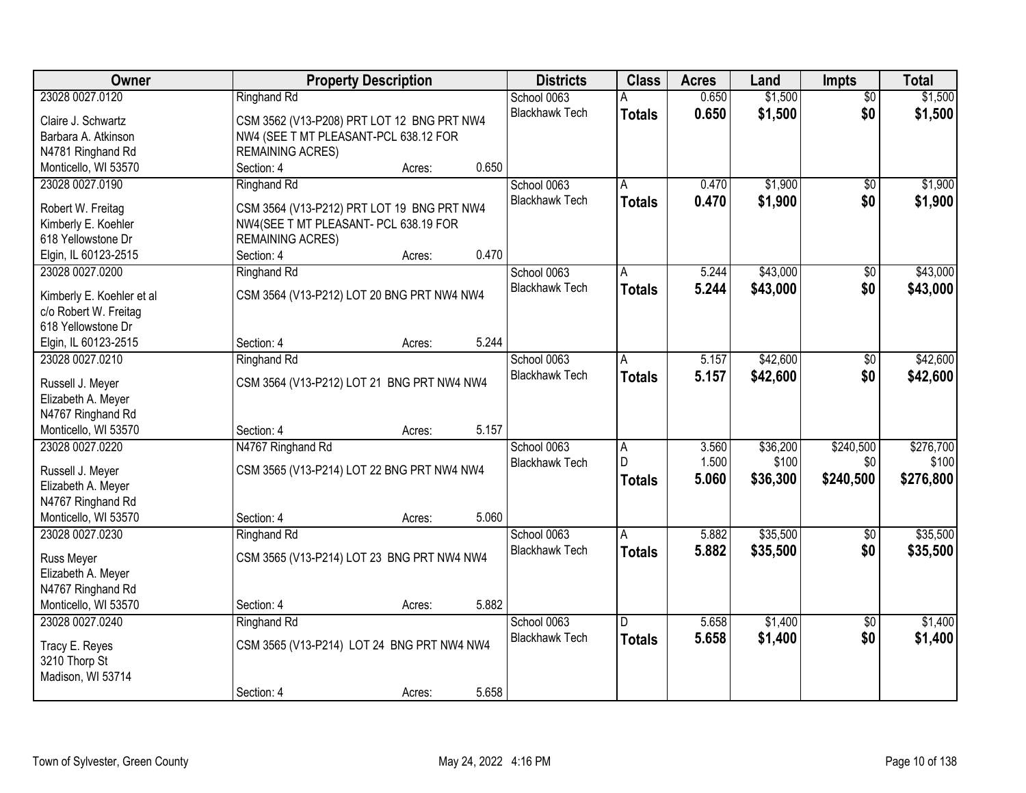| Owner                                     |                                                                                     | <b>Property Description</b> |       | <b>Districts</b>      | <b>Class</b>  | <b>Acres</b> | Land     | <b>Impts</b>    | <b>Total</b> |
|-------------------------------------------|-------------------------------------------------------------------------------------|-----------------------------|-------|-----------------------|---------------|--------------|----------|-----------------|--------------|
| 23028 0027.0120                           | <b>Ringhand Rd</b>                                                                  |                             |       | School 0063           |               | 0.650        | \$1,500  | $\overline{50}$ | \$1,500      |
| Claire J. Schwartz                        | CSM 3562 (V13-P208) PRT LOT 12 BNG PRT NW4                                          |                             |       | <b>Blackhawk Tech</b> | <b>Totals</b> | 0.650        | \$1,500  | \$0             | \$1,500      |
| Barbara A. Atkinson                       | NW4 (SEE T MT PLEASANT-PCL 638.12 FOR                                               |                             |       |                       |               |              |          |                 |              |
| N4781 Ringhand Rd                         | <b>REMAINING ACRES)</b>                                                             |                             |       |                       |               |              |          |                 |              |
| Monticello, WI 53570                      | Section: 4                                                                          | Acres:                      | 0.650 |                       |               |              |          |                 |              |
| 23028 0027.0190                           | <b>Ringhand Rd</b>                                                                  |                             |       | School 0063           | А             | 0.470        | \$1,900  | $\overline{50}$ | \$1,900      |
|                                           |                                                                                     |                             |       | <b>Blackhawk Tech</b> | <b>Totals</b> | 0.470        | \$1,900  | \$0             | \$1,900      |
| Robert W. Freitag                         | CSM 3564 (V13-P212) PRT LOT 19 BNG PRT NW4<br>NW4(SEE T MT PLEASANT- PCL 638.19 FOR |                             |       |                       |               |              |          |                 |              |
| Kimberly E. Koehler<br>618 Yellowstone Dr | <b>REMAINING ACRES)</b>                                                             |                             |       |                       |               |              |          |                 |              |
| Elgin, IL 60123-2515                      | Section: 4                                                                          | Acres:                      | 0.470 |                       |               |              |          |                 |              |
| 23028 0027.0200                           | <b>Ringhand Rd</b>                                                                  |                             |       | School 0063           | A             | 5.244        | \$43,000 | \$0             | \$43,000     |
|                                           |                                                                                     |                             |       | <b>Blackhawk Tech</b> | <b>Totals</b> | 5.244        | \$43,000 | \$0             | \$43,000     |
| Kimberly E. Koehler et al                 | CSM 3564 (V13-P212) LOT 20 BNG PRT NW4 NW4                                          |                             |       |                       |               |              |          |                 |              |
| c/o Robert W. Freitag                     |                                                                                     |                             |       |                       |               |              |          |                 |              |
| 618 Yellowstone Dr                        |                                                                                     |                             |       |                       |               |              |          |                 |              |
| Elgin, IL 60123-2515                      | Section: 4                                                                          | Acres:                      | 5.244 |                       |               |              |          |                 |              |
| 23028 0027.0210                           | <b>Ringhand Rd</b>                                                                  |                             |       | School 0063           | A             | 5.157        | \$42,600 | \$0             | \$42,600     |
| Russell J. Meyer                          | CSM 3564 (V13-P212) LOT 21 BNG PRT NW4 NW4                                          |                             |       | <b>Blackhawk Tech</b> | <b>Totals</b> | 5.157        | \$42,600 | \$0             | \$42,600     |
| Elizabeth A. Meyer                        |                                                                                     |                             |       |                       |               |              |          |                 |              |
| N4767 Ringhand Rd                         |                                                                                     |                             |       |                       |               |              |          |                 |              |
| Monticello, WI 53570                      | Section: 4                                                                          | Acres:                      | 5.157 |                       |               |              |          |                 |              |
| 23028 0027.0220                           | N4767 Ringhand Rd                                                                   |                             |       | School 0063           | A             | 3.560        | \$36,200 | \$240,500       | \$276,700    |
|                                           |                                                                                     |                             |       | <b>Blackhawk Tech</b> | D.            | 1.500        | \$100    | \$0             | \$100        |
| Russell J. Meyer                          | CSM 3565 (V13-P214) LOT 22 BNG PRT NW4 NW4                                          |                             |       |                       | <b>Totals</b> | 5.060        | \$36,300 | \$240,500       | \$276,800    |
| Elizabeth A. Meyer                        |                                                                                     |                             |       |                       |               |              |          |                 |              |
| N4767 Ringhand Rd                         |                                                                                     |                             |       |                       |               |              |          |                 |              |
| Monticello, WI 53570                      | Section: 4                                                                          | Acres:                      | 5.060 |                       |               |              |          |                 |              |
| 23028 0027.0230                           | <b>Ringhand Rd</b>                                                                  |                             |       | School 0063           | A             | 5.882        | \$35,500 | $\overline{50}$ | \$35,500     |
| Russ Meyer                                | CSM 3565 (V13-P214) LOT 23 BNG PRT NW4 NW4                                          |                             |       | <b>Blackhawk Tech</b> | <b>Totals</b> | 5.882        | \$35,500 | \$0             | \$35,500     |
| Elizabeth A. Meyer                        |                                                                                     |                             |       |                       |               |              |          |                 |              |
| N4767 Ringhand Rd                         |                                                                                     |                             |       |                       |               |              |          |                 |              |
| Monticello, WI 53570                      | Section: 4                                                                          | Acres:                      | 5.882 |                       |               |              |          |                 |              |
| 23028 0027.0240                           | <b>Ringhand Rd</b>                                                                  |                             |       | School 0063           | D             | 5.658        | \$1,400  | $\overline{50}$ | \$1,400      |
| Tracy E. Reyes                            | CSM 3565 (V13-P214) LOT 24 BNG PRT NW4 NW4                                          |                             |       | <b>Blackhawk Tech</b> | <b>Totals</b> | 5.658        | \$1,400  | \$0             | \$1,400      |
| 3210 Thorp St                             |                                                                                     |                             |       |                       |               |              |          |                 |              |
| Madison, WI 53714                         |                                                                                     |                             |       |                       |               |              |          |                 |              |
|                                           | Section: 4                                                                          | Acres:                      | 5.658 |                       |               |              |          |                 |              |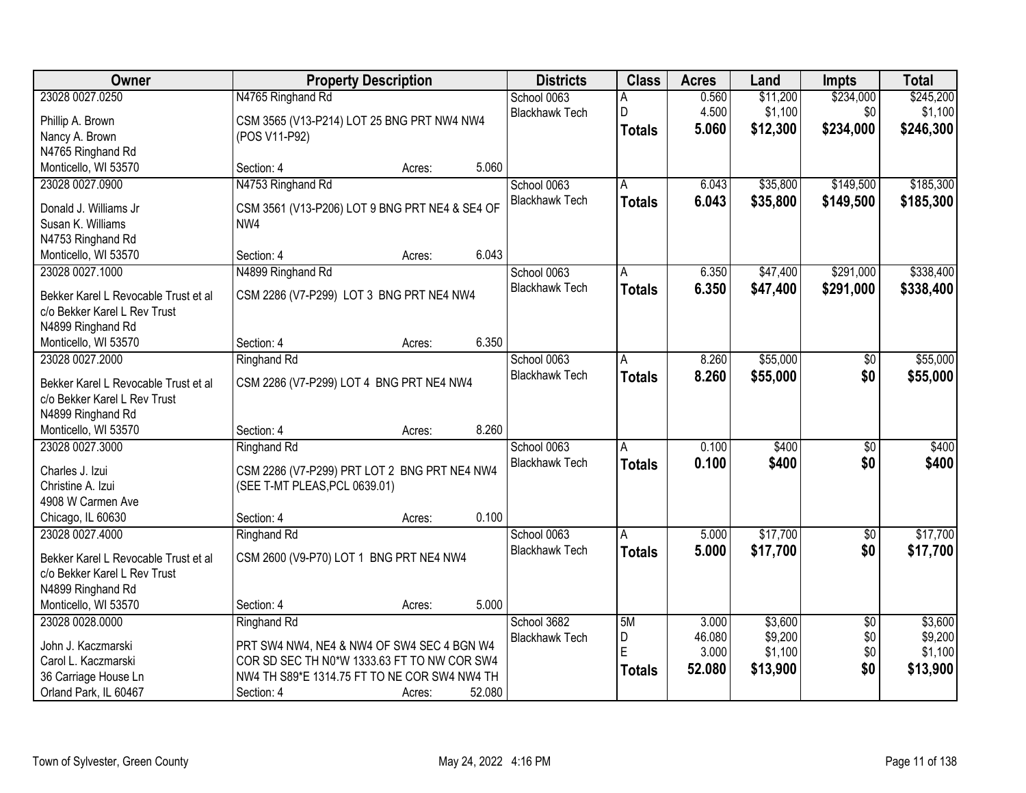| <b>Owner</b>                                  | <b>Property Description</b>                                                               |        |        | <b>Districts</b>      | <b>Class</b>  | <b>Acres</b> | Land     | Impts           | <b>Total</b> |
|-----------------------------------------------|-------------------------------------------------------------------------------------------|--------|--------|-----------------------|---------------|--------------|----------|-----------------|--------------|
| 23028 0027.0250                               | N4765 Ringhand Rd                                                                         |        |        | School 0063           | Α             | 0.560        | \$11,200 | \$234,000       | \$245,200    |
| Phillip A. Brown                              | CSM 3565 (V13-P214) LOT 25 BNG PRT NW4 NW4                                                |        |        | <b>Blackhawk Tech</b> | D             | 4.500        | \$1,100  | \$0             | \$1,100      |
| Nancy A. Brown                                | (POS V11-P92)                                                                             |        |        |                       | <b>Totals</b> | 5.060        | \$12,300 | \$234,000       | \$246,300    |
| N4765 Ringhand Rd                             |                                                                                           |        |        |                       |               |              |          |                 |              |
| Monticello, WI 53570                          | Section: 4                                                                                | Acres: | 5.060  |                       |               |              |          |                 |              |
| 23028 0027.0900                               | N4753 Ringhand Rd                                                                         |        |        | School 0063           | A             | 6.043        | \$35,800 | \$149,500       | \$185,300    |
|                                               |                                                                                           |        |        | <b>Blackhawk Tech</b> | <b>Totals</b> | 6.043        | \$35,800 | \$149,500       | \$185,300    |
| Donald J. Williams Jr                         | CSM 3561 (V13-P206) LOT 9 BNG PRT NE4 & SE4 OF                                            |        |        |                       |               |              |          |                 |              |
| Susan K. Williams                             | NW4                                                                                       |        |        |                       |               |              |          |                 |              |
| N4753 Ringhand Rd                             | Section: 4                                                                                |        | 6.043  |                       |               |              |          |                 |              |
| Monticello, WI 53570<br>23028 0027.1000       |                                                                                           | Acres: |        | School 0063           |               | 6.350        | \$47,400 | \$291,000       | \$338,400    |
|                                               | N4899 Ringhand Rd                                                                         |        |        | <b>Blackhawk Tech</b> | A             |              |          |                 |              |
| Bekker Karel L Revocable Trust et al          | CSM 2286 (V7-P299) LOT 3 BNG PRT NE4 NW4                                                  |        |        |                       | <b>Totals</b> | 6.350        | \$47,400 | \$291,000       | \$338,400    |
| c/o Bekker Karel L Rev Trust                  |                                                                                           |        |        |                       |               |              |          |                 |              |
| N4899 Ringhand Rd                             |                                                                                           |        |        |                       |               |              |          |                 |              |
| Monticello, WI 53570                          | Section: 4                                                                                | Acres: | 6.350  |                       |               |              |          |                 |              |
| 23028 0027.2000                               | Ringhand Rd                                                                               |        |        | School 0063           | A             | 8.260        | \$55,000 | \$0             | \$55,000     |
| Bekker Karel L Revocable Trust et al          | CSM 2286 (V7-P299) LOT 4 BNG PRT NE4 NW4                                                  |        |        | <b>Blackhawk Tech</b> | <b>Totals</b> | 8.260        | \$55,000 | \$0             | \$55,000     |
| c/o Bekker Karel L Rev Trust                  |                                                                                           |        |        |                       |               |              |          |                 |              |
| N4899 Ringhand Rd                             |                                                                                           |        |        |                       |               |              |          |                 |              |
| Monticello, WI 53570                          | Section: 4                                                                                | Acres: | 8.260  |                       |               |              |          |                 |              |
| 23028 0027.3000                               | Ringhand Rd                                                                               |        |        | School 0063           | A             | 0.100        | \$400    | $\overline{50}$ | \$400        |
|                                               |                                                                                           |        |        | <b>Blackhawk Tech</b> | <b>Totals</b> | 0.100        | \$400    | \$0             | \$400        |
| Charles J. Izui                               | CSM 2286 (V7-P299) PRT LOT 2 BNG PRT NE4 NW4                                              |        |        |                       |               |              |          |                 |              |
| Christine A. Izui                             | (SEE T-MT PLEAS, PCL 0639.01)                                                             |        |        |                       |               |              |          |                 |              |
| 4908 W Carmen Ave                             |                                                                                           |        |        |                       |               |              |          |                 |              |
| Chicago, IL 60630                             | Section: 4                                                                                | Acres: | 0.100  |                       |               |              |          |                 |              |
| 23028 0027.4000                               | <b>Ringhand Rd</b>                                                                        |        |        | School 0063           | A             | 5.000        | \$17,700 | $\overline{60}$ | \$17,700     |
| Bekker Karel L Revocable Trust et al          | CSM 2600 (V9-P70) LOT 1 BNG PRT NE4 NW4                                                   |        |        | <b>Blackhawk Tech</b> | <b>Totals</b> | 5.000        | \$17,700 | \$0             | \$17,700     |
| c/o Bekker Karel L Rev Trust                  |                                                                                           |        |        |                       |               |              |          |                 |              |
| N4899 Ringhand Rd                             |                                                                                           |        |        |                       |               |              |          |                 |              |
| Monticello, WI 53570                          | Section: 4                                                                                | Acres: | 5.000  |                       |               |              |          |                 |              |
| 23028 0028.0000                               | Ringhand Rd                                                                               |        |        | School 3682           | 5M            | 3.000        | \$3,600  | $\overline{50}$ | \$3,600      |
|                                               |                                                                                           |        |        | <b>Blackhawk Tech</b> | D             | 46.080       | \$9,200  | \$0             | \$9,200      |
| John J. Kaczmarski<br>Carol L. Kaczmarski     | PRT SW4 NW4, NE4 & NW4 OF SW4 SEC 4 BGN W4<br>COR SD SEC TH N0*W 1333.63 FT TO NW COR SW4 |        |        |                       | E             | 3.000        | \$1,100  | \$0             | \$1,100      |
|                                               | NW4 TH S89*E 1314.75 FT TO NE COR SW4 NW4 TH                                              |        |        |                       | <b>Totals</b> | 52.080       | \$13,900 | \$0             | \$13,900     |
| 36 Carriage House Ln<br>Orland Park, IL 60467 | Section: 4                                                                                |        | 52.080 |                       |               |              |          |                 |              |
|                                               |                                                                                           | Acres: |        |                       |               |              |          |                 |              |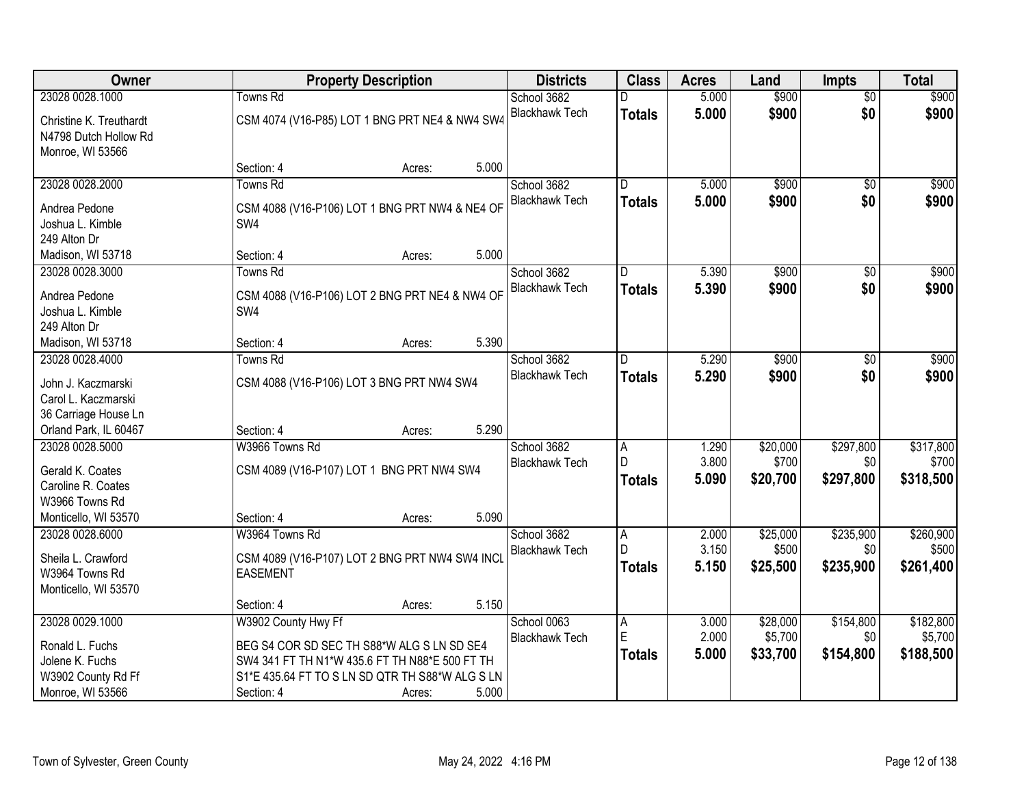| Owner                                  |                     | <b>Property Description</b>                     |       | <b>Districts</b>      | <b>Class</b>   | <b>Acres</b> | Land     | <b>Impts</b>    | <b>Total</b> |
|----------------------------------------|---------------------|-------------------------------------------------|-------|-----------------------|----------------|--------------|----------|-----------------|--------------|
| 23028 0028.1000                        | Towns Rd            |                                                 |       | School 3682           |                | 5.000        | \$900    | $\overline{50}$ | \$900        |
| Christine K. Treuthardt                |                     | CSM 4074 (V16-P85) LOT 1 BNG PRT NE4 & NW4 SW4  |       | <b>Blackhawk Tech</b> | <b>Totals</b>  | 5.000        | \$900    | \$0             | \$900        |
| N4798 Dutch Hollow Rd                  |                     |                                                 |       |                       |                |              |          |                 |              |
| Monroe, WI 53566                       |                     |                                                 |       |                       |                |              |          |                 |              |
|                                        | Section: 4          | Acres:                                          | 5.000 |                       |                |              |          |                 |              |
| 23028 0028.2000                        | <b>Towns Rd</b>     |                                                 |       | School 3682           | D.             | 5.000        | \$900    | $\overline{50}$ | \$900        |
| Andrea Pedone                          |                     | CSM 4088 (V16-P106) LOT 1 BNG PRT NW4 & NE4 OF  |       | <b>Blackhawk Tech</b> | <b>Totals</b>  | 5.000        | \$900    | \$0             | \$900        |
| Joshua L. Kimble                       | SW <sub>4</sub>     |                                                 |       |                       |                |              |          |                 |              |
| 249 Alton Dr                           |                     |                                                 |       |                       |                |              |          |                 |              |
| Madison, WI 53718                      | Section: 4          | Acres:                                          | 5.000 |                       |                |              |          |                 |              |
| 23028 0028.3000                        | <b>Towns Rd</b>     |                                                 |       | School 3682           | D              | 5.390        | \$900    | $\sqrt[6]{}$    | \$900        |
| Andrea Pedone                          |                     | CSM 4088 (V16-P106) LOT 2 BNG PRT NE4 & NW4 OF  |       | <b>Blackhawk Tech</b> | Totals         | 5.390        | \$900    | \$0             | \$900        |
| Joshua L. Kimble                       | SW4                 |                                                 |       |                       |                |              |          |                 |              |
| 249 Alton Dr                           |                     |                                                 |       |                       |                |              |          |                 |              |
| Madison, WI 53718                      | Section: 4          | Acres:                                          | 5.390 |                       |                |              |          |                 |              |
| 23028 0028.4000                        | <b>Towns Rd</b>     |                                                 |       | School 3682           | D              | 5.290        | \$900    | $\sqrt[6]{}$    | \$900        |
| John J. Kaczmarski                     |                     | CSM 4088 (V16-P106) LOT 3 BNG PRT NW4 SW4       |       | <b>Blackhawk Tech</b> | <b>Totals</b>  | 5.290        | \$900    | \$0             | \$900        |
| Carol L. Kaczmarski                    |                     |                                                 |       |                       |                |              |          |                 |              |
| 36 Carriage House Ln                   |                     |                                                 |       |                       |                |              |          |                 |              |
| Orland Park, IL 60467                  | Section: 4          | Acres:                                          | 5.290 |                       |                |              |          |                 |              |
| 23028 0028.5000                        | W3966 Towns Rd      |                                                 |       | School 3682           | $\overline{A}$ | 1.290        | \$20,000 | \$297,800       | \$317,800    |
|                                        |                     |                                                 |       | <b>Blackhawk Tech</b> | D              | 3.800        | \$700    | \$0             | \$700        |
| Gerald K. Coates<br>Caroline R. Coates |                     | CSM 4089 (V16-P107) LOT 1 BNG PRT NW4 SW4       |       |                       | <b>Totals</b>  | 5.090        | \$20,700 | \$297,800       | \$318,500    |
| W3966 Towns Rd                         |                     |                                                 |       |                       |                |              |          |                 |              |
| Monticello, WI 53570                   | Section: 4          | Acres:                                          | 5.090 |                       |                |              |          |                 |              |
| 23028 0028.6000                        | W3964 Towns Rd      |                                                 |       | School 3682           | A              | 2.000        | \$25,000 | \$235,900       | \$260,900    |
|                                        |                     |                                                 |       | <b>Blackhawk Tech</b> | D              | 3.150        | \$500    | \$0             | \$500        |
| Sheila L. Crawford                     |                     | CSM 4089 (V16-P107) LOT 2 BNG PRT NW4 SW4 INCL  |       |                       | <b>Totals</b>  | 5.150        | \$25,500 | \$235,900       | \$261,400    |
| W3964 Towns Rd<br>Monticello, WI 53570 | <b>EASEMENT</b>     |                                                 |       |                       |                |              |          |                 |              |
|                                        | Section: 4          | Acres:                                          | 5.150 |                       |                |              |          |                 |              |
| 23028 0029.1000                        | W3902 County Hwy Ff |                                                 |       | School 0063           | A              | 3.000        | \$28,000 | \$154,800       | \$182,800    |
|                                        |                     |                                                 |       | <b>Blackhawk Tech</b> | ΙE             | 2.000        | \$5,700  | \$0             | \$5,700      |
| Ronald L. Fuchs                        |                     | BEG S4 COR SD SEC TH S88*W ALG S LN SD SE4      |       |                       | Totals         | 5.000        | \$33,700 | \$154,800       | \$188,500    |
| Jolene K. Fuchs                        |                     | SW4 341 FT TH N1*W 435.6 FT TH N88*E 500 FT TH  |       |                       |                |              |          |                 |              |
| W3902 County Rd Ff                     |                     | S1*E 435.64 FT TO S LN SD QTR TH S88*W ALG S LN |       |                       |                |              |          |                 |              |
| Monroe, WI 53566                       | Section: 4          | Acres:                                          | 5.000 |                       |                |              |          |                 |              |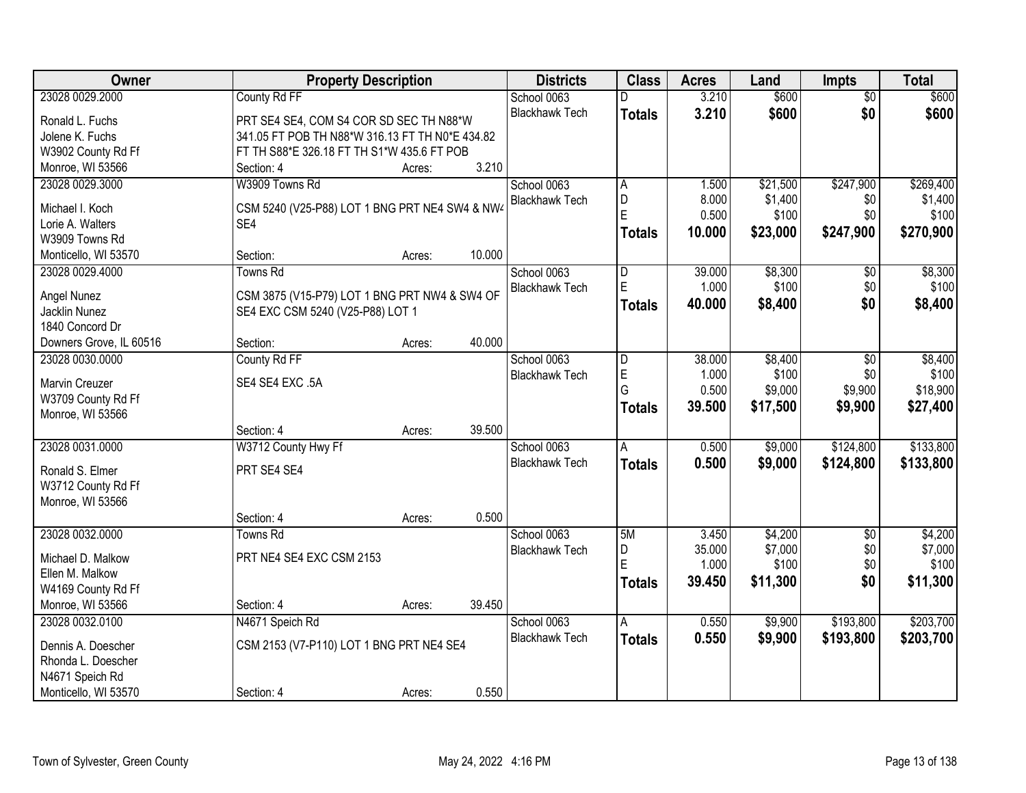| Owner                   |                                                 | <b>Property Description</b> |        | <b>Districts</b>      | <b>Class</b>   | <b>Acres</b> | Land     | <b>Impts</b>    | <b>Total</b> |
|-------------------------|-------------------------------------------------|-----------------------------|--------|-----------------------|----------------|--------------|----------|-----------------|--------------|
| 23028 0029.2000         | County Rd FF                                    |                             |        | School 0063           | D              | 3.210        | \$600    | $\overline{50}$ | \$600        |
| Ronald L. Fuchs         | PRT SE4 SE4, COM S4 COR SD SEC TH N88*W         |                             |        | <b>Blackhawk Tech</b> | <b>Totals</b>  | 3.210        | \$600    | \$0             | \$600        |
| Jolene K. Fuchs         | 341.05 FT POB TH N88*W 316.13 FT TH N0*E 434.82 |                             |        |                       |                |              |          |                 |              |
| W3902 County Rd Ff      | FT TH S88*E 326.18 FT TH S1*W 435.6 FT POB      |                             |        |                       |                |              |          |                 |              |
| Monroe, WI 53566        | Section: 4                                      | Acres:                      | 3.210  |                       |                |              |          |                 |              |
| 23028 0029.3000         | W3909 Towns Rd                                  |                             |        | School 0063           | A              | 1.500        | \$21,500 | \$247,900       | \$269,400    |
|                         |                                                 |                             |        | <b>Blackhawk Tech</b> | D              | 8.000        | \$1,400  | \$0             | \$1,400      |
| Michael I. Koch         | CSM 5240 (V25-P88) LOT 1 BNG PRT NE4 SW4 & NW4  |                             |        |                       | E              | 0.500        | \$100    | \$0             | \$100        |
| Lorie A. Walters        | SE4                                             |                             |        |                       | <b>Totals</b>  | 10.000       | \$23,000 | \$247,900       | \$270,900    |
| W3909 Towns Rd          |                                                 |                             |        |                       |                |              |          |                 |              |
| Monticello, WI 53570    | Section:                                        | Acres:                      | 10.000 |                       |                |              |          |                 |              |
| 23028 0029.4000         | <b>Towns Rd</b>                                 |                             |        | School 0063           | D              | 39.000       | \$8,300  | \$0             | \$8,300      |
| Angel Nunez             | CSM 3875 (V15-P79) LOT 1 BNG PRT NW4 & SW4 OF   |                             |        | <b>Blackhawk Tech</b> | $\overline{E}$ | 1.000        | \$100    | \$0             | \$100        |
| Jacklin Nunez           | SE4 EXC CSM 5240 (V25-P88) LOT 1                |                             |        |                       | <b>Totals</b>  | 40.000       | \$8,400  | \$0             | \$8,400      |
| 1840 Concord Dr         |                                                 |                             |        |                       |                |              |          |                 |              |
| Downers Grove, IL 60516 | Section:                                        | Acres:                      | 40.000 |                       |                |              |          |                 |              |
| 23028 0030.0000         | County Rd FF                                    |                             |        | School 0063           | D              | 38.000       | \$8,400  | $\sqrt[6]{3}$   | \$8,400      |
|                         |                                                 |                             |        | <b>Blackhawk Tech</b> | E              | 1.000        | \$100    | \$0             | \$100        |
| Marvin Creuzer          | SE4 SE4 EXC.5A                                  |                             |        |                       | G              | 0.500        | \$9,000  | \$9,900         | \$18,900     |
| W3709 County Rd Ff      |                                                 |                             |        |                       | <b>Totals</b>  | 39.500       | \$17,500 | \$9,900         | \$27,400     |
| Monroe, WI 53566        |                                                 |                             |        |                       |                |              |          |                 |              |
|                         | Section: 4                                      | Acres:                      | 39.500 |                       |                |              |          |                 |              |
| 23028 0031.0000         | W3712 County Hwy Ff                             |                             |        | School 0063           | $\overline{A}$ | 0.500        | \$9,000  | \$124,800       | \$133,800    |
| Ronald S. Elmer         | PRT SE4 SE4                                     |                             |        | <b>Blackhawk Tech</b> | Totals         | 0.500        | \$9,000  | \$124,800       | \$133,800    |
| W3712 County Rd Ff      |                                                 |                             |        |                       |                |              |          |                 |              |
| Monroe, WI 53566        |                                                 |                             |        |                       |                |              |          |                 |              |
|                         | Section: 4                                      | Acres:                      | 0.500  |                       |                |              |          |                 |              |
| 23028 0032.0000         | Towns Rd                                        |                             |        | School 0063           | 5M             | 3.450        | \$4,200  | $\sqrt{6}$      | \$4,200      |
|                         |                                                 |                             |        | <b>Blackhawk Tech</b> | D              | 35.000       | \$7,000  | \$0             | \$7,000      |
| Michael D. Malkow       | PRT NE4 SE4 EXC CSM 2153                        |                             |        |                       | E              | 1.000        | \$100    | \$0             | \$100        |
| Ellen M. Malkow         |                                                 |                             |        |                       | <b>Totals</b>  | 39.450       | \$11,300 | \$0             | \$11,300     |
| W4169 County Rd Ff      |                                                 |                             |        |                       |                |              |          |                 |              |
| Monroe, WI 53566        | Section: 4                                      | Acres:                      | 39.450 |                       |                |              |          |                 |              |
| 23028 0032.0100         | N4671 Speich Rd                                 |                             |        | School 0063           | A              | 0.550        | \$9,900  | \$193,800       | \$203,700    |
| Dennis A. Doescher      | CSM 2153 (V7-P110) LOT 1 BNG PRT NE4 SE4        |                             |        | <b>Blackhawk Tech</b> | <b>Totals</b>  | 0.550        | \$9,900  | \$193,800       | \$203,700    |
| Rhonda L. Doescher      |                                                 |                             |        |                       |                |              |          |                 |              |
| N4671 Speich Rd         |                                                 |                             |        |                       |                |              |          |                 |              |
| Monticello, WI 53570    | Section: 4                                      |                             | 0.550  |                       |                |              |          |                 |              |
|                         |                                                 | Acres:                      |        |                       |                |              |          |                 |              |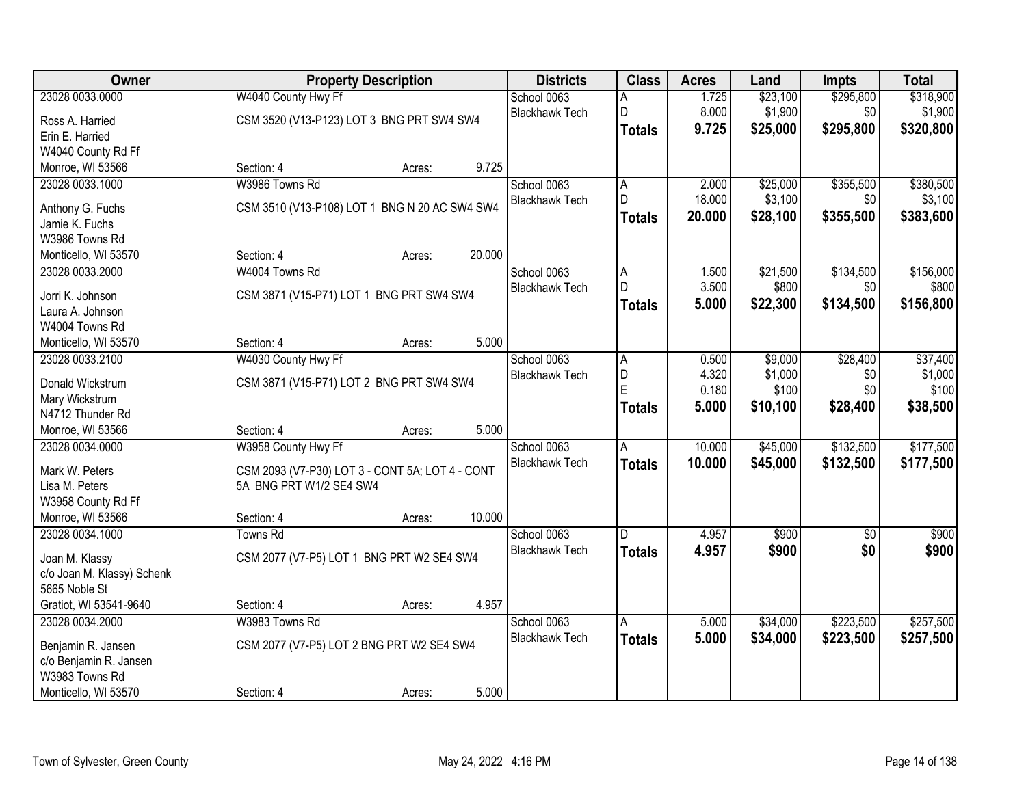| Owner                      |                         | <b>Property Description</b>                     | <b>Districts</b>      | <b>Class</b>  | <b>Acres</b> | Land     | Impts           | <b>Total</b> |
|----------------------------|-------------------------|-------------------------------------------------|-----------------------|---------------|--------------|----------|-----------------|--------------|
| 23028 0033.0000            | W4040 County Hwy Ff     |                                                 | School 0063           | А             | 1.725        | \$23,100 | \$295,800       | \$318,900    |
| Ross A. Harried            |                         | CSM 3520 (V13-P123) LOT 3 BNG PRT SW4 SW4       | <b>Blackhawk Tech</b> | D             | 8.000        | \$1,900  | \$0             | \$1,900      |
| Erin E. Harried            |                         |                                                 |                       | <b>Totals</b> | 9.725        | \$25,000 | \$295,800       | \$320,800    |
| W4040 County Rd Ff         |                         |                                                 |                       |               |              |          |                 |              |
| Monroe, WI 53566           | Section: 4              | Acres:                                          | 9.725                 |               |              |          |                 |              |
| 23028 0033.1000            | W3986 Towns Rd          |                                                 | School 0063           | А             | 2.000        | \$25,000 | \$355,500       | \$380,500    |
|                            |                         |                                                 | <b>Blackhawk Tech</b> | D             | 18.000       | \$3,100  | \$0             | \$3,100      |
| Anthony G. Fuchs           |                         | CSM 3510 (V13-P108) LOT 1 BNG N 20 AC SW4 SW4   |                       | <b>Totals</b> | 20.000       | \$28,100 | \$355,500       | \$383,600    |
| Jamie K. Fuchs             |                         |                                                 |                       |               |              |          |                 |              |
| W3986 Towns Rd             |                         |                                                 | 20.000                |               |              |          |                 |              |
| Monticello, WI 53570       | Section: 4              | Acres:                                          |                       |               |              |          |                 |              |
| 23028 0033.2000            | W4004 Towns Rd          |                                                 | School 0063           | А<br>D        | 1.500        | \$21,500 | \$134,500       | \$156,000    |
| Jorri K. Johnson           |                         | CSM 3871 (V15-P71) LOT 1 BNG PRT SW4 SW4        | <b>Blackhawk Tech</b> |               | 3.500        | \$800    | \$0             | \$800        |
| Laura A. Johnson           |                         |                                                 |                       | <b>Totals</b> | 5.000        | \$22,300 | \$134,500       | \$156,800    |
| W4004 Towns Rd             |                         |                                                 |                       |               |              |          |                 |              |
| Monticello, WI 53570       | Section: 4              | Acres:                                          | 5.000                 |               |              |          |                 |              |
| 23028 0033.2100            | W4030 County Hwy Ff     |                                                 | School 0063           | Α             | 0.500        | \$9,000  | \$28,400        | \$37,400     |
| Donald Wickstrum           |                         | CSM 3871 (V15-P71) LOT 2 BNG PRT SW4 SW4        | <b>Blackhawk Tech</b> | D             | 4.320        | \$1,000  | \$0             | \$1,000      |
| Mary Wickstrum             |                         |                                                 |                       | E             | 0.180        | \$100    | \$0             | \$100        |
| N4712 Thunder Rd           |                         |                                                 |                       | <b>Totals</b> | 5.000        | \$10,100 | \$28,400        | \$38,500     |
| Monroe, WI 53566           | Section: 4              | Acres:                                          | 5.000                 |               |              |          |                 |              |
| 23028 0034.0000            | W3958 County Hwy Ff     |                                                 | School 0063           | A             | 10.000       | \$45,000 | \$132,500       | \$177,500    |
|                            |                         |                                                 | <b>Blackhawk Tech</b> |               | 10.000       | \$45,000 | \$132,500       | \$177,500    |
| Mark W. Peters             |                         | CSM 2093 (V7-P30) LOT 3 - CONT 5A; LOT 4 - CONT |                       | <b>Totals</b> |              |          |                 |              |
| Lisa M. Peters             | 5A BNG PRT W1/2 SE4 SW4 |                                                 |                       |               |              |          |                 |              |
| W3958 County Rd Ff         |                         |                                                 |                       |               |              |          |                 |              |
| Monroe, WI 53566           | Section: 4              | Acres:                                          | 10.000                |               |              |          |                 |              |
| 23028 0034.1000            | <b>Towns Rd</b>         |                                                 | School 0063           | D             | 4.957        | \$900    | $\overline{50}$ | \$900        |
| Joan M. Klassy             |                         | CSM 2077 (V7-P5) LOT 1 BNG PRT W2 SE4 SW4       | <b>Blackhawk Tech</b> | <b>Totals</b> | 4.957        | \$900    | \$0             | \$900        |
| c/o Joan M. Klassy) Schenk |                         |                                                 |                       |               |              |          |                 |              |
| 5665 Noble St              |                         |                                                 |                       |               |              |          |                 |              |
| Gratiot, WI 53541-9640     | Section: 4              | Acres:                                          | 4.957                 |               |              |          |                 |              |
| 23028 0034.2000            | W3983 Towns Rd          |                                                 | School 0063           | A             | 5.000        | \$34,000 | \$223,500       | \$257,500    |
|                            |                         |                                                 | <b>Blackhawk Tech</b> | <b>Totals</b> | 5.000        | \$34,000 | \$223,500       | \$257,500    |
| Benjamin R. Jansen         |                         | CSM 2077 (V7-P5) LOT 2 BNG PRT W2 SE4 SW4       |                       |               |              |          |                 |              |
| c/o Benjamin R. Jansen     |                         |                                                 |                       |               |              |          |                 |              |
| W3983 Towns Rd             |                         |                                                 |                       |               |              |          |                 |              |
| Monticello, WI 53570       | Section: 4              | Acres:                                          | 5.000                 |               |              |          |                 |              |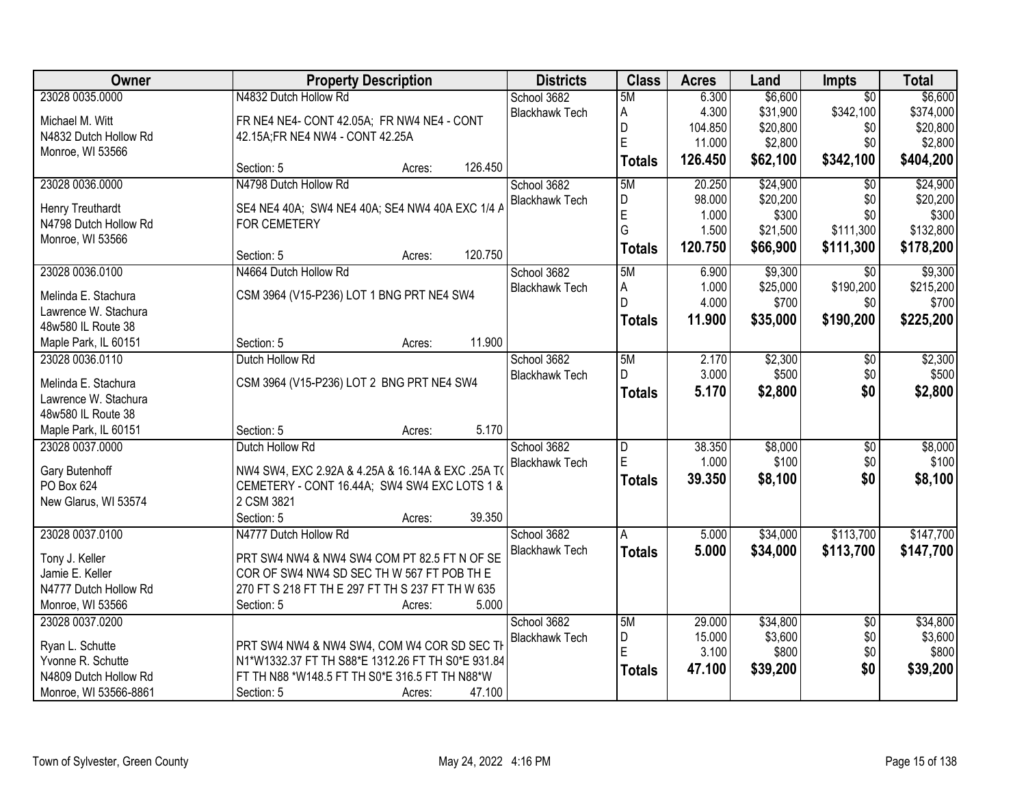| Owner                 | <b>Property Description</b>                       | <b>Districts</b>      | <b>Class</b>  | <b>Acres</b> | Land     | <b>Impts</b>    | <b>Total</b> |
|-----------------------|---------------------------------------------------|-----------------------|---------------|--------------|----------|-----------------|--------------|
| 23028 0035.0000       | N4832 Dutch Hollow Rd                             | School 3682           | 5M            | 6.300        | \$6,600  | $\overline{50}$ | \$6,600      |
| Michael M. Witt       | FR NE4 NE4- CONT 42.05A; FR NW4 NE4 - CONT        | <b>Blackhawk Tech</b> | A             | 4.300        | \$31,900 | \$342,100       | \$374,000    |
| N4832 Dutch Hollow Rd | 42.15A;FR NE4 NW4 - CONT 42.25A                   |                       | D             | 104.850      | \$20,800 | \$0             | \$20,800     |
| Monroe, WI 53566      |                                                   |                       | E             | 11.000       | \$2,800  | \$0             | \$2,800      |
|                       | 126.450<br>Section: 5<br>Acres:                   |                       | <b>Totals</b> | 126.450      | \$62,100 | \$342,100       | \$404,200    |
| 23028 0036.0000       | N4798 Dutch Hollow Rd                             | School 3682           | 5M            | 20.250       | \$24,900 | $\overline{50}$ | \$24,900     |
| Henry Treuthardt      | SE4 NE4 40A; SW4 NE4 40A; SE4 NW4 40A EXC 1/4 A   | <b>Blackhawk Tech</b> | D             | 98.000       | \$20,200 | \$0             | \$20,200     |
| N4798 Dutch Hollow Rd | <b>FOR CEMETERY</b>                               |                       | E             | 1.000        | \$300    | \$0             | \$300        |
| Monroe, WI 53566      |                                                   |                       | G             | 1.500        | \$21,500 | \$111,300       | \$132,800    |
|                       | 120.750<br>Section: 5<br>Acres:                   |                       | <b>Totals</b> | 120.750      | \$66,900 | \$111,300       | \$178,200    |
| 23028 0036.0100       | N4664 Dutch Hollow Rd                             | School 3682           | 5M            | 6.900        | \$9,300  | $\overline{30}$ | \$9,300      |
| Melinda E. Stachura   | CSM 3964 (V15-P236) LOT 1 BNG PRT NE4 SW4         | <b>Blackhawk Tech</b> | A             | 1.000        | \$25,000 | \$190,200       | \$215,200    |
| Lawrence W. Stachura  |                                                   |                       | D.            | 4.000        | \$700    | \$0             | \$700        |
| 48w580 IL Route 38    |                                                   |                       | <b>Totals</b> | 11.900       | \$35,000 | \$190,200       | \$225,200    |
| Maple Park, IL 60151  | 11.900<br>Section: 5<br>Acres:                    |                       |               |              |          |                 |              |
| 23028 0036.0110       | Dutch Hollow Rd                                   | School 3682           | 5M            | 2.170        | \$2,300  | \$0             | \$2,300      |
|                       |                                                   | <b>Blackhawk Tech</b> | D             | 3.000        | \$500    | \$0             | \$500        |
| Melinda E. Stachura   | CSM 3964 (V15-P236) LOT 2 BNG PRT NE4 SW4         |                       | <b>Totals</b> | 5.170        | \$2,800  | \$0             | \$2,800      |
| Lawrence W. Stachura  |                                                   |                       |               |              |          |                 |              |
| 48w580 IL Route 38    |                                                   |                       |               |              |          |                 |              |
| Maple Park, IL 60151  | 5.170<br>Section: 5<br>Acres:                     |                       |               |              |          |                 |              |
| 23028 0037.0000       | Dutch Hollow Rd                                   | School 3682           | D             | 38.350       | \$8,000  | $\overline{50}$ | \$8,000      |
| Gary Butenhoff        | NW4 SW4, EXC 2.92A & 4.25A & 16.14A & EXC .25A TO | <b>Blackhawk Tech</b> | E             | 1.000        | \$100    | \$0             | \$100        |
| PO Box 624            | CEMETERY - CONT 16.44A; SW4 SW4 EXC LOTS 1 &      |                       | <b>Totals</b> | 39.350       | \$8,100  | \$0             | \$8,100      |
| New Glarus, WI 53574  | 2 CSM 3821                                        |                       |               |              |          |                 |              |
|                       | Section: 5<br>39.350<br>Acres:                    |                       |               |              |          |                 |              |
| 23028 0037.0100       | N4777 Dutch Hollow Rd                             | School 3682           | A             | 5.000        | \$34,000 | \$113,700       | \$147,700    |
| Tony J. Keller        | PRT SW4 NW4 & NW4 SW4 COM PT 82.5 FT N OF SE      | <b>Blackhawk Tech</b> | <b>Totals</b> | 5.000        | \$34,000 | \$113,700       | \$147,700    |
| Jamie E. Keller       | COR OF SW4 NW4 SD SEC TH W 567 FT POB TH E        |                       |               |              |          |                 |              |
| N4777 Dutch Hollow Rd | 270 FT S 218 FT TH E 297 FT TH S 237 FT TH W 635  |                       |               |              |          |                 |              |
| Monroe, WI 53566      | 5.000<br>Section: 5<br>Acres:                     |                       |               |              |          |                 |              |
| 23028 0037.0200       |                                                   | School 3682           | 5M            | 29.000       | \$34,800 | $\overline{30}$ | \$34,800     |
|                       |                                                   | <b>Blackhawk Tech</b> | D             | 15.000       | \$3,600  | \$0             | \$3,600      |
| Ryan L. Schutte       | PRT SW4 NW4 & NW4 SW4, COM W4 COR SD SEC TH       |                       | E             | 3.100        | \$800    | \$0             | \$800        |
| Yvonne R. Schutte     | N1*W1332.37 FT TH S88*E 1312.26 FT TH S0*E 931.84 |                       | <b>Totals</b> | 47.100       | \$39,200 | \$0             | \$39,200     |
| N4809 Dutch Hollow Rd | FT TH N88 *W148.5 FT TH S0*E 316.5 FT TH N88*W    |                       |               |              |          |                 |              |
| Monroe, WI 53566-8861 | 47.100<br>Section: 5<br>Acres:                    |                       |               |              |          |                 |              |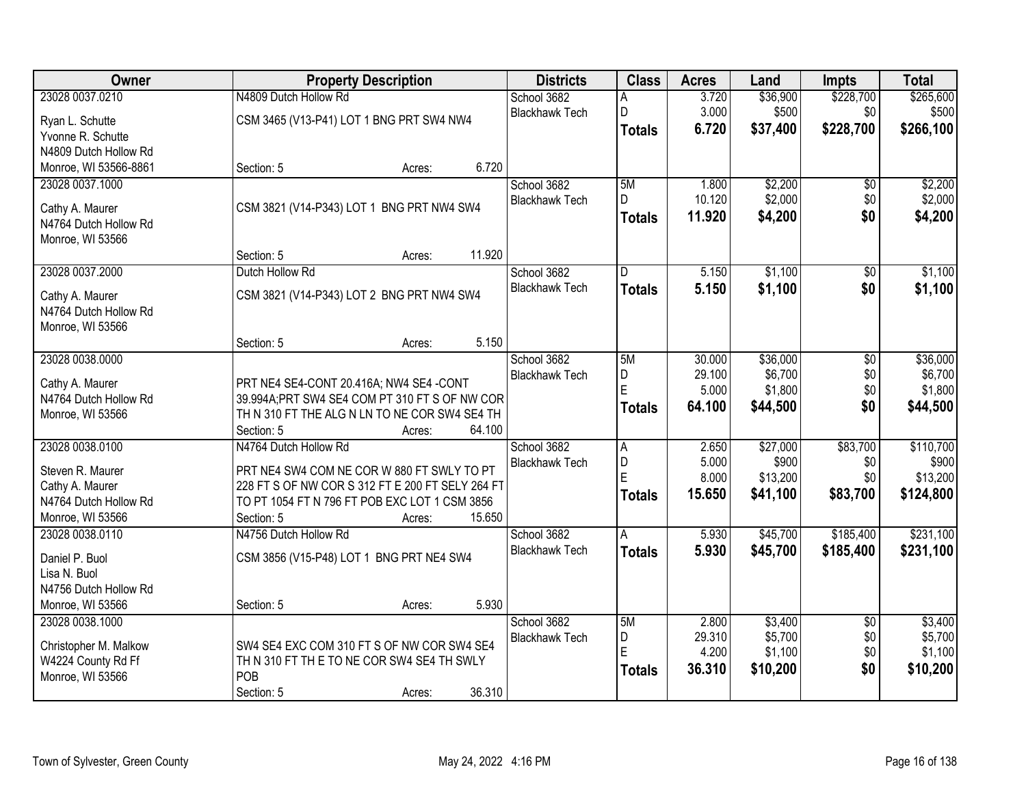| Owner                                  | <b>Property Description</b>                                                                    | <b>Districts</b>      | <b>Class</b>   | <b>Acres</b> | Land     | <b>Impts</b>    | <b>Total</b> |
|----------------------------------------|------------------------------------------------------------------------------------------------|-----------------------|----------------|--------------|----------|-----------------|--------------|
| 23028 0037.0210                        | N4809 Dutch Hollow Rd                                                                          | School 3682           | А              | 3.720        | \$36,900 | \$228,700       | \$265,600    |
| Ryan L. Schutte                        | CSM 3465 (V13-P41) LOT 1 BNG PRT SW4 NW4                                                       | <b>Blackhawk Tech</b> | D              | 3.000        | \$500    | \$0             | \$500        |
| Yvonne R. Schutte                      |                                                                                                |                       | <b>Totals</b>  | 6.720        | \$37,400 | \$228,700       | \$266,100    |
| N4809 Dutch Hollow Rd                  |                                                                                                |                       |                |              |          |                 |              |
| Monroe, WI 53566-8861                  | 6.720<br>Section: 5<br>Acres:                                                                  |                       |                |              |          |                 |              |
| 23028 0037.1000                        |                                                                                                | School 3682           | 5M             | 1.800        | \$2,200  | $\overline{50}$ | \$2,200      |
| Cathy A. Maurer                        | CSM 3821 (V14-P343) LOT 1 BNG PRT NW4 SW4                                                      | <b>Blackhawk Tech</b> | D              | 10.120       | \$2,000  | \$0             | \$2,000      |
| N4764 Dutch Hollow Rd                  |                                                                                                |                       | <b>Totals</b>  | 11.920       | \$4,200  | \$0             | \$4,200      |
| Monroe, WI 53566                       |                                                                                                |                       |                |              |          |                 |              |
|                                        | 11.920<br>Section: 5<br>Acres:                                                                 |                       |                |              |          |                 |              |
| 23028 0037.2000                        | Dutch Hollow Rd                                                                                | School 3682           | D              | 5.150        | \$1,100  | $\overline{50}$ | \$1,100      |
| Cathy A. Maurer                        | CSM 3821 (V14-P343) LOT 2 BNG PRT NW4 SW4                                                      | <b>Blackhawk Tech</b> | <b>Totals</b>  | 5.150        | \$1,100  | \$0             | \$1,100      |
| N4764 Dutch Hollow Rd                  |                                                                                                |                       |                |              |          |                 |              |
| Monroe, WI 53566                       |                                                                                                |                       |                |              |          |                 |              |
|                                        | 5.150<br>Section: 5<br>Acres:                                                                  |                       |                |              |          |                 |              |
| 23028 0038.0000                        |                                                                                                | School 3682           | 5M             | 30.000       | \$36,000 | $\overline{50}$ | \$36,000     |
| Cathy A. Maurer                        | PRT NE4 SE4-CONT 20.416A; NW4 SE4 -CONT                                                        | <b>Blackhawk Tech</b> | D              | 29.100       | \$6,700  | \$0             | \$6,700      |
| N4764 Dutch Hollow Rd                  | 39.994A; PRT SW4 SE4 COM PT 310 FT S OF NW COR                                                 |                       | E              | 5.000        | \$1,800  | \$0             | \$1,800      |
| Monroe, WI 53566                       | TH N 310 FT THE ALG N LN TO NE COR SW4 SE4 TH                                                  |                       | <b>Totals</b>  | 64.100       | \$44,500 | \$0             | \$44,500     |
|                                        | Section: 5<br>64.100<br>Acres:                                                                 |                       |                |              |          |                 |              |
| 23028 0038.0100                        | N4764 Dutch Hollow Rd                                                                          | School 3682           | $\overline{A}$ | 2.650        | \$27,000 | \$83,700        | \$110,700    |
|                                        |                                                                                                | <b>Blackhawk Tech</b> | D              | 5.000        | \$900    | \$0             | \$900        |
| Steven R. Maurer<br>Cathy A. Maurer    | PRT NE4 SW4 COM NE COR W 880 FT SWLY TO PT<br>228 FT S OF NW COR S 312 FT E 200 FT SELY 264 FT |                       | Ė              | 8.000        | \$13,200 | \$0             | \$13,200     |
| N4764 Dutch Hollow Rd                  | TO PT 1054 FT N 796 FT POB EXC LOT 1 CSM 3856                                                  |                       | <b>Totals</b>  | 15.650       | \$41,100 | \$83,700        | \$124,800    |
| Monroe, WI 53566                       | 15.650<br>Section: 5<br>Acres:                                                                 |                       |                |              |          |                 |              |
| 23028 0038.0110                        | N4756 Dutch Hollow Rd                                                                          | School 3682           | A              | 5.930        | \$45,700 | \$185,400       | \$231,100    |
|                                        |                                                                                                | <b>Blackhawk Tech</b> | <b>Totals</b>  | 5.930        | \$45,700 | \$185,400       | \$231,100    |
| Daniel P. Buol<br>Lisa N. Buol         | CSM 3856 (V15-P48) LOT 1 BNG PRT NE4 SW4                                                       |                       |                |              |          |                 |              |
| N4756 Dutch Hollow Rd                  |                                                                                                |                       |                |              |          |                 |              |
| Monroe, WI 53566                       | 5.930<br>Section: 5<br>Acres:                                                                  |                       |                |              |          |                 |              |
| 23028 0038.1000                        |                                                                                                | School 3682           | 5M             | 2.800        | \$3,400  | $\overline{30}$ | \$3,400      |
|                                        |                                                                                                | <b>Blackhawk Tech</b> | D              | 29.310       | \$5,700  | \$0             | \$5,700      |
| Christopher M. Malkow                  | SW4 SE4 EXC COM 310 FT S OF NW COR SW4 SE4                                                     |                       | E              | 4.200        | \$1,100  | \$0             | \$1,100      |
| W4224 County Rd Ff<br>Monroe, WI 53566 | TH N 310 FT TH E TO NE COR SW4 SE4 TH SWLY<br>POB                                              |                       | <b>Totals</b>  | 36.310       | \$10,200 | \$0             | \$10,200     |
|                                        | 36.310<br>Section: 5<br>Acres:                                                                 |                       |                |              |          |                 |              |
|                                        |                                                                                                |                       |                |              |          |                 |              |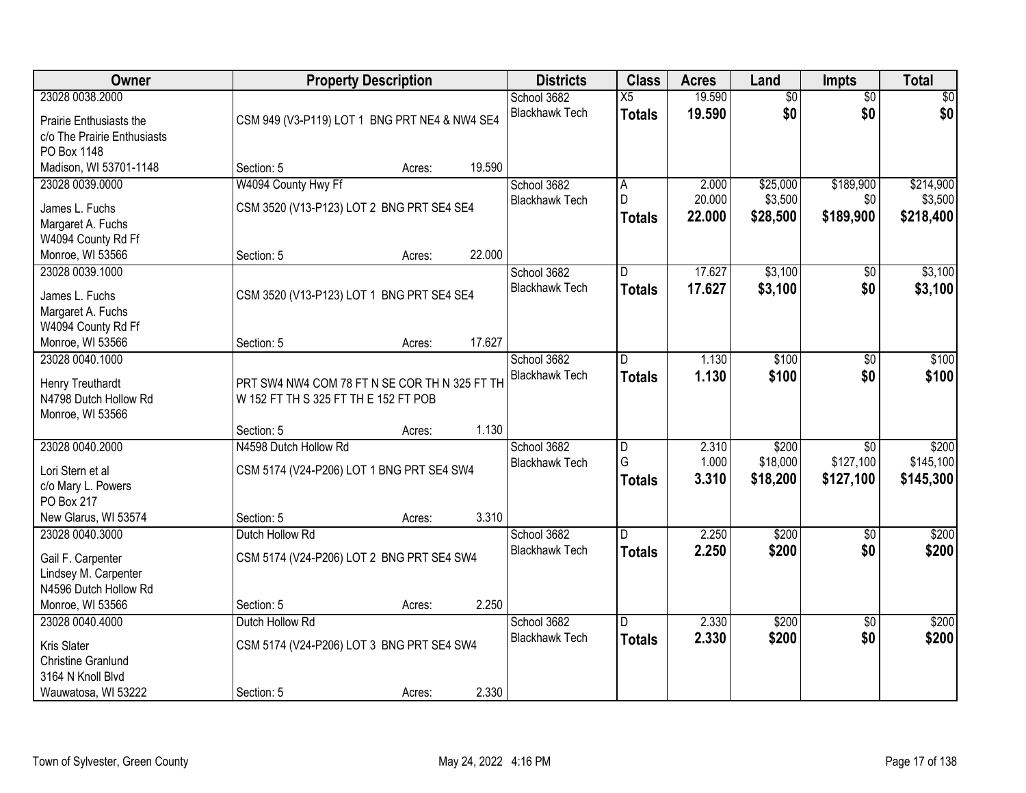| Owner                                     |                                                                                       | <b>Property Description</b> |        | <b>Districts</b>      | <b>Class</b>    | <b>Acres</b> | Land            | Impts           | <b>Total</b> |
|-------------------------------------------|---------------------------------------------------------------------------------------|-----------------------------|--------|-----------------------|-----------------|--------------|-----------------|-----------------|--------------|
| 23028 0038.2000                           |                                                                                       |                             |        | School 3682           | $\overline{X5}$ | 19.590       | $\overline{60}$ | $\overline{50}$ | \$0          |
| Prairie Enthusiasts the                   | CSM 949 (V3-P119) LOT 1 BNG PRT NE4 & NW4 SE4                                         |                             |        | <b>Blackhawk Tech</b> | <b>Totals</b>   | 19.590       | \$0             | \$0             | \$0          |
| c/o The Prairie Enthusiasts               |                                                                                       |                             |        |                       |                 |              |                 |                 |              |
| PO Box 1148                               |                                                                                       |                             |        |                       |                 |              |                 |                 |              |
| Madison, WI 53701-1148                    | Section: 5                                                                            | Acres:                      | 19.590 |                       |                 |              |                 |                 |              |
| 23028 0039.0000                           | W4094 County Hwy Ff                                                                   |                             |        | School 3682           | Α               | 2.000        | \$25,000        | \$189,900       | \$214,900    |
| James L. Fuchs                            | CSM 3520 (V13-P123) LOT 2 BNG PRT SE4 SE4                                             |                             |        | <b>Blackhawk Tech</b> | D               | 20.000       | \$3,500         | \$0             | \$3,500      |
| Margaret A. Fuchs                         |                                                                                       |                             |        |                       | <b>Totals</b>   | 22.000       | \$28,500        | \$189,900       | \$218,400    |
| W4094 County Rd Ff                        |                                                                                       |                             |        |                       |                 |              |                 |                 |              |
| Monroe, WI 53566                          | Section: 5                                                                            | Acres:                      | 22.000 |                       |                 |              |                 |                 |              |
| 23028 0039.1000                           |                                                                                       |                             |        | School 3682           | D               | 17.627       | \$3,100         | \$0             | \$3,100      |
| James L. Fuchs                            | CSM 3520 (V13-P123) LOT 1 BNG PRT SE4 SE4                                             |                             |        | <b>Blackhawk Tech</b> | <b>Totals</b>   | 17.627       | \$3,100         | \$0             | \$3,100      |
| Margaret A. Fuchs                         |                                                                                       |                             |        |                       |                 |              |                 |                 |              |
| W4094 County Rd Ff                        |                                                                                       |                             |        |                       |                 |              |                 |                 |              |
| Monroe, WI 53566                          | Section: 5                                                                            | Acres:                      | 17.627 |                       |                 |              |                 |                 |              |
| 23028 0040.1000                           |                                                                                       |                             |        | School 3682           | D               | 1.130        | \$100           | \$0             | \$100        |
|                                           |                                                                                       |                             |        | <b>Blackhawk Tech</b> | <b>Totals</b>   | 1.130        | \$100           | \$0             | \$100        |
| Henry Treuthardt<br>N4798 Dutch Hollow Rd | PRT SW4 NW4 COM 78 FT N SE COR TH N 325 FT TH<br>W 152 FT TH S 325 FT TH E 152 FT POB |                             |        |                       |                 |              |                 |                 |              |
| Monroe, WI 53566                          |                                                                                       |                             |        |                       |                 |              |                 |                 |              |
|                                           | Section: 5                                                                            | Acres:                      | 1.130  |                       |                 |              |                 |                 |              |
| 23028 0040.2000                           | N4598 Dutch Hollow Rd                                                                 |                             |        | School 3682           | D               | 2.310        | \$200           | $\overline{30}$ | \$200        |
|                                           |                                                                                       |                             |        | <b>Blackhawk Tech</b> | G               | 1.000        | \$18,000        | \$127,100       | \$145,100    |
| Lori Stern et al                          | CSM 5174 (V24-P206) LOT 1 BNG PRT SE4 SW4                                             |                             |        |                       | <b>Totals</b>   | 3.310        | \$18,200        | \$127,100       | \$145,300    |
| c/o Mary L. Powers                        |                                                                                       |                             |        |                       |                 |              |                 |                 |              |
| PO Box 217<br>New Glarus, WI 53574        | Section: 5                                                                            |                             | 3.310  |                       |                 |              |                 |                 |              |
| 23028 0040.3000                           | Dutch Hollow Rd                                                                       | Acres:                      |        | School 3682           | D               | 2.250        | \$200           | $\overline{50}$ | \$200        |
|                                           |                                                                                       |                             |        | <b>Blackhawk Tech</b> | <b>Totals</b>   | 2.250        | \$200           | \$0             | \$200        |
| Gail F. Carpenter                         | CSM 5174 (V24-P206) LOT 2 BNG PRT SE4 SW4                                             |                             |        |                       |                 |              |                 |                 |              |
| Lindsey M. Carpenter                      |                                                                                       |                             |        |                       |                 |              |                 |                 |              |
| N4596 Dutch Hollow Rd                     |                                                                                       |                             |        |                       |                 |              |                 |                 |              |
| Monroe, WI 53566                          | Section: 5                                                                            | Acres:                      | 2.250  |                       |                 |              |                 |                 |              |
| 23028 0040.4000                           | Dutch Hollow Rd                                                                       |                             |        | School 3682           | D.              | 2.330        | \$200           | $\overline{50}$ | \$200        |
| Kris Slater                               | CSM 5174 (V24-P206) LOT 3 BNG PRT SE4 SW4                                             |                             |        | <b>Blackhawk Tech</b> | <b>Totals</b>   | 2.330        | \$200           | \$0             | \$200        |
| <b>Christine Granlund</b>                 |                                                                                       |                             |        |                       |                 |              |                 |                 |              |
| 3164 N Knoll Blvd                         |                                                                                       |                             |        |                       |                 |              |                 |                 |              |
| Wauwatosa, WI 53222                       | Section: 5                                                                            | Acres:                      | 2.330  |                       |                 |              |                 |                 |              |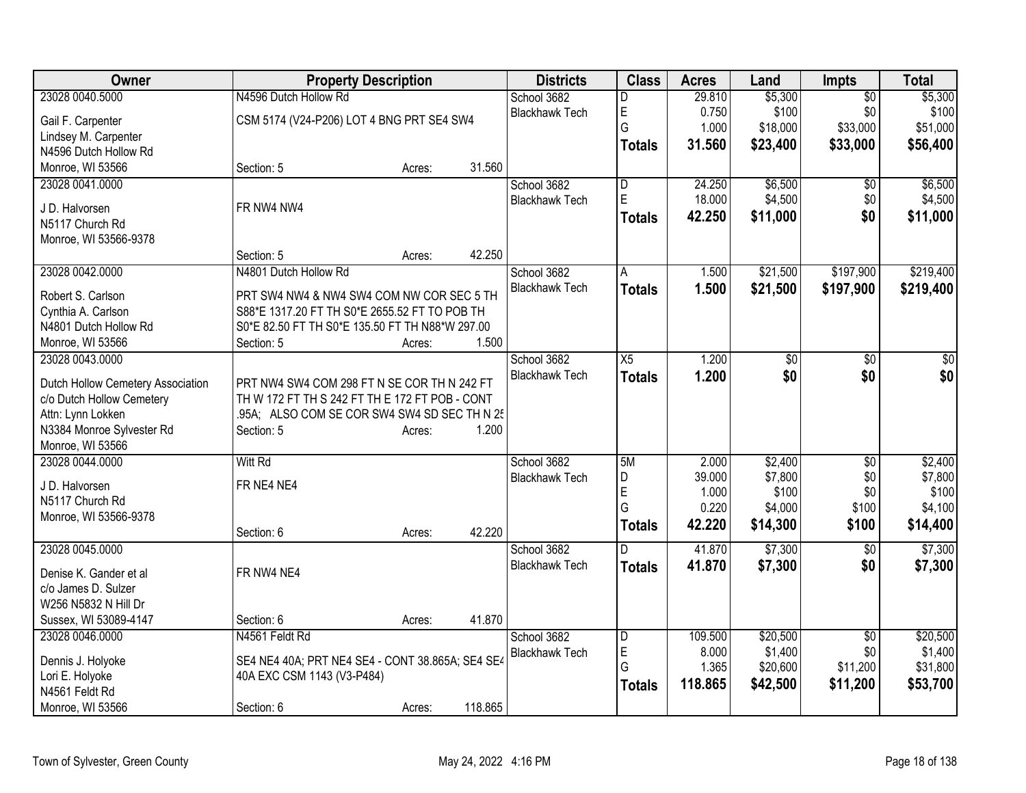| Owner                                          |                                                  | <b>Property Description</b> |         | <b>Districts</b>      | <b>Class</b>   | <b>Acres</b> | Land     | <b>Impts</b>    | <b>Total</b> |
|------------------------------------------------|--------------------------------------------------|-----------------------------|---------|-----------------------|----------------|--------------|----------|-----------------|--------------|
| 23028 0040.5000                                | N4596 Dutch Hollow Rd                            |                             |         | School 3682           | D              | 29.810       | \$5,300  | $\overline{50}$ | \$5,300      |
| Gail F. Carpenter                              | CSM 5174 (V24-P206) LOT 4 BNG PRT SE4 SW4        |                             |         | <b>Blackhawk Tech</b> | E              | 0.750        | \$100    | \$0             | \$100        |
| Lindsey M. Carpenter                           |                                                  |                             |         |                       | G              | 1.000        | \$18,000 | \$33,000        | \$51,000     |
| N4596 Dutch Hollow Rd                          |                                                  |                             |         |                       | <b>Totals</b>  | 31.560       | \$23,400 | \$33,000        | \$56,400     |
| Monroe, WI 53566                               | Section: 5                                       | Acres:                      | 31.560  |                       |                |              |          |                 |              |
| 23028 0041.0000                                |                                                  |                             |         | School 3682           | $\overline{D}$ | 24.250       | \$6,500  | $\overline{50}$ | \$6,500      |
|                                                |                                                  |                             |         | <b>Blackhawk Tech</b> | $\mathsf E$    | 18.000       | \$4,500  | \$0             | \$4,500      |
| J D. Halvorsen                                 | FR NW4 NW4                                       |                             |         |                       | <b>Totals</b>  | 42.250       | \$11,000 | \$0             | \$11,000     |
| N5117 Church Rd                                |                                                  |                             |         |                       |                |              |          |                 |              |
| Monroe, WI 53566-9378                          |                                                  |                             |         |                       |                |              |          |                 |              |
|                                                | Section: 5                                       | Acres:                      | 42.250  |                       |                |              |          |                 |              |
| 23028 0042.0000                                | N4801 Dutch Hollow Rd                            |                             |         | School 3682           | A              | 1.500        | \$21,500 | \$197,900       | \$219,400    |
| Robert S. Carlson                              | PRT SW4 NW4 & NW4 SW4 COM NW COR SEC 5 TH        |                             |         | <b>Blackhawk Tech</b> | <b>Totals</b>  | 1.500        | \$21,500 | \$197,900       | \$219,400    |
| Cynthia A. Carlson                             | S88*E 1317.20 FT TH S0*E 2655.52 FT TO POB TH    |                             |         |                       |                |              |          |                 |              |
| N4801 Dutch Hollow Rd                          | S0*E 82.50 FT TH S0*E 135.50 FT TH N88*W 297.00  |                             |         |                       |                |              |          |                 |              |
| Monroe, WI 53566                               | Section: 5                                       | Acres:                      | 1.500   |                       |                |              |          |                 |              |
| 23028 0043.0000                                |                                                  |                             |         | School 3682           | X5             | 1.200        | \$0      | \$0             | \$0          |
|                                                |                                                  |                             |         | <b>Blackhawk Tech</b> | <b>Totals</b>  | 1.200        | \$0      | \$0             | \$0          |
| Dutch Hollow Cemetery Association              | PRT NW4 SW4 COM 298 FT N SE COR TH N 242 FT      |                             |         |                       |                |              |          |                 |              |
| c/o Dutch Hollow Cemetery                      | TH W 172 FT TH S 242 FT TH E 172 FT POB - CONT   |                             |         |                       |                |              |          |                 |              |
| Attn: Lynn Lokken<br>N3384 Monroe Sylvester Rd | .95A; ALSO COM SE COR SW4 SW4 SD SEC TH N 25     |                             | 1.200   |                       |                |              |          |                 |              |
| Monroe, WI 53566                               | Section: 5                                       | Acres:                      |         |                       |                |              |          |                 |              |
| 23028 0044.0000                                | <b>Witt Rd</b>                                   |                             |         | School 3682           | 5M             | 2.000        | \$2,400  | \$0             | \$2,400      |
|                                                |                                                  |                             |         | <b>Blackhawk Tech</b> | D              | 39.000       | \$7,800  | \$0             | \$7,800      |
| J D. Halvorsen                                 | FR NE4 NE4                                       |                             |         |                       | E              | 1.000        | \$100    | \$0             | \$100        |
| N5117 Church Rd                                |                                                  |                             |         |                       | G              | 0.220        | \$4,000  | \$100           | \$4,100      |
| Monroe, WI 53566-9378                          |                                                  |                             |         |                       | <b>Totals</b>  | 42.220       | \$14,300 | \$100           | \$14,400     |
|                                                | Section: 6                                       | Acres:                      | 42.220  |                       |                |              |          |                 |              |
| 23028 0045.0000                                |                                                  |                             |         | School 3682           | D.             | 41.870       | \$7,300  | \$0             | \$7,300      |
| Denise K. Gander et al                         | FR NW4 NE4                                       |                             |         | <b>Blackhawk Tech</b> | <b>Totals</b>  | 41.870       | \$7,300  | \$0             | \$7,300      |
| c/o James D. Sulzer                            |                                                  |                             |         |                       |                |              |          |                 |              |
| W256 N5832 N Hill Dr                           |                                                  |                             |         |                       |                |              |          |                 |              |
| Sussex, WI 53089-4147                          | Section: 6                                       | Acres:                      | 41.870  |                       |                |              |          |                 |              |
| 23028 0046.0000                                | N4561 Feldt Rd                                   |                             |         | School 3682           | D              | 109.500      | \$20,500 | $\overline{30}$ | \$20,500     |
|                                                |                                                  |                             |         | <b>Blackhawk Tech</b> | E              | 8.000        | \$1,400  | \$0             | \$1,400      |
| Dennis J. Holyoke                              | SE4 NE4 40A; PRT NE4 SE4 - CONT 38.865A; SE4 SE4 |                             |         |                       | G              | 1.365        | \$20,600 | \$11,200        | \$31,800     |
| Lori E. Holyoke                                | 40A EXC CSM 1143 (V3-P484)                       |                             |         |                       | Totals         | 118.865      | \$42,500 | \$11,200        | \$53,700     |
| N4561 Feldt Rd                                 |                                                  |                             |         |                       |                |              |          |                 |              |
| Monroe, WI 53566                               | Section: 6                                       | Acres:                      | 118.865 |                       |                |              |          |                 |              |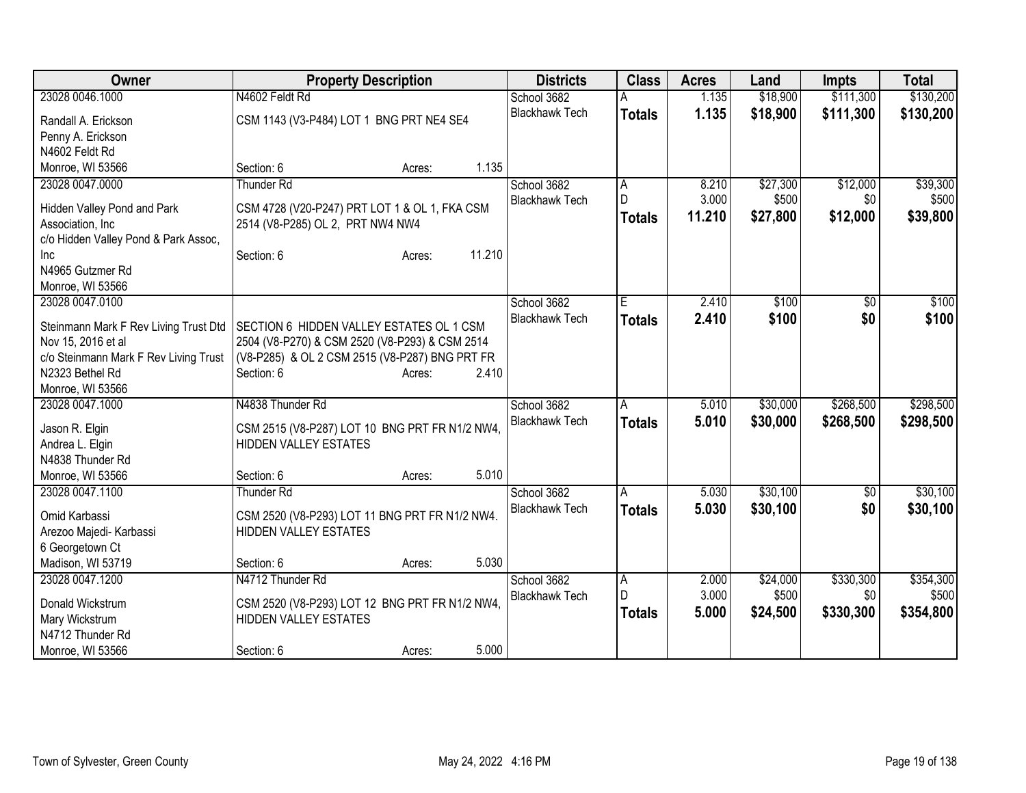| Owner                                                       | <b>Property Description</b>                                                                      |        |        | <b>Districts</b>      | <b>Class</b>   | <b>Acres</b> | Land     | <b>Impts</b> | <b>Total</b> |
|-------------------------------------------------------------|--------------------------------------------------------------------------------------------------|--------|--------|-----------------------|----------------|--------------|----------|--------------|--------------|
| 23028 0046.1000                                             | N4602 Feldt Rd                                                                                   |        |        | School 3682           |                | 1.135        | \$18,900 | \$111,300    | \$130,200    |
| Randall A. Erickson                                         | CSM 1143 (V3-P484) LOT 1 BNG PRT NE4 SE4                                                         |        |        | <b>Blackhawk Tech</b> | <b>Totals</b>  | 1.135        | \$18,900 | \$111,300    | \$130,200    |
| Penny A. Erickson                                           |                                                                                                  |        |        |                       |                |              |          |              |              |
| N4602 Feldt Rd                                              |                                                                                                  |        |        |                       |                |              |          |              |              |
| Monroe, WI 53566                                            | Section: 6                                                                                       | Acres: | 1.135  |                       |                |              |          |              |              |
| 23028 0047.0000                                             | <b>Thunder Rd</b>                                                                                |        |        | School 3682           | A              | 8.210        | \$27,300 | \$12,000     | \$39,300     |
|                                                             |                                                                                                  |        |        | <b>Blackhawk Tech</b> | $\mathsf{D}$   | 3.000        | \$500    | \$0          | \$500        |
| Hidden Valley Pond and Park<br>Association, Inc             | CSM 4728 (V20-P247) PRT LOT 1 & OL 1, FKA CSM<br>2514 (V8-P285) OL 2, PRT NW4 NW4                |        |        |                       | <b>Totals</b>  | 11.210       | \$27,800 | \$12,000     | \$39,800     |
| c/o Hidden Valley Pond & Park Assoc,                        |                                                                                                  |        |        |                       |                |              |          |              |              |
| Inc                                                         | Section: 6                                                                                       | Acres: | 11.210 |                       |                |              |          |              |              |
| N4965 Gutzmer Rd                                            |                                                                                                  |        |        |                       |                |              |          |              |              |
| Monroe, WI 53566                                            |                                                                                                  |        |        |                       |                |              |          |              |              |
| 23028 0047.0100                                             |                                                                                                  |        |        | School 3682           | Έ              | 2.410        | \$100    | \$0          | \$100        |
|                                                             |                                                                                                  |        |        | <b>Blackhawk Tech</b> | <b>Totals</b>  | 2.410        | \$100    | \$0          | \$100        |
| Steinmann Mark F Rev Living Trust Dtd<br>Nov 15, 2016 et al | SECTION 6 HIDDEN VALLEY ESTATES OL 1 CSM                                                         |        |        |                       |                |              |          |              |              |
| c/o Steinmann Mark F Rev Living Trust                       | 2504 (V8-P270) & CSM 2520 (V8-P293) & CSM 2514<br>(V8-P285) & OL 2 CSM 2515 (V8-P287) BNG PRT FR |        |        |                       |                |              |          |              |              |
| N2323 Bethel Rd                                             | Section: 6                                                                                       | Acres: | 2.410  |                       |                |              |          |              |              |
| Monroe, WI 53566                                            |                                                                                                  |        |        |                       |                |              |          |              |              |
| 23028 0047.1000                                             | N4838 Thunder Rd                                                                                 |        |        | School 3682           | A              | 5.010        | \$30,000 | \$268,500    | \$298,500    |
|                                                             |                                                                                                  |        |        | <b>Blackhawk Tech</b> | <b>Totals</b>  | 5.010        | \$30,000 | \$268,500    | \$298,500    |
| Jason R. Elgin                                              | CSM 2515 (V8-P287) LOT 10 BNG PRT FR N1/2 NW4,                                                   |        |        |                       |                |              |          |              |              |
| Andrea L. Elgin<br>N4838 Thunder Rd                         | <b>HIDDEN VALLEY ESTATES</b>                                                                     |        |        |                       |                |              |          |              |              |
| Monroe, WI 53566                                            | Section: 6                                                                                       | Acres: | 5.010  |                       |                |              |          |              |              |
| 23028 0047.1100                                             | <b>Thunder Rd</b>                                                                                |        |        | School 3682           | A              | 5.030        | \$30,100 | \$0          | \$30,100     |
|                                                             |                                                                                                  |        |        | <b>Blackhawk Tech</b> | <b>Totals</b>  | 5.030        | \$30,100 | \$0          | \$30,100     |
| Omid Karbassi                                               | CSM 2520 (V8-P293) LOT 11 BNG PRT FR N1/2 NW4.                                                   |        |        |                       |                |              |          |              |              |
| Arezoo Majedi- Karbassi                                     | <b>HIDDEN VALLEY ESTATES</b>                                                                     |        |        |                       |                |              |          |              |              |
| 6 Georgetown Ct                                             |                                                                                                  |        |        |                       |                |              |          |              |              |
| Madison, WI 53719                                           | Section: 6                                                                                       | Acres: | 5.030  |                       |                |              |          |              |              |
| 23028 0047.1200                                             | N4712 Thunder Rd                                                                                 |        |        | School 3682           | $\overline{A}$ | 2.000        | \$24,000 | \$330,300    | \$354,300    |
| Donald Wickstrum                                            | CSM 2520 (V8-P293) LOT 12 BNG PRT FR N1/2 NW4,                                                   |        |        | <b>Blackhawk Tech</b> | D              | 3.000        | \$500    | \$0          | \$500        |
| Mary Wickstrum                                              | <b>HIDDEN VALLEY ESTATES</b>                                                                     |        |        |                       | <b>Totals</b>  | 5.000        | \$24,500 | \$330,300    | \$354,800    |
| N4712 Thunder Rd                                            |                                                                                                  |        |        |                       |                |              |          |              |              |
| Monroe, WI 53566                                            | Section: 6                                                                                       | Acres: | 5.000  |                       |                |              |          |              |              |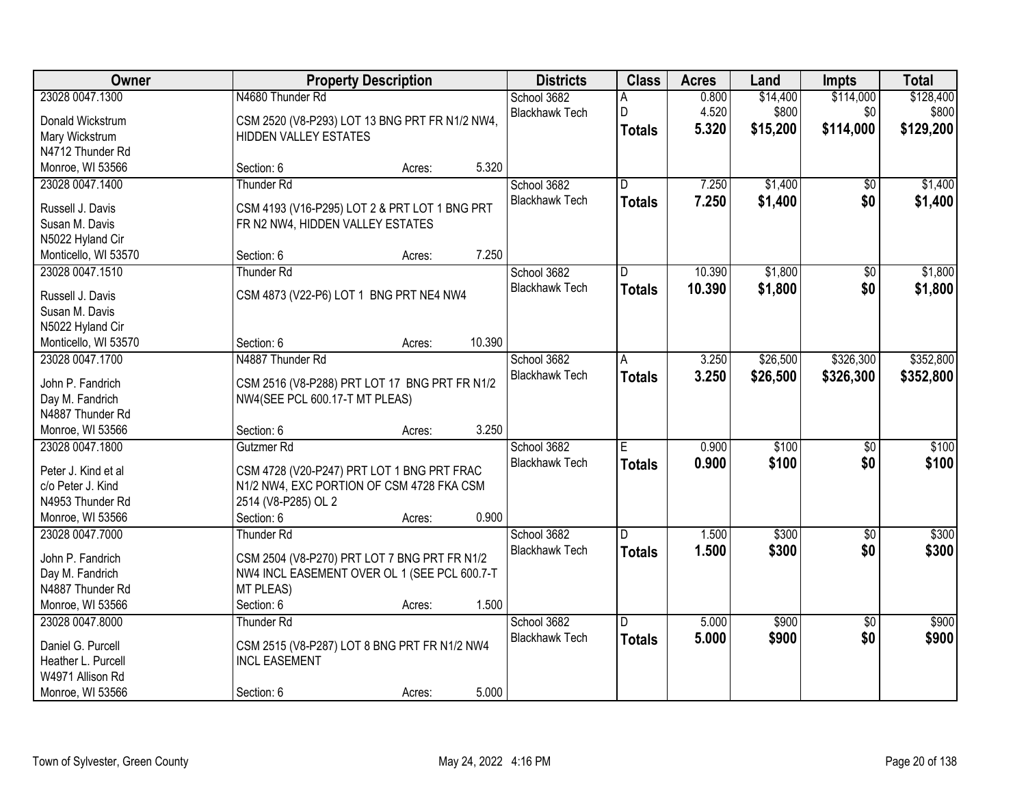| Owner                |                                                | <b>Property Description</b> |        | <b>Districts</b>      | <b>Class</b>            | <b>Acres</b> | Land     | <b>Impts</b>    | <b>Total</b> |
|----------------------|------------------------------------------------|-----------------------------|--------|-----------------------|-------------------------|--------------|----------|-----------------|--------------|
| 23028 0047.1300      | N4680 Thunder Rd                               |                             |        | School 3682           | А                       | 0.800        | \$14,400 | \$114,000       | \$128,400    |
| Donald Wickstrum     | CSM 2520 (V8-P293) LOT 13 BNG PRT FR N1/2 NW4, |                             |        | <b>Blackhawk Tech</b> | D                       | 4.520        | \$800    | \$0             | \$800        |
| Mary Wickstrum       | <b>HIDDEN VALLEY ESTATES</b>                   |                             |        |                       | <b>Totals</b>           | 5.320        | \$15,200 | \$114,000       | \$129,200    |
| N4712 Thunder Rd     |                                                |                             |        |                       |                         |              |          |                 |              |
| Monroe, WI 53566     | Section: 6                                     | Acres:                      | 5.320  |                       |                         |              |          |                 |              |
| 23028 0047.1400      | Thunder Rd                                     |                             |        | School 3682           | $\overline{\mathsf{n}}$ | 7.250        | \$1,400  | \$0             | \$1,400      |
|                      |                                                |                             |        | <b>Blackhawk Tech</b> | <b>Totals</b>           | 7.250        | \$1,400  | \$0             | \$1,400      |
| Russell J. Davis     | CSM 4193 (V16-P295) LOT 2 & PRT LOT 1 BNG PRT  |                             |        |                       |                         |              |          |                 |              |
| Susan M. Davis       | FR N2 NW4, HIDDEN VALLEY ESTATES               |                             |        |                       |                         |              |          |                 |              |
| N5022 Hyland Cir     |                                                |                             |        |                       |                         |              |          |                 |              |
| Monticello, WI 53570 | Section: 6                                     | Acres:                      | 7.250  |                       |                         |              |          |                 |              |
| 23028 0047.1510      | <b>Thunder Rd</b>                              |                             |        | School 3682           | D                       | 10.390       | \$1,800  | $\overline{50}$ | \$1,800      |
| Russell J. Davis     | CSM 4873 (V22-P6) LOT 1 BNG PRT NE4 NW4        |                             |        | <b>Blackhawk Tech</b> | <b>Totals</b>           | 10.390       | \$1,800  | \$0             | \$1,800      |
| Susan M. Davis       |                                                |                             |        |                       |                         |              |          |                 |              |
| N5022 Hyland Cir     |                                                |                             |        |                       |                         |              |          |                 |              |
| Monticello, WI 53570 | Section: 6                                     | Acres:                      | 10.390 |                       |                         |              |          |                 |              |
| 23028 0047.1700      | N4887 Thunder Rd                               |                             |        | School 3682           | A                       | 3.250        | \$26,500 | \$326,300       | \$352,800    |
|                      |                                                |                             |        | <b>Blackhawk Tech</b> | <b>Totals</b>           | 3.250        | \$26,500 | \$326,300       | \$352,800    |
| John P. Fandrich     | CSM 2516 (V8-P288) PRT LOT 17 BNG PRT FR N1/2  |                             |        |                       |                         |              |          |                 |              |
| Day M. Fandrich      | NW4(SEE PCL 600.17-T MT PLEAS)                 |                             |        |                       |                         |              |          |                 |              |
| N4887 Thunder Rd     |                                                |                             |        |                       |                         |              |          |                 |              |
| Monroe, WI 53566     | Section: 6                                     | Acres:                      | 3.250  |                       |                         |              |          |                 |              |
| 23028 0047.1800      | Gutzmer Rd                                     |                             |        | School 3682           | Ē                       | 0.900        | \$100    | $\overline{50}$ | \$100        |
| Peter J. Kind et al  | CSM 4728 (V20-P247) PRT LOT 1 BNG PRT FRAC     |                             |        | <b>Blackhawk Tech</b> | <b>Totals</b>           | 0.900        | \$100    | \$0             | \$100        |
| c/o Peter J. Kind    | N1/2 NW4, EXC PORTION OF CSM 4728 FKA CSM      |                             |        |                       |                         |              |          |                 |              |
| N4953 Thunder Rd     | 2514 (V8-P285) OL 2                            |                             |        |                       |                         |              |          |                 |              |
| Monroe, WI 53566     | Section: 6                                     | Acres:                      | 0.900  |                       |                         |              |          |                 |              |
| 23028 0047.7000      | <b>Thunder Rd</b>                              |                             |        | School 3682           | D.                      | 1.500        | \$300    | $\sqrt{6}$      | \$300        |
|                      |                                                |                             |        | <b>Blackhawk Tech</b> |                         | 1.500        | \$300    | \$0             | \$300        |
| John P. Fandrich     | CSM 2504 (V8-P270) PRT LOT 7 BNG PRT FR N1/2   |                             |        |                       | <b>Totals</b>           |              |          |                 |              |
| Day M. Fandrich      | NW4 INCL EASEMENT OVER OL 1 (SEE PCL 600.7-T   |                             |        |                       |                         |              |          |                 |              |
| N4887 Thunder Rd     | <b>MT PLEAS)</b>                               |                             |        |                       |                         |              |          |                 |              |
| Monroe, WI 53566     | Section: 6                                     | Acres:                      | 1.500  |                       |                         |              |          |                 |              |
| 23028 0047.8000      | <b>Thunder Rd</b>                              |                             |        | School 3682           | D                       | 5.000        | \$900    | $\overline{30}$ | \$900        |
| Daniel G. Purcell    | CSM 2515 (V8-P287) LOT 8 BNG PRT FR N1/2 NW4   |                             |        | <b>Blackhawk Tech</b> | <b>Totals</b>           | 5.000        | \$900    | \$0             | \$900        |
| Heather L. Purcell   | <b>INCL EASEMENT</b>                           |                             |        |                       |                         |              |          |                 |              |
| W4971 Allison Rd     |                                                |                             |        |                       |                         |              |          |                 |              |
|                      |                                                |                             |        |                       |                         |              |          |                 |              |
| Monroe, WI 53566     | Section: 6                                     | Acres:                      | 5.000  |                       |                         |              |          |                 |              |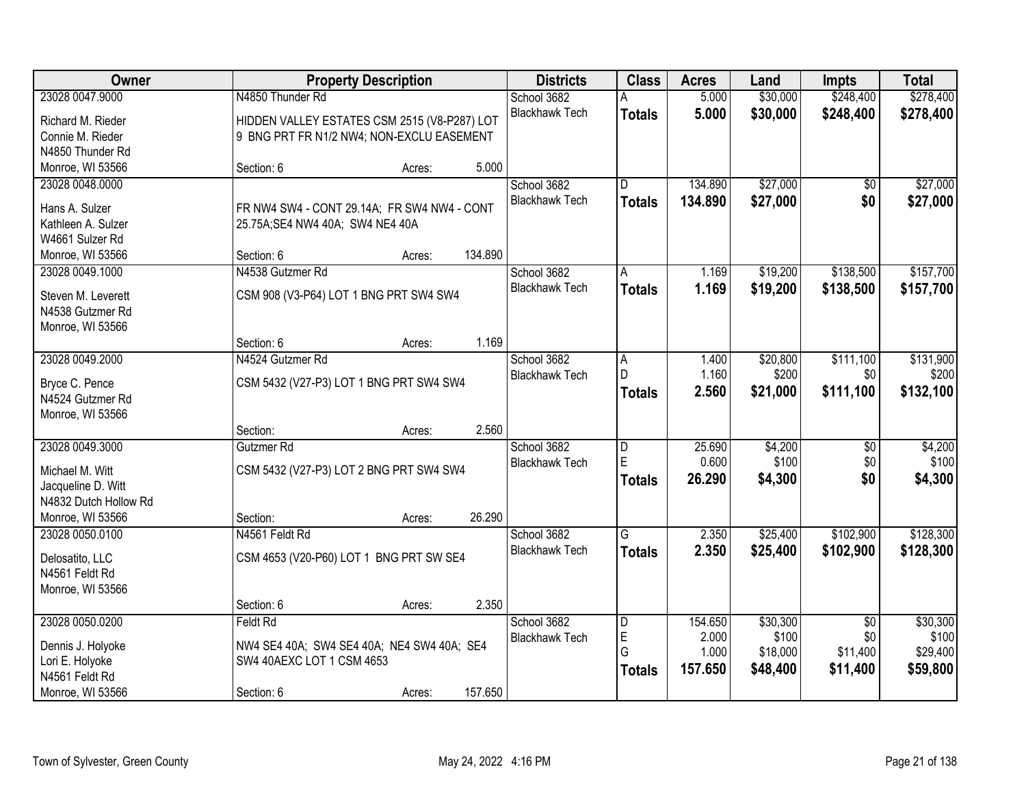| <b>Owner</b>          | <b>Property Description</b>                  |                   | <b>Districts</b>                     | <b>Class</b>   | <b>Acres</b> | Land     | <b>Impts</b>    | <b>Total</b> |
|-----------------------|----------------------------------------------|-------------------|--------------------------------------|----------------|--------------|----------|-----------------|--------------|
| 23028 0047.9000       | N4850 Thunder Rd                             |                   | School 3682                          | А              | 5.000        | \$30,000 | \$248,400       | \$278,400    |
| Richard M. Rieder     | HIDDEN VALLEY ESTATES CSM 2515 (V8-P287) LOT |                   | <b>Blackhawk Tech</b>                | <b>Totals</b>  | 5.000        | \$30,000 | \$248,400       | \$278,400    |
| Connie M. Rieder      | 9 BNG PRT FR N1/2 NW4; NON-EXCLU EASEMENT    |                   |                                      |                |              |          |                 |              |
| N4850 Thunder Rd      |                                              |                   |                                      |                |              |          |                 |              |
| Monroe, WI 53566      | Section: 6                                   | 5.000<br>Acres:   |                                      |                |              |          |                 |              |
| 23028 0048.0000       |                                              |                   | School 3682                          | D.             | 134.890      | \$27,000 | \$0             | \$27,000     |
|                       |                                              |                   | <b>Blackhawk Tech</b>                | <b>Totals</b>  | 134.890      | \$27,000 | \$0             | \$27,000     |
| Hans A. Sulzer        | FR NW4 SW4 - CONT 29.14A; FR SW4 NW4 - CONT  |                   |                                      |                |              |          |                 |              |
| Kathleen A. Sulzer    | 25.75A; SE4 NW4 40A; SW4 NE4 40A             |                   |                                      |                |              |          |                 |              |
| W4661 Sulzer Rd       |                                              | 134.890           |                                      |                |              |          |                 |              |
| Monroe, WI 53566      | Section: 6<br>N4538 Gutzmer Rd               | Acres:            |                                      |                |              |          | \$138,500       | \$157,700    |
| 23028 0049.1000       |                                              |                   | School 3682<br><b>Blackhawk Tech</b> | A              | 1.169        | \$19,200 |                 |              |
| Steven M. Leverett    | CSM 908 (V3-P64) LOT 1 BNG PRT SW4 SW4       |                   |                                      | <b>Totals</b>  | 1.169        | \$19,200 | \$138,500       | \$157,700    |
| N4538 Gutzmer Rd      |                                              |                   |                                      |                |              |          |                 |              |
| Monroe, WI 53566      |                                              |                   |                                      |                |              |          |                 |              |
|                       | Section: 6                                   | 1.169<br>Acres:   |                                      |                |              |          |                 |              |
| 23028 0049.2000       | N4524 Gutzmer Rd                             |                   | School 3682                          | A              | 1.400        | \$20,800 | \$111,100       | \$131,900    |
| Bryce C. Pence        | CSM 5432 (V27-P3) LOT 1 BNG PRT SW4 SW4      |                   | <b>Blackhawk Tech</b>                | D              | 1.160        | \$200    | \$0             | \$200        |
| N4524 Gutzmer Rd      |                                              |                   |                                      | <b>Totals</b>  | 2.560        | \$21,000 | \$111,100       | \$132,100    |
| Monroe, WI 53566      |                                              |                   |                                      |                |              |          |                 |              |
|                       | Section:                                     | 2.560<br>Acres:   |                                      |                |              |          |                 |              |
| 23028 0049.3000       | Gutzmer Rd                                   |                   | School 3682                          | D              | 25.690       | \$4,200  | $\overline{50}$ | \$4,200      |
|                       |                                              |                   | <b>Blackhawk Tech</b>                | E              | 0.600        | \$100    | \$0             | \$100        |
| Michael M. Witt       | CSM 5432 (V27-P3) LOT 2 BNG PRT SW4 SW4      |                   |                                      | <b>Totals</b>  | 26.290       | \$4,300  | \$0             | \$4,300      |
| Jacqueline D. Witt    |                                              |                   |                                      |                |              |          |                 |              |
| N4832 Dutch Hollow Rd |                                              |                   |                                      |                |              |          |                 |              |
| Monroe, WI 53566      | Section:                                     | 26.290<br>Acres:  |                                      |                |              |          |                 |              |
| 23028 0050.0100       | N4561 Feldt Rd                               |                   | School 3682                          | $\overline{G}$ | 2.350        | \$25,400 | \$102,900       | \$128,300    |
| Delosatito, LLC       | CSM 4653 (V20-P60) LOT 1 BNG PRT SW SE4      |                   | <b>Blackhawk Tech</b>                | <b>Totals</b>  | 2.350        | \$25,400 | \$102,900       | \$128,300    |
| N4561 Feldt Rd        |                                              |                   |                                      |                |              |          |                 |              |
| Monroe, WI 53566      |                                              |                   |                                      |                |              |          |                 |              |
|                       | Section: 6                                   | 2.350<br>Acres:   |                                      |                |              |          |                 |              |
| 23028 0050.0200       | Feldt Rd                                     |                   | School 3682                          | D              | 154.650      | \$30,300 | $\overline{50}$ | \$30,300     |
| Dennis J. Holyoke     | NW4 SE4 40A; SW4 SE4 40A; NE4 SW4 40A; SE4   |                   | <b>Blackhawk Tech</b>                | E              | 2.000        | \$100    | \$0             | \$100        |
| Lori E. Holyoke       | SW4 40AEXC LOT 1 CSM 4653                    |                   |                                      | G              | 1.000        | \$18,000 | \$11,400        | \$29,400     |
| N4561 Feldt Rd        |                                              |                   |                                      | <b>Totals</b>  | 157.650      | \$48,400 | \$11,400        | \$59,800     |
| Monroe, WI 53566      | Section: 6                                   | 157.650<br>Acres: |                                      |                |              |          |                 |              |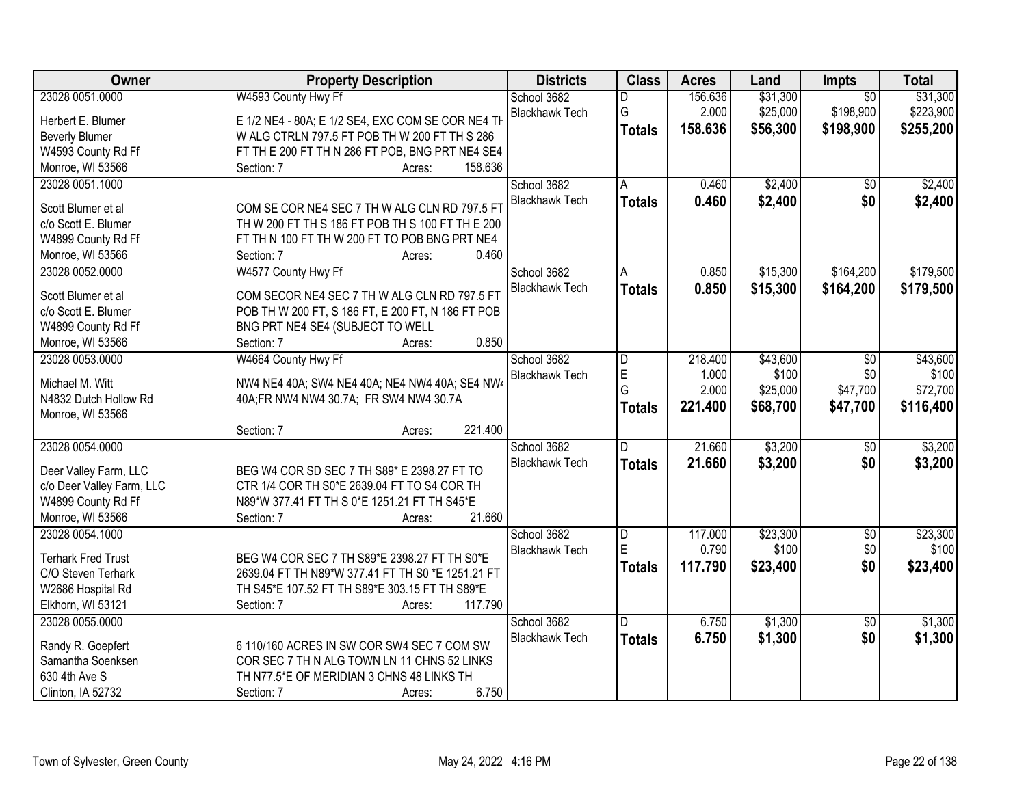| 23028 0051.0000<br>W4593 County Hwy Ff<br>156.636<br>\$31,300<br>\$31,300<br>School 3682<br>$\overline{50}$<br>D<br>G<br>2.000<br>\$25,000<br>\$198,900<br>\$223,900<br><b>Blackhawk Tech</b><br>E 1/2 NE4 - 80A; E 1/2 SE4, EXC COM SE COR NE4 TH<br>Herbert E. Blumer<br>158.636<br>\$56,300<br>\$198,900<br>\$255,200<br><b>Totals</b><br>W ALG CTRLN 797.5 FT POB TH W 200 FT TH S 286<br><b>Beverly Blumer</b><br>W4593 County Rd Ff<br>FT TH E 200 FT TH N 286 FT POB, BNG PRT NE4 SE4<br>Monroe, WI 53566<br>158.636<br>Section: 7<br>Acres:<br>\$2,400<br>\$2,400<br>23028 0051.1000<br>0.460<br>School 3682<br>A<br>$\overline{50}$ |
|----------------------------------------------------------------------------------------------------------------------------------------------------------------------------------------------------------------------------------------------------------------------------------------------------------------------------------------------------------------------------------------------------------------------------------------------------------------------------------------------------------------------------------------------------------------------------------------------------------------------------------------------|
|                                                                                                                                                                                                                                                                                                                                                                                                                                                                                                                                                                                                                                              |
|                                                                                                                                                                                                                                                                                                                                                                                                                                                                                                                                                                                                                                              |
|                                                                                                                                                                                                                                                                                                                                                                                                                                                                                                                                                                                                                                              |
|                                                                                                                                                                                                                                                                                                                                                                                                                                                                                                                                                                                                                                              |
|                                                                                                                                                                                                                                                                                                                                                                                                                                                                                                                                                                                                                                              |
|                                                                                                                                                                                                                                                                                                                                                                                                                                                                                                                                                                                                                                              |
| \$0<br><b>Blackhawk Tech</b><br>0.460<br>\$2,400<br>\$2,400<br><b>Totals</b>                                                                                                                                                                                                                                                                                                                                                                                                                                                                                                                                                                 |
| COM SE COR NE4 SEC 7 TH W ALG CLN RD 797.5 FT<br>Scott Blumer et al                                                                                                                                                                                                                                                                                                                                                                                                                                                                                                                                                                          |
| c/o Scott E. Blumer<br>TH W 200 FT TH S 186 FT POB TH S 100 FT TH E 200                                                                                                                                                                                                                                                                                                                                                                                                                                                                                                                                                                      |
| W4899 County Rd Ff<br>FT TH N 100 FT TH W 200 FT TO POB BNG PRT NE4                                                                                                                                                                                                                                                                                                                                                                                                                                                                                                                                                                          |
| 0.460<br>Monroe, WI 53566<br>Section: 7<br>Acres:                                                                                                                                                                                                                                                                                                                                                                                                                                                                                                                                                                                            |
| \$179,500<br>W4577 County Hwy Ff<br>School 3682<br>\$15,300<br>\$164,200<br>23028 0052.0000<br>0.850<br>A                                                                                                                                                                                                                                                                                                                                                                                                                                                                                                                                    |
| <b>Blackhawk Tech</b><br>0.850<br>\$15,300<br>\$164,200<br>\$179,500<br><b>Totals</b><br>COM SECOR NE4 SEC 7 TH W ALG CLN RD 797.5 FT<br>Scott Blumer et al                                                                                                                                                                                                                                                                                                                                                                                                                                                                                  |
| POB TH W 200 FT, S 186 FT, E 200 FT, N 186 FT POB<br>c/o Scott E. Blumer                                                                                                                                                                                                                                                                                                                                                                                                                                                                                                                                                                     |
| W4899 County Rd Ff<br>BNG PRT NE4 SE4 (SUBJECT TO WELL                                                                                                                                                                                                                                                                                                                                                                                                                                                                                                                                                                                       |
| 0.850<br>Monroe, WI 53566<br>Section: 7<br>Acres:                                                                                                                                                                                                                                                                                                                                                                                                                                                                                                                                                                                            |
| W4664 County Hwy Ff<br>\$43,600<br>23028 0053.0000<br>School 3682<br>218.400<br>\$43,600<br>\$0<br>D                                                                                                                                                                                                                                                                                                                                                                                                                                                                                                                                         |
| E<br>\$100<br>1.000<br>\$100<br>\$0<br><b>Blackhawk Tech</b>                                                                                                                                                                                                                                                                                                                                                                                                                                                                                                                                                                                 |
| Michael M. Witt<br>NW4 NE4 40A; SW4 NE4 40A; NE4 NW4 40A; SE4 NW4<br>G<br>2.000<br>\$25,000<br>\$47,700<br>\$72,700                                                                                                                                                                                                                                                                                                                                                                                                                                                                                                                          |
| N4832 Dutch Hollow Rd<br>40A;FR NW4 NW4 30.7A; FR SW4 NW4 30.7A<br>\$68,700<br>221.400<br>\$47,700<br>\$116,400<br><b>Totals</b>                                                                                                                                                                                                                                                                                                                                                                                                                                                                                                             |
| Monroe, WI 53566                                                                                                                                                                                                                                                                                                                                                                                                                                                                                                                                                                                                                             |
| 221.400<br>Section: 7<br>Acres:                                                                                                                                                                                                                                                                                                                                                                                                                                                                                                                                                                                                              |
| \$3,200<br>23028 0054.0000<br>21.660<br>\$3,200<br>School 3682<br>D<br>$\overline{50}$                                                                                                                                                                                                                                                                                                                                                                                                                                                                                                                                                       |
| \$3,200<br><b>Blackhawk Tech</b><br>21.660<br>\$0<br>\$3,200<br><b>Totals</b><br>Deer Valley Farm, LLC<br>BEG W4 COR SD SEC 7 TH S89* E 2398.27 FT TO                                                                                                                                                                                                                                                                                                                                                                                                                                                                                        |
| c/o Deer Valley Farm, LLC<br>CTR 1/4 COR TH S0*E 2639.04 FT TO S4 COR TH                                                                                                                                                                                                                                                                                                                                                                                                                                                                                                                                                                     |
| W4899 County Rd Ff<br>N89*W 377.41 FT TH S 0*E 1251.21 FT TH S45*E                                                                                                                                                                                                                                                                                                                                                                                                                                                                                                                                                                           |
| Monroe, WI 53566<br>21.660<br>Section: 7<br>Acres:                                                                                                                                                                                                                                                                                                                                                                                                                                                                                                                                                                                           |
| 23028 0054.1000<br>School 3682<br>117.000<br>\$23,300<br>$\overline{60}$<br>\$23,300<br>D                                                                                                                                                                                                                                                                                                                                                                                                                                                                                                                                                    |
| E.<br>0.790<br>\$100<br>\$0<br>\$100<br><b>Blackhawk Tech</b>                                                                                                                                                                                                                                                                                                                                                                                                                                                                                                                                                                                |
| <b>Terhark Fred Trust</b><br>BEG W4 COR SEC 7 TH S89*E 2398.27 FT TH S0*E<br>117.790<br>\$23,400<br>\$0<br>\$23,400<br><b>Totals</b>                                                                                                                                                                                                                                                                                                                                                                                                                                                                                                         |
| 2639.04 FT TH N89*W 377.41 FT TH S0 *E 1251.21 FT<br>C/O Steven Terhark                                                                                                                                                                                                                                                                                                                                                                                                                                                                                                                                                                      |
| TH S45*E 107.52 FT TH S89*E 303.15 FT TH S89*E<br>W2686 Hospital Rd                                                                                                                                                                                                                                                                                                                                                                                                                                                                                                                                                                          |
| Elkhorn, WI 53121<br>117.790<br>Section: 7<br>Acres:                                                                                                                                                                                                                                                                                                                                                                                                                                                                                                                                                                                         |
| \$1,300<br>\$1,300<br>23028 0055.0000<br>School 3682<br>6.750<br>D<br>$\overline{30}$                                                                                                                                                                                                                                                                                                                                                                                                                                                                                                                                                        |
| \$1,300<br>\$0<br><b>Blackhawk Tech</b><br>6.750<br>\$1,300<br><b>Totals</b><br>Randy R. Goepfert<br>6 110/160 ACRES IN SW COR SW4 SEC 7 COM SW                                                                                                                                                                                                                                                                                                                                                                                                                                                                                              |
| Samantha Soenksen<br>COR SEC 7 TH N ALG TOWN LN 11 CHNS 52 LINKS                                                                                                                                                                                                                                                                                                                                                                                                                                                                                                                                                                             |
| 630 4th Ave S<br>TH N77.5*E OF MERIDIAN 3 CHNS 48 LINKS TH                                                                                                                                                                                                                                                                                                                                                                                                                                                                                                                                                                                   |
| 6.750<br>Clinton, IA 52732<br>Section: 7<br>Acres:                                                                                                                                                                                                                                                                                                                                                                                                                                                                                                                                                                                           |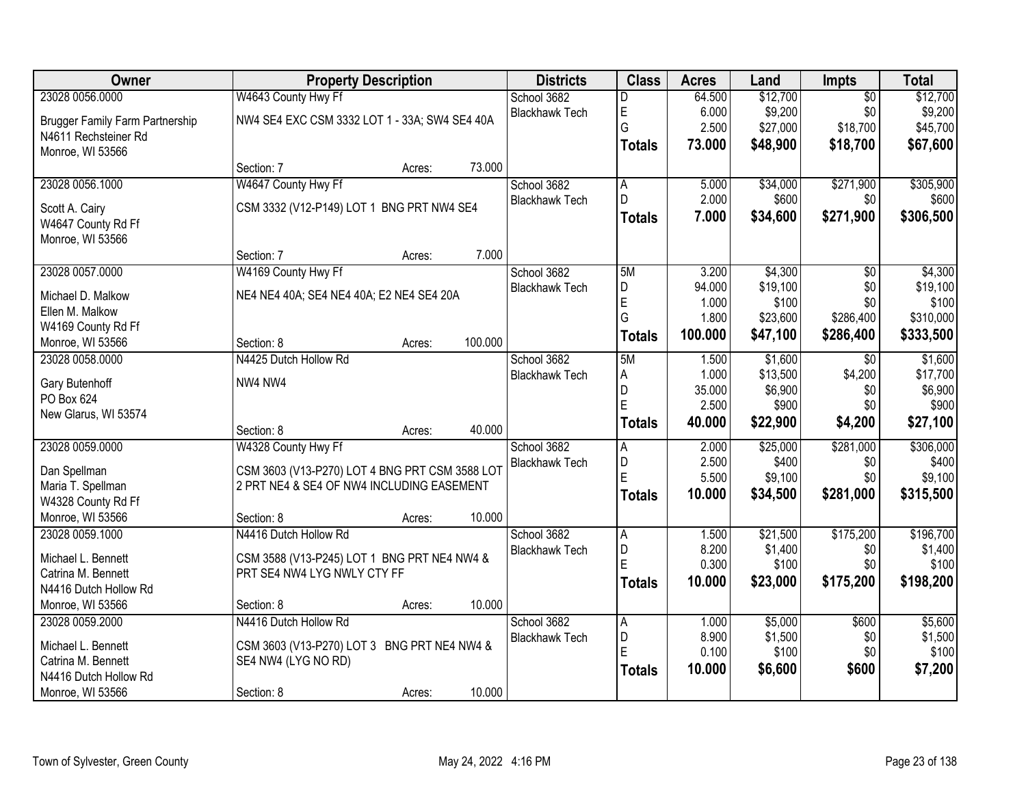| Owner                                  |                                                | <b>Property Description</b> |         | <b>Districts</b>      | <b>Class</b>  | <b>Acres</b> | Land     | Impts           | <b>Total</b> |
|----------------------------------------|------------------------------------------------|-----------------------------|---------|-----------------------|---------------|--------------|----------|-----------------|--------------|
| 23028 0056.0000                        | W4643 County Hwy Ff                            |                             |         | School 3682           | D             | 64.500       | \$12,700 | $\overline{50}$ | \$12,700     |
| <b>Brugger Family Farm Partnership</b> | NW4 SE4 EXC CSM 3332 LOT 1 - 33A; SW4 SE4 40A  |                             |         | <b>Blackhawk Tech</b> | E             | 6.000        | \$9,200  | \$0             | \$9,200      |
| N4611 Rechsteiner Rd                   |                                                |                             |         |                       | G             | 2.500        | \$27,000 | \$18,700        | \$45,700     |
| Monroe, WI 53566                       |                                                |                             |         |                       | <b>Totals</b> | 73.000       | \$48,900 | \$18,700        | \$67,600     |
|                                        | Section: 7                                     | Acres:                      | 73.000  |                       |               |              |          |                 |              |
| 23028 0056.1000                        | W4647 County Hwy Ff                            |                             |         | School 3682           | A             | 5.000        | \$34,000 | \$271,900       | \$305,900    |
| Scott A. Cairy                         | CSM 3332 (V12-P149) LOT 1 BNG PRT NW4 SE4      |                             |         | <b>Blackhawk Tech</b> | D             | 2.000        | \$600    | \$0             | \$600        |
| W4647 County Rd Ff                     |                                                |                             |         |                       | <b>Totals</b> | 7.000        | \$34,600 | \$271,900       | \$306,500    |
| Monroe, WI 53566                       |                                                |                             |         |                       |               |              |          |                 |              |
|                                        | Section: 7                                     | Acres:                      | 7.000   |                       |               |              |          |                 |              |
| 23028 0057.0000                        | W4169 County Hwy Ff                            |                             |         | School 3682           | 5M            | 3.200        | \$4,300  | $\overline{50}$ | \$4,300      |
| Michael D. Malkow                      | NE4 NE4 40A; SE4 NE4 40A; E2 NE4 SE4 20A       |                             |         | <b>Blackhawk Tech</b> | D             | 94.000       | \$19,100 | \$0             | \$19,100     |
| Ellen M. Malkow                        |                                                |                             |         |                       | E             | 1.000        | \$100    | \$0             | \$100        |
| W4169 County Rd Ff                     |                                                |                             |         |                       | G             | 1.800        | \$23,600 | \$286,400       | \$310,000    |
| Monroe, WI 53566                       | Section: 8                                     | Acres:                      | 100.000 |                       | <b>Totals</b> | 100.000      | \$47,100 | \$286,400       | \$333,500    |
| 23028 0058,0000                        | N4425 Dutch Hollow Rd                          |                             |         | School 3682           | 5M            | 1.500        | \$1,600  | $\overline{30}$ | \$1,600      |
|                                        |                                                |                             |         | <b>Blackhawk Tech</b> | Α             | 1.000        | \$13,500 | \$4,200         | \$17,700     |
| Gary Butenhoff                         | NW4 NW4                                        |                             |         |                       | D             | 35.000       | \$6,900  | \$0             | \$6,900      |
| PO Box 624                             |                                                |                             |         |                       | E             | 2.500        | \$900    | \$0             | \$900        |
| New Glarus, WI 53574                   | Section: 8                                     |                             | 40.000  |                       | <b>Totals</b> | 40.000       | \$22,900 | \$4,200         | \$27,100     |
| 23028 0059.0000                        | W4328 County Hwy Ff                            | Acres:                      |         | School 3682           |               | 2.000        | \$25,000 | \$281,000       | \$306,000    |
|                                        |                                                |                             |         | <b>Blackhawk Tech</b> | A<br>D        | 2.500        | \$400    | \$0             | \$400        |
| Dan Spellman                           | CSM 3603 (V13-P270) LOT 4 BNG PRT CSM 3588 LOT |                             |         |                       | E             | 5.500        | \$9,100  | \$0             | \$9,100      |
| Maria T. Spellman                      | 2 PRT NE4 & SE4 OF NW4 INCLUDING EASEMENT      |                             |         |                       | <b>Totals</b> | 10.000       | \$34,500 | \$281,000       | \$315,500    |
| W4328 County Rd Ff                     |                                                |                             |         |                       |               |              |          |                 |              |
| Monroe, WI 53566                       | Section: 8                                     | Acres:                      | 10.000  |                       |               |              |          |                 |              |
| 23028 0059.1000                        | N4416 Dutch Hollow Rd                          |                             |         | School 3682           | A             | 1.500        | \$21,500 | \$175,200       | \$196,700    |
| Michael L. Bennett                     | CSM 3588 (V13-P245) LOT 1 BNG PRT NE4 NW4 &    |                             |         | <b>Blackhawk Tech</b> | D             | 8.200        | \$1,400  | \$0             | \$1,400      |
| Catrina M. Bennett                     | PRT SE4 NW4 LYG NWLY CTY FF                    |                             |         |                       | F             | 0.300        | \$100    | \$0             | \$100        |
| N4416 Dutch Hollow Rd                  |                                                |                             |         |                       | <b>Totals</b> | 10.000       | \$23,000 | \$175,200       | \$198,200    |
| Monroe, WI 53566                       | Section: 8                                     | Acres:                      | 10.000  |                       |               |              |          |                 |              |
| 23028 0059.2000                        | N4416 Dutch Hollow Rd                          |                             |         | School 3682           | A             | 1.000        | \$5,000  | \$600           | \$5,600      |
| Michael L. Bennett                     | CSM 3603 (V13-P270) LOT 3 BNG PRT NE4 NW4 &    |                             |         | <b>Blackhawk Tech</b> | D             | 8.900        | \$1,500  | \$0             | \$1,500      |
| Catrina M. Bennett                     | SE4 NW4 (LYG NO RD)                            |                             |         |                       | E             | 0.100        | \$100    | \$0             | \$100        |
| N4416 Dutch Hollow Rd                  |                                                |                             |         |                       | <b>Totals</b> | 10.000       | \$6,600  | \$600           | \$7,200      |
| Monroe, WI 53566                       | Section: 8                                     | Acres:                      | 10.000  |                       |               |              |          |                 |              |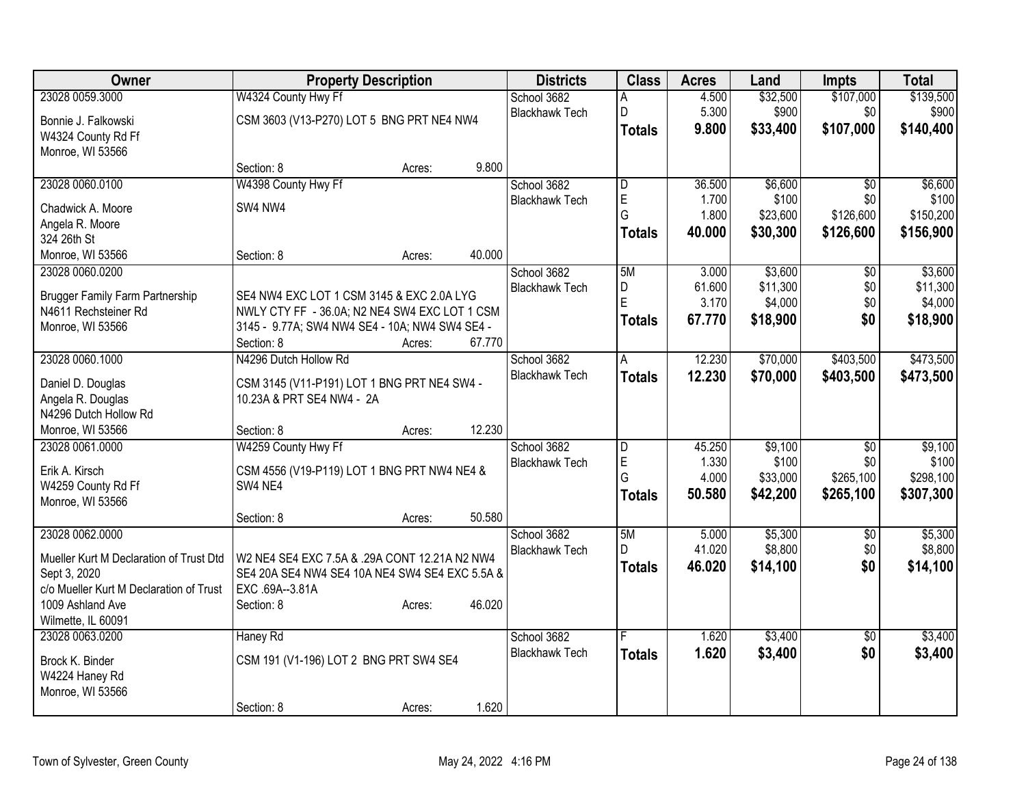| Owner                                   | <b>Property Description</b>                    |        |        | <b>Districts</b>                     | <b>Class</b>  | <b>Acres</b> | Land     | <b>Impts</b>    | <b>Total</b> |
|-----------------------------------------|------------------------------------------------|--------|--------|--------------------------------------|---------------|--------------|----------|-----------------|--------------|
| 23028 0059.3000                         | W4324 County Hwy Ff                            |        |        | School 3682                          | Α             | 4.500        | \$32,500 | \$107,000       | \$139,500    |
| Bonnie J. Falkowski                     | CSM 3603 (V13-P270) LOT 5 BNG PRT NE4 NW4      |        |        | <b>Blackhawk Tech</b>                | D             | 5.300        | \$900    | \$0             | \$900        |
| W4324 County Rd Ff                      |                                                |        |        |                                      | <b>Totals</b> | 9.800        | \$33,400 | \$107,000       | \$140,400    |
| Monroe, WI 53566                        |                                                |        |        |                                      |               |              |          |                 |              |
|                                         | Section: 8                                     | Acres: | 9.800  |                                      |               |              |          |                 |              |
| 23028 0060.0100                         | W4398 County Hwy Ff                            |        |        | School 3682                          | D             | 36.500       | \$6,600  | \$0             | \$6,600      |
| Chadwick A. Moore                       | SW4 NW4                                        |        |        | <b>Blackhawk Tech</b>                | E             | 1.700        | \$100    | \$0             | \$100        |
| Angela R. Moore                         |                                                |        |        |                                      | G             | 1.800        | \$23,600 | \$126,600       | \$150,200    |
| 324 26th St                             |                                                |        |        |                                      | <b>Totals</b> | 40.000       | \$30,300 | \$126,600       | \$156,900    |
| Monroe, WI 53566                        | Section: 8                                     | Acres: | 40.000 |                                      |               |              |          |                 |              |
| 23028 0060.0200                         |                                                |        |        | School 3682                          | 5M            | 3.000        | \$3,600  | \$0             | \$3,600      |
|                                         |                                                |        |        | <b>Blackhawk Tech</b>                | D             | 61.600       | \$11,300 | \$0             | \$11,300     |
| <b>Brugger Family Farm Partnership</b>  | SE4 NW4 EXC LOT 1 CSM 3145 & EXC 2.0A LYG      |        |        |                                      | E             | 3.170        | \$4,000  | \$0             | \$4,000      |
| N4611 Rechsteiner Rd                    | NWLY CTY FF - 36.0A; N2 NE4 SW4 EXC LOT 1 CSM  |        |        |                                      | <b>Totals</b> | 67.770       | \$18,900 | \$0             | \$18,900     |
| Monroe, WI 53566                        | 3145 - 9.77A; SW4 NW4 SE4 - 10A; NW4 SW4 SE4 - |        |        |                                      |               |              |          |                 |              |
|                                         | Section: 8                                     | Acres: | 67.770 |                                      |               |              |          |                 |              |
| 23028 0060.1000                         | N4296 Dutch Hollow Rd                          |        |        | School 3682<br><b>Blackhawk Tech</b> | A             | 12.230       | \$70,000 | \$403,500       | \$473,500    |
| Daniel D. Douglas                       | CSM 3145 (V11-P191) LOT 1 BNG PRT NE4 SW4 -    |        |        |                                      | <b>Totals</b> | 12.230       | \$70,000 | \$403,500       | \$473,500    |
| Angela R. Douglas                       | 10.23A & PRT SE4 NW4 - 2A                      |        |        |                                      |               |              |          |                 |              |
| N4296 Dutch Hollow Rd                   |                                                |        |        |                                      |               |              |          |                 |              |
| Monroe, WI 53566                        | Section: 8                                     | Acres: | 12.230 |                                      |               |              |          |                 |              |
| 23028 0061.0000                         | W4259 County Hwy Ff                            |        |        | School 3682                          | D             | 45.250       | \$9,100  | $\overline{50}$ | \$9,100      |
| Erik A. Kirsch                          | CSM 4556 (V19-P119) LOT 1 BNG PRT NW4 NE4 &    |        |        | <b>Blackhawk Tech</b>                | E             | 1.330        | \$100    | \$0             | \$100        |
| W4259 County Rd Ff                      | SW4 NE4                                        |        |        |                                      | G             | 4.000        | \$33,000 | \$265,100       | \$298,100    |
| Monroe, WI 53566                        |                                                |        |        |                                      | <b>Totals</b> | 50.580       | \$42,200 | \$265,100       | \$307,300    |
|                                         | Section: 8                                     | Acres: | 50.580 |                                      |               |              |          |                 |              |
| 23028 0062.0000                         |                                                |        |        | School 3682                          | 5M            | 5.000        | \$5,300  | $\overline{50}$ | \$5,300      |
| Mueller Kurt M Declaration of Trust Dtd | W2 NE4 SE4 EXC 7.5A & .29A CONT 12.21A N2 NW4  |        |        | <b>Blackhawk Tech</b>                | D.            | 41.020       | \$8,800  | \$0             | \$8,800      |
| Sept 3, 2020                            | SE4 20A SE4 NW4 SE4 10A NE4 SW4 SE4 EXC 5.5A & |        |        |                                      | <b>Totals</b> | 46.020       | \$14,100 | \$0             | \$14,100     |
| c/o Mueller Kurt M Declaration of Trust | EXC .69A--3.81A                                |        |        |                                      |               |              |          |                 |              |
| 1009 Ashland Ave                        | Section: 8                                     | Acres: | 46.020 |                                      |               |              |          |                 |              |
| Wilmette, IL 60091                      |                                                |        |        |                                      |               |              |          |                 |              |
| 23028 0063.0200                         | Haney Rd                                       |        |        | School 3682                          |               | 1.620        | \$3,400  | $\overline{50}$ | \$3,400      |
|                                         |                                                |        |        | <b>Blackhawk Tech</b>                | <b>Totals</b> | 1.620        | \$3,400  | \$0             | \$3,400      |
| Brock K. Binder                         | CSM 191 (V1-196) LOT 2 BNG PRT SW4 SE4         |        |        |                                      |               |              |          |                 |              |
| W4224 Haney Rd                          |                                                |        |        |                                      |               |              |          |                 |              |
| Monroe, WI 53566                        | Section: 8                                     |        | 1.620  |                                      |               |              |          |                 |              |
|                                         |                                                | Acres: |        |                                      |               |              |          |                 |              |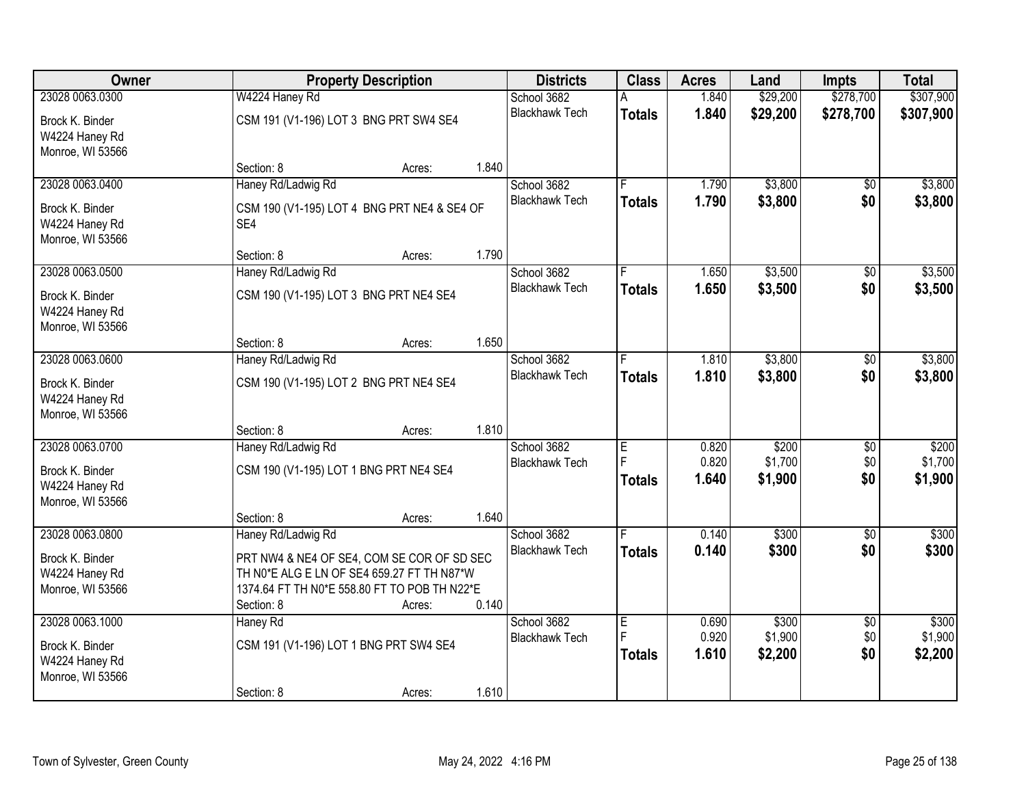| Owner            |                                              | <b>Property Description</b> |       | <b>Districts</b>      | <b>Class</b>  | <b>Acres</b> | Land     | <b>Impts</b>    | <b>Total</b> |
|------------------|----------------------------------------------|-----------------------------|-------|-----------------------|---------------|--------------|----------|-----------------|--------------|
| 23028 0063.0300  | W4224 Haney Rd                               |                             |       | School 3682           |               | 1.840        | \$29,200 | \$278,700       | \$307,900    |
| Brock K. Binder  | CSM 191 (V1-196) LOT 3 BNG PRT SW4 SE4       |                             |       | <b>Blackhawk Tech</b> | <b>Totals</b> | 1.840        | \$29,200 | \$278,700       | \$307,900    |
| W4224 Haney Rd   |                                              |                             |       |                       |               |              |          |                 |              |
| Monroe, WI 53566 |                                              |                             |       |                       |               |              |          |                 |              |
|                  | Section: 8                                   | Acres:                      | 1.840 |                       |               |              |          |                 |              |
| 23028 0063.0400  | Haney Rd/Ladwig Rd                           |                             |       | School 3682           |               | 1.790        | \$3,800  | \$0             | \$3,800      |
| Brock K. Binder  | CSM 190 (V1-195) LOT 4 BNG PRT NE4 & SE4 OF  |                             |       | <b>Blackhawk Tech</b> | <b>Totals</b> | 1.790        | \$3,800  | \$0             | \$3,800      |
| W4224 Haney Rd   | SE4                                          |                             |       |                       |               |              |          |                 |              |
| Monroe, WI 53566 |                                              |                             |       |                       |               |              |          |                 |              |
|                  | Section: 8                                   | Acres:                      | 1.790 |                       |               |              |          |                 |              |
| 23028 0063.0500  | Haney Rd/Ladwig Rd                           |                             |       | School 3682           |               | 1.650        | \$3,500  | \$0             | \$3,500      |
| Brock K. Binder  | CSM 190 (V1-195) LOT 3 BNG PRT NE4 SE4       |                             |       | <b>Blackhawk Tech</b> | <b>Totals</b> | 1.650        | \$3,500  | \$0             | \$3,500      |
| W4224 Haney Rd   |                                              |                             |       |                       |               |              |          |                 |              |
| Monroe, WI 53566 |                                              |                             |       |                       |               |              |          |                 |              |
|                  | Section: 8                                   | Acres:                      | 1.650 |                       |               |              |          |                 |              |
| 23028 0063.0600  | Haney Rd/Ladwig Rd                           |                             |       | School 3682           |               | 1.810        | \$3,800  | \$0             | \$3,800      |
| Brock K. Binder  | CSM 190 (V1-195) LOT 2 BNG PRT NE4 SE4       |                             |       | <b>Blackhawk Tech</b> | <b>Totals</b> | 1.810        | \$3,800  | \$0             | \$3,800      |
| W4224 Haney Rd   |                                              |                             |       |                       |               |              |          |                 |              |
| Monroe, WI 53566 |                                              |                             |       |                       |               |              |          |                 |              |
|                  | Section: 8                                   | Acres:                      | 1.810 |                       |               |              |          |                 |              |
| 23028 0063.0700  | Haney Rd/Ladwig Rd                           |                             |       | School 3682           | E             | 0.820        | \$200    | $\overline{50}$ | \$200        |
| Brock K. Binder  | CSM 190 (V1-195) LOT 1 BNG PRT NE4 SE4       |                             |       | <b>Blackhawk Tech</b> | F             | 0.820        | \$1,700  | \$0             | \$1,700      |
| W4224 Haney Rd   |                                              |                             |       |                       | <b>Totals</b> | 1.640        | \$1,900  | \$0             | \$1,900      |
| Monroe, WI 53566 |                                              |                             |       |                       |               |              |          |                 |              |
|                  | Section: 8                                   | Acres:                      | 1.640 |                       |               |              |          |                 |              |
| 23028 0063.0800  | Haney Rd/Ladwig Rd                           |                             |       | School 3682           |               | 0.140        | \$300    | $\overline{50}$ | \$300        |
| Brock K. Binder  | PRT NW4 & NE4 OF SE4, COM SE COR OF SD SEC   |                             |       | <b>Blackhawk Tech</b> | <b>Totals</b> | 0.140        | \$300    | \$0             | \$300        |
| W4224 Haney Rd   | TH N0*E ALG E LN OF SE4 659.27 FT TH N87*W   |                             |       |                       |               |              |          |                 |              |
| Monroe, WI 53566 | 1374.64 FT TH N0*E 558.80 FT TO POB TH N22*E |                             |       |                       |               |              |          |                 |              |
|                  | Section: 8                                   | Acres:                      | 0.140 |                       |               |              |          |                 |              |
| 23028 0063.1000  | Haney Rd                                     |                             |       | School 3682           | E             | 0.690        | \$300    | $\overline{50}$ | \$300        |
| Brock K. Binder  | CSM 191 (V1-196) LOT 1 BNG PRT SW4 SE4       |                             |       | <b>Blackhawk Tech</b> | E             | 0.920        | \$1,900  | \$0             | \$1,900      |
| W4224 Haney Rd   |                                              |                             |       |                       | <b>Totals</b> | 1.610        | \$2,200  | \$0             | \$2,200      |
| Monroe, WI 53566 |                                              |                             |       |                       |               |              |          |                 |              |
|                  | Section: 8                                   | Acres:                      | 1.610 |                       |               |              |          |                 |              |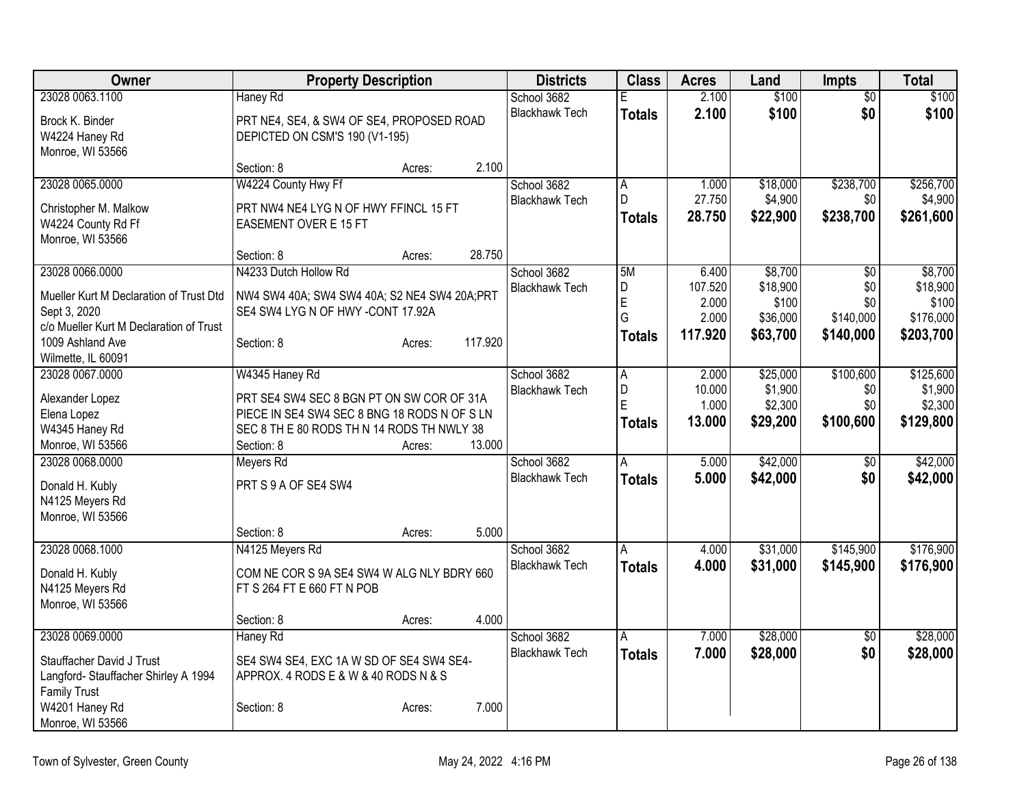| Owner                                   | <b>Property Description</b>                                                                |        |         | <b>Districts</b>      | <b>Class</b>   | <b>Acres</b> | Land     | <b>Impts</b>    | Total     |
|-----------------------------------------|--------------------------------------------------------------------------------------------|--------|---------|-----------------------|----------------|--------------|----------|-----------------|-----------|
| 23028 0063.1100                         | Haney Rd                                                                                   |        |         | School 3682           | Е              | 2.100        | \$100    | $\overline{50}$ | \$100     |
| Brock K. Binder                         | PRT NE4, SE4, & SW4 OF SE4, PROPOSED ROAD                                                  |        |         | <b>Blackhawk Tech</b> | <b>Totals</b>  | 2.100        | \$100    | \$0             | \$100     |
| W4224 Haney Rd                          | DEPICTED ON CSM'S 190 (V1-195)                                                             |        |         |                       |                |              |          |                 |           |
| Monroe, WI 53566                        |                                                                                            |        |         |                       |                |              |          |                 |           |
|                                         | Section: 8                                                                                 | Acres: | 2.100   |                       |                |              |          |                 |           |
| 23028 0065.0000                         | W4224 County Hwy Ff                                                                        |        |         | School 3682           | A              | 1.000        | \$18,000 | \$238,700       | \$256,700 |
| Christopher M. Malkow                   | PRT NW4 NE4 LYG N OF HWY FFINCL 15 FT                                                      |        |         | <b>Blackhawk Tech</b> | D              | 27.750       | \$4,900  | \$0             | \$4,900   |
| W4224 County Rd Ff                      | <b>EASEMENT OVER E 15 FT</b>                                                               |        |         |                       | Totals         | 28.750       | \$22,900 | \$238,700       | \$261,600 |
| Monroe, WI 53566                        |                                                                                            |        |         |                       |                |              |          |                 |           |
|                                         | Section: 8                                                                                 | Acres: | 28.750  |                       |                |              |          |                 |           |
| 23028 0066.0000                         | N4233 Dutch Hollow Rd                                                                      |        |         | School 3682           | 5M             | 6.400        | \$8,700  | \$0             | \$8,700   |
| Mueller Kurt M Declaration of Trust Dtd | NW4 SW4 40A; SW4 SW4 40A; S2 NE4 SW4 20A; PRT                                              |        |         | <b>Blackhawk Tech</b> | D              | 107.520      | \$18,900 | \$0             | \$18,900  |
| Sept 3, 2020                            | SE4 SW4 LYG N OF HWY -CONT 17.92A                                                          |        |         |                       | $\overline{E}$ | 2.000        | \$100    | \$0             | \$100     |
| c/o Mueller Kurt M Declaration of Trust |                                                                                            |        |         |                       | G              | 2.000        | \$36,000 | \$140,000       | \$176,000 |
| 1009 Ashland Ave                        | Section: 8                                                                                 | Acres: | 117.920 |                       | <b>Totals</b>  | 117.920      | \$63,700 | \$140,000       | \$203,700 |
| Wilmette, IL 60091                      |                                                                                            |        |         |                       |                |              |          |                 |           |
| 23028 0067.0000                         | W4345 Haney Rd                                                                             |        |         | School 3682           | A              | 2.000        | \$25,000 | \$100,600       | \$125,600 |
|                                         |                                                                                            |        |         | <b>Blackhawk Tech</b> | D              | 10.000       | \$1,900  | \$0             | \$1,900   |
| Alexander Lopez                         | PRT SE4 SW4 SEC 8 BGN PT ON SW COR OF 31A                                                  |        |         |                       | E              | 1.000        | \$2,300  | \$0             | \$2,300   |
| Elena Lopez<br>W4345 Haney Rd           | PIECE IN SE4 SW4 SEC 8 BNG 18 RODS N OF S LN<br>SEC 8 TH E 80 RODS TH N 14 RODS TH NWLY 38 |        |         |                       | Totals         | 13.000       | \$29,200 | \$100,600       | \$129,800 |
| Monroe, WI 53566                        | Section: 8                                                                                 | Acres: | 13.000  |                       |                |              |          |                 |           |
| 23028 0068.0000                         | Meyers Rd                                                                                  |        |         | School 3682           | A              | 5.000        | \$42,000 | \$0             | \$42,000  |
|                                         |                                                                                            |        |         | <b>Blackhawk Tech</b> |                | 5.000        | \$42,000 | \$0             |           |
| Donald H. Kubly                         | PRT S 9 A OF SE4 SW4                                                                       |        |         |                       | <b>Totals</b>  |              |          |                 | \$42,000  |
| N4125 Meyers Rd                         |                                                                                            |        |         |                       |                |              |          |                 |           |
| Monroe, WI 53566                        |                                                                                            |        |         |                       |                |              |          |                 |           |
|                                         | Section: 8                                                                                 | Acres: | 5.000   |                       |                |              |          |                 |           |
| 23028 0068.1000                         | N4125 Meyers Rd                                                                            |        |         | School 3682           | A              | 4.000        | \$31,000 | \$145,900       | \$176,900 |
| Donald H. Kubly                         | COM NE COR S 9A SE4 SW4 W ALG NLY BDRY 660                                                 |        |         | <b>Blackhawk Tech</b> | <b>Totals</b>  | 4.000        | \$31,000 | \$145,900       | \$176,900 |
| N4125 Meyers Rd                         | FT S 264 FT E 660 FT N POB                                                                 |        |         |                       |                |              |          |                 |           |
| Monroe, WI 53566                        |                                                                                            |        |         |                       |                |              |          |                 |           |
|                                         | Section: 8                                                                                 | Acres: | 4.000   |                       |                |              |          |                 |           |
| 23028 0069.0000                         | Haney Rd                                                                                   |        |         | School 3682           | A              | 7.000        | \$28,000 | $\sqrt{6}$      | \$28,000  |
| Stauffacher David J Trust               | SE4 SW4 SE4, EXC 1A W SD OF SE4 SW4 SE4-                                                   |        |         | <b>Blackhawk Tech</b> | <b>Totals</b>  | 7.000        | \$28,000 | \$0             | \$28,000  |
| Langford- Stauffacher Shirley A 1994    | APPROX. 4 RODS E & W & 40 RODS N & S                                                       |        |         |                       |                |              |          |                 |           |
| <b>Family Trust</b>                     |                                                                                            |        |         |                       |                |              |          |                 |           |
| W4201 Haney Rd                          | Section: 8                                                                                 | Acres: | 7.000   |                       |                |              |          |                 |           |
| Monroe, WI 53566                        |                                                                                            |        |         |                       |                |              |          |                 |           |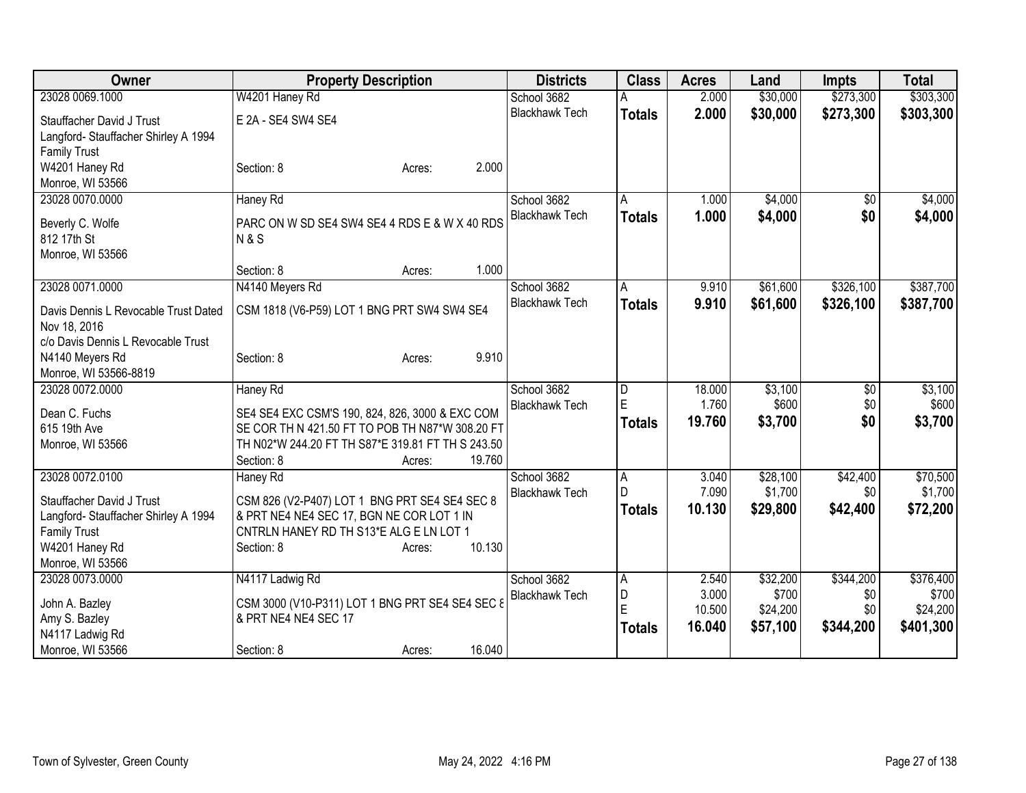| <b>Owner</b>                                         | <b>Property Description</b>                       | <b>Districts</b>      | <b>Class</b>            | <b>Acres</b> | Land     | <b>Impts</b>    | <b>Total</b> |
|------------------------------------------------------|---------------------------------------------------|-----------------------|-------------------------|--------------|----------|-----------------|--------------|
| 23028 0069.1000                                      | W4201 Haney Rd                                    | School 3682           |                         | 2.000        | \$30,000 | \$273,300       | \$303,300    |
| Stauffacher David J Trust                            | E 2A - SE4 SW4 SE4                                | <b>Blackhawk Tech</b> | <b>Totals</b>           | 2.000        | \$30,000 | \$273,300       | \$303,300    |
| Langford-Stauffacher Shirley A 1994                  |                                                   |                       |                         |              |          |                 |              |
| <b>Family Trust</b>                                  |                                                   |                       |                         |              |          |                 |              |
| W4201 Haney Rd                                       | 2.000<br>Section: 8<br>Acres:                     |                       |                         |              |          |                 |              |
| Monroe, WI 53566                                     |                                                   |                       |                         |              |          |                 |              |
| 23028 0070.0000                                      | Haney Rd                                          | School 3682           | A                       | 1.000        | \$4,000  | \$0             | \$4,000      |
| Beverly C. Wolfe                                     | PARC ON W SD SE4 SW4 SE4 4 RDS E & W X 40 RDS     | <b>Blackhawk Tech</b> | <b>Totals</b>           | 1.000        | \$4,000  | \$0             | \$4,000      |
| 812 17th St                                          | <b>N&amp;S</b>                                    |                       |                         |              |          |                 |              |
| Monroe, WI 53566                                     |                                                   |                       |                         |              |          |                 |              |
|                                                      | 1.000<br>Section: 8<br>Acres:                     |                       |                         |              |          |                 |              |
| 23028 0071.0000                                      | N4140 Meyers Rd                                   | School 3682           | A                       | 9.910        | \$61,600 | \$326,100       | \$387,700    |
|                                                      |                                                   | <b>Blackhawk Tech</b> | <b>Totals</b>           | 9.910        | \$61,600 | \$326,100       | \$387,700    |
| Davis Dennis L Revocable Trust Dated<br>Nov 18, 2016 | CSM 1818 (V6-P59) LOT 1 BNG PRT SW4 SW4 SE4       |                       |                         |              |          |                 |              |
| c/o Davis Dennis L Revocable Trust                   |                                                   |                       |                         |              |          |                 |              |
| N4140 Meyers Rd                                      | 9.910<br>Section: 8<br>Acres:                     |                       |                         |              |          |                 |              |
| Monroe, WI 53566-8819                                |                                                   |                       |                         |              |          |                 |              |
| 23028 0072.0000                                      | <b>Haney Rd</b>                                   | School 3682           | $\overline{\mathsf{D}}$ | 18.000       | \$3,100  | $\overline{50}$ | \$3,100      |
| Dean C. Fuchs                                        | SE4 SE4 EXC CSM'S 190, 824, 826, 3000 & EXC COM   | <b>Blackhawk Tech</b> | E                       | 1.760        | \$600    | \$0             | \$600        |
| 615 19th Ave                                         | SE COR TH N 421.50 FT TO POB TH N87*W 308.20 FT   |                       | <b>Totals</b>           | 19.760       | \$3,700  | \$0             | \$3,700      |
| Monroe, WI 53566                                     | TH N02*W 244.20 FT TH S87*E 319.81 FT TH S 243.50 |                       |                         |              |          |                 |              |
|                                                      | 19.760<br>Section: 8<br>Acres:                    |                       |                         |              |          |                 |              |
| 23028 0072.0100                                      | Haney Rd                                          | School 3682           | $\overline{A}$          | 3.040        | \$28,100 | \$42,400        | \$70,500     |
|                                                      |                                                   | <b>Blackhawk Tech</b> | D                       | 7.090        | \$1,700  | \$0             | \$1,700      |
| Stauffacher David J Trust                            | CSM 826 (V2-P407) LOT 1 BNG PRT SE4 SE4 SEC 8     |                       | <b>Totals</b>           | 10.130       | \$29,800 | \$42,400        | \$72,200     |
| Langford- Stauffacher Shirley A 1994                 | & PRT NE4 NE4 SEC 17, BGN NE COR LOT 1 IN         |                       |                         |              |          |                 |              |
| <b>Family Trust</b><br>W4201 Haney Rd                | CNTRLN HANEY RD TH S13*E ALG E LN LOT 1<br>10.130 |                       |                         |              |          |                 |              |
| Monroe, WI 53566                                     | Section: 8<br>Acres:                              |                       |                         |              |          |                 |              |
| 23028 0073.0000                                      | N4117 Ladwig Rd                                   | School 3682           | A                       | 2.540        | \$32,200 | \$344,200       | \$376,400    |
|                                                      |                                                   | <b>Blackhawk Tech</b> | D                       | 3.000        | \$700    | \$0             | \$700        |
| John A. Bazley                                       | CSM 3000 (V10-P311) LOT 1 BNG PRT SE4 SE4 SEC 8   |                       | Ė                       | 10.500       | \$24,200 | \$0             | \$24,200     |
| Amy S. Bazley                                        | & PRT NE4 NE4 SEC 17                              |                       | <b>Totals</b>           | 16.040       | \$57,100 | \$344,200       | \$401,300    |
| N4117 Ladwig Rd                                      |                                                   |                       |                         |              |          |                 |              |
| Monroe, WI 53566                                     | 16.040<br>Section: 8<br>Acres:                    |                       |                         |              |          |                 |              |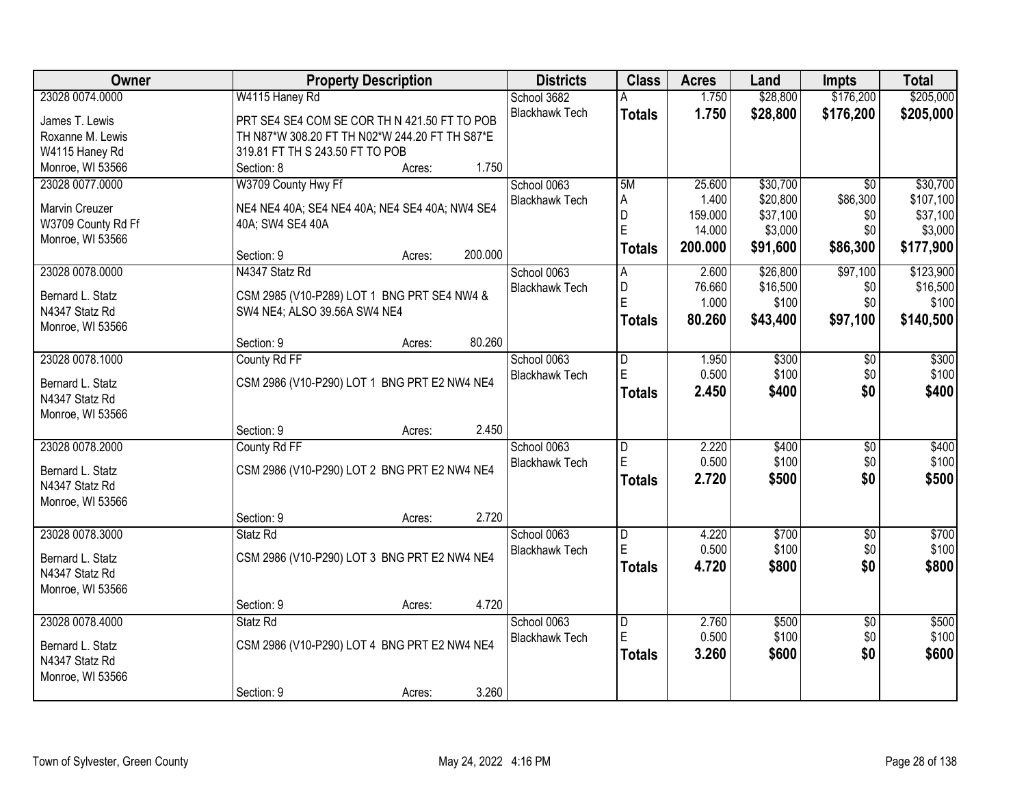| Owner                                       | <b>Property Description</b>                                        | <b>Districts</b>      | <b>Class</b>        | <b>Acres</b>   | Land           | <b>Impts</b>           | <b>Total</b>   |
|---------------------------------------------|--------------------------------------------------------------------|-----------------------|---------------------|----------------|----------------|------------------------|----------------|
| 23028 0074.0000                             | W4115 Haney Rd                                                     | School 3682           | A                   | 1.750          | \$28,800       | \$176,200              | \$205,000      |
| James T. Lewis                              | PRT SE4 SE4 COM SE COR TH N 421.50 FT TO POB                       | <b>Blackhawk Tech</b> | <b>Totals</b>       | 1.750          | \$28,800       | \$176,200              | \$205,000      |
| Roxanne M. Lewis                            | TH N87*W 308.20 FT TH N02*W 244.20 FT TH S87*E                     |                       |                     |                |                |                        |                |
| W4115 Haney Rd                              | 319.81 FT TH S 243.50 FT TO POB                                    |                       |                     |                |                |                        |                |
| Monroe, WI 53566                            | 1.750<br>Section: 8<br>Acres:                                      |                       |                     |                |                |                        |                |
| 23028 0077.0000                             | W3709 County Hwy Ff                                                | School 0063           | 5M                  | 25.600         | \$30,700       | $\overline{50}$        | \$30,700       |
|                                             |                                                                    | <b>Blackhawk Tech</b> | A                   | 1.400          | \$20,800       | \$86,300               | \$107,100      |
| <b>Marvin Creuzer</b><br>W3709 County Rd Ff | NE4 NE4 40A; SE4 NE4 40A; NE4 SE4 40A; NW4 SE4<br>40A; SW4 SE4 40A |                       | D                   | 159.000        | \$37,100       | \$0                    | \$37,100       |
| Monroe, WI 53566                            |                                                                    |                       | E                   | 14.000         | \$3,000        | \$0                    | \$3,000        |
|                                             | 200.000<br>Section: 9<br>Acres:                                    |                       | <b>Totals</b>       | 200.000        | \$91,600       | \$86,300               | \$177,900      |
| 23028 0078.0000                             | N4347 Statz Rd                                                     | School 0063           | Α                   | 2.600          | \$26,800       | \$97,100               | \$123,900      |
| Bernard L. Statz                            | CSM 2985 (V10-P289) LOT 1 BNG PRT SE4 NW4 &                        | <b>Blackhawk Tech</b> | D                   | 76.660         | \$16,500       | \$0                    | \$16,500       |
| N4347 Statz Rd                              | SW4 NE4; ALSO 39.56A SW4 NE4                                       |                       | E                   | 1.000          | \$100          | \$0                    | \$100          |
| Monroe, WI 53566                            |                                                                    |                       | <b>Totals</b>       | 80.260         | \$43,400       | \$97,100               | \$140,500      |
|                                             | 80.260<br>Section: 9<br>Acres:                                     |                       |                     |                |                |                        |                |
| 23028 0078.1000                             | County Rd FF                                                       | School 0063           | D                   | 1.950          | \$300          | \$0                    | \$300          |
| Bernard L. Statz                            | CSM 2986 (V10-P290) LOT 1 BNG PRT E2 NW4 NE4                       | <b>Blackhawk Tech</b> | E                   | 0.500          | \$100          | \$0                    | \$100          |
| N4347 Statz Rd                              |                                                                    |                       | <b>Totals</b>       | 2.450          | \$400          | \$0                    | \$400          |
| Monroe, WI 53566                            |                                                                    |                       |                     |                |                |                        |                |
|                                             | 2.450<br>Section: 9<br>Acres:                                      |                       |                     |                |                |                        |                |
| 23028 0078.2000                             | County Rd FF                                                       | School 0063           | D                   | 2.220          | \$400          | \$0                    | \$400          |
|                                             |                                                                    | <b>Blackhawk Tech</b> | E                   | 0.500          | \$100          | \$0                    | \$100          |
| Bernard L. Statz<br>N4347 Statz Rd          | CSM 2986 (V10-P290) LOT 2 BNG PRT E2 NW4 NE4                       |                       | <b>Totals</b>       | 2.720          | \$500          | \$0                    | \$500          |
| Monroe, WI 53566                            |                                                                    |                       |                     |                |                |                        |                |
|                                             | 2.720<br>Section: 9<br>Acres:                                      |                       |                     |                |                |                        |                |
| 23028 0078.3000                             | Statz Rd                                                           | School 0063           | $\overline{D}$      | 4.220          | \$700          | $\overline{50}$        | \$700          |
|                                             |                                                                    | <b>Blackhawk Tech</b> | E                   | 0.500          | \$100          | \$0                    | \$100          |
| Bernard L. Statz                            | CSM 2986 (V10-P290) LOT 3 BNG PRT E2 NW4 NE4                       |                       | <b>Totals</b>       | 4.720          | \$800          | \$0                    | \$800          |
| N4347 Statz Rd                              |                                                                    |                       |                     |                |                |                        |                |
| Monroe, WI 53566                            |                                                                    |                       |                     |                |                |                        |                |
|                                             | 4.720<br>Section: 9<br>Acres:                                      |                       |                     |                |                |                        |                |
| 23028 0078.4000                             | Statz Rd                                                           | School 0063           | $\overline{D}$<br>E | 2.760<br>0.500 | \$500<br>\$100 | $\overline{50}$<br>\$0 | \$500<br>\$100 |
| Bernard L. Statz                            | CSM 2986 (V10-P290) LOT 4 BNG PRT E2 NW4 NE4                       | <b>Blackhawk Tech</b> |                     |                |                |                        |                |
| N4347 Statz Rd                              |                                                                    |                       | <b>Totals</b>       | 3.260          | \$600          | \$0                    | \$600          |
| Monroe, WI 53566                            |                                                                    |                       |                     |                |                |                        |                |
|                                             | 3.260<br>Section: 9<br>Acres:                                      |                       |                     |                |                |                        |                |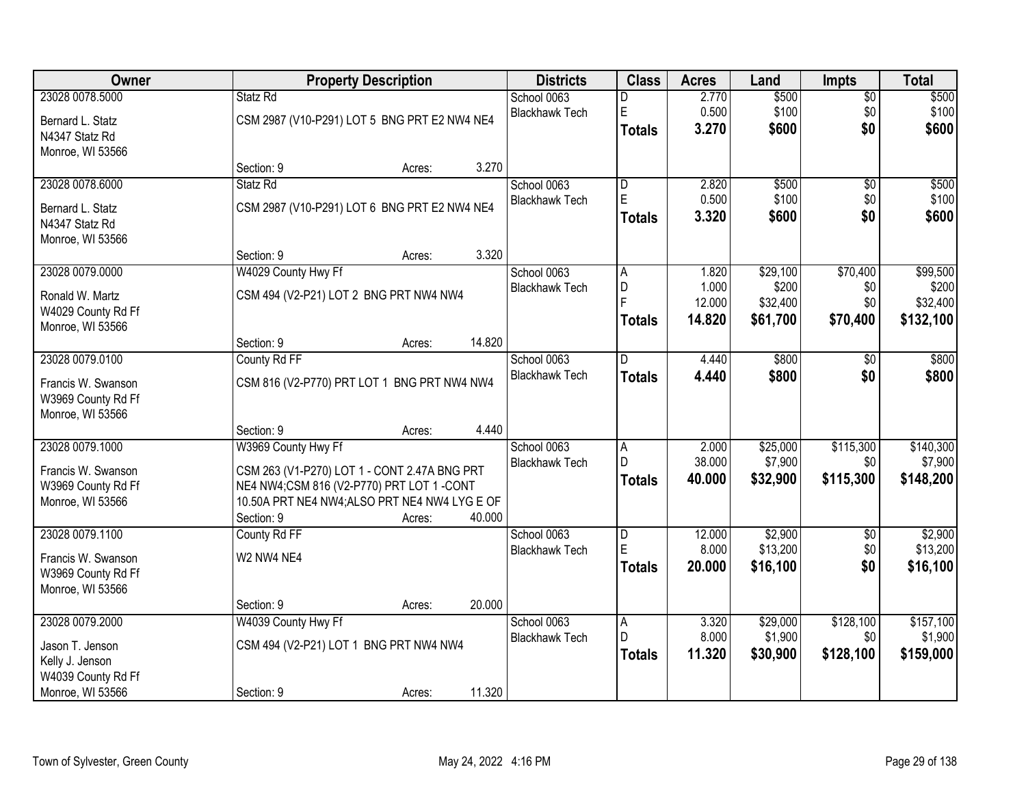| 23028 0078.5000<br>2.770<br>\$500<br>$\overline{$0}$<br>\$500<br>Statz Rd<br>School 0063<br>D<br>E<br>0.500<br>\$100<br>\$100<br>\$0<br><b>Blackhawk Tech</b><br>CSM 2987 (V10-P291) LOT 5 BNG PRT E2 NW4 NE4<br>Bernard L. Statz<br>\$600<br>\$0<br>\$600<br>3.270<br><b>Totals</b><br>N4347 Statz Rd<br>Monroe, WI 53566<br>3.270<br>Section: 9<br>Acres:<br>23028 0078.6000<br>2.820<br>\$500<br>Statz Rd<br>School 0063<br>$\overline{\mathsf{D}}$<br>$\overline{50}$<br>$\mathsf E$<br>0.500<br>\$100<br>\$0<br><b>Blackhawk Tech</b><br>CSM 2987 (V10-P291) LOT 6 BNG PRT E2 NW4 NE4<br>Bernard L. Statz<br>\$0<br>3.320<br>\$600<br>Totals<br>N4347 Statz Rd<br>Monroe, WI 53566<br>3.320<br>Section: 9<br>Acres:<br>\$70,400<br>23028 0079.0000<br>W4029 County Hwy Ff<br>\$29,100<br>School 0063<br>1.820<br>A<br>D<br>1.000<br>\$200<br><b>Blackhawk Tech</b><br>\$0<br>CSM 494 (V2-P21) LOT 2 BNG PRT NW4 NW4<br>Ronald W. Martz<br>F<br>12.000<br>\$32,400<br>\$0<br>W4029 County Rd Ff<br>14.820<br>\$61,700<br>\$70,400<br>Totals<br>Monroe, WI 53566<br>14.820<br>Section: 9<br>Acres:<br>23028 0079.0100<br>\$800<br>County Rd FF<br>School 0063<br>4.440<br>$\sqrt[6]{}$<br>D<br>\$0<br><b>Blackhawk Tech</b><br>4.440<br>\$800<br><b>Totals</b><br>CSM 816 (V2-P770) PRT LOT 1 BNG PRT NW4 NW4<br>Francis W. Swanson<br>W3969 County Rd Ff<br>Monroe, WI 53566<br>4.440<br>Section: 9<br>Acres:<br>\$115,300<br>23028 0079.1000<br>W3969 County Hwy Ff<br>2.000<br>\$25,000<br>School 0063<br>$\overline{A}$<br>$\mathsf{D}$<br>38.000<br>\$7,900<br>\$0<br><b>Blackhawk Tech</b><br>CSM 263 (V1-P270) LOT 1 - CONT 2.47A BNG PRT<br>Francis W. Swanson<br>\$115,300<br>40.000<br>\$32,900<br><b>Totals</b><br>NE4 NW4;CSM 816 (V2-P770) PRT LOT 1 -CONT<br>W3969 County Rd Ff<br>10.50A PRT NE4 NW4;ALSO PRT NE4 NW4 LYG E OF<br>Monroe, WI 53566<br>Section: 9<br>40.000<br>Acres: |
|--------------------------------------------------------------------------------------------------------------------------------------------------------------------------------------------------------------------------------------------------------------------------------------------------------------------------------------------------------------------------------------------------------------------------------------------------------------------------------------------------------------------------------------------------------------------------------------------------------------------------------------------------------------------------------------------------------------------------------------------------------------------------------------------------------------------------------------------------------------------------------------------------------------------------------------------------------------------------------------------------------------------------------------------------------------------------------------------------------------------------------------------------------------------------------------------------------------------------------------------------------------------------------------------------------------------------------------------------------------------------------------------------------------------------------------------------------------------------------------------------------------------------------------------------------------------------------------------------------------------------------------------------------------------------------------------------------------------------------------------------------------------------------------------------------------------------------------------------------------------------------------------------------|
|                                                                                                                                                                                                                                                                                                                                                                                                                                                                                                                                                                                                                                                                                                                                                                                                                                                                                                                                                                                                                                                                                                                                                                                                                                                                                                                                                                                                                                                                                                                                                                                                                                                                                                                                                                                                                                                                                                        |
|                                                                                                                                                                                                                                                                                                                                                                                                                                                                                                                                                                                                                                                                                                                                                                                                                                                                                                                                                                                                                                                                                                                                                                                                                                                                                                                                                                                                                                                                                                                                                                                                                                                                                                                                                                                                                                                                                                        |
| \$500<br>\$100                                                                                                                                                                                                                                                                                                                                                                                                                                                                                                                                                                                                                                                                                                                                                                                                                                                                                                                                                                                                                                                                                                                                                                                                                                                                                                                                                                                                                                                                                                                                                                                                                                                                                                                                                                                                                                                                                         |
|                                                                                                                                                                                                                                                                                                                                                                                                                                                                                                                                                                                                                                                                                                                                                                                                                                                                                                                                                                                                                                                                                                                                                                                                                                                                                                                                                                                                                                                                                                                                                                                                                                                                                                                                                                                                                                                                                                        |
|                                                                                                                                                                                                                                                                                                                                                                                                                                                                                                                                                                                                                                                                                                                                                                                                                                                                                                                                                                                                                                                                                                                                                                                                                                                                                                                                                                                                                                                                                                                                                                                                                                                                                                                                                                                                                                                                                                        |
| \$600<br>\$99,500<br>\$200<br>\$32,400<br>\$132,100<br>\$800<br>\$800<br>\$140,300<br>\$7,900<br>\$148,200                                                                                                                                                                                                                                                                                                                                                                                                                                                                                                                                                                                                                                                                                                                                                                                                                                                                                                                                                                                                                                                                                                                                                                                                                                                                                                                                                                                                                                                                                                                                                                                                                                                                                                                                                                                             |
|                                                                                                                                                                                                                                                                                                                                                                                                                                                                                                                                                                                                                                                                                                                                                                                                                                                                                                                                                                                                                                                                                                                                                                                                                                                                                                                                                                                                                                                                                                                                                                                                                                                                                                                                                                                                                                                                                                        |
|                                                                                                                                                                                                                                                                                                                                                                                                                                                                                                                                                                                                                                                                                                                                                                                                                                                                                                                                                                                                                                                                                                                                                                                                                                                                                                                                                                                                                                                                                                                                                                                                                                                                                                                                                                                                                                                                                                        |
|                                                                                                                                                                                                                                                                                                                                                                                                                                                                                                                                                                                                                                                                                                                                                                                                                                                                                                                                                                                                                                                                                                                                                                                                                                                                                                                                                                                                                                                                                                                                                                                                                                                                                                                                                                                                                                                                                                        |
|                                                                                                                                                                                                                                                                                                                                                                                                                                                                                                                                                                                                                                                                                                                                                                                                                                                                                                                                                                                                                                                                                                                                                                                                                                                                                                                                                                                                                                                                                                                                                                                                                                                                                                                                                                                                                                                                                                        |
|                                                                                                                                                                                                                                                                                                                                                                                                                                                                                                                                                                                                                                                                                                                                                                                                                                                                                                                                                                                                                                                                                                                                                                                                                                                                                                                                                                                                                                                                                                                                                                                                                                                                                                                                                                                                                                                                                                        |
|                                                                                                                                                                                                                                                                                                                                                                                                                                                                                                                                                                                                                                                                                                                                                                                                                                                                                                                                                                                                                                                                                                                                                                                                                                                                                                                                                                                                                                                                                                                                                                                                                                                                                                                                                                                                                                                                                                        |
|                                                                                                                                                                                                                                                                                                                                                                                                                                                                                                                                                                                                                                                                                                                                                                                                                                                                                                                                                                                                                                                                                                                                                                                                                                                                                                                                                                                                                                                                                                                                                                                                                                                                                                                                                                                                                                                                                                        |
|                                                                                                                                                                                                                                                                                                                                                                                                                                                                                                                                                                                                                                                                                                                                                                                                                                                                                                                                                                                                                                                                                                                                                                                                                                                                                                                                                                                                                                                                                                                                                                                                                                                                                                                                                                                                                                                                                                        |
|                                                                                                                                                                                                                                                                                                                                                                                                                                                                                                                                                                                                                                                                                                                                                                                                                                                                                                                                                                                                                                                                                                                                                                                                                                                                                                                                                                                                                                                                                                                                                                                                                                                                                                                                                                                                                                                                                                        |
|                                                                                                                                                                                                                                                                                                                                                                                                                                                                                                                                                                                                                                                                                                                                                                                                                                                                                                                                                                                                                                                                                                                                                                                                                                                                                                                                                                                                                                                                                                                                                                                                                                                                                                                                                                                                                                                                                                        |
|                                                                                                                                                                                                                                                                                                                                                                                                                                                                                                                                                                                                                                                                                                                                                                                                                                                                                                                                                                                                                                                                                                                                                                                                                                                                                                                                                                                                                                                                                                                                                                                                                                                                                                                                                                                                                                                                                                        |
|                                                                                                                                                                                                                                                                                                                                                                                                                                                                                                                                                                                                                                                                                                                                                                                                                                                                                                                                                                                                                                                                                                                                                                                                                                                                                                                                                                                                                                                                                                                                                                                                                                                                                                                                                                                                                                                                                                        |
|                                                                                                                                                                                                                                                                                                                                                                                                                                                                                                                                                                                                                                                                                                                                                                                                                                                                                                                                                                                                                                                                                                                                                                                                                                                                                                                                                                                                                                                                                                                                                                                                                                                                                                                                                                                                                                                                                                        |
|                                                                                                                                                                                                                                                                                                                                                                                                                                                                                                                                                                                                                                                                                                                                                                                                                                                                                                                                                                                                                                                                                                                                                                                                                                                                                                                                                                                                                                                                                                                                                                                                                                                                                                                                                                                                                                                                                                        |
|                                                                                                                                                                                                                                                                                                                                                                                                                                                                                                                                                                                                                                                                                                                                                                                                                                                                                                                                                                                                                                                                                                                                                                                                                                                                                                                                                                                                                                                                                                                                                                                                                                                                                                                                                                                                                                                                                                        |
|                                                                                                                                                                                                                                                                                                                                                                                                                                                                                                                                                                                                                                                                                                                                                                                                                                                                                                                                                                                                                                                                                                                                                                                                                                                                                                                                                                                                                                                                                                                                                                                                                                                                                                                                                                                                                                                                                                        |
|                                                                                                                                                                                                                                                                                                                                                                                                                                                                                                                                                                                                                                                                                                                                                                                                                                                                                                                                                                                                                                                                                                                                                                                                                                                                                                                                                                                                                                                                                                                                                                                                                                                                                                                                                                                                                                                                                                        |
|                                                                                                                                                                                                                                                                                                                                                                                                                                                                                                                                                                                                                                                                                                                                                                                                                                                                                                                                                                                                                                                                                                                                                                                                                                                                                                                                                                                                                                                                                                                                                                                                                                                                                                                                                                                                                                                                                                        |
|                                                                                                                                                                                                                                                                                                                                                                                                                                                                                                                                                                                                                                                                                                                                                                                                                                                                                                                                                                                                                                                                                                                                                                                                                                                                                                                                                                                                                                                                                                                                                                                                                                                                                                                                                                                                                                                                                                        |
| \$2,900<br>\$2,900<br>23028 0079.1100<br>County Rd FF<br>School 0063<br>12.000<br>D<br>$\overline{50}$                                                                                                                                                                                                                                                                                                                                                                                                                                                                                                                                                                                                                                                                                                                                                                                                                                                                                                                                                                                                                                                                                                                                                                                                                                                                                                                                                                                                                                                                                                                                                                                                                                                                                                                                                                                                 |
| E<br>\$13,200<br>8.000<br>\$13,200<br>\$0<br><b>Blackhawk Tech</b><br>W2 NW4 NE4                                                                                                                                                                                                                                                                                                                                                                                                                                                                                                                                                                                                                                                                                                                                                                                                                                                                                                                                                                                                                                                                                                                                                                                                                                                                                                                                                                                                                                                                                                                                                                                                                                                                                                                                                                                                                       |
| Francis W. Swanson<br>\$16,100<br>\$0<br>20,000<br>\$16,100<br><b>Totals</b><br>W3969 County Rd Ff                                                                                                                                                                                                                                                                                                                                                                                                                                                                                                                                                                                                                                                                                                                                                                                                                                                                                                                                                                                                                                                                                                                                                                                                                                                                                                                                                                                                                                                                                                                                                                                                                                                                                                                                                                                                     |
| Monroe, WI 53566                                                                                                                                                                                                                                                                                                                                                                                                                                                                                                                                                                                                                                                                                                                                                                                                                                                                                                                                                                                                                                                                                                                                                                                                                                                                                                                                                                                                                                                                                                                                                                                                                                                                                                                                                                                                                                                                                       |
| 20.000<br>Section: 9<br>Acres:                                                                                                                                                                                                                                                                                                                                                                                                                                                                                                                                                                                                                                                                                                                                                                                                                                                                                                                                                                                                                                                                                                                                                                                                                                                                                                                                                                                                                                                                                                                                                                                                                                                                                                                                                                                                                                                                         |
| 23028 0079.2000<br>W4039 County Hwy Ff<br>\$29,000<br>\$128,100<br>\$157,100<br>School 0063<br>3.320<br>A                                                                                                                                                                                                                                                                                                                                                                                                                                                                                                                                                                                                                                                                                                                                                                                                                                                                                                                                                                                                                                                                                                                                                                                                                                                                                                                                                                                                                                                                                                                                                                                                                                                                                                                                                                                              |
| D<br>8.000<br>\$1,900<br>\$0<br>\$1,900<br><b>Blackhawk Tech</b>                                                                                                                                                                                                                                                                                                                                                                                                                                                                                                                                                                                                                                                                                                                                                                                                                                                                                                                                                                                                                                                                                                                                                                                                                                                                                                                                                                                                                                                                                                                                                                                                                                                                                                                                                                                                                                       |
| CSM 494 (V2-P21) LOT 1 BNG PRT NW4 NW4<br>Jason T. Jenson<br>11.320<br>\$128,100<br>\$159,000<br>\$30,900<br>Totals                                                                                                                                                                                                                                                                                                                                                                                                                                                                                                                                                                                                                                                                                                                                                                                                                                                                                                                                                                                                                                                                                                                                                                                                                                                                                                                                                                                                                                                                                                                                                                                                                                                                                                                                                                                    |
| Kelly J. Jenson<br>W4039 County Rd Ff                                                                                                                                                                                                                                                                                                                                                                                                                                                                                                                                                                                                                                                                                                                                                                                                                                                                                                                                                                                                                                                                                                                                                                                                                                                                                                                                                                                                                                                                                                                                                                                                                                                                                                                                                                                                                                                                  |
| Monroe, WI 53566<br>11.320<br>Section: 9<br>Acres:                                                                                                                                                                                                                                                                                                                                                                                                                                                                                                                                                                                                                                                                                                                                                                                                                                                                                                                                                                                                                                                                                                                                                                                                                                                                                                                                                                                                                                                                                                                                                                                                                                                                                                                                                                                                                                                     |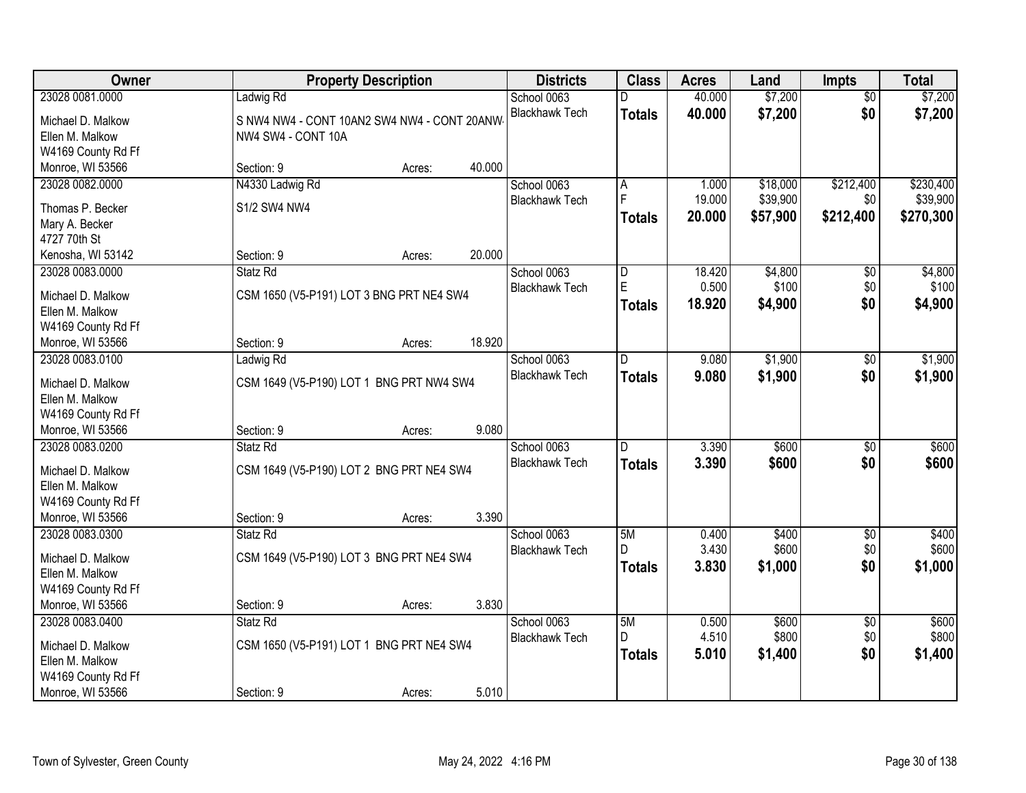| Owner                                  |                                             | <b>Property Description</b> |        | <b>Districts</b>      | <b>Class</b>   | <b>Acres</b> | Land     | <b>Impts</b>    | <b>Total</b> |
|----------------------------------------|---------------------------------------------|-----------------------------|--------|-----------------------|----------------|--------------|----------|-----------------|--------------|
| 23028 0081.0000                        | Ladwig Rd                                   |                             |        | School 0063           |                | 40.000       | \$7,200  | $\overline{50}$ | \$7,200      |
| Michael D. Malkow                      | S NW4 NW4 - CONT 10AN2 SW4 NW4 - CONT 20ANW |                             |        | <b>Blackhawk Tech</b> | <b>Totals</b>  | 40.000       | \$7,200  | \$0             | \$7,200      |
| Ellen M. Malkow                        | NW4 SW4 - CONT 10A                          |                             |        |                       |                |              |          |                 |              |
| W4169 County Rd Ff                     |                                             |                             |        |                       |                |              |          |                 |              |
| Monroe, WI 53566                       | Section: 9                                  | Acres:                      | 40.000 |                       |                |              |          |                 |              |
| 23028 0082.0000                        | N4330 Ladwig Rd                             |                             |        | School 0063           | A              | 1.000        | \$18,000 | \$212,400       | \$230,400    |
|                                        | S1/2 SW4 NW4                                |                             |        | <b>Blackhawk Tech</b> | F              | 19.000       | \$39,900 | \$0             | \$39,900     |
| Thomas P. Becker                       |                                             |                             |        |                       | <b>Totals</b>  | 20.000       | \$57,900 | \$212,400       | \$270,300    |
| Mary A. Becker<br>4727 70th St         |                                             |                             |        |                       |                |              |          |                 |              |
| Kenosha, WI 53142                      | Section: 9                                  | Acres:                      | 20.000 |                       |                |              |          |                 |              |
| 23028 0083.0000                        | Statz Rd                                    |                             |        | School 0063           | D              | 18.420       | \$4,800  | \$0             | \$4,800      |
|                                        |                                             |                             |        | <b>Blackhawk Tech</b> | E              | 0.500        | \$100    | \$0             | \$100        |
| Michael D. Malkow                      | CSM 1650 (V5-P191) LOT 3 BNG PRT NE4 SW4    |                             |        |                       | Totals         | 18.920       | \$4,900  | \$0             | \$4,900      |
| Ellen M. Malkow                        |                                             |                             |        |                       |                |              |          |                 |              |
| W4169 County Rd Ff                     |                                             |                             |        |                       |                |              |          |                 |              |
| Monroe, WI 53566                       | Section: 9                                  | Acres:                      | 18.920 |                       |                |              |          |                 |              |
| 23028 0083.0100                        | Ladwig Rd                                   |                             |        | School 0063           | D              | 9.080        | \$1,900  | $\sqrt[6]{3}$   | \$1,900      |
| Michael D. Malkow                      | CSM 1649 (V5-P190) LOT 1 BNG PRT NW4 SW4    |                             |        | <b>Blackhawk Tech</b> | Totals         | 9.080        | \$1,900  | \$0             | \$1,900      |
| Ellen M. Malkow                        |                                             |                             |        |                       |                |              |          |                 |              |
| W4169 County Rd Ff                     |                                             |                             |        |                       |                |              |          |                 |              |
| Monroe, WI 53566                       | Section: 9                                  | Acres:                      | 9.080  |                       |                |              |          |                 |              |
| 23028 0083.0200                        | Statz Rd                                    |                             |        | School 0063           | $\overline{D}$ | 3.390        | \$600    | $\overline{50}$ | \$600        |
|                                        |                                             |                             |        | <b>Blackhawk Tech</b> | <b>Totals</b>  | 3.390        | \$600    | \$0             | \$600        |
| Michael D. Malkow                      | CSM 1649 (V5-P190) LOT 2 BNG PRT NE4 SW4    |                             |        |                       |                |              |          |                 |              |
| Ellen M. Malkow                        |                                             |                             |        |                       |                |              |          |                 |              |
| W4169 County Rd Ff<br>Monroe, WI 53566 | Section: 9                                  | Acres:                      | 3.390  |                       |                |              |          |                 |              |
| 23028 0083.0300                        | Statz Rd                                    |                             |        | School 0063           | 5M             | 0.400        | \$400    | $\overline{50}$ | \$400        |
|                                        |                                             |                             |        | <b>Blackhawk Tech</b> | D              | 3.430        | \$600    | \$0             | \$600        |
| Michael D. Malkow                      | CSM 1649 (V5-P190) LOT 3 BNG PRT NE4 SW4    |                             |        |                       |                | 3.830        | \$1,000  | \$0             | \$1,000      |
| Ellen M. Malkow                        |                                             |                             |        |                       | <b>Totals</b>  |              |          |                 |              |
| W4169 County Rd Ff                     |                                             |                             |        |                       |                |              |          |                 |              |
| Monroe, WI 53566                       | Section: 9                                  | Acres:                      | 3.830  |                       |                |              |          |                 |              |
| 23028 0083.0400                        | Statz Rd                                    |                             |        | School 0063           | 5M             | 0.500        | \$600    | $\overline{60}$ | \$600        |
| Michael D. Malkow                      | CSM 1650 (V5-P191) LOT 1 BNG PRT NE4 SW4    |                             |        | <b>Blackhawk Tech</b> | D              | 4.510        | \$800    | \$0             | \$800        |
| Ellen M. Malkow                        |                                             |                             |        |                       | <b>Totals</b>  | 5.010        | \$1,400  | \$0             | \$1,400      |
| W4169 County Rd Ff                     |                                             |                             |        |                       |                |              |          |                 |              |
| Monroe, WI 53566                       | Section: 9                                  | Acres:                      | 5.010  |                       |                |              |          |                 |              |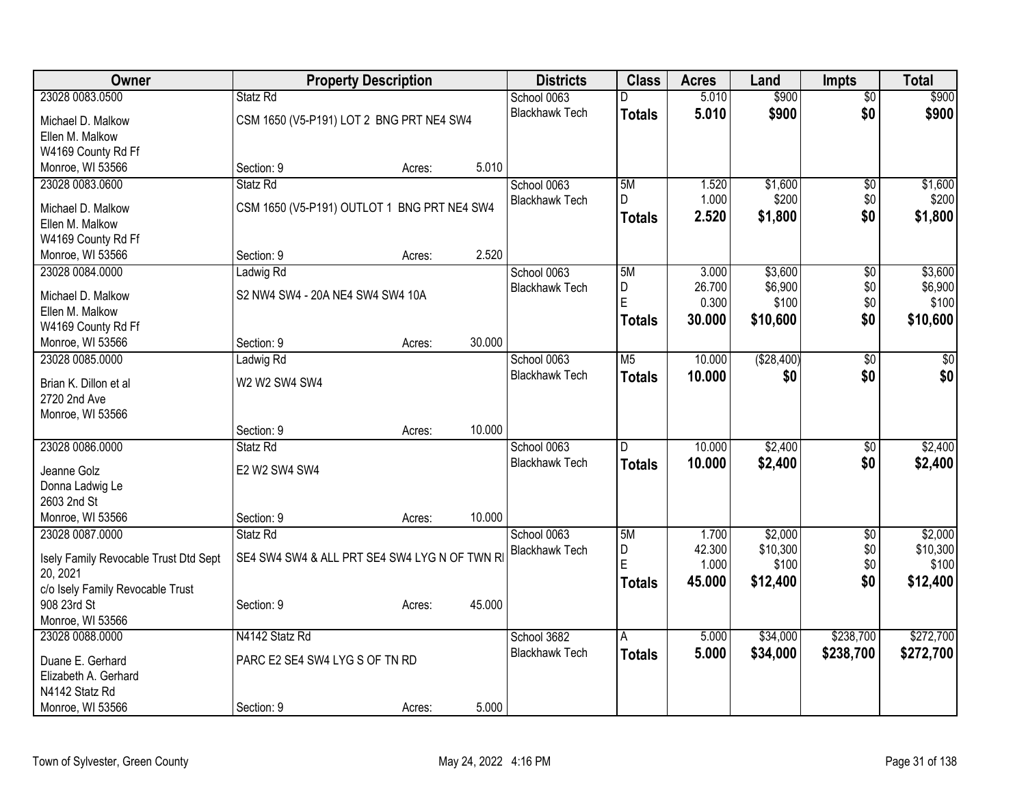| Owner                                 |                                              | <b>Property Description</b> |        | <b>Districts</b>      | <b>Class</b>   | <b>Acres</b> | Land       | <b>Impts</b>           | <b>Total</b> |
|---------------------------------------|----------------------------------------------|-----------------------------|--------|-----------------------|----------------|--------------|------------|------------------------|--------------|
| 23028 0083.0500                       | Statz Rd                                     |                             |        | School 0063           | D              | 5.010        | \$900      | $\overline{50}$        | \$900        |
| Michael D. Malkow                     | CSM 1650 (V5-P191) LOT 2 BNG PRT NE4 SW4     |                             |        | <b>Blackhawk Tech</b> | <b>Totals</b>  | 5.010        | \$900      | \$0                    | \$900        |
| Ellen M. Malkow                       |                                              |                             |        |                       |                |              |            |                        |              |
| W4169 County Rd Ff                    |                                              |                             |        |                       |                |              |            |                        |              |
| Monroe, WI 53566                      | Section: 9                                   | Acres:                      | 5.010  |                       |                |              |            |                        |              |
| 23028 0083.0600                       | Statz Rd                                     |                             |        | School 0063           | 5M             | 1.520        | \$1,600    | \$0                    | \$1,600      |
|                                       | CSM 1650 (V5-P191) OUTLOT 1 BNG PRT NE4 SW4  |                             |        | <b>Blackhawk Tech</b> | D              | 1.000        | \$200      | \$0                    | \$200        |
| Michael D. Malkow<br>Ellen M. Malkow  |                                              |                             |        |                       | <b>Totals</b>  | 2.520        | \$1,800    | \$0                    | \$1,800      |
| W4169 County Rd Ff                    |                                              |                             |        |                       |                |              |            |                        |              |
| Monroe, WI 53566                      | Section: 9                                   | Acres:                      | 2.520  |                       |                |              |            |                        |              |
| 23028 0084.0000                       | Ladwig Rd                                    |                             |        | School 0063           | 5M             | 3.000        | \$3,600    | \$0                    | \$3,600      |
|                                       |                                              |                             |        | <b>Blackhawk Tech</b> | D              | 26.700       | \$6,900    | \$0                    | \$6,900      |
| Michael D. Malkow                     | S2 NW4 SW4 - 20A NE4 SW4 SW4 10A             |                             |        |                       | E              | 0.300        | \$100      | \$0                    | \$100        |
| Ellen M. Malkow                       |                                              |                             |        |                       | <b>Totals</b>  | 30.000       | \$10,600   | \$0                    | \$10,600     |
| W4169 County Rd Ff                    |                                              |                             |        |                       |                |              |            |                        |              |
| Monroe, WI 53566                      | Section: 9                                   | Acres:                      | 30.000 |                       |                |              |            |                        |              |
| 23028 0085.0000                       | Ladwig Rd                                    |                             |        | School 0063           | M <sub>5</sub> | 10.000       | (\$28,400) | $\overline{50}$        | $\sqrt{50}$  |
| Brian K. Dillon et al                 | W2 W2 SW4 SW4                                |                             |        | <b>Blackhawk Tech</b> | <b>Totals</b>  | 10.000       | \$0        | \$0                    | \$0          |
| 2720 2nd Ave                          |                                              |                             |        |                       |                |              |            |                        |              |
| Monroe, WI 53566                      |                                              |                             |        |                       |                |              |            |                        |              |
|                                       | Section: 9                                   | Acres:                      | 10.000 |                       |                |              |            |                        |              |
| 23028 0086.0000                       | Statz Rd                                     |                             |        | School 0063           | $\overline{D}$ | 10.000       | \$2,400    | \$0                    | \$2,400      |
|                                       |                                              |                             |        | <b>Blackhawk Tech</b> | <b>Totals</b>  | 10.000       | \$2,400    | \$0                    | \$2,400      |
| Jeanne Golz                           | E2 W2 SW4 SW4                                |                             |        |                       |                |              |            |                        |              |
| Donna Ladwig Le<br>2603 2nd St        |                                              |                             |        |                       |                |              |            |                        |              |
| Monroe, WI 53566                      | Section: 9                                   |                             | 10.000 |                       |                |              |            |                        |              |
| 23028 0087.0000                       | Statz Rd                                     | Acres:                      |        | School 0063           | 5M             | 1.700        | \$2,000    |                        | \$2,000      |
|                                       |                                              |                             |        | <b>Blackhawk Tech</b> | $\overline{D}$ | 42.300       | \$10,300   | $\overline{60}$<br>\$0 | \$10,300     |
| Isely Family Revocable Trust Dtd Sept | SE4 SW4 SW4 & ALL PRT SE4 SW4 LYG N OF TWN R |                             |        |                       | E              | 1.000        | \$100      | \$0                    | \$100        |
| 20, 2021                              |                                              |                             |        |                       | <b>Totals</b>  | 45.000       | \$12,400   | \$0                    | \$12,400     |
| c/o Isely Family Revocable Trust      |                                              |                             |        |                       |                |              |            |                        |              |
| 908 23rd St                           | Section: 9                                   | Acres:                      | 45.000 |                       |                |              |            |                        |              |
| Monroe, WI 53566                      |                                              |                             |        |                       |                |              |            |                        |              |
| 23028 0088.0000                       | N4142 Statz Rd                               |                             |        | School 3682           | A              | 5.000        | \$34,000   | \$238,700              | \$272,700    |
| Duane E. Gerhard                      | PARC E2 SE4 SW4 LYG S OF TN RD               |                             |        | <b>Blackhawk Tech</b> | <b>Totals</b>  | 5.000        | \$34,000   | \$238,700              | \$272,700    |
| Elizabeth A. Gerhard                  |                                              |                             |        |                       |                |              |            |                        |              |
| N4142 Statz Rd                        |                                              |                             |        |                       |                |              |            |                        |              |
| Monroe, WI 53566                      | Section: 9                                   | Acres:                      | 5.000  |                       |                |              |            |                        |              |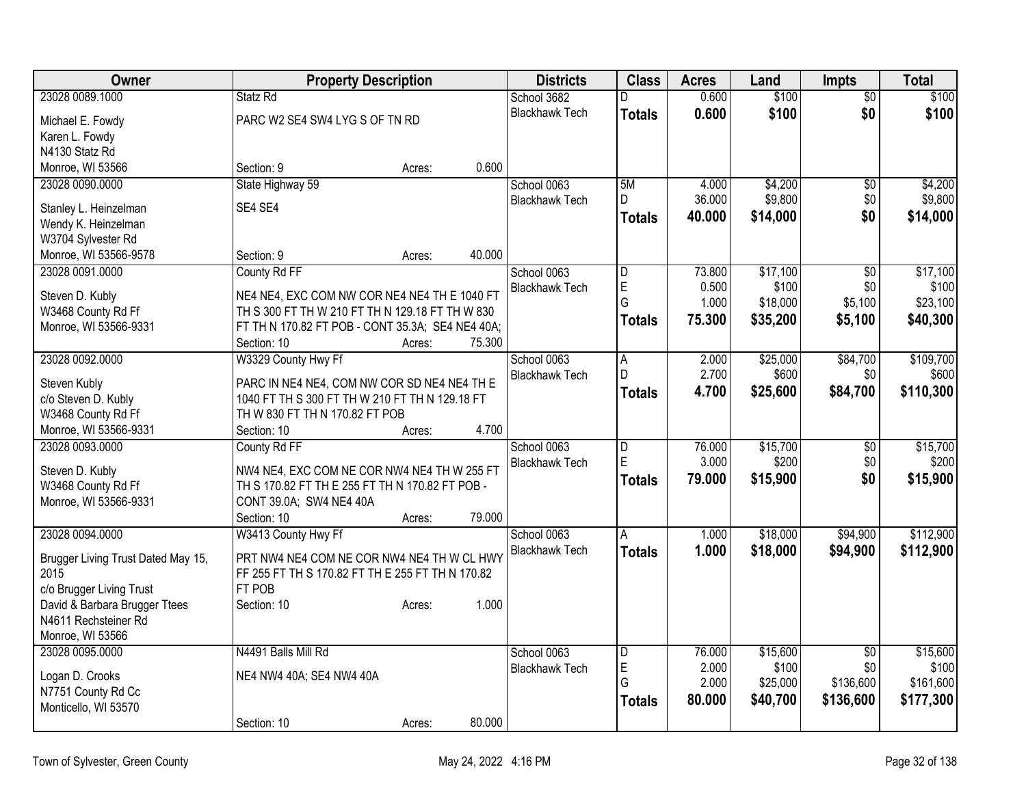| Owner                                 | <b>Property Description</b>                                                                    | <b>Districts</b>      | <b>Class</b>            | <b>Acres</b> | Land     | Impts           | <b>Total</b> |
|---------------------------------------|------------------------------------------------------------------------------------------------|-----------------------|-------------------------|--------------|----------|-----------------|--------------|
| 23028 0089.1000                       | Statz Rd                                                                                       | School 3682           | D                       | 0.600        | \$100    | $\overline{50}$ | \$100        |
| Michael E. Fowdy                      | PARC W2 SE4 SW4 LYG S OF TN RD                                                                 | <b>Blackhawk Tech</b> | <b>Totals</b>           | 0.600        | \$100    | \$0             | \$100        |
| Karen L. Fowdy                        |                                                                                                |                       |                         |              |          |                 |              |
| N4130 Statz Rd                        |                                                                                                |                       |                         |              |          |                 |              |
| Monroe, WI 53566                      | 0.600<br>Section: 9<br>Acres:                                                                  |                       |                         |              |          |                 |              |
| 23028 0090.0000                       | State Highway 59                                                                               | School 0063           | 5M                      | 4.000        | \$4,200  | $\overline{50}$ | \$4,200      |
| Stanley L. Heinzelman                 | SE4 SE4                                                                                        | <b>Blackhawk Tech</b> | D                       | 36.000       | \$9,800  | \$0             | \$9,800      |
| Wendy K. Heinzelman                   |                                                                                                |                       | <b>Totals</b>           | 40.000       | \$14,000 | \$0             | \$14,000     |
| W3704 Sylvester Rd                    |                                                                                                |                       |                         |              |          |                 |              |
| Monroe, WI 53566-9578                 | 40.000<br>Section: 9<br>Acres:                                                                 |                       |                         |              |          |                 |              |
| 23028 0091.0000                       | County Rd FF                                                                                   | School 0063           | $\overline{\mathsf{D}}$ | 73.800       | \$17,100 | $\overline{50}$ | \$17,100     |
| Steven D. Kubly                       | NE4 NE4, EXC COM NW COR NE4 NE4 TH E 1040 FT                                                   | <b>Blackhawk Tech</b> | E                       | 0.500        | \$100    | \$0             | \$100        |
| W3468 County Rd Ff                    | TH S 300 FT TH W 210 FT TH N 129.18 FT TH W 830                                                |                       | G                       | 1.000        | \$18,000 | \$5,100         | \$23,100     |
| Monroe, WI 53566-9331                 | FT TH N 170.82 FT POB - CONT 35.3A; SE4 NE4 40A;                                               |                       | <b>Totals</b>           | 75.300       | \$35,200 | \$5,100         | \$40,300     |
|                                       | Section: 10<br>75.300<br>Acres:                                                                |                       |                         |              |          |                 |              |
| 23028 0092.0000                       | W3329 County Hwy Ff                                                                            | School 0063           | Ā                       | 2.000        | \$25,000 | \$84,700        | \$109,700    |
|                                       |                                                                                                | <b>Blackhawk Tech</b> | D                       | 2.700        | \$600    | \$0             | \$600        |
| Steven Kubly<br>c/o Steven D. Kubly   | PARC IN NE4 NE4, COM NW COR SD NE4 NE4 TH E<br>1040 FT TH S 300 FT TH W 210 FT TH N 129.18 FT  |                       | <b>Totals</b>           | 4.700        | \$25,600 | \$84,700        | \$110,300    |
| W3468 County Rd Ff                    | TH W 830 FT TH N 170.82 FT POB                                                                 |                       |                         |              |          |                 |              |
| Monroe, WI 53566-9331                 | 4.700<br>Section: 10<br>Acres:                                                                 |                       |                         |              |          |                 |              |
| 23028 0093,0000                       | County Rd FF                                                                                   | School 0063           | $\overline{\mathsf{D}}$ | 76.000       | \$15,700 | $\overline{50}$ | \$15,700     |
|                                       |                                                                                                | <b>Blackhawk Tech</b> | E                       | 3.000        | \$200    | \$0             | \$200        |
| Steven D. Kubly<br>W3468 County Rd Ff | NW4 NE4, EXC COM NE COR NW4 NE4 TH W 255 FT<br>TH S 170.82 FT TH E 255 FT TH N 170.82 FT POB - |                       | <b>Totals</b>           | 79.000       | \$15,900 | \$0             | \$15,900     |
| Monroe, WI 53566-9331                 | CONT 39.0A; SW4 NE4 40A                                                                        |                       |                         |              |          |                 |              |
|                                       | 79.000<br>Section: 10<br>Acres:                                                                |                       |                         |              |          |                 |              |
| 23028 0094.0000                       | W3413 County Hwy Ff                                                                            | School 0063           | A                       | 1.000        | \$18,000 | \$94,900        | \$112,900    |
|                                       |                                                                                                | <b>Blackhawk Tech</b> | <b>Totals</b>           | 1.000        | \$18,000 | \$94,900        | \$112,900    |
| Brugger Living Trust Dated May 15,    | PRT NW4 NE4 COM NE COR NW4 NE4 TH W CL HWY                                                     |                       |                         |              |          |                 |              |
| 2015<br>c/o Brugger Living Trust      | FF 255 FT TH S 170.82 FT TH E 255 FT TH N 170.82<br>FT POB                                     |                       |                         |              |          |                 |              |
| David & Barbara Brugger Ttees         | 1.000<br>Section: 10<br>Acres:                                                                 |                       |                         |              |          |                 |              |
| N4611 Rechsteiner Rd                  |                                                                                                |                       |                         |              |          |                 |              |
| Monroe, WI 53566                      |                                                                                                |                       |                         |              |          |                 |              |
| 23028 0095.0000                       | N4491 Balls Mill Rd                                                                            | School 0063           | $\overline{\mathsf{D}}$ | 76.000       | \$15,600 | $\overline{50}$ | \$15,600     |
|                                       | NE4 NW4 40A; SE4 NW4 40A                                                                       | <b>Blackhawk Tech</b> | E                       | 2.000        | \$100    | \$0             | \$100        |
| Logan D. Crooks<br>N7751 County Rd Cc |                                                                                                |                       | G                       | 2.000        | \$25,000 | \$136,600       | \$161,600    |
| Monticello, WI 53570                  |                                                                                                |                       | <b>Totals</b>           | 80.000       | \$40,700 | \$136,600       | \$177,300    |
|                                       | 80.000<br>Section: 10<br>Acres:                                                                |                       |                         |              |          |                 |              |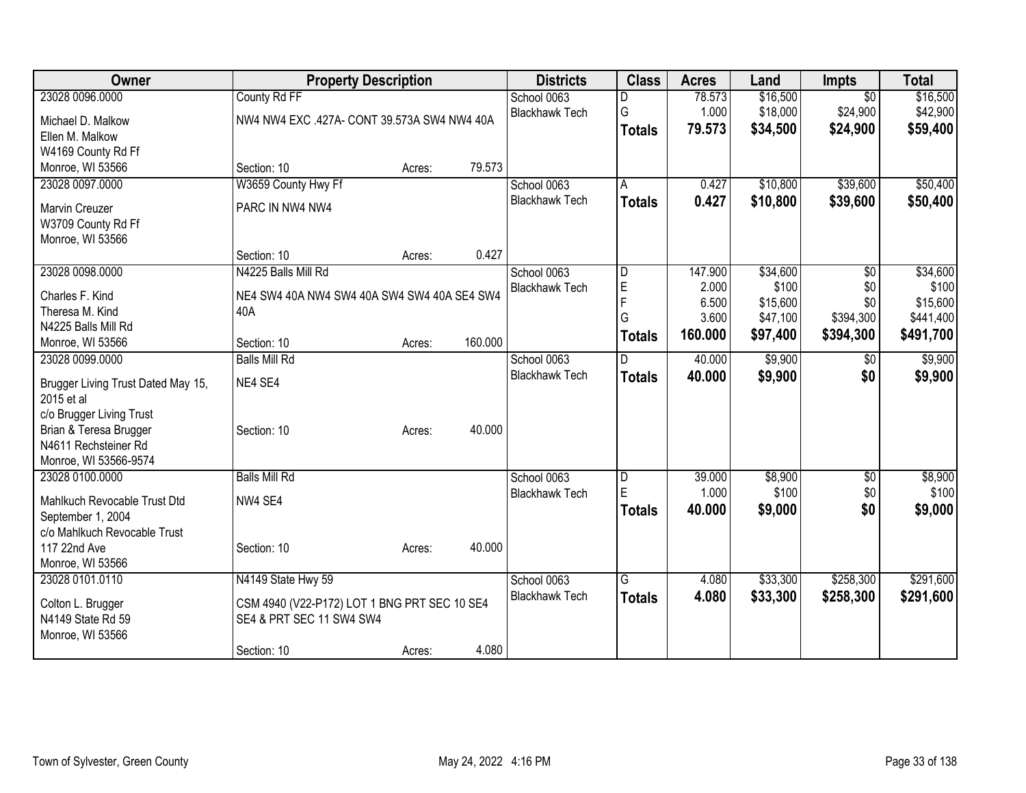| Owner                                  |                                                                          | <b>Property Description</b> |         | <b>Districts</b>      | <b>Class</b>   | <b>Acres</b> | Land     | <b>Impts</b>    | <b>Total</b> |
|----------------------------------------|--------------------------------------------------------------------------|-----------------------------|---------|-----------------------|----------------|--------------|----------|-----------------|--------------|
| 23028 0096.0000                        | County Rd FF                                                             |                             |         | School 0063           |                | 78.573       | \$16,500 | $\overline{50}$ | \$16,500     |
| Michael D. Malkow                      | NW4 NW4 EXC .427A- CONT 39.573A SW4 NW4 40A                              |                             |         | <b>Blackhawk Tech</b> | G              | 1.000        | \$18,000 | \$24,900        | \$42,900     |
| Ellen M. Malkow                        |                                                                          |                             |         |                       | <b>Totals</b>  | 79.573       | \$34,500 | \$24,900        | \$59,400     |
| W4169 County Rd Ff                     |                                                                          |                             |         |                       |                |              |          |                 |              |
| Monroe, WI 53566                       | Section: 10                                                              | Acres:                      | 79.573  |                       |                |              |          |                 |              |
| 23028 0097.0000                        | W3659 County Hwy Ff                                                      |                             |         | School 0063           | $\overline{A}$ | 0.427        | \$10,800 | \$39,600        | \$50,400     |
| <b>Marvin Creuzer</b>                  | PARC IN NW4 NW4                                                          |                             |         | <b>Blackhawk Tech</b> | <b>Totals</b>  | 0.427        | \$10,800 | \$39,600        | \$50,400     |
| W3709 County Rd Ff                     |                                                                          |                             |         |                       |                |              |          |                 |              |
| Monroe, WI 53566                       |                                                                          |                             |         |                       |                |              |          |                 |              |
|                                        | Section: 10                                                              | Acres:                      | 0.427   |                       |                |              |          |                 |              |
| 23028 0098.0000                        | N4225 Balls Mill Rd                                                      |                             |         | School 0063           | D              | 147.900      | \$34,600 | \$0             | \$34,600     |
| Charles F. Kind                        | NE4 SW4 40A NW4 SW4 40A SW4 SW4 40A SE4 SW4                              |                             |         | <b>Blackhawk Tech</b> | E              | 2.000        | \$100    | \$0             | \$100        |
| Theresa M. Kind                        | 40A                                                                      |                             |         |                       | $\overline{F}$ | 6.500        | \$15,600 | \$0             | \$15,600     |
| N4225 Balls Mill Rd                    |                                                                          |                             |         |                       | G              | 3.600        | \$47,100 | \$394,300       | \$441,400    |
| Monroe, WI 53566                       | Section: 10                                                              | Acres:                      | 160.000 |                       | <b>Totals</b>  | 160,000      | \$97,400 | \$394,300       | \$491,700    |
| 23028 0099.0000                        | <b>Balls Mill Rd</b>                                                     |                             |         | School 0063           | D              | 40.000       | \$9,900  | $\sqrt[6]{}$    | \$9,900      |
|                                        |                                                                          |                             |         | <b>Blackhawk Tech</b> | <b>Totals</b>  | 40.000       | \$9,900  | \$0             | \$9,900      |
| Brugger Living Trust Dated May 15,     | NE4 SE4                                                                  |                             |         |                       |                |              |          |                 |              |
| 2015 et al<br>c/o Brugger Living Trust |                                                                          |                             |         |                       |                |              |          |                 |              |
| Brian & Teresa Brugger                 | Section: 10                                                              | Acres:                      | 40.000  |                       |                |              |          |                 |              |
| N4611 Rechsteiner Rd                   |                                                                          |                             |         |                       |                |              |          |                 |              |
| Monroe, WI 53566-9574                  |                                                                          |                             |         |                       |                |              |          |                 |              |
| 23028 0100.0000                        | <b>Balls Mill Rd</b>                                                     |                             |         | School 0063           | $\overline{D}$ | 39.000       | \$8,900  | \$0             | \$8,900      |
| Mahlkuch Revocable Trust Dtd           | NW4 SE4                                                                  |                             |         | <b>Blackhawk Tech</b> | E              | 1.000        | \$100    | \$0             | \$100        |
| September 1, 2004                      |                                                                          |                             |         |                       | <b>Totals</b>  | 40.000       | \$9,000  | \$0             | \$9,000      |
| c/o Mahlkuch Revocable Trust           |                                                                          |                             |         |                       |                |              |          |                 |              |
| 117 22nd Ave                           | Section: 10                                                              | Acres:                      | 40.000  |                       |                |              |          |                 |              |
| Monroe, WI 53566                       |                                                                          |                             |         |                       |                |              |          |                 |              |
| 23028 0101.0110                        | N4149 State Hwy 59                                                       |                             |         | School 0063           | $\overline{G}$ | 4.080        | \$33,300 | \$258,300       | \$291,600    |
|                                        |                                                                          |                             |         | <b>Blackhawk Tech</b> | <b>Totals</b>  | 4.080        | \$33,300 | \$258,300       | \$291,600    |
| Colton L. Brugger<br>N4149 State Rd 59 | CSM 4940 (V22-P172) LOT 1 BNG PRT SEC 10 SE4<br>SE4 & PRT SEC 11 SW4 SW4 |                             |         |                       |                |              |          |                 |              |
| Monroe, WI 53566                       |                                                                          |                             |         |                       |                |              |          |                 |              |
|                                        | Section: 10                                                              | Acres:                      | 4.080   |                       |                |              |          |                 |              |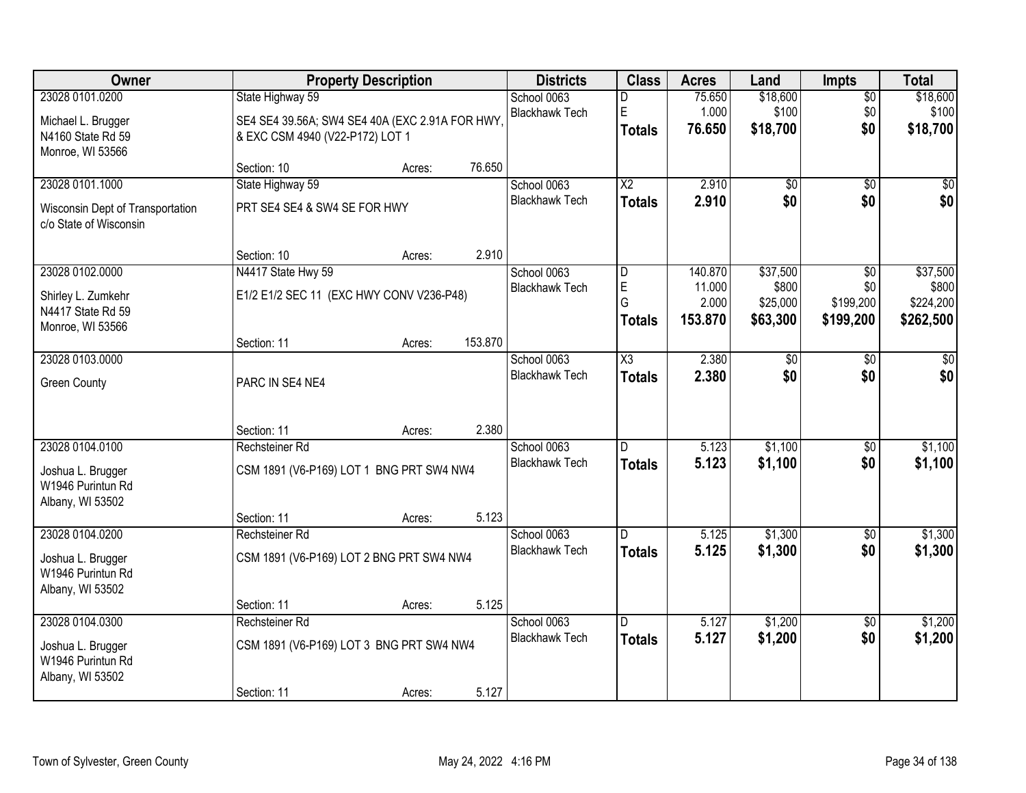| Owner                                                      |                                                | <b>Property Description</b> |         | <b>Districts</b>      | <b>Class</b>           | <b>Acres</b> | Land            | <b>Impts</b>    | <b>Total</b>    |
|------------------------------------------------------------|------------------------------------------------|-----------------------------|---------|-----------------------|------------------------|--------------|-----------------|-----------------|-----------------|
| 23028 0101.0200                                            | State Highway 59                               |                             |         | School 0063           | D                      | 75.650       | \$18,600        | $\overline{60}$ | \$18,600        |
| Michael L. Brugger                                         | SE4 SE4 39.56A; SW4 SE4 40A (EXC 2.91A FOR HWY |                             |         | <b>Blackhawk Tech</b> | E                      | 1.000        | \$100           | \$0             | \$100           |
| N4160 State Rd 59                                          | & EXC CSM 4940 (V22-P172) LOT 1                |                             |         |                       | <b>Totals</b>          | 76.650       | \$18,700        | \$0             | \$18,700        |
| Monroe, WI 53566                                           |                                                |                             |         |                       |                        |              |                 |                 |                 |
|                                                            | Section: 10                                    | Acres:                      | 76.650  |                       |                        |              |                 |                 |                 |
| 23028 0101.1000                                            | State Highway 59                               |                             |         | School 0063           | $\overline{\text{X2}}$ | 2.910        | $\overline{50}$ | $\overline{30}$ | $\overline{30}$ |
| Wisconsin Dept of Transportation<br>c/o State of Wisconsin | PRT SE4 SE4 & SW4 SE FOR HWY                   |                             |         | <b>Blackhawk Tech</b> | <b>Totals</b>          | 2.910        | \$0             | \$0             | \$0             |
|                                                            | Section: 10                                    | Acres:                      | 2.910   |                       |                        |              |                 |                 |                 |
| 23028 0102.0000                                            | N4417 State Hwy 59                             |                             |         | School 0063           | D                      | 140.870      | \$37,500        | \$0             | \$37,500        |
| Shirley L. Zumkehr                                         | E1/2 E1/2 SEC 11 (EXC HWY CONV V236-P48)       |                             |         | <b>Blackhawk Tech</b> | E                      | 11.000       | \$800           | \$0             | \$800           |
| N4417 State Rd 59                                          |                                                |                             |         |                       | G                      | 2.000        | \$25,000        | \$199,200       | \$224,200       |
| Monroe, WI 53566                                           |                                                |                             |         |                       | <b>Totals</b>          | 153,870      | \$63,300        | \$199,200       | \$262,500       |
|                                                            | Section: 11                                    | Acres:                      | 153.870 |                       |                        |              |                 |                 |                 |
| 23028 0103.0000                                            |                                                |                             |         | School 0063           | X3                     | 2.380        | \$0             | \$0             | \$0             |
| <b>Green County</b>                                        | PARC IN SE4 NE4                                |                             |         | <b>Blackhawk Tech</b> | <b>Totals</b>          | 2.380        | \$0             | \$0             | \$0             |
|                                                            | Section: 11                                    | Acres:                      | 2.380   |                       |                        |              |                 |                 |                 |
| 23028 0104.0100                                            | Rechsteiner Rd                                 |                             |         | School 0063           | D.                     | 5.123        | \$1,100         | \$0             | \$1,100         |
| Joshua L. Brugger                                          | CSM 1891 (V6-P169) LOT 1 BNG PRT SW4 NW4       |                             |         | <b>Blackhawk Tech</b> | <b>Totals</b>          | 5.123        | \$1,100         | \$0             | \$1,100         |
| W1946 Purintun Rd                                          |                                                |                             |         |                       |                        |              |                 |                 |                 |
| Albany, WI 53502                                           |                                                |                             |         |                       |                        |              |                 |                 |                 |
|                                                            | Section: 11                                    | Acres:                      | 5.123   |                       |                        |              |                 |                 |                 |
| 23028 0104.0200                                            | Rechsteiner Rd                                 |                             |         | School 0063           | D.                     | 5.125        | \$1,300         | \$0             | \$1,300         |
| Joshua L. Brugger                                          | CSM 1891 (V6-P169) LOT 2 BNG PRT SW4 NW4       |                             |         | <b>Blackhawk Tech</b> | <b>Totals</b>          | 5.125        | \$1,300         | \$0             | \$1,300         |
| W1946 Purintun Rd                                          |                                                |                             |         |                       |                        |              |                 |                 |                 |
| Albany, WI 53502                                           |                                                |                             |         |                       |                        |              |                 |                 |                 |
|                                                            | Section: 11                                    | Acres:                      | 5.125   |                       |                        |              |                 |                 |                 |
| 23028 0104.0300                                            | Rechsteiner Rd                                 |                             |         | School 0063           | D.                     | 5.127        | \$1,200         | $\overline{50}$ | \$1,200         |
| Joshua L. Brugger<br>W1946 Purintun Rd                     | CSM 1891 (V6-P169) LOT 3 BNG PRT SW4 NW4       |                             |         | <b>Blackhawk Tech</b> | <b>Totals</b>          | 5.127        | \$1,200         | \$0             | \$1,200         |
| Albany, WI 53502                                           | Section: 11                                    | Acres:                      | 5.127   |                       |                        |              |                 |                 |                 |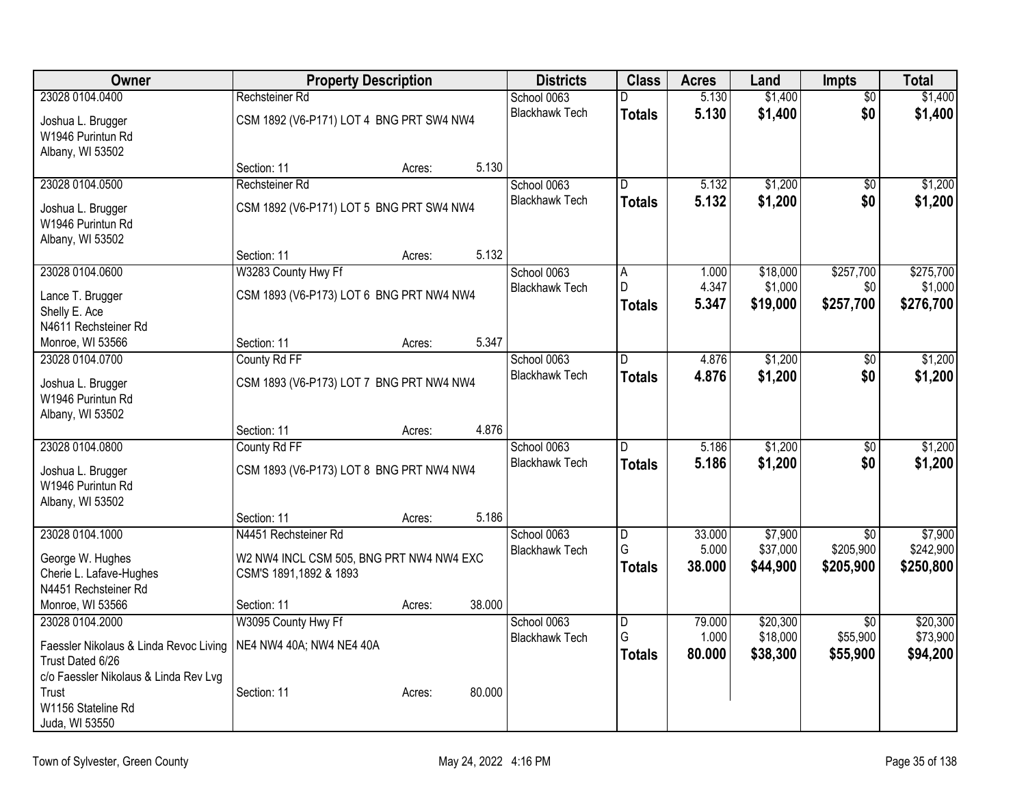| <b>Owner</b>                           |                                          | <b>Property Description</b> |        | <b>Districts</b>      | <b>Class</b>            | <b>Acres</b>   | Land     | Impts           | <b>Total</b> |
|----------------------------------------|------------------------------------------|-----------------------------|--------|-----------------------|-------------------------|----------------|----------|-----------------|--------------|
| 23028 0104.0400                        | Rechsteiner Rd                           |                             |        | School 0063           | D                       | 5.130          | \$1,400  | $\overline{50}$ | \$1,400      |
| Joshua L. Brugger                      | CSM 1892 (V6-P171) LOT 4 BNG PRT SW4 NW4 |                             |        | <b>Blackhawk Tech</b> | <b>Totals</b>           | 5.130          | \$1,400  | \$0             | \$1,400      |
| W1946 Purintun Rd                      |                                          |                             |        |                       |                         |                |          |                 |              |
| Albany, WI 53502                       |                                          |                             |        |                       |                         |                |          |                 |              |
|                                        | Section: 11                              | Acres:                      | 5.130  |                       |                         |                |          |                 |              |
| 23028 0104.0500                        | Rechsteiner Rd                           |                             |        | School 0063           | $\overline{\mathsf{D}}$ | 5.132          | \$1,200  | $\overline{50}$ | \$1,200      |
| Joshua L. Brugger                      | CSM 1892 (V6-P171) LOT 5 BNG PRT SW4 NW4 |                             |        | <b>Blackhawk Tech</b> | <b>Totals</b>           | 5.132          | \$1,200  | \$0             | \$1,200      |
| W1946 Purintun Rd                      |                                          |                             |        |                       |                         |                |          |                 |              |
| Albany, WI 53502                       |                                          |                             |        |                       |                         |                |          |                 |              |
|                                        | Section: 11                              | Acres:                      | 5.132  |                       |                         |                |          |                 |              |
| 23028 0104.0600                        | W3283 County Hwy Ff                      |                             |        | School 0063           | A<br>D.                 | 1.000          | \$18,000 | \$257,700       | \$275,700    |
| Lance T. Brugger                       | CSM 1893 (V6-P173) LOT 6 BNG PRT NW4 NW4 |                             |        | <b>Blackhawk Tech</b> |                         | 4.347<br>5.347 | \$1,000  | \$0             | \$1,000      |
| Shelly E. Ace                          |                                          |                             |        |                       | <b>Totals</b>           |                | \$19,000 | \$257,700       | \$276,700    |
| N4611 Rechsteiner Rd                   |                                          |                             |        |                       |                         |                |          |                 |              |
| Monroe, WI 53566                       | Section: 11                              | Acres:                      | 5.347  |                       |                         |                |          |                 |              |
| 23028 0104.0700                        | County Rd FF                             |                             |        | School 0063           | D.                      | 4.876          | \$1,200  | \$0             | \$1,200      |
| Joshua L. Brugger                      | CSM 1893 (V6-P173) LOT 7 BNG PRT NW4 NW4 |                             |        | <b>Blackhawk Tech</b> | <b>Totals</b>           | 4.876          | \$1,200  | \$0             | \$1,200      |
| W1946 Purintun Rd                      |                                          |                             |        |                       |                         |                |          |                 |              |
| Albany, WI 53502                       |                                          |                             |        |                       |                         |                |          |                 |              |
|                                        | Section: 11                              | Acres:                      | 4.876  |                       |                         |                |          |                 |              |
| 23028 0104.0800                        | County Rd FF                             |                             |        | School 0063           | $\overline{\mathsf{D}}$ | 5.186          | \$1,200  | $\overline{50}$ | \$1,200      |
| Joshua L. Brugger                      | CSM 1893 (V6-P173) LOT 8 BNG PRT NW4 NW4 |                             |        | <b>Blackhawk Tech</b> | <b>Totals</b>           | 5.186          | \$1,200  | \$0             | \$1,200      |
| W1946 Purintun Rd                      |                                          |                             |        |                       |                         |                |          |                 |              |
| Albany, WI 53502                       |                                          |                             |        |                       |                         |                |          |                 |              |
|                                        | Section: 11                              | Acres:                      | 5.186  |                       |                         |                |          |                 |              |
| 23028 0104.1000                        | N4451 Rechsteiner Rd                     |                             |        | School 0063           | $\overline{D}$          | 33.000         | \$7,900  | $\overline{30}$ | \$7,900      |
| George W. Hughes                       | W2 NW4 INCL CSM 505, BNG PRT NW4 NW4 EXC |                             |        | <b>Blackhawk Tech</b> | G                       | 5.000          | \$37,000 | \$205,900       | \$242,900    |
| Cherie L. Lafave-Hughes                | CSM'S 1891,1892 & 1893                   |                             |        |                       | <b>Totals</b>           | 38.000         | \$44,900 | \$205,900       | \$250,800    |
| N4451 Rechsteiner Rd                   |                                          |                             |        |                       |                         |                |          |                 |              |
| Monroe, WI 53566                       | Section: 11                              | Acres:                      | 38.000 |                       |                         |                |          |                 |              |
| 23028 0104.2000                        | W3095 County Hwy Ff                      |                             |        | School 0063           | $\overline{D}$          | 79.000         | \$20,300 | $\overline{30}$ | \$20,300     |
| Faessler Nikolaus & Linda Revoc Living | NE4 NW4 40A; NW4 NE4 40A                 |                             |        | <b>Blackhawk Tech</b> | G                       | 1.000          | \$18,000 | \$55,900        | \$73,900     |
| Trust Dated 6/26                       |                                          |                             |        |                       | <b>Totals</b>           | 80.000         | \$38,300 | \$55,900        | \$94,200     |
| c/o Faessler Nikolaus & Linda Rev Lvg  |                                          |                             |        |                       |                         |                |          |                 |              |
| Trust                                  | Section: 11                              | Acres:                      | 80.000 |                       |                         |                |          |                 |              |
| W1156 Stateline Rd                     |                                          |                             |        |                       |                         |                |          |                 |              |
| Juda, WI 53550                         |                                          |                             |        |                       |                         |                |          |                 |              |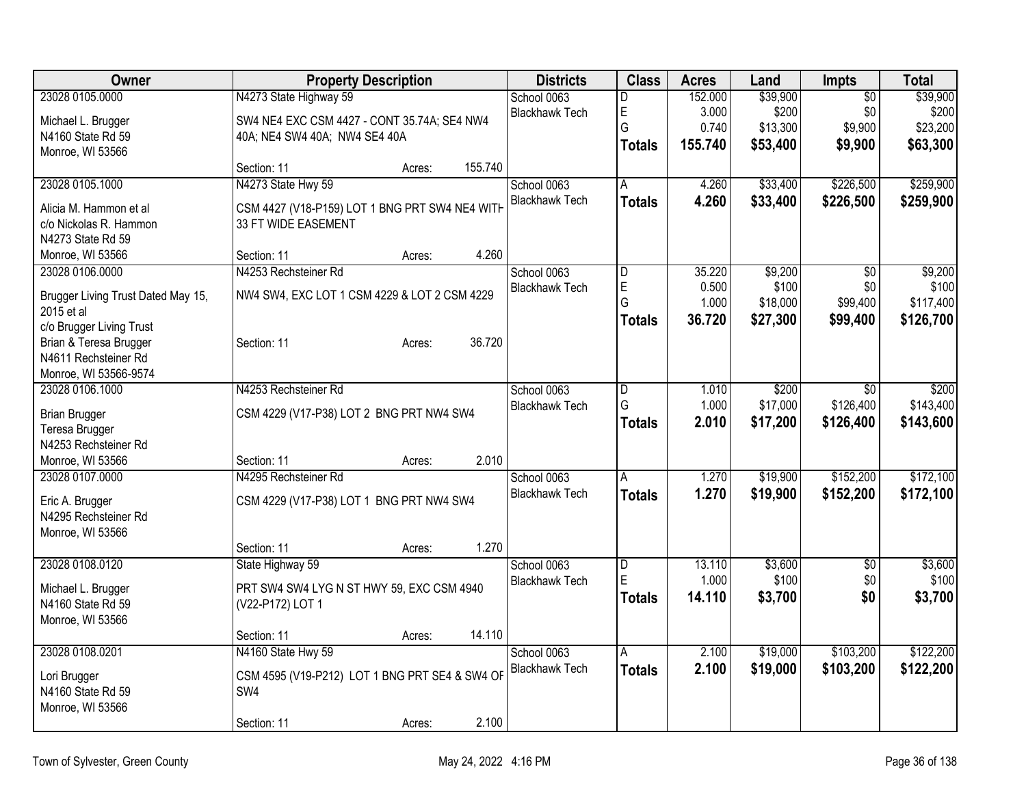| Owner                                  |                                                | <b>Property Description</b> |         | <b>Districts</b>      | <b>Class</b>   | <b>Acres</b> | Land     | Impts           | <b>Total</b> |
|----------------------------------------|------------------------------------------------|-----------------------------|---------|-----------------------|----------------|--------------|----------|-----------------|--------------|
| 23028 0105.0000                        | N4273 State Highway 59                         |                             |         | School 0063           | D              | 152.000      | \$39,900 | $\overline{50}$ | \$39,900     |
| Michael L. Brugger                     | SW4 NE4 EXC CSM 4427 - CONT 35.74A; SE4 NW4    |                             |         | <b>Blackhawk Tech</b> | E              | 3.000        | \$200    | \$0             | \$200        |
| N4160 State Rd 59                      | 40A; NE4 SW4 40A; NW4 SE4 40A                  |                             |         |                       | G              | 0.740        | \$13,300 | \$9,900         | \$23,200     |
| Monroe, WI 53566                       |                                                |                             |         |                       | <b>Totals</b>  | 155.740      | \$53,400 | \$9,900         | \$63,300     |
|                                        | Section: 11                                    | Acres:                      | 155.740 |                       |                |              |          |                 |              |
| 23028 0105.1000                        | N4273 State Hwy 59                             |                             |         | School 0063           | $\overline{A}$ | 4.260        | \$33,400 | \$226,500       | \$259,900    |
| Alicia M. Hammon et al                 | CSM 4427 (V18-P159) LOT 1 BNG PRT SW4 NE4 WITH |                             |         | <b>Blackhawk Tech</b> | <b>Totals</b>  | 4.260        | \$33,400 | \$226,500       | \$259,900    |
| c/o Nickolas R. Hammon                 | 33 FT WIDE EASEMENT                            |                             |         |                       |                |              |          |                 |              |
| N4273 State Rd 59                      |                                                |                             |         |                       |                |              |          |                 |              |
| Monroe, WI 53566                       | Section: 11                                    | Acres:                      | 4.260   |                       |                |              |          |                 |              |
| 23028 0106.0000                        | N4253 Rechsteiner Rd                           |                             |         | School 0063           | D              | 35.220       | \$9,200  | $\overline{50}$ | \$9,200      |
| Brugger Living Trust Dated May 15,     | NW4 SW4, EXC LOT 1 CSM 4229 & LOT 2 CSM 4229   |                             |         | <b>Blackhawk Tech</b> | E              | 0.500        | \$100    | \$0             | \$100        |
| 2015 et al                             |                                                |                             |         |                       | G              | 1.000        | \$18,000 | \$99,400        | \$117,400    |
| c/o Brugger Living Trust               |                                                |                             |         |                       | <b>Totals</b>  | 36.720       | \$27,300 | \$99,400        | \$126,700    |
| Brian & Teresa Brugger                 | Section: 11                                    | Acres:                      | 36.720  |                       |                |              |          |                 |              |
| N4611 Rechsteiner Rd                   |                                                |                             |         |                       |                |              |          |                 |              |
| Monroe, WI 53566-9574                  |                                                |                             |         |                       |                |              |          |                 |              |
| 23028 0106.1000                        | N4253 Rechsteiner Rd                           |                             |         | School 0063           | D              | 1.010        | \$200    | \$0             | \$200        |
|                                        |                                                |                             |         | <b>Blackhawk Tech</b> | G              | 1.000        | \$17,000 | \$126,400       | \$143,400    |
| <b>Brian Brugger</b><br>Teresa Brugger | CSM 4229 (V17-P38) LOT 2 BNG PRT NW4 SW4       |                             |         |                       | <b>Totals</b>  | 2.010        | \$17,200 | \$126,400       | \$143,600    |
| N4253 Rechsteiner Rd                   |                                                |                             |         |                       |                |              |          |                 |              |
| Monroe, WI 53566                       | Section: 11                                    | Acres:                      | 2.010   |                       |                |              |          |                 |              |
| 23028 0107.0000                        | N4295 Rechsteiner Rd                           |                             |         | School 0063           | A              | 1.270        | \$19,900 | \$152,200       | \$172,100    |
|                                        |                                                |                             |         | <b>Blackhawk Tech</b> | <b>Totals</b>  | 1.270        | \$19,900 | \$152,200       | \$172,100    |
| Eric A. Brugger                        | CSM 4229 (V17-P38) LOT 1 BNG PRT NW4 SW4       |                             |         |                       |                |              |          |                 |              |
| N4295 Rechsteiner Rd                   |                                                |                             |         |                       |                |              |          |                 |              |
| Monroe, WI 53566                       |                                                |                             |         |                       |                |              |          |                 |              |
|                                        | Section: 11                                    | Acres:                      | 1.270   |                       |                |              |          |                 |              |
| 23028 0108.0120                        | State Highway 59                               |                             |         | School 0063           | D              | 13.110       | \$3,600  | $\sqrt{6}$      | \$3,600      |
| Michael L. Brugger                     | PRT SW4 SW4 LYG N ST HWY 59, EXC CSM 4940      |                             |         | <b>Blackhawk Tech</b> | E              | 1.000        | \$100    | \$0             | \$100        |
| N4160 State Rd 59                      | (V22-P172) LOT 1                               |                             |         |                       | <b>Totals</b>  | 14.110       | \$3,700  | \$0             | \$3,700      |
| Monroe, WI 53566                       |                                                |                             |         |                       |                |              |          |                 |              |
|                                        | Section: 11                                    | Acres:                      | 14.110  |                       |                |              |          |                 |              |
| 23028 0108.0201                        | N4160 State Hwy 59                             |                             |         | School 0063           | A              | 2.100        | \$19,000 | \$103,200       | \$122,200    |
| Lori Brugger                           | CSM 4595 (V19-P212) LOT 1 BNG PRT SE4 & SW4 OF |                             |         | <b>Blackhawk Tech</b> | <b>Totals</b>  | 2.100        | \$19,000 | \$103,200       | \$122,200    |
| N4160 State Rd 59                      | SW <sub>4</sub>                                |                             |         |                       |                |              |          |                 |              |
| Monroe, WI 53566                       |                                                |                             |         |                       |                |              |          |                 |              |
|                                        | Section: 11                                    | Acres:                      | 2.100   |                       |                |              |          |                 |              |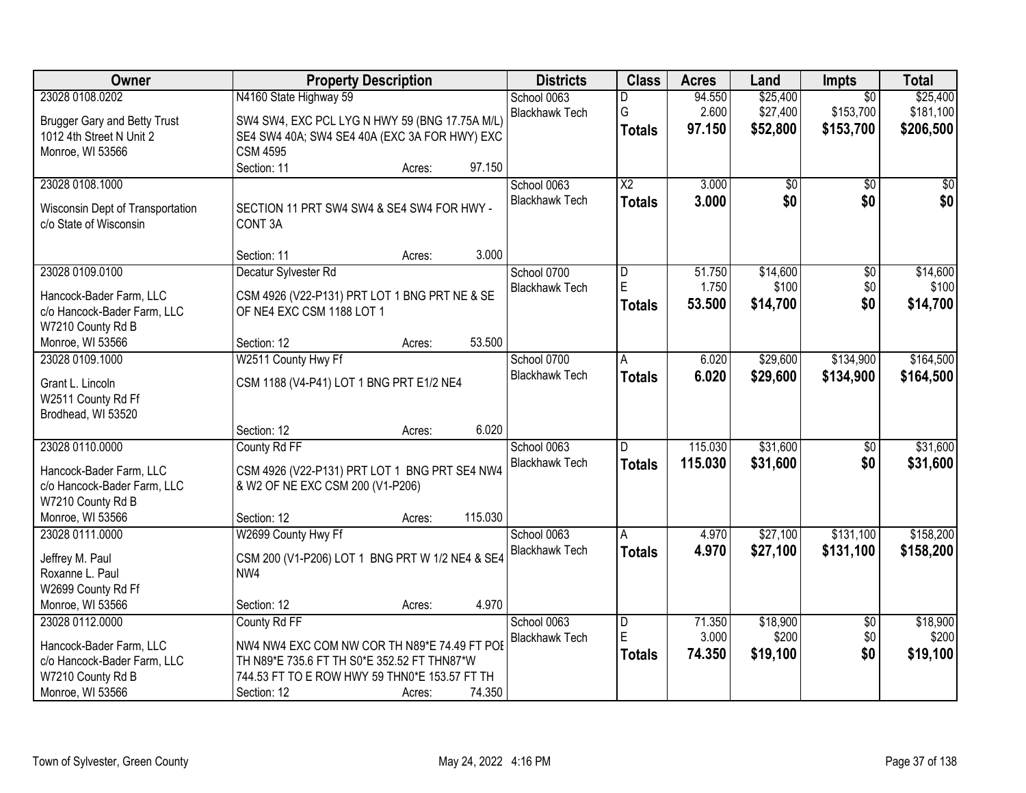| Owner                                                                                                              | <b>Property Description</b>                                                                                                                                                 |        |         | <b>Districts</b>                     | <b>Class</b>                                  | <b>Acres</b>              | Land                             | Impts                                     | <b>Total</b>                       |
|--------------------------------------------------------------------------------------------------------------------|-----------------------------------------------------------------------------------------------------------------------------------------------------------------------------|--------|---------|--------------------------------------|-----------------------------------------------|---------------------------|----------------------------------|-------------------------------------------|------------------------------------|
| 23028 0108.0202<br><b>Brugger Gary and Betty Trust</b><br>1012 4th Street N Unit 2<br>Monroe, WI 53566             | N4160 State Highway 59<br>SW4 SW4, EXC PCL LYG N HWY 59 (BNG 17.75A M/L)<br>SE4 SW4 40A; SW4 SE4 40A (EXC 3A FOR HWY) EXC<br><b>CSM 4595</b>                                |        |         | School 0063<br><b>Blackhawk Tech</b> | D<br>G<br><b>Totals</b>                       | 94.550<br>2.600<br>97.150 | \$25,400<br>\$27,400<br>\$52,800 | $\overline{50}$<br>\$153,700<br>\$153,700 | \$25,400<br>\$181,100<br>\$206,500 |
|                                                                                                                    | Section: 11                                                                                                                                                                 | Acres: | 97.150  |                                      |                                               |                           |                                  |                                           |                                    |
| 23028 0108.1000<br>Wisconsin Dept of Transportation<br>c/o State of Wisconsin                                      | SECTION 11 PRT SW4 SW4 & SE4 SW4 FOR HWY -<br>CONT <sub>3</sub> A                                                                                                           |        |         | School 0063<br><b>Blackhawk Tech</b> | $\overline{X2}$<br><b>Totals</b>              | 3.000<br>3.000            | \$0<br>\$0                       | $\overline{50}$<br>\$0                    | $\overline{50}$<br>\$0             |
|                                                                                                                    | Section: 11                                                                                                                                                                 | Acres: | 3.000   |                                      |                                               |                           |                                  |                                           |                                    |
| 23028 0109.0100<br>Hancock-Bader Farm, LLC<br>c/o Hancock-Bader Farm, LLC<br>W7210 County Rd B                     | Decatur Sylvester Rd<br>CSM 4926 (V22-P131) PRT LOT 1 BNG PRT NE & SE<br>OF NE4 EXC CSM 1188 LOT 1                                                                          |        |         | School 0700<br><b>Blackhawk Tech</b> | D<br>E<br><b>Totals</b>                       | 51.750<br>1.750<br>53.500 | \$14,600<br>\$100<br>\$14,700    | $\overline{50}$<br>\$0<br>\$0             | \$14,600<br>\$100<br>\$14,700      |
| Monroe, WI 53566                                                                                                   | Section: 12                                                                                                                                                                 | Acres: | 53.500  |                                      |                                               |                           |                                  |                                           |                                    |
| 23028 0109.1000<br>Grant L. Lincoln<br>W2511 County Rd Ff<br>Brodhead, WI 53520                                    | W2511 County Hwy Ff<br>CSM 1188 (V4-P41) LOT 1 BNG PRT E1/2 NE4                                                                                                             |        |         | School 0700<br><b>Blackhawk Tech</b> | Α<br><b>Totals</b>                            | 6.020<br>6.020            | \$29,600<br>\$29,600             | \$134,900<br>\$134,900                    | \$164,500<br>\$164,500             |
|                                                                                                                    | Section: 12                                                                                                                                                                 | Acres: | 6.020   |                                      |                                               |                           |                                  |                                           |                                    |
| 23028 0110.0000<br>Hancock-Bader Farm, LLC<br>c/o Hancock-Bader Farm, LLC<br>W7210 County Rd B<br>Monroe, WI 53566 | County Rd FF<br>CSM 4926 (V22-P131) PRT LOT 1 BNG PRT SE4 NW4<br>& W2 OF NE EXC CSM 200 (V1-P206)<br>Section: 12                                                            | Acres: | 115.030 | School 0063<br><b>Blackhawk Tech</b> | D.<br><b>Totals</b>                           | 115.030<br>115.030        | \$31,600<br>\$31,600             | $\overline{50}$<br>\$0                    | \$31,600<br>\$31,600               |
| 23028 0111.0000                                                                                                    | W2699 County Hwy Ff                                                                                                                                                         |        |         | School 0063                          | A                                             | 4.970                     | \$27,100                         | \$131,100                                 | \$158,200                          |
| Jeffrey M. Paul<br>Roxanne L. Paul<br>W2699 County Rd Ff                                                           | CSM 200 (V1-P206) LOT 1 BNG PRT W 1/2 NE4 & SE4<br>NW4                                                                                                                      |        |         | <b>Blackhawk Tech</b>                | <b>Totals</b>                                 | 4.970                     | \$27,100                         | \$131,100                                 | \$158,200                          |
| Monroe, WI 53566                                                                                                   | Section: 12                                                                                                                                                                 | Acres: | 4.970   |                                      |                                               |                           |                                  |                                           |                                    |
| 23028 0112.0000<br>Hancock-Bader Farm, LLC<br>c/o Hancock-Bader Farm, LLC<br>W7210 County Rd B<br>Monroe, WI 53566 | County Rd FF<br>NW4 NW4 EXC COM NW COR TH N89*E 74.49 FT POE<br>TH N89*E 735.6 FT TH S0*E 352.52 FT THN87*W<br>744.53 FT TO E ROW HWY 59 THN0*E 153.57 FT TH<br>Section: 12 | Acres: | 74.350  | School 0063<br><b>Blackhawk Tech</b> | $\overline{\mathsf{D}}$<br>E<br><b>Totals</b> | 71.350<br>3.000<br>74.350 | \$18,900<br>\$200<br>\$19,100    | $\overline{50}$<br>\$0<br>\$0             | \$18,900<br>\$200<br>\$19,100      |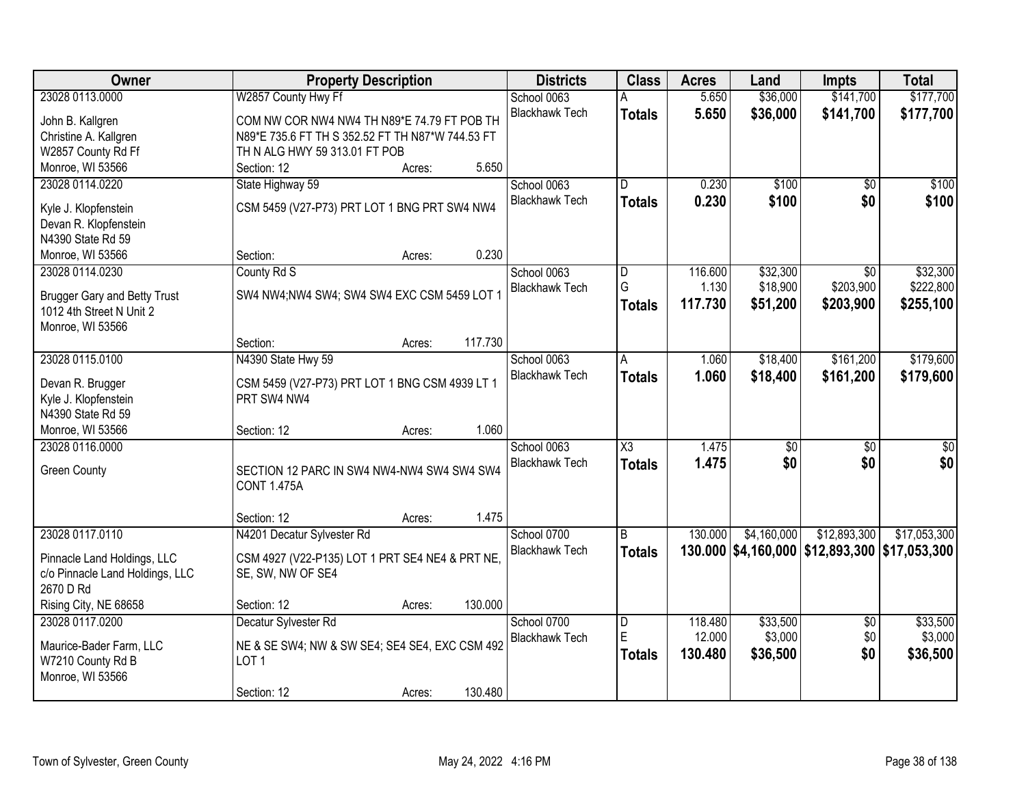| Owner                               | <b>Property Description</b>                      | <b>Districts</b>      | <b>Class</b>                 | <b>Acres</b>     | Land            | <b>Impts</b>                 | <b>Total</b>                                  |
|-------------------------------------|--------------------------------------------------|-----------------------|------------------------------|------------------|-----------------|------------------------------|-----------------------------------------------|
| 23028 0113.0000                     | W2857 County Hwy Ff                              | School 0063           |                              | 5.650            | \$36,000        | \$141,700                    | \$177,700                                     |
| John B. Kallgren                    | COM NW COR NW4 NW4 TH N89*E 74.79 FT POB TH      | <b>Blackhawk Tech</b> | <b>Totals</b>                | 5.650            | \$36,000        | \$141,700                    | \$177,700                                     |
| Christine A. Kallgren               | N89*E 735.6 FT TH S 352.52 FT TH N87*W 744.53 FT |                       |                              |                  |                 |                              |                                               |
| W2857 County Rd Ff                  | TH N ALG HWY 59 313.01 FT POB                    |                       |                              |                  |                 |                              |                                               |
| Monroe, WI 53566                    | 5.650<br>Section: 12<br>Acres:                   |                       |                              |                  |                 |                              |                                               |
| 23028 0114.0220                     | State Highway 59                                 | School 0063           | $\overline{D}$               | 0.230            | \$100           | $\overline{50}$              | \$100                                         |
|                                     |                                                  | <b>Blackhawk Tech</b> | <b>Totals</b>                | 0.230            | \$100           | \$0                          | \$100                                         |
| Kyle J. Klopfenstein                | CSM 5459 (V27-P73) PRT LOT 1 BNG PRT SW4 NW4     |                       |                              |                  |                 |                              |                                               |
| Devan R. Klopfenstein               |                                                  |                       |                              |                  |                 |                              |                                               |
| N4390 State Rd 59                   | 0.230                                            |                       |                              |                  |                 |                              |                                               |
| Monroe, WI 53566                    | Section:<br>Acres:                               |                       |                              |                  |                 |                              |                                               |
| 23028 0114.0230                     | County Rd S                                      | School 0063           | $\overline{\mathsf{D}}$<br>G | 116.600<br>1.130 | \$32,300        | $\overline{50}$<br>\$203,900 | \$32,300                                      |
| <b>Brugger Gary and Betty Trust</b> | SW4 NW4;NW4 SW4; SW4 SW4 EXC CSM 5459 LOT 1      | <b>Blackhawk Tech</b> |                              | 117.730          | \$18,900        |                              | \$222,800                                     |
| 1012 4th Street N Unit 2            |                                                  |                       | <b>Totals</b>                |                  | \$51,200        | \$203,900                    | \$255,100                                     |
| Monroe, WI 53566                    |                                                  |                       |                              |                  |                 |                              |                                               |
|                                     | 117.730<br>Section:<br>Acres:                    |                       |                              |                  |                 |                              |                                               |
| 23028 0115.0100                     | N4390 State Hwy 59                               | School 0063           | A                            | 1.060            | \$18,400        | \$161,200                    | \$179,600                                     |
| Devan R. Brugger                    | CSM 5459 (V27-P73) PRT LOT 1 BNG CSM 4939 LT 1   | <b>Blackhawk Tech</b> | <b>Totals</b>                | 1.060            | \$18,400        | \$161,200                    | \$179,600                                     |
| Kyle J. Klopfenstein                | PRT SW4 NW4                                      |                       |                              |                  |                 |                              |                                               |
| N4390 State Rd 59                   |                                                  |                       |                              |                  |                 |                              |                                               |
| Monroe, WI 53566                    | 1.060<br>Section: 12<br>Acres:                   |                       |                              |                  |                 |                              |                                               |
| 23028 0116.0000                     |                                                  | School 0063           | $\overline{\text{X3}}$       | 1.475            | $\overline{50}$ | $\overline{50}$              | $\overline{\$0}$                              |
|                                     |                                                  | <b>Blackhawk Tech</b> | <b>Totals</b>                | 1.475            | \$0             | \$0                          | \$0                                           |
| <b>Green County</b>                 | SECTION 12 PARC IN SW4 NW4-NW4 SW4 SW4 SW4       |                       |                              |                  |                 |                              |                                               |
|                                     | <b>CONT 1.475A</b>                               |                       |                              |                  |                 |                              |                                               |
|                                     |                                                  |                       |                              |                  |                 |                              |                                               |
|                                     | 1.475<br>Section: 12<br>Acres:                   |                       |                              |                  |                 |                              |                                               |
| 23028 0117.0110                     | N4201 Decatur Sylvester Rd                       | School 0700           | B                            | 130.000          | \$4,160,000     | \$12,893,300                 | \$17,053,300                                  |
| Pinnacle Land Holdings, LLC         | CSM 4927 (V22-P135) LOT 1 PRT SE4 NE4 & PRT NE,  | <b>Blackhawk Tech</b> | <b>Totals</b>                |                  |                 |                              | 130.000 \$4,160,000 \$12,893,300 \$17,053,300 |
| c/o Pinnacle Land Holdings, LLC     | SE, SW, NW OF SE4                                |                       |                              |                  |                 |                              |                                               |
| 2670 D Rd                           |                                                  |                       |                              |                  |                 |                              |                                               |
| Rising City, NE 68658               | 130.000<br>Section: 12<br>Acres:                 |                       |                              |                  |                 |                              |                                               |
| 23028 0117.0200                     | Decatur Sylvester Rd                             | School 0700           | D                            | 118.480          | \$33,500        | $\overline{50}$              | \$33,500                                      |
| Maurice-Bader Farm, LLC             | NE & SE SW4; NW & SW SE4; SE4 SE4, EXC CSM 492   | <b>Blackhawk Tech</b> | E                            | 12.000           | \$3,000         | \$0                          | \$3,000                                       |
| W7210 County Rd B                   | LOT <sub>1</sub>                                 |                       | <b>Totals</b>                | 130.480          | \$36,500        | \$0                          | \$36,500                                      |
| Monroe, WI 53566                    |                                                  |                       |                              |                  |                 |                              |                                               |
|                                     | 130.480<br>Section: 12<br>Acres:                 |                       |                              |                  |                 |                              |                                               |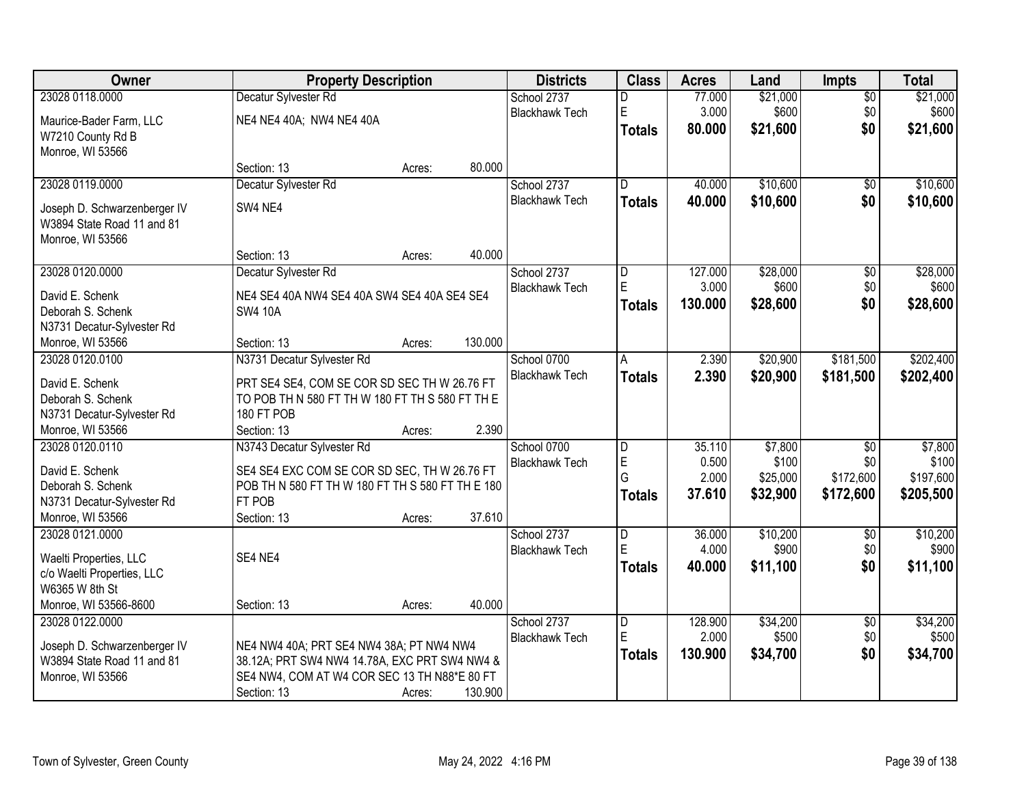| Owner                                | <b>Property Description</b>                                                                     |        |         | <b>Districts</b>      | <b>Class</b>            | <b>Acres</b> | Land     | <b>Impts</b>    | <b>Total</b> |
|--------------------------------------|-------------------------------------------------------------------------------------------------|--------|---------|-----------------------|-------------------------|--------------|----------|-----------------|--------------|
| 23028 0118.0000                      | Decatur Sylvester Rd                                                                            |        |         | School 2737           | D                       | 77.000       | \$21,000 | $\overline{50}$ | \$21,000     |
| Maurice-Bader Farm, LLC              | NE4 NE4 40A; NW4 NE4 40A                                                                        |        |         | <b>Blackhawk Tech</b> | E                       | 3.000        | \$600    | \$0             | \$600        |
| W7210 County Rd B                    |                                                                                                 |        |         |                       | <b>Totals</b>           | 80.000       | \$21,600 | \$0             | \$21,600     |
| Monroe, WI 53566                     |                                                                                                 |        |         |                       |                         |              |          |                 |              |
|                                      | Section: 13                                                                                     | Acres: | 80.000  |                       |                         |              |          |                 |              |
| 23028 0119.0000                      | Decatur Sylvester Rd                                                                            |        |         | School 2737           | $\overline{\mathsf{n}}$ | 40.000       | \$10,600 | $\overline{50}$ | \$10,600     |
| Joseph D. Schwarzenberger IV         | SW4 NE4                                                                                         |        |         | <b>Blackhawk Tech</b> | Totals                  | 40.000       | \$10,600 | \$0             | \$10,600     |
| W3894 State Road 11 and 81           |                                                                                                 |        |         |                       |                         |              |          |                 |              |
| Monroe, WI 53566                     |                                                                                                 |        |         |                       |                         |              |          |                 |              |
|                                      | Section: 13                                                                                     | Acres: | 40.000  |                       |                         |              |          |                 |              |
| 23028 0120.0000                      | Decatur Sylvester Rd                                                                            |        |         | School 2737           | D                       | 127.000      | \$28,000 | $\overline{50}$ | \$28,000     |
| David E. Schenk                      | NE4 SE4 40A NW4 SE4 40A SW4 SE4 40A SE4 SE4                                                     |        |         | <b>Blackhawk Tech</b> | E                       | 3.000        | \$600    | \$0             | \$600        |
| Deborah S. Schenk                    | <b>SW4 10A</b>                                                                                  |        |         |                       | Totals                  | 130.000      | \$28,600 | \$0             | \$28,600     |
| N3731 Decatur-Sylvester Rd           |                                                                                                 |        |         |                       |                         |              |          |                 |              |
| Monroe, WI 53566                     | Section: 13                                                                                     | Acres: | 130.000 |                       |                         |              |          |                 |              |
| 23028 0120.0100                      | N3731 Decatur Sylvester Rd                                                                      |        |         | School 0700           | A                       | 2.390        | \$20,900 | \$181,500       | \$202,400    |
|                                      |                                                                                                 |        |         | <b>Blackhawk Tech</b> | <b>Totals</b>           | 2.390        | \$20,900 | \$181,500       | \$202,400    |
| David E. Schenk<br>Deborah S. Schenk | PRT SE4 SE4, COM SE COR SD SEC TH W 26.76 FT<br>TO POB TH N 580 FT TH W 180 FT TH S 580 FT TH E |        |         |                       |                         |              |          |                 |              |
| N3731 Decatur-Sylvester Rd           | 180 FT POB                                                                                      |        |         |                       |                         |              |          |                 |              |
| Monroe, WI 53566                     | Section: 13                                                                                     | Acres: | 2.390   |                       |                         |              |          |                 |              |
| 23028 0120.0110                      | N3743 Decatur Sylvester Rd                                                                      |        |         | School 0700           | D                       | 35.110       | \$7,800  | $\overline{50}$ | \$7,800      |
|                                      |                                                                                                 |        |         | <b>Blackhawk Tech</b> | $\mathsf E$             | 0.500        | \$100    | \$0             | \$100        |
| David E. Schenk                      | SE4 SE4 EXC COM SE COR SD SEC, TH W 26.76 FT                                                    |        |         |                       | G                       | 2.000        | \$25,000 | \$172,600       | \$197,600    |
| Deborah S. Schenk                    | POB TH N 580 FT TH W 180 FT TH S 580 FT TH E 180                                                |        |         |                       | <b>Totals</b>           | 37.610       | \$32,900 | \$172,600       | \$205,500    |
| N3731 Decatur-Sylvester Rd           | FT POB<br>Section: 13                                                                           |        | 37.610  |                       |                         |              |          |                 |              |
| Monroe, WI 53566<br>23028 0121.0000  |                                                                                                 | Acres: |         | School 2737           |                         | 36.000       | \$10,200 | $\overline{60}$ | \$10,200     |
|                                      |                                                                                                 |        |         | <b>Blackhawk Tech</b> | D<br>E                  | 4.000        | \$900    | \$0             | \$900        |
| Waelti Properties, LLC               | SE4 NE4                                                                                         |        |         |                       | <b>Totals</b>           | 40.000       | \$11,100 | \$0             | \$11,100     |
| c/o Waelti Properties, LLC           |                                                                                                 |        |         |                       |                         |              |          |                 |              |
| W6365 W 8th St                       |                                                                                                 |        |         |                       |                         |              |          |                 |              |
| Monroe, WI 53566-8600                | Section: 13                                                                                     | Acres: | 40.000  |                       |                         |              |          |                 |              |
| 23028 0122.0000                      |                                                                                                 |        |         | School 2737           | D                       | 128.900      | \$34,200 | $\overline{50}$ | \$34,200     |
| Joseph D. Schwarzenberger IV         | NE4 NW4 40A; PRT SE4 NW4 38A; PT NW4 NW4                                                        |        |         | <b>Blackhawk Tech</b> | ΙE                      | 2.000        | \$500    | \$0             | \$500        |
| W3894 State Road 11 and 81           | 38.12A; PRT SW4 NW4 14.78A, EXC PRT SW4 NW4 &                                                   |        |         |                       | Totals                  | 130.900      | \$34,700 | \$0             | \$34,700     |
| Monroe, WI 53566                     | SE4 NW4, COM AT W4 COR SEC 13 TH N88*E 80 FT                                                    |        |         |                       |                         |              |          |                 |              |
|                                      | Section: 13                                                                                     | Acres: | 130.900 |                       |                         |              |          |                 |              |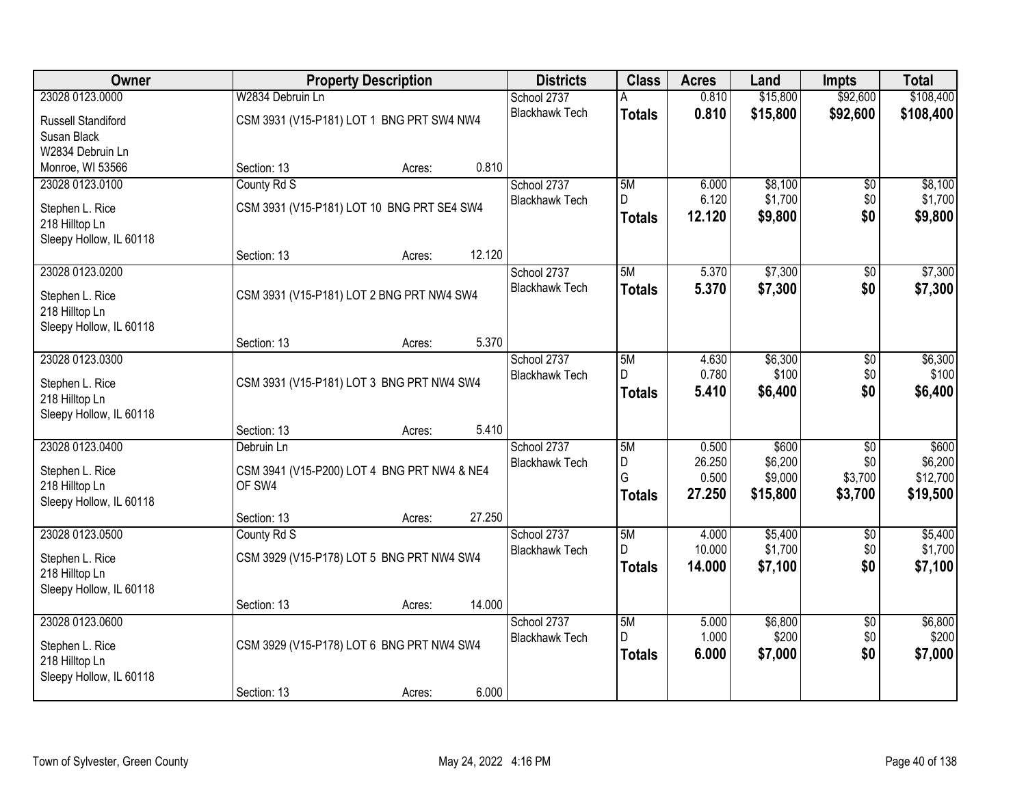| Owner                                                        |                  | <b>Property Description</b>                 |        | <b>Districts</b>      | <b>Class</b>        | <b>Acres</b>    | Land               | <b>Impts</b>           | <b>Total</b>       |
|--------------------------------------------------------------|------------------|---------------------------------------------|--------|-----------------------|---------------------|-----------------|--------------------|------------------------|--------------------|
| 23028 0123.0000                                              | W2834 Debruin Ln |                                             |        | School 2737           |                     | 0.810           | \$15,800           | \$92,600               | \$108,400          |
| Russell Standiford<br>Susan Black                            |                  | CSM 3931 (V15-P181) LOT 1 BNG PRT SW4 NW4   |        | <b>Blackhawk Tech</b> | <b>Totals</b>       | 0.810           | \$15,800           | \$92,600               | \$108,400          |
| W2834 Debruin Ln                                             |                  |                                             |        |                       |                     |                 |                    |                        |                    |
| Monroe, WI 53566                                             | Section: 13      | Acres:                                      | 0.810  |                       |                     |                 |                    |                        |                    |
| 23028 0123.0100                                              | County Rd S      |                                             |        | School 2737           | 5M                  | 6.000           | \$8,100            | $\overline{50}$        | \$8,100            |
| Stephen L. Rice                                              |                  | CSM 3931 (V15-P181) LOT 10 BNG PRT SE4 SW4  |        | <b>Blackhawk Tech</b> | D.<br><b>Totals</b> | 6.120<br>12.120 | \$1,700<br>\$9,800 | \$0<br>\$0             | \$1,700<br>\$9,800 |
| 218 Hilltop Ln<br>Sleepy Hollow, IL 60118                    |                  |                                             |        |                       |                     |                 |                    |                        |                    |
|                                                              | Section: 13      | Acres:                                      | 12.120 |                       |                     |                 |                    |                        |                    |
| 23028 0123.0200                                              |                  |                                             |        | School 2737           | 5M                  | 5.370           | \$7,300            | $\overline{50}$        | \$7,300            |
| Stephen L. Rice<br>218 Hilltop Ln                            |                  | CSM 3931 (V15-P181) LOT 2 BNG PRT NW4 SW4   |        | <b>Blackhawk Tech</b> | <b>Totals</b>       | 5.370           | \$7,300            | \$0                    | \$7,300            |
| Sleepy Hollow, IL 60118                                      |                  |                                             |        |                       |                     |                 |                    |                        |                    |
|                                                              | Section: 13      | Acres:                                      | 5.370  |                       |                     |                 |                    |                        |                    |
| 23028 0123.0300                                              |                  |                                             |        | School 2737           | 5M<br>D             | 4.630<br>0.780  | \$6,300<br>\$100   | $\overline{50}$<br>\$0 | \$6,300<br>\$100   |
| Stephen L. Rice<br>218 Hilltop Ln<br>Sleepy Hollow, IL 60118 |                  | CSM 3931 (V15-P181) LOT 3 BNG PRT NW4 SW4   |        | <b>Blackhawk Tech</b> | <b>Totals</b>       | 5.410           | \$6,400            | \$0                    | \$6,400            |
|                                                              | Section: 13      | Acres:                                      | 5.410  |                       |                     |                 |                    |                        |                    |
| 23028 0123.0400                                              | Debruin Ln       |                                             |        | School 2737           | 5M                  | 0.500           | \$600              | $\overline{50}$        | \$600              |
|                                                              |                  |                                             |        | <b>Blackhawk Tech</b> | D                   | 26.250          | \$6,200            | \$0                    | \$6,200            |
| Stephen L. Rice                                              |                  | CSM 3941 (V15-P200) LOT 4 BNG PRT NW4 & NE4 |        |                       | G                   | 0.500           | \$9,000            | \$3,700                | \$12,700           |
| 218 Hilltop Ln<br>Sleepy Hollow, IL 60118                    | OF SW4           |                                             |        |                       | <b>Totals</b>       | 27.250          | \$15,800           | \$3,700                | \$19,500           |
|                                                              | Section: 13      | Acres:                                      | 27.250 |                       |                     |                 |                    |                        |                    |
| 23028 0123.0500                                              | County Rd S      |                                             |        | School 2737           | 5M                  | 4.000           | \$5,400            | $\overline{50}$        | \$5,400            |
| Stephen L. Rice                                              |                  | CSM 3929 (V15-P178) LOT 5 BNG PRT NW4 SW4   |        | <b>Blackhawk Tech</b> | D.                  | 10.000          | \$1,700            | \$0                    | \$1,700            |
| 218 Hilltop Ln                                               |                  |                                             |        |                       | <b>Totals</b>       | 14.000          | \$7,100            | \$0                    | \$7,100            |
| Sleepy Hollow, IL 60118                                      |                  |                                             |        |                       |                     |                 |                    |                        |                    |
|                                                              | Section: 13      | Acres:                                      | 14.000 |                       |                     |                 |                    |                        |                    |
| 23028 0123.0600                                              |                  |                                             |        | School 2737           | 5M                  | 5.000           | \$6,800            | $\overline{50}$        | \$6,800            |
| Stephen L. Rice                                              |                  | CSM 3929 (V15-P178) LOT 6 BNG PRT NW4 SW4   |        | <b>Blackhawk Tech</b> | D.                  | 1.000           | \$200              | \$0                    | \$200              |
| 218 Hilltop Ln                                               |                  |                                             |        |                       | <b>Totals</b>       | 6.000           | \$7,000            | \$0                    | \$7,000            |
| Sleepy Hollow, IL 60118                                      |                  |                                             |        |                       |                     |                 |                    |                        |                    |
|                                                              | Section: 13      | Acres:                                      | 6.000  |                       |                     |                 |                    |                        |                    |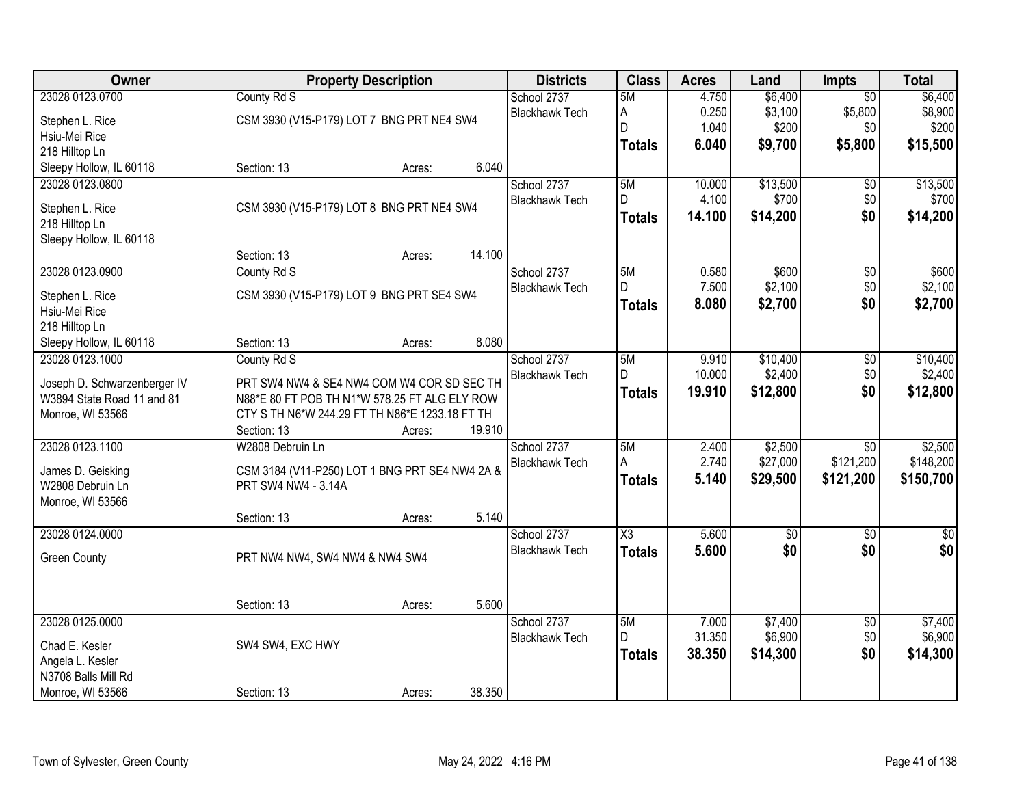| Owner                                                      |                                                                                             | <b>Property Description</b> |        | <b>Districts</b>      | <b>Class</b>        | <b>Acres</b> | Land            | <b>Impts</b>    | <b>Total</b>    |
|------------------------------------------------------------|---------------------------------------------------------------------------------------------|-----------------------------|--------|-----------------------|---------------------|--------------|-----------------|-----------------|-----------------|
| 23028 0123.0700                                            | County Rd S                                                                                 |                             |        | School 2737           | 5M                  | 4.750        | \$6,400         | $\overline{30}$ | \$6,400         |
| Stephen L. Rice                                            | CSM 3930 (V15-P179) LOT 7 BNG PRT NE4 SW4                                                   |                             |        | <b>Blackhawk Tech</b> | A                   | 0.250        | \$3,100         | \$5,800         | \$8,900         |
| Hsiu-Mei Rice                                              |                                                                                             |                             |        |                       | D                   | 1.040        | \$200           | \$0             | \$200           |
| 218 Hilltop Ln                                             |                                                                                             |                             |        |                       | <b>Totals</b>       | 6.040        | \$9,700         | \$5,800         | \$15,500        |
| Sleepy Hollow, IL 60118                                    | Section: 13                                                                                 | Acres:                      | 6.040  |                       |                     |              |                 |                 |                 |
| 23028 0123.0800                                            |                                                                                             |                             |        | School 2737           | 5M                  | 10.000       | \$13,500        | \$0             | \$13,500        |
|                                                            | CSM 3930 (V15-P179) LOT 8 BNG PRT NE4 SW4                                                   |                             |        | <b>Blackhawk Tech</b> | D                   | 4.100        | \$700           | \$0             | \$700           |
| Stephen L. Rice<br>218 Hilltop Ln                          |                                                                                             |                             |        |                       | <b>Totals</b>       | 14.100       | \$14,200        | \$0             | \$14,200        |
| Sleepy Hollow, IL 60118                                    |                                                                                             |                             |        |                       |                     |              |                 |                 |                 |
|                                                            | Section: 13                                                                                 | Acres:                      | 14.100 |                       |                     |              |                 |                 |                 |
| 23028 0123.0900                                            | County Rd S                                                                                 |                             |        | School 2737           | 5M                  | 0.580        | \$600           | $\overline{50}$ | \$600           |
| Stephen L. Rice                                            | CSM 3930 (V15-P179) LOT 9 BNG PRT SE4 SW4                                                   |                             |        | <b>Blackhawk Tech</b> | D                   | 7.500        | \$2,100         | \$0             | \$2,100         |
| Hsiu-Mei Rice                                              |                                                                                             |                             |        |                       | <b>Totals</b>       | 8.080        | \$2,700         | \$0             | \$2,700         |
| 218 Hilltop Ln                                             |                                                                                             |                             |        |                       |                     |              |                 |                 |                 |
| Sleepy Hollow, IL 60118                                    | Section: 13                                                                                 | Acres:                      | 8.080  |                       |                     |              |                 |                 |                 |
| 23028 0123.1000                                            | County Rd S                                                                                 |                             |        | School 2737           | 5M                  | 9.910        | \$10,400        | $\overline{50}$ | \$10,400        |
|                                                            |                                                                                             |                             |        | <b>Blackhawk Tech</b> | D                   | 10.000       | \$2,400         | \$0             | \$2,400         |
| Joseph D. Schwarzenberger IV<br>W3894 State Road 11 and 81 | PRT SW4 NW4 & SE4 NW4 COM W4 COR SD SEC TH<br>N88*E 80 FT POB TH N1*W 578.25 FT ALG ELY ROW |                             |        |                       | <b>Totals</b>       | 19.910       | \$12,800        | \$0             | \$12,800        |
| Monroe, WI 53566                                           | CTY S TH N6*W 244.29 FT TH N86*E 1233.18 FT TH                                              |                             |        |                       |                     |              |                 |                 |                 |
|                                                            | Section: 13                                                                                 | Acres:                      | 19.910 |                       |                     |              |                 |                 |                 |
| 23028 0123.1100                                            | W2808 Debruin Ln                                                                            |                             |        | School 2737           | 5M                  | 2.400        | \$2,500         | $\overline{30}$ | \$2,500         |
|                                                            |                                                                                             |                             |        | <b>Blackhawk Tech</b> | A                   | 2.740        | \$27,000        | \$121,200       | \$148,200       |
| James D. Geisking                                          | CSM 3184 (V11-P250) LOT 1 BNG PRT SE4 NW4 2A &                                              |                             |        |                       | <b>Totals</b>       | 5.140        | \$29,500        | \$121,200       | \$150,700       |
| W2808 Debruin Ln                                           | PRT SW4 NW4 - 3.14A                                                                         |                             |        |                       |                     |              |                 |                 |                 |
| Monroe, WI 53566                                           | Section: 13                                                                                 |                             | 5.140  |                       |                     |              |                 |                 |                 |
| 23028 0124.0000                                            |                                                                                             | Acres:                      |        | School 2737           | $\overline{\chi_3}$ | 5.600        | $\overline{50}$ | $\overline{50}$ | $\overline{50}$ |
|                                                            |                                                                                             |                             |        | <b>Blackhawk Tech</b> | <b>Totals</b>       | 5.600        | \$0             | \$0             | \$0             |
| <b>Green County</b>                                        | PRT NW4 NW4, SW4 NW4 & NW4 SW4                                                              |                             |        |                       |                     |              |                 |                 |                 |
|                                                            |                                                                                             |                             |        |                       |                     |              |                 |                 |                 |
|                                                            | Section: 13                                                                                 | Acres:                      | 5.600  |                       |                     |              |                 |                 |                 |
| 23028 0125,0000                                            |                                                                                             |                             |        | School 2737           | 5M                  | 7.000        | \$7,400         | $\overline{50}$ | \$7,400         |
|                                                            |                                                                                             |                             |        | <b>Blackhawk Tech</b> | D                   | 31.350       | \$6,900         | \$0             | \$6,900         |
| Chad E. Kesler                                             | SW4 SW4, EXC HWY                                                                            |                             |        |                       | <b>Totals</b>       | 38.350       | \$14,300        | \$0             | \$14,300        |
| Angela L. Kesler                                           |                                                                                             |                             |        |                       |                     |              |                 |                 |                 |
| N3708 Balls Mill Rd                                        | Section: 13                                                                                 |                             | 38.350 |                       |                     |              |                 |                 |                 |
| Monroe, WI 53566                                           |                                                                                             | Acres:                      |        |                       |                     |              |                 |                 |                 |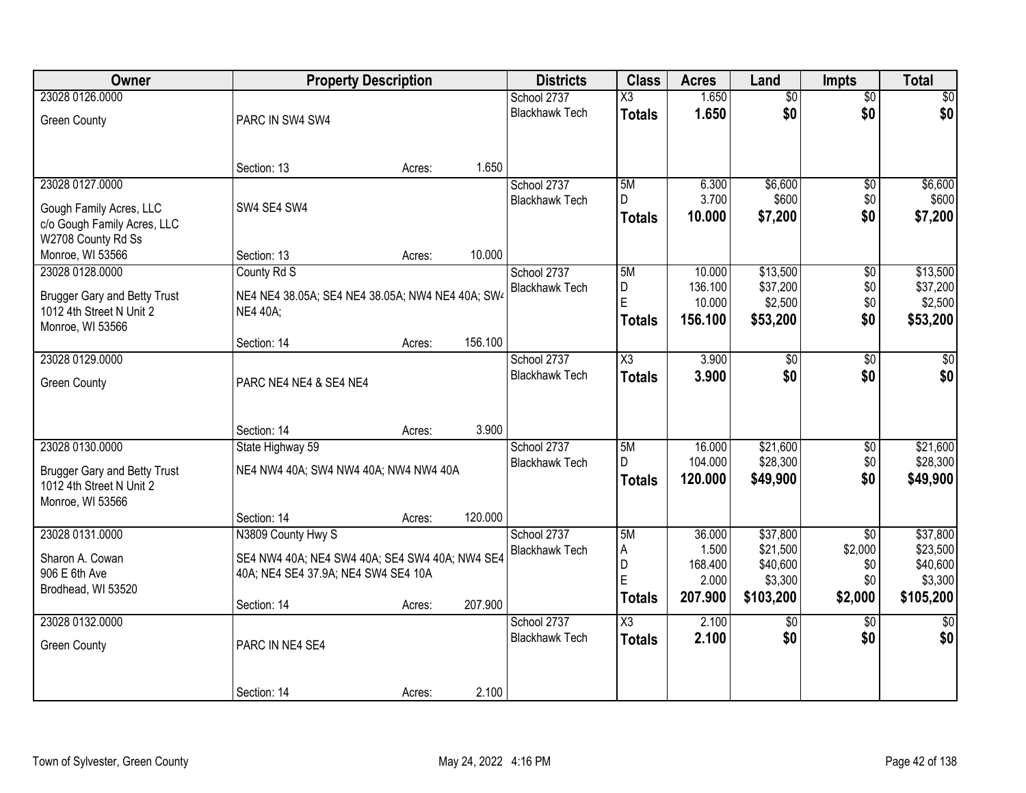| Owner                               | <b>Property Description</b>                      |        |         | <b>Districts</b>      | <b>Class</b>           | <b>Acres</b>      | Land                 | <b>Impts</b>    | <b>Total</b>         |
|-------------------------------------|--------------------------------------------------|--------|---------|-----------------------|------------------------|-------------------|----------------------|-----------------|----------------------|
| 23028 0126.0000                     |                                                  |        |         | School 2737           | $\overline{\text{X3}}$ | 1.650             | $\overline{50}$      | $\overline{50}$ | \$0                  |
| <b>Green County</b>                 | PARC IN SW4 SW4                                  |        |         | <b>Blackhawk Tech</b> | <b>Totals</b>          | 1.650             | \$0                  | \$0             | \$0                  |
|                                     |                                                  |        |         |                       |                        |                   |                      |                 |                      |
|                                     |                                                  |        |         |                       |                        |                   |                      |                 |                      |
|                                     | Section: 13                                      | Acres: | 1.650   |                       |                        |                   |                      |                 |                      |
| 23028 0127.0000                     |                                                  |        |         | School 2737           | 5M                     | 6.300             | \$6,600              | $\overline{50}$ | \$6,600              |
| Gough Family Acres, LLC             | SW4 SE4 SW4                                      |        |         | <b>Blackhawk Tech</b> | D.                     | 3.700             | \$600                | \$0             | \$600                |
| c/o Gough Family Acres, LLC         |                                                  |        |         |                       | <b>Totals</b>          | 10.000            | \$7,200              | \$0             | \$7,200              |
| W2708 County Rd Ss                  |                                                  |        |         |                       |                        |                   |                      |                 |                      |
| Monroe, WI 53566                    | Section: 13                                      | Acres: | 10.000  |                       |                        |                   |                      |                 |                      |
| 23028 0128.0000                     | County Rd S                                      |        |         | School 2737           | 5M                     | 10.000            | \$13,500             | \$0             | \$13,500             |
| <b>Brugger Gary and Betty Trust</b> | NE4 NE4 38.05A; SE4 NE4 38.05A; NW4 NE4 40A; SW4 |        |         | <b>Blackhawk Tech</b> | D<br>E                 | 136.100<br>10.000 | \$37,200<br>\$2,500  | \$0<br>\$0      | \$37,200<br>\$2,500  |
| 1012 4th Street N Unit 2            | <b>NE4 40A;</b>                                  |        |         |                       | <b>Totals</b>          | 156.100           | \$53,200             | \$0             | \$53,200             |
| Monroe, WI 53566                    |                                                  |        |         |                       |                        |                   |                      |                 |                      |
|                                     | Section: 14                                      | Acres: | 156.100 |                       |                        |                   |                      |                 |                      |
| 23028 0129.0000                     |                                                  |        |         | School 2737           | X3                     | 3.900             | \$0                  | $\sqrt[6]{}$    | \$0                  |
| <b>Green County</b>                 | PARC NE4 NE4 & SE4 NE4                           |        |         | <b>Blackhawk Tech</b> | <b>Totals</b>          | 3.900             | \$0                  | \$0             | \$0                  |
|                                     |                                                  |        |         |                       |                        |                   |                      |                 |                      |
|                                     |                                                  |        |         |                       |                        |                   |                      |                 |                      |
|                                     | Section: 14                                      | Acres: | 3.900   |                       |                        |                   |                      |                 |                      |
| 23028 0130.0000                     | State Highway 59                                 |        |         | School 2737           | 5M                     | 16.000            | \$21,600             | $\overline{50}$ | \$21,600             |
| <b>Brugger Gary and Betty Trust</b> | NE4 NW4 40A; SW4 NW4 40A; NW4 NW4 40A            |        |         | <b>Blackhawk Tech</b> | D.                     | 104.000           | \$28,300             | \$0             | \$28,300             |
| 1012 4th Street N Unit 2            |                                                  |        |         |                       | <b>Totals</b>          | 120.000           | \$49,900             | \$0             | \$49,900             |
| Monroe, WI 53566                    |                                                  |        |         |                       |                        |                   |                      |                 |                      |
|                                     | Section: 14                                      | Acres: | 120.000 |                       |                        |                   |                      |                 |                      |
| 23028 0131.0000                     | N3809 County Hwy S                               |        |         | School 2737           | 5M                     | 36.000            | \$37,800             | $\overline{50}$ | \$37,800             |
| Sharon A. Cowan                     | SE4 NW4 40A; NE4 SW4 40A; SE4 SW4 40A; NW4 SE4   |        |         | <b>Blackhawk Tech</b> | Α<br>D                 | 1.500<br>168.400  | \$21,500<br>\$40,600 | \$2,000<br>\$0  | \$23,500<br>\$40,600 |
| 906 E 6th Ave                       | 40A; NE4 SE4 37.9A; NE4 SW4 SE4 10A              |        |         |                       | E                      | 2.000             | \$3,300              | \$0             | \$3,300              |
| Brodhead, WI 53520                  |                                                  |        |         |                       | <b>Totals</b>          | 207.900           | \$103,200            | \$2,000         | \$105,200            |
|                                     | Section: 14                                      | Acres: | 207.900 |                       |                        |                   |                      |                 |                      |
| 23028 0132,0000                     |                                                  |        |         | School 2737           | $\overline{\text{X3}}$ | 2.100             | $\overline{50}$      | $\overline{50}$ | $\overline{30}$      |
| <b>Green County</b>                 | PARC IN NE4 SE4                                  |        |         | <b>Blackhawk Tech</b> | <b>Totals</b>          | 2.100             | \$0                  | \$0             | \$0                  |
|                                     |                                                  |        |         |                       |                        |                   |                      |                 |                      |
|                                     |                                                  |        |         |                       |                        |                   |                      |                 |                      |
|                                     | Section: 14                                      | Acres: | 2.100   |                       |                        |                   |                      |                 |                      |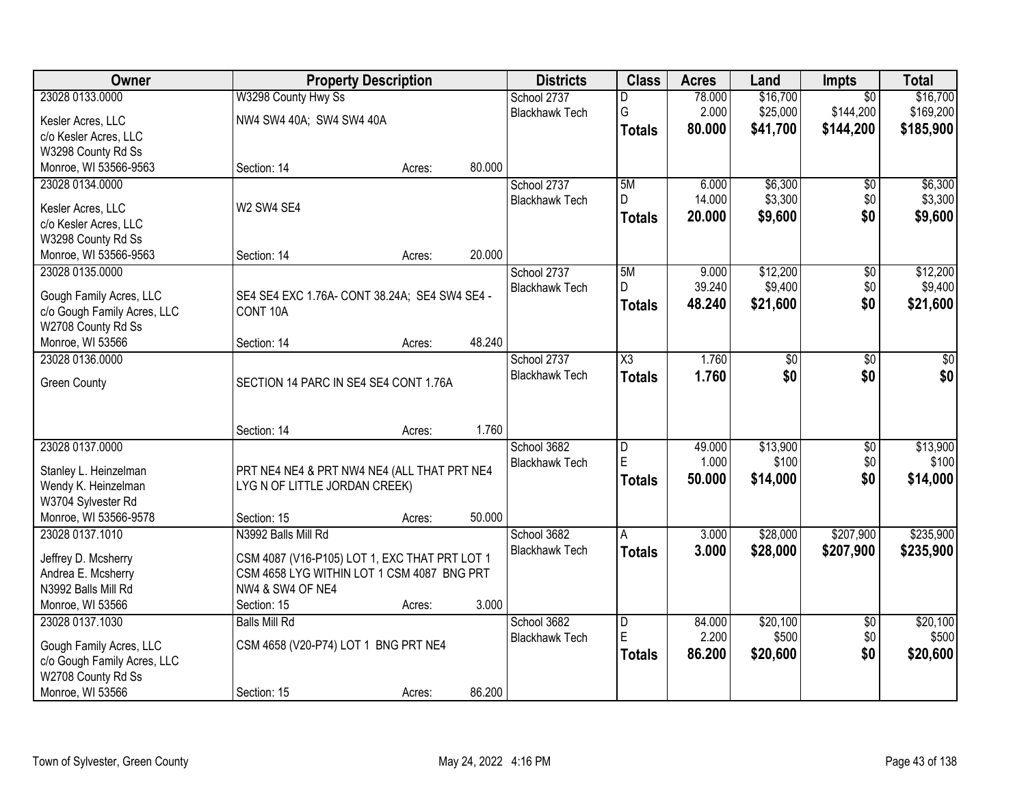| Owner                       |                                               | <b>Property Description</b> |        | <b>Districts</b>      | <b>Class</b>            | <b>Acres</b> | Land     | Impts           | <b>Total</b> |
|-----------------------------|-----------------------------------------------|-----------------------------|--------|-----------------------|-------------------------|--------------|----------|-----------------|--------------|
| 23028 0133.0000             | W3298 County Hwy Ss                           |                             |        | School 2737           | D                       | 78.000       | \$16,700 | $\overline{50}$ | \$16,700     |
| Kesler Acres, LLC           | NW4 SW4 40A; SW4 SW4 40A                      |                             |        | <b>Blackhawk Tech</b> | G                       | 2.000        | \$25,000 | \$144,200       | \$169,200    |
| c/o Kesler Acres, LLC       |                                               |                             |        |                       | <b>Totals</b>           | 80.000       | \$41,700 | \$144,200       | \$185,900    |
| W3298 County Rd Ss          |                                               |                             |        |                       |                         |              |          |                 |              |
| Monroe, WI 53566-9563       | Section: 14                                   | Acres:                      | 80.000 |                       |                         |              |          |                 |              |
| 23028 0134.0000             |                                               |                             |        | School 2737           | 5M                      | 6.000        | \$6,300  | \$0             | \$6,300      |
|                             |                                               |                             |        | <b>Blackhawk Tech</b> | D                       | 14.000       | \$3,300  | \$0             | \$3,300      |
| Kesler Acres, LLC           | W2 SW4 SE4                                    |                             |        |                       | <b>Totals</b>           | 20.000       | \$9,600  | \$0             | \$9,600      |
| c/o Kesler Acres, LLC       |                                               |                             |        |                       |                         |              |          |                 |              |
| W3298 County Rd Ss          |                                               |                             | 20.000 |                       |                         |              |          |                 |              |
| Monroe, WI 53566-9563       | Section: 14                                   | Acres:                      |        |                       |                         |              |          |                 |              |
| 23028 0135.0000             |                                               |                             |        | School 2737           | 5M<br>D.                | 9.000        | \$12,200 | $\overline{50}$ | \$12,200     |
| Gough Family Acres, LLC     | SE4 SE4 EXC 1.76A- CONT 38.24A; SE4 SW4 SE4 - |                             |        | <b>Blackhawk Tech</b> |                         | 39.240       | \$9,400  | \$0             | \$9,400      |
| c/o Gough Family Acres, LLC | CONT 10A                                      |                             |        |                       | <b>Totals</b>           | 48.240       | \$21,600 | \$0             | \$21,600     |
| W2708 County Rd Ss          |                                               |                             |        |                       |                         |              |          |                 |              |
| Monroe, WI 53566            | Section: 14                                   | Acres:                      | 48.240 |                       |                         |              |          |                 |              |
| 23028 0136,0000             |                                               |                             |        | School 2737           | $\overline{\text{X3}}$  | 1.760        | \$0      | \$0             | \$0          |
| <b>Green County</b>         | SECTION 14 PARC IN SE4 SE4 CONT 1.76A         |                             |        | <b>Blackhawk Tech</b> | <b>Totals</b>           | 1.760        | \$0      | \$0             | \$0          |
|                             |                                               |                             |        |                       |                         |              |          |                 |              |
|                             |                                               |                             |        |                       |                         |              |          |                 |              |
|                             | Section: 14                                   | Acres:                      | 1.760  |                       |                         |              |          |                 |              |
| 23028 0137.0000             |                                               |                             |        | School 3682           | D                       | 49.000       | \$13,900 | $\overline{50}$ | \$13,900     |
|                             |                                               |                             |        | <b>Blackhawk Tech</b> | E                       | 1.000        | \$100    | \$0             | \$100        |
| Stanley L. Heinzelman       | PRT NE4 NE4 & PRT NW4 NE4 (ALL THAT PRT NE4   |                             |        |                       | <b>Totals</b>           | 50.000       | \$14,000 | \$0             | \$14,000     |
| Wendy K. Heinzelman         | LYG N OF LITTLE JORDAN CREEK)                 |                             |        |                       |                         |              |          |                 |              |
| W3704 Sylvester Rd          |                                               |                             |        |                       |                         |              |          |                 |              |
| Monroe, WI 53566-9578       | Section: 15                                   | Acres:                      | 50.000 |                       |                         |              |          |                 |              |
| 23028 0137.1010             | N3992 Balls Mill Rd                           |                             |        | School 3682           | A                       | 3.000        | \$28,000 | \$207,900       | \$235,900    |
| Jeffrey D. Mcsherry         | CSM 4087 (V16-P105) LOT 1, EXC THAT PRT LOT 1 |                             |        | <b>Blackhawk Tech</b> | <b>Totals</b>           | 3.000        | \$28,000 | \$207,900       | \$235,900    |
| Andrea E. Mcsherry          | CSM 4658 LYG WITHIN LOT 1 CSM 4087 BNG PRT    |                             |        |                       |                         |              |          |                 |              |
| N3992 Balls Mill Rd         | NW4 & SW4 OF NE4                              |                             |        |                       |                         |              |          |                 |              |
| Monroe, WI 53566            | Section: 15                                   | Acres:                      | 3.000  |                       |                         |              |          |                 |              |
| 23028 0137.1030             | <b>Balls Mill Rd</b>                          |                             |        | School 3682           | $\overline{\mathsf{D}}$ | 84.000       | \$20,100 | $\overline{50}$ | \$20,100     |
|                             |                                               |                             |        | <b>Blackhawk Tech</b> | E                       | 2.200        | \$500    | \$0             | \$500        |
| Gough Family Acres, LLC     | CSM 4658 (V20-P74) LOT 1 BNG PRT NE4          |                             |        |                       | <b>Totals</b>           | 86.200       | \$20,600 | \$0             | \$20,600     |
| c/o Gough Family Acres, LLC |                                               |                             |        |                       |                         |              |          |                 |              |
| W2708 County Rd Ss          |                                               |                             |        |                       |                         |              |          |                 |              |
| Monroe, WI 53566            | Section: 15                                   | Acres:                      | 86.200 |                       |                         |              |          |                 |              |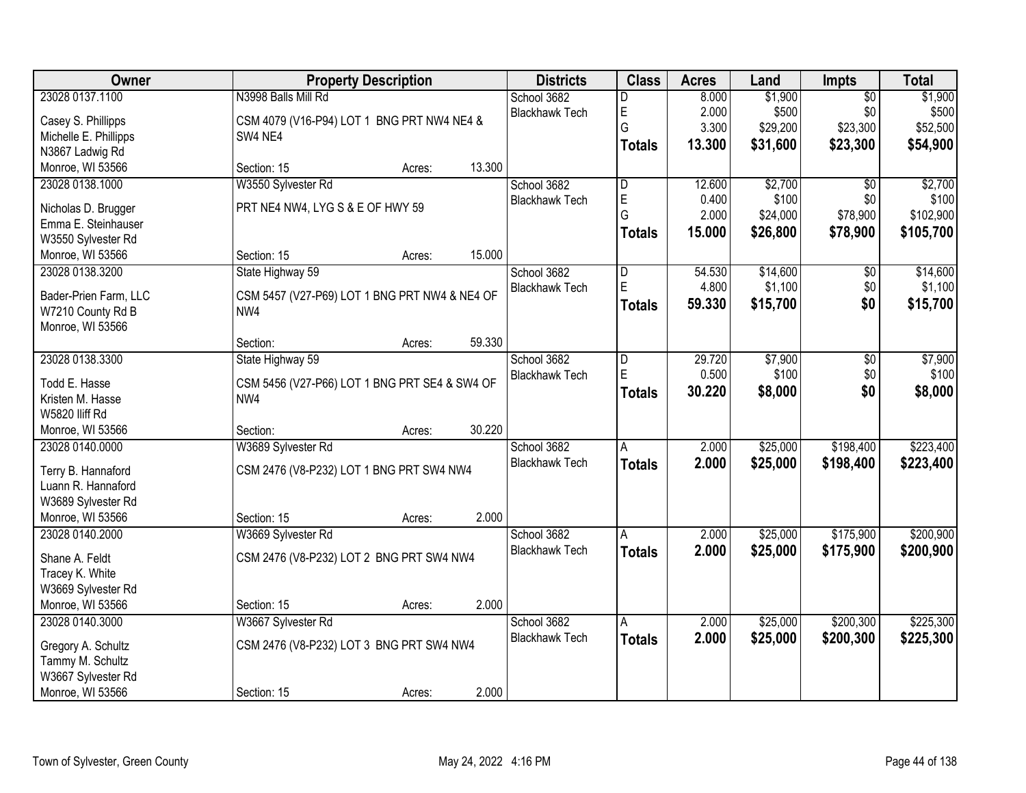| Owner                 | <b>Property Description</b>                   | <b>Districts</b>      | <b>Class</b>            | <b>Acres</b> | Land     | Impts           | <b>Total</b> |
|-----------------------|-----------------------------------------------|-----------------------|-------------------------|--------------|----------|-----------------|--------------|
| 23028 0137.1100       | N3998 Balls Mill Rd                           | School 3682           | D                       | 8.000        | \$1,900  | $\overline{50}$ | \$1,900      |
| Casey S. Phillipps    | CSM 4079 (V16-P94) LOT 1 BNG PRT NW4 NE4 &    | <b>Blackhawk Tech</b> | E                       | 2.000        | \$500    | \$0             | \$500        |
| Michelle E. Phillipps | SW4 NE4                                       |                       | G                       | 3.300        | \$29,200 | \$23,300        | \$52,500     |
| N3867 Ladwig Rd       |                                               |                       | <b>Totals</b>           | 13.300       | \$31,600 | \$23,300        | \$54,900     |
| Monroe, WI 53566      | 13.300<br>Section: 15<br>Acres:               |                       |                         |              |          |                 |              |
| 23028 0138.1000       | W3550 Sylvester Rd                            | School 3682           | $\overline{\mathsf{D}}$ | 12.600       | \$2,700  | $\overline{30}$ | \$2,700      |
|                       |                                               | <b>Blackhawk Tech</b> | E                       | 0.400        | \$100    | \$0             | \$100        |
| Nicholas D. Brugger   | PRT NE4 NW4, LYG S & E OF HWY 59              |                       | G                       | 2.000        | \$24,000 | \$78,900        | \$102,900    |
| Emma E. Steinhauser   |                                               |                       | <b>Totals</b>           | 15.000       | \$26,800 | \$78,900        | \$105,700    |
| W3550 Sylvester Rd    |                                               |                       |                         |              |          |                 |              |
| Monroe, WI 53566      | 15.000<br>Section: 15<br>Acres:               |                       |                         |              |          |                 |              |
| 23028 0138.3200       | State Highway 59                              | School 3682           | D                       | 54.530       | \$14,600 | \$0             | \$14,600     |
| Bader-Prien Farm, LLC | CSM 5457 (V27-P69) LOT 1 BNG PRT NW4 & NE4 OF | <b>Blackhawk Tech</b> | E.                      | 4.800        | \$1,100  | \$0             | \$1,100      |
| W7210 County Rd B     | NW4                                           |                       | <b>Totals</b>           | 59.330       | \$15,700 | \$0             | \$15,700     |
| Monroe, WI 53566      |                                               |                       |                         |              |          |                 |              |
|                       | 59.330<br>Section:<br>Acres:                  |                       |                         |              |          |                 |              |
| 23028 0138.3300       | State Highway 59                              | School 3682           | D                       | 29.720       | \$7,900  | \$0             | \$7,900      |
| Todd E. Hasse         | CSM 5456 (V27-P66) LOT 1 BNG PRT SE4 & SW4 OF | <b>Blackhawk Tech</b> | E                       | 0.500        | \$100    | \$0             | \$100        |
| Kristen M. Hasse      | NW4                                           |                       | <b>Totals</b>           | 30.220       | \$8,000  | \$0             | \$8,000      |
| W5820 Iliff Rd        |                                               |                       |                         |              |          |                 |              |
| Monroe, WI 53566      | 30.220<br>Section:<br>Acres:                  |                       |                         |              |          |                 |              |
| 23028 0140.0000       | W3689 Sylvester Rd                            | School 3682           | A                       | 2.000        | \$25,000 | \$198,400       | \$223,400    |
|                       |                                               | <b>Blackhawk Tech</b> | <b>Totals</b>           | 2.000        | \$25,000 | \$198,400       | \$223,400    |
| Terry B. Hannaford    | CSM 2476 (V8-P232) LOT 1 BNG PRT SW4 NW4      |                       |                         |              |          |                 |              |
| Luann R. Hannaford    |                                               |                       |                         |              |          |                 |              |
| W3689 Sylvester Rd    |                                               |                       |                         |              |          |                 |              |
| Monroe, WI 53566      | 2.000<br>Section: 15<br>Acres:                |                       |                         |              |          |                 |              |
| 23028 0140.2000       | W3669 Sylvester Rd                            | School 3682           | A                       | 2.000        | \$25,000 | \$175,900       | \$200,900    |
| Shane A. Feldt        | CSM 2476 (V8-P232) LOT 2 BNG PRT SW4 NW4      | <b>Blackhawk Tech</b> | <b>Totals</b>           | 2.000        | \$25,000 | \$175,900       | \$200,900    |
| Tracey K. White       |                                               |                       |                         |              |          |                 |              |
| W3669 Sylvester Rd    |                                               |                       |                         |              |          |                 |              |
| Monroe, WI 53566      | 2.000<br>Section: 15<br>Acres:                |                       |                         |              |          |                 |              |
| 23028 0140.3000       | W3667 Sylvester Rd                            | School 3682           | A                       | 2.000        | \$25,000 | \$200,300       | \$225,300    |
|                       |                                               | <b>Blackhawk Tech</b> |                         | 2.000        | \$25,000 | \$200,300       |              |
| Gregory A. Schultz    | CSM 2476 (V8-P232) LOT 3 BNG PRT SW4 NW4      |                       | <b>Totals</b>           |              |          |                 | \$225,300    |
| Tammy M. Schultz      |                                               |                       |                         |              |          |                 |              |
| W3667 Sylvester Rd    |                                               |                       |                         |              |          |                 |              |
| Monroe, WI 53566      | 2.000<br>Section: 15<br>Acres:                |                       |                         |              |          |                 |              |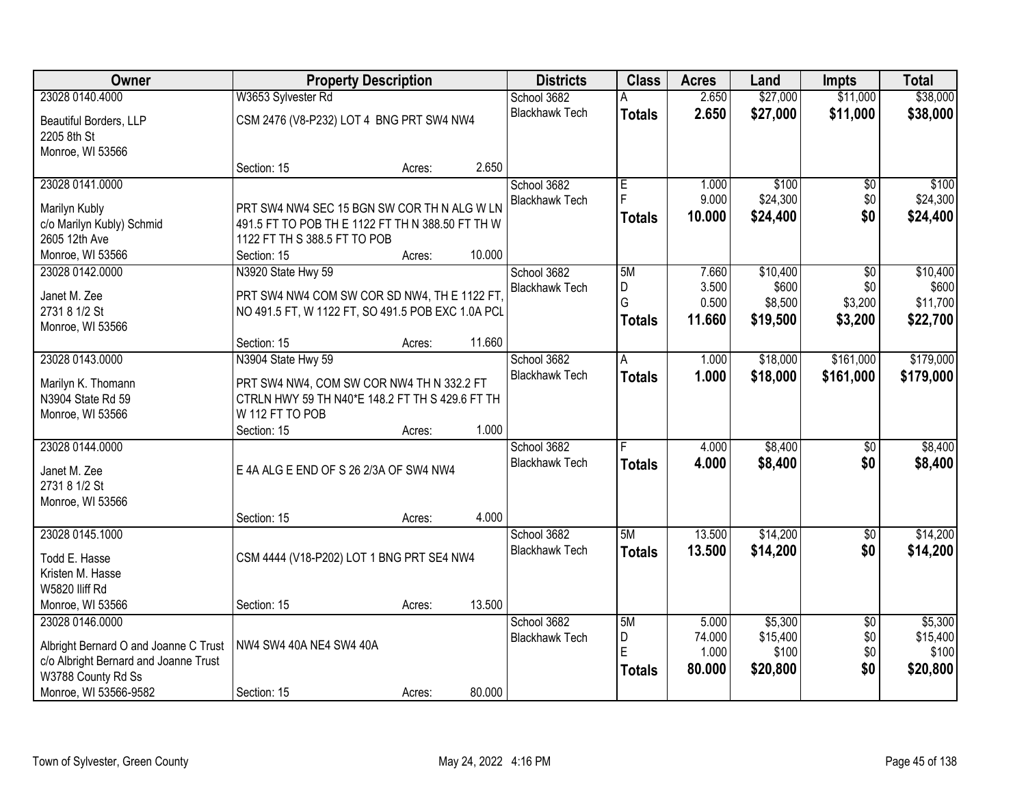| Owner                                 | <b>Property Description</b>                       |        |        | <b>Districts</b>                     | <b>Class</b>  | <b>Acres</b>   | Land     | <b>Impts</b>    | <b>Total</b>      |
|---------------------------------------|---------------------------------------------------|--------|--------|--------------------------------------|---------------|----------------|----------|-----------------|-------------------|
| 23028 0140.4000                       | W3653 Sylvester Rd                                |        |        | School 3682                          |               | 2.650          | \$27,000 | \$11,000        | \$38,000          |
| Beautiful Borders, LLP                | CSM 2476 (V8-P232) LOT 4 BNG PRT SW4 NW4          |        |        | <b>Blackhawk Tech</b>                | <b>Totals</b> | 2.650          | \$27,000 | \$11,000        | \$38,000          |
| 2205 8th St                           |                                                   |        |        |                                      |               |                |          |                 |                   |
| Monroe, WI 53566                      |                                                   |        |        |                                      |               |                |          |                 |                   |
|                                       | Section: 15                                       | Acres: | 2.650  |                                      |               |                |          |                 |                   |
| 23028 0141.0000                       |                                                   |        |        | School 3682                          | E             | 1.000          | \$100    | \$0             | \$100             |
|                                       |                                                   |        |        | <b>Blackhawk Tech</b>                | F             | 9.000          | \$24,300 | \$0             | \$24,300          |
| Marilyn Kubly                         | PRT SW4 NW4 SEC 15 BGN SW COR TH N ALG W LN       |        |        |                                      | <b>Totals</b> | 10.000         | \$24,400 | \$0             | \$24,400          |
| c/o Marilyn Kubly) Schmid             | 491.5 FT TO POB TH E 1122 FT TH N 388.50 FT TH W  |        |        |                                      |               |                |          |                 |                   |
| 2605 12th Ave                         | 1122 FT TH S 388.5 FT TO POB                      |        | 10.000 |                                      |               |                |          |                 |                   |
| Monroe, WI 53566                      | Section: 15                                       | Acres: |        |                                      | 5M            |                | \$10,400 |                 |                   |
| 23028 0142.0000                       | N3920 State Hwy 59                                |        |        | School 3682<br><b>Blackhawk Tech</b> | D             | 7.660<br>3.500 | \$600    | \$0<br>\$0      | \$10,400<br>\$600 |
| Janet M. Zee                          | PRT SW4 NW4 COM SW COR SD NW4, TH E 1122 FT,      |        |        |                                      | G             | 0.500          | \$8,500  | \$3,200         | \$11,700          |
| 2731 8 1/2 St                         | NO 491.5 FT, W 1122 FT, SO 491.5 POB EXC 1.0A PCL |        |        |                                      |               | 11.660         | \$19,500 | \$3,200         | \$22,700          |
| Monroe, WI 53566                      |                                                   |        |        |                                      | <b>Totals</b> |                |          |                 |                   |
|                                       | Section: 15                                       | Acres: | 11.660 |                                      |               |                |          |                 |                   |
| 23028 0143.0000                       | N3904 State Hwy 59                                |        |        | School 3682                          | A             | 1.000          | \$18,000 | \$161,000       | \$179,000         |
| Marilyn K. Thomann                    | PRT SW4 NW4, COM SW COR NW4 TH N 332.2 FT         |        |        | <b>Blackhawk Tech</b>                | <b>Totals</b> | 1.000          | \$18,000 | \$161,000       | \$179,000         |
| N3904 State Rd 59                     | CTRLN HWY 59 TH N40*E 148.2 FT TH S 429.6 FT TH   |        |        |                                      |               |                |          |                 |                   |
| Monroe, WI 53566                      | W 112 FT TO POB                                   |        |        |                                      |               |                |          |                 |                   |
|                                       | Section: 15                                       | Acres: | 1.000  |                                      |               |                |          |                 |                   |
| 23028 0144.0000                       |                                                   |        |        | School 3682                          |               | 4.000          | \$8,400  | $\overline{50}$ | \$8,400           |
|                                       |                                                   |        |        | <b>Blackhawk Tech</b>                | <b>Totals</b> | 4.000          | \$8,400  | \$0             | \$8,400           |
| Janet M. Zee                          | E 4A ALG E END OF S 26 2/3A OF SW4 NW4            |        |        |                                      |               |                |          |                 |                   |
| 2731 8 1/2 St                         |                                                   |        |        |                                      |               |                |          |                 |                   |
| Monroe, WI 53566                      |                                                   |        | 4.000  |                                      |               |                |          |                 |                   |
| 23028 0145.1000                       | Section: 15                                       | Acres: |        | School 3682                          | 5M            | 13.500         | \$14,200 | $\overline{60}$ | \$14,200          |
|                                       |                                                   |        |        | <b>Blackhawk Tech</b>                |               | 13.500         |          | \$0             |                   |
| Todd E. Hasse                         | CSM 4444 (V18-P202) LOT 1 BNG PRT SE4 NW4         |        |        |                                      | <b>Totals</b> |                | \$14,200 |                 | \$14,200          |
| Kristen M. Hasse                      |                                                   |        |        |                                      |               |                |          |                 |                   |
| W5820 lliff Rd                        |                                                   |        |        |                                      |               |                |          |                 |                   |
| Monroe, WI 53566                      | Section: 15                                       | Acres: | 13.500 |                                      |               |                |          |                 |                   |
| 23028 0146.0000                       |                                                   |        |        | School 3682                          | 5M            | 5.000          | \$5,300  | $\overline{30}$ | \$5,300           |
| Albright Bernard O and Joanne C Trust | NW4 SW4 40A NE4 SW4 40A                           |        |        | <b>Blackhawk Tech</b>                | D             | 74.000         | \$15,400 | \$0             | \$15,400          |
| c/o Albright Bernard and Joanne Trust |                                                   |        |        |                                      | E             | 1.000          | \$100    | \$0             | \$100             |
| W3788 County Rd Ss                    |                                                   |        |        |                                      | <b>Totals</b> | 80.000         | \$20,800 | \$0             | \$20,800          |
| Monroe, WI 53566-9582                 | Section: 15                                       | Acres: | 80.000 |                                      |               |                |          |                 |                   |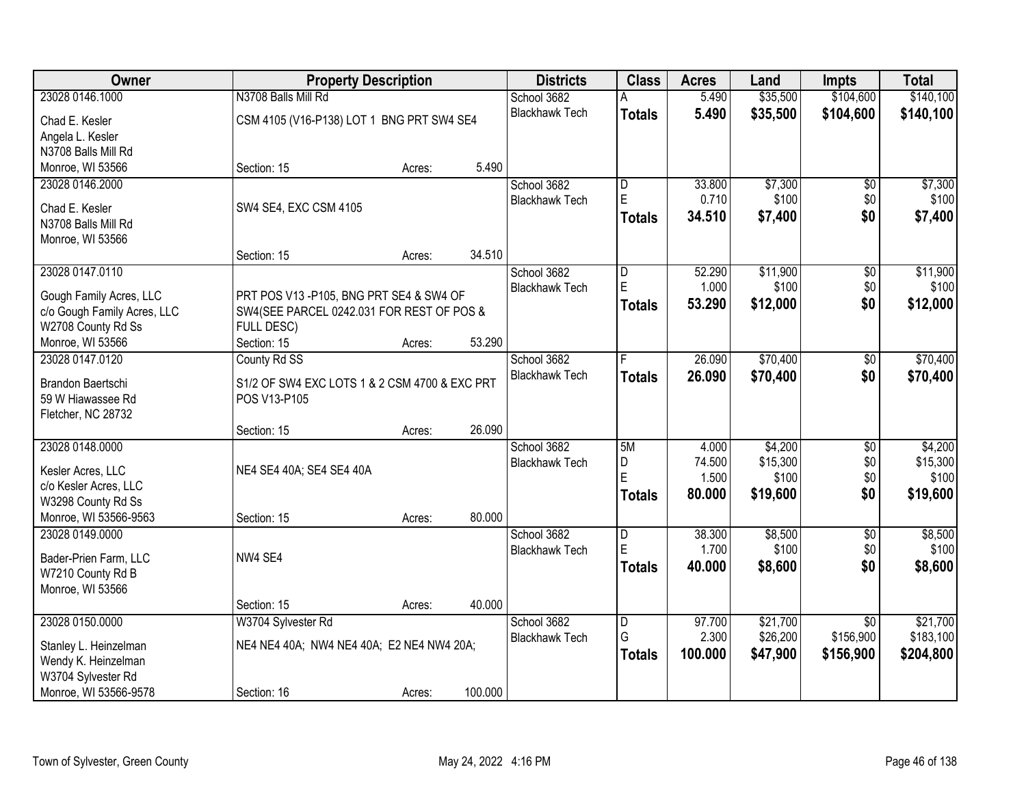| <b>Owner</b>                               | <b>Property Description</b>                   |        |         | <b>Districts</b>      | <b>Class</b>            | <b>Acres</b> | Land     | <b>Impts</b>    | <b>Total</b> |
|--------------------------------------------|-----------------------------------------------|--------|---------|-----------------------|-------------------------|--------------|----------|-----------------|--------------|
| 23028 0146.1000                            | N3708 Balls Mill Rd                           |        |         | School 3682           |                         | 5.490        | \$35,500 | \$104,600       | \$140,100    |
| Chad E. Kesler                             | CSM 4105 (V16-P138) LOT 1 BNG PRT SW4 SE4     |        |         | <b>Blackhawk Tech</b> | <b>Totals</b>           | 5.490        | \$35,500 | \$104,600       | \$140,100    |
| Angela L. Kesler                           |                                               |        |         |                       |                         |              |          |                 |              |
| N3708 Balls Mill Rd                        |                                               |        |         |                       |                         |              |          |                 |              |
| Monroe, WI 53566                           | Section: 15                                   | Acres: | 5.490   |                       |                         |              |          |                 |              |
| 23028 0146.2000                            |                                               |        |         | School 3682           | D                       | 33.800       | \$7,300  | \$0             | \$7,300      |
| Chad E. Kesler                             | SW4 SE4, EXC CSM 4105                         |        |         | <b>Blackhawk Tech</b> | E                       | 0.710        | \$100    | \$0             | \$100        |
| N3708 Balls Mill Rd                        |                                               |        |         |                       | <b>Totals</b>           | 34.510       | \$7,400  | \$0             | \$7,400      |
| Monroe, WI 53566                           |                                               |        |         |                       |                         |              |          |                 |              |
|                                            | Section: 15                                   | Acres: | 34.510  |                       |                         |              |          |                 |              |
| 23028 0147.0110                            |                                               |        |         | School 3682           | $\overline{\mathsf{D}}$ | 52.290       | \$11,900 | $\overline{50}$ | \$11,900     |
| Gough Family Acres, LLC                    | PRT POS V13 - P105, BNG PRT SE4 & SW4 OF      |        |         | <b>Blackhawk Tech</b> | E.                      | 1.000        | \$100    | \$0\$           | \$100        |
| c/o Gough Family Acres, LLC                | SW4(SEE PARCEL 0242.031 FOR REST OF POS &     |        |         |                       | <b>Totals</b>           | 53.290       | \$12,000 | \$0             | \$12,000     |
| W2708 County Rd Ss                         | <b>FULL DESC)</b>                             |        |         |                       |                         |              |          |                 |              |
| Monroe, WI 53566                           | Section: 15                                   | Acres: | 53.290  |                       |                         |              |          |                 |              |
| 23028 0147.0120                            | County Rd SS                                  |        |         | School 3682           |                         | 26.090       | \$70,400 | \$0             | \$70,400     |
| Brandon Baertschi                          | S1/2 OF SW4 EXC LOTS 1 & 2 CSM 4700 & EXC PRT |        |         | <b>Blackhawk Tech</b> | <b>Totals</b>           | 26.090       | \$70,400 | \$0             | \$70,400     |
| 59 W Hiawassee Rd                          | POS V13-P105                                  |        |         |                       |                         |              |          |                 |              |
| Fletcher, NC 28732                         |                                               |        |         |                       |                         |              |          |                 |              |
|                                            | Section: 15                                   | Acres: | 26.090  |                       |                         |              |          |                 |              |
| 23028 0148.0000                            |                                               |        |         | School 3682           | 5M                      | 4.000        | \$4,200  | \$0             | \$4,200      |
|                                            | NE4 SE4 40A; SE4 SE4 40A                      |        |         | <b>Blackhawk Tech</b> | D                       | 74.500       | \$15,300 | \$0             | \$15,300     |
| Kesler Acres, LLC<br>c/o Kesler Acres, LLC |                                               |        |         |                       | E                       | 1.500        | \$100    | \$0             | \$100        |
| W3298 County Rd Ss                         |                                               |        |         |                       | <b>Totals</b>           | 80.000       | \$19,600 | \$0             | \$19,600     |
| Monroe, WI 53566-9563                      | Section: 15                                   | Acres: | 80.000  |                       |                         |              |          |                 |              |
| 23028 0149.0000                            |                                               |        |         | School 3682           | D                       | 38.300       | \$8,500  | $\overline{50}$ | \$8,500      |
|                                            | NW4 SE4                                       |        |         | <b>Blackhawk Tech</b> | E.                      | 1.700        | \$100    | \$0             | \$100        |
| Bader-Prien Farm, LLC<br>W7210 County Rd B |                                               |        |         |                       | <b>Totals</b>           | 40.000       | \$8,600  | \$0             | \$8,600      |
| Monroe, WI 53566                           |                                               |        |         |                       |                         |              |          |                 |              |
|                                            | Section: 15                                   | Acres: | 40.000  |                       |                         |              |          |                 |              |
| 23028 0150.0000                            | W3704 Sylvester Rd                            |        |         | School 3682           | D                       | 97.700       | \$21,700 | $\overline{30}$ | \$21,700     |
|                                            |                                               |        |         | <b>Blackhawk Tech</b> | G                       | 2.300        | \$26,200 | \$156,900       | \$183,100    |
| Stanley L. Heinzelman                      | NE4 NE4 40A; NW4 NE4 40A; E2 NE4 NW4 20A;     |        |         |                       | <b>Totals</b>           | 100.000      | \$47,900 | \$156,900       | \$204,800    |
| Wendy K. Heinzelman<br>W3704 Sylvester Rd  |                                               |        |         |                       |                         |              |          |                 |              |
| Monroe, WI 53566-9578                      | Section: 16                                   | Acres: | 100.000 |                       |                         |              |          |                 |              |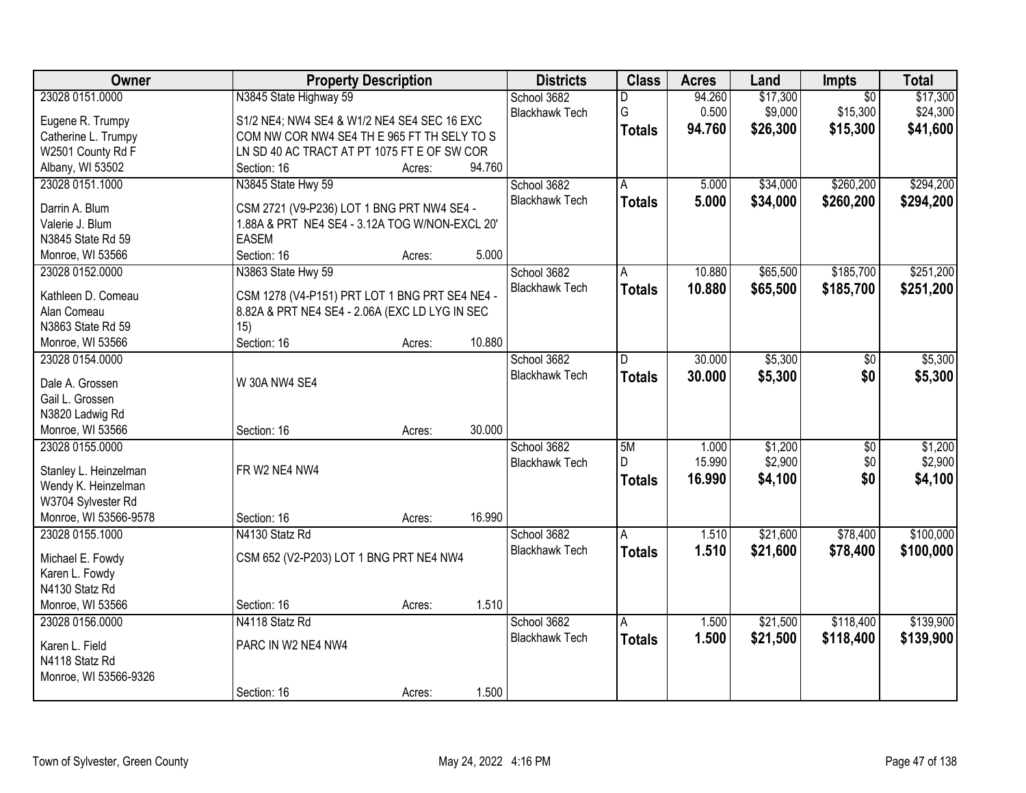| Owner                            | <b>Property Description</b>                    |        |        | <b>Districts</b>      | <b>Class</b>  | <b>Acres</b> | Land     | Impts           | <b>Total</b> |
|----------------------------------|------------------------------------------------|--------|--------|-----------------------|---------------|--------------|----------|-----------------|--------------|
| 23028 0151.0000                  | N3845 State Highway 59                         |        |        | School 3682           | D             | 94.260       | \$17,300 | $\overline{50}$ | \$17,300     |
| Eugene R. Trumpy                 | S1/2 NE4; NW4 SE4 & W1/2 NE4 SE4 SEC 16 EXC    |        |        | <b>Blackhawk Tech</b> | G             | 0.500        | \$9,000  | \$15,300        | \$24,300     |
| Catherine L. Trumpy              | COM NW COR NW4 SE4 TH E 965 FT TH SELY TO S    |        |        |                       | <b>Totals</b> | 94.760       | \$26,300 | \$15,300        | \$41,600     |
| W2501 County Rd F                | LN SD 40 AC TRACT AT PT 1075 FT E OF SW COR    |        |        |                       |               |              |          |                 |              |
| Albany, WI 53502                 | Section: 16                                    | Acres: | 94.760 |                       |               |              |          |                 |              |
| 23028 0151.1000                  | N3845 State Hwy 59                             |        |        | School 3682           | A             | 5.000        | \$34,000 | \$260,200       | \$294,200    |
|                                  |                                                |        |        | <b>Blackhawk Tech</b> | <b>Totals</b> | 5.000        | \$34,000 | \$260,200       | \$294,200    |
| Darrin A. Blum                   | CSM 2721 (V9-P236) LOT 1 BNG PRT NW4 SE4 -     |        |        |                       |               |              |          |                 |              |
| Valerie J. Blum                  | 1.88A & PRT NE4 SE4 - 3.12A TOG W/NON-EXCL 20' |        |        |                       |               |              |          |                 |              |
| N3845 State Rd 59                | <b>EASEM</b>                                   |        |        |                       |               |              |          |                 |              |
| Monroe, WI 53566                 | Section: 16                                    | Acres: | 5.000  |                       |               |              |          |                 |              |
| 23028 0152.0000                  | N3863 State Hwy 59                             |        |        | School 3682           | A             | 10.880       | \$65,500 | \$185,700       | \$251,200    |
| Kathleen D. Comeau               | CSM 1278 (V4-P151) PRT LOT 1 BNG PRT SE4 NE4 - |        |        | <b>Blackhawk Tech</b> | <b>Totals</b> | 10.880       | \$65,500 | \$185,700       | \$251,200    |
| Alan Comeau                      | 8.82A & PRT NE4 SE4 - 2.06A (EXC LD LYG IN SEC |        |        |                       |               |              |          |                 |              |
| N3863 State Rd 59                | 15)                                            |        |        |                       |               |              |          |                 |              |
| Monroe, WI 53566                 | Section: 16                                    | Acres: | 10.880 |                       |               |              |          |                 |              |
| 23028 0154.0000                  |                                                |        |        | School 3682           | D.            | 30.000       | \$5,300  | \$0             | \$5,300      |
|                                  |                                                |        |        | <b>Blackhawk Tech</b> | <b>Totals</b> | 30.000       | \$5,300  | \$0             | \$5,300      |
| Dale A. Grossen                  | W 30A NW4 SE4                                  |        |        |                       |               |              |          |                 |              |
| Gail L. Grossen                  |                                                |        |        |                       |               |              |          |                 |              |
| N3820 Ladwig Rd                  |                                                |        |        |                       |               |              |          |                 |              |
| Monroe, WI 53566                 | Section: 16                                    | Acres: | 30.000 |                       |               |              |          |                 |              |
| 23028 0155.0000                  |                                                |        |        | School 3682           | 5M            | 1.000        | \$1,200  | $\overline{50}$ | \$1,200      |
| Stanley L. Heinzelman            | FR W2 NE4 NW4                                  |        |        | <b>Blackhawk Tech</b> | D.            | 15.990       | \$2,900  | \$0             | \$2,900      |
| Wendy K. Heinzelman              |                                                |        |        |                       | <b>Totals</b> | 16.990       | \$4,100  | \$0             | \$4,100      |
| W3704 Sylvester Rd               |                                                |        |        |                       |               |              |          |                 |              |
| Monroe, WI 53566-9578            | Section: 16                                    | Acres: | 16.990 |                       |               |              |          |                 |              |
| 23028 0155.1000                  | N4130 Statz Rd                                 |        |        | School 3682           | Α             | 1.510        | \$21,600 | \$78,400        | \$100,000    |
|                                  |                                                |        |        | <b>Blackhawk Tech</b> |               | 1.510        | \$21,600 |                 |              |
| Michael E. Fowdy                 | CSM 652 (V2-P203) LOT 1 BNG PRT NE4 NW4        |        |        |                       | <b>Totals</b> |              |          | \$78,400        | \$100,000    |
| Karen L. Fowdy                   |                                                |        |        |                       |               |              |          |                 |              |
| N4130 Statz Rd                   |                                                |        |        |                       |               |              |          |                 |              |
| Monroe, WI 53566                 | Section: 16                                    | Acres: | 1.510  |                       |               |              |          |                 |              |
| 23028 0156.0000                  | N4118 Statz Rd                                 |        |        | School 3682           | A             | 1.500        | \$21,500 | \$118,400       | \$139,900    |
|                                  | PARC IN W2 NE4 NW4                             |        |        | <b>Blackhawk Tech</b> | <b>Totals</b> | 1.500        | \$21,500 | \$118,400       | \$139,900    |
| Karen L. Field<br>N4118 Statz Rd |                                                |        |        |                       |               |              |          |                 |              |
|                                  |                                                |        |        |                       |               |              |          |                 |              |
| Monroe, WI 53566-9326            | Section: 16                                    |        | 1.500  |                       |               |              |          |                 |              |
|                                  |                                                | Acres: |        |                       |               |              |          |                 |              |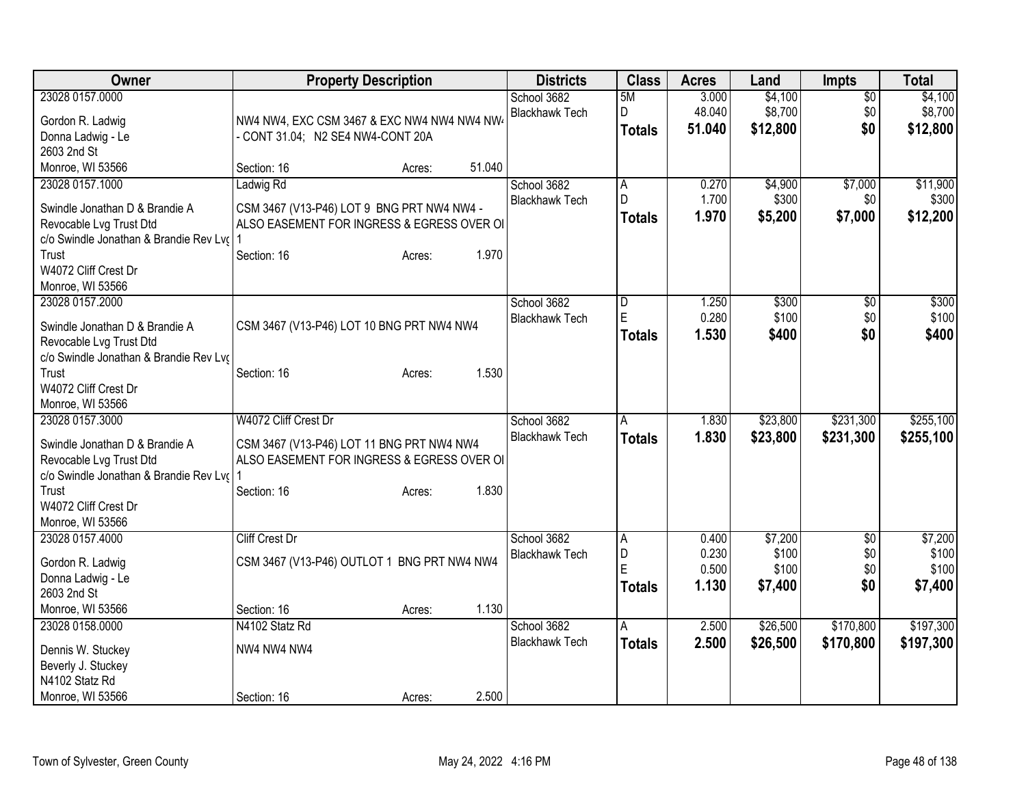| Owner                                                                                                                                                                                           | <b>Property Description</b>                                                                                                                       | <b>Districts</b>                     | <b>Class</b>                         | <b>Acres</b>                     | Land                                 | <b>Impts</b>                  | <b>Total</b>                         |
|-------------------------------------------------------------------------------------------------------------------------------------------------------------------------------------------------|---------------------------------------------------------------------------------------------------------------------------------------------------|--------------------------------------|--------------------------------------|----------------------------------|--------------------------------------|-------------------------------|--------------------------------------|
| 23028 0157.0000<br>Gordon R. Ladwig<br>Donna Ladwig - Le                                                                                                                                        | NW4 NW4, EXC CSM 3467 & EXC NW4 NW4 NW4 NW<br>- CONT 31.04; N2 SE4 NW4-CONT 20A                                                                   | School 3682<br><b>Blackhawk Tech</b> | 5M<br>D<br><b>Totals</b>             | 3.000<br>48.040<br>51.040        | \$4,100<br>\$8,700<br>\$12,800       | $\overline{50}$<br>\$0<br>\$0 | \$4,100<br>\$8,700<br>\$12,800       |
| 2603 2nd St<br>Monroe, WI 53566                                                                                                                                                                 | 51.040<br>Section: 16<br>Acres:                                                                                                                   |                                      |                                      |                                  |                                      |                               |                                      |
| 23028 0157.1000<br>Swindle Jonathan D & Brandie A<br>Revocable Lvg Trust Dtd<br>c/o Swindle Jonathan & Brandie Rev Lv(<br>Trust<br>W4072 Cliff Crest Dr<br>Monroe, WI 53566                     | Ladwig Rd<br>CSM 3467 (V13-P46) LOT 9 BNG PRT NW4 NW4 -<br>ALSO EASEMENT FOR INGRESS & EGRESS OVER OI<br>1.970<br>Section: 16<br>Acres:           | School 3682<br><b>Blackhawk Tech</b> | $\overline{A}$<br>D<br><b>Totals</b> | 0.270<br>1.700<br>1.970          | \$4,900<br>\$300<br>\$5,200          | \$7,000<br>\$0<br>\$7,000     | \$11,900<br>\$300<br>\$12,200        |
| 23028 0157.2000<br>Swindle Jonathan D & Brandie A<br>Revocable Lvg Trust Dtd<br>c/o Swindle Jonathan & Brandie Rev Lvo<br>Trust<br>W4072 Cliff Crest Dr                                         | CSM 3467 (V13-P46) LOT 10 BNG PRT NW4 NW4<br>1.530<br>Section: 16<br>Acres:                                                                       | School 3682<br><b>Blackhawk Tech</b> | D<br>E<br><b>Totals</b>              | 1.250<br>0.280<br>1.530          | \$300<br>\$100<br>\$400              | \$0<br>\$0<br>\$0             | \$300<br>\$100<br>\$400              |
| Monroe, WI 53566<br>23028 0157.3000<br>Swindle Jonathan D & Brandie A<br>Revocable Lvg Trust Dtd<br>c/o Swindle Jonathan & Brandie Rev Lvo<br>Trust<br>W4072 Cliff Crest Dr<br>Monroe, WI 53566 | W4072 Cliff Crest Dr<br>CSM 3467 (V13-P46) LOT 11 BNG PRT NW4 NW4<br>ALSO EASEMENT FOR INGRESS & EGRESS OVER OI<br>1.830<br>Section: 16<br>Acres: | School 3682<br><b>Blackhawk Tech</b> | A<br><b>Totals</b>                   | 1.830<br>1.830                   | \$23,800<br>\$23,800                 | \$231,300<br>\$231,300        | \$255,100<br>\$255,100               |
| 23028 0157.4000<br>Gordon R. Ladwig<br>Donna Ladwig - Le<br>2603 2nd St<br>Monroe, WI 53566                                                                                                     | <b>Cliff Crest Dr</b><br>CSM 3467 (V13-P46) OUTLOT 1 BNG PRT NW4 NW4<br>1.130<br>Section: 16<br>Acres:                                            | School 3682<br><b>Blackhawk Tech</b> | A<br>D<br>E<br>Totals                | 0.400<br>0.230<br>0.500<br>1.130 | \$7,200<br>\$100<br>\$100<br>\$7,400 | \$0<br>\$0<br>\$0<br>\$0      | \$7,200<br>\$100<br>\$100<br>\$7,400 |
| 23028 0158.0000<br>Dennis W. Stuckey<br>Beverly J. Stuckey<br>N4102 Statz Rd<br>Monroe, WI 53566                                                                                                | N4102 Statz Rd<br>NW4 NW4 NW4<br>2.500<br>Section: 16<br>Acres:                                                                                   | School 3682<br><b>Blackhawk Tech</b> | A<br>Totals                          | 2.500<br>2.500                   | \$26,500<br>\$26,500                 | \$170,800<br>\$170,800        | \$197,300<br>\$197,300               |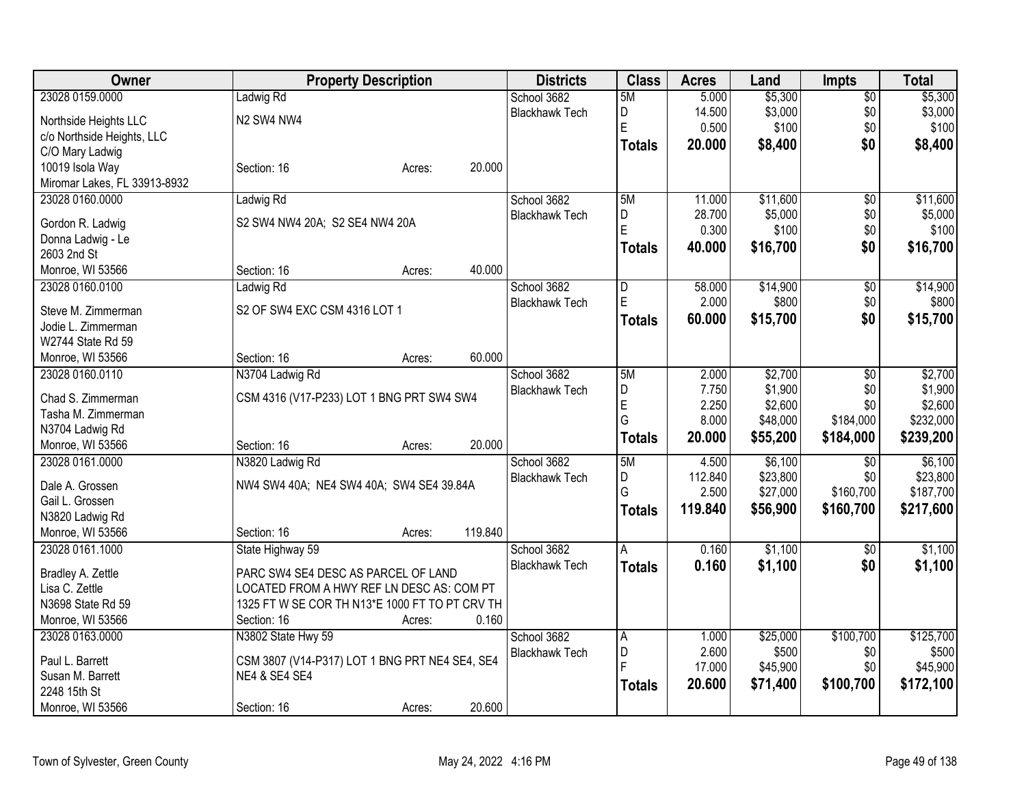| Owner                        | <b>Property Description</b>                    | <b>Districts</b>      | <b>Class</b>   | <b>Acres</b> | Land     | <b>Impts</b>    | <b>Total</b> |
|------------------------------|------------------------------------------------|-----------------------|----------------|--------------|----------|-----------------|--------------|
| 23028 0159.0000              | Ladwig Rd                                      | School 3682           | 5M             | 5.000        | \$5,300  | $\overline{50}$ | \$5,300      |
| Northside Heights LLC        | N2 SW4 NW4                                     | <b>Blackhawk Tech</b> | D              | 14.500       | \$3,000  | \$0             | \$3,000      |
| c/o Northside Heights, LLC   |                                                |                       | E              | 0.500        | \$100    | \$0             | \$100        |
| C/O Mary Ladwig              |                                                |                       | <b>Totals</b>  | 20.000       | \$8,400  | \$0             | \$8,400      |
| 10019 Isola Way              | 20.000<br>Section: 16<br>Acres:                |                       |                |              |          |                 |              |
| Miromar Lakes, FL 33913-8932 |                                                |                       |                |              |          |                 |              |
| 23028 0160.0000              | Ladwig Rd                                      | School 3682           | 5M             | 11.000       | \$11,600 | $\overline{60}$ | \$11,600     |
|                              |                                                | <b>Blackhawk Tech</b> | D              | 28.700       | \$5,000  | \$0             | \$5,000      |
| Gordon R. Ladwig             | S2 SW4 NW4 20A; S2 SE4 NW4 20A                 |                       | E              | 0.300        | \$100    | \$0             | \$100        |
| Donna Ladwig - Le            |                                                |                       | <b>Totals</b>  | 40.000       | \$16,700 | \$0             | \$16,700     |
| 2603 2nd St                  |                                                |                       |                |              |          |                 |              |
| Monroe, WI 53566             | 40.000<br>Section: 16<br>Acres:                |                       |                |              |          |                 |              |
| 23028 0160.0100              | Ladwig Rd                                      | School 3682           | $\overline{D}$ | 58.000       | \$14,900 | $\overline{60}$ | \$14,900     |
| Steve M. Zimmerman           | S2 OF SW4 EXC CSM 4316 LOT 1                   | <b>Blackhawk Tech</b> | E              | 2.000        | \$800    | \$0             | \$800        |
| Jodie L. Zimmerman           |                                                |                       | <b>Totals</b>  | 60.000       | \$15,700 | \$0             | \$15,700     |
| W2744 State Rd 59            |                                                |                       |                |              |          |                 |              |
| Monroe, WI 53566             | 60.000<br>Section: 16<br>Acres:                |                       |                |              |          |                 |              |
| 23028 0160.0110              | N3704 Ladwig Rd                                | School 3682           | 5M             | 2.000        | \$2,700  | \$0             | \$2,700      |
|                              |                                                | <b>Blackhawk Tech</b> | D              | 7.750        | \$1,900  | \$0             | \$1,900      |
| Chad S. Zimmerman            | CSM 4316 (V17-P233) LOT 1 BNG PRT SW4 SW4      |                       | E              | 2.250        | \$2,600  | \$0             | \$2,600      |
| Tasha M. Zimmerman           |                                                |                       | G              | 8.000        | \$48,000 | \$184,000       | \$232,000    |
| N3704 Ladwig Rd              |                                                |                       | <b>Totals</b>  | 20.000       | \$55,200 | \$184,000       | \$239,200    |
| Monroe, WI 53566             | 20.000<br>Section: 16<br>Acres:                |                       |                |              |          |                 |              |
| 23028 0161.0000              | N3820 Ladwig Rd                                | School 3682           | 5M             | 4.500        | \$6,100  | \$0             | \$6,100      |
| Dale A. Grossen              | NW4 SW4 40A; NE4 SW4 40A; SW4 SE4 39.84A       | <b>Blackhawk Tech</b> | D              | 112.840      | \$23,800 | \$0             | \$23,800     |
| Gail L. Grossen              |                                                |                       | G              | 2.500        | \$27,000 | \$160,700       | \$187,700    |
| N3820 Ladwig Rd              |                                                |                       | <b>Totals</b>  | 119.840      | \$56,900 | \$160,700       | \$217,600    |
| Monroe, WI 53566             | 119.840<br>Section: 16<br>Acres:               |                       |                |              |          |                 |              |
| 23028 0161.1000              | State Highway 59                               | School 3682           | A              | 0.160        | \$1,100  | \$0             | \$1,100      |
|                              |                                                | <b>Blackhawk Tech</b> | <b>Totals</b>  | 0.160        | \$1,100  | \$0             | \$1,100      |
| Bradley A. Zettle            | PARC SW4 SE4 DESC AS PARCEL OF LAND            |                       |                |              |          |                 |              |
| Lisa C. Zettle               | LOCATED FROM A HWY REF LN DESC AS: COM PT      |                       |                |              |          |                 |              |
| N3698 State Rd 59            | 1325 FT W SE COR TH N13*E 1000 FT TO PT CRV TH |                       |                |              |          |                 |              |
| Monroe, WI 53566             | 0.160<br>Section: 16<br>Acres:                 |                       |                |              |          |                 |              |
| 23028 0163.0000              | N3802 State Hwy 59                             | School 3682           | A              | 1.000        | \$25,000 | \$100,700       | \$125,700    |
| Paul L. Barrett              | CSM 3807 (V14-P317) LOT 1 BNG PRT NE4 SE4, SE4 | <b>Blackhawk Tech</b> | D              | 2.600        | \$500    | \$0             | \$500        |
| Susan M. Barrett             | <b>NE4 &amp; SE4 SE4</b>                       |                       | F              | 17.000       | \$45,900 | \$0             | \$45,900     |
| 2248 15th St                 |                                                |                       | <b>Totals</b>  | 20.600       | \$71,400 | \$100,700       | \$172,100    |
| Monroe, WI 53566             | 20.600<br>Section: 16<br>Acres:                |                       |                |              |          |                 |              |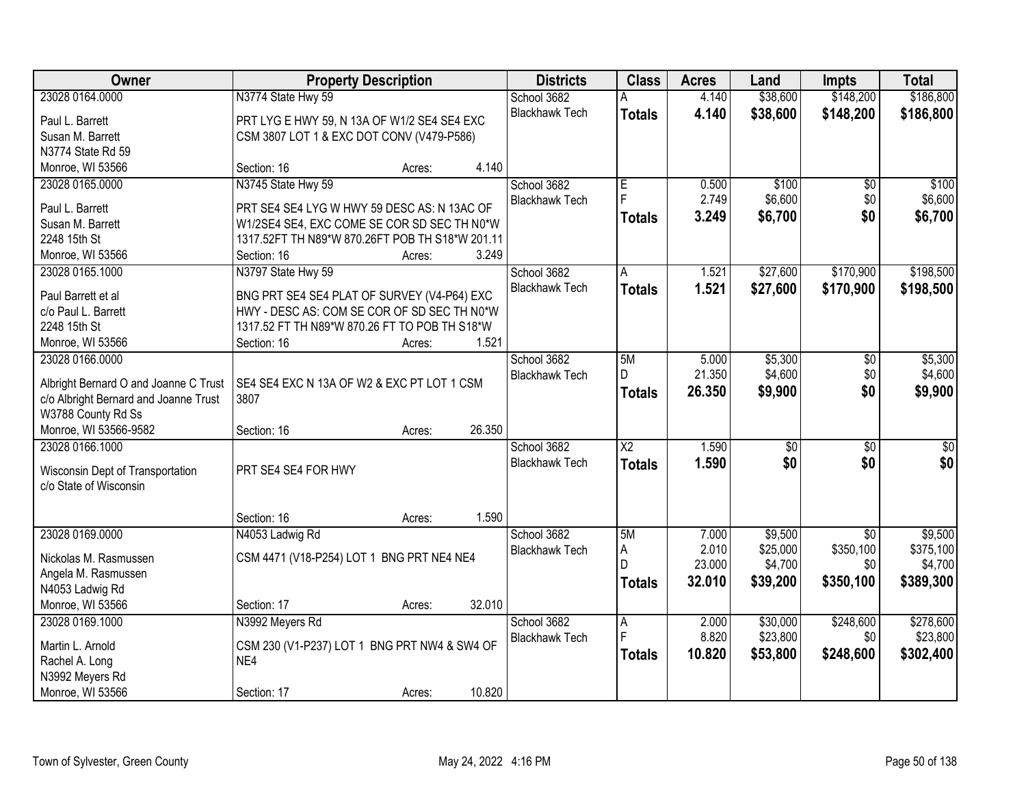| Owner                                                       | <b>Property Description</b>                        | <b>Districts</b>      | <b>Class</b>           | <b>Acres</b> | Land            | Impts           | <b>Total</b>    |
|-------------------------------------------------------------|----------------------------------------------------|-----------------------|------------------------|--------------|-----------------|-----------------|-----------------|
| 23028 0164.0000                                             | N3774 State Hwy 59                                 | School 3682           |                        | 4.140        | \$38,600        | \$148,200       | \$186,800       |
| Paul L. Barrett                                             | PRT LYG E HWY 59, N 13A OF W1/2 SE4 SE4 EXC        | <b>Blackhawk Tech</b> | <b>Totals</b>          | 4.140        | \$38,600        | \$148,200       | \$186,800       |
| Susan M. Barrett                                            | CSM 3807 LOT 1 & EXC DOT CONV (V479-P586)          |                       |                        |              |                 |                 |                 |
| N3774 State Rd 59                                           |                                                    |                       |                        |              |                 |                 |                 |
| Monroe, WI 53566                                            | 4.140<br>Section: 16<br>Acres:                     |                       |                        |              |                 |                 |                 |
| 23028 0165.0000                                             | N3745 State Hwy 59                                 | School 3682           | E                      | 0.500        | \$100           | \$0             | \$100           |
|                                                             |                                                    | <b>Blackhawk Tech</b> | F.                     | 2.749        | \$6,600         | \$0             | \$6,600         |
| Paul L. Barrett                                             | PRT SE4 SE4 LYG W HWY 59 DESC AS: N 13AC OF        |                       | <b>Totals</b>          | 3.249        | \$6,700         | \$0             | \$6,700         |
| Susan M. Barrett                                            | W1/2SE4 SE4, EXC COME SE COR SD SEC TH N0*W        |                       |                        |              |                 |                 |                 |
| 2248 15th St                                                | 1317.52FT TH N89*W 870.26FT POB TH S18*W 201.11    |                       |                        |              |                 |                 |                 |
| Monroe, WI 53566                                            | 3.249<br>Section: 16<br>Acres:                     |                       |                        |              |                 |                 |                 |
| 23028 0165.1000                                             | N3797 State Hwy 59                                 | School 3682           | Α                      | 1.521        | \$27,600        | \$170,900       | \$198,500       |
| Paul Barrett et al                                          | BNG PRT SE4 SE4 PLAT OF SURVEY (V4-P64) EXC        | <b>Blackhawk Tech</b> | <b>Totals</b>          | 1.521        | \$27,600        | \$170,900       | \$198,500       |
| c/o Paul L. Barrett                                         | HWY - DESC AS: COM SE COR OF SD SEC TH N0*W        |                       |                        |              |                 |                 |                 |
| 2248 15th St                                                | 1317.52 FT TH N89*W 870.26 FT TO POB TH S18*W      |                       |                        |              |                 |                 |                 |
| Monroe, WI 53566                                            | Section: 16<br>1.521<br>Acres:                     |                       |                        |              |                 |                 |                 |
| 23028 0166,0000                                             |                                                    | School 3682           | 5M                     | 5.000        | \$5,300         | \$0             | \$5,300         |
|                                                             |                                                    | <b>Blackhawk Tech</b> | D                      | 21.350       | \$4,600         | \$0             | \$4,600         |
| Albright Bernard O and Joanne C Trust                       | SE4 SE4 EXC N 13A OF W2 & EXC PT LOT 1 CSM<br>3807 |                       | <b>Totals</b>          | 26.350       | \$9,900         | \$0             | \$9,900         |
| c/o Albright Bernard and Joanne Trust<br>W3788 County Rd Ss |                                                    |                       |                        |              |                 |                 |                 |
| Monroe, WI 53566-9582                                       | 26.350<br>Section: 16<br>Acres:                    |                       |                        |              |                 |                 |                 |
| 23028 0166.1000                                             |                                                    | School 3682           | $\overline{\text{X2}}$ | 1.590        | $\overline{50}$ | $\overline{50}$ | $\overline{50}$ |
|                                                             |                                                    | <b>Blackhawk Tech</b> |                        | 1.590        | \$0             | \$0             | \$0             |
| Wisconsin Dept of Transportation                            | PRT SE4 SE4 FOR HWY                                |                       | <b>Totals</b>          |              |                 |                 |                 |
| c/o State of Wisconsin                                      |                                                    |                       |                        |              |                 |                 |                 |
|                                                             |                                                    |                       |                        |              |                 |                 |                 |
|                                                             | 1.590<br>Section: 16<br>Acres:                     |                       |                        |              |                 |                 |                 |
| 23028 0169.0000                                             | N4053 Ladwig Rd                                    | School 3682           | 5M                     | 7.000        | \$9,500         | $\overline{50}$ | \$9,500         |
| Nickolas M. Rasmussen                                       | CSM 4471 (V18-P254) LOT 1 BNG PRT NE4 NE4          | <b>Blackhawk Tech</b> | A                      | 2.010        | \$25,000        | \$350,100       | \$375,100       |
| Angela M. Rasmussen                                         |                                                    |                       | D                      | 23.000       | \$4,700         | \$0             | \$4,700         |
| N4053 Ladwig Rd                                             |                                                    |                       | <b>Totals</b>          | 32.010       | \$39,200        | \$350,100       | \$389,300       |
| Monroe, WI 53566                                            | 32.010<br>Section: 17<br>Acres:                    |                       |                        |              |                 |                 |                 |
| 23028 0169.1000                                             | N3992 Meyers Rd                                    | School 3682           | Α                      | 2.000        | \$30,000        | \$248,600       | \$278,600       |
|                                                             |                                                    | <b>Blackhawk Tech</b> | F                      | 8.820        | \$23,800        | \$0             | \$23,800        |
| Martin L. Arnold                                            | CSM 230 (V1-P237) LOT 1 BNG PRT NW4 & SW4 OF       |                       | <b>Totals</b>          | 10.820       | \$53,800        | \$248,600       | \$302,400       |
| Rachel A. Long                                              | NE4                                                |                       |                        |              |                 |                 |                 |
| N3992 Meyers Rd                                             |                                                    |                       |                        |              |                 |                 |                 |
| Monroe, WI 53566                                            | 10.820<br>Section: 17<br>Acres:                    |                       |                        |              |                 |                 |                 |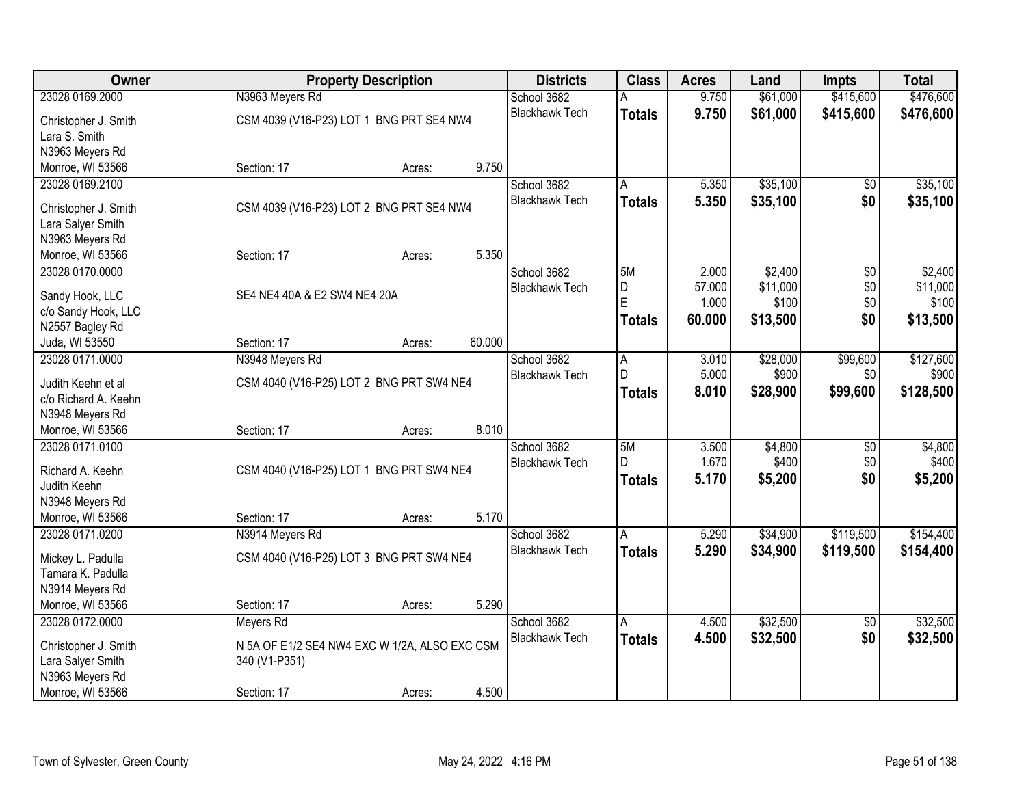| Owner                |                                               | <b>Property Description</b> |        | <b>Districts</b>      | <b>Class</b>   | <b>Acres</b>    | Land              | <b>Impts</b>    | <b>Total</b>      |
|----------------------|-----------------------------------------------|-----------------------------|--------|-----------------------|----------------|-----------------|-------------------|-----------------|-------------------|
| 23028 0169.2000      | N3963 Meyers Rd                               |                             |        | School 3682           | A              | 9.750           | \$61,000          | \$415,600       | \$476,600         |
| Christopher J. Smith | CSM 4039 (V16-P23) LOT 1 BNG PRT SE4 NW4      |                             |        | <b>Blackhawk Tech</b> | <b>Totals</b>  | 9.750           | \$61,000          | \$415,600       | \$476,600         |
| Lara S. Smith        |                                               |                             |        |                       |                |                 |                   |                 |                   |
| N3963 Meyers Rd      |                                               |                             |        |                       |                |                 |                   |                 |                   |
| Monroe, WI 53566     | Section: 17                                   | Acres:                      | 9.750  |                       |                |                 |                   |                 |                   |
| 23028 0169.2100      |                                               |                             |        | School 3682           | Α              | 5.350           | \$35,100          | $\overline{50}$ | \$35,100          |
|                      |                                               |                             |        | <b>Blackhawk Tech</b> | <b>Totals</b>  | 5.350           | \$35,100          | \$0             | \$35,100          |
| Christopher J. Smith | CSM 4039 (V16-P23) LOT 2 BNG PRT SE4 NW4      |                             |        |                       |                |                 |                   |                 |                   |
| Lara Salyer Smith    |                                               |                             |        |                       |                |                 |                   |                 |                   |
| N3963 Meyers Rd      |                                               |                             |        |                       |                |                 |                   |                 |                   |
| Monroe, WI 53566     | Section: 17                                   | Acres:                      | 5.350  |                       |                |                 |                   |                 |                   |
| 23028 0170.0000      |                                               |                             |        | School 3682           | 5M             | 2.000           | \$2,400           | \$0             | \$2,400           |
| Sandy Hook, LLC      | SE4 NE4 40A & E2 SW4 NE4 20A                  |                             |        | <b>Blackhawk Tech</b> | D<br>E         | 57.000<br>1.000 | \$11,000<br>\$100 | \$0<br>\$0      | \$11,000<br>\$100 |
| c/o Sandy Hook, LLC  |                                               |                             |        |                       |                | 60.000          |                   | \$0             |                   |
| N2557 Bagley Rd      |                                               |                             |        |                       | Totals         |                 | \$13,500          |                 | \$13,500          |
| Juda, WI 53550       | Section: 17                                   | Acres:                      | 60.000 |                       |                |                 |                   |                 |                   |
| 23028 0171.0000      | N3948 Meyers Rd                               |                             |        | School 3682           | $\overline{A}$ | 3.010           | \$28,000          | \$99,600        | \$127,600         |
| Judith Keehn et al   | CSM 4040 (V16-P25) LOT 2 BNG PRT SW4 NE4      |                             |        | <b>Blackhawk Tech</b> | D              | 5.000           | \$900             | \$0             | \$900             |
| c/o Richard A. Keehn |                                               |                             |        |                       | <b>Totals</b>  | 8.010           | \$28,900          | \$99,600        | \$128,500         |
| N3948 Meyers Rd      |                                               |                             |        |                       |                |                 |                   |                 |                   |
| Monroe, WI 53566     | Section: 17                                   | Acres:                      | 8.010  |                       |                |                 |                   |                 |                   |
| 23028 0171.0100      |                                               |                             |        | School 3682           | 5M             | 3.500           | \$4,800           | \$0             | \$4,800           |
|                      |                                               |                             |        | <b>Blackhawk Tech</b> | $\mathsf{D}$   | 1.670           | \$400             | \$0             | \$400             |
| Richard A. Keehn     | CSM 4040 (V16-P25) LOT 1 BNG PRT SW4 NE4      |                             |        |                       | <b>Totals</b>  | 5.170           | \$5,200           | \$0             | \$5,200           |
| Judith Keehn         |                                               |                             |        |                       |                |                 |                   |                 |                   |
| N3948 Meyers Rd      |                                               |                             |        |                       |                |                 |                   |                 |                   |
| Monroe, WI 53566     | Section: 17                                   | Acres:                      | 5.170  |                       |                |                 |                   |                 |                   |
| 23028 0171.0200      | N3914 Meyers Rd                               |                             |        | School 3682           | A              | 5.290           | \$34,900          | \$119,500       | \$154,400         |
| Mickey L. Padulla    | CSM 4040 (V16-P25) LOT 3 BNG PRT SW4 NE4      |                             |        | <b>Blackhawk Tech</b> | <b>Totals</b>  | 5.290           | \$34,900          | \$119,500       | \$154,400         |
| Tamara K. Padulla    |                                               |                             |        |                       |                |                 |                   |                 |                   |
| N3914 Meyers Rd      |                                               |                             |        |                       |                |                 |                   |                 |                   |
| Monroe, WI 53566     | Section: 17                                   | Acres:                      | 5.290  |                       |                |                 |                   |                 |                   |
| 23028 0172.0000      | Meyers Rd                                     |                             |        | School 3682           | A              | 4.500           | \$32,500          | $\overline{50}$ | \$32,500          |
| Christopher J. Smith | N 5A OF E1/2 SE4 NW4 EXC W 1/2A, ALSO EXC CSM |                             |        | <b>Blackhawk Tech</b> | <b>Totals</b>  | 4.500           | \$32,500          | \$0             | \$32,500          |
| Lara Salyer Smith    | 340 (V1-P351)                                 |                             |        |                       |                |                 |                   |                 |                   |
| N3963 Meyers Rd      |                                               |                             |        |                       |                |                 |                   |                 |                   |
| Monroe, WI 53566     | Section: 17                                   | Acres:                      | 4.500  |                       |                |                 |                   |                 |                   |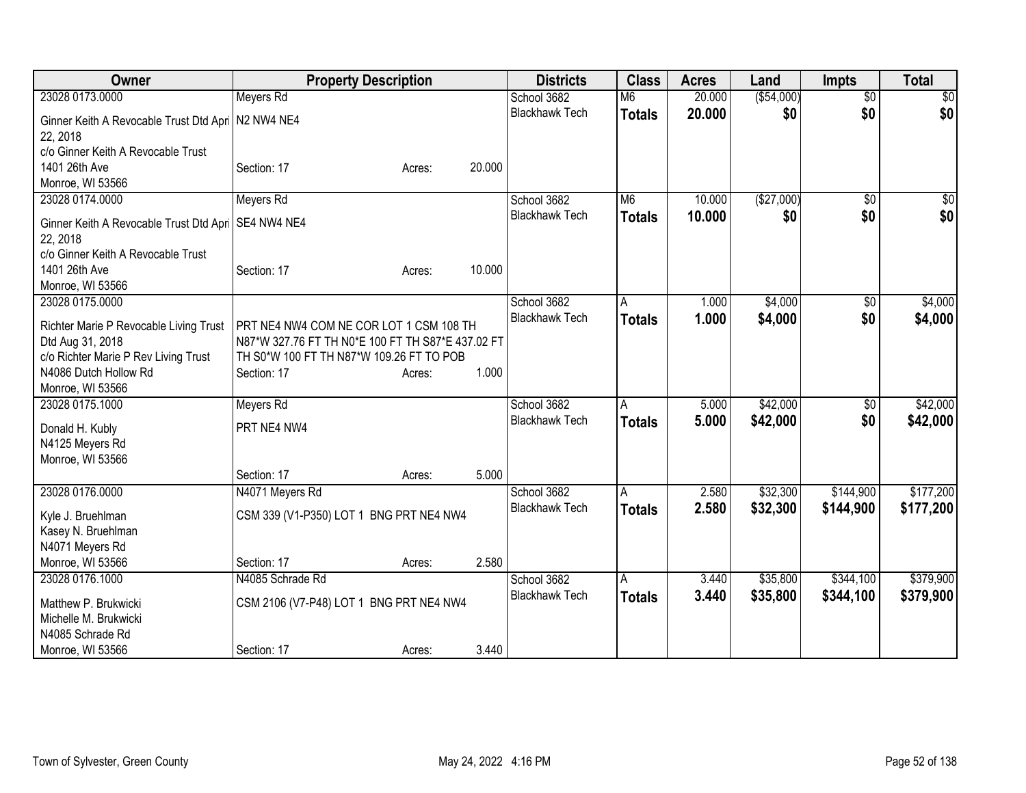| Owner                                   | <b>Property Description</b>                       |        |        | <b>Districts</b>      | <b>Class</b>   | <b>Acres</b> | Land        | <b>Impts</b>    | <b>Total</b>    |
|-----------------------------------------|---------------------------------------------------|--------|--------|-----------------------|----------------|--------------|-------------|-----------------|-----------------|
| 23028 0173.0000                         | Meyers Rd                                         |        |        | School 3682           | M <sub>6</sub> | 20.000       | ( \$54,000) | $\overline{50}$ | $\overline{30}$ |
| Ginner Keith A Revocable Trust Dtd Apri | N2 NW4 NE4                                        |        |        | <b>Blackhawk Tech</b> | <b>Totals</b>  | 20.000       | \$0         | \$0             | \$0             |
| 22, 2018                                |                                                   |        |        |                       |                |              |             |                 |                 |
| c/o Ginner Keith A Revocable Trust      |                                                   |        |        |                       |                |              |             |                 |                 |
| 1401 26th Ave                           | Section: 17                                       | Acres: | 20.000 |                       |                |              |             |                 |                 |
| Monroe, WI 53566                        |                                                   |        |        |                       |                |              |             |                 |                 |
| 23028 0174.0000                         | Meyers Rd                                         |        |        | School 3682           | M <sub>6</sub> | 10.000       | (\$27,000)  | $\overline{50}$ | $\frac{1}{2}$   |
| Ginner Keith A Revocable Trust Dtd Apri | SE4 NW4 NE4                                       |        |        | <b>Blackhawk Tech</b> | <b>Totals</b>  | 10,000       | \$0         | \$0             | \$0             |
| 22, 2018                                |                                                   |        |        |                       |                |              |             |                 |                 |
| c/o Ginner Keith A Revocable Trust      |                                                   |        |        |                       |                |              |             |                 |                 |
| 1401 26th Ave                           | Section: 17                                       | Acres: | 10.000 |                       |                |              |             |                 |                 |
| Monroe, WI 53566                        |                                                   |        |        |                       |                |              |             |                 |                 |
| 23028 0175.0000                         |                                                   |        |        | School 3682           | A              | 1.000        | \$4,000     | $\overline{50}$ | \$4,000         |
| Richter Marie P Revocable Living Trust  | PRT NE4 NW4 COM NE COR LOT 1 CSM 108 TH           |        |        | <b>Blackhawk Tech</b> | <b>Totals</b>  | 1.000        | \$4,000     | \$0             | \$4,000         |
| Dtd Aug 31, 2018                        | N87*W 327.76 FT TH N0*E 100 FT TH S87*E 437.02 FT |        |        |                       |                |              |             |                 |                 |
| c/o Richter Marie P Rev Living Trust    | TH S0*W 100 FT TH N87*W 109.26 FT TO POB          |        |        |                       |                |              |             |                 |                 |
| N4086 Dutch Hollow Rd                   | Section: 17                                       | Acres: | 1.000  |                       |                |              |             |                 |                 |
| Monroe, WI 53566                        |                                                   |        |        |                       |                |              |             |                 |                 |
| 23028 0175.1000                         | Meyers Rd                                         |        |        | School 3682           | $\overline{A}$ | 5.000        | \$42,000    | \$0             | \$42,000        |
|                                         |                                                   |        |        | <b>Blackhawk Tech</b> | <b>Totals</b>  | 5.000        | \$42,000    | \$0             | \$42,000        |
| Donald H. Kubly                         | PRT NE4 NW4                                       |        |        |                       |                |              |             |                 |                 |
| N4125 Meyers Rd                         |                                                   |        |        |                       |                |              |             |                 |                 |
| Monroe, WI 53566                        | Section: 17                                       | Acres: | 5.000  |                       |                |              |             |                 |                 |
| 23028 0176.0000                         | N4071 Meyers Rd                                   |        |        | School 3682           | A              | 2.580        | \$32,300    | \$144,900       | \$177,200       |
|                                         |                                                   |        |        | <b>Blackhawk Tech</b> |                |              |             |                 |                 |
| Kyle J. Bruehlman                       | CSM 339 (V1-P350) LOT 1 BNG PRT NE4 NW4           |        |        |                       | <b>Totals</b>  | 2.580        | \$32,300    | \$144,900       | \$177,200       |
| Kasey N. Bruehlman                      |                                                   |        |        |                       |                |              |             |                 |                 |
| N4071 Meyers Rd                         |                                                   |        |        |                       |                |              |             |                 |                 |
| Monroe, WI 53566                        | Section: 17                                       | Acres: | 2.580  |                       |                |              |             |                 |                 |
| 23028 0176.1000                         | N4085 Schrade Rd                                  |        |        | School 3682           | A              | 3.440        | \$35,800    | \$344,100       | \$379,900       |
| Matthew P. Brukwicki                    | CSM 2106 (V7-P48) LOT 1 BNG PRT NE4 NW4           |        |        | <b>Blackhawk Tech</b> | <b>Totals</b>  | 3.440        | \$35,800    | \$344,100       | \$379,900       |
| Michelle M. Brukwicki                   |                                                   |        |        |                       |                |              |             |                 |                 |
| N4085 Schrade Rd                        |                                                   |        |        |                       |                |              |             |                 |                 |
| Monroe, WI 53566                        | Section: 17                                       | Acres: | 3.440  |                       |                |              |             |                 |                 |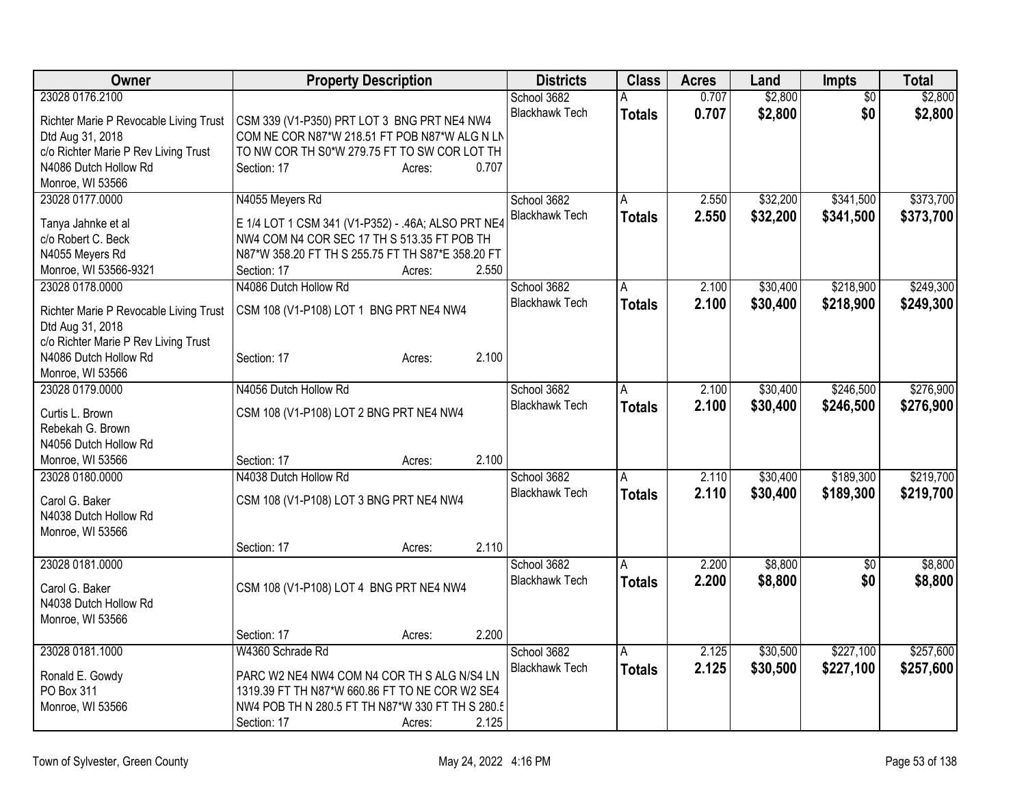| Owner                                  | <b>Property Description</b>                        | <b>Districts</b>      | <b>Class</b>   | <b>Acres</b> | Land     | <b>Impts</b> | <b>Total</b> |
|----------------------------------------|----------------------------------------------------|-----------------------|----------------|--------------|----------|--------------|--------------|
| 23028 0176.2100                        |                                                    | School 3682           | А              | 0.707        | \$2,800  | \$0          | \$2,800      |
| Richter Marie P Revocable Living Trust | CSM 339 (V1-P350) PRT LOT 3 BNG PRT NE4 NW4        | <b>Blackhawk Tech</b> | <b>Totals</b>  | 0.707        | \$2,800  | \$0          | \$2,800      |
| Dtd Aug 31, 2018                       | COM NE COR N87*W 218.51 FT POB N87*W ALG N LN      |                       |                |              |          |              |              |
| c/o Richter Marie P Rev Living Trust   | TO NW COR TH S0*W 279.75 FT TO SW COR LOT TH       |                       |                |              |          |              |              |
| N4086 Dutch Hollow Rd                  | 0.707<br>Section: 17<br>Acres:                     |                       |                |              |          |              |              |
| Monroe, WI 53566                       |                                                    |                       |                |              |          |              |              |
| 23028 0177.0000                        | N4055 Meyers Rd                                    | School 3682           | $\overline{A}$ | 2.550        | \$32,200 | \$341,500    | \$373,700    |
|                                        |                                                    | <b>Blackhawk Tech</b> | Totals         | 2.550        | \$32,200 | \$341,500    | \$373,700    |
| Tanya Jahnke et al                     | E 1/4 LOT 1 CSM 341 (V1-P352) - .46A; ALSO PRT NE4 |                       |                |              |          |              |              |
| c/o Robert C. Beck                     | NW4 COM N4 COR SEC 17 TH S 513.35 FT POB TH        |                       |                |              |          |              |              |
| N4055 Meyers Rd                        | N87*W 358.20 FT TH S 255.75 FT TH S87*E 358.20 FT  |                       |                |              |          |              |              |
| Monroe, WI 53566-9321                  | 2.550<br>Section: 17<br>Acres:                     |                       |                |              |          |              |              |
| 23028 0178,0000                        | N4086 Dutch Hollow Rd                              | School 3682           | A              | 2.100        | \$30,400 | \$218,900    | \$249,300    |
| Richter Marie P Revocable Living Trust | CSM 108 (V1-P108) LOT 1 BNG PRT NE4 NW4            | <b>Blackhawk Tech</b> | Totals         | 2.100        | \$30,400 | \$218,900    | \$249,300    |
| Dtd Aug 31, 2018                       |                                                    |                       |                |              |          |              |              |
| c/o Richter Marie P Rev Living Trust   |                                                    |                       |                |              |          |              |              |
| N4086 Dutch Hollow Rd                  | 2.100<br>Section: 17<br>Acres:                     |                       |                |              |          |              |              |
| Monroe, WI 53566                       |                                                    |                       |                |              |          |              |              |
| 23028 0179.0000                        | N4056 Dutch Hollow Rd                              | School 3682           | A              | 2.100        | \$30,400 | \$246,500    | \$276,900    |
|                                        |                                                    | <b>Blackhawk Tech</b> | <b>Totals</b>  | 2.100        | \$30,400 | \$246,500    | \$276,900    |
| Curtis L. Brown<br>Rebekah G. Brown    | CSM 108 (V1-P108) LOT 2 BNG PRT NE4 NW4            |                       |                |              |          |              |              |
| N4056 Dutch Hollow Rd                  |                                                    |                       |                |              |          |              |              |
|                                        | 2.100<br>Section: 17                               |                       |                |              |          |              |              |
| Monroe, WI 53566                       | Acres:                                             |                       |                |              |          |              | \$219,700    |
| 23028 0180.0000                        | N4038 Dutch Hollow Rd                              | School 3682           | A              | 2.110        | \$30,400 | \$189,300    |              |
| Carol G. Baker                         | CSM 108 (V1-P108) LOT 3 BNG PRT NE4 NW4            | <b>Blackhawk Tech</b> | <b>Totals</b>  | 2.110        | \$30,400 | \$189,300    | \$219,700    |
| N4038 Dutch Hollow Rd                  |                                                    |                       |                |              |          |              |              |
| Monroe, WI 53566                       |                                                    |                       |                |              |          |              |              |
|                                        | 2.110<br>Section: 17<br>Acres:                     |                       |                |              |          |              |              |
| 23028 0181.0000                        |                                                    | School 3682           | A              | 2.200        | \$8,800  | \$0          | \$8,800      |
| Carol G. Baker                         |                                                    | <b>Blackhawk Tech</b> | <b>Totals</b>  | 2.200        | \$8,800  | \$0          | \$8,800      |
| N4038 Dutch Hollow Rd                  | CSM 108 (V1-P108) LOT 4 BNG PRT NE4 NW4            |                       |                |              |          |              |              |
|                                        |                                                    |                       |                |              |          |              |              |
| Monroe, WI 53566                       | 2.200<br>Section: 17                               |                       |                |              |          |              |              |
| 23028 0181.1000                        | Acres:<br>W4360 Schrade Rd                         |                       |                |              | \$30,500 | \$227,100    | \$257,600    |
|                                        |                                                    | School 3682           | A              | 2.125        |          |              |              |
| Ronald E. Gowdy                        | PARC W2 NE4 NW4 COM N4 COR TH S ALG N/S4 LN        | <b>Blackhawk Tech</b> | Totals         | 2.125        | \$30,500 | \$227,100    | \$257,600    |
| PO Box 311                             | 1319.39 FT TH N87*W 660.86 FT TO NE COR W2 SE4     |                       |                |              |          |              |              |
| Monroe, WI 53566                       | NW4 POB TH N 280.5 FT TH N87*W 330 FT TH S 280.5   |                       |                |              |          |              |              |
|                                        | 2.125<br>Section: 17<br>Acres:                     |                       |                |              |          |              |              |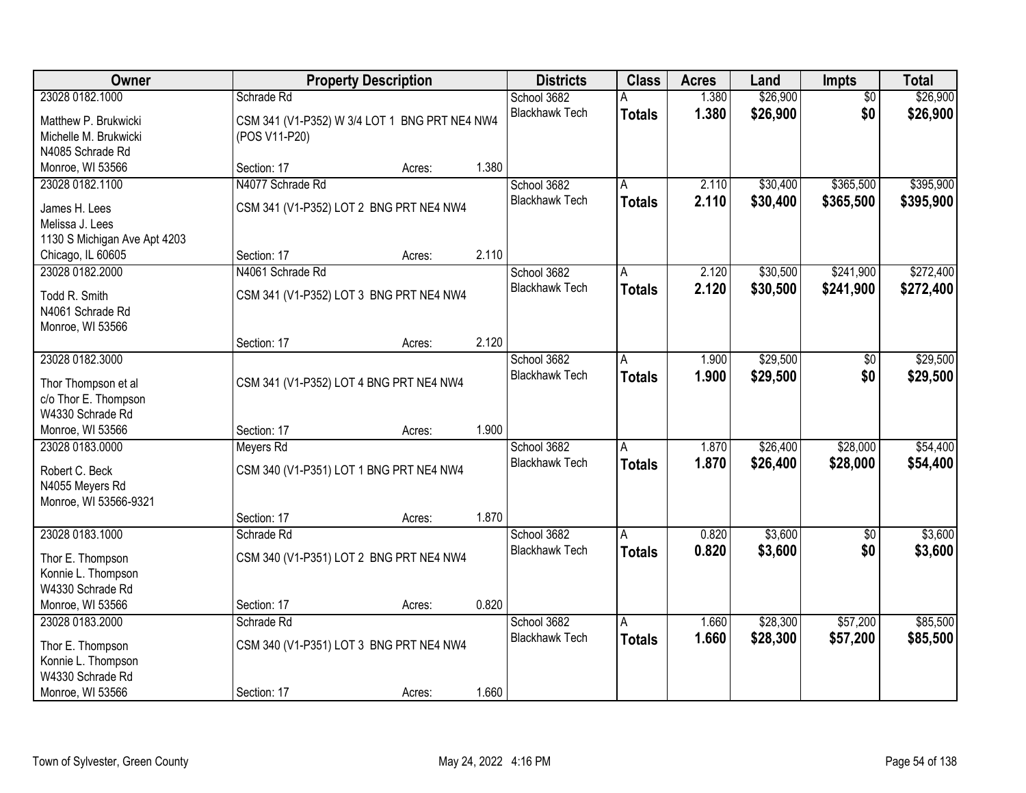| <b>Owner</b>                                |                  | <b>Property Description</b>                   |       | <b>Districts</b>      | <b>Class</b>  | <b>Acres</b> | Land     | Impts           | <b>Total</b> |
|---------------------------------------------|------------------|-----------------------------------------------|-------|-----------------------|---------------|--------------|----------|-----------------|--------------|
| 23028 0182.1000                             | Schrade Rd       |                                               |       | School 3682           |               | 1.380        | \$26,900 | $\overline{50}$ | \$26,900     |
| Matthew P. Brukwicki                        |                  | CSM 341 (V1-P352) W 3/4 LOT 1 BNG PRT NE4 NW4 |       | <b>Blackhawk Tech</b> | <b>Totals</b> | 1.380        | \$26,900 | \$0             | \$26,900     |
| Michelle M. Brukwicki                       | (POS V11-P20)    |                                               |       |                       |               |              |          |                 |              |
| N4085 Schrade Rd                            |                  |                                               |       |                       |               |              |          |                 |              |
| Monroe, WI 53566                            | Section: 17      | Acres:                                        | 1.380 |                       |               |              |          |                 |              |
| 23028 0182.1100                             | N4077 Schrade Rd |                                               |       | School 3682           | A             | 2.110        | \$30,400 | \$365,500       | \$395,900    |
| James H. Lees                               |                  | CSM 341 (V1-P352) LOT 2 BNG PRT NE4 NW4       |       | <b>Blackhawk Tech</b> | <b>Totals</b> | 2.110        | \$30,400 | \$365,500       | \$395,900    |
| Melissa J. Lees                             |                  |                                               |       |                       |               |              |          |                 |              |
| 1130 S Michigan Ave Apt 4203                |                  |                                               |       |                       |               |              |          |                 |              |
| Chicago, IL 60605                           | Section: 17      | Acres:                                        | 2.110 |                       |               |              |          |                 |              |
| 23028 0182.2000                             | N4061 Schrade Rd |                                               |       | School 3682           | A             | 2.120        | \$30,500 | \$241,900       | \$272,400    |
| Todd R. Smith                               |                  | CSM 341 (V1-P352) LOT 3 BNG PRT NE4 NW4       |       | <b>Blackhawk Tech</b> | <b>Totals</b> | 2.120        | \$30,500 | \$241,900       | \$272,400    |
| N4061 Schrade Rd                            |                  |                                               |       |                       |               |              |          |                 |              |
| Monroe, WI 53566                            |                  |                                               |       |                       |               |              |          |                 |              |
|                                             | Section: 17      | Acres:                                        | 2.120 |                       |               |              |          |                 |              |
| 23028 0182.3000                             |                  |                                               |       | School 3682           | A             | 1.900        | \$29,500 | \$0             | \$29,500     |
|                                             |                  |                                               |       | <b>Blackhawk Tech</b> | <b>Totals</b> | 1.900        | \$29,500 | \$0             | \$29,500     |
| Thor Thompson et al<br>c/o Thor E. Thompson |                  | CSM 341 (V1-P352) LOT 4 BNG PRT NE4 NW4       |       |                       |               |              |          |                 |              |
| W4330 Schrade Rd                            |                  |                                               |       |                       |               |              |          |                 |              |
| Monroe, WI 53566                            | Section: 17      | Acres:                                        | 1.900 |                       |               |              |          |                 |              |
| 23028 0183.0000                             | <b>Meyers Rd</b> |                                               |       | School 3682           | A             | 1.870        | \$26,400 | \$28,000        | \$54,400     |
|                                             |                  |                                               |       | <b>Blackhawk Tech</b> | <b>Totals</b> | 1.870        | \$26,400 | \$28,000        | \$54,400     |
| Robert C. Beck                              |                  | CSM 340 (V1-P351) LOT 1 BNG PRT NE4 NW4       |       |                       |               |              |          |                 |              |
| N4055 Meyers Rd                             |                  |                                               |       |                       |               |              |          |                 |              |
| Monroe, WI 53566-9321                       | Section: 17      | Acres:                                        | 1.870 |                       |               |              |          |                 |              |
| 23028 0183.1000                             | Schrade Rd       |                                               |       | School 3682           | A             | 0.820        | \$3,600  | $\overline{50}$ | \$3,600      |
|                                             |                  |                                               |       | <b>Blackhawk Tech</b> | <b>Totals</b> | 0.820        | \$3,600  | \$0             | \$3,600      |
| Thor E. Thompson                            |                  | CSM 340 (V1-P351) LOT 2 BNG PRT NE4 NW4       |       |                       |               |              |          |                 |              |
| Konnie L. Thompson                          |                  |                                               |       |                       |               |              |          |                 |              |
| W4330 Schrade Rd                            |                  |                                               | 0.820 |                       |               |              |          |                 |              |
| Monroe, WI 53566<br>23028 0183.2000         | Section: 17      | Acres:                                        |       | School 3682           | A             | 1.660        | \$28,300 | \$57,200        | \$85,500     |
|                                             | Schrade Rd       |                                               |       | <b>Blackhawk Tech</b> |               | 1.660        | \$28,300 | \$57,200        |              |
| Thor E. Thompson                            |                  | CSM 340 (V1-P351) LOT 3 BNG PRT NE4 NW4       |       |                       | <b>Totals</b> |              |          |                 | \$85,500     |
| Konnie L. Thompson                          |                  |                                               |       |                       |               |              |          |                 |              |
| W4330 Schrade Rd                            |                  |                                               |       |                       |               |              |          |                 |              |
| Monroe, WI 53566                            | Section: 17      | Acres:                                        | 1.660 |                       |               |              |          |                 |              |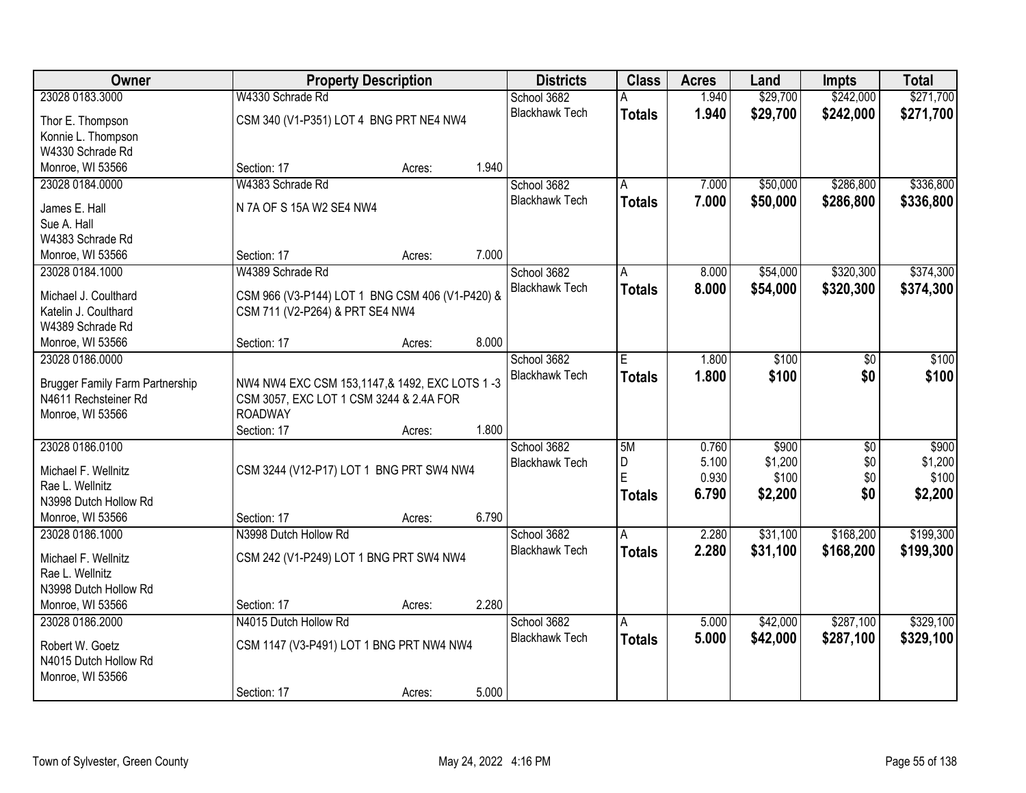| Owner                                                          |                                                                                          | <b>Property Description</b> |       | <b>Districts</b>      | <b>Class</b>  | <b>Acres</b> | Land     | Impts           | <b>Total</b> |
|----------------------------------------------------------------|------------------------------------------------------------------------------------------|-----------------------------|-------|-----------------------|---------------|--------------|----------|-----------------|--------------|
| 23028 0183.3000                                                | W4330 Schrade Rd                                                                         |                             |       | School 3682           |               | 1.940        | \$29,700 | \$242,000       | \$271,700    |
| Thor E. Thompson                                               | CSM 340 (V1-P351) LOT 4 BNG PRT NE4 NW4                                                  |                             |       | <b>Blackhawk Tech</b> | <b>Totals</b> | 1.940        | \$29,700 | \$242,000       | \$271,700    |
| Konnie L. Thompson                                             |                                                                                          |                             |       |                       |               |              |          |                 |              |
| W4330 Schrade Rd                                               |                                                                                          |                             |       |                       |               |              |          |                 |              |
| Monroe, WI 53566                                               | Section: 17                                                                              | Acres:                      | 1.940 |                       |               |              |          |                 |              |
| 23028 0184.0000                                                | W4383 Schrade Rd                                                                         |                             |       | School 3682           | A             | 7.000        | \$50,000 | \$286,800       | \$336,800    |
| James E. Hall                                                  | N 7A OF S 15A W2 SE4 NW4                                                                 |                             |       | <b>Blackhawk Tech</b> | <b>Totals</b> | 7.000        | \$50,000 | \$286,800       | \$336,800    |
| Sue A. Hall                                                    |                                                                                          |                             |       |                       |               |              |          |                 |              |
| W4383 Schrade Rd                                               |                                                                                          |                             |       |                       |               |              |          |                 |              |
| Monroe, WI 53566                                               | Section: 17                                                                              | Acres:                      | 7.000 |                       |               |              |          |                 |              |
| 23028 0184.1000                                                | W4389 Schrade Rd                                                                         |                             |       | School 3682           | A             | 8.000        | \$54,000 | \$320,300       | \$374,300    |
| Michael J. Coulthard                                           | CSM 966 (V3-P144) LOT 1 BNG CSM 406 (V1-P420) &                                          |                             |       | <b>Blackhawk Tech</b> | <b>Totals</b> | 8.000        | \$54,000 | \$320,300       | \$374,300    |
| Katelin J. Coulthard                                           | CSM 711 (V2-P264) & PRT SE4 NW4                                                          |                             |       |                       |               |              |          |                 |              |
| W4389 Schrade Rd                                               |                                                                                          |                             |       |                       |               |              |          |                 |              |
| Monroe, WI 53566                                               | Section: 17                                                                              | Acres:                      | 8.000 |                       |               |              |          |                 |              |
| 23028 0186.0000                                                |                                                                                          |                             |       | School 3682           | E.            | 1.800        | \$100    | $\overline{30}$ | \$100        |
|                                                                |                                                                                          |                             |       | <b>Blackhawk Tech</b> | <b>Totals</b> | 1.800        | \$100    | \$0             | \$100        |
| <b>Brugger Family Farm Partnership</b><br>N4611 Rechsteiner Rd | NW4 NW4 EXC CSM 153,1147,& 1492, EXC LOTS 1-3<br>CSM 3057, EXC LOT 1 CSM 3244 & 2.4A FOR |                             |       |                       |               |              |          |                 |              |
| Monroe, WI 53566                                               | <b>ROADWAY</b>                                                                           |                             |       |                       |               |              |          |                 |              |
|                                                                | Section: 17                                                                              | Acres:                      | 1.800 |                       |               |              |          |                 |              |
| 23028 0186.0100                                                |                                                                                          |                             |       | School 3682           | 5M            | 0.760        | \$900    | $\overline{30}$ | \$900        |
|                                                                |                                                                                          |                             |       | <b>Blackhawk Tech</b> | D             | 5.100        | \$1,200  | \$0             | \$1,200      |
| Michael F. Wellnitz<br>Rae L. Wellnitz                         | CSM 3244 (V12-P17) LOT 1 BNG PRT SW4 NW4                                                 |                             |       |                       | E             | 0.930        | \$100    | \$0             | \$100        |
| N3998 Dutch Hollow Rd                                          |                                                                                          |                             |       |                       | <b>Totals</b> | 6.790        | \$2,200  | \$0             | \$2,200      |
| Monroe, WI 53566                                               | Section: 17                                                                              | Acres:                      | 6.790 |                       |               |              |          |                 |              |
| 23028 0186.1000                                                | N3998 Dutch Hollow Rd                                                                    |                             |       | School 3682           | A             | 2.280        | \$31,100 | \$168,200       | \$199,300    |
|                                                                |                                                                                          |                             |       | <b>Blackhawk Tech</b> | <b>Totals</b> | 2.280        | \$31,100 | \$168,200       | \$199,300    |
| Michael F. Wellnitz                                            | CSM 242 (V1-P249) LOT 1 BNG PRT SW4 NW4                                                  |                             |       |                       |               |              |          |                 |              |
| Rae L. Wellnitz<br>N3998 Dutch Hollow Rd                       |                                                                                          |                             |       |                       |               |              |          |                 |              |
| Monroe, WI 53566                                               | Section: 17                                                                              | Acres:                      | 2.280 |                       |               |              |          |                 |              |
| 23028 0186.2000                                                | N4015 Dutch Hollow Rd                                                                    |                             |       | School 3682           | Α             | 5.000        | \$42,000 | \$287,100       | \$329,100    |
|                                                                |                                                                                          |                             |       | <b>Blackhawk Tech</b> | <b>Totals</b> | 5.000        | \$42,000 | \$287,100       | \$329,100    |
| Robert W. Goetz                                                | CSM 1147 (V3-P491) LOT 1 BNG PRT NW4 NW4                                                 |                             |       |                       |               |              |          |                 |              |
| N4015 Dutch Hollow Rd                                          |                                                                                          |                             |       |                       |               |              |          |                 |              |
| Monroe, WI 53566                                               |                                                                                          |                             | 5.000 |                       |               |              |          |                 |              |
|                                                                | Section: 17                                                                              | Acres:                      |       |                       |               |              |          |                 |              |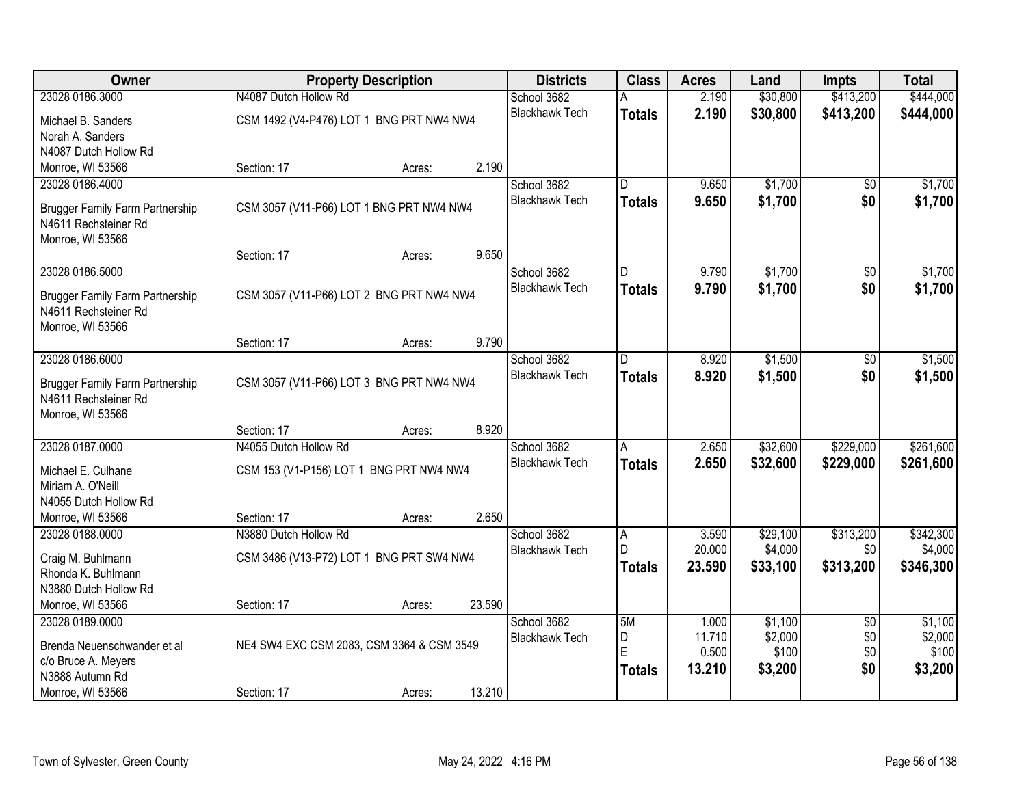| <b>Owner</b>                           |                                           | <b>Property Description</b> |        | <b>Districts</b>      | <b>Class</b>  | <b>Acres</b> | Land     | <b>Impts</b>    | <b>Total</b> |
|----------------------------------------|-------------------------------------------|-----------------------------|--------|-----------------------|---------------|--------------|----------|-----------------|--------------|
| 23028 0186.3000                        | N4087 Dutch Hollow Rd                     |                             |        | School 3682           |               | 2.190        | \$30,800 | \$413,200       | \$444,000    |
| Michael B. Sanders                     | CSM 1492 (V4-P476) LOT 1 BNG PRT NW4 NW4  |                             |        | <b>Blackhawk Tech</b> | <b>Totals</b> | 2.190        | \$30,800 | \$413,200       | \$444,000    |
| Norah A. Sanders                       |                                           |                             |        |                       |               |              |          |                 |              |
| N4087 Dutch Hollow Rd                  |                                           |                             |        |                       |               |              |          |                 |              |
| Monroe, WI 53566                       | Section: 17                               | Acres:                      | 2.190  |                       |               |              |          |                 |              |
| 23028 0186.4000                        |                                           |                             |        | School 3682           | D.            | 9.650        | \$1,700  | \$0             | \$1,700      |
| <b>Brugger Family Farm Partnership</b> | CSM 3057 (V11-P66) LOT 1 BNG PRT NW4 NW4  |                             |        | <b>Blackhawk Tech</b> | <b>Totals</b> | 9.650        | \$1,700  | \$0             | \$1,700      |
| N4611 Rechsteiner Rd                   |                                           |                             |        |                       |               |              |          |                 |              |
| Monroe, WI 53566                       |                                           |                             |        |                       |               |              |          |                 |              |
|                                        | Section: 17                               | Acres:                      | 9.650  |                       |               |              |          |                 |              |
| 23028 0186.5000                        |                                           |                             |        | School 3682           | D             | 9.790        | \$1,700  | \$0             | \$1,700      |
| Brugger Family Farm Partnership        | CSM 3057 (V11-P66) LOT 2 BNG PRT NW4 NW4  |                             |        | <b>Blackhawk Tech</b> | <b>Totals</b> | 9.790        | \$1,700  | \$0             | \$1,700      |
| N4611 Rechsteiner Rd                   |                                           |                             |        |                       |               |              |          |                 |              |
| Monroe, WI 53566                       |                                           |                             |        |                       |               |              |          |                 |              |
|                                        | Section: 17                               | Acres:                      | 9.790  |                       |               |              |          |                 |              |
| 23028 0186.6000                        |                                           |                             |        | School 3682           | D             | 8.920        | \$1,500  | \$0             | \$1,500      |
| <b>Brugger Family Farm Partnership</b> | CSM 3057 (V11-P66) LOT 3 BNG PRT NW4 NW4  |                             |        | <b>Blackhawk Tech</b> | <b>Totals</b> | 8.920        | \$1,500  | \$0             | \$1,500      |
| N4611 Rechsteiner Rd                   |                                           |                             |        |                       |               |              |          |                 |              |
| Monroe, WI 53566                       |                                           |                             |        |                       |               |              |          |                 |              |
|                                        | Section: 17                               | Acres:                      | 8.920  |                       |               |              |          |                 |              |
| 23028 0187.0000                        | N4055 Dutch Hollow Rd                     |                             |        | School 3682           | Α             | 2.650        | \$32,600 | \$229,000       | \$261,600    |
| Michael E. Culhane                     | CSM 153 (V1-P156) LOT 1 BNG PRT NW4 NW4   |                             |        | <b>Blackhawk Tech</b> | <b>Totals</b> | 2.650        | \$32,600 | \$229,000       | \$261,600    |
| Miriam A. O'Neill                      |                                           |                             |        |                       |               |              |          |                 |              |
| N4055 Dutch Hollow Rd                  |                                           |                             |        |                       |               |              |          |                 |              |
| Monroe, WI 53566                       | Section: 17                               | Acres:                      | 2.650  |                       |               |              |          |                 |              |
| 23028 0188.0000                        | N3880 Dutch Hollow Rd                     |                             |        | School 3682           | A             | 3.590        | \$29,100 | \$313,200       | \$342,300    |
| Craig M. Buhlmann                      | CSM 3486 (V13-P72) LOT 1 BNG PRT SW4 NW4  |                             |        | <b>Blackhawk Tech</b> | D             | 20.000       | \$4,000  | \$0             | \$4,000      |
| Rhonda K. Buhlmann                     |                                           |                             |        |                       | <b>Totals</b> | 23.590       | \$33,100 | \$313,200       | \$346,300    |
| N3880 Dutch Hollow Rd                  |                                           |                             |        |                       |               |              |          |                 |              |
| Monroe, WI 53566                       | Section: 17                               | Acres:                      | 23.590 |                       |               |              |          |                 |              |
| 23028 0189.0000                        |                                           |                             |        | School 3682           | 5M            | 1.000        | \$1,100  | $\overline{30}$ | \$1,100      |
| Brenda Neuenschwander et al            | NE4 SW4 EXC CSM 2083, CSM 3364 & CSM 3549 |                             |        | <b>Blackhawk Tech</b> | D             | 11.710       | \$2,000  | \$0             | \$2,000      |
| c/o Bruce A. Meyers                    |                                           |                             |        |                       | E             | 0.500        | \$100    | \$0             | \$100        |
| N3888 Autumn Rd                        |                                           |                             |        |                       | <b>Totals</b> | 13.210       | \$3,200  | \$0             | \$3,200      |
| Monroe, WI 53566                       | Section: 17                               | Acres:                      | 13.210 |                       |               |              |          |                 |              |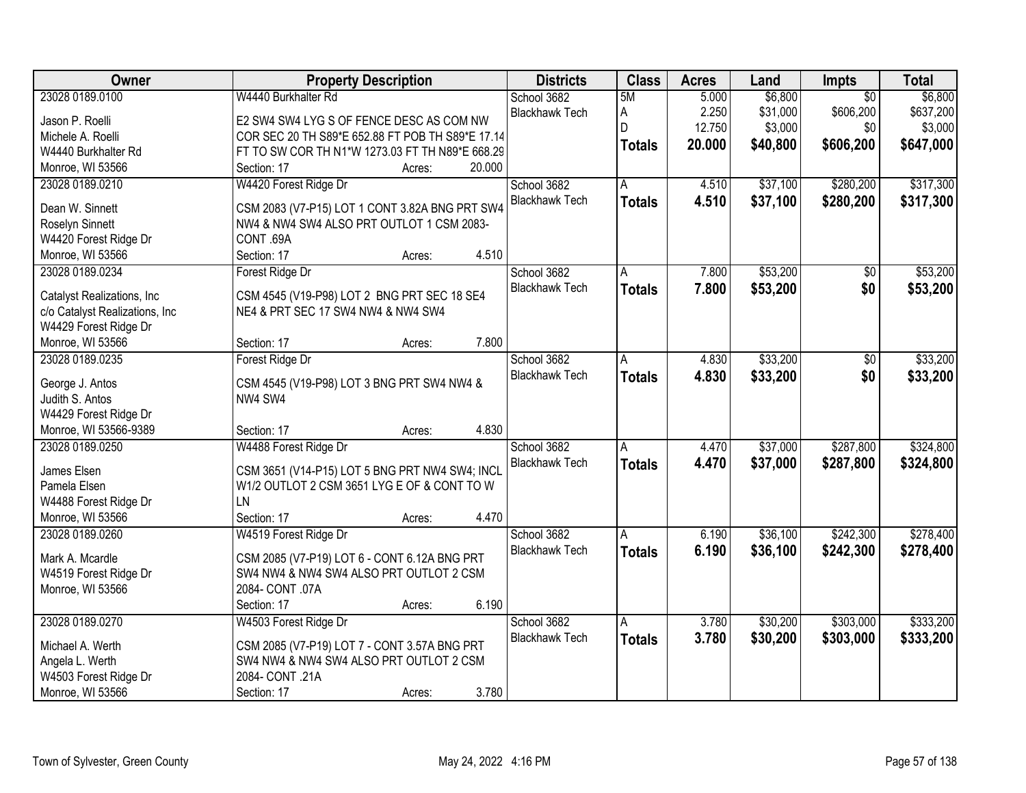| Owner                          | <b>Property Description</b>                      | <b>Districts</b>      | <b>Class</b>  | <b>Acres</b> | Land     | <b>Impts</b>    | <b>Total</b> |
|--------------------------------|--------------------------------------------------|-----------------------|---------------|--------------|----------|-----------------|--------------|
| 23028 0189.0100                | W4440 Burkhalter Rd                              | School 3682           | 5M            | 5.000        | \$6,800  | $\overline{50}$ | \$6,800      |
| Jason P. Roelli                | E2 SW4 SW4 LYG S OF FENCE DESC AS COM NW         | <b>Blackhawk Tech</b> | А             | 2.250        | \$31,000 | \$606,200       | \$637,200    |
| Michele A. Roelli              | COR SEC 20 TH S89*E 652.88 FT POB TH S89*E 17.14 |                       | D             | 12.750       | \$3,000  | \$0             | \$3,000      |
| W4440 Burkhalter Rd            | FT TO SW COR TH N1*W 1273.03 FT TH N89*E 668.29  |                       | <b>Totals</b> | 20.000       | \$40,800 | \$606,200       | \$647,000    |
| Monroe, WI 53566               | 20.000<br>Section: 17<br>Acres:                  |                       |               |              |          |                 |              |
| 23028 0189.0210                | W4420 Forest Ridge Dr                            | School 3682           | A             | 4.510        | \$37,100 | \$280,200       | \$317,300    |
|                                |                                                  | <b>Blackhawk Tech</b> | <b>Totals</b> | 4.510        | \$37,100 | \$280,200       | \$317,300    |
| Dean W. Sinnett                | CSM 2083 (V7-P15) LOT 1 CONT 3.82A BNG PRT SW4   |                       |               |              |          |                 |              |
| Roselyn Sinnett                | NW4 & NW4 SW4 ALSO PRT OUTLOT 1 CSM 2083-        |                       |               |              |          |                 |              |
| W4420 Forest Ridge Dr          | CONT.69A                                         |                       |               |              |          |                 |              |
| Monroe, WI 53566               | 4.510<br>Section: 17<br>Acres:                   |                       |               |              |          |                 |              |
| 23028 0189.0234                | Forest Ridge Dr                                  | School 3682           | Α             | 7.800        | \$53,200 | $\overline{50}$ | \$53,200     |
| Catalyst Realizations, Inc     | CSM 4545 (V19-P98) LOT 2 BNG PRT SEC 18 SE4      | <b>Blackhawk Tech</b> | <b>Totals</b> | 7.800        | \$53,200 | \$0             | \$53,200     |
| c/o Catalyst Realizations, Inc | NE4 & PRT SEC 17 SW4 NW4 & NW4 SW4               |                       |               |              |          |                 |              |
| W4429 Forest Ridge Dr          |                                                  |                       |               |              |          |                 |              |
| Monroe, WI 53566               | 7.800<br>Section: 17<br>Acres:                   |                       |               |              |          |                 |              |
| 23028 0189.0235                | Forest Ridge Dr                                  | School 3682           | A             | 4.830        | \$33,200 | \$0             | \$33,200     |
|                                |                                                  | <b>Blackhawk Tech</b> |               | 4.830        | \$33,200 | \$0             | \$33,200     |
| George J. Antos                | CSM 4545 (V19-P98) LOT 3 BNG PRT SW4 NW4 &       |                       | <b>Totals</b> |              |          |                 |              |
| Judith S. Antos                | NW4 SW4                                          |                       |               |              |          |                 |              |
| W4429 Forest Ridge Dr          |                                                  |                       |               |              |          |                 |              |
| Monroe, WI 53566-9389          | 4.830<br>Section: 17<br>Acres:                   |                       |               |              |          |                 |              |
| 23028 0189.0250                | W4488 Forest Ridge Dr                            | School 3682           | A             | 4.470        | \$37,000 | \$287,800       | \$324,800    |
| James Elsen                    | CSM 3651 (V14-P15) LOT 5 BNG PRT NW4 SW4; INCL   | <b>Blackhawk Tech</b> | <b>Totals</b> | 4.470        | \$37,000 | \$287,800       | \$324,800    |
| Pamela Elsen                   | W1/2 OUTLOT 2 CSM 3651 LYG E OF & CONT TO W      |                       |               |              |          |                 |              |
| W4488 Forest Ridge Dr          | LN                                               |                       |               |              |          |                 |              |
| Monroe, WI 53566               | 4.470<br>Section: 17<br>Acres:                   |                       |               |              |          |                 |              |
| 23028 0189.0260                | W4519 Forest Ridge Dr                            | School 3682           | A             | 6.190        | \$36,100 | \$242,300       | \$278,400    |
|                                |                                                  | <b>Blackhawk Tech</b> |               | 6.190        | \$36,100 | \$242,300       | \$278,400    |
| Mark A. Mcardle                | CSM 2085 (V7-P19) LOT 6 - CONT 6.12A BNG PRT     |                       | <b>Totals</b> |              |          |                 |              |
| W4519 Forest Ridge Dr          | SW4 NW4 & NW4 SW4 ALSO PRT OUTLOT 2 CSM          |                       |               |              |          |                 |              |
| Monroe, WI 53566               | 2084- CONT .07A                                  |                       |               |              |          |                 |              |
|                                | 6.190<br>Section: 17<br>Acres:                   |                       |               |              |          |                 |              |
| 23028 0189.0270                | W4503 Forest Ridge Dr                            | School 3682           | A             | 3.780        | \$30,200 | \$303,000       | \$333,200    |
| Michael A. Werth               | CSM 2085 (V7-P19) LOT 7 - CONT 3.57A BNG PRT     | <b>Blackhawk Tech</b> | <b>Totals</b> | 3.780        | \$30,200 | \$303,000       | \$333,200    |
| Angela L. Werth                | SW4 NW4 & NW4 SW4 ALSO PRT OUTLOT 2 CSM          |                       |               |              |          |                 |              |
| W4503 Forest Ridge Dr          | 2084- CONT .21A                                  |                       |               |              |          |                 |              |
|                                |                                                  |                       |               |              |          |                 |              |
| Monroe, WI 53566               | 3.780<br>Section: 17<br>Acres:                   |                       |               |              |          |                 |              |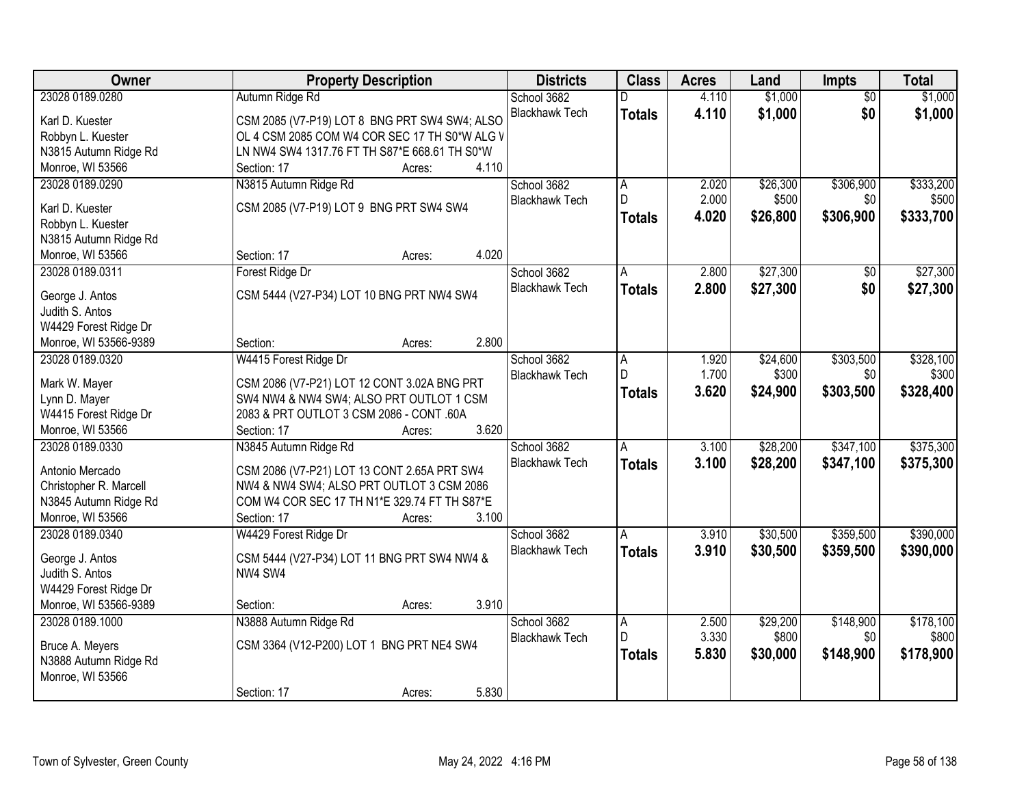| Owner                              | <b>Property Description</b>                            | <b>Districts</b>      | <b>Class</b>        | <b>Acres</b> | Land     | Impts           | <b>Total</b> |
|------------------------------------|--------------------------------------------------------|-----------------------|---------------------|--------------|----------|-----------------|--------------|
| 23028 0189.0280                    | Autumn Ridge Rd                                        | School 3682           | D                   | 4.110        | \$1,000  | $\overline{50}$ | \$1,000      |
| Karl D. Kuester                    | CSM 2085 (V7-P19) LOT 8 BNG PRT SW4 SW4; ALSO          | <b>Blackhawk Tech</b> | <b>Totals</b>       | 4.110        | \$1,000  | \$0             | \$1,000      |
| Robbyn L. Kuester                  | OL 4 CSM 2085 COM W4 COR SEC 17 TH S0*W ALG V          |                       |                     |              |          |                 |              |
| N3815 Autumn Ridge Rd              | LN NW4 SW4 1317.76 FT TH S87*E 668.61 TH S0*W          |                       |                     |              |          |                 |              |
| Monroe, WI 53566                   | 4.110<br>Section: 17<br>Acres:                         |                       |                     |              |          |                 |              |
| 23028 0189.0290                    | N3815 Autumn Ridge Rd                                  | School 3682           | Α                   | 2.020        | \$26,300 | \$306,900       | \$333,200    |
|                                    |                                                        | <b>Blackhawk Tech</b> | D                   | 2.000        | \$500    | \$0             | \$500        |
| Karl D. Kuester                    | CSM 2085 (V7-P19) LOT 9 BNG PRT SW4 SW4                |                       |                     | 4.020        |          |                 | \$333,700    |
| Robbyn L. Kuester                  |                                                        |                       | <b>Totals</b>       |              | \$26,800 | \$306,900       |              |
| N3815 Autumn Ridge Rd              |                                                        |                       |                     |              |          |                 |              |
| Monroe, WI 53566                   | 4.020<br>Section: 17<br>Acres:                         |                       |                     |              |          |                 |              |
| 23028 0189.0311                    | Forest Ridge Dr                                        | School 3682           | A                   | 2.800        | \$27,300 | \$0             | \$27,300     |
|                                    |                                                        | <b>Blackhawk Tech</b> | <b>Totals</b>       | 2.800        | \$27,300 | \$0             | \$27,300     |
| George J. Antos                    | CSM 5444 (V27-P34) LOT 10 BNG PRT NW4 SW4              |                       |                     |              |          |                 |              |
| Judith S. Antos                    |                                                        |                       |                     |              |          |                 |              |
| W4429 Forest Ridge Dr              |                                                        |                       |                     |              |          |                 |              |
| Monroe, WI 53566-9389              | 2.800<br>Section:<br>Acres:                            |                       |                     |              |          |                 |              |
| 23028 0189.0320                    | W4415 Forest Ridge Dr                                  | School 3682           | Α                   | 1.920        | \$24,600 | \$303,500       | \$328,100    |
| Mark W. Mayer                      | CSM 2086 (V7-P21) LOT 12 CONT 3.02A BNG PRT            | <b>Blackhawk Tech</b> | D                   | 1.700        | \$300    | \$0             | \$300        |
| Lynn D. Mayer                      | SW4 NW4 & NW4 SW4; ALSO PRT OUTLOT 1 CSM               |                       | <b>Totals</b>       | 3.620        | \$24,900 | \$303,500       | \$328,400    |
| W4415 Forest Ridge Dr              | 2083 & PRT OUTLOT 3 CSM 2086 - CONT .60A               |                       |                     |              |          |                 |              |
| Monroe, WI 53566                   | 3.620<br>Section: 17<br>Acres:                         |                       |                     |              |          |                 |              |
| 23028 0189.0330                    | N3845 Autumn Ridge Rd                                  | School 3682           | A                   | 3.100        | \$28,200 | \$347,100       | \$375,300    |
|                                    |                                                        | <b>Blackhawk Tech</b> | <b>Totals</b>       | 3.100        | \$28,200 | \$347,100       | \$375,300    |
| Antonio Mercado                    | CSM 2086 (V7-P21) LOT 13 CONT 2.65A PRT SW4            |                       |                     |              |          |                 |              |
| Christopher R. Marcell             | NW4 & NW4 SW4; ALSO PRT OUTLOT 3 CSM 2086              |                       |                     |              |          |                 |              |
| N3845 Autumn Ridge Rd              | COM W4 COR SEC 17 TH N1*E 329.74 FT TH S87*E           |                       |                     |              |          |                 |              |
| Monroe, WI 53566                   | 3.100<br>Section: 17<br>Acres:                         |                       |                     |              |          |                 |              |
| 23028 0189.0340                    | W4429 Forest Ridge Dr                                  | School 3682           | Α                   | 3.910        | \$30,500 | \$359,500       | \$390,000    |
|                                    |                                                        | <b>Blackhawk Tech</b> | <b>Totals</b>       | 3.910        | \$30,500 | \$359,500       | \$390,000    |
| George J. Antos<br>Judith S. Antos | CSM 5444 (V27-P34) LOT 11 BNG PRT SW4 NW4 &<br>NW4 SW4 |                       |                     |              |          |                 |              |
|                                    |                                                        |                       |                     |              |          |                 |              |
| W4429 Forest Ridge Dr              |                                                        |                       |                     |              |          |                 |              |
| Monroe, WI 53566-9389              | 3.910<br>Section:<br>Acres:                            |                       |                     |              |          |                 |              |
| 23028 0189.1000                    | N3888 Autumn Ridge Rd                                  | School 3682           | $\overline{A}$<br>D | 2.500        | \$29,200 | \$148,900       | \$178,100    |
| Bruce A. Meyers                    | CSM 3364 (V12-P200) LOT 1 BNG PRT NE4 SW4              | <b>Blackhawk Tech</b> |                     | 3.330        | \$800    | \$0             | \$800        |
| N3888 Autumn Ridge Rd              |                                                        |                       | <b>Totals</b>       | 5.830        | \$30,000 | \$148,900       | \$178,900    |
| Monroe, WI 53566                   |                                                        |                       |                     |              |          |                 |              |
|                                    | 5.830<br>Section: 17<br>Acres:                         |                       |                     |              |          |                 |              |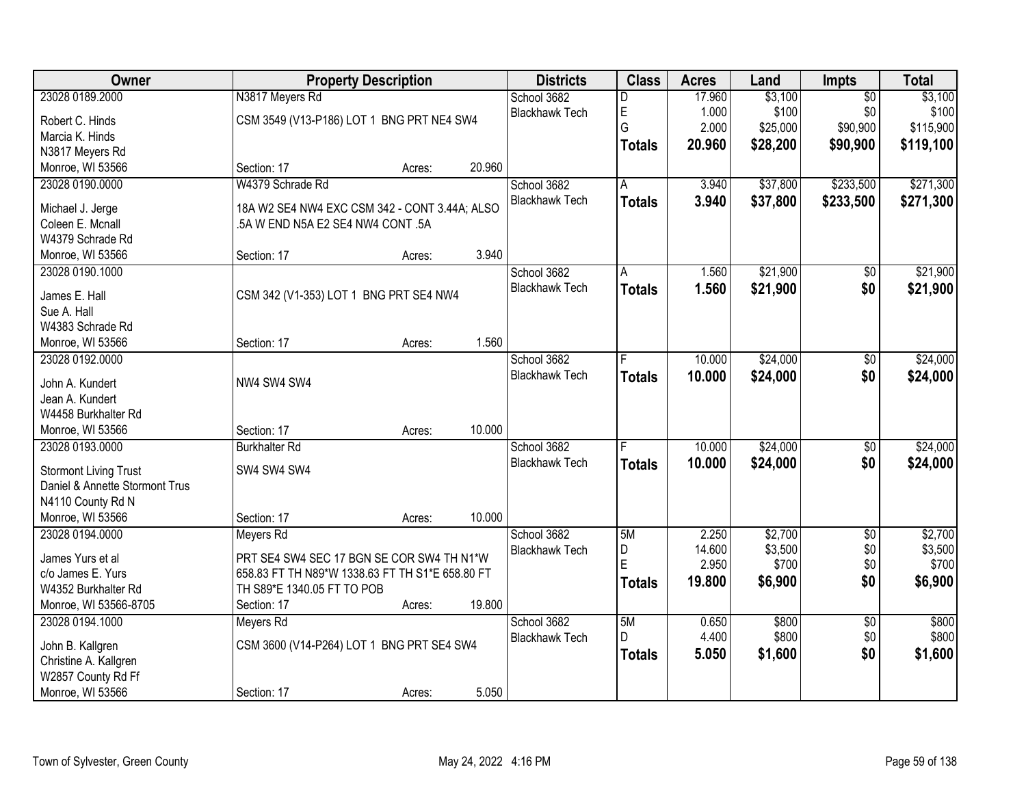| Owner                          |                                                 | <b>Property Description</b> |        | <b>Districts</b>      | <b>Class</b>  | <b>Acres</b> | Land     | <b>Impts</b>    | <b>Total</b> |
|--------------------------------|-------------------------------------------------|-----------------------------|--------|-----------------------|---------------|--------------|----------|-----------------|--------------|
| 23028 0189.2000                | N3817 Meyers Rd                                 |                             |        | School 3682           | D             | 17.960       | \$3,100  | $\overline{50}$ | \$3,100      |
| Robert C. Hinds                | CSM 3549 (V13-P186) LOT 1 BNG PRT NE4 SW4       |                             |        | <b>Blackhawk Tech</b> | E             | 1.000        | \$100    | \$0             | \$100        |
| Marcia K. Hinds                |                                                 |                             |        |                       | Ġ             | 2.000        | \$25,000 | \$90,900        | \$115,900    |
| N3817 Meyers Rd                |                                                 |                             |        |                       | <b>Totals</b> | 20.960       | \$28,200 | \$90,900        | \$119,100    |
| Monroe, WI 53566               | Section: 17                                     | Acres:                      | 20.960 |                       |               |              |          |                 |              |
| 23028 0190.0000                | W4379 Schrade Rd                                |                             |        | School 3682           | A             | 3.940        | \$37,800 | \$233,500       | \$271,300    |
|                                |                                                 |                             |        | <b>Blackhawk Tech</b> | <b>Totals</b> | 3.940        | \$37,800 | \$233,500       | \$271,300    |
| Michael J. Jerge               | 18A W2 SE4 NW4 EXC CSM 342 - CONT 3.44A; ALSO   |                             |        |                       |               |              |          |                 |              |
| Coleen E. Mcnall               | 5A W END N5A E2 SE4 NW4 CONT .5A                |                             |        |                       |               |              |          |                 |              |
| W4379 Schrade Rd               |                                                 |                             |        |                       |               |              |          |                 |              |
| Monroe, WI 53566               | Section: 17                                     | Acres:                      | 3.940  |                       |               |              |          |                 |              |
| 23028 0190.1000                |                                                 |                             |        | School 3682           | A             | 1.560        | \$21,900 | \$0             | \$21,900     |
| James E. Hall                  | CSM 342 (V1-353) LOT 1 BNG PRT SE4 NW4          |                             |        | <b>Blackhawk Tech</b> | <b>Totals</b> | 1.560        | \$21,900 | \$0             | \$21,900     |
| Sue A. Hall                    |                                                 |                             |        |                       |               |              |          |                 |              |
| W4383 Schrade Rd               |                                                 |                             |        |                       |               |              |          |                 |              |
| Monroe, WI 53566               | Section: 17                                     | Acres:                      | 1.560  |                       |               |              |          |                 |              |
| 23028 0192.0000                |                                                 |                             |        | School 3682           |               | 10.000       | \$24,000 | \$0             | \$24,000     |
|                                |                                                 |                             |        | <b>Blackhawk Tech</b> | <b>Totals</b> | 10.000       | \$24,000 | \$0             | \$24,000     |
| John A. Kundert                | NW4 SW4 SW4                                     |                             |        |                       |               |              |          |                 |              |
| Jean A. Kundert                |                                                 |                             |        |                       |               |              |          |                 |              |
| W4458 Burkhalter Rd            |                                                 |                             |        |                       |               |              |          |                 |              |
| Monroe, WI 53566               | Section: 17                                     | Acres:                      | 10.000 |                       |               |              |          |                 |              |
| 23028 0193.0000                | <b>Burkhalter Rd</b>                            |                             |        | School 3682           |               | 10.000       | \$24,000 | $\overline{50}$ | \$24,000     |
| <b>Stormont Living Trust</b>   | SW4 SW4 SW4                                     |                             |        | <b>Blackhawk Tech</b> | <b>Totals</b> | 10.000       | \$24,000 | \$0             | \$24,000     |
| Daniel & Annette Stormont Trus |                                                 |                             |        |                       |               |              |          |                 |              |
| N4110 County Rd N              |                                                 |                             |        |                       |               |              |          |                 |              |
| Monroe, WI 53566               | Section: 17                                     | Acres:                      | 10.000 |                       |               |              |          |                 |              |
| 23028 0194.0000                | Meyers Rd                                       |                             |        | School 3682           | 5M            | 2.250        | \$2,700  | $\overline{50}$ | \$2,700      |
|                                |                                                 |                             |        | <b>Blackhawk Tech</b> | D             | 14.600       | \$3,500  | \$0             | \$3,500      |
| James Yurs et al               | PRT SE4 SW4 SEC 17 BGN SE COR SW4 TH N1*W       |                             |        |                       | Ė             | 2.950        | \$700    | \$0             | \$700        |
| c/o James E. Yurs              | 658.83 FT TH N89*W 1338.63 FT TH S1*E 658.80 FT |                             |        |                       | <b>Totals</b> | 19.800       | \$6,900  | \$0             | \$6,900      |
| W4352 Burkhalter Rd            | TH S89*E 1340.05 FT TO POB                      |                             |        |                       |               |              |          |                 |              |
| Monroe, WI 53566-8705          | Section: 17                                     | Acres:                      | 19.800 |                       |               |              |          |                 |              |
| 23028 0194.1000                | Meyers Rd                                       |                             |        | School 3682           | 5M            | 0.650        | \$800    | $\overline{50}$ | \$800        |
| John B. Kallgren               | CSM 3600 (V14-P264) LOT 1 BNG PRT SE4 SW4       |                             |        | <b>Blackhawk Tech</b> | D             | 4.400        | \$800    | \$0             | \$800        |
| Christine A. Kallgren          |                                                 |                             |        |                       | <b>Totals</b> | 5.050        | \$1,600  | \$0             | \$1,600      |
| W2857 County Rd Ff             |                                                 |                             |        |                       |               |              |          |                 |              |
| Monroe, WI 53566               | Section: 17                                     | Acres:                      | 5.050  |                       |               |              |          |                 |              |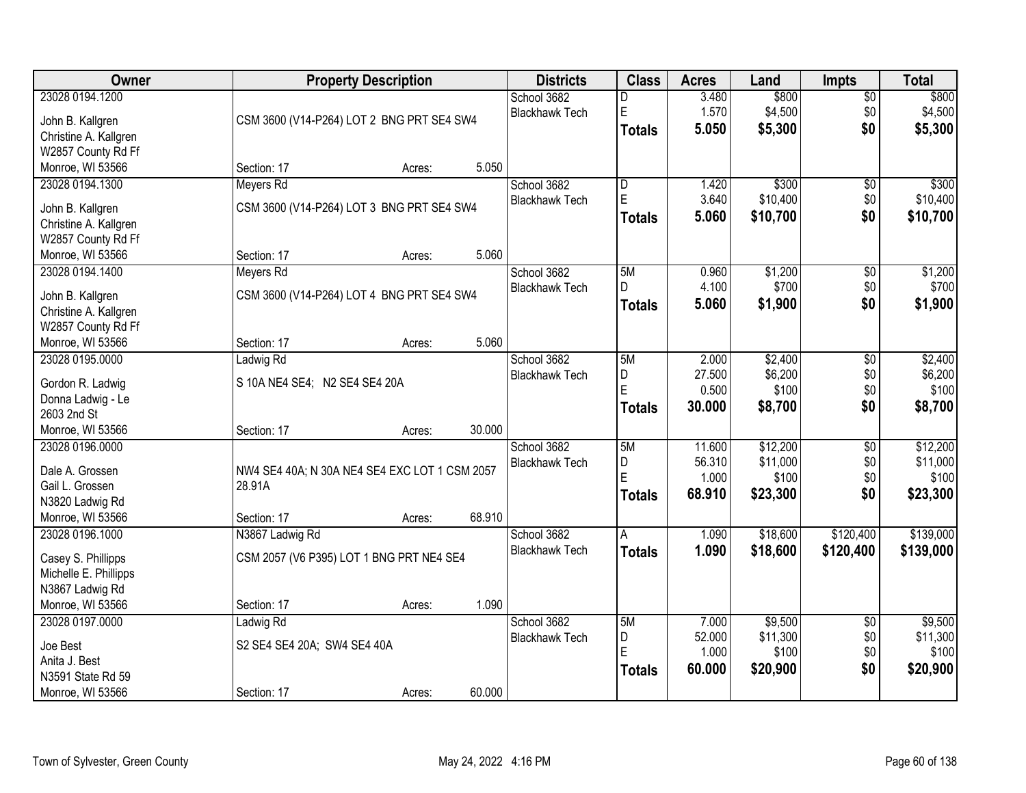| 23028 0194.1200<br>\$800<br>\$800<br>School 3682<br>3.480<br>$\overline{50}$<br>D<br>E<br>1.570<br>\$4,500<br>\$4,500<br>\$0<br><b>Blackhawk Tech</b><br>CSM 3600 (V14-P264) LOT 2 BNG PRT SE4 SW4<br>John B. Kallgren<br>\$0<br>5.050<br>\$5,300<br>\$5,300<br><b>Totals</b><br>Christine A. Kallgren<br>W2857 County Rd Ff<br>5.050<br>Monroe, WI 53566<br>Section: 17<br>Acres:<br>23028 0194.1300<br>\$300<br>\$300<br>Meyers Rd<br>School 3682<br>$\overline{\mathsf{D}}$<br>1.420<br>$\overline{50}$<br>$\mathsf E$<br>3.640<br>\$0<br>\$10,400<br><b>Blackhawk Tech</b><br>CSM 3600 (V14-P264) LOT 3 BNG PRT SE4 SW4<br>John B. Kallgren<br>\$10,700<br>\$0<br>5.060<br>\$10,700<br>Totals<br>Christine A. Kallgren<br>W2857 County Rd Ff<br>5.060<br>Monroe, WI 53566<br>Section: 17<br>Acres:<br>\$1,200<br>23028 0194.1400<br>School 3682<br>5M<br>0.960<br>\$0<br>Meyers Rd<br>\$0<br>4.100<br>\$700<br><b>Blackhawk Tech</b><br>D<br>John B. Kallgren<br>CSM 3600 (V14-P264) LOT 4 BNG PRT SE4 SW4<br>5.060<br>\$1,900<br>\$0<br>\$1,900<br><b>Totals</b><br>Christine A. Kallgren<br>W2857 County Rd Ff<br>5.060<br>Monroe, WI 53566<br>Section: 17<br>Acres:<br>\$2,400<br>23028 0195.0000<br>School 3682<br>5M<br>2.000<br>\$0<br>Ladwig Rd<br>27.500<br>\$6,200<br>\$0<br>D<br><b>Blackhawk Tech</b><br>S 10A NE4 SE4; N2 SE4 SE4 20A<br>Gordon R. Ladwig<br>E<br>0.500<br>\$100<br>\$0<br>Donna Ladwig - Le<br>\$0<br>30.000<br>\$8,700<br>\$8,700<br><b>Totals</b><br>2603 2nd St<br>Monroe, WI 53566<br>30.000<br>Section: 17<br>Acres:<br>\$12,200<br>\$12,200<br>23028 0196.0000<br>5M<br>11.600<br>$\overline{30}$<br>School 3682 |
|---------------------------------------------------------------------------------------------------------------------------------------------------------------------------------------------------------------------------------------------------------------------------------------------------------------------------------------------------------------------------------------------------------------------------------------------------------------------------------------------------------------------------------------------------------------------------------------------------------------------------------------------------------------------------------------------------------------------------------------------------------------------------------------------------------------------------------------------------------------------------------------------------------------------------------------------------------------------------------------------------------------------------------------------------------------------------------------------------------------------------------------------------------------------------------------------------------------------------------------------------------------------------------------------------------------------------------------------------------------------------------------------------------------------------------------------------------------------------------------------------------------------------------------------------------------------------------------------------------------------------------------------------------|
|                                                                                                                                                                                                                                                                                                                                                                                                                                                                                                                                                                                                                                                                                                                                                                                                                                                                                                                                                                                                                                                                                                                                                                                                                                                                                                                                                                                                                                                                                                                                                                                                                                                         |
|                                                                                                                                                                                                                                                                                                                                                                                                                                                                                                                                                                                                                                                                                                                                                                                                                                                                                                                                                                                                                                                                                                                                                                                                                                                                                                                                                                                                                                                                                                                                                                                                                                                         |
|                                                                                                                                                                                                                                                                                                                                                                                                                                                                                                                                                                                                                                                                                                                                                                                                                                                                                                                                                                                                                                                                                                                                                                                                                                                                                                                                                                                                                                                                                                                                                                                                                                                         |
|                                                                                                                                                                                                                                                                                                                                                                                                                                                                                                                                                                                                                                                                                                                                                                                                                                                                                                                                                                                                                                                                                                                                                                                                                                                                                                                                                                                                                                                                                                                                                                                                                                                         |
|                                                                                                                                                                                                                                                                                                                                                                                                                                                                                                                                                                                                                                                                                                                                                                                                                                                                                                                                                                                                                                                                                                                                                                                                                                                                                                                                                                                                                                                                                                                                                                                                                                                         |
| \$10,400<br>\$1,200<br>\$700<br>\$2,400<br>\$6,200<br>\$100                                                                                                                                                                                                                                                                                                                                                                                                                                                                                                                                                                                                                                                                                                                                                                                                                                                                                                                                                                                                                                                                                                                                                                                                                                                                                                                                                                                                                                                                                                                                                                                             |
|                                                                                                                                                                                                                                                                                                                                                                                                                                                                                                                                                                                                                                                                                                                                                                                                                                                                                                                                                                                                                                                                                                                                                                                                                                                                                                                                                                                                                                                                                                                                                                                                                                                         |
|                                                                                                                                                                                                                                                                                                                                                                                                                                                                                                                                                                                                                                                                                                                                                                                                                                                                                                                                                                                                                                                                                                                                                                                                                                                                                                                                                                                                                                                                                                                                                                                                                                                         |
|                                                                                                                                                                                                                                                                                                                                                                                                                                                                                                                                                                                                                                                                                                                                                                                                                                                                                                                                                                                                                                                                                                                                                                                                                                                                                                                                                                                                                                                                                                                                                                                                                                                         |
|                                                                                                                                                                                                                                                                                                                                                                                                                                                                                                                                                                                                                                                                                                                                                                                                                                                                                                                                                                                                                                                                                                                                                                                                                                                                                                                                                                                                                                                                                                                                                                                                                                                         |
|                                                                                                                                                                                                                                                                                                                                                                                                                                                                                                                                                                                                                                                                                                                                                                                                                                                                                                                                                                                                                                                                                                                                                                                                                                                                                                                                                                                                                                                                                                                                                                                                                                                         |
|                                                                                                                                                                                                                                                                                                                                                                                                                                                                                                                                                                                                                                                                                                                                                                                                                                                                                                                                                                                                                                                                                                                                                                                                                                                                                                                                                                                                                                                                                                                                                                                                                                                         |
|                                                                                                                                                                                                                                                                                                                                                                                                                                                                                                                                                                                                                                                                                                                                                                                                                                                                                                                                                                                                                                                                                                                                                                                                                                                                                                                                                                                                                                                                                                                                                                                                                                                         |
|                                                                                                                                                                                                                                                                                                                                                                                                                                                                                                                                                                                                                                                                                                                                                                                                                                                                                                                                                                                                                                                                                                                                                                                                                                                                                                                                                                                                                                                                                                                                                                                                                                                         |
|                                                                                                                                                                                                                                                                                                                                                                                                                                                                                                                                                                                                                                                                                                                                                                                                                                                                                                                                                                                                                                                                                                                                                                                                                                                                                                                                                                                                                                                                                                                                                                                                                                                         |
|                                                                                                                                                                                                                                                                                                                                                                                                                                                                                                                                                                                                                                                                                                                                                                                                                                                                                                                                                                                                                                                                                                                                                                                                                                                                                                                                                                                                                                                                                                                                                                                                                                                         |
|                                                                                                                                                                                                                                                                                                                                                                                                                                                                                                                                                                                                                                                                                                                                                                                                                                                                                                                                                                                                                                                                                                                                                                                                                                                                                                                                                                                                                                                                                                                                                                                                                                                         |
|                                                                                                                                                                                                                                                                                                                                                                                                                                                                                                                                                                                                                                                                                                                                                                                                                                                                                                                                                                                                                                                                                                                                                                                                                                                                                                                                                                                                                                                                                                                                                                                                                                                         |
|                                                                                                                                                                                                                                                                                                                                                                                                                                                                                                                                                                                                                                                                                                                                                                                                                                                                                                                                                                                                                                                                                                                                                                                                                                                                                                                                                                                                                                                                                                                                                                                                                                                         |
|                                                                                                                                                                                                                                                                                                                                                                                                                                                                                                                                                                                                                                                                                                                                                                                                                                                                                                                                                                                                                                                                                                                                                                                                                                                                                                                                                                                                                                                                                                                                                                                                                                                         |
|                                                                                                                                                                                                                                                                                                                                                                                                                                                                                                                                                                                                                                                                                                                                                                                                                                                                                                                                                                                                                                                                                                                                                                                                                                                                                                                                                                                                                                                                                                                                                                                                                                                         |
|                                                                                                                                                                                                                                                                                                                                                                                                                                                                                                                                                                                                                                                                                                                                                                                                                                                                                                                                                                                                                                                                                                                                                                                                                                                                                                                                                                                                                                                                                                                                                                                                                                                         |
|                                                                                                                                                                                                                                                                                                                                                                                                                                                                                                                                                                                                                                                                                                                                                                                                                                                                                                                                                                                                                                                                                                                                                                                                                                                                                                                                                                                                                                                                                                                                                                                                                                                         |
| D<br>56.310<br>\$11,000<br>\$0<br>\$11,000<br><b>Blackhawk Tech</b><br>Dale A. Grossen<br>NW4 SE4 40A; N 30A NE4 SE4 EXC LOT 1 CSM 2057                                                                                                                                                                                                                                                                                                                                                                                                                                                                                                                                                                                                                                                                                                                                                                                                                                                                                                                                                                                                                                                                                                                                                                                                                                                                                                                                                                                                                                                                                                                 |
| E<br>1.000<br>\$100<br>\$0<br>\$100<br>Gail L. Grossen<br>28.91A                                                                                                                                                                                                                                                                                                                                                                                                                                                                                                                                                                                                                                                                                                                                                                                                                                                                                                                                                                                                                                                                                                                                                                                                                                                                                                                                                                                                                                                                                                                                                                                        |
| \$0<br>\$23,300<br>68.910<br>\$23,300<br>Totals<br>N3820 Ladwig Rd                                                                                                                                                                                                                                                                                                                                                                                                                                                                                                                                                                                                                                                                                                                                                                                                                                                                                                                                                                                                                                                                                                                                                                                                                                                                                                                                                                                                                                                                                                                                                                                      |
| 68.910<br>Monroe, WI 53566<br>Section: 17<br>Acres:                                                                                                                                                                                                                                                                                                                                                                                                                                                                                                                                                                                                                                                                                                                                                                                                                                                                                                                                                                                                                                                                                                                                                                                                                                                                                                                                                                                                                                                                                                                                                                                                     |
| \$18,600<br>\$120,400<br>\$139,000<br>23028 0196.1000<br>School 3682<br>1.090<br>N3867 Ladwig Rd<br>A                                                                                                                                                                                                                                                                                                                                                                                                                                                                                                                                                                                                                                                                                                                                                                                                                                                                                                                                                                                                                                                                                                                                                                                                                                                                                                                                                                                                                                                                                                                                                   |
| <b>Blackhawk Tech</b><br>1.090<br>\$18,600<br>\$120,400<br>\$139,000<br><b>Totals</b>                                                                                                                                                                                                                                                                                                                                                                                                                                                                                                                                                                                                                                                                                                                                                                                                                                                                                                                                                                                                                                                                                                                                                                                                                                                                                                                                                                                                                                                                                                                                                                   |
| CSM 2057 (V6 P395) LOT 1 BNG PRT NE4 SE4<br>Casey S. Phillipps                                                                                                                                                                                                                                                                                                                                                                                                                                                                                                                                                                                                                                                                                                                                                                                                                                                                                                                                                                                                                                                                                                                                                                                                                                                                                                                                                                                                                                                                                                                                                                                          |
| Michelle E. Phillipps                                                                                                                                                                                                                                                                                                                                                                                                                                                                                                                                                                                                                                                                                                                                                                                                                                                                                                                                                                                                                                                                                                                                                                                                                                                                                                                                                                                                                                                                                                                                                                                                                                   |
| N3867 Ladwig Rd                                                                                                                                                                                                                                                                                                                                                                                                                                                                                                                                                                                                                                                                                                                                                                                                                                                                                                                                                                                                                                                                                                                                                                                                                                                                                                                                                                                                                                                                                                                                                                                                                                         |
| 1.090<br>Monroe, WI 53566<br>Section: 17<br>Acres:                                                                                                                                                                                                                                                                                                                                                                                                                                                                                                                                                                                                                                                                                                                                                                                                                                                                                                                                                                                                                                                                                                                                                                                                                                                                                                                                                                                                                                                                                                                                                                                                      |
| 23028 0197.0000<br>\$9,500<br>\$9,500<br>Ladwig Rd<br>School 3682<br>5M<br>7.000<br>$\overline{30}$                                                                                                                                                                                                                                                                                                                                                                                                                                                                                                                                                                                                                                                                                                                                                                                                                                                                                                                                                                                                                                                                                                                                                                                                                                                                                                                                                                                                                                                                                                                                                     |
| \$0<br>\$11,300<br>52.000<br>\$11,300<br>D<br><b>Blackhawk Tech</b><br>S2 SE4 SE4 20A; SW4 SE4 40A<br>Joe Best                                                                                                                                                                                                                                                                                                                                                                                                                                                                                                                                                                                                                                                                                                                                                                                                                                                                                                                                                                                                                                                                                                                                                                                                                                                                                                                                                                                                                                                                                                                                          |
| E<br>1.000<br>\$100<br>\$0<br>\$100<br>Anita J. Best                                                                                                                                                                                                                                                                                                                                                                                                                                                                                                                                                                                                                                                                                                                                                                                                                                                                                                                                                                                                                                                                                                                                                                                                                                                                                                                                                                                                                                                                                                                                                                                                    |
| \$0<br>60.000<br>\$20,900<br>\$20,900<br>Totals<br>N3591 State Rd 59                                                                                                                                                                                                                                                                                                                                                                                                                                                                                                                                                                                                                                                                                                                                                                                                                                                                                                                                                                                                                                                                                                                                                                                                                                                                                                                                                                                                                                                                                                                                                                                    |
| 60.000<br>Monroe, WI 53566<br>Section: 17<br>Acres:                                                                                                                                                                                                                                                                                                                                                                                                                                                                                                                                                                                                                                                                                                                                                                                                                                                                                                                                                                                                                                                                                                                                                                                                                                                                                                                                                                                                                                                                                                                                                                                                     |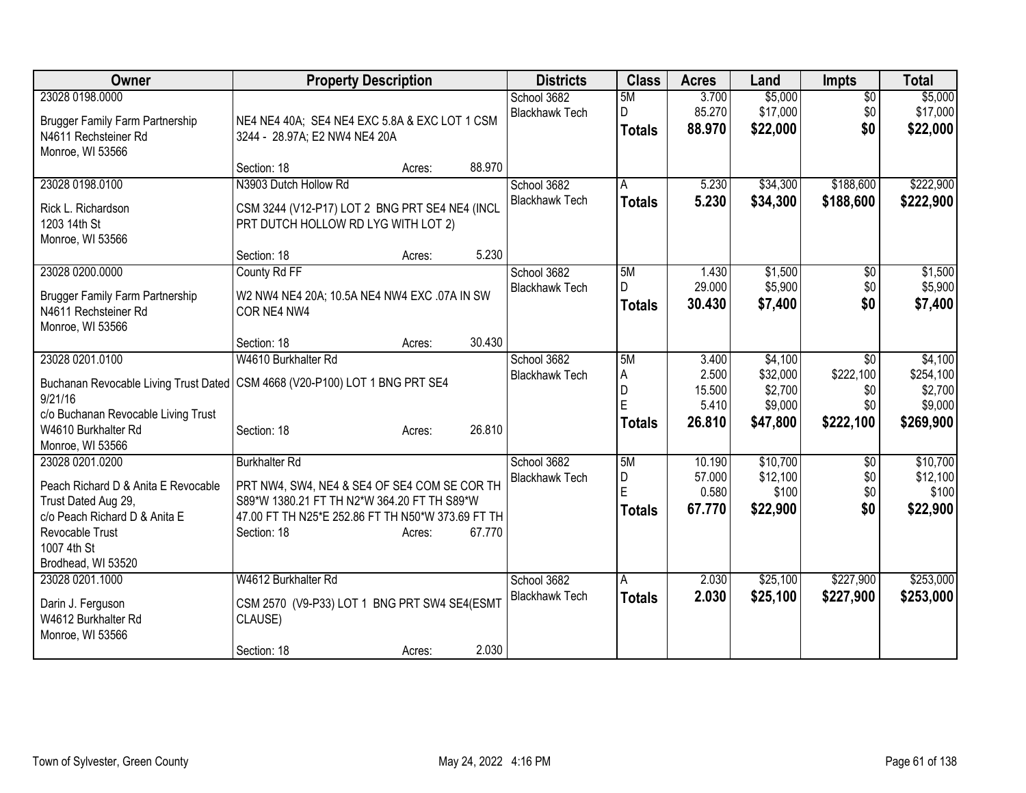| <b>Owner</b>                                               | <b>Property Description</b>                                                           | <b>Districts</b>                     | <b>Class</b>       | <b>Acres</b>     | Land                 | <b>Impts</b>     | <b>Total</b>         |
|------------------------------------------------------------|---------------------------------------------------------------------------------------|--------------------------------------|--------------------|------------------|----------------------|------------------|----------------------|
| 23028 0198.0000                                            |                                                                                       | School 3682                          | 5M                 | 3.700            | \$5,000              | $\overline{50}$  | \$5,000              |
| <b>Brugger Family Farm Partnership</b>                     | NE4 NE4 40A; SE4 NE4 EXC 5.8A & EXC LOT 1 CSM                                         | <b>Blackhawk Tech</b>                | D<br><b>Totals</b> | 85.270<br>88.970 | \$17,000<br>\$22,000 | \$0<br>\$0       | \$17,000<br>\$22,000 |
| N4611 Rechsteiner Rd                                       | 3244 - 28.97A; E2 NW4 NE4 20A                                                         |                                      |                    |                  |                      |                  |                      |
| Monroe, WI 53566                                           | 88.970<br>Section: 18<br>Acres:                                                       |                                      |                    |                  |                      |                  |                      |
| 23028 0198.0100                                            | N3903 Dutch Hollow Rd                                                                 | School 3682                          | A                  | 5.230            | \$34,300             | \$188,600        | \$222,900            |
|                                                            |                                                                                       | <b>Blackhawk Tech</b>                | <b>Totals</b>      | 5.230            | \$34,300             | \$188,600        | \$222,900            |
| Rick L. Richardson<br>1203 14th St                         | CSM 3244 (V12-P17) LOT 2 BNG PRT SE4 NE4 (INCL<br>PRT DUTCH HOLLOW RD LYG WITH LOT 2) |                                      |                    |                  |                      |                  |                      |
| Monroe, WI 53566                                           |                                                                                       |                                      |                    |                  |                      |                  |                      |
|                                                            | 5.230<br>Section: 18<br>Acres:                                                        |                                      |                    |                  |                      |                  |                      |
| 23028 0200.0000                                            | County Rd FF                                                                          | School 3682                          | 5M                 | 1.430            | \$1,500              | \$0              | \$1,500              |
| <b>Brugger Family Farm Partnership</b>                     | W2 NW4 NE4 20A; 10.5A NE4 NW4 EXC .07A IN SW                                          | <b>Blackhawk Tech</b>                | D                  | 29.000           | \$5,900              | \$0              | \$5,900              |
| N4611 Rechsteiner Rd                                       | COR NE4 NW4                                                                           |                                      | <b>Totals</b>      | 30.430           | \$7,400              | \$0              | \$7,400              |
| Monroe, WI 53566                                           |                                                                                       |                                      |                    |                  |                      |                  |                      |
|                                                            | 30.430<br>Section: 18<br>Acres:                                                       |                                      |                    |                  |                      |                  |                      |
| 23028 0201.0100                                            | W4610 Burkhalter Rd                                                                   | School 3682<br><b>Blackhawk Tech</b> | 5M<br>A            | 3.400<br>2.500   | \$4,100<br>\$32,000  | \$0<br>\$222,100 | \$4,100<br>\$254,100 |
|                                                            | Buchanan Revocable Living Trust Dated   CSM 4668 (V20-P100) LOT 1 BNG PRT SE4         |                                      | D                  | 15.500           | \$2,700              | \$0              | \$2,700              |
| 9/21/16                                                    |                                                                                       |                                      | E                  | 5.410            | \$9,000              | \$0              | \$9,000              |
| c/o Buchanan Revocable Living Trust<br>W4610 Burkhalter Rd | 26.810<br>Section: 18<br>Acres:                                                       |                                      | <b>Totals</b>      | 26.810           | \$47,800             | \$222,100        | \$269,900            |
| Monroe, WI 53566                                           |                                                                                       |                                      |                    |                  |                      |                  |                      |
| 23028 0201.0200                                            | <b>Burkhalter Rd</b>                                                                  | School 3682                          | 5M                 | 10.190           | \$10,700             | \$0              | \$10,700             |
| Peach Richard D & Anita E Revocable                        | PRT NW4, SW4, NE4 & SE4 OF SE4 COM SE COR TH                                          | <b>Blackhawk Tech</b>                | D                  | 57.000           | \$12,100             | \$0              | \$12,100             |
| Trust Dated Aug 29,                                        | S89*W 1380.21 FT TH N2*W 364.20 FT TH S89*W                                           |                                      | E                  | 0.580<br>67.770  | \$100<br>\$22,900    | \$0<br>\$0       | \$100<br>\$22,900    |
| c/o Peach Richard D & Anita E                              | 47.00 FT TH N25*E 252.86 FT TH N50*W 373.69 FT TH                                     |                                      | <b>Totals</b>      |                  |                      |                  |                      |
| Revocable Trust                                            | 67.770<br>Section: 18<br>Acres:                                                       |                                      |                    |                  |                      |                  |                      |
| 1007 4th St<br>Brodhead, WI 53520                          |                                                                                       |                                      |                    |                  |                      |                  |                      |
| 23028 0201.1000                                            | W4612 Burkhalter Rd                                                                   | School 3682                          | A                  | 2.030            | \$25,100             | \$227,900        | \$253,000            |
|                                                            |                                                                                       | <b>Blackhawk Tech</b>                | <b>Totals</b>      | 2.030            | \$25,100             | \$227,900        | \$253,000            |
| Darin J. Ferguson<br>W4612 Burkhalter Rd                   | CSM 2570 (V9-P33) LOT 1 BNG PRT SW4 SE4(ESMT<br>CLAUSE)                               |                                      |                    |                  |                      |                  |                      |
| Monroe, WI 53566                                           |                                                                                       |                                      |                    |                  |                      |                  |                      |
|                                                            | 2.030<br>Section: 18<br>Acres:                                                        |                                      |                    |                  |                      |                  |                      |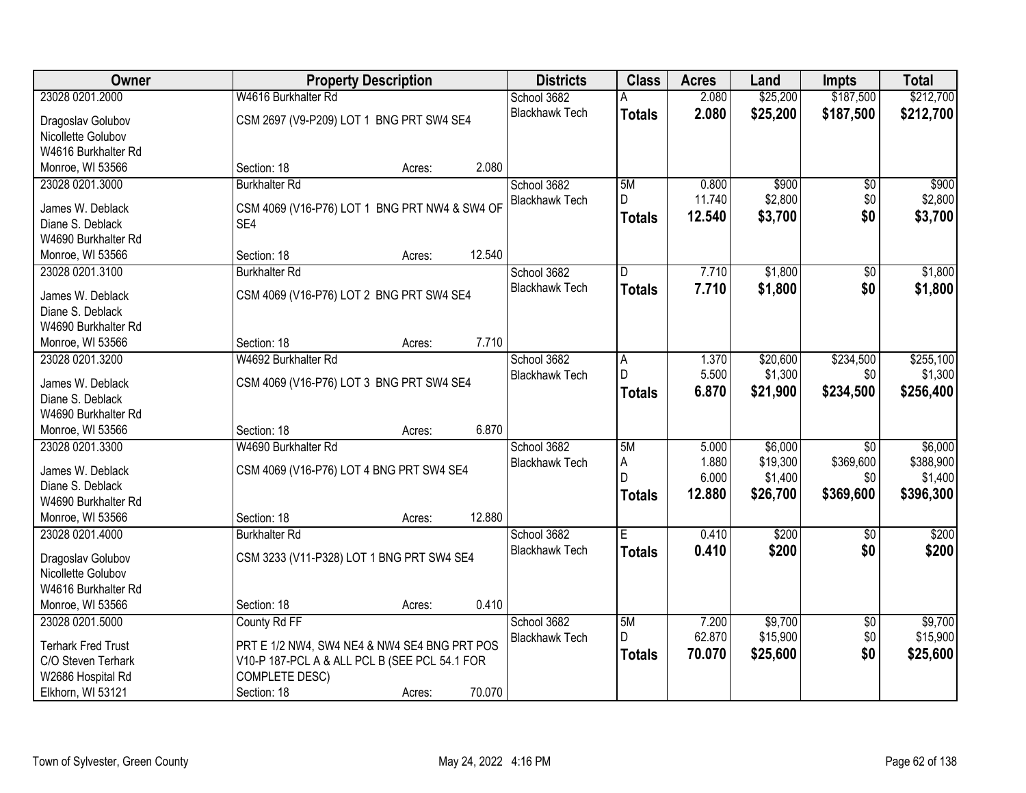| Owner                     | <b>Property Description</b>                   | <b>Districts</b>      | <b>Class</b>  | <b>Acres</b> | Land     | <b>Impts</b>    | <b>Total</b> |
|---------------------------|-----------------------------------------------|-----------------------|---------------|--------------|----------|-----------------|--------------|
| 23028 0201.2000           | W4616 Burkhalter Rd                           | School 3682           | А             | 2.080        | \$25,200 | \$187,500       | \$212,700    |
| Dragoslav Golubov         | CSM 2697 (V9-P209) LOT 1 BNG PRT SW4 SE4      | <b>Blackhawk Tech</b> | <b>Totals</b> | 2.080        | \$25,200 | \$187,500       | \$212,700    |
| Nicollette Golubov        |                                               |                       |               |              |          |                 |              |
| W4616 Burkhalter Rd       |                                               |                       |               |              |          |                 |              |
| Monroe, WI 53566          | 2.080<br>Section: 18<br>Acres:                |                       |               |              |          |                 |              |
| 23028 0201.3000           | <b>Burkhalter Rd</b>                          | School 3682           | 5M            | 0.800        | \$900    | \$0             | \$900        |
|                           |                                               | <b>Blackhawk Tech</b> | D             | 11.740       | \$2,800  | \$0             | \$2,800      |
| James W. Deblack          | CSM 4069 (V16-P76) LOT 1 BNG PRT NW4 & SW4 OF |                       | Totals        | 12.540       | \$3,700  | \$0             | \$3,700      |
| Diane S. Deblack          | SE4                                           |                       |               |              |          |                 |              |
| W4690 Burkhalter Rd       |                                               |                       |               |              |          |                 |              |
| Monroe, WI 53566          | 12.540<br>Section: 18<br>Acres:               |                       |               |              |          |                 |              |
| 23028 0201.3100           | <b>Burkhalter Rd</b>                          | School 3682           | D             | 7.710        | \$1,800  | \$0             | \$1,800      |
| James W. Deblack          | CSM 4069 (V16-P76) LOT 2 BNG PRT SW4 SE4      | <b>Blackhawk Tech</b> | <b>Totals</b> | 7.710        | \$1,800  | \$0             | \$1,800      |
| Diane S. Deblack          |                                               |                       |               |              |          |                 |              |
| W4690 Burkhalter Rd       |                                               |                       |               |              |          |                 |              |
| Monroe, WI 53566          | 7.710<br>Section: 18<br>Acres:                |                       |               |              |          |                 |              |
| 23028 0201.3200           | W4692 Burkhalter Rd                           | School 3682           | A             | 1.370        | \$20,600 | \$234,500       | \$255,100    |
|                           |                                               | <b>Blackhawk Tech</b> | D             | 5.500        | \$1,300  | \$0             | \$1,300      |
| James W. Deblack          | CSM 4069 (V16-P76) LOT 3 BNG PRT SW4 SE4      |                       | <b>Totals</b> | 6.870        | \$21,900 | \$234,500       | \$256,400    |
| Diane S. Deblack          |                                               |                       |               |              |          |                 |              |
| W4690 Burkhalter Rd       |                                               |                       |               |              |          |                 |              |
| Monroe, WI 53566          | 6.870<br>Section: 18<br>Acres:                |                       |               |              |          |                 |              |
| 23028 0201.3300           | W4690 Burkhalter Rd                           | School 3682           | 5M            | 5.000        | \$6,000  | $\overline{50}$ | \$6,000      |
| James W. Deblack          | CSM 4069 (V16-P76) LOT 4 BNG PRT SW4 SE4      | <b>Blackhawk Tech</b> | A             | 1.880        | \$19,300 | \$369,600       | \$388,900    |
| Diane S. Deblack          |                                               |                       | D             | 6.000        | \$1,400  | \$0             | \$1,400      |
| W4690 Burkhalter Rd       |                                               |                       | <b>Totals</b> | 12.880       | \$26,700 | \$369,600       | \$396,300    |
| Monroe, WI 53566          | 12.880<br>Section: 18<br>Acres:               |                       |               |              |          |                 |              |
| 23028 0201.4000           | <b>Burkhalter Rd</b>                          | School 3682           | Ε             | 0.410        | \$200    | \$0             | \$200        |
|                           |                                               | <b>Blackhawk Tech</b> | <b>Totals</b> | 0.410        | \$200    | \$0             | \$200        |
| Dragoslav Golubov         | CSM 3233 (V11-P328) LOT 1 BNG PRT SW4 SE4     |                       |               |              |          |                 |              |
| Nicollette Golubov        |                                               |                       |               |              |          |                 |              |
| W4616 Burkhalter Rd       |                                               |                       |               |              |          |                 |              |
| Monroe, WI 53566          | 0.410<br>Section: 18<br>Acres:                |                       |               |              |          |                 |              |
| 23028 0201.5000           | County Rd FF                                  | School 3682           | 5M            | 7.200        | \$9,700  | \$0             | \$9,700      |
| <b>Terhark Fred Trust</b> | PRT E 1/2 NW4, SW4 NE4 & NW4 SE4 BNG PRT POS  | <b>Blackhawk Tech</b> | D.            | 62.870       | \$15,900 | \$0             | \$15,900     |
| C/O Steven Terhark        | V10-P 187-PCL A & ALL PCL B (SEE PCL 54.1 FOR |                       | <b>Totals</b> | 70.070       | \$25,600 | \$0             | \$25,600     |
| W2686 Hospital Rd         | COMPLETE DESC)                                |                       |               |              |          |                 |              |
| Elkhorn, WI 53121         | 70.070<br>Section: 18<br>Acres:               |                       |               |              |          |                 |              |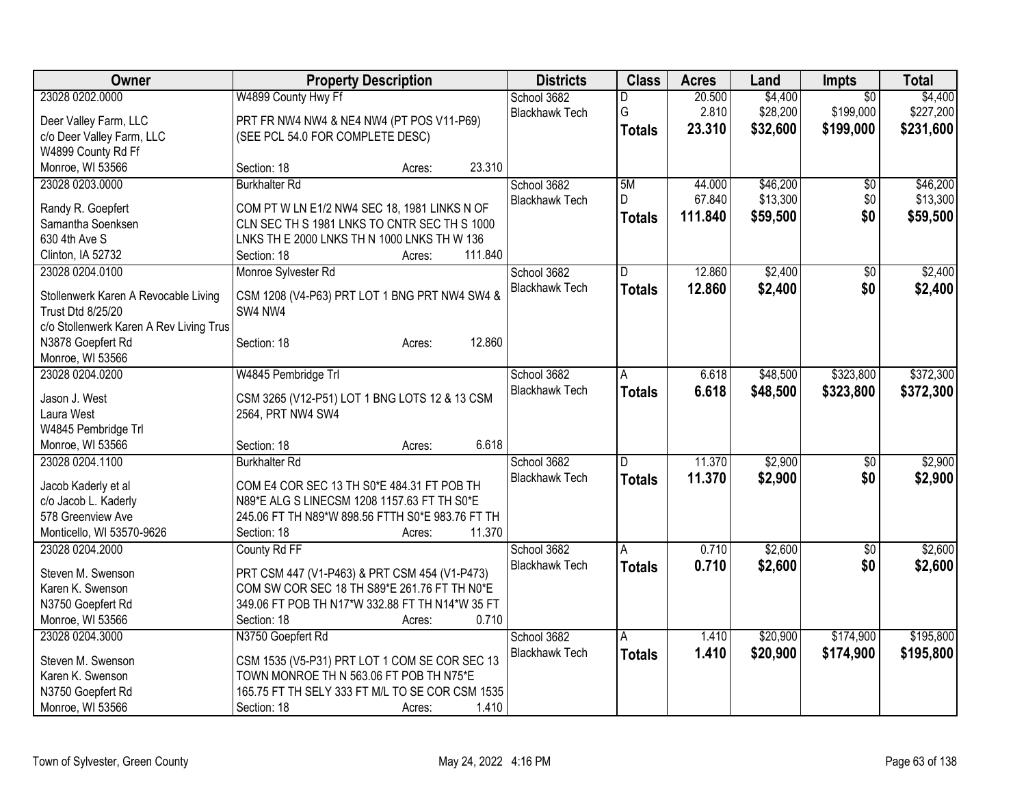| Owner                                   | <b>Property Description</b>                      |         | <b>Districts</b>      | <b>Class</b>  | <b>Acres</b> | Land     | <b>Impts</b>    | <b>Total</b> |
|-----------------------------------------|--------------------------------------------------|---------|-----------------------|---------------|--------------|----------|-----------------|--------------|
| 23028 0202.0000                         | W4899 County Hwy Ff                              |         | School 3682           | D             | 20.500       | \$4,400  | $\overline{50}$ | \$4,400      |
| Deer Valley Farm, LLC                   | PRT FR NW4 NW4 & NE4 NW4 (PT POS V11-P69)        |         | <b>Blackhawk Tech</b> | G             | 2.810        | \$28,200 | \$199,000       | \$227,200    |
| c/o Deer Valley Farm, LLC               | (SEE PCL 54.0 FOR COMPLETE DESC)                 |         |                       | <b>Totals</b> | 23.310       | \$32,600 | \$199,000       | \$231,600    |
| W4899 County Rd Ff                      |                                                  |         |                       |               |              |          |                 |              |
| Monroe, WI 53566                        | Section: 18<br>Acres:                            | 23.310  |                       |               |              |          |                 |              |
| 23028 0203.0000                         | <b>Burkhalter Rd</b>                             |         | School 3682           | 5M            | 44.000       | \$46,200 | \$0             | \$46,200     |
|                                         |                                                  |         | <b>Blackhawk Tech</b> | D             | 67.840       | \$13,300 | \$0             | \$13,300     |
| Randy R. Goepfert                       | COM PT W LN E1/2 NW4 SEC 18, 1981 LINKS N OF     |         |                       | <b>Totals</b> | 111.840      | \$59,500 | \$0             | \$59,500     |
| Samantha Soenksen                       | CLN SEC TH S 1981 LNKS TO CNTR SEC TH S 1000     |         |                       |               |              |          |                 |              |
| 630 4th Ave S                           | LNKS TH E 2000 LNKS TH N 1000 LNKS TH W 136      | 111.840 |                       |               |              |          |                 |              |
| Clinton, IA 52732                       | Section: 18<br>Acres:                            |         |                       |               |              |          |                 |              |
| 23028 0204.0100                         | Monroe Sylvester Rd                              |         | School 3682           | D.            | 12.860       | \$2,400  | \$0             | \$2,400      |
| Stollenwerk Karen A Revocable Living    | CSM 1208 (V4-P63) PRT LOT 1 BNG PRT NW4 SW4 &    |         | <b>Blackhawk Tech</b> | <b>Totals</b> | 12.860       | \$2,400  | \$0             | \$2,400      |
| <b>Trust Dtd 8/25/20</b>                | SW4 NW4                                          |         |                       |               |              |          |                 |              |
| c/o Stollenwerk Karen A Rev Living Trus |                                                  |         |                       |               |              |          |                 |              |
| N3878 Goepfert Rd                       | Section: 18<br>Acres:                            | 12.860  |                       |               |              |          |                 |              |
| Monroe, WI 53566                        |                                                  |         |                       |               |              |          |                 |              |
| 23028 0204.0200                         | W4845 Pembridge Trl                              |         | School 3682           | A             | 6.618        | \$48,500 | \$323,800       | \$372,300    |
|                                         |                                                  |         | <b>Blackhawk Tech</b> | <b>Totals</b> | 6.618        | \$48,500 | \$323,800       | \$372,300    |
| Jason J. West                           | CSM 3265 (V12-P51) LOT 1 BNG LOTS 12 & 13 CSM    |         |                       |               |              |          |                 |              |
| Laura West                              | 2564, PRT NW4 SW4                                |         |                       |               |              |          |                 |              |
| W4845 Pembridge Trl                     |                                                  | 6.618   |                       |               |              |          |                 |              |
| Monroe, WI 53566<br>23028 0204.1100     | Section: 18<br>Acres:<br><b>Burkhalter Rd</b>    |         |                       | D.            | 11.370       | \$2,900  |                 | \$2,900      |
|                                         |                                                  |         | School 3682           |               |              |          | $\sqrt{6}$      |              |
| Jacob Kaderly et al                     | COM E4 COR SEC 13 TH S0*E 484.31 FT POB TH       |         | <b>Blackhawk Tech</b> | <b>Totals</b> | 11.370       | \$2,900  | \$0             | \$2,900      |
| c/o Jacob L. Kaderly                    | N89*E ALG S LINECSM 1208 1157.63 FT TH S0*E      |         |                       |               |              |          |                 |              |
| 578 Greenview Ave                       | 245.06 FT TH N89*W 898.56 FTTH S0*E 983.76 FT TH |         |                       |               |              |          |                 |              |
| Monticello, WI 53570-9626               | Section: 18<br>Acres:                            | 11.370  |                       |               |              |          |                 |              |
| 23028 0204.2000                         | County Rd FF                                     |         | School 3682           | A             | 0.710        | \$2,600  | $\overline{50}$ | \$2,600      |
| Steven M. Swenson                       | PRT CSM 447 (V1-P463) & PRT CSM 454 (V1-P473)    |         | <b>Blackhawk Tech</b> | <b>Totals</b> | 0.710        | \$2,600  | \$0             | \$2,600      |
| Karen K. Swenson                        | COM SW COR SEC 18 TH S89*E 261.76 FT TH N0*E     |         |                       |               |              |          |                 |              |
| N3750 Goepfert Rd                       | 349.06 FT POB TH N17*W 332.88 FT TH N14*W 35 FT  |         |                       |               |              |          |                 |              |
| Monroe, WI 53566                        | Section: 18<br>Acres:                            | 0.710   |                       |               |              |          |                 |              |
| 23028 0204.3000                         | N3750 Goepfert Rd                                |         | School 3682           | Α             | 1.410        | \$20,900 | \$174,900       | \$195,800    |
|                                         |                                                  |         | <b>Blackhawk Tech</b> |               | 1.410        |          | \$174,900       | \$195,800    |
| Steven M. Swenson                       | CSM 1535 (V5-P31) PRT LOT 1 COM SE COR SEC 13    |         |                       | <b>Totals</b> |              | \$20,900 |                 |              |
| Karen K. Swenson                        | TOWN MONROE TH N 563.06 FT POB TH N75*E          |         |                       |               |              |          |                 |              |
| N3750 Goepfert Rd                       | 165.75 FT TH SELY 333 FT M/L TO SE COR CSM 1535  |         |                       |               |              |          |                 |              |
| Monroe, WI 53566                        | Section: 18<br>Acres:                            | 1.410   |                       |               |              |          |                 |              |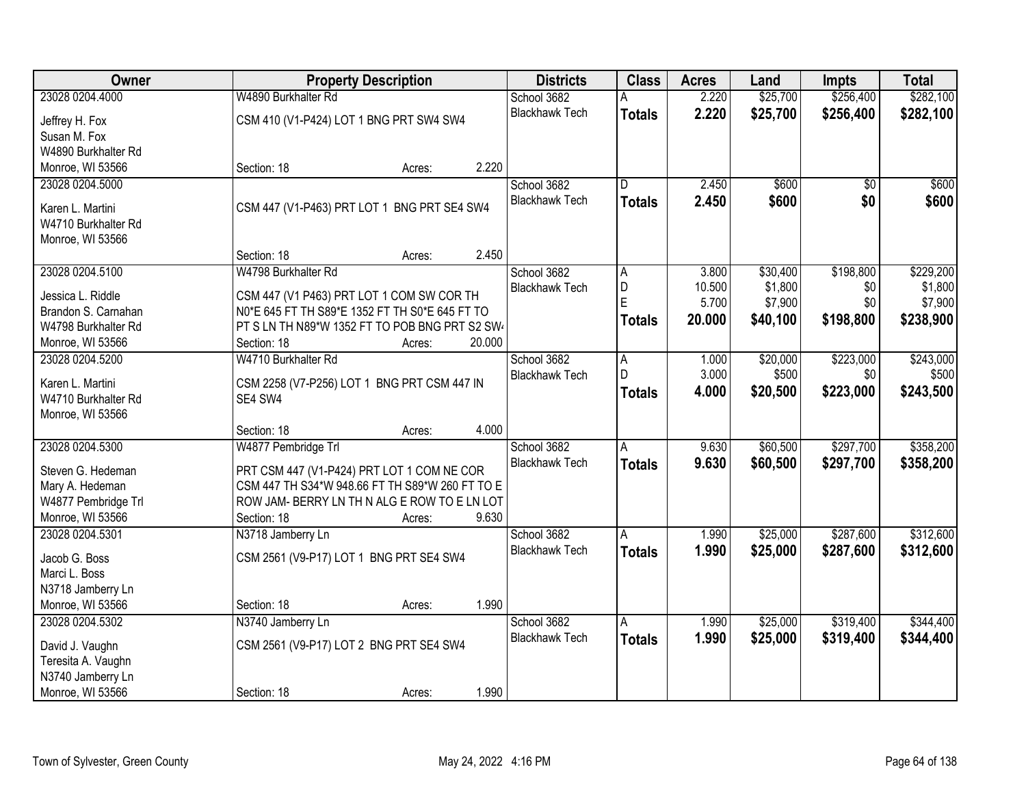| <b>Owner</b>        | <b>Property Description</b>                     | <b>Districts</b>      | <b>Class</b>  | <b>Acres</b> | Land     | <b>Impts</b>    | <b>Total</b> |
|---------------------|-------------------------------------------------|-----------------------|---------------|--------------|----------|-----------------|--------------|
| 23028 0204.4000     | W4890 Burkhalter Rd                             | School 3682           |               | 2.220        | \$25,700 | \$256,400       | \$282,100    |
| Jeffrey H. Fox      | CSM 410 (V1-P424) LOT 1 BNG PRT SW4 SW4         | <b>Blackhawk Tech</b> | <b>Totals</b> | 2.220        | \$25,700 | \$256,400       | \$282,100    |
| Susan M. Fox        |                                                 |                       |               |              |          |                 |              |
| W4890 Burkhalter Rd |                                                 |                       |               |              |          |                 |              |
| Monroe, WI 53566    | 2.220<br>Section: 18<br>Acres:                  |                       |               |              |          |                 |              |
| 23028 0204.5000     |                                                 | School 3682           | D.            | 2.450        | \$600    | $\overline{50}$ | \$600        |
|                     |                                                 | <b>Blackhawk Tech</b> | <b>Totals</b> | 2.450        | \$600    | \$0             | \$600        |
| Karen L. Martini    | CSM 447 (V1-P463) PRT LOT 1 BNG PRT SE4 SW4     |                       |               |              |          |                 |              |
| W4710 Burkhalter Rd |                                                 |                       |               |              |          |                 |              |
| Monroe, WI 53566    | 2.450<br>Section: 18<br>Acres:                  |                       |               |              |          |                 |              |
| 23028 0204.5100     | W4798 Burkhalter Rd                             | School 3682           | A             | 3.800        | \$30,400 | \$198,800       | \$229,200    |
|                     |                                                 | <b>Blackhawk Tech</b> | D             | 10.500       | \$1,800  | \$0             | \$1,800      |
| Jessica L. Riddle   | CSM 447 (V1 P463) PRT LOT 1 COM SW COR TH       |                       | Ė             | 5.700        | \$7,900  | \$0             | \$7,900      |
| Brandon S. Carnahan | N0*E 645 FT TH S89*E 1352 FT TH S0*E 645 FT TO  |                       | <b>Totals</b> | 20.000       | \$40,100 | \$198,800       | \$238,900    |
| W4798 Burkhalter Rd | PT S LN TH N89*W 1352 FT TO POB BNG PRT S2 SW   |                       |               |              |          |                 |              |
| Monroe, WI 53566    | 20.000<br>Section: 18<br>Acres:                 |                       |               |              |          |                 |              |
| 23028 0204.5200     | W4710 Burkhalter Rd                             | School 3682           | A             | 1.000        | \$20,000 | \$223,000       | \$243,000    |
| Karen L. Martini    | CSM 2258 (V7-P256) LOT 1 BNG PRT CSM 447 IN     | <b>Blackhawk Tech</b> | D             | 3.000        | \$500    | \$0             | \$500        |
| W4710 Burkhalter Rd | SE4 SW4                                         |                       | <b>Totals</b> | 4.000        | \$20,500 | \$223,000       | \$243,500    |
| Monroe, WI 53566    |                                                 |                       |               |              |          |                 |              |
|                     | 4.000<br>Section: 18<br>Acres:                  |                       |               |              |          |                 |              |
| 23028 0204.5300     | W4877 Pembridge Trl                             | School 3682           | A             | 9.630        | \$60,500 | \$297,700       | \$358,200    |
| Steven G. Hedeman   | PRT CSM 447 (V1-P424) PRT LOT 1 COM NE COR      | <b>Blackhawk Tech</b> | <b>Totals</b> | 9.630        | \$60,500 | \$297,700       | \$358,200    |
| Mary A. Hedeman     | CSM 447 TH S34*W 948.66 FT TH S89*W 260 FT TO E |                       |               |              |          |                 |              |
| W4877 Pembridge Trl | ROW JAM- BERRY LN TH N ALG E ROW TO E LN LOT    |                       |               |              |          |                 |              |
| Monroe, WI 53566    | 9.630<br>Section: 18<br>Acres:                  |                       |               |              |          |                 |              |
| 23028 0204.5301     | N3718 Jamberry Ln                               | School 3682           | Α             | 1.990        | \$25,000 | \$287,600       | \$312,600    |
|                     |                                                 | <b>Blackhawk Tech</b> | <b>Totals</b> | 1.990        | \$25,000 | \$287,600       | \$312,600    |
| Jacob G. Boss       | CSM 2561 (V9-P17) LOT 1 BNG PRT SE4 SW4         |                       |               |              |          |                 |              |
| Marci L. Boss       |                                                 |                       |               |              |          |                 |              |
| N3718 Jamberry Ln   |                                                 |                       |               |              |          |                 |              |
| Monroe, WI 53566    | 1.990<br>Section: 18<br>Acres:                  |                       |               |              |          |                 |              |
| 23028 0204.5302     | N3740 Jamberry Ln                               | School 3682           | A             | 1.990        | \$25,000 | \$319,400       | \$344,400    |
| David J. Vaughn     | CSM 2561 (V9-P17) LOT 2 BNG PRT SE4 SW4         | <b>Blackhawk Tech</b> | <b>Totals</b> | 1.990        | \$25,000 | \$319,400       | \$344,400    |
| Teresita A. Vaughn  |                                                 |                       |               |              |          |                 |              |
| N3740 Jamberry Ln   |                                                 |                       |               |              |          |                 |              |
| Monroe, WI 53566    | 1.990<br>Section: 18<br>Acres:                  |                       |               |              |          |                 |              |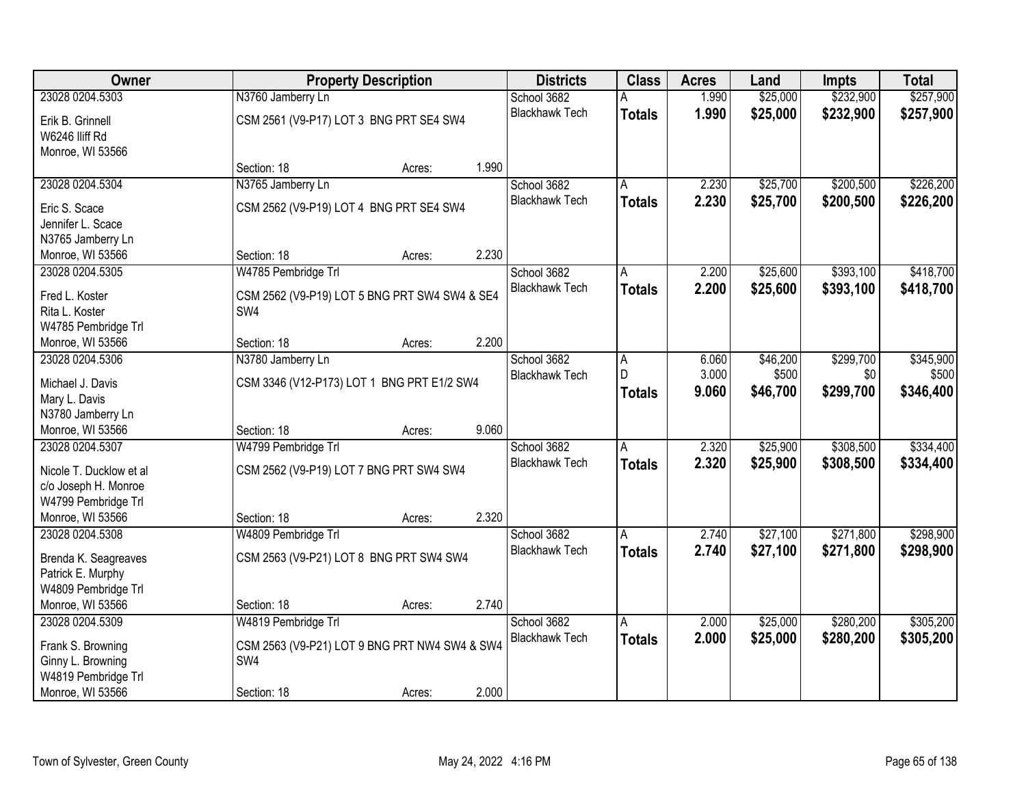| Owner                   |                                               | <b>Property Description</b> |       | <b>Districts</b>      | <b>Class</b>   | <b>Acres</b> | Land     | <b>Impts</b> | <b>Total</b> |
|-------------------------|-----------------------------------------------|-----------------------------|-------|-----------------------|----------------|--------------|----------|--------------|--------------|
| 23028 0204.5303         | N3760 Jamberry Ln                             |                             |       | School 3682           | A              | 1.990        | \$25,000 | \$232,900    | \$257,900    |
| Erik B. Grinnell        | CSM 2561 (V9-P17) LOT 3 BNG PRT SE4 SW4       |                             |       | <b>Blackhawk Tech</b> | <b>Totals</b>  | 1.990        | \$25,000 | \$232,900    | \$257,900    |
| W6246 IIiff Rd          |                                               |                             |       |                       |                |              |          |              |              |
| Monroe, WI 53566        |                                               |                             |       |                       |                |              |          |              |              |
|                         | Section: 18                                   | Acres:                      | 1.990 |                       |                |              |          |              |              |
| 23028 0204.5304         | N3765 Jamberry Ln                             |                             |       | School 3682           | A              | 2.230        | \$25,700 | \$200,500    | \$226,200    |
| Eric S. Scace           | CSM 2562 (V9-P19) LOT 4 BNG PRT SE4 SW4       |                             |       | <b>Blackhawk Tech</b> | <b>Totals</b>  | 2.230        | \$25,700 | \$200,500    | \$226,200    |
| Jennifer L. Scace       |                                               |                             |       |                       |                |              |          |              |              |
| N3765 Jamberry Ln       |                                               |                             |       |                       |                |              |          |              |              |
| Monroe, WI 53566        | Section: 18                                   | Acres:                      | 2.230 |                       |                |              |          |              |              |
| 23028 0204.5305         | W4785 Pembridge Trl                           |                             |       | School 3682           | A              | 2.200        | \$25,600 | \$393,100    | \$418,700    |
| Fred L. Koster          | CSM 2562 (V9-P19) LOT 5 BNG PRT SW4 SW4 & SE4 |                             |       | <b>Blackhawk Tech</b> | <b>Totals</b>  | 2.200        | \$25,600 | \$393,100    | \$418,700    |
| Rita L. Koster          | SW4                                           |                             |       |                       |                |              |          |              |              |
| W4785 Pembridge Trl     |                                               |                             |       |                       |                |              |          |              |              |
| Monroe, WI 53566        | Section: 18                                   | Acres:                      | 2.200 |                       |                |              |          |              |              |
| 23028 0204.5306         | N3780 Jamberry Ln                             |                             |       | School 3682           | Α              | 6.060        | \$46,200 | \$299,700    | \$345,900    |
| Michael J. Davis        | CSM 3346 (V12-P173) LOT 1 BNG PRT E1/2 SW4    |                             |       | <b>Blackhawk Tech</b> | D              | 3.000        | \$500    | \$0          | \$500        |
| Mary L. Davis           |                                               |                             |       |                       | <b>Totals</b>  | 9.060        | \$46,700 | \$299,700    | \$346,400    |
| N3780 Jamberry Ln       |                                               |                             |       |                       |                |              |          |              |              |
| Monroe, WI 53566        | Section: 18                                   | Acres:                      | 9.060 |                       |                |              |          |              |              |
| 23028 0204.5307         | W4799 Pembridge Trl                           |                             |       | School 3682           | $\overline{A}$ | 2.320        | \$25,900 | \$308,500    | \$334,400    |
| Nicole T. Ducklow et al | CSM 2562 (V9-P19) LOT 7 BNG PRT SW4 SW4       |                             |       | <b>Blackhawk Tech</b> | <b>Totals</b>  | 2.320        | \$25,900 | \$308,500    | \$334,400    |
| c/o Joseph H. Monroe    |                                               |                             |       |                       |                |              |          |              |              |
| W4799 Pembridge Trl     |                                               |                             |       |                       |                |              |          |              |              |
| Monroe, WI 53566        | Section: 18                                   | Acres:                      | 2.320 |                       |                |              |          |              |              |
| 23028 0204.5308         | W4809 Pembridge Trl                           |                             |       | School 3682           | A              | 2.740        | \$27,100 | \$271,800    | \$298,900    |
| Brenda K. Seagreaves    | CSM 2563 (V9-P21) LOT 8 BNG PRT SW4 SW4       |                             |       | <b>Blackhawk Tech</b> | <b>Totals</b>  | 2.740        | \$27,100 | \$271,800    | \$298,900    |
| Patrick E. Murphy       |                                               |                             |       |                       |                |              |          |              |              |
| W4809 Pembridge Trl     |                                               |                             |       |                       |                |              |          |              |              |
| Monroe, WI 53566        | Section: 18                                   | Acres:                      | 2.740 |                       |                |              |          |              |              |
| 23028 0204.5309         | W4819 Pembridge Trl                           |                             |       | School 3682           | A              | 2.000        | \$25,000 | \$280,200    | \$305,200    |
| Frank S. Browning       | CSM 2563 (V9-P21) LOT 9 BNG PRT NW4 SW4 & SW4 |                             |       | <b>Blackhawk Tech</b> | <b>Totals</b>  | 2.000        | \$25,000 | \$280,200    | \$305,200    |
| Ginny L. Browning       | SW4                                           |                             |       |                       |                |              |          |              |              |
| W4819 Pembridge Trl     |                                               |                             |       |                       |                |              |          |              |              |
| Monroe, WI 53566        | Section: 18                                   | Acres:                      | 2.000 |                       |                |              |          |              |              |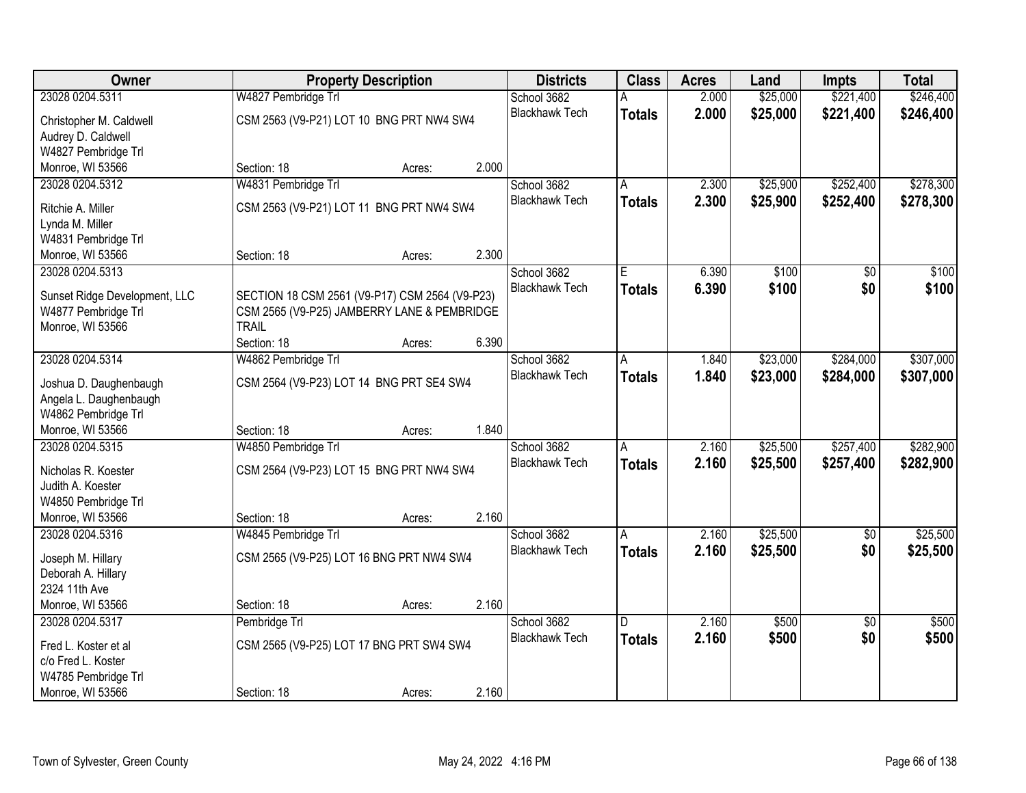| Owner                                    |                                                | <b>Property Description</b> |       | <b>Districts</b>      | <b>Class</b>  | <b>Acres</b> | Land     | <b>Impts</b>    | <b>Total</b> |
|------------------------------------------|------------------------------------------------|-----------------------------|-------|-----------------------|---------------|--------------|----------|-----------------|--------------|
| 23028 0204.5311                          | W4827 Pembridge Trl                            |                             |       | School 3682           |               | 2.000        | \$25,000 | \$221,400       | \$246,400    |
| Christopher M. Caldwell                  | CSM 2563 (V9-P21) LOT 10 BNG PRT NW4 SW4       |                             |       | <b>Blackhawk Tech</b> | <b>Totals</b> | 2.000        | \$25,000 | \$221,400       | \$246,400    |
| Audrey D. Caldwell                       |                                                |                             |       |                       |               |              |          |                 |              |
| W4827 Pembridge Trl                      |                                                |                             |       |                       |               |              |          |                 |              |
| Monroe, WI 53566                         | Section: 18                                    | Acres:                      | 2.000 |                       |               |              |          |                 |              |
| 23028 0204.5312                          | W4831 Pembridge Trl                            |                             |       | School 3682           |               | 2.300        | \$25,900 | \$252,400       | \$278,300    |
| Ritchie A. Miller                        | CSM 2563 (V9-P21) LOT 11 BNG PRT NW4 SW4       |                             |       | <b>Blackhawk Tech</b> | <b>Totals</b> | 2.300        | \$25,900 | \$252,400       | \$278,300    |
| Lynda M. Miller                          |                                                |                             |       |                       |               |              |          |                 |              |
| W4831 Pembridge Trl                      |                                                |                             |       |                       |               |              |          |                 |              |
| Monroe, WI 53566                         | Section: 18                                    | Acres:                      | 2.300 |                       |               |              |          |                 |              |
| 23028 0204.5313                          |                                                |                             |       | School 3682           | E             | 6.390        | \$100    | \$0             | \$100        |
| Sunset Ridge Development, LLC            | SECTION 18 CSM 2561 (V9-P17) CSM 2564 (V9-P23) |                             |       | <b>Blackhawk Tech</b> | <b>Totals</b> | 6.390        | \$100    | \$0             | \$100        |
| W4877 Pembridge Trl                      | CSM 2565 (V9-P25) JAMBERRY LANE & PEMBRIDGE    |                             |       |                       |               |              |          |                 |              |
| Monroe, WI 53566                         | <b>TRAIL</b>                                   |                             |       |                       |               |              |          |                 |              |
|                                          | Section: 18                                    | Acres:                      | 6.390 |                       |               |              |          |                 |              |
| 23028 0204.5314                          | W4862 Pembridge Trl                            |                             |       | School 3682           | Α             | 1.840        | \$23,000 | \$284,000       | \$307,000    |
| Joshua D. Daughenbaugh                   | CSM 2564 (V9-P23) LOT 14 BNG PRT SE4 SW4       |                             |       | <b>Blackhawk Tech</b> | <b>Totals</b> | 1.840        | \$23,000 | \$284,000       | \$307,000    |
| Angela L. Daughenbaugh                   |                                                |                             |       |                       |               |              |          |                 |              |
| W4862 Pembridge Trl                      |                                                |                             |       |                       |               |              |          |                 |              |
| Monroe, WI 53566                         | Section: 18                                    | Acres:                      | 1.840 |                       |               |              |          |                 |              |
| 23028 0204.5315                          | W4850 Pembridge Trl                            |                             |       | School 3682           | A             | 2.160        | \$25,500 | \$257,400       | \$282,900    |
|                                          |                                                |                             |       | <b>Blackhawk Tech</b> | <b>Totals</b> | 2.160        | \$25,500 | \$257,400       | \$282,900    |
| Nicholas R. Koester<br>Judith A. Koester | CSM 2564 (V9-P23) LOT 15 BNG PRT NW4 SW4       |                             |       |                       |               |              |          |                 |              |
| W4850 Pembridge Trl                      |                                                |                             |       |                       |               |              |          |                 |              |
| Monroe, WI 53566                         | Section: 18                                    | Acres:                      | 2.160 |                       |               |              |          |                 |              |
| 23028 0204.5316                          | W4845 Pembridge Trl                            |                             |       | School 3682           | A             | 2.160        | \$25,500 | $\overline{50}$ | \$25,500     |
|                                          |                                                |                             |       | <b>Blackhawk Tech</b> | <b>Totals</b> | 2.160        | \$25,500 | \$0             | \$25,500     |
| Joseph M. Hillary                        | CSM 2565 (V9-P25) LOT 16 BNG PRT NW4 SW4       |                             |       |                       |               |              |          |                 |              |
| Deborah A. Hillary<br>2324 11th Ave      |                                                |                             |       |                       |               |              |          |                 |              |
| Monroe, WI 53566                         | Section: 18                                    | Acres:                      | 2.160 |                       |               |              |          |                 |              |
| 23028 0204.5317                          | Pembridge Trl                                  |                             |       | School 3682           | D             | 2.160        | \$500    | $\overline{30}$ | \$500        |
|                                          |                                                |                             |       | <b>Blackhawk Tech</b> | <b>Totals</b> | 2.160        | \$500    | \$0             | \$500        |
| Fred L. Koster et al                     | CSM 2565 (V9-P25) LOT 17 BNG PRT SW4 SW4       |                             |       |                       |               |              |          |                 |              |
| c/o Fred L. Koster                       |                                                |                             |       |                       |               |              |          |                 |              |
| W4785 Pembridge Trl<br>Monroe, WI 53566  | Section: 18                                    |                             | 2.160 |                       |               |              |          |                 |              |
|                                          |                                                | Acres:                      |       |                       |               |              |          |                 |              |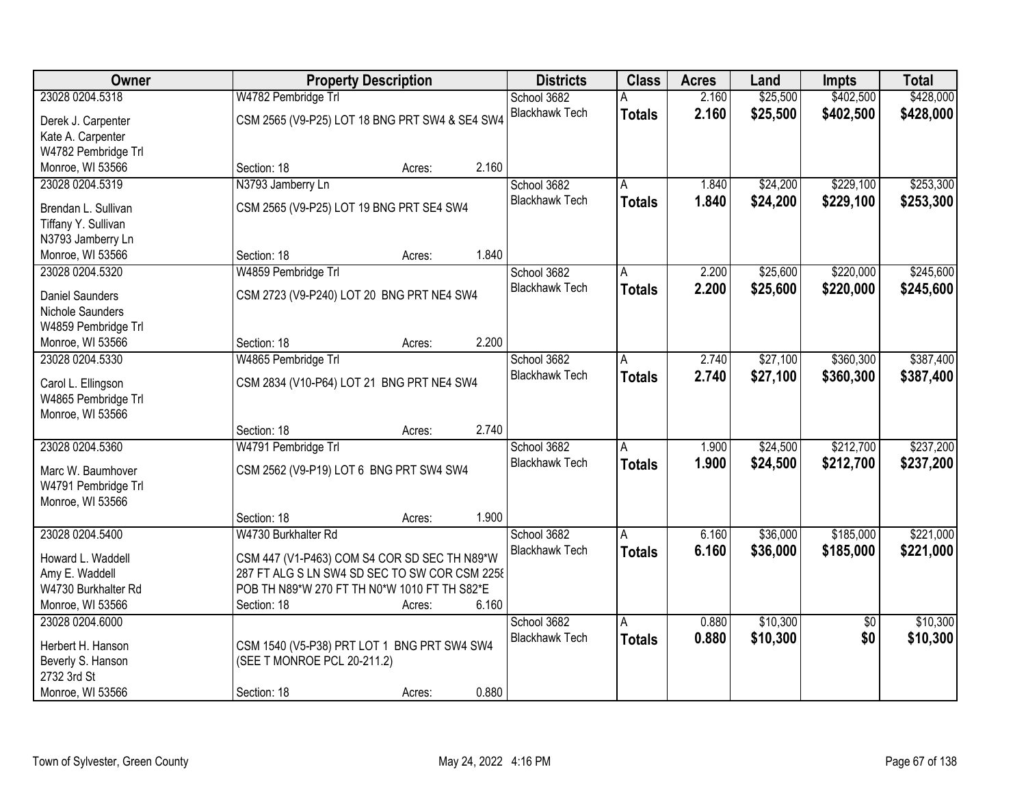| <b>Owner</b>           | <b>Property Description</b>                    | <b>Districts</b>      | <b>Class</b>  | <b>Acres</b> | Land     | <b>Impts</b>    | <b>Total</b> |
|------------------------|------------------------------------------------|-----------------------|---------------|--------------|----------|-----------------|--------------|
| 23028 0204.5318        | W4782 Pembridge Trl                            | School 3682           |               | 2.160        | \$25,500 | \$402,500       | \$428,000    |
| Derek J. Carpenter     | CSM 2565 (V9-P25) LOT 18 BNG PRT SW4 & SE4 SW4 | <b>Blackhawk Tech</b> | <b>Totals</b> | 2.160        | \$25,500 | \$402,500       | \$428,000    |
| Kate A. Carpenter      |                                                |                       |               |              |          |                 |              |
| W4782 Pembridge Trl    |                                                |                       |               |              |          |                 |              |
| Monroe, WI 53566       | 2.160<br>Section: 18<br>Acres:                 |                       |               |              |          |                 |              |
| 23028 0204.5319        | N3793 Jamberry Ln                              | School 3682           | А             | 1.840        | \$24,200 | \$229,100       | \$253,300    |
|                        |                                                | <b>Blackhawk Tech</b> | <b>Totals</b> | 1.840        | \$24,200 | \$229,100       | \$253,300    |
| Brendan L. Sullivan    | CSM 2565 (V9-P25) LOT 19 BNG PRT SE4 SW4       |                       |               |              |          |                 |              |
| Tiffany Y. Sullivan    |                                                |                       |               |              |          |                 |              |
| N3793 Jamberry Ln      |                                                |                       |               |              |          |                 |              |
| Monroe, WI 53566       | 1.840<br>Section: 18<br>Acres:                 |                       |               |              |          |                 |              |
| 23028 0204.5320        | W4859 Pembridge Trl                            | School 3682           | A             | 2.200        | \$25,600 | \$220,000       | \$245,600    |
| <b>Daniel Saunders</b> | CSM 2723 (V9-P240) LOT 20 BNG PRT NE4 SW4      | <b>Blackhawk Tech</b> | <b>Totals</b> | 2.200        | \$25,600 | \$220,000       | \$245,600    |
| Nichole Saunders       |                                                |                       |               |              |          |                 |              |
| W4859 Pembridge Trl    |                                                |                       |               |              |          |                 |              |
| Monroe, WI 53566       | 2.200<br>Section: 18<br>Acres:                 |                       |               |              |          |                 |              |
| 23028 0204.5330        | W4865 Pembridge Trl                            | School 3682           | A             | 2.740        | \$27,100 | \$360,300       | \$387,400    |
|                        |                                                | <b>Blackhawk Tech</b> |               |              |          |                 |              |
| Carol L. Ellingson     | CSM 2834 (V10-P64) LOT 21 BNG PRT NE4 SW4      |                       | <b>Totals</b> | 2.740        | \$27,100 | \$360,300       | \$387,400    |
| W4865 Pembridge Trl    |                                                |                       |               |              |          |                 |              |
| Monroe, WI 53566       |                                                |                       |               |              |          |                 |              |
|                        | 2.740<br>Section: 18<br>Acres:                 |                       |               |              |          |                 |              |
| 23028 0204.5360        | W4791 Pembridge Trl                            | School 3682           | A             | 1.900        | \$24,500 | \$212,700       | \$237,200    |
|                        |                                                | <b>Blackhawk Tech</b> | <b>Totals</b> | 1.900        | \$24,500 | \$212,700       | \$237,200    |
| Marc W. Baumhover      | CSM 2562 (V9-P19) LOT 6 BNG PRT SW4 SW4        |                       |               |              |          |                 |              |
| W4791 Pembridge Trl    |                                                |                       |               |              |          |                 |              |
| Monroe, WI 53566       | 1.900                                          |                       |               |              |          |                 |              |
|                        | Section: 18<br>Acres:                          |                       |               |              |          |                 |              |
| 23028 0204.5400        | W4730 Burkhalter Rd                            | School 3682           | A             | 6.160        | \$36,000 | \$185,000       | \$221,000    |
| Howard L. Waddell      | CSM 447 (V1-P463) COM S4 COR SD SEC TH N89*W   | <b>Blackhawk Tech</b> | <b>Totals</b> | 6.160        | \$36,000 | \$185,000       | \$221,000    |
| Amy E. Waddell         | 287 FT ALG S LN SW4 SD SEC TO SW COR CSM 2258  |                       |               |              |          |                 |              |
| W4730 Burkhalter Rd    | POB TH N89*W 270 FT TH N0*W 1010 FT TH S82*E   |                       |               |              |          |                 |              |
| Monroe, WI 53566       | 6.160<br>Section: 18<br>Acres:                 |                       |               |              |          |                 |              |
| 23028 0204.6000        |                                                | School 3682           | A             | 0.880        | \$10,300 | $\overline{50}$ | \$10,300     |
|                        |                                                | <b>Blackhawk Tech</b> | <b>Totals</b> | 0.880        | \$10,300 | \$0             | \$10,300     |
| Herbert H. Hanson      | CSM 1540 (V5-P38) PRT LOT 1 BNG PRT SW4 SW4    |                       |               |              |          |                 |              |
| Beverly S. Hanson      | (SEE T MONROE PCL 20-211.2)                    |                       |               |              |          |                 |              |
| 2732 3rd St            |                                                |                       |               |              |          |                 |              |
| Monroe, WI 53566       | 0.880<br>Section: 18<br>Acres:                 |                       |               |              |          |                 |              |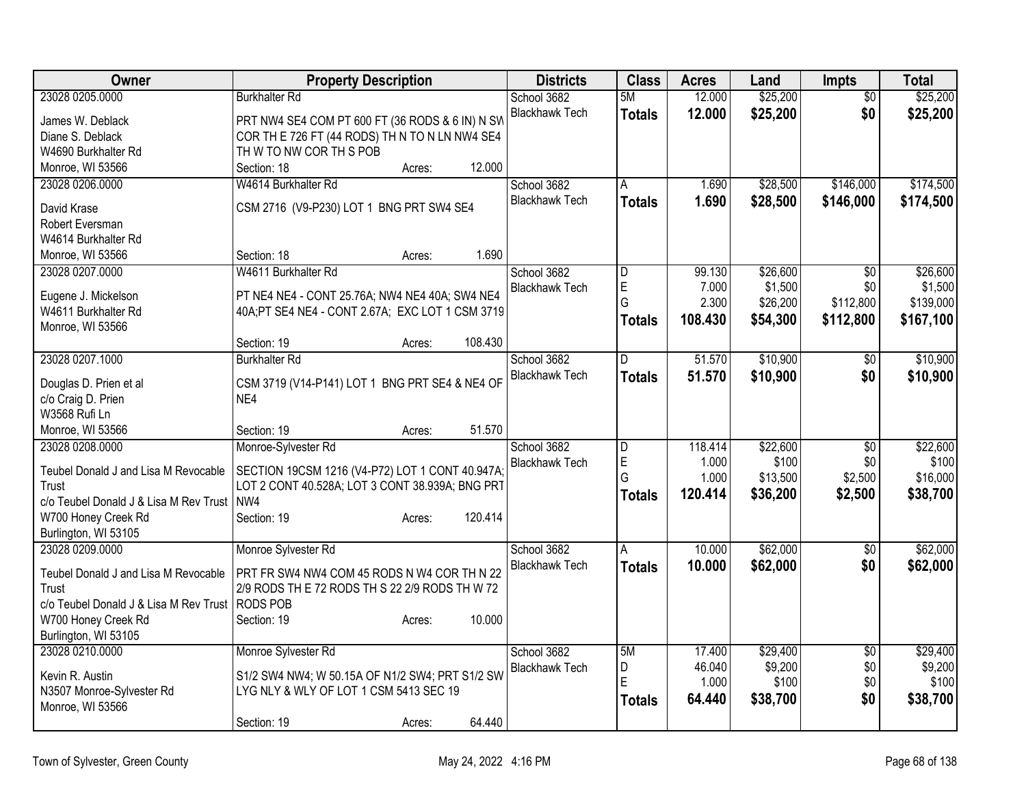| Owner                                        | <b>Property Description</b>                                                                       | <b>Districts</b>                     | <b>Class</b>   | <b>Acres</b>     | Land                | <b>Impts</b>           | <b>Total</b>        |
|----------------------------------------------|---------------------------------------------------------------------------------------------------|--------------------------------------|----------------|------------------|---------------------|------------------------|---------------------|
| 23028 0205.0000                              | <b>Burkhalter Rd</b>                                                                              | School 3682                          | 5M             | 12.000           | \$25,200            | $\overline{50}$        | \$25,200            |
| James W. Deblack                             | PRT NW4 SE4 COM PT 600 FT (36 RODS & 6 IN) N SW                                                   | <b>Blackhawk Tech</b>                | <b>Totals</b>  | 12.000           | \$25,200            | \$0                    | \$25,200            |
| Diane S. Deblack                             | COR TH E 726 FT (44 RODS) TH N TO N LN NW4 SE4                                                    |                                      |                |                  |                     |                        |                     |
| W4690 Burkhalter Rd                          | TH W TO NW COR TH S POB                                                                           |                                      |                |                  |                     |                        |                     |
| Monroe, WI 53566                             | 12.000<br>Section: 18<br>Acres:                                                                   |                                      |                |                  |                     |                        |                     |
| 23028 0206.0000                              | W4614 Burkhalter Rd                                                                               | School 3682                          | A              | 1.690            | \$28,500            | \$146,000              | \$174,500           |
| David Krase                                  | CSM 2716 (V9-P230) LOT 1 BNG PRT SW4 SE4                                                          | <b>Blackhawk Tech</b>                | <b>Totals</b>  | 1.690            | \$28,500            | \$146,000              | \$174,500           |
| Robert Eversman                              |                                                                                                   |                                      |                |                  |                     |                        |                     |
| W4614 Burkhalter Rd                          |                                                                                                   |                                      |                |                  |                     |                        |                     |
| Monroe, WI 53566                             | 1.690<br>Section: 18<br>Acres:                                                                    |                                      |                |                  |                     |                        |                     |
| 23028 0207.0000                              | W4611 Burkhalter Rd                                                                               | School 3682                          | D              | 99.130           | \$26,600            | $\overline{50}$        | \$26,600            |
|                                              |                                                                                                   | <b>Blackhawk Tech</b>                | $\mathsf E$    | 7.000            | \$1,500             | \$0                    | \$1,500             |
| Eugene J. Mickelson<br>W4611 Burkhalter Rd   | PT NE4 NE4 - CONT 25.76A; NW4 NE4 40A; SW4 NE4<br>40A;PT SE4 NE4 - CONT 2.67A; EXC LOT 1 CSM 3719 |                                      | G              | 2.300            | \$26,200            | \$112,800              | \$139,000           |
| Monroe, WI 53566                             |                                                                                                   |                                      | Totals         | 108.430          | \$54,300            | \$112,800              | \$167,100           |
|                                              | 108.430<br>Section: 19<br>Acres:                                                                  |                                      |                |                  |                     |                        |                     |
| 23028 0207.1000                              | <b>Burkhalter Rd</b>                                                                              | School 3682                          | D.             | 51.570           | \$10,900            | \$0                    | \$10,900            |
|                                              |                                                                                                   | <b>Blackhawk Tech</b>                | Totals         | 51.570           | \$10,900            | \$0                    | \$10,900            |
| Douglas D. Prien et al                       | CSM 3719 (V14-P141) LOT 1 BNG PRT SE4 & NE4 OF                                                    |                                      |                |                  |                     |                        |                     |
| c/o Craig D. Prien                           | NE4                                                                                               |                                      |                |                  |                     |                        |                     |
| W3568 Rufi Ln<br>Monroe, WI 53566            | 51.570<br>Section: 19                                                                             |                                      |                |                  |                     |                        |                     |
| 23028 0208.0000                              | Acres:<br>Monroe-Sylvester Rd                                                                     | School 3682                          | $\overline{D}$ | 118.414          | \$22,600            | $\overline{30}$        | \$22,600            |
|                                              |                                                                                                   | <b>Blackhawk Tech</b>                | $\mathsf E$    | 1.000            | \$100               | \$0                    | \$100               |
| Teubel Donald J and Lisa M Revocable         | SECTION 19CSM 1216 (V4-P72) LOT 1 CONT 40.947A                                                    |                                      | G              | 1.000            | \$13,500            | \$2,500                | \$16,000            |
| Trust                                        | LOT 2 CONT 40.528A; LOT 3 CONT 38.939A; BNG PRT                                                   |                                      | Totals         | 120.414          | \$36,200            | \$2,500                | \$38,700            |
| c/o Teubel Donald J & Lisa M Rev Trust   NW4 |                                                                                                   |                                      |                |                  |                     |                        |                     |
| W700 Honey Creek Rd                          | 120.414<br>Section: 19<br>Acres:                                                                  |                                      |                |                  |                     |                        |                     |
| Burlington, WI 53105                         |                                                                                                   |                                      |                |                  | \$62,000            |                        |                     |
| 23028 0209.0000                              | Monroe Sylvester Rd                                                                               | School 3682<br><b>Blackhawk Tech</b> | A              | 10.000           |                     | $\overline{50}$        | \$62,000            |
| Teubel Donald J and Lisa M Revocable         | PRT FR SW4 NW4 COM 45 RODS N W4 COR TH N 22                                                       |                                      | <b>Totals</b>  | 10.000           | \$62,000            | \$0                    | \$62,000            |
| Trust                                        | 2/9 RODS TH E 72 RODS TH S 22 2/9 RODS TH W 72                                                    |                                      |                |                  |                     |                        |                     |
| c/o Teubel Donald J & Lisa M Rev Trust       | <b>RODS POB</b>                                                                                   |                                      |                |                  |                     |                        |                     |
| W700 Honey Creek Rd                          | Section: 19<br>10.000<br>Acres:                                                                   |                                      |                |                  |                     |                        |                     |
| Burlington, WI 53105                         |                                                                                                   |                                      |                |                  |                     |                        |                     |
| 23028 0210.0000                              | Monroe Sylvester Rd                                                                               | School 3682<br><b>Blackhawk Tech</b> | 5M<br>D        | 17.400<br>46.040 | \$29,400<br>\$9,200 | $\overline{50}$<br>\$0 | \$29,400<br>\$9,200 |
| Kevin R. Austin                              | S1/2 SW4 NW4; W 50.15A OF N1/2 SW4; PRT S1/2 SW                                                   |                                      | E              | 1.000            | \$100               | \$0                    | \$100               |
| N3507 Monroe-Sylvester Rd                    | LYG NLY & WLY OF LOT 1 CSM 5413 SEC 19                                                            |                                      | Totals         | 64.440           | \$38,700            | \$0                    | \$38,700            |
| Monroe, WI 53566                             |                                                                                                   |                                      |                |                  |                     |                        |                     |
|                                              | 64.440<br>Section: 19<br>Acres:                                                                   |                                      |                |                  |                     |                        |                     |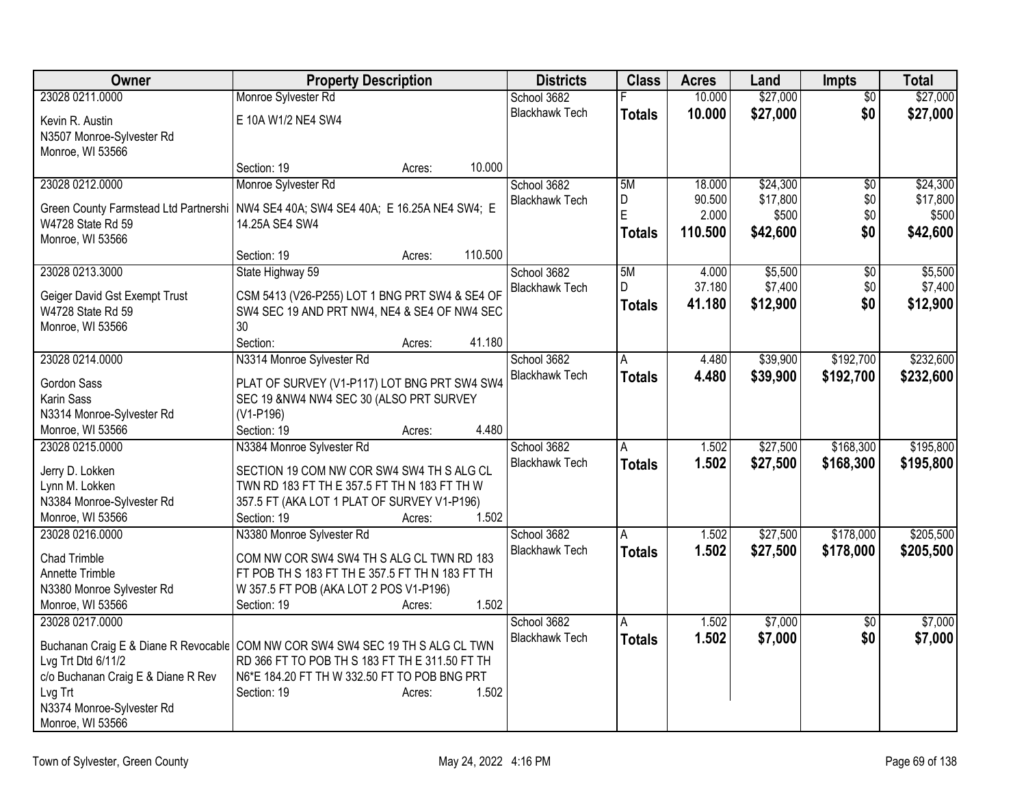| Owner                              | <b>Property Description</b>                                                           | <b>Districts</b>      | <b>Class</b>  | <b>Acres</b> | Land     | <b>Impts</b>    | <b>Total</b> |
|------------------------------------|---------------------------------------------------------------------------------------|-----------------------|---------------|--------------|----------|-----------------|--------------|
| 23028 0211.0000                    | Monroe Sylvester Rd                                                                   | School 3682           |               | 10.000       | \$27,000 | $\overline{50}$ | \$27,000     |
| Kevin R. Austin                    | E 10A W1/2 NE4 SW4                                                                    | <b>Blackhawk Tech</b> | <b>Totals</b> | 10.000       | \$27,000 | \$0             | \$27,000     |
| N3507 Monroe-Sylvester Rd          |                                                                                       |                       |               |              |          |                 |              |
| Monroe, WI 53566                   |                                                                                       |                       |               |              |          |                 |              |
|                                    | 10.000<br>Section: 19<br>Acres:                                                       |                       |               |              |          |                 |              |
| 23028 0212.0000                    | Monroe Sylvester Rd                                                                   | School 3682           | 5M            | 18.000       | \$24,300 | \$0             | \$24,300     |
|                                    | Green County Farmstead Ltd Partnershi   NW4 SE4 40A; SW4 SE4 40A; E 16.25A NE4 SW4; E | <b>Blackhawk Tech</b> | D             | 90.500       | \$17,800 | \$0             | \$17,800     |
| W4728 State Rd 59                  | 14.25A SE4 SW4                                                                        |                       | E             | 2.000        | \$500    | \$0             | \$500        |
| Monroe, WI 53566                   |                                                                                       |                       | Totals        | 110.500      | \$42,600 | \$0             | \$42,600     |
|                                    | 110.500<br>Section: 19<br>Acres:                                                      |                       |               |              |          |                 |              |
| 23028 0213.3000                    | State Highway 59                                                                      | School 3682           | 5M            | 4.000        | \$5,500  | \$0             | \$5,500      |
|                                    |                                                                                       | <b>Blackhawk Tech</b> | D.            | 37.180       | \$7,400  | \$0             | \$7,400      |
| Geiger David Gst Exempt Trust      | CSM 5413 (V26-P255) LOT 1 BNG PRT SW4 & SE4 OF                                        |                       | Totals        | 41.180       | \$12,900 | \$0             | \$12,900     |
| W4728 State Rd 59                  | SW4 SEC 19 AND PRT NW4, NE4 & SE4 OF NW4 SEC<br>30                                    |                       |               |              |          |                 |              |
| Monroe, WI 53566                   | Section:<br>41.180                                                                    |                       |               |              |          |                 |              |
| 23028 0214.0000                    | Acres:<br>N3314 Monroe Sylvester Rd                                                   | School 3682           | A             | 4.480        | \$39,900 | \$192,700       | \$232,600    |
|                                    |                                                                                       | <b>Blackhawk Tech</b> | Totals        | 4.480        | \$39,900 | \$192,700       | \$232,600    |
| <b>Gordon Sass</b>                 | PLAT OF SURVEY (V1-P117) LOT BNG PRT SW4 SW4                                          |                       |               |              |          |                 |              |
| Karin Sass                         | SEC 19 &NW4 NW4 SEC 30 (ALSO PRT SURVEY                                               |                       |               |              |          |                 |              |
| N3314 Monroe-Sylvester Rd          | (V1-P196)                                                                             |                       |               |              |          |                 |              |
| Monroe, WI 53566                   | 4.480<br>Section: 19<br>Acres:                                                        |                       |               |              |          |                 |              |
| 23028 0215.0000                    | N3384 Monroe Sylvester Rd                                                             | School 3682           | A             | 1.502        | \$27,500 | \$168,300       | \$195,800    |
| Jerry D. Lokken                    | SECTION 19 COM NW COR SW4 SW4 TH S ALG CL                                             | <b>Blackhawk Tech</b> | <b>Totals</b> | 1.502        | \$27,500 | \$168,300       | \$195,800    |
| Lynn M. Lokken                     | TWN RD 183 FT TH E 357.5 FT TH N 183 FT TH W                                          |                       |               |              |          |                 |              |
| N3384 Monroe-Sylvester Rd          | 357.5 FT (AKA LOT 1 PLAT OF SURVEY V1-P196)                                           |                       |               |              |          |                 |              |
| Monroe, WI 53566                   | 1.502<br>Section: 19<br>Acres:                                                        |                       |               |              |          |                 |              |
| 23028 0216.0000                    | N3380 Monroe Sylvester Rd                                                             | School 3682           | Α             | 1.502        | \$27,500 | \$178,000       | \$205,500    |
| <b>Chad Trimble</b>                | COM NW COR SW4 SW4 TH S ALG CL TWN RD 183                                             | <b>Blackhawk Tech</b> | <b>Totals</b> | 1.502        | \$27,500 | \$178,000       | \$205,500    |
| Annette Trimble                    | FT POB TH S 183 FT TH E 357.5 FT TH N 183 FT TH                                       |                       |               |              |          |                 |              |
| N3380 Monroe Sylvester Rd          | W 357.5 FT POB (AKA LOT 2 POS V1-P196)                                                |                       |               |              |          |                 |              |
| Monroe, WI 53566                   | 1.502<br>Section: 19<br>Acres:                                                        |                       |               |              |          |                 |              |
| 23028 0217,0000                    |                                                                                       | School 3682           | A             | 1.502        | \$7,000  | $\overline{50}$ | \$7,000      |
|                                    |                                                                                       | <b>Blackhawk Tech</b> | Totals        | 1.502        | \$7,000  | \$0             | \$7,000      |
|                                    | Buchanan Craig E & Diane R Revocable COM NW COR SW4 SW4 SEC 19 TH S ALG CL TWN        |                       |               |              |          |                 |              |
| Lvg Trt Dtd 6/11/2                 | RD 366 FT TO POB TH S 183 FT TH E 311.50 FT TH                                        |                       |               |              |          |                 |              |
| c/o Buchanan Craig E & Diane R Rev | N6*E 184.20 FT TH W 332.50 FT TO POB BNG PRT                                          |                       |               |              |          |                 |              |
| Lvg Trt                            | Section: 19<br>1.502<br>Acres:                                                        |                       |               |              |          |                 |              |
| N3374 Monroe-Sylvester Rd          |                                                                                       |                       |               |              |          |                 |              |
| Monroe, WI 53566                   |                                                                                       |                       |               |              |          |                 |              |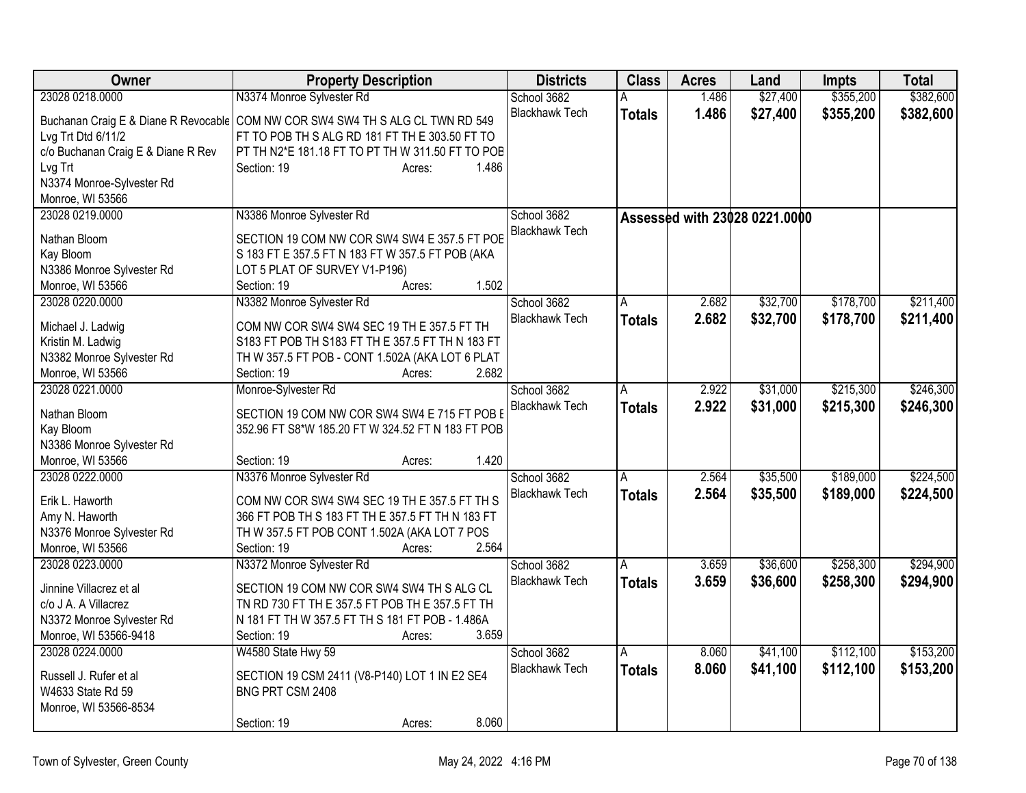| Owner                              | <b>Property Description</b>                                                                      | <b>Districts</b>      | <b>Class</b>  | <b>Acres</b> | Land                          | <b>Impts</b> | <b>Total</b> |
|------------------------------------|--------------------------------------------------------------------------------------------------|-----------------------|---------------|--------------|-------------------------------|--------------|--------------|
| 23028 0218.0000                    | N3374 Monroe Sylvester Rd                                                                        | School 3682           | A             | 1.486        | \$27,400                      | \$355,200    | \$382,600    |
|                                    | Buchanan Craig E & Diane R Revocable COM NW COR SW4 SW4 TH S ALG CL TWN RD 549                   | <b>Blackhawk Tech</b> | <b>Totals</b> | 1.486        | \$27,400                      | \$355,200    | \$382,600    |
| Lvg Trt Dtd 6/11/2                 | FT TO POB TH S ALG RD 181 FT TH E 303.50 FT TO                                                   |                       |               |              |                               |              |              |
| c/o Buchanan Craig E & Diane R Rev | PT TH N2*E 181.18 FT TO PT TH W 311.50 FT TO POB                                                 |                       |               |              |                               |              |              |
| Lvg Trt                            | 1.486<br>Section: 19<br>Acres:                                                                   |                       |               |              |                               |              |              |
| N3374 Monroe-Sylvester Rd          |                                                                                                  |                       |               |              |                               |              |              |
| Monroe, WI 53566                   |                                                                                                  |                       |               |              |                               |              |              |
| 23028 0219.0000                    | N3386 Monroe Sylvester Rd                                                                        | School 3682           |               |              | Assessed with 23028 0221.0000 |              |              |
| Nathan Bloom                       | SECTION 19 COM NW COR SW4 SW4 E 357.5 FT POE                                                     | <b>Blackhawk Tech</b> |               |              |                               |              |              |
| Kay Bloom                          | S 183 FT E 357.5 FT N 183 FT W 357.5 FT POB (AKA                                                 |                       |               |              |                               |              |              |
| N3386 Monroe Sylvester Rd          | LOT 5 PLAT OF SURVEY V1-P196)                                                                    |                       |               |              |                               |              |              |
| Monroe, WI 53566                   | 1.502<br>Section: 19<br>Acres:                                                                   |                       |               |              |                               |              |              |
| 23028 0220.0000                    | N3382 Monroe Sylvester Rd                                                                        | School 3682           | A             | 2.682        | \$32,700                      | \$178,700    | \$211,400    |
|                                    |                                                                                                  | <b>Blackhawk Tech</b> | <b>Totals</b> | 2.682        | \$32,700                      | \$178,700    | \$211,400    |
| Michael J. Ladwig                  | COM NW COR SW4 SW4 SEC 19 TH E 357.5 FT TH                                                       |                       |               |              |                               |              |              |
| Kristin M. Ladwig                  | S183 FT POB TH S183 FT TH E 357.5 FT TH N 183 FT                                                 |                       |               |              |                               |              |              |
| N3382 Monroe Sylvester Rd          | TH W 357.5 FT POB - CONT 1.502A (AKA LOT 6 PLAT                                                  |                       |               |              |                               |              |              |
| Monroe, WI 53566                   | 2.682<br>Section: 19<br>Acres:                                                                   |                       |               |              |                               |              |              |
| 23028 0221.0000                    | Monroe-Sylvester Rd                                                                              | School 3682           | A             | 2.922        | \$31,000                      | \$215,300    | \$246,300    |
| Nathan Bloom                       | SECTION 19 COM NW COR SW4 SW4 E 715 FT POB E                                                     | <b>Blackhawk Tech</b> | <b>Totals</b> | 2.922        | \$31,000                      | \$215,300    | \$246,300    |
| Kay Bloom                          | 352.96 FT S8*W 185.20 FT W 324.52 FT N 183 FT POB                                                |                       |               |              |                               |              |              |
| N3386 Monroe Sylvester Rd          |                                                                                                  |                       |               |              |                               |              |              |
| Monroe, WI 53566                   | 1.420<br>Section: 19<br>Acres:                                                                   |                       |               |              |                               |              |              |
| 23028 0222.0000                    | N3376 Monroe Sylvester Rd                                                                        | School 3682           | A             | 2.564        | \$35,500                      | \$189,000    | \$224,500    |
|                                    |                                                                                                  | <b>Blackhawk Tech</b> | <b>Totals</b> | 2.564        | \$35,500                      | \$189,000    | \$224,500    |
| Erik L. Haworth<br>Amy N. Haworth  | COM NW COR SW4 SW4 SEC 19 TH E 357.5 FT TH S<br>366 FT POB TH S 183 FT TH E 357.5 FT TH N 183 FT |                       |               |              |                               |              |              |
| N3376 Monroe Sylvester Rd          | TH W 357.5 FT POB CONT 1.502A (AKA LOT 7 POS                                                     |                       |               |              |                               |              |              |
| Monroe, WI 53566                   | 2.564<br>Section: 19<br>Acres:                                                                   |                       |               |              |                               |              |              |
| 23028 0223.0000                    | N3372 Monroe Sylvester Rd                                                                        | School 3682           | A             | 3.659        | \$36,600                      | \$258,300    | \$294,900    |
|                                    |                                                                                                  | <b>Blackhawk Tech</b> | <b>Totals</b> | 3.659        | \$36,600                      | \$258,300    | \$294,900    |
| Jinnine Villacrez et al            | SECTION 19 COM NW COR SW4 SW4 TH S ALG CL                                                        |                       |               |              |                               |              |              |
| c/o J A. A Villacrez               | TN RD 730 FT TH E 357.5 FT POB TH E 357.5 FT TH                                                  |                       |               |              |                               |              |              |
| N3372 Monroe Sylvester Rd          | N 181 FT TH W 357.5 FT TH S 181 FT POB - 1.486A                                                  |                       |               |              |                               |              |              |
| Monroe, WI 53566-9418              | 3.659<br>Section: 19<br>Acres:                                                                   |                       |               |              |                               |              |              |
| 23028 0224.0000                    | W4580 State Hwy 59                                                                               | School 3682           | A             | 8.060        | \$41,100                      | \$112,100    | \$153,200    |
| Russell J. Rufer et al             | SECTION 19 CSM 2411 (V8-P140) LOT 1 IN E2 SE4                                                    | <b>Blackhawk Tech</b> | Totals        | 8.060        | \$41,100                      | \$112,100    | \$153,200    |
| W4633 State Rd 59                  | BNG PRT CSM 2408                                                                                 |                       |               |              |                               |              |              |
| Monroe, WI 53566-8534              |                                                                                                  |                       |               |              |                               |              |              |
|                                    | 8.060<br>Section: 19<br>Acres:                                                                   |                       |               |              |                               |              |              |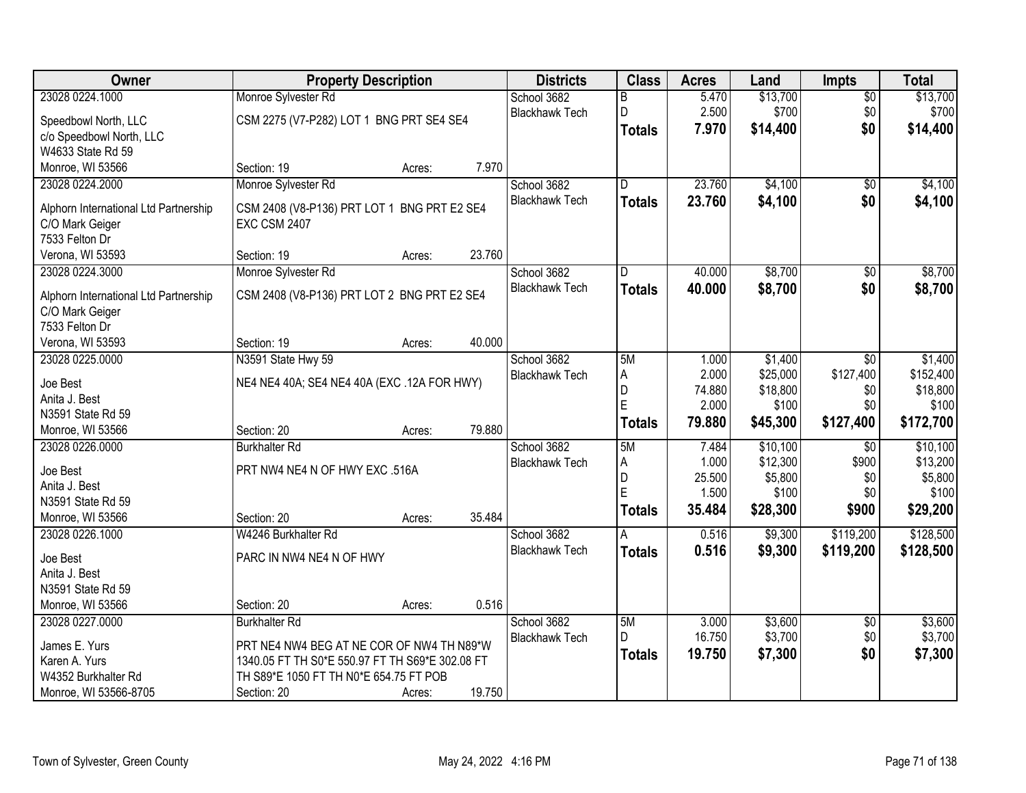| Owner                                 | <b>Property Description</b>                                        |        |        | <b>Districts</b>      | <b>Class</b>   | <b>Acres</b>    | Land               | <b>Impts</b>           | <b>Total</b>       |
|---------------------------------------|--------------------------------------------------------------------|--------|--------|-----------------------|----------------|-----------------|--------------------|------------------------|--------------------|
| 23028 0224.1000                       | Monroe Sylvester Rd                                                |        |        | School 3682           | B              | 5.470           | \$13,700           | $\overline{50}$        | \$13,700           |
| Speedbowl North, LLC                  | CSM 2275 (V7-P282) LOT 1 BNG PRT SE4 SE4                           |        |        | <b>Blackhawk Tech</b> | D              | 2.500           | \$700              | \$0                    | \$700              |
| c/o Speedbowl North, LLC              |                                                                    |        |        |                       | <b>Totals</b>  | 7.970           | \$14,400           | \$0                    | \$14,400           |
| W4633 State Rd 59                     |                                                                    |        |        |                       |                |                 |                    |                        |                    |
| Monroe, WI 53566                      | Section: 19                                                        | Acres: | 7.970  |                       |                |                 |                    |                        |                    |
| 23028 0224.2000                       | Monroe Sylvester Rd                                                |        |        | School 3682           | D.             | 23.760          | \$4,100            | \$0                    | \$4,100            |
|                                       |                                                                    |        |        | <b>Blackhawk Tech</b> | <b>Totals</b>  | 23.760          | \$4,100            | \$0                    | \$4,100            |
| Alphorn International Ltd Partnership | CSM 2408 (V8-P136) PRT LOT 1 BNG PRT E2 SE4<br><b>EXC CSM 2407</b> |        |        |                       |                |                 |                    |                        |                    |
| C/O Mark Geiger<br>7533 Felton Dr     |                                                                    |        |        |                       |                |                 |                    |                        |                    |
| Verona, WI 53593                      | Section: 19                                                        | Acres: | 23.760 |                       |                |                 |                    |                        |                    |
| 23028 0224.3000                       | Monroe Sylvester Rd                                                |        |        | School 3682           | D              | 40.000          | \$8,700            | $\overline{50}$        | \$8,700            |
|                                       |                                                                    |        |        | <b>Blackhawk Tech</b> | <b>Totals</b>  | 40.000          | \$8,700            | \$0                    | \$8,700            |
| Alphorn International Ltd Partnership | CSM 2408 (V8-P136) PRT LOT 2 BNG PRT E2 SE4                        |        |        |                       |                |                 |                    |                        |                    |
| C/O Mark Geiger                       |                                                                    |        |        |                       |                |                 |                    |                        |                    |
| 7533 Felton Dr                        |                                                                    |        |        |                       |                |                 |                    |                        |                    |
| Verona, WI 53593                      | Section: 19                                                        | Acres: | 40.000 |                       |                |                 |                    |                        |                    |
| 23028 0225.0000                       | N3591 State Hwy 59                                                 |        |        | School 3682           | 5M             | 1.000           | \$1,400            | $\sqrt{6}$             | \$1,400            |
| Joe Best                              | NE4 NE4 40A; SE4 NE4 40A (EXC.12A FOR HWY)                         |        |        | <b>Blackhawk Tech</b> | A              | 2.000           | \$25,000           | \$127,400              | \$152,400          |
| Anita J. Best                         |                                                                    |        |        |                       | $\overline{D}$ | 74.880          | \$18,800           | \$0                    | \$18,800           |
| N3591 State Rd 59                     |                                                                    |        |        |                       | $\mathsf{E}$   | 2.000           | \$100              | \$0                    | \$100              |
| Monroe, WI 53566                      | Section: 20                                                        | Acres: | 79.880 |                       | <b>Totals</b>  | 79.880          | \$45,300           | \$127,400              | \$172,700          |
| 23028 0226.0000                       | <b>Burkhalter Rd</b>                                               |        |        | School 3682           | 5M             | 7.484           | \$10,100           | $\overline{30}$        | \$10,100           |
| Joe Best                              | PRT NW4 NE4 N OF HWY EXC .516A                                     |        |        | <b>Blackhawk Tech</b> | A              | 1.000           | \$12,300           | \$900                  | \$13,200           |
| Anita J. Best                         |                                                                    |        |        |                       | D              | 25.500          | \$5,800            | \$0                    | \$5,800            |
| N3591 State Rd 59                     |                                                                    |        |        |                       | E              | 1.500           | \$100              | \$0                    | \$100              |
| Monroe, WI 53566                      | Section: 20                                                        | Acres: | 35.484 |                       | <b>Totals</b>  | 35.484          | \$28,300           | \$900                  | \$29,200           |
| 23028 0226.1000                       | W4246 Burkhalter Rd                                                |        |        | School 3682           | A              | 0.516           | \$9,300            | \$119,200              | \$128,500          |
|                                       |                                                                    |        |        | <b>Blackhawk Tech</b> | <b>Totals</b>  | 0.516           | \$9,300            | \$119,200              | \$128,500          |
| Joe Best                              | PARC IN NW4 NE4 N OF HWY                                           |        |        |                       |                |                 |                    |                        |                    |
| Anita J. Best                         |                                                                    |        |        |                       |                |                 |                    |                        |                    |
| N3591 State Rd 59                     |                                                                    |        |        |                       |                |                 |                    |                        |                    |
| Monroe, WI 53566                      | Section: 20                                                        | Acres: | 0.516  |                       |                |                 |                    |                        |                    |
| 23028 0227.0000                       | <b>Burkhalter Rd</b>                                               |        |        | School 3682           | 5M<br>D        | 3.000<br>16.750 | \$3,600<br>\$3,700 | $\overline{50}$<br>\$0 | \$3,600<br>\$3,700 |
| James E. Yurs                         | PRT NE4 NW4 BEG AT NE COR OF NW4 TH N89*W                          |        |        | <b>Blackhawk Tech</b> |                |                 |                    |                        |                    |
| Karen A. Yurs                         | 1340.05 FT TH S0*E 550.97 FT TH S69*E 302.08 FT                    |        |        |                       | <b>Totals</b>  | 19.750          | \$7,300            | \$0                    | \$7,300            |
| W4352 Burkhalter Rd                   | TH S89*E 1050 FT TH N0*E 654.75 FT POB                             |        |        |                       |                |                 |                    |                        |                    |
| Monroe, WI 53566-8705                 | Section: 20                                                        | Acres: | 19.750 |                       |                |                 |                    |                        |                    |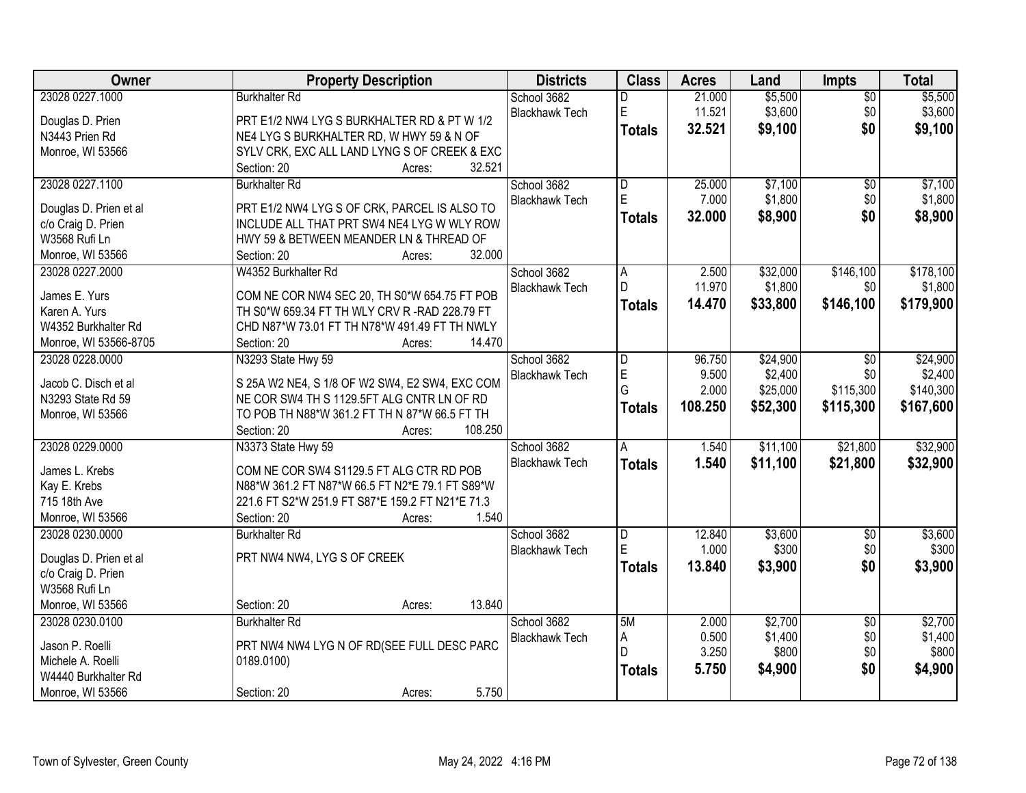| Owner                  | <b>Property Description</b>                      | <b>Districts</b>      | <b>Class</b>   | <b>Acres</b> | Land     | <b>Impts</b>    | <b>Total</b> |
|------------------------|--------------------------------------------------|-----------------------|----------------|--------------|----------|-----------------|--------------|
| 23028 0227.1000        | <b>Burkhalter Rd</b>                             | School 3682           | D              | 21.000       | \$5,500  | $\overline{50}$ | \$5,500      |
| Douglas D. Prien       | PRT E1/2 NW4 LYG S BURKHALTER RD & PT W 1/2      | <b>Blackhawk Tech</b> | E              | 11.521       | \$3,600  | \$0             | \$3,600      |
| N3443 Prien Rd         | NE4 LYG S BURKHALTER RD, W HWY 59 & N OF         |                       | <b>Totals</b>  | 32.521       | \$9,100  | \$0             | \$9,100      |
| Monroe, WI 53566       | SYLV CRK, EXC ALL LAND LYNG S OF CREEK & EXC     |                       |                |              |          |                 |              |
|                        | 32.521<br>Section: 20<br>Acres:                  |                       |                |              |          |                 |              |
| 23028 0227.1100        | <b>Burkhalter Rd</b>                             | School 3682           | D              | 25.000       | \$7,100  | \$0             | \$7,100      |
|                        |                                                  | <b>Blackhawk Tech</b> | E              | 7.000        | \$1,800  | \$0             | \$1,800      |
| Douglas D. Prien et al | PRT E1/2 NW4 LYG S OF CRK, PARCEL IS ALSO TO     |                       | <b>Totals</b>  | 32.000       | \$8,900  | \$0             | \$8,900      |
| c/o Craig D. Prien     | INCLUDE ALL THAT PRT SW4 NE4 LYG W WLY ROW       |                       |                |              |          |                 |              |
| W3568 Rufi Ln          | HWY 59 & BETWEEN MEANDER LN & THREAD OF          |                       |                |              |          |                 |              |
| Monroe, WI 53566       | 32.000<br>Section: 20<br>Acres:                  |                       |                |              |          |                 |              |
| 23028 0227.2000        | W4352 Burkhalter Rd                              | School 3682           | A              | 2.500        | \$32,000 | \$146,100       | \$178,100    |
| James E. Yurs          | COM NE COR NW4 SEC 20, TH S0*W 654.75 FT POB     | <b>Blackhawk Tech</b> | D              | 11.970       | \$1,800  | \$0             | \$1,800      |
| Karen A. Yurs          | TH S0*W 659.34 FT TH WLY CRV R -RAD 228.79 FT    |                       | <b>Totals</b>  | 14.470       | \$33,800 | \$146,100       | \$179,900    |
| W4352 Burkhalter Rd    | CHD N87*W 73.01 FT TH N78*W 491.49 FT TH NWLY    |                       |                |              |          |                 |              |
| Monroe, WI 53566-8705  | 14.470<br>Section: 20<br>Acres:                  |                       |                |              |          |                 |              |
| 23028 0228.0000        | N3293 State Hwy 59                               | School 3682           | D              | 96.750       | \$24,900 | $\overline{50}$ | \$24,900     |
|                        |                                                  | <b>Blackhawk Tech</b> | E              | 9.500        | \$2,400  | \$0             | \$2,400      |
| Jacob C. Disch et al   | S 25A W2 NE4, S 1/8 OF W2 SW4, E2 SW4, EXC COM   |                       | G              | 2.000        | \$25,000 | \$115,300       | \$140,300    |
| N3293 State Rd 59      | NE COR SW4 TH S 1129.5FT ALG CNTR LN OF RD       |                       | <b>Totals</b>  | 108.250      | \$52,300 | \$115,300       | \$167,600    |
| Monroe, WI 53566       | TO POB TH N88*W 361.2 FT TH N 87*W 66.5 FT TH    |                       |                |              |          |                 |              |
|                        | Section: 20<br>108.250<br>Acres:                 |                       |                |              |          |                 |              |
| 23028 0229.0000        | N3373 State Hwy 59                               | School 3682           | $\overline{A}$ | 1.540        | \$11,100 | \$21,800        | \$32,900     |
| James L. Krebs         | COM NE COR SW4 S1129.5 FT ALG CTR RD POB         | <b>Blackhawk Tech</b> | <b>Totals</b>  | 1.540        | \$11,100 | \$21,800        | \$32,900     |
| Kay E. Krebs           | N88*W 361.2 FT N87*W 66.5 FT N2*E 79.1 FT S89*W  |                       |                |              |          |                 |              |
| 715 18th Ave           | 221.6 FT S2*W 251.9 FT S87*E 159.2 FT N21*E 71.3 |                       |                |              |          |                 |              |
| Monroe, WI 53566       | 1.540<br>Section: 20<br>Acres:                   |                       |                |              |          |                 |              |
| 23028 0230.0000        | <b>Burkhalter Rd</b>                             | School 3682           | D              | 12.840       | \$3,600  | $\sqrt{6}$      | \$3,600      |
|                        |                                                  | <b>Blackhawk Tech</b> | E              | 1.000        | \$300    | \$0             | \$300        |
| Douglas D. Prien et al | PRT NW4 NW4, LYG S OF CREEK                      |                       | <b>Totals</b>  | 13.840       | \$3,900  | \$0             | \$3,900      |
| c/o Craig D. Prien     |                                                  |                       |                |              |          |                 |              |
| W3568 Rufi Ln          |                                                  |                       |                |              |          |                 |              |
| Monroe, WI 53566       | 13.840<br>Section: 20<br>Acres:                  |                       |                |              |          |                 |              |
| 23028 0230.0100        | <b>Burkhalter Rd</b>                             | School 3682           | 5M             | 2.000        | \$2,700  | $\overline{50}$ | \$2,700      |
| Jason P. Roelli        | PRT NW4 NW4 LYG N OF RD(SEE FULL DESC PARC       | <b>Blackhawk Tech</b> | Α              | 0.500        | \$1,400  | \$0             | \$1,400      |
| Michele A. Roelli      | 0189.0100)                                       |                       | D              | 3.250        | \$800    | \$0             | \$800        |
| W4440 Burkhalter Rd    |                                                  |                       | <b>Totals</b>  | 5.750        | \$4,900  | \$0             | \$4,900      |
| Monroe, WI 53566       | 5.750<br>Section: 20<br>Acres:                   |                       |                |              |          |                 |              |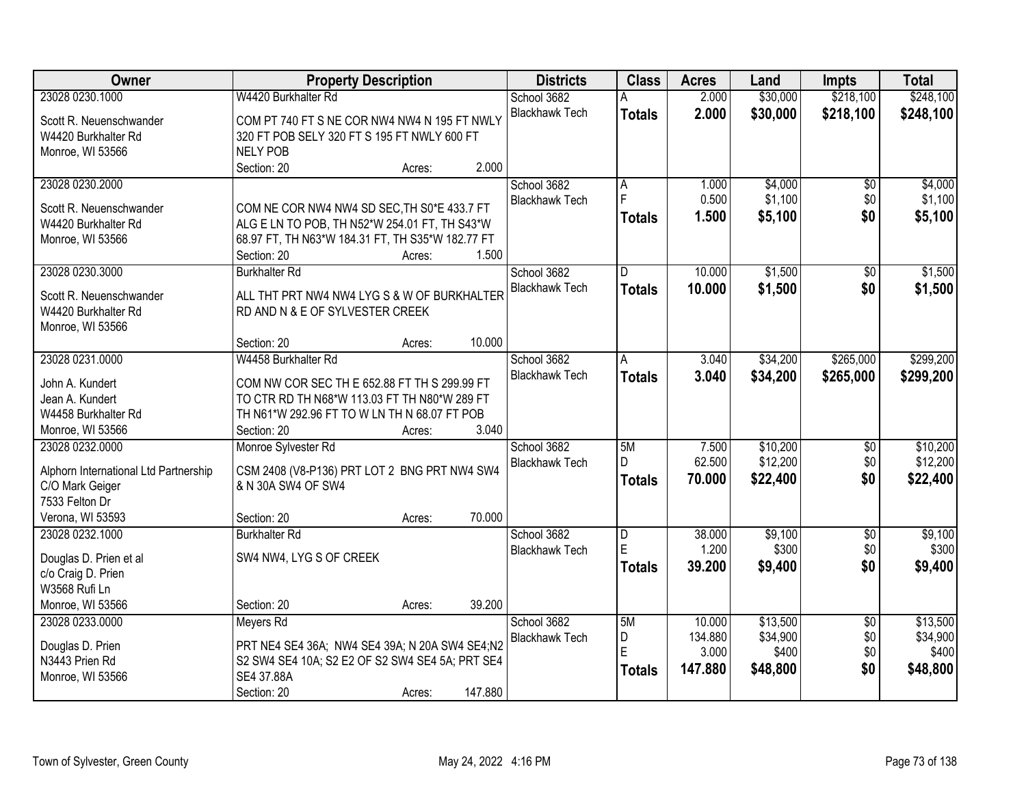| Owner                                 | <b>Property Description</b>                               | <b>Districts</b>      | <b>Class</b>  | <b>Acres</b> | Land     | <b>Impts</b>    | <b>Total</b> |
|---------------------------------------|-----------------------------------------------------------|-----------------------|---------------|--------------|----------|-----------------|--------------|
| 23028 0230.1000                       | W4420 Burkhalter Rd                                       | School 3682           |               | 2.000        | \$30,000 | \$218,100       | \$248,100    |
| Scott R. Neuenschwander               | COM PT 740 FT S NE COR NW4 NW4 N 195 FT NWLY              | <b>Blackhawk Tech</b> | <b>Totals</b> | 2.000        | \$30,000 | \$218,100       | \$248,100    |
| W4420 Burkhalter Rd                   | 320 FT POB SELY 320 FT S 195 FT NWLY 600 FT               |                       |               |              |          |                 |              |
| Monroe, WI 53566                      | <b>NELY POB</b>                                           |                       |               |              |          |                 |              |
|                                       | 2.000<br>Section: 20<br>Acres:                            |                       |               |              |          |                 |              |
| 23028 0230.2000                       |                                                           | School 3682           | A             | 1.000        | \$4,000  | $\overline{50}$ | \$4,000      |
|                                       |                                                           | <b>Blackhawk Tech</b> | F             | 0.500        | \$1,100  | \$0             | \$1,100      |
| Scott R. Neuenschwander               | COM NE COR NW4 NW4 SD SEC, TH S0*E 433.7 FT               |                       | <b>Totals</b> | 1.500        | \$5,100  | \$0             | \$5,100      |
| W4420 Burkhalter Rd                   | ALG E LN TO POB, TH N52*W 254.01 FT, TH S43*W             |                       |               |              |          |                 |              |
| Monroe, WI 53566                      | 68.97 FT, TH N63*W 184.31 FT, TH S35*W 182.77 FT<br>1.500 |                       |               |              |          |                 |              |
| 23028 0230.3000                       | Section: 20<br>Acres:                                     | School 3682           |               | 10.000       | \$1,500  |                 |              |
|                                       | <b>Burkhalter Rd</b>                                      | <b>Blackhawk Tech</b> | D             |              |          | $\sqrt{50}$     | \$1,500      |
| Scott R. Neuenschwander               | ALL THT PRT NW4 NW4 LYG S & W OF BURKHALTER               |                       | <b>Totals</b> | 10.000       | \$1,500  | \$0             | \$1,500      |
| W4420 Burkhalter Rd                   | RD AND N & E OF SYLVESTER CREEK                           |                       |               |              |          |                 |              |
| Monroe, WI 53566                      |                                                           |                       |               |              |          |                 |              |
|                                       | 10.000<br>Section: 20<br>Acres:                           |                       |               |              |          |                 |              |
| 23028 0231.0000                       | W4458 Burkhalter Rd                                       | School 3682           | A             | 3.040        | \$34,200 | \$265,000       | \$299,200    |
| John A. Kundert                       | COM NW COR SEC TH E 652.88 FT TH S 299.99 FT              | <b>Blackhawk Tech</b> | <b>Totals</b> | 3.040        | \$34,200 | \$265,000       | \$299,200    |
| Jean A. Kundert                       | TO CTR RD TH N68*W 113.03 FT TH N80*W 289 FT              |                       |               |              |          |                 |              |
| W4458 Burkhalter Rd                   | TH N61*W 292.96 FT TO W LN TH N 68.07 FT POB              |                       |               |              |          |                 |              |
| Monroe, WI 53566                      | 3.040<br>Section: 20<br>Acres:                            |                       |               |              |          |                 |              |
| 23028 0232.0000                       | Monroe Sylvester Rd                                       | School 3682           | 5M            | 7.500        | \$10,200 | \$0             | \$10,200     |
|                                       |                                                           | <b>Blackhawk Tech</b> | D.            | 62.500       | \$12,200 | \$0             | \$12,200     |
| Alphorn International Ltd Partnership | CSM 2408 (V8-P136) PRT LOT 2 BNG PRT NW4 SW4              |                       | <b>Totals</b> | 70.000       | \$22,400 | \$0             | \$22,400     |
| C/O Mark Geiger                       | & N 30A SW4 OF SW4                                        |                       |               |              |          |                 |              |
| 7533 Felton Dr                        |                                                           |                       |               |              |          |                 |              |
| Verona, WI 53593                      | 70.000<br>Section: 20<br>Acres:                           |                       |               |              |          |                 |              |
| 23028 0232.1000                       | <b>Burkhalter Rd</b>                                      | School 3682           | D             | 38.000       | \$9,100  | $\overline{60}$ | \$9,100      |
| Douglas D. Prien et al                | SW4 NW4, LYG S OF CREEK                                   | <b>Blackhawk Tech</b> | E             | 1.200        | \$300    | \$0             | \$300        |
| c/o Craig D. Prien                    |                                                           |                       | <b>Totals</b> | 39.200       | \$9,400  | \$0             | \$9,400      |
| W3568 Rufi Ln                         |                                                           |                       |               |              |          |                 |              |
| Monroe, WI 53566                      | 39.200<br>Section: 20<br>Acres:                           |                       |               |              |          |                 |              |
| 23028 0233.0000                       | Meyers Rd                                                 | School 3682           | 5M            | 10.000       | \$13,500 | $\overline{50}$ | \$13,500     |
|                                       |                                                           | <b>Blackhawk Tech</b> | D             | 134.880      | \$34,900 | \$0             | \$34,900     |
| Douglas D. Prien                      | PRT NE4 SE4 36A; NW4 SE4 39A; N 20A SW4 SE4;N2            |                       | E             | 3.000        | \$400    | \$0             | \$400        |
| N3443 Prien Rd                        | S2 SW4 SE4 10A; S2 E2 OF S2 SW4 SE4 5A; PRT SE4           |                       | <b>Totals</b> | 147.880      | \$48,800 | \$0             | \$48,800     |
| Monroe, WI 53566                      | SE4 37.88A<br>147.880                                     |                       |               |              |          |                 |              |
|                                       | Section: 20<br>Acres:                                     |                       |               |              |          |                 |              |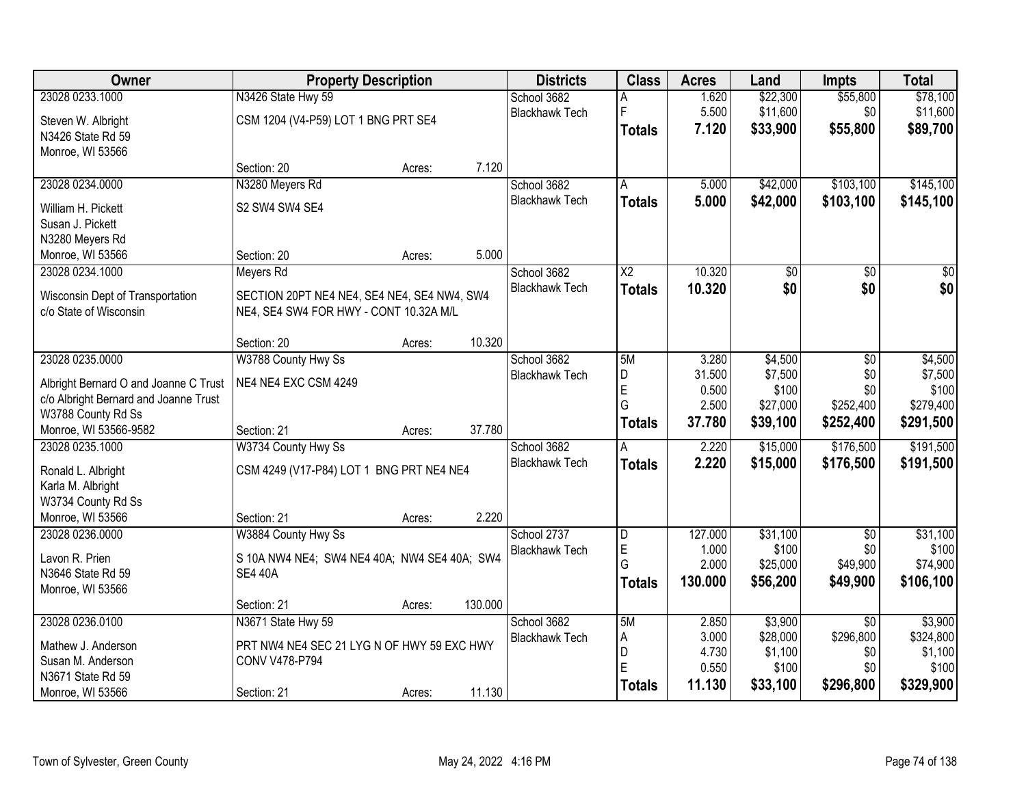| Owner                                 | <b>Property Description</b>                  |        |         | <b>Districts</b>      | <b>Class</b>    | <b>Acres</b>     | Land              | <b>Impts</b>     | <b>Total</b>       |
|---------------------------------------|----------------------------------------------|--------|---------|-----------------------|-----------------|------------------|-------------------|------------------|--------------------|
| 23028 0233.1000                       | N3426 State Hwy 59                           |        |         | School 3682           | Α               | 1.620            | \$22,300          | \$55,800         | \$78,100           |
| Steven W. Albright                    | CSM 1204 (V4-P59) LOT 1 BNG PRT SE4          |        |         | <b>Blackhawk Tech</b> | l F             | 5.500            | \$11,600          | \$0              | \$11,600           |
| N3426 State Rd 59                     |                                              |        |         |                       | <b>Totals</b>   | 7.120            | \$33,900          | \$55,800         | \$89,700           |
| Monroe, WI 53566                      |                                              |        |         |                       |                 |                  |                   |                  |                    |
|                                       | Section: 20                                  | Acres: | 7.120   |                       |                 |                  |                   |                  |                    |
| 23028 0234.0000                       | N3280 Meyers Rd                              |        |         | School 3682           | A               | 5.000            | \$42,000          | \$103,100        | \$145,100          |
| William H. Pickett                    | S2 SW4 SW4 SE4                               |        |         | <b>Blackhawk Tech</b> | <b>Totals</b>   | 5.000            | \$42,000          | \$103,100        | \$145,100          |
| Susan J. Pickett                      |                                              |        |         |                       |                 |                  |                   |                  |                    |
| N3280 Meyers Rd                       |                                              |        |         |                       |                 |                  |                   |                  |                    |
| Monroe, WI 53566                      | Section: 20                                  | Acres: | 5.000   |                       |                 |                  |                   |                  |                    |
| 23028 0234.1000                       | Meyers Rd                                    |        |         | School 3682           | $\overline{X2}$ | 10.320           | $\overline{50}$   | \$0              | $\sqrt{50}$        |
| Wisconsin Dept of Transportation      | SECTION 20PT NE4 NE4, SE4 NE4, SE4 NW4, SW4  |        |         | <b>Blackhawk Tech</b> | <b>Totals</b>   | 10.320           | \$0               | \$0              | \$0                |
| c/o State of Wisconsin                | NE4, SE4 SW4 FOR HWY - CONT 10.32A M/L       |        |         |                       |                 |                  |                   |                  |                    |
|                                       |                                              |        |         |                       |                 |                  |                   |                  |                    |
|                                       | Section: 20                                  | Acres: | 10.320  |                       |                 |                  |                   |                  |                    |
| 23028 0235.0000                       | W3788 County Hwy Ss                          |        |         | School 3682           | 5M              | 3.280            | \$4,500           | \$0              | \$4,500            |
| Albright Bernard O and Joanne C Trust | NE4 NE4 EXC CSM 4249                         |        |         | <b>Blackhawk Tech</b> | D               | 31.500           | \$7,500           | \$0              | \$7,500            |
| c/o Albright Bernard and Joanne Trust |                                              |        |         |                       | E<br>G          | 0.500<br>2.500   | \$100<br>\$27,000 | \$0<br>\$252,400 | \$100<br>\$279,400 |
| W3788 County Rd Ss                    |                                              |        |         |                       |                 | 37.780           | \$39,100          | \$252,400        | \$291,500          |
| Monroe, WI 53566-9582                 | Section: 21                                  | Acres: | 37.780  |                       | <b>Totals</b>   |                  |                   |                  |                    |
| 23028 0235.1000                       | W3734 County Hwy Ss                          |        |         | School 3682           | А               | 2.220            | \$15,000          | \$176,500        | \$191,500          |
| Ronald L. Albright                    | CSM 4249 (V17-P84) LOT 1 BNG PRT NE4 NE4     |        |         | <b>Blackhawk Tech</b> | Totals          | 2.220            | \$15,000          | \$176,500        | \$191,500          |
| Karla M. Albright                     |                                              |        |         |                       |                 |                  |                   |                  |                    |
| W3734 County Rd Ss                    |                                              |        |         |                       |                 |                  |                   |                  |                    |
| Monroe, WI 53566                      | Section: 21                                  | Acres: | 2.220   |                       |                 |                  |                   |                  |                    |
| 23028 0236.0000                       | W3884 County Hwy Ss                          |        |         | School 2737           | D               | 127.000          | \$31,100          | $\overline{50}$  | \$31,100           |
| Lavon R. Prien                        | S 10A NW4 NE4; SW4 NE4 40A; NW4 SE4 40A; SW4 |        |         | <b>Blackhawk Tech</b> | E<br>G          | 1.000            | \$100             | \$0              | \$100              |
| N3646 State Rd 59                     | <b>SE4 40A</b>                               |        |         |                       |                 | 2.000<br>130,000 | \$25,000          | \$49,900         | \$74,900           |
| Monroe, WI 53566                      |                                              |        |         |                       | Totals          |                  | \$56,200          | \$49,900         | \$106,100          |
|                                       | Section: 21                                  | Acres: | 130.000 |                       |                 |                  |                   |                  |                    |
| 23028 0236.0100                       | N3671 State Hwy 59                           |        |         | School 3682           | 5M              | 2.850            | \$3,900           | $\overline{30}$  | \$3,900            |
| Mathew J. Anderson                    | PRT NW4 NE4 SEC 21 LYG N OF HWY 59 EXC HWY   |        |         | <b>Blackhawk Tech</b> | Α               | 3.000            | \$28,000          | \$296,800        | \$324,800          |
| Susan M. Anderson                     | CONV V478-P794                               |        |         |                       | D<br>E          | 4.730<br>0.550   | \$1,100<br>\$100  | \$0<br>\$0       | \$1,100<br>\$100   |
| N3671 State Rd 59                     |                                              |        |         |                       | <b>Totals</b>   | 11.130           | \$33,100          | \$296,800        | \$329,900          |
| Monroe, WI 53566                      | Section: 21                                  | Acres: | 11.130  |                       |                 |                  |                   |                  |                    |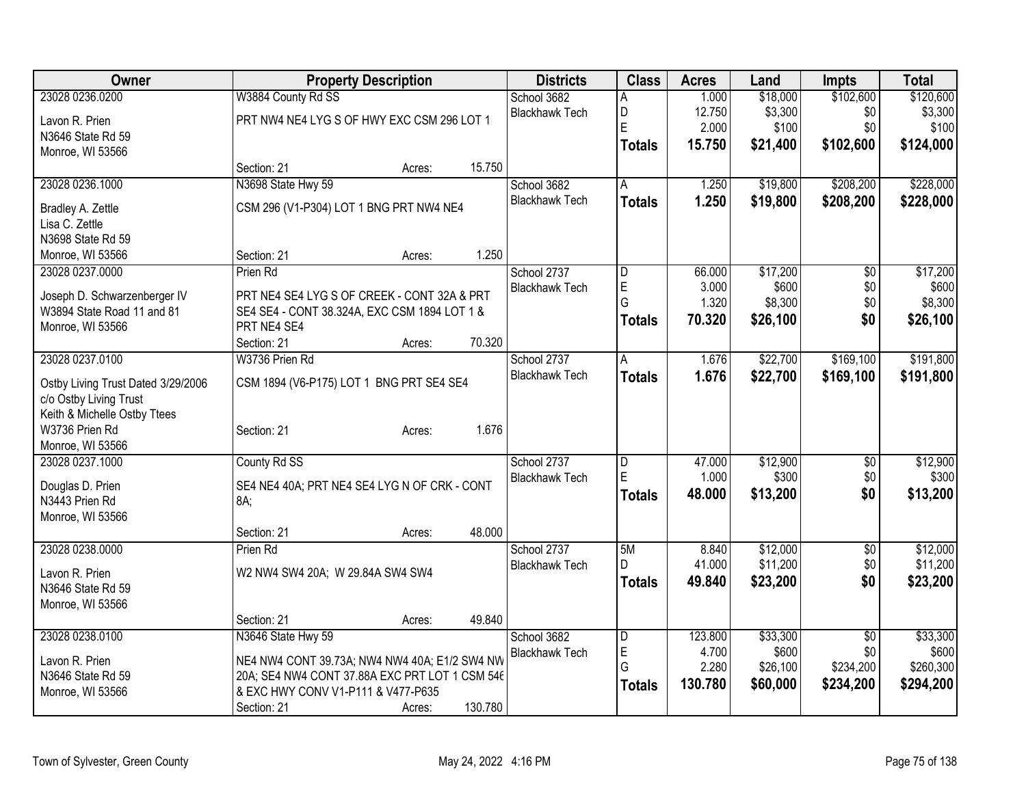| Owner                                                        | <b>Property Description</b>                    | <b>Districts</b> | <b>Class</b> | <b>Acres</b>          | Land           | Impts            | <b>Total</b>      |                        |                   |
|--------------------------------------------------------------|------------------------------------------------|------------------|--------------|-----------------------|----------------|------------------|-------------------|------------------------|-------------------|
| 23028 0236.0200                                              | W3884 County Rd SS                             |                  |              | School 3682           | Α              | 1.000            | \$18,000          | \$102,600              | \$120,600         |
| Lavon R. Prien                                               | PRT NW4 NE4 LYG S OF HWY EXC CSM 296 LOT 1     |                  |              | <b>Blackhawk Tech</b> | D              | 12.750           | \$3,300           | \$0                    | \$3,300           |
| N3646 State Rd 59                                            |                                                |                  |              |                       | E              | 2.000            | \$100             | \$0                    | \$100             |
| Monroe, WI 53566                                             |                                                |                  |              |                       | <b>Totals</b>  | 15.750           | \$21,400          | \$102,600              | \$124,000         |
|                                                              | Section: 21                                    | Acres:           | 15.750       |                       |                |                  |                   |                        |                   |
| 23028 0236.1000                                              | N3698 State Hwy 59                             |                  |              | School 3682           | l A            | 1.250            | \$19,800          | \$208,200              | \$228,000         |
| Bradley A. Zettle                                            | CSM 296 (V1-P304) LOT 1 BNG PRT NW4 NE4        |                  |              | <b>Blackhawk Tech</b> | <b>Totals</b>  | 1.250            | \$19,800          | \$208,200              | \$228,000         |
| Lisa C. Zettle                                               |                                                |                  |              |                       |                |                  |                   |                        |                   |
| N3698 State Rd 59                                            |                                                |                  |              |                       |                |                  |                   |                        |                   |
| Monroe, WI 53566                                             | Section: 21                                    | Acres:           | 1.250        |                       |                |                  |                   |                        |                   |
| 23028 0237.0000                                              | Prien Rd                                       |                  |              | School 2737           | D              | 66.000           | \$17,200          | $\overline{50}$        | \$17,200          |
| Joseph D. Schwarzenberger IV                                 | PRT NE4 SE4 LYG S OF CREEK - CONT 32A & PRT    |                  |              | <b>Blackhawk Tech</b> | $\mathsf E$    | 3.000            | \$600             | \$0                    | \$600             |
| W3894 State Road 11 and 81                                   | SE4 SE4 - CONT 38.324A, EXC CSM 1894 LOT 1 &   |                  |              |                       | G              | 1.320            | \$8,300           | \$0                    | \$8,300           |
| Monroe, WI 53566                                             | PRT NE4 SE4                                    |                  |              |                       | <b>Totals</b>  | 70.320           | \$26,100          | \$0                    | \$26,100          |
|                                                              | Section: 21                                    | Acres:           | 70.320       |                       |                |                  |                   |                        |                   |
| 23028 0237.0100                                              | W3736 Prien Rd                                 |                  |              | School 2737           | A              | 1.676            | \$22,700          | \$169,100              | \$191,800         |
|                                                              | CSM 1894 (V6-P175) LOT 1 BNG PRT SE4 SE4       |                  |              | <b>Blackhawk Tech</b> | <b>Totals</b>  | 1.676            | \$22,700          | \$169,100              | \$191,800         |
| Ostby Living Trust Dated 3/29/2006<br>c/o Ostby Living Trust |                                                |                  |              |                       |                |                  |                   |                        |                   |
| Keith & Michelle Ostby Ttees                                 |                                                |                  |              |                       |                |                  |                   |                        |                   |
| W3736 Prien Rd                                               | Section: 21                                    | Acres:           | 1.676        |                       |                |                  |                   |                        |                   |
| Monroe, WI 53566                                             |                                                |                  |              |                       |                |                  |                   |                        |                   |
| 23028 0237.1000                                              | County Rd SS                                   |                  |              | School 2737           | D              | 47.000           | \$12,900          | \$0                    | \$12,900          |
|                                                              |                                                |                  |              | <b>Blackhawk Tech</b> | E              | 1.000            | \$300             | \$0                    | \$300             |
| Douglas D. Prien                                             | SE4 NE4 40A; PRT NE4 SE4 LYG N OF CRK - CONT   |                  |              |                       | <b>Totals</b>  | 48.000           | \$13,200          | \$0                    | \$13,200          |
| N3443 Prien Rd<br>Monroe, WI 53566                           | 8A;                                            |                  |              |                       |                |                  |                   |                        |                   |
|                                                              | Section: 21                                    | Acres:           | 48.000       |                       |                |                  |                   |                        |                   |
| 23028 0238.0000                                              | Prien Rd                                       |                  |              | School 2737           | 5M             | 8.840            | \$12,000          | $\overline{30}$        | \$12,000          |
|                                                              |                                                |                  |              | <b>Blackhawk Tech</b> | D              | 41.000           | \$11,200          | \$0                    | \$11,200          |
| Lavon R. Prien                                               | W2 NW4 SW4 20A; W 29.84A SW4 SW4               |                  |              |                       | <b>Totals</b>  | 49.840           | \$23,200          | \$0                    | \$23,200          |
| N3646 State Rd 59                                            |                                                |                  |              |                       |                |                  |                   |                        |                   |
| Monroe, WI 53566                                             |                                                |                  |              |                       |                |                  |                   |                        |                   |
|                                                              | Section: 21                                    | Acres:           | 49.840       |                       |                |                  |                   |                        |                   |
| 23028 0238.0100                                              | N3646 State Hwy 59                             |                  |              | School 3682           | $\overline{D}$ | 123.800<br>4.700 | \$33,300<br>\$600 | $\overline{50}$<br>\$0 | \$33,300<br>\$600 |
| Lavon R. Prien                                               | NE4 NW4 CONT 39.73A; NW4 NW4 40A; E1/2 SW4 NW  |                  |              | <b>Blackhawk Tech</b> | E<br>G         | 2.280            | \$26,100          | \$234,200              | \$260,300         |
| N3646 State Rd 59                                            | 20A; SE4 NW4 CONT 37.88A EXC PRT LOT 1 CSM 546 |                  |              |                       |                | 130.780          | \$60,000          | \$234,200              | \$294,200         |
| Monroe, WI 53566                                             | & EXC HWY CONV V1-P111 & V477-P635             |                  |              |                       | <b>Totals</b>  |                  |                   |                        |                   |
|                                                              | Section: 21                                    | Acres:           | 130.780      |                       |                |                  |                   |                        |                   |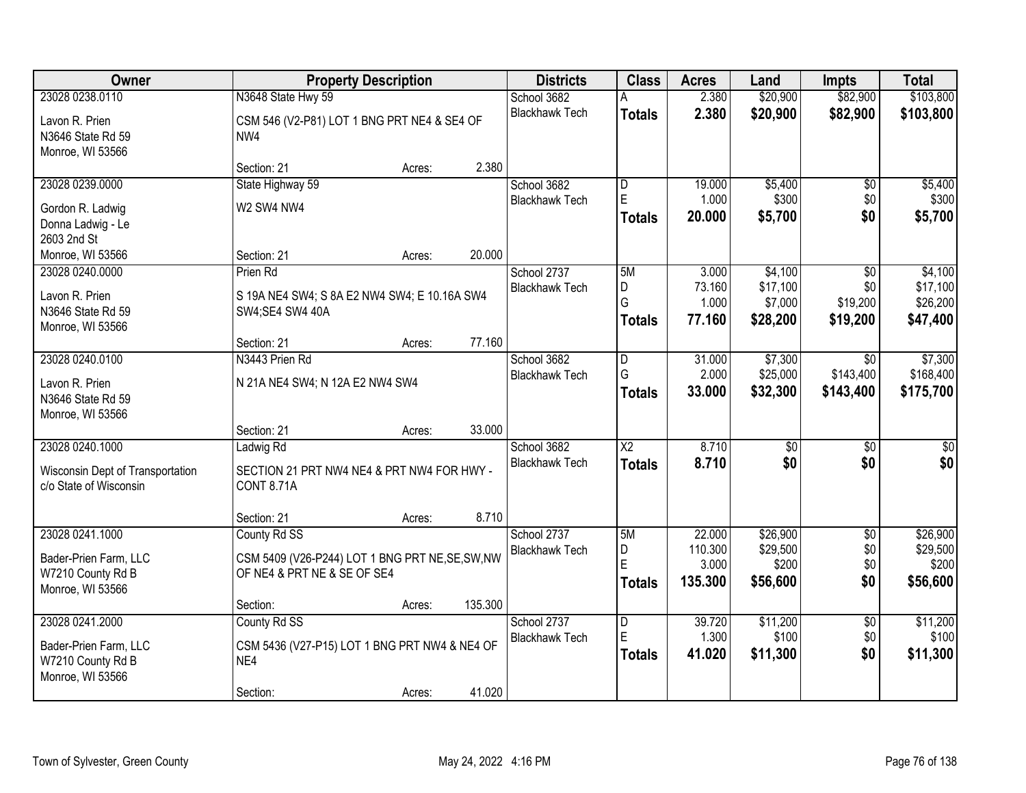| Owner                            |                                                  | <b>Property Description</b> |         | <b>Districts</b>                     | <b>Class</b>                 | <b>Acres</b>      | Land                 | <b>Impts</b>           | <b>Total</b>         |
|----------------------------------|--------------------------------------------------|-----------------------------|---------|--------------------------------------|------------------------------|-------------------|----------------------|------------------------|----------------------|
| 23028 0238.0110                  | N3648 State Hwy 59                               |                             |         | School 3682                          |                              | 2.380             | \$20,900             | \$82,900               | \$103,800            |
| Lavon R. Prien                   | CSM 546 (V2-P81) LOT 1 BNG PRT NE4 & SE4 OF      |                             |         | <b>Blackhawk Tech</b>                | <b>Totals</b>                | 2.380             | \$20,900             | \$82,900               | \$103,800            |
| N3646 State Rd 59                | NW4                                              |                             |         |                                      |                              |                   |                      |                        |                      |
| Monroe, WI 53566                 |                                                  |                             |         |                                      |                              |                   |                      |                        |                      |
|                                  | Section: 21                                      | Acres:                      | 2.380   |                                      |                              |                   |                      |                        |                      |
| 23028 0239.0000                  | State Highway 59                                 |                             |         | School 3682                          | $\overline{\mathsf{D}}$      | 19.000            | \$5,400              | \$0                    | \$5,400              |
| Gordon R. Ladwig                 | W2 SW4 NW4                                       |                             |         | <b>Blackhawk Tech</b>                | E                            | 1.000             | \$300                | \$0                    | \$300                |
| Donna Ladwig - Le                |                                                  |                             |         |                                      | <b>Totals</b>                | 20.000            | \$5,700              | \$0                    | \$5,700              |
| 2603 2nd St                      |                                                  |                             |         |                                      |                              |                   |                      |                        |                      |
| Monroe, WI 53566                 | Section: 21                                      | Acres:                      | 20.000  |                                      |                              |                   |                      |                        |                      |
| 23028 0240.0000                  | Prien Rd                                         |                             |         | School 2737                          | 5M                           | 3.000             | \$4,100              | \$0                    | \$4,100              |
| Lavon R. Prien                   | S 19A NE4 SW4; S 8A E2 NW4 SW4; E 10.16A SW4     |                             |         | <b>Blackhawk Tech</b>                | D<br>G                       | 73.160            | \$17,100             | \$0                    | \$17,100             |
| N3646 State Rd 59                | SW4;SE4 SW4 40A                                  |                             |         |                                      |                              | 1.000<br>77.160   | \$7,000<br>\$28,200  | \$19,200<br>\$19,200   | \$26,200             |
| Monroe, WI 53566                 |                                                  |                             |         |                                      | <b>Totals</b>                |                   |                      |                        | \$47,400             |
|                                  | Section: 21                                      | Acres:                      | 77.160  |                                      |                              |                   |                      |                        |                      |
| 23028 0240.0100                  | N3443 Prien Rd                                   |                             |         | School 3682                          | D                            | 31.000            | \$7,300              | $\overline{50}$        | \$7,300              |
| Lavon R. Prien                   | N 21A NE4 SW4; N 12A E2 NW4 SW4                  |                             |         | <b>Blackhawk Tech</b>                | G                            | 2.000             | \$25,000             | \$143,400              | \$168,400            |
| N3646 State Rd 59                |                                                  |                             |         |                                      | <b>Totals</b>                | 33.000            | \$32,300             | \$143,400              | \$175,700            |
| Monroe, WI 53566                 |                                                  |                             |         |                                      |                              |                   |                      |                        |                      |
|                                  | Section: 21                                      | Acres:                      | 33.000  |                                      |                              |                   |                      |                        |                      |
| 23028 0240.1000                  | Ladwig Rd                                        |                             |         | School 3682                          | $\overline{\text{X2}}$       | 8.710             | $\overline{30}$      | $\overline{30}$        | $\overline{30}$      |
| Wisconsin Dept of Transportation | SECTION 21 PRT NW4 NE4 & PRT NW4 FOR HWY -       |                             |         | <b>Blackhawk Tech</b>                | <b>Totals</b>                | 8.710             | \$0                  | \$0                    | \$0                  |
| c/o State of Wisconsin           | <b>CONT 8.71A</b>                                |                             |         |                                      |                              |                   |                      |                        |                      |
|                                  |                                                  |                             |         |                                      |                              |                   |                      |                        |                      |
|                                  | Section: 21                                      | Acres:                      | 8.710   |                                      |                              |                   |                      |                        |                      |
| 23028 0241.1000                  | County Rd SS                                     |                             |         | School 2737                          | 5M                           | 22.000<br>110.300 | \$26,900<br>\$29,500 | $\overline{60}$<br>\$0 | \$26,900<br>\$29,500 |
| Bader-Prien Farm, LLC            | CSM 5409 (V26-P244) LOT 1 BNG PRT NE, SE, SW, NW |                             |         | <b>Blackhawk Tech</b>                | D<br>E                       | 3.000             | \$200                | \$0                    | \$200                |
| W7210 County Rd B                | OF NE4 & PRT NE & SE OF SE4                      |                             |         |                                      | <b>Totals</b>                | 135.300           | \$56,600             | \$0                    | \$56,600             |
| Monroe, WI 53566                 |                                                  |                             |         |                                      |                              |                   |                      |                        |                      |
|                                  | Section:                                         | Acres:                      | 135.300 |                                      |                              |                   |                      |                        |                      |
| 23028 0241.2000                  | County Rd SS                                     |                             |         | School 2737<br><b>Blackhawk Tech</b> | $\overline{\mathsf{D}}$<br>E | 39.720<br>1.300   | \$11,200<br>\$100    | $\overline{50}$<br>\$0 | \$11,200<br>\$100    |
| Bader-Prien Farm, LLC            | CSM 5436 (V27-P15) LOT 1 BNG PRT NW4 & NE4 OF    |                             |         |                                      | <b>Totals</b>                | 41.020            | \$11,300             | \$0                    | \$11,300             |
| W7210 County Rd B                | NE4                                              |                             |         |                                      |                              |                   |                      |                        |                      |
| Monroe, WI 53566                 |                                                  |                             |         |                                      |                              |                   |                      |                        |                      |
|                                  | Section:                                         | Acres:                      | 41.020  |                                      |                              |                   |                      |                        |                      |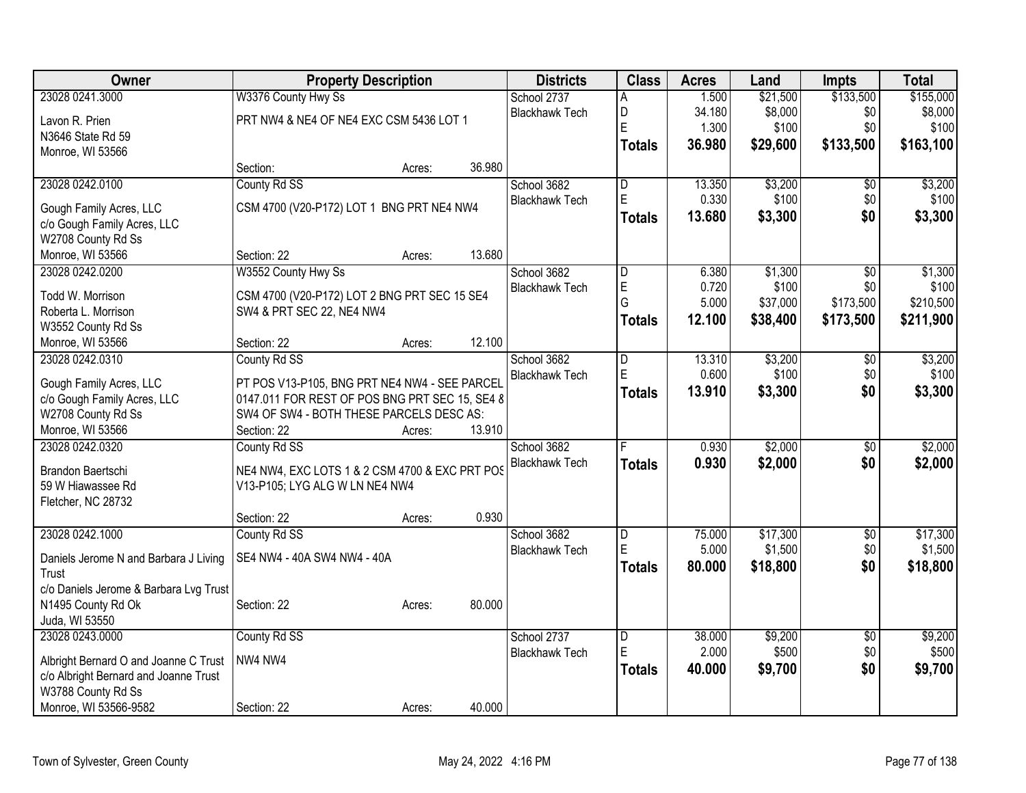| <b>Owner</b>                           | <b>Property Description</b>                    | <b>Districts</b> | <b>Class</b> | <b>Acres</b>                         | Land           | Impts          | <b>Total</b>     |                 |                  |
|----------------------------------------|------------------------------------------------|------------------|--------------|--------------------------------------|----------------|----------------|------------------|-----------------|------------------|
| 23028 0241.3000                        | W3376 County Hwy Ss                            |                  |              | School 2737                          | Α              | 1.500          | \$21,500         | \$133,500       | \$155,000        |
| Lavon R. Prien                         | PRT NW4 & NE4 OF NE4 EXC CSM 5436 LOT 1        |                  |              | <b>Blackhawk Tech</b>                | D              | 34.180         | \$8,000          | \$0             | \$8,000          |
| N3646 State Rd 59                      |                                                |                  |              |                                      | E              | 1.300          | \$100            | \$0             | \$100            |
| Monroe, WI 53566                       |                                                |                  |              |                                      | <b>Totals</b>  | 36.980         | \$29,600         | \$133,500       | \$163,100        |
|                                        | Section:                                       | Acres:           | 36.980       |                                      |                |                |                  |                 |                  |
| 23028 0242.0100                        | County Rd SS                                   |                  |              | School 3682                          | D              | 13.350         | \$3,200          | \$0             | \$3,200          |
|                                        |                                                |                  |              | <b>Blackhawk Tech</b>                | E              | 0.330          | \$100            | \$0             | \$100            |
| Gough Family Acres, LLC                | CSM 4700 (V20-P172) LOT 1 BNG PRT NE4 NW4      |                  |              |                                      | <b>Totals</b>  | 13.680         | \$3,300          | \$0             | \$3,300          |
| c/o Gough Family Acres, LLC            |                                                |                  |              |                                      |                |                |                  |                 |                  |
| W2708 County Rd Ss                     |                                                | Acres:           | 13.680       |                                      |                |                |                  |                 |                  |
| Monroe, WI 53566                       | Section: 22                                    |                  |              |                                      |                |                |                  |                 |                  |
| 23028 0242.0200                        | W3552 County Hwy Ss                            |                  |              | School 3682<br><b>Blackhawk Tech</b> | D<br>E         | 6.380<br>0.720 | \$1,300<br>\$100 | \$0<br>\$0      | \$1,300<br>\$100 |
| Todd W. Morrison                       | CSM 4700 (V20-P172) LOT 2 BNG PRT SEC 15 SE4   |                  |              |                                      | G              | 5.000          | \$37,000         | \$173,500       | \$210,500        |
| Roberta L. Morrison                    | SW4 & PRT SEC 22, NE4 NW4                      |                  |              |                                      |                |                |                  | \$173,500       |                  |
| W3552 County Rd Ss                     |                                                |                  |              |                                      | <b>Totals</b>  | 12.100         | \$38,400         |                 | \$211,900        |
| Monroe, WI 53566                       | Section: 22                                    | Acres:           | 12.100       |                                      |                |                |                  |                 |                  |
| 23028 0242.0310                        | County Rd SS                                   |                  |              | School 3682                          | D              | 13.310         | \$3,200          | $\overline{50}$ | \$3,200          |
| Gough Family Acres, LLC                | PT POS V13-P105, BNG PRT NE4 NW4 - SEE PARCEL  |                  |              | <b>Blackhawk Tech</b>                | E              | 0.600          | \$100            | \$0             | \$100            |
| c/o Gough Family Acres, LLC            | 0147.011 FOR REST OF POS BNG PRT SEC 15, SE4 8 |                  |              |                                      | <b>Totals</b>  | 13.910         | \$3,300          | \$0             | \$3,300          |
| W2708 County Rd Ss                     | SW4 OF SW4 - BOTH THESE PARCELS DESC AS:       |                  |              |                                      |                |                |                  |                 |                  |
| Monroe, WI 53566                       | Section: 22                                    | Acres:           | 13.910       |                                      |                |                |                  |                 |                  |
| 23028 0242.0320                        | County Rd SS                                   |                  |              | School 3682                          | F              | 0.930          | \$2,000          | $\overline{50}$ | \$2,000          |
|                                        |                                                |                  |              | <b>Blackhawk Tech</b>                |                |                |                  |                 |                  |
| Brandon Baertschi                      | NE4 NW4, EXC LOTS 1 & 2 CSM 4700 & EXC PRT POS |                  |              |                                      | <b>Totals</b>  | 0.930          | \$2,000          | \$0             | \$2,000          |
| 59 W Hiawassee Rd                      | V13-P105; LYG ALG W LN NE4 NW4                 |                  |              |                                      |                |                |                  |                 |                  |
| Fletcher, NC 28732                     |                                                |                  |              |                                      |                |                |                  |                 |                  |
|                                        | Section: 22                                    | Acres:           | 0.930        |                                      |                |                |                  |                 |                  |
| 23028 0242.1000                        | County Rd SS                                   |                  |              | School 3682                          | $\overline{D}$ | 75.000         | \$17,300         | $\overline{50}$ | \$17,300         |
| Daniels Jerome N and Barbara J Living  | SE4 NW4 - 40A SW4 NW4 - 40A                    |                  |              | <b>Blackhawk Tech</b>                | E              | 5.000          | \$1,500          | \$0             | \$1,500          |
| Trust                                  |                                                |                  |              |                                      | <b>Totals</b>  | 80.000         | \$18,800         | \$0             | \$18,800         |
| c/o Daniels Jerome & Barbara Lvg Trust |                                                |                  |              |                                      |                |                |                  |                 |                  |
| N1495 County Rd Ok                     | Section: 22                                    | Acres:           | 80.000       |                                      |                |                |                  |                 |                  |
| Juda, WI 53550                         |                                                |                  |              |                                      |                |                |                  |                 |                  |
| 23028 0243.0000                        | County Rd SS                                   |                  |              | School 2737                          | $\overline{D}$ | 38.000         | \$9,200          | $\overline{50}$ | \$9,200          |
|                                        |                                                |                  |              | <b>Blackhawk Tech</b>                | E              | 2.000          | \$500            | \$0             | \$500            |
| Albright Bernard O and Joanne C Trust  | NW4 NW4                                        |                  |              |                                      | <b>Totals</b>  | 40.000         | \$9,700          | \$0             | \$9,700          |
| c/o Albright Bernard and Joanne Trust  |                                                |                  |              |                                      |                |                |                  |                 |                  |
| W3788 County Rd Ss                     |                                                |                  |              |                                      |                |                |                  |                 |                  |
| Monroe, WI 53566-9582                  | Section: 22                                    | Acres:           | 40.000       |                                      |                |                |                  |                 |                  |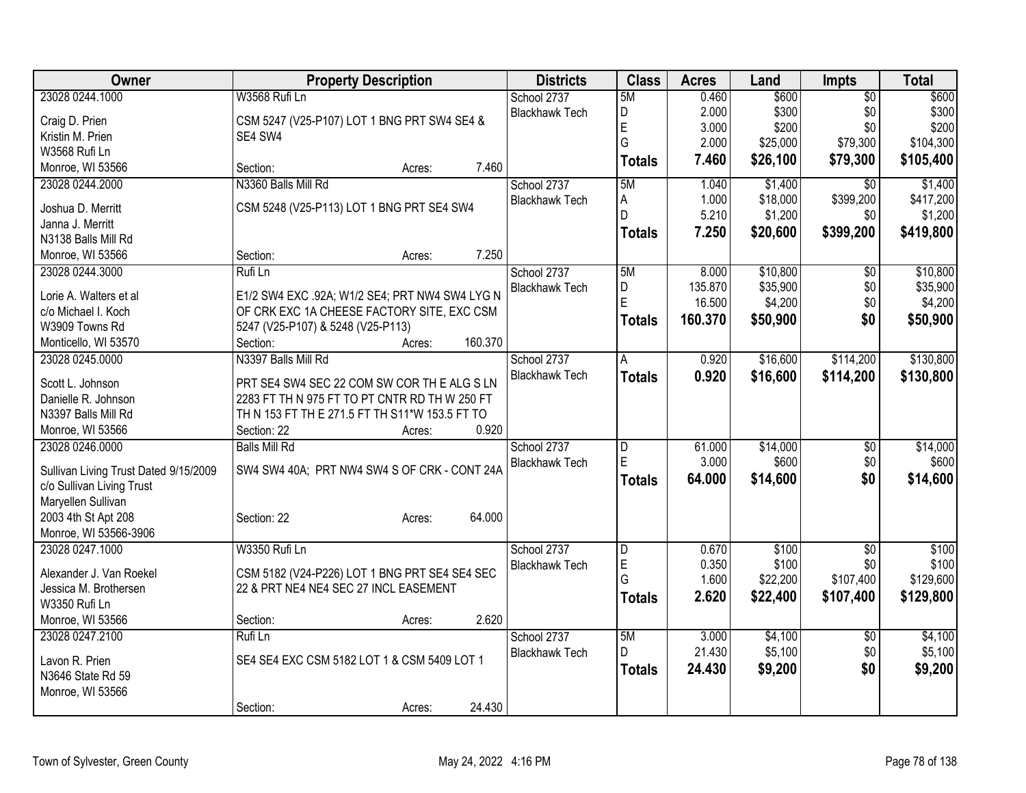| Owner                                 | <b>Property Description</b>                    | <b>Districts</b>      | <b>Class</b>   | <b>Acres</b>      | Land                | Impts           | <b>Total</b>        |
|---------------------------------------|------------------------------------------------|-----------------------|----------------|-------------------|---------------------|-----------------|---------------------|
| 23028 0244.1000                       | W3568 Rufi Ln                                  | School 2737           | 5M             | 0.460             | \$600               | $\overline{50}$ | \$600               |
| Craig D. Prien                        | CSM 5247 (V25-P107) LOT 1 BNG PRT SW4 SE4 &    | <b>Blackhawk Tech</b> | D              | 2.000             | \$300               | \$0             | \$300               |
| Kristin M. Prien                      | SE4 SW4                                        |                       | E              | 3.000             | \$200               | \$0             | \$200               |
| W3568 Rufi Ln                         |                                                |                       | G              | 2.000             | \$25,000            | \$79,300        | \$104,300           |
| Monroe, WI 53566                      | 7.460<br>Section:<br>Acres:                    |                       | <b>Totals</b>  | 7.460             | \$26,100            | \$79,300        | \$105,400           |
| 23028 0244.2000                       | N3360 Balls Mill Rd                            | School 2737           | 5M             | 1.040             | \$1,400             | $\overline{50}$ | \$1,400             |
|                                       |                                                | <b>Blackhawk Tech</b> | A              | 1.000             | \$18,000            | \$399,200       | \$417,200           |
| Joshua D. Merritt                     | CSM 5248 (V25-P113) LOT 1 BNG PRT SE4 SW4      |                       | D              | 5.210             | \$1,200             | \$0             | \$1,200             |
| Janna J. Merritt                      |                                                |                       | <b>Totals</b>  | 7.250             | \$20,600            | \$399,200       | \$419,800           |
| N3138 Balls Mill Rd                   | 7.250                                          |                       |                |                   |                     |                 |                     |
| Monroe, WI 53566                      | Section:<br>Acres:                             |                       |                |                   |                     |                 |                     |
| 23028 0244.3000                       | Rufi Ln                                        | School 2737           | 5M             | 8.000             | \$10,800            | \$0             | \$10,800            |
| Lorie A. Walters et al                | E1/2 SW4 EXC .92A; W1/2 SE4; PRT NW4 SW4 LYG N | <b>Blackhawk Tech</b> | D<br>E         | 135.870<br>16.500 | \$35,900<br>\$4,200 | \$0<br>\$0      | \$35,900<br>\$4,200 |
| c/o Michael I. Koch                   | OF CRK EXC 1A CHEESE FACTORY SITE, EXC CSM     |                       |                |                   |                     |                 |                     |
| W3909 Towns Rd                        | 5247 (V25-P107) & 5248 (V25-P113)              |                       | <b>Totals</b>  | 160.370           | \$50,900            | \$0             | \$50,900            |
| Monticello, WI 53570                  | 160.370<br>Section:<br>Acres:                  |                       |                |                   |                     |                 |                     |
| 23028 0245.0000                       | N3397 Balls Mill Rd                            | School 2737           | A              | 0.920             | \$16,600            | \$114,200       | \$130,800           |
|                                       |                                                | <b>Blackhawk Tech</b> | <b>Totals</b>  | 0.920             | \$16,600            | \$114,200       | \$130,800           |
| Scott L. Johnson                      | PRT SE4 SW4 SEC 22 COM SW COR TH E ALG S LN    |                       |                |                   |                     |                 |                     |
| Danielle R. Johnson                   | 2283 FT TH N 975 FT TO PT CNTR RD TH W 250 FT  |                       |                |                   |                     |                 |                     |
| N3397 Balls Mill Rd                   | TH N 153 FT TH E 271.5 FT TH S11*W 153.5 FT TO |                       |                |                   |                     |                 |                     |
| Monroe, WI 53566                      | 0.920<br>Section: 22<br>Acres:                 |                       |                |                   |                     |                 |                     |
| 23028 0246.0000                       | <b>Balls Mill Rd</b>                           | School 2737           | $\overline{D}$ | 61.000            | \$14,000            | $\overline{50}$ | \$14,000            |
| Sullivan Living Trust Dated 9/15/2009 | SW4 SW4 40A; PRT NW4 SW4 S OF CRK - CONT 24A   | <b>Blackhawk Tech</b> | E              | 3.000             | \$600               | \$0             | \$600               |
| c/o Sullivan Living Trust             |                                                |                       | <b>Totals</b>  | 64.000            | \$14,600            | \$0             | \$14,600            |
| Maryellen Sullivan                    |                                                |                       |                |                   |                     |                 |                     |
| 2003 4th St Apt 208                   | 64.000<br>Section: 22<br>Acres:                |                       |                |                   |                     |                 |                     |
| Monroe, WI 53566-3906                 |                                                |                       |                |                   |                     |                 |                     |
| 23028 0247.1000                       | W3350 Rufi Ln                                  | School 2737           | D              | 0.670             | \$100               | $\overline{30}$ | \$100               |
|                                       |                                                | <b>Blackhawk Tech</b> | E              | 0.350             | \$100               | \$0             | \$100               |
| Alexander J. Van Roekel               | CSM 5182 (V24-P226) LOT 1 BNG PRT SE4 SE4 SEC  |                       | G              | 1.600             | \$22,200            | \$107,400       | \$129,600           |
| Jessica M. Brothersen                 | 22 & PRT NE4 NE4 SEC 27 INCL EASEMENT          |                       | <b>Totals</b>  | 2.620             | \$22,400            | \$107,400       | \$129,800           |
| W3350 Rufi Ln                         |                                                |                       |                |                   |                     |                 |                     |
| Monroe, WI 53566                      | 2.620<br>Section:<br>Acres:                    |                       |                |                   |                     |                 |                     |
| 23028 0247.2100                       | Rufi Ln                                        | School 2737           | 5M             | 3.000             | \$4,100             | $\overline{50}$ | \$4,100             |
| Lavon R. Prien                        | SE4 SE4 EXC CSM 5182 LOT 1 & CSM 5409 LOT 1    | <b>Blackhawk Tech</b> | D.             | 21.430            | \$5,100             | \$0             | \$5,100             |
| N3646 State Rd 59                     |                                                |                       | <b>Totals</b>  | 24.430            | \$9,200             | \$0             | \$9,200             |
| Monroe, WI 53566                      |                                                |                       |                |                   |                     |                 |                     |
|                                       | 24.430<br>Section:<br>Acres:                   |                       |                |                   |                     |                 |                     |
|                                       |                                                |                       |                |                   |                     |                 |                     |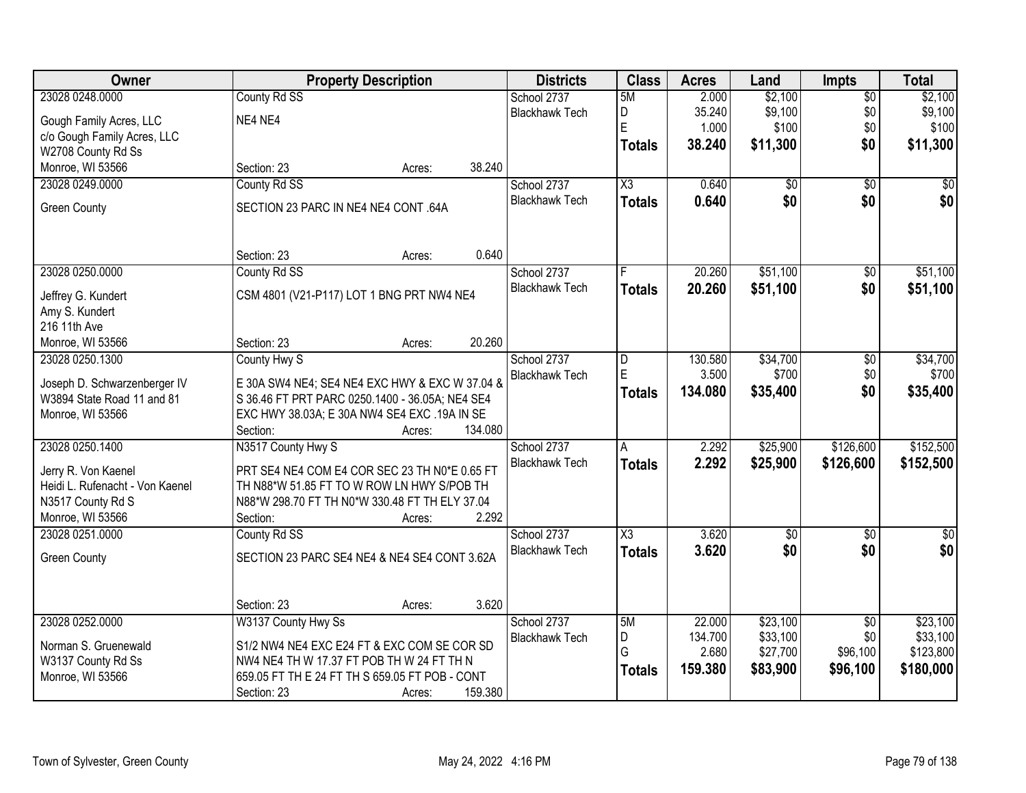| <b>Owner</b>                    | <b>Property Description</b>                     | <b>Districts</b>                     | <b>Class</b>           | <b>Acres</b> | Land            | <b>Impts</b>    | <b>Total</b> |
|---------------------------------|-------------------------------------------------|--------------------------------------|------------------------|--------------|-----------------|-----------------|--------------|
| 23028 0248.0000                 | County Rd SS                                    | School 2737                          | 5M                     | 2.000        | \$2,100         | $\overline{50}$ | \$2,100      |
| Gough Family Acres, LLC         | NE4 NE4                                         | <b>Blackhawk Tech</b>                | D                      | 35.240       | \$9,100         | \$0             | \$9,100      |
| c/o Gough Family Acres, LLC     |                                                 |                                      | E                      | 1.000        | \$100           | \$0             | \$100        |
| W2708 County Rd Ss              |                                                 |                                      | <b>Totals</b>          | 38.240       | \$11,300        | \$0             | \$11,300     |
| Monroe, WI 53566                | Section: 23<br>Acres:                           | 38.240                               |                        |              |                 |                 |              |
| 23028 0249.0000                 | County Rd SS                                    | School 2737                          | $\overline{\text{X3}}$ | 0.640        | \$0             | $\overline{50}$ | \$0          |
|                                 |                                                 | <b>Blackhawk Tech</b>                | <b>Totals</b>          | 0.640        | \$0             | \$0             | \$0          |
| <b>Green County</b>             | SECTION 23 PARC IN NE4 NE4 CONT .64A            |                                      |                        |              |                 |                 |              |
|                                 |                                                 |                                      |                        |              |                 |                 |              |
|                                 | Section: 23                                     | 0.640                                |                        |              |                 |                 |              |
| 23028 0250.0000                 | Acres:                                          |                                      |                        | 20.260       | \$51,100        |                 |              |
|                                 | County Rd SS                                    | School 2737<br><b>Blackhawk Tech</b> |                        |              |                 | \$0             | \$51,100     |
| Jeffrey G. Kundert              | CSM 4801 (V21-P117) LOT 1 BNG PRT NW4 NE4       |                                      | <b>Totals</b>          | 20.260       | \$51,100        | \$0             | \$51,100     |
| Amy S. Kundert                  |                                                 |                                      |                        |              |                 |                 |              |
| 216 11th Ave                    |                                                 |                                      |                        |              |                 |                 |              |
| Monroe, WI 53566                | Section: 23<br>Acres:                           | 20.260                               |                        |              |                 |                 |              |
| 23028 0250.1300                 | County Hwy S                                    | School 2737                          | D                      | 130.580      | \$34,700        | $\overline{50}$ | \$34,700     |
| Joseph D. Schwarzenberger IV    | E 30A SW4 NE4; SE4 NE4 EXC HWY & EXC W 37.04 &  | <b>Blackhawk Tech</b>                | E                      | 3.500        | \$700           | \$0             | \$700        |
| W3894 State Road 11 and 81      | S 36.46 FT PRT PARC 0250.1400 - 36.05A; NE4 SE4 |                                      | <b>Totals</b>          | 134.080      | \$35,400        | \$0             | \$35,400     |
| Monroe, WI 53566                | EXC HWY 38.03A; E 30A NW4 SE4 EXC .19A IN SE    |                                      |                        |              |                 |                 |              |
|                                 | Section:<br>Acres:                              | 134.080                              |                        |              |                 |                 |              |
| 23028 0250.1400                 | N3517 County Hwy S                              | School 2737                          | A                      | 2.292        | \$25,900        | \$126,600       | \$152,500    |
|                                 |                                                 | <b>Blackhawk Tech</b>                | <b>Totals</b>          | 2.292        | \$25,900        | \$126,600       | \$152,500    |
| Jerry R. Von Kaenel             | PRT SE4 NE4 COM E4 COR SEC 23 TH N0*E 0.65 FT   |                                      |                        |              |                 |                 |              |
| Heidi L. Rufenacht - Von Kaenel | TH N88*W 51.85 FT TO W ROW LN HWY S/POB TH      |                                      |                        |              |                 |                 |              |
| N3517 County Rd S               | N88*W 298.70 FT TH N0*W 330.48 FT TH ELY 37.04  |                                      |                        |              |                 |                 |              |
| Monroe, WI 53566                | Section:<br>Acres:                              | 2.292                                |                        |              |                 |                 |              |
| 23028 0251.0000                 | County Rd SS                                    | School 2737                          | $\overline{\chi_3}$    | 3.620        | $\overline{60}$ | $\overline{50}$ | $\sqrt{60}$  |
| <b>Green County</b>             | SECTION 23 PARC SE4 NE4 & NE4 SE4 CONT 3.62A    | <b>Blackhawk Tech</b>                | <b>Totals</b>          | 3.620        | \$0             | \$0             | \$0          |
|                                 |                                                 |                                      |                        |              |                 |                 |              |
|                                 |                                                 |                                      |                        |              |                 |                 |              |
|                                 | Section: 23<br>Acres:                           | 3.620                                |                        |              |                 |                 |              |
| 23028 0252.0000                 | W3137 County Hwy Ss                             | School 2737                          | 5M                     | 22.000       | \$23,100        | $\overline{50}$ | \$23,100     |
| Norman S. Gruenewald            | S1/2 NW4 NE4 EXC E24 FT & EXC COM SE COR SD     | <b>Blackhawk Tech</b>                | D                      | 134.700      | \$33,100        | \$0             | \$33,100     |
| W3137 County Rd Ss              | NW4 NE4 TH W 17.37 FT POB TH W 24 FT TH N       |                                      | G                      | 2.680        | \$27,700        | \$96,100        | \$123,800    |
| Monroe, WI 53566                | 659.05 FT TH E 24 FT TH S 659.05 FT POB - CONT  |                                      | <b>Totals</b>          | 159.380      | \$83,900        | \$96,100        | \$180,000    |
|                                 | Section: 23<br>Acres:                           | 159.380                              |                        |              |                 |                 |              |
|                                 |                                                 |                                      |                        |              |                 |                 |              |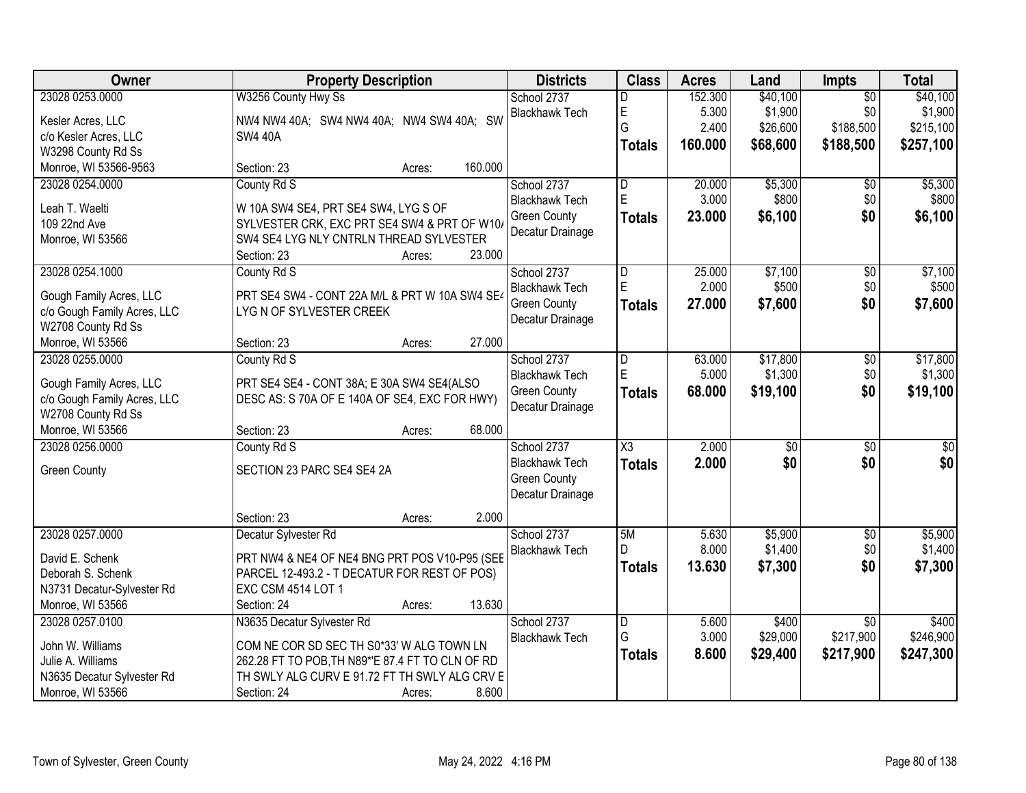| Owner                                  | <b>Property Description</b>                      | <b>Districts</b>      | <b>Class</b>           | <b>Acres</b> | Land            | <b>Impts</b>    | <b>Total</b>     |
|----------------------------------------|--------------------------------------------------|-----------------------|------------------------|--------------|-----------------|-----------------|------------------|
| 23028 0253.0000                        | W3256 County Hwy Ss                              | School 2737           | D                      | 152.300      | \$40,100        | $\overline{50}$ | \$40,100         |
| Kesler Acres, LLC                      | NW4 NW4 40A; SW4 NW4 40A; NW4 SW4 40A; SW        | <b>Blackhawk Tech</b> | E                      | 5.300        | \$1,900         | \$0             | \$1,900          |
| c/o Kesler Acres, LLC                  | <b>SW4 40A</b>                                   |                       | G                      | 2.400        | \$26,600        | \$188,500       | \$215,100        |
| W3298 County Rd Ss                     |                                                  |                       | <b>Totals</b>          | 160.000      | \$68,600        | \$188,500       | \$257,100        |
| Monroe, WI 53566-9563                  | 160.000<br>Section: 23<br>Acres:                 |                       |                        |              |                 |                 |                  |
| 23028 0254.0000                        | County Rd S                                      | School 2737           | $\overline{D}$         | 20.000       | \$5,300         | \$0             | \$5,300          |
|                                        |                                                  | <b>Blackhawk Tech</b> | E                      | 3.000        | \$800           | \$0             | \$800            |
| Leah T. Waelti                         | W 10A SW4 SE4, PRT SE4 SW4, LYG S OF             | <b>Green County</b>   | <b>Totals</b>          | 23.000       | \$6,100         | \$0             | \$6,100          |
| 109 22nd Ave                           | SYLVESTER CRK, EXC PRT SE4 SW4 & PRT OF W10/     | Decatur Drainage      |                        |              |                 |                 |                  |
| Monroe, WI 53566                       | SW4 SE4 LYG NLY CNTRLN THREAD SYLVESTER          |                       |                        |              |                 |                 |                  |
|                                        | 23.000<br>Section: 23<br>Acres:                  |                       |                        |              |                 |                 |                  |
| 23028 0254.1000                        | County Rd S                                      | School 2737           | $\overline{D}$         | 25.000       | \$7,100         | $\overline{50}$ | \$7,100          |
| Gough Family Acres, LLC                | PRT SE4 SW4 - CONT 22A M/L & PRT W 10A SW4 SE4   | <b>Blackhawk Tech</b> | E                      | 2.000        | \$500           | \$0             | \$500            |
| c/o Gough Family Acres, LLC            | LYGN OF SYLVESTER CREEK                          | <b>Green County</b>   | <b>Totals</b>          | 27,000       | \$7,600         | \$0             | \$7,600          |
| W2708 County Rd Ss                     |                                                  | Decatur Drainage      |                        |              |                 |                 |                  |
| Monroe, WI 53566                       | 27.000<br>Section: 23<br>Acres:                  |                       |                        |              |                 |                 |                  |
| 23028 0255,0000                        | County Rd S                                      | School 2737           | D                      | 63.000       | \$17,800        | \$0             | \$17,800         |
|                                        |                                                  | <b>Blackhawk Tech</b> | E                      | 5.000        | \$1,300         | \$0             | \$1,300          |
| Gough Family Acres, LLC                | PRT SE4 SE4 - CONT 38A; E 30A SW4 SE4(ALSO       | <b>Green County</b>   | <b>Totals</b>          | 68.000       | \$19,100        | \$0             | \$19,100         |
| c/o Gough Family Acres, LLC            | DESC AS: S 70A OF E 140A OF SE4, EXC FOR HWY)    | Decatur Drainage      |                        |              |                 |                 |                  |
| W2708 County Rd Ss<br>Monroe, WI 53566 | 68.000                                           |                       |                        |              |                 |                 |                  |
| 23028 0256.0000                        | Section: 23<br>Acres:                            |                       | $\overline{\text{X3}}$ | 2.000        |                 |                 |                  |
|                                        | County Rd S                                      | School 2737           |                        |              | $\overline{30}$ | $\overline{30}$ | $\overline{\$0}$ |
| <b>Green County</b>                    | SECTION 23 PARC SE4 SE4 2A                       | <b>Blackhawk Tech</b> | <b>Totals</b>          | 2.000        | \$0             | \$0             | \$0              |
|                                        |                                                  | <b>Green County</b>   |                        |              |                 |                 |                  |
|                                        |                                                  | Decatur Drainage      |                        |              |                 |                 |                  |
|                                        | 2.000<br>Section: 23<br>Acres:                   |                       |                        |              |                 |                 |                  |
| 23028 0257.0000                        | Decatur Sylvester Rd                             | School 2737           | 5M                     | 5.630        | \$5,900         | $\sqrt{6}$      | \$5,900          |
| David E. Schenk                        | PRT NW4 & NE4 OF NE4 BNG PRT POS V10-P95 (SEE    | <b>Blackhawk Tech</b> | D                      | 8.000        | \$1,400         | \$0             | \$1,400          |
| Deborah S. Schenk                      | PARCEL 12-493.2 - T DECATUR FOR REST OF POS)     |                       | <b>Totals</b>          | 13.630       | \$7,300         | \$0             | \$7,300          |
| N3731 Decatur-Sylvester Rd             | <b>EXC CSM 4514 LOT 1</b>                        |                       |                        |              |                 |                 |                  |
| Monroe, WI 53566                       | 13.630<br>Section: 24<br>Acres:                  |                       |                        |              |                 |                 |                  |
| 23028 0257.0100                        | N3635 Decatur Sylvester Rd                       | School 2737           | D                      | 5.600        | \$400           | $\overline{50}$ | \$400            |
| John W. Williams                       | COM NE COR SD SEC TH S0*33' W ALG TOWN LN        | <b>Blackhawk Tech</b> | G                      | 3.000        | \$29,000        | \$217,900       | \$246,900        |
| Julie A. Williams                      | 262.28 FT TO POB, TH N89*'E 87.4 FT TO CLN OF RD |                       | <b>Totals</b>          | 8.600        | \$29,400        | \$217,900       | \$247,300        |
| N3635 Decatur Sylvester Rd             | TH SWLY ALG CURV E 91.72 FT TH SWLY ALG CRV E    |                       |                        |              |                 |                 |                  |
| Monroe, WI 53566                       | 8.600<br>Section: 24<br>Acres:                   |                       |                        |              |                 |                 |                  |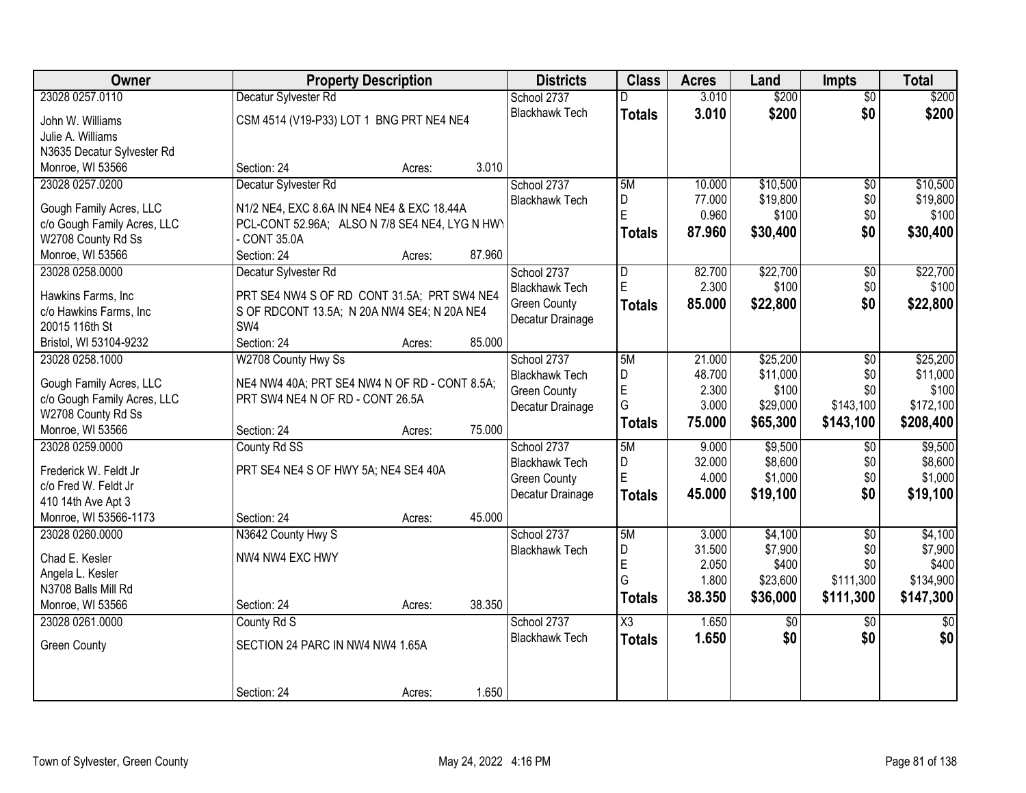| Owner                       | <b>Property Description</b>                    |                  | <b>Districts</b>                             | <b>Class</b>            | <b>Acres</b>     | Land                 | <b>Impts</b>    | <b>Total</b>      |
|-----------------------------|------------------------------------------------|------------------|----------------------------------------------|-------------------------|------------------|----------------------|-----------------|-------------------|
| 23028 0257.0110             | Decatur Sylvester Rd                           |                  | School 2737                                  | D                       | 3.010            | \$200                | $\overline{50}$ | \$200             |
| John W. Williams            | CSM 4514 (V19-P33) LOT 1 BNG PRT NE4 NE4       |                  | <b>Blackhawk Tech</b>                        | <b>Totals</b>           | 3.010            | \$200                | \$0             | \$200             |
| Julie A. Williams           |                                                |                  |                                              |                         |                  |                      |                 |                   |
| N3635 Decatur Sylvester Rd  |                                                |                  |                                              |                         |                  |                      |                 |                   |
| Monroe, WI 53566            | Section: 24                                    | 3.010<br>Acres:  |                                              |                         |                  |                      |                 |                   |
| 23028 0257.0200             | Decatur Sylvester Rd                           |                  | School 2737                                  | 5M                      | 10.000           | \$10,500             | \$0             | \$10,500          |
| Gough Family Acres, LLC     | N1/2 NE4, EXC 8.6A IN NE4 NE4 & EXC 18.44A     |                  | <b>Blackhawk Tech</b>                        | D                       | 77.000           | \$19,800             | \$0             | \$19,800          |
| c/o Gough Family Acres, LLC | PCL-CONT 52.96A; ALSO N 7/8 SE4 NE4, LYG N HWY |                  |                                              | E                       | 0.960            | \$100                | \$0             | \$100             |
| W2708 County Rd Ss          | - CONT 35.0A                                   |                  |                                              | <b>Totals</b>           | 87.960           | \$30,400             | \$0             | \$30,400          |
| Monroe, WI 53566            | Section: 24                                    | 87.960<br>Acres: |                                              |                         |                  |                      |                 |                   |
| 23028 0258.0000             | Decatur Sylvester Rd                           |                  | School 2737                                  | $\overline{\mathsf{D}}$ | 82.700           | \$22,700             | $\overline{60}$ | \$22,700          |
|                             |                                                |                  | <b>Blackhawk Tech</b>                        | E                       | 2.300            | \$100                | \$0             | \$100             |
| Hawkins Farms, Inc          | PRT SE4 NW4 S OF RD CONT 31.5A; PRT SW4 NE4    |                  | <b>Green County</b>                          | <b>Totals</b>           | 85.000           | \$22,800             | \$0             | \$22,800          |
| c/o Hawkins Farms, Inc      | S OF RDCONT 13.5A; N 20A NW4 SE4; N 20A NE4    |                  | Decatur Drainage                             |                         |                  |                      |                 |                   |
| 20015 116th St              | SW4                                            |                  |                                              |                         |                  |                      |                 |                   |
| Bristol, WI 53104-9232      | Section: 24                                    | 85.000<br>Acres: |                                              |                         |                  |                      |                 |                   |
| 23028 0258.1000             | W2708 County Hwy Ss                            |                  | School 2737                                  | 5M<br>D                 | 21.000<br>48.700 | \$25,200<br>\$11,000 | \$0             | \$25,200          |
| Gough Family Acres, LLC     | NE4 NW4 40A; PRT SE4 NW4 N OF RD - CONT 8.5A;  |                  | <b>Blackhawk Tech</b><br><b>Green County</b> | E                       | 2.300            | \$100                | \$0<br>\$0      | \$11,000<br>\$100 |
| c/o Gough Family Acres, LLC | PRT SW4 NE4 N OF RD - CONT 26.5A               |                  | Decatur Drainage                             | G                       | 3.000            | \$29,000             | \$143,100       | \$172,100         |
| W2708 County Rd Ss          |                                                |                  |                                              | <b>Totals</b>           | 75.000           | \$65,300             | \$143,100       | \$208,400         |
| Monroe, WI 53566            | Section: 24                                    | 75.000<br>Acres: |                                              |                         |                  |                      |                 |                   |
| 23028 0259.0000             | County Rd SS                                   |                  | School 2737                                  | 5M                      | 9.000            | \$9,500              | \$0             | \$9,500           |
| Frederick W. Feldt Jr       | PRT SE4 NE4 S OF HWY 5A; NE4 SE4 40A           |                  | <b>Blackhawk Tech</b>                        | D                       | 32.000           | \$8,600              | \$0             | \$8,600           |
| c/o Fred W. Feldt Jr        |                                                |                  | <b>Green County</b>                          | E                       | 4.000            | \$1,000              | \$0             | \$1,000           |
| 410 14th Ave Apt 3          |                                                |                  | Decatur Drainage                             | <b>Totals</b>           | 45.000           | \$19,100             | \$0             | \$19,100          |
| Monroe, WI 53566-1173       | Section: 24                                    | 45.000<br>Acres: |                                              |                         |                  |                      |                 |                   |
| 23028 0260.0000             | N3642 County Hwy S                             |                  | School 2737                                  | 5M                      | 3.000            | \$4,100              | $\overline{50}$ | \$4,100           |
| Chad E. Kesler              | NW4 NW4 EXC HWY                                |                  | <b>Blackhawk Tech</b>                        | D                       | 31.500           | \$7,900              | \$0             | \$7,900           |
| Angela L. Kesler            |                                                |                  |                                              | E                       | 2.050            | \$400                | \$0             | \$400             |
| N3708 Balls Mill Rd         |                                                |                  |                                              | G                       | 1.800            | \$23,600             | \$111,300       | \$134,900         |
| Monroe, WI 53566            | Section: 24                                    | 38.350<br>Acres: |                                              | <b>Totals</b>           | 38.350           | \$36,000             | \$111,300       | \$147,300         |
| 23028 0261.0000             | County Rd S                                    |                  | School 2737                                  | $\overline{\text{X3}}$  | 1.650            | $\overline{50}$      | $\overline{50}$ | $\overline{50}$   |
|                             |                                                |                  | <b>Blackhawk Tech</b>                        | <b>Totals</b>           | 1.650            | \$0                  | \$0             | \$0               |
| <b>Green County</b>         | SECTION 24 PARC IN NW4 NW4 1.65A               |                  |                                              |                         |                  |                      |                 |                   |
|                             |                                                |                  |                                              |                         |                  |                      |                 |                   |
|                             | Section: 24                                    | 1.650<br>Acres:  |                                              |                         |                  |                      |                 |                   |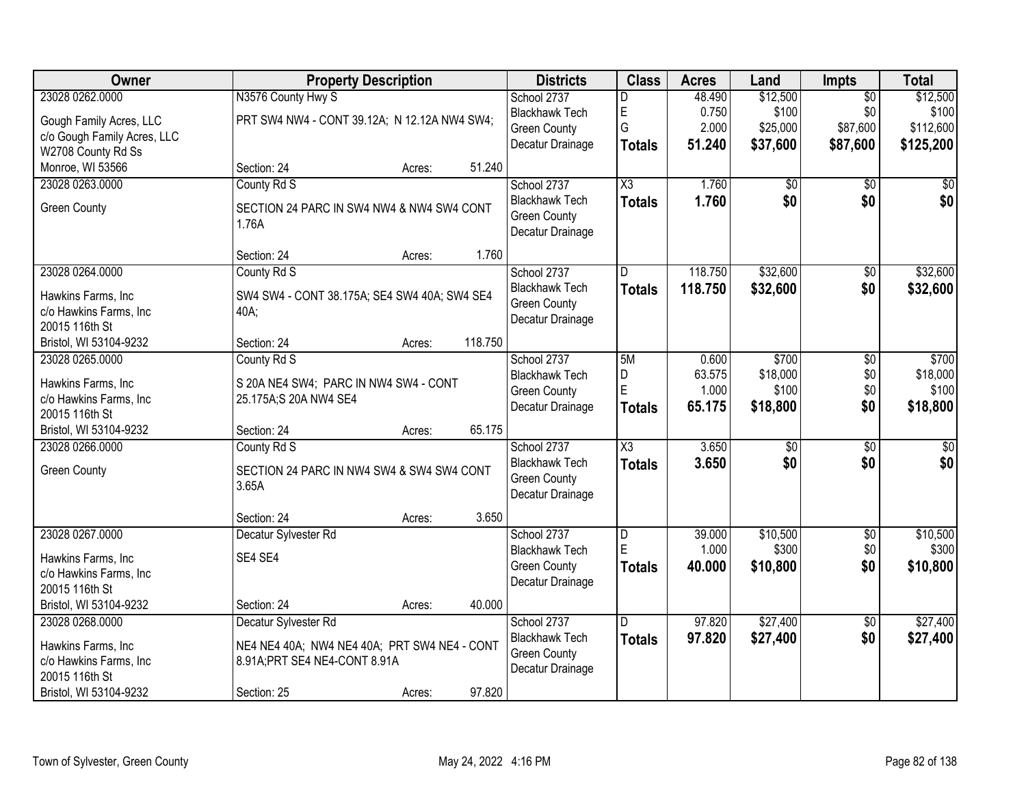| Owner                       |                                              | <b>Property Description</b> |         | <b>Districts</b>      | <b>Class</b>           | <b>Acres</b> | Land            | <b>Impts</b>    | <b>Total</b>     |
|-----------------------------|----------------------------------------------|-----------------------------|---------|-----------------------|------------------------|--------------|-----------------|-----------------|------------------|
| 23028 0262.0000             | N3576 County Hwy S                           |                             |         | School 2737           | D                      | 48.490       | \$12,500        | $\overline{30}$ | \$12,500         |
| Gough Family Acres, LLC     | PRT SW4 NW4 - CONT 39.12A; N 12.12A NW4 SW4; |                             |         | <b>Blackhawk Tech</b> | E                      | 0.750        | \$100           | \$0             | \$100            |
| c/o Gough Family Acres, LLC |                                              |                             |         | <b>Green County</b>   | G                      | 2.000        | \$25,000        | \$87,600        | \$112,600        |
| W2708 County Rd Ss          |                                              |                             |         | Decatur Drainage      | <b>Totals</b>          | 51.240       | \$37,600        | \$87,600        | \$125,200        |
| Monroe, WI 53566            | Section: 24                                  | Acres:                      | 51.240  |                       |                        |              |                 |                 |                  |
| 23028 0263.0000             | County Rd S                                  |                             |         | School 2737           | $\overline{\text{X3}}$ | 1.760        | $\overline{50}$ | $\overline{50}$ | $\overline{50}$  |
| <b>Green County</b>         | SECTION 24 PARC IN SW4 NW4 & NW4 SW4 CONT    |                             |         | <b>Blackhawk Tech</b> | <b>Totals</b>          | 1.760        | \$0             | \$0             | \$0              |
|                             | 1.76A                                        |                             |         | <b>Green County</b>   |                        |              |                 |                 |                  |
|                             |                                              |                             |         | Decatur Drainage      |                        |              |                 |                 |                  |
|                             | Section: 24                                  | Acres:                      | 1.760   |                       |                        |              |                 |                 |                  |
| 23028 0264.0000             | County Rd S                                  |                             |         | School 2737           | D                      | 118.750      | \$32,600        | $\overline{50}$ | \$32,600         |
| Hawkins Farms, Inc          | SW4 SW4 - CONT 38.175A; SE4 SW4 40A; SW4 SE4 |                             |         | <b>Blackhawk Tech</b> | <b>Totals</b>          | 118.750      | \$32,600        | \$0             | \$32,600         |
| c/o Hawkins Farms, Inc      | 40A;                                         |                             |         | <b>Green County</b>   |                        |              |                 |                 |                  |
| 20015 116th St              |                                              |                             |         | Decatur Drainage      |                        |              |                 |                 |                  |
| Bristol, WI 53104-9232      | Section: 24                                  | Acres:                      | 118.750 |                       |                        |              |                 |                 |                  |
| 23028 0265.0000             | County Rd S                                  |                             |         | School 2737           | 5M                     | 0.600        | \$700           | \$0             | \$700            |
| Hawkins Farms, Inc          | S 20A NE4 SW4; PARC IN NW4 SW4 - CONT        |                             |         | <b>Blackhawk Tech</b> | D                      | 63.575       | \$18,000        | \$0             | \$18,000         |
| c/o Hawkins Farms, Inc      | 25.175A;S 20A NW4 SE4                        |                             |         | <b>Green County</b>   | E                      | 1.000        | \$100           | \$0             | \$100            |
| 20015 116th St              |                                              |                             |         | Decatur Drainage      | <b>Totals</b>          | 65.175       | \$18,800        | \$0             | \$18,800         |
| Bristol, WI 53104-9232      | Section: 24                                  | Acres:                      | 65.175  |                       |                        |              |                 |                 |                  |
| 23028 0266.0000             | County Rd S                                  |                             |         | School 2737           | $\overline{\text{X3}}$ | 3.650        | $\overline{50}$ | $\overline{50}$ | $\overline{\$0}$ |
| <b>Green County</b>         | SECTION 24 PARC IN NW4 SW4 & SW4 SW4 CONT    |                             |         | <b>Blackhawk Tech</b> | <b>Totals</b>          | 3.650        | \$0             | \$0             | \$0              |
|                             | 3.65A                                        |                             |         | <b>Green County</b>   |                        |              |                 |                 |                  |
|                             |                                              |                             |         | Decatur Drainage      |                        |              |                 |                 |                  |
|                             | Section: 24                                  | Acres:                      | 3.650   |                       |                        |              |                 |                 |                  |
| 23028 0267.0000             | Decatur Sylvester Rd                         |                             |         | School 2737           | D                      | 39.000       | \$10,500        | $\overline{60}$ | \$10,500         |
| Hawkins Farms, Inc          | SE4 SE4                                      |                             |         | <b>Blackhawk Tech</b> | E                      | 1.000        | \$300           | \$0             | \$300            |
| c/o Hawkins Farms, Inc      |                                              |                             |         | <b>Green County</b>   | <b>Totals</b>          | 40.000       | \$10,800        | \$0             | \$10,800         |
| 20015 116th St              |                                              |                             |         | Decatur Drainage      |                        |              |                 |                 |                  |
| Bristol, WI 53104-9232      | Section: 24                                  | Acres:                      | 40.000  |                       |                        |              |                 |                 |                  |
| 23028 0268.0000             | Decatur Sylvester Rd                         |                             |         | School 2737           | D.                     | 97.820       | \$27,400        | $\overline{50}$ | \$27,400         |
| Hawkins Farms, Inc          | NE4 NE4 40A; NW4 NE4 40A; PRT SW4 NE4 - CONT |                             |         | <b>Blackhawk Tech</b> | <b>Totals</b>          | 97.820       | \$27,400        | \$0             | \$27,400         |
| c/o Hawkins Farms, Inc      | 8.91A; PRT SE4 NE4-CONT 8.91A                |                             |         | <b>Green County</b>   |                        |              |                 |                 |                  |
| 20015 116th St              |                                              |                             |         | Decatur Drainage      |                        |              |                 |                 |                  |
| Bristol, WI 53104-9232      | Section: 25                                  | Acres:                      | 97.820  |                       |                        |              |                 |                 |                  |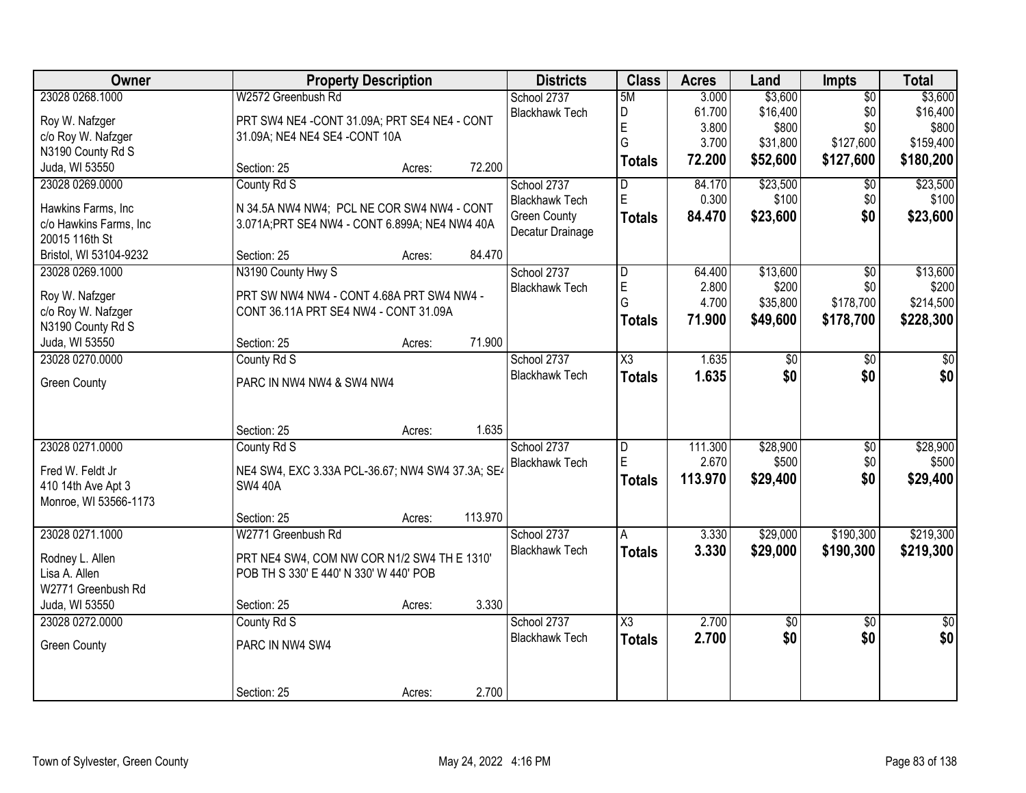| Owner                  | <b>Property Description</b>                      | <b>Districts</b> | <b>Class</b> | <b>Acres</b>          | Land                    | Impts   | <b>Total</b> |                 |                 |
|------------------------|--------------------------------------------------|------------------|--------------|-----------------------|-------------------------|---------|--------------|-----------------|-----------------|
| 23028 0268.1000        | W2572 Greenbush Rd                               |                  |              | School 2737           | 5M                      | 3.000   | \$3,600      | $\overline{50}$ | \$3,600         |
| Roy W. Nafzger         | PRT SW4 NE4 - CONT 31.09A; PRT SE4 NE4 - CONT    |                  |              | <b>Blackhawk Tech</b> | D                       | 61.700  | \$16,400     | \$0             | \$16,400        |
| c/o Roy W. Nafzger     | 31.09A; NE4 NE4 SE4 - CONT 10A                   |                  |              |                       | E                       | 3.800   | \$800        | \$0             | \$800           |
| N3190 County Rd S      |                                                  |                  |              |                       | G                       | 3.700   | \$31,800     | \$127,600       | \$159,400       |
| Juda, WI 53550         | Section: 25                                      | Acres:           | 72.200       |                       | <b>Totals</b>           | 72.200  | \$52,600     | \$127,600       | \$180,200       |
| 23028 0269.0000        | County Rd S                                      |                  |              | School 2737           | D                       | 84.170  | \$23,500     | \$0             | \$23,500        |
| Hawkins Farms, Inc     | N 34.5A NW4 NW4; PCL NE COR SW4 NW4 - CONT       |                  |              | <b>Blackhawk Tech</b> | E                       | 0.300   | \$100        | \$0             | \$100           |
| c/o Hawkins Farms, Inc | 3.071A; PRT SE4 NW4 - CONT 6.899A; NE4 NW4 40A   |                  |              | <b>Green County</b>   | <b>Totals</b>           | 84.470  | \$23,600     | \$0             | \$23,600        |
| 20015 116th St         |                                                  |                  |              | Decatur Drainage      |                         |         |              |                 |                 |
| Bristol, WI 53104-9232 | Section: 25                                      | Acres:           | 84.470       |                       |                         |         |              |                 |                 |
| 23028 0269.1000        | N3190 County Hwy S                               |                  |              | School 2737           | $\overline{\mathsf{D}}$ | 64.400  | \$13,600     | $\overline{50}$ | \$13,600        |
|                        |                                                  |                  |              | <b>Blackhawk Tech</b> | E                       | 2.800   | \$200        | \$0             | \$200           |
| Roy W. Nafzger         | PRT SW NW4 NW4 - CONT 4.68A PRT SW4 NW4 -        |                  |              |                       | G                       | 4.700   | \$35,800     | \$178,700       | \$214,500       |
| c/o Roy W. Nafzger     | CONT 36.11A PRT SE4 NW4 - CONT 31.09A            |                  |              |                       | <b>Totals</b>           | 71.900  | \$49,600     | \$178,700       | \$228,300       |
| N3190 County Rd S      |                                                  |                  |              |                       |                         |         |              |                 |                 |
| Juda, WI 53550         | Section: 25                                      | Acres:           | 71.900       |                       |                         |         |              |                 |                 |
| 23028 0270.0000        | County Rd S                                      |                  |              | School 2737           | X3                      | 1.635   | \$0          | $\overline{50}$ | \$0             |
| <b>Green County</b>    | PARC IN NW4 NW4 & SW4 NW4                        |                  |              | <b>Blackhawk Tech</b> | <b>Totals</b>           | 1.635   | \$0          | \$0             | \$0             |
|                        |                                                  |                  |              |                       |                         |         |              |                 |                 |
|                        |                                                  |                  |              |                       |                         |         |              |                 |                 |
|                        | Section: 25                                      | Acres:           | 1.635        |                       |                         |         |              |                 |                 |
| 23028 0271.0000        | County Rd S                                      |                  |              | School 2737           | D                       | 111.300 | \$28,900     | $\overline{50}$ | \$28,900        |
| Fred W. Feldt Jr       | NE4 SW4, EXC 3.33A PCL-36.67; NW4 SW4 37.3A; SE4 |                  |              | <b>Blackhawk Tech</b> | E                       | 2.670   | \$500        | \$0             | \$500           |
| 410 14th Ave Apt 3     | <b>SW4 40A</b>                                   |                  |              |                       | <b>Totals</b>           | 113.970 | \$29,400     | \$0             | \$29,400        |
| Monroe, WI 53566-1173  |                                                  |                  |              |                       |                         |         |              |                 |                 |
|                        | Section: 25                                      | Acres:           | 113.970      |                       |                         |         |              |                 |                 |
| 23028 0271.1000        | W2771 Greenbush Rd                               |                  |              | School 2737           | A                       | 3.330   | \$29,000     | \$190,300       | \$219,300       |
| Rodney L. Allen        | PRT NE4 SW4, COM NW COR N1/2 SW4 TH E 1310'      |                  |              | <b>Blackhawk Tech</b> | <b>Totals</b>           | 3.330   | \$29,000     | \$190,300       | \$219,300       |
| Lisa A. Allen          | POB TH S 330' E 440' N 330' W 440' POB           |                  |              |                       |                         |         |              |                 |                 |
| W2771 Greenbush Rd     |                                                  |                  |              |                       |                         |         |              |                 |                 |
| Juda, WI 53550         | Section: 25                                      | Acres:           | 3.330        |                       |                         |         |              |                 |                 |
| 23028 0272.0000        | County Rd S                                      |                  |              | School 2737           | X3                      | 2.700   | $\sqrt{$0}$  | $\overline{50}$ | $\overline{50}$ |
|                        |                                                  |                  |              | <b>Blackhawk Tech</b> | <b>Totals</b>           | 2.700   | \$0          | \$0             | \$0             |
| <b>Green County</b>    | PARC IN NW4 SW4                                  |                  |              |                       |                         |         |              |                 |                 |
|                        |                                                  |                  |              |                       |                         |         |              |                 |                 |
|                        | Section: 25                                      | Acres:           | 2.700        |                       |                         |         |              |                 |                 |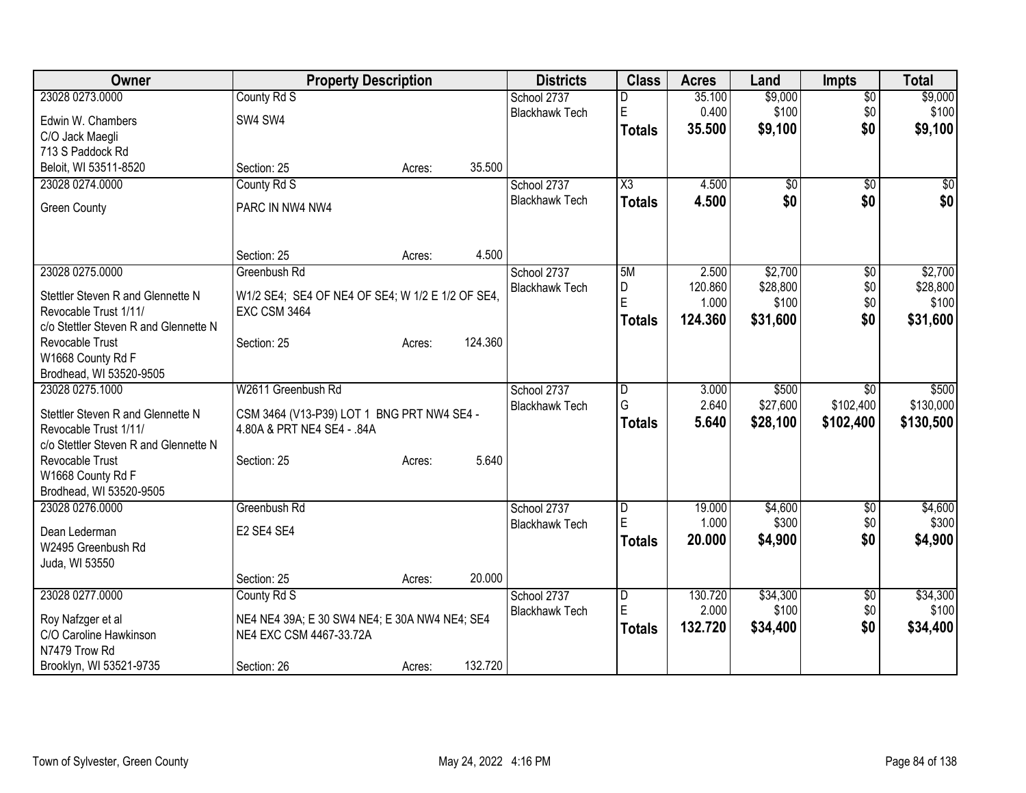| Owner                                        | <b>Property Description</b>                      |        |         | <b>Districts</b>                     | <b>Class</b>           | <b>Acres</b>     | Land                | <b>Impts</b>           | <b>Total</b>        |
|----------------------------------------------|--------------------------------------------------|--------|---------|--------------------------------------|------------------------|------------------|---------------------|------------------------|---------------------|
| 23028 0273.0000                              | County Rd S                                      |        |         | School 2737                          | D                      | 35.100           | \$9,000             | $\overline{50}$        | \$9,000             |
| Edwin W. Chambers                            | SW4 SW4                                          |        |         | <b>Blackhawk Tech</b>                | $\mathsf E$            | 0.400            | \$100               | \$0                    | \$100               |
| C/O Jack Maegli                              |                                                  |        |         |                                      | <b>Totals</b>          | 35.500           | \$9,100             | \$0                    | \$9,100             |
| 713 S Paddock Rd                             |                                                  |        |         |                                      |                        |                  |                     |                        |                     |
| Beloit, WI 53511-8520                        | Section: 25                                      | Acres: | 35.500  |                                      |                        |                  |                     |                        |                     |
| 23028 0274.0000                              | County Rd S                                      |        |         | School 2737                          | $\overline{\text{X3}}$ | 4.500            | \$0                 | $\overline{30}$        | \$0                 |
| <b>Green County</b>                          | PARC IN NW4 NW4                                  |        |         | <b>Blackhawk Tech</b>                | <b>Totals</b>          | 4.500            | \$0                 | \$0                    | \$0                 |
|                                              |                                                  |        |         |                                      |                        |                  |                     |                        |                     |
|                                              | Section: 25                                      | Acres: | 4.500   |                                      |                        |                  |                     |                        |                     |
| 23028 0275.0000                              | Greenbush Rd                                     |        |         | School 2737                          | 5M                     | 2.500<br>120.860 | \$2,700<br>\$28,800 | $\overline{50}$<br>\$0 | \$2,700<br>\$28,800 |
| Stettler Steven R and Glennette N            | W1/2 SE4; SE4 OF NE4 OF SE4; W 1/2 E 1/2 OF SE4, |        |         | <b>Blackhawk Tech</b>                | D<br>E                 | 1.000            | \$100               | \$0                    | \$100               |
| Revocable Trust 1/11/                        | <b>EXC CSM 3464</b>                              |        |         |                                      | Totals                 | 124.360          | \$31,600            | \$0                    | \$31,600            |
| c/o Stettler Steven R and Glennette N        |                                                  |        |         |                                      |                        |                  |                     |                        |                     |
| Revocable Trust                              | Section: 25                                      | Acres: | 124.360 |                                      |                        |                  |                     |                        |                     |
| W1668 County Rd F                            |                                                  |        |         |                                      |                        |                  |                     |                        |                     |
| Brodhead, WI 53520-9505<br>23028 0275.1000   | W2611 Greenbush Rd                               |        |         | School 2737                          | ID.                    | 3.000            | \$500               | \$0                    | \$500               |
|                                              |                                                  |        |         | <b>Blackhawk Tech</b>                | G                      | 2.640            | \$27,600            | \$102,400              | \$130,000           |
| Stettler Steven R and Glennette N            | CSM 3464 (V13-P39) LOT 1 BNG PRT NW4 SE4 -       |        |         |                                      | <b>Totals</b>          | 5.640            | \$28,100            | \$102,400              | \$130,500           |
| Revocable Trust 1/11/                        | 4.80A & PRT NE4 SE4 - .84A                       |        |         |                                      |                        |                  |                     |                        |                     |
| c/o Stettler Steven R and Glennette N        |                                                  |        |         |                                      |                        |                  |                     |                        |                     |
| <b>Revocable Trust</b>                       | Section: 25                                      | Acres: | 5.640   |                                      |                        |                  |                     |                        |                     |
| W1668 County Rd F<br>Brodhead, WI 53520-9505 |                                                  |        |         |                                      |                        |                  |                     |                        |                     |
| 23028 0276.0000                              | Greenbush Rd                                     |        |         | School 2737                          | D                      | 19.000           | \$4,600             | \$0                    | \$4,600             |
|                                              |                                                  |        |         | <b>Blackhawk Tech</b>                | E                      | 1.000            | \$300               | \$0                    | \$300               |
| Dean Lederman                                | E2 SE4 SE4                                       |        |         |                                      | <b>Totals</b>          | 20.000           | \$4,900             | \$0                    | \$4,900             |
| W2495 Greenbush Rd                           |                                                  |        |         |                                      |                        |                  |                     |                        |                     |
| Juda, WI 53550                               |                                                  |        |         |                                      |                        |                  |                     |                        |                     |
|                                              | Section: 25                                      | Acres: | 20.000  |                                      |                        |                  |                     |                        |                     |
| 23028 0277.0000                              | County Rd S                                      |        |         | School 2737<br><b>Blackhawk Tech</b> | $\overline{D}$<br>E    | 130.720<br>2.000 | \$34,300<br>\$100   | \$0<br>\$0             | \$34,300<br>\$100   |
| Roy Nafzger et al                            | NE4 NE4 39A; E 30 SW4 NE4; E 30A NW4 NE4; SE4    |        |         |                                      |                        | 132.720          | \$34,400            | \$0                    | \$34,400            |
| C/O Caroline Hawkinson                       | NE4 EXC CSM 4467-33.72A                          |        |         |                                      | <b>Totals</b>          |                  |                     |                        |                     |
| N7479 Trow Rd                                |                                                  |        |         |                                      |                        |                  |                     |                        |                     |
| Brooklyn, WI 53521-9735                      | Section: 26                                      | Acres: | 132.720 |                                      |                        |                  |                     |                        |                     |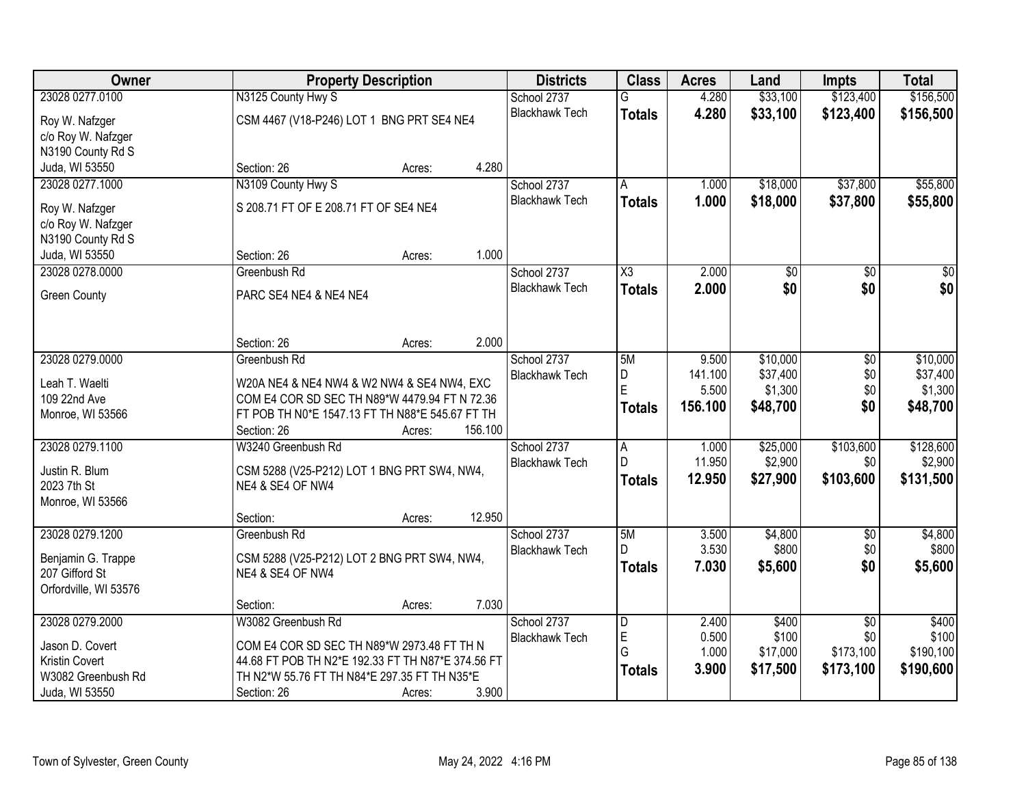| Owner                 | <b>Property Description</b>                       | <b>Districts</b>      | <b>Class</b>   | <b>Acres</b> | Land     | <b>Impts</b>    | <b>Total</b> |
|-----------------------|---------------------------------------------------|-----------------------|----------------|--------------|----------|-----------------|--------------|
| 23028 0277.0100       | N3125 County Hwy S                                | School 2737           | G              | 4.280        | \$33,100 | \$123,400       | \$156,500    |
| Roy W. Nafzger        | CSM 4467 (V18-P246) LOT 1 BNG PRT SE4 NE4         | <b>Blackhawk Tech</b> | <b>Totals</b>  | 4.280        | \$33,100 | \$123,400       | \$156,500    |
| c/o Roy W. Nafzger    |                                                   |                       |                |              |          |                 |              |
| N3190 County Rd S     |                                                   |                       |                |              |          |                 |              |
| Juda, WI 53550        | 4.280<br>Section: 26<br>Acres:                    |                       |                |              |          |                 |              |
| 23028 0277.1000       | N3109 County Hwy S                                | School 2737           | A              | 1.000        | \$18,000 | \$37,800        | \$55,800     |
|                       |                                                   | <b>Blackhawk Tech</b> |                |              |          |                 |              |
| Roy W. Nafzger        | S 208.71 FT OF E 208.71 FT OF SE4 NE4             |                       | Totals         | 1.000        | \$18,000 | \$37,800        | \$55,800     |
| c/o Roy W. Nafzger    |                                                   |                       |                |              |          |                 |              |
| N3190 County Rd S     |                                                   |                       |                |              |          |                 |              |
| Juda, WI 53550        | 1.000<br>Section: 26<br>Acres:                    |                       |                |              |          |                 |              |
| 23028 0278.0000       | Greenbush Rd                                      | School 2737           | X3             | 2.000        | \$0      | \$0             | \$0          |
|                       | PARC SE4 NE4 & NE4 NE4                            | <b>Blackhawk Tech</b> | <b>Totals</b>  | 2.000        | \$0      | \$0             | \$0          |
| <b>Green County</b>   |                                                   |                       |                |              |          |                 |              |
|                       |                                                   |                       |                |              |          |                 |              |
|                       | 2.000<br>Section: 26                              |                       |                |              |          |                 |              |
|                       | Acres:                                            |                       |                |              |          |                 |              |
| 23028 0279.0000       | Greenbush Rd                                      | School 2737           | 5M             | 9.500        | \$10,000 | \$0             | \$10,000     |
| Leah T. Waelti        | W20A NE4 & NE4 NW4 & W2 NW4 & SE4 NW4, EXC        | <b>Blackhawk Tech</b> | D<br>E         | 141.100      | \$37,400 | \$0             | \$37,400     |
| 109 22nd Ave          | COM E4 COR SD SEC TH N89*W 4479.94 FT N 72.36     |                       |                | 5.500        | \$1,300  | \$0             | \$1,300      |
| Monroe, WI 53566      | FT POB TH N0*E 1547.13 FT TH N88*E 545.67 FT TH   |                       | Totals         | 156.100      | \$48,700 | \$0             | \$48,700     |
|                       | Section: 26<br>156.100<br>Acres:                  |                       |                |              |          |                 |              |
| 23028 0279.1100       | W3240 Greenbush Rd                                | School 2737           | $\overline{A}$ | 1.000        | \$25,000 | \$103,600       | \$128,600    |
|                       |                                                   | <b>Blackhawk Tech</b> | D              | 11.950       | \$2,900  | \$0             | \$2,900      |
| Justin R. Blum        | CSM 5288 (V25-P212) LOT 1 BNG PRT SW4, NW4,       |                       | <b>Totals</b>  | 12.950       | \$27,900 | \$103,600       | \$131,500    |
| 2023 7th St           | NE4 & SE4 OF NW4                                  |                       |                |              |          |                 |              |
| Monroe, WI 53566      |                                                   |                       |                |              |          |                 |              |
|                       | 12.950<br>Section:<br>Acres:                      |                       |                |              |          |                 |              |
| 23028 0279.1200       | Greenbush Rd                                      | School 2737           | 5M             | 3.500        | \$4,800  | $\overline{60}$ | \$4,800      |
| Benjamin G. Trappe    | CSM 5288 (V25-P212) LOT 2 BNG PRT SW4, NW4,       | <b>Blackhawk Tech</b> | D              | 3.530        | \$800    | \$0             | \$800        |
| 207 Gifford St        | NE4 & SE4 OF NW4                                  |                       | <b>Totals</b>  | 7.030        | \$5,600  | \$0             | \$5,600      |
| Orfordville, WI 53576 |                                                   |                       |                |              |          |                 |              |
|                       | 7.030<br>Section:<br>Acres:                       |                       |                |              |          |                 |              |
| 23028 0279.2000       | W3082 Greenbush Rd                                | School 2737           | D              | 2.400        | \$400    | $\overline{50}$ | \$400        |
|                       |                                                   | <b>Blackhawk Tech</b> | E              | 0.500        | \$100    | \$0             | \$100        |
| Jason D. Covert       | COM E4 COR SD SEC TH N89*W 2973.48 FT TH N        |                       | G              | 1.000        | \$17,000 | \$173,100       | \$190,100    |
| Kristin Covert        | 44.68 FT POB TH N2*E 192.33 FT TH N87*E 374.56 FT |                       | Totals         | 3.900        | \$17,500 | \$173,100       | \$190,600    |
| W3082 Greenbush Rd    | TH N2*W 55.76 FT TH N84*E 297.35 FT TH N35*E      |                       |                |              |          |                 |              |
| Juda, WI 53550        | 3.900<br>Section: 26<br>Acres:                    |                       |                |              |          |                 |              |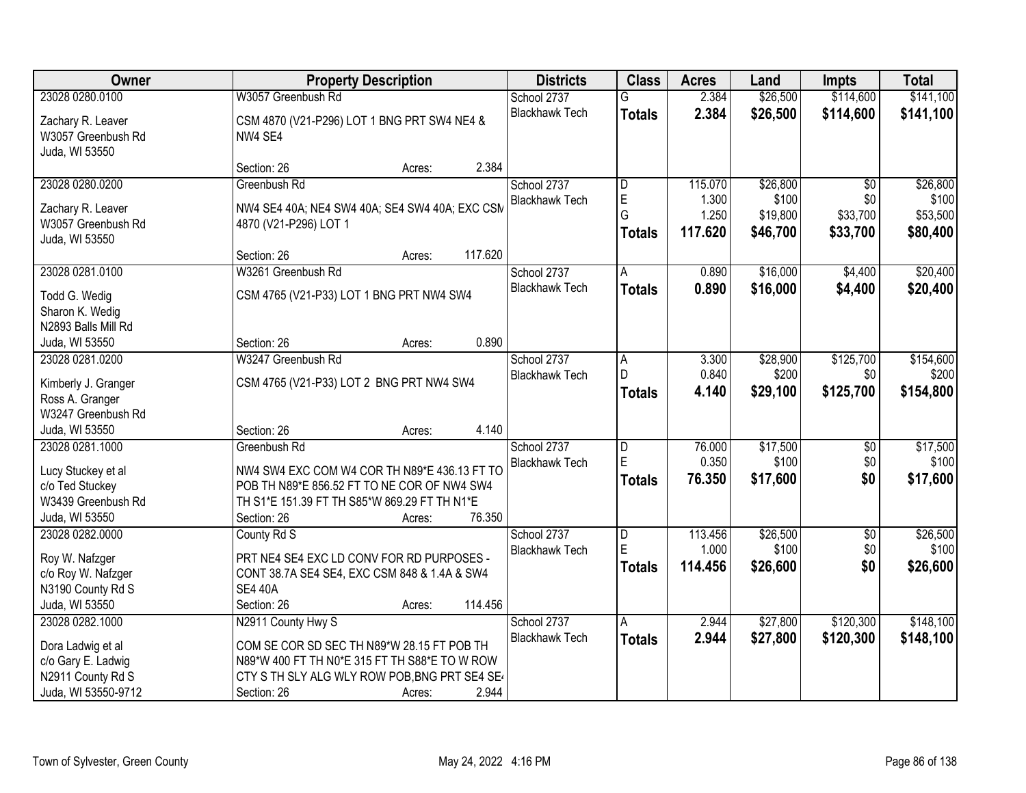| <b>Owner</b>                                                                                           | <b>Property Description</b>                                                                                                                                                                         | <b>Districts</b>                     | <b>Class</b>                              | <b>Acres</b>                         | Land                                      | <b>Impts</b>                                   | <b>Total</b>                              |
|--------------------------------------------------------------------------------------------------------|-----------------------------------------------------------------------------------------------------------------------------------------------------------------------------------------------------|--------------------------------------|-------------------------------------------|--------------------------------------|-------------------------------------------|------------------------------------------------|-------------------------------------------|
| 23028 0280.0100                                                                                        | W3057 Greenbush Rd                                                                                                                                                                                  | School 2737                          | G                                         | 2.384                                | \$26,500                                  | \$114,600                                      | \$141,100                                 |
| Zachary R. Leaver<br>W3057 Greenbush Rd<br>Juda, WI 53550                                              | CSM 4870 (V21-P296) LOT 1 BNG PRT SW4 NE4 &<br>NW4 SE4                                                                                                                                              | <b>Blackhawk Tech</b>                | <b>Totals</b>                             | 2.384                                | \$26,500                                  | \$114,600                                      | \$141,100                                 |
|                                                                                                        | 2.384<br>Section: 26<br>Acres:                                                                                                                                                                      |                                      |                                           |                                      |                                           |                                                |                                           |
| 23028 0280.0200<br>Zachary R. Leaver<br>W3057 Greenbush Rd<br>Juda, WI 53550                           | Greenbush Rd<br>NW4 SE4 40A; NE4 SW4 40A; SE4 SW4 40A; EXC CSM<br>4870 (V21-P296) LOT 1                                                                                                             | School 2737<br><b>Blackhawk Tech</b> | D<br>$\overline{E}$<br>G<br><b>Totals</b> | 115.070<br>1.300<br>1.250<br>117.620 | \$26,800<br>\$100<br>\$19,800<br>\$46,700 | $\overline{50}$<br>\$0<br>\$33,700<br>\$33,700 | \$26,800<br>\$100<br>\$53,500<br>\$80,400 |
|                                                                                                        | 117.620<br>Section: 26<br>Acres:                                                                                                                                                                    |                                      |                                           |                                      |                                           |                                                |                                           |
| 23028 0281.0100                                                                                        | W3261 Greenbush Rd                                                                                                                                                                                  | School 2737                          | A                                         | 0.890                                | \$16,000                                  | \$4,400                                        | \$20,400                                  |
| Todd G. Wedig<br>Sharon K. Wedig<br>N2893 Balls Mill Rd                                                | CSM 4765 (V21-P33) LOT 1 BNG PRT NW4 SW4                                                                                                                                                            | <b>Blackhawk Tech</b>                | <b>Totals</b>                             | 0.890                                | \$16,000                                  | \$4,400                                        | \$20,400                                  |
| Juda, WI 53550                                                                                         | 0.890<br>Section: 26<br>Acres:                                                                                                                                                                      |                                      |                                           |                                      |                                           |                                                |                                           |
| 23028 0281.0200<br>Kimberly J. Granger<br>Ross A. Granger<br>W3247 Greenbush Rd                        | W3247 Greenbush Rd<br>CSM 4765 (V21-P33) LOT 2 BNG PRT NW4 SW4                                                                                                                                      | School 2737<br><b>Blackhawk Tech</b> | $\overline{A}$<br>D<br><b>Totals</b>      | 3.300<br>0.840<br>4.140              | \$28,900<br>\$200<br>\$29,100             | \$125,700<br>\$0<br>\$125,700                  | \$154,600<br>\$200<br>\$154,800           |
| Juda, WI 53550                                                                                         | 4.140<br>Section: 26<br>Acres:                                                                                                                                                                      |                                      |                                           |                                      |                                           |                                                |                                           |
| 23028 0281.1000<br>Lucy Stuckey et al<br>c/o Ted Stuckey<br>W3439 Greenbush Rd<br>Juda, WI 53550       | Greenbush Rd<br>NW4 SW4 EXC COM W4 COR TH N89*E 436.13 FT TO<br>POB TH N89*E 856.52 FT TO NE COR OF NW4 SW4<br>TH S1*E 151.39 FT TH S85*W 869.29 FT TH N1*E<br>76.350<br>Section: 26<br>Acres:      | School 2737<br><b>Blackhawk Tech</b> | $\overline{D}$<br>E<br><b>Totals</b>      | 76.000<br>0.350<br>76.350            | \$17,500<br>\$100<br>\$17,600             | \$0<br>\$0<br>\$0                              | \$17,500<br>\$100<br>\$17,600             |
| 23028 0282.0000<br>Roy W. Nafzger<br>c/o Roy W. Nafzger<br>N3190 County Rd S<br>Juda, WI 53550         | County Rd S<br>PRT NE4 SE4 EXC LD CONV FOR RD PURPOSES -<br>CONT 38.7A SE4 SE4, EXC CSM 848 & 1.4A & SW4<br><b>SE4 40A</b><br>114.456<br>Section: 26<br>Acres:                                      | School 2737<br><b>Blackhawk Tech</b> | $\overline{D}$<br>E<br><b>Totals</b>      | 113.456<br>1.000<br>114.456          | \$26,500<br>\$100<br>\$26,600             | $\overline{$0}$<br>\$0<br>\$0                  | \$26,500<br>\$100<br>\$26,600             |
| 23028 0282.1000<br>Dora Ladwig et al<br>c/o Gary E. Ladwig<br>N2911 County Rd S<br>Juda, WI 53550-9712 | N2911 County Hwy S<br>COM SE COR SD SEC TH N89*W 28.15 FT POB TH<br>N89*W 400 FT TH N0*E 315 FT TH S88*E TO W ROW<br>CTY S TH SLY ALG WLY ROW POB, BNG PRT SE4 SE<br>2.944<br>Section: 26<br>Acres: | School 2737<br><b>Blackhawk Tech</b> | Α<br><b>Totals</b>                        | 2.944<br>2.944                       | \$27,800<br>\$27,800                      | \$120,300<br>\$120,300                         | \$148,100<br>\$148,100                    |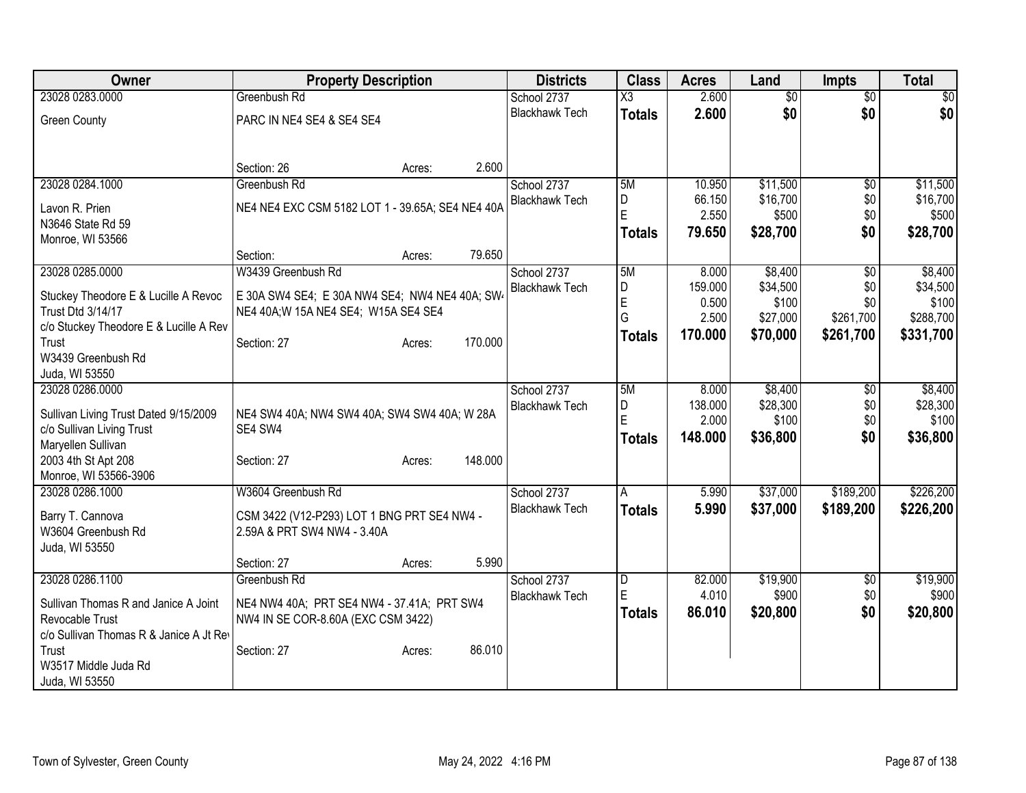| Owner                                                   | <b>Property Description</b>                                                      |         | <b>Districts</b>                     | <b>Class</b>           | <b>Acres</b>     | Land                 | <b>Impts</b>           | <b>Total</b>         |
|---------------------------------------------------------|----------------------------------------------------------------------------------|---------|--------------------------------------|------------------------|------------------|----------------------|------------------------|----------------------|
| 23028 0283.0000                                         | Greenbush Rd                                                                     |         | School 2737                          | $\overline{\text{X3}}$ | 2.600            | \$0                  | $\overline{50}$        | \$0                  |
| <b>Green County</b>                                     | PARC IN NE4 SE4 & SE4 SE4                                                        |         | <b>Blackhawk Tech</b>                | <b>Totals</b>          | 2.600            | \$0                  | \$0                    | \$0                  |
|                                                         | Section: 26<br>Acres:                                                            | 2.600   |                                      |                        |                  |                      |                        |                      |
| 23028 0284.1000                                         | Greenbush Rd                                                                     |         | School 2737<br><b>Blackhawk Tech</b> | 5M<br>D                | 10.950<br>66.150 | \$11,500<br>\$16,700 | $\overline{50}$<br>\$0 | \$11,500<br>\$16,700 |
| Lavon R. Prien                                          | NE4 NE4 EXC CSM 5182 LOT 1 - 39.65A; SE4 NE4 40A                                 |         |                                      | Ė                      | 2.550            | \$500                | \$0                    | \$500                |
| N3646 State Rd 59                                       |                                                                                  |         |                                      | <b>Totals</b>          | 79.650           | \$28,700             | \$0                    | \$28,700             |
| Monroe, WI 53566                                        |                                                                                  | 79.650  |                                      |                        |                  |                      |                        |                      |
| 23028 0285.0000                                         | Section:<br>Acres:<br>W3439 Greenbush Rd                                         |         | School 2737                          | 5M                     | 8.000            | \$8,400              | $\sqrt{6}$             | \$8,400              |
|                                                         |                                                                                  |         | <b>Blackhawk Tech</b>                | D                      | 159.000          | \$34,500             | \$0                    | \$34,500             |
| Stuckey Theodore E & Lucille A Revoc                    | E 30A SW4 SE4; E 30A NW4 SE4; NW4 NE4 40A; SW4                                   |         |                                      | E                      | 0.500            | \$100                | \$0                    | \$100                |
| <b>Trust Dtd 3/14/17</b>                                | NE4 40A; W 15A NE4 SE4; W15A SE4 SE4                                             |         |                                      | G                      | 2.500            | \$27,000             | \$261,700              | \$288,700            |
| c/o Stuckey Theodore E & Lucille A Rev                  |                                                                                  | 170.000 |                                      | <b>Totals</b>          | 170.000          | \$70,000             | \$261,700              | \$331,700            |
| Trust<br>W3439 Greenbush Rd                             | Section: 27<br>Acres:                                                            |         |                                      |                        |                  |                      |                        |                      |
| Juda, WI 53550                                          |                                                                                  |         |                                      |                        |                  |                      |                        |                      |
| 23028 0286.0000                                         |                                                                                  |         | School 2737                          | 5M                     | 8.000            | \$8,400              | $\overline{60}$        | \$8,400              |
|                                                         |                                                                                  |         | <b>Blackhawk Tech</b>                | D                      | 138.000          | \$28,300             | \$0                    | \$28,300             |
| Sullivan Living Trust Dated 9/15/2009                   | NE4 SW4 40A; NW4 SW4 40A; SW4 SW4 40A; W 28A<br>SE4 SW4                          |         |                                      | Ē                      | 2.000            | \$100                | \$0                    | \$100                |
| c/o Sullivan Living Trust<br>Maryellen Sullivan         |                                                                                  |         |                                      | <b>Totals</b>          | 148.000          | \$36,800             | \$0                    | \$36,800             |
| 2003 4th St Apt 208                                     | Section: 27<br>Acres:                                                            | 148.000 |                                      |                        |                  |                      |                        |                      |
| Monroe, WI 53566-3906                                   |                                                                                  |         |                                      |                        |                  |                      |                        |                      |
| 23028 0286.1000                                         | W3604 Greenbush Rd                                                               |         | School 2737                          | A                      | 5.990            | \$37,000             | \$189,200              | \$226,200            |
|                                                         |                                                                                  |         | <b>Blackhawk Tech</b>                | <b>Totals</b>          | 5.990            | \$37,000             | \$189,200              | \$226,200            |
| Barry T. Cannova<br>W3604 Greenbush Rd                  | CSM 3422 (V12-P293) LOT 1 BNG PRT SE4 NW4 -<br>2.59A & PRT SW4 NW4 - 3.40A       |         |                                      |                        |                  |                      |                        |                      |
| Juda, WI 53550                                          |                                                                                  |         |                                      |                        |                  |                      |                        |                      |
|                                                         | Section: 27<br>Acres:                                                            | 5.990   |                                      |                        |                  |                      |                        |                      |
| 23028 0286.1100                                         | Greenbush Rd                                                                     |         | School 2737                          | D                      | 82,000           | \$19,900             | $\overline{50}$        | \$19,900             |
|                                                         |                                                                                  |         | <b>Blackhawk Tech</b>                | E                      | 4.010            | \$900                | \$0                    | \$900                |
| Sullivan Thomas R and Janice A Joint<br>Revocable Trust | NE4 NW4 40A; PRT SE4 NW4 - 37.41A; PRT SW4<br>NW4 IN SE COR-8.60A (EXC CSM 3422) |         |                                      | <b>Totals</b>          | 86.010           | \$20,800             | \$0                    | \$20,800             |
| c/o Sullivan Thomas R & Janice A Jt Rev                 |                                                                                  |         |                                      |                        |                  |                      |                        |                      |
| Trust                                                   | Section: 27<br>Acres:                                                            | 86.010  |                                      |                        |                  |                      |                        |                      |
| W3517 Middle Juda Rd                                    |                                                                                  |         |                                      |                        |                  |                      |                        |                      |
| Juda, WI 53550                                          |                                                                                  |         |                                      |                        |                  |                      |                        |                      |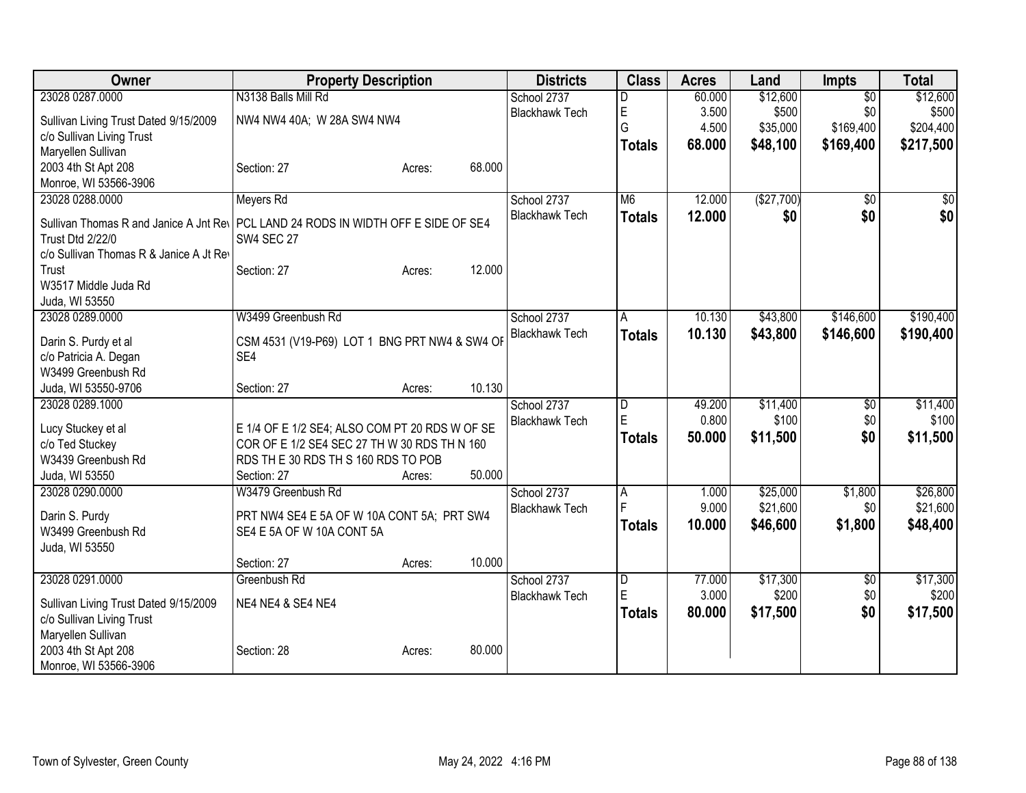| Owner                                                                                                                                                    | <b>Property Description</b>                    |                  | <b>Districts</b>      | <b>Class</b>        | <b>Acres</b> | Land       | <b>Impts</b>    | <b>Total</b> |
|----------------------------------------------------------------------------------------------------------------------------------------------------------|------------------------------------------------|------------------|-----------------------|---------------------|--------------|------------|-----------------|--------------|
| 23028 0287.0000                                                                                                                                          | N3138 Balls Mill Rd                            |                  | School 2737           | D                   | 60.000       | \$12,600   | $\overline{50}$ | \$12,600     |
| Sullivan Living Trust Dated 9/15/2009                                                                                                                    | NW4 NW4 40A; W 28A SW4 NW4                     |                  | <b>Blackhawk Tech</b> | $\mathsf E$         | 3.500        | \$500      | \$0             | \$500        |
| c/o Sullivan Living Trust                                                                                                                                |                                                |                  |                       | G                   | 4.500        | \$35,000   | \$169,400       | \$204,400    |
| Maryellen Sullivan                                                                                                                                       |                                                |                  |                       | <b>Totals</b>       | 68.000       | \$48,100   | \$169,400       | \$217,500    |
| 2003 4th St Apt 208                                                                                                                                      | Section: 27                                    | 68.000<br>Acres: |                       |                     |              |            |                 |              |
| Monroe, WI 53566-3906                                                                                                                                    |                                                |                  |                       |                     |              |            |                 |              |
| 23028 0288.0000                                                                                                                                          | Meyers Rd                                      |                  | School 2737           | M <sub>6</sub>      | 12.000       | (\$27,700) | \$0             | \$0          |
| Sullivan Thomas R and Janice A Jnt Rey PCL LAND 24 RODS IN WIDTH OFF E SIDE OF SE4<br><b>Trust Dtd 2/22/0</b><br>c/o Sullivan Thomas R & Janice A Jt Rev | <b>SW4 SEC 27</b>                              |                  | <b>Blackhawk Tech</b> | <b>Totals</b>       | 12.000       | \$0        | \$0             | \$0          |
| Trust                                                                                                                                                    | Section: 27                                    | 12.000<br>Acres: |                       |                     |              |            |                 |              |
| W3517 Middle Juda Rd                                                                                                                                     |                                                |                  |                       |                     |              |            |                 |              |
| Juda, WI 53550                                                                                                                                           |                                                |                  |                       |                     |              |            |                 |              |
| 23028 0289.0000                                                                                                                                          | W3499 Greenbush Rd                             |                  | School 2737           | A                   | 10.130       | \$43,800   | \$146,600       | \$190,400    |
|                                                                                                                                                          |                                                |                  | <b>Blackhawk Tech</b> | Totals              | 10.130       | \$43,800   | \$146,600       | \$190,400    |
| Darin S. Purdy et al                                                                                                                                     | CSM 4531 (V19-P69) LOT 1 BNG PRT NW4 & SW4 OF  |                  |                       |                     |              |            |                 |              |
| c/o Patricia A. Degan                                                                                                                                    | SE4                                            |                  |                       |                     |              |            |                 |              |
| W3499 Greenbush Rd<br>Juda, WI 53550-9706                                                                                                                | Section: 27                                    | 10.130<br>Acres: |                       |                     |              |            |                 |              |
| 23028 0289.1000                                                                                                                                          |                                                |                  | School 2737           | D                   | 49.200       | \$11,400   | \$0             | \$11,400     |
|                                                                                                                                                          |                                                |                  | <b>Blackhawk Tech</b> | E                   | 0.800        | \$100      | \$0             | \$100        |
| Lucy Stuckey et al                                                                                                                                       | E 1/4 OF E 1/2 SE4; ALSO COM PT 20 RDS W OF SE |                  |                       | Totals              | 50.000       | \$11,500   | \$0             | \$11,500     |
| c/o Ted Stuckey                                                                                                                                          | COR OF E 1/2 SE4 SEC 27 TH W 30 RDS TH N 160   |                  |                       |                     |              |            |                 |              |
| W3439 Greenbush Rd                                                                                                                                       | RDS THE 30 RDS TH S 160 RDS TO POB             |                  |                       |                     |              |            |                 |              |
| Juda, WI 53550                                                                                                                                           | Section: 27                                    | 50.000<br>Acres: |                       |                     |              |            |                 |              |
| 23028 0290.0000                                                                                                                                          | W3479 Greenbush Rd                             |                  | School 2737           | A<br>$\overline{F}$ | 1.000        | \$25,000   | \$1,800         | \$26,800     |
| Darin S. Purdy                                                                                                                                           | PRT NW4 SE4 E 5A OF W 10A CONT 5A; PRT SW4     |                  | <b>Blackhawk Tech</b> |                     | 9.000        | \$21,600   | \$0             | \$21,600     |
| W3499 Greenbush Rd                                                                                                                                       | SE4 E 5A OF W 10A CONT 5A                      |                  |                       | <b>Totals</b>       | 10.000       | \$46,600   | \$1,800         | \$48,400     |
| Juda, WI 53550                                                                                                                                           |                                                |                  |                       |                     |              |            |                 |              |
|                                                                                                                                                          | Section: 27                                    | 10.000<br>Acres: |                       |                     |              |            |                 |              |
| 23028 0291.0000                                                                                                                                          | Greenbush Rd                                   |                  | School 2737           | $\overline{D}$      | 77.000       | \$17,300   | $\overline{50}$ | \$17,300     |
| Sullivan Living Trust Dated 9/15/2009                                                                                                                    | NE4 NE4 & SE4 NE4                              |                  | <b>Blackhawk Tech</b> | $\mathsf E$         | 3.000        | \$200      | \$0             | \$200        |
| c/o Sullivan Living Trust                                                                                                                                |                                                |                  |                       | <b>Totals</b>       | 80.000       | \$17,500   | \$0             | \$17,500     |
| Maryellen Sullivan                                                                                                                                       |                                                |                  |                       |                     |              |            |                 |              |
| 2003 4th St Apt 208                                                                                                                                      | Section: 28                                    | 80.000<br>Acres: |                       |                     |              |            |                 |              |
| Monroe, WI 53566-3906                                                                                                                                    |                                                |                  |                       |                     |              |            |                 |              |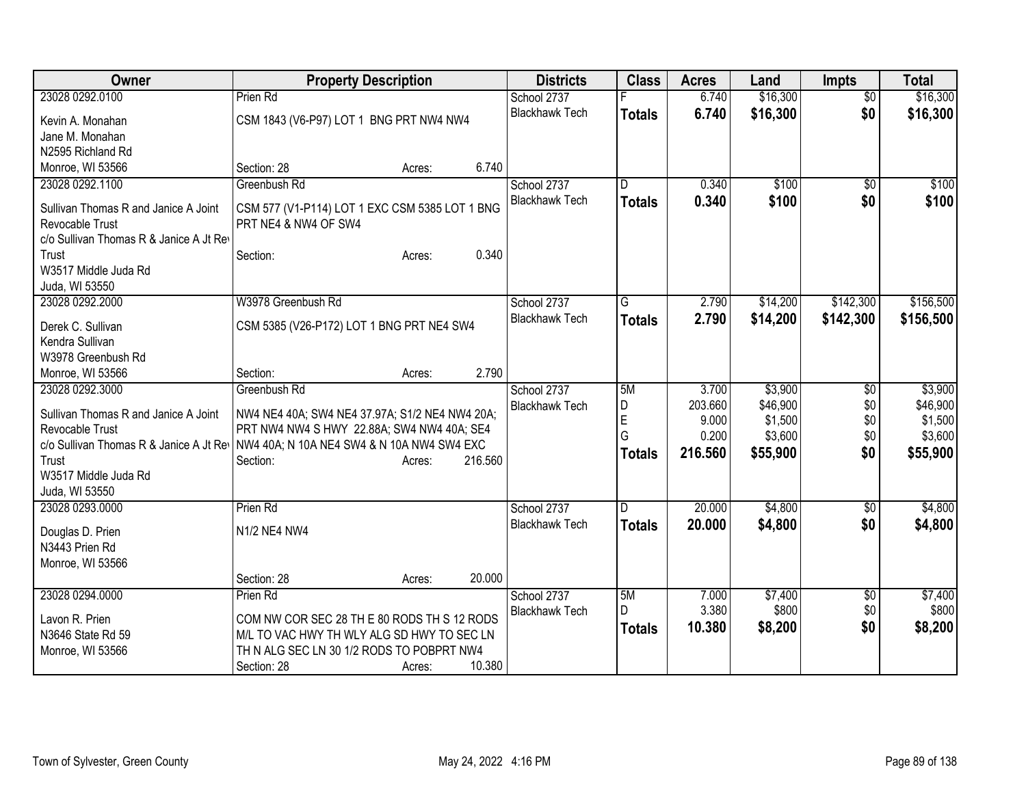| Owner                                                                                                                                                                    | <b>Property Description</b>                                                                                                                                                                 | <b>Districts</b>                     | <b>Class</b>                                    | <b>Acres</b>                                  | Land                                                  | <b>Impts</b>                    | <b>Total</b>                                          |
|--------------------------------------------------------------------------------------------------------------------------------------------------------------------------|---------------------------------------------------------------------------------------------------------------------------------------------------------------------------------------------|--------------------------------------|-------------------------------------------------|-----------------------------------------------|-------------------------------------------------------|---------------------------------|-------------------------------------------------------|
| 23028 0292.0100                                                                                                                                                          | Prien Rd                                                                                                                                                                                    | School 2737                          |                                                 | 6.740                                         | \$16,300                                              | $\overline{50}$                 | \$16,300                                              |
| Kevin A. Monahan                                                                                                                                                         | CSM 1843 (V6-P97) LOT 1 BNG PRT NW4 NW4                                                                                                                                                     | <b>Blackhawk Tech</b>                | <b>Totals</b>                                   | 6.740                                         | \$16,300                                              | \$0                             | \$16,300                                              |
| Jane M. Monahan                                                                                                                                                          |                                                                                                                                                                                             |                                      |                                                 |                                               |                                                       |                                 |                                                       |
| N2595 Richland Rd                                                                                                                                                        |                                                                                                                                                                                             |                                      |                                                 |                                               |                                                       |                                 |                                                       |
| Monroe, WI 53566                                                                                                                                                         | 6.740<br>Section: 28<br>Acres:                                                                                                                                                              |                                      |                                                 |                                               |                                                       |                                 |                                                       |
| 23028 0292.1100                                                                                                                                                          | Greenbush Rd                                                                                                                                                                                | School 2737                          | D                                               | 0.340                                         | \$100                                                 | $\sqrt{6}$                      | \$100                                                 |
| Sullivan Thomas R and Janice A Joint<br>Revocable Trust<br>c/o Sullivan Thomas R & Janice A Jt Rev                                                                       | CSM 577 (V1-P114) LOT 1 EXC CSM 5385 LOT 1 BNG<br>PRT NE4 & NW4 OF SW4<br>0.340                                                                                                             | <b>Blackhawk Tech</b>                | <b>Totals</b>                                   | 0.340                                         | \$100                                                 | \$0                             | \$100                                                 |
| Trust<br>W3517 Middle Juda Rd                                                                                                                                            | Section:<br>Acres:                                                                                                                                                                          |                                      |                                                 |                                               |                                                       |                                 |                                                       |
| Juda, WI 53550                                                                                                                                                           |                                                                                                                                                                                             |                                      |                                                 |                                               |                                                       |                                 |                                                       |
| 23028 0292.2000                                                                                                                                                          | W3978 Greenbush Rd                                                                                                                                                                          | School 2737                          | $\overline{G}$                                  | 2.790                                         | \$14,200                                              | \$142,300                       | \$156,500                                             |
|                                                                                                                                                                          |                                                                                                                                                                                             | <b>Blackhawk Tech</b>                | <b>Totals</b>                                   | 2.790                                         | \$14,200                                              | \$142,300                       | \$156,500                                             |
| Derek C. Sullivan                                                                                                                                                        | CSM 5385 (V26-P172) LOT 1 BNG PRT NE4 SW4                                                                                                                                                   |                                      |                                                 |                                               |                                                       |                                 |                                                       |
| Kendra Sullivan                                                                                                                                                          |                                                                                                                                                                                             |                                      |                                                 |                                               |                                                       |                                 |                                                       |
| W3978 Greenbush Rd                                                                                                                                                       |                                                                                                                                                                                             |                                      |                                                 |                                               |                                                       |                                 |                                                       |
| Monroe, WI 53566                                                                                                                                                         | 2.790<br>Section:<br>Acres:                                                                                                                                                                 |                                      |                                                 |                                               |                                                       |                                 |                                                       |
| 23028 0292.3000<br>Sullivan Thomas R and Janice A Joint<br>Revocable Trust<br>c/o Sullivan Thomas R & Janice A Jt Rev<br>Trust<br>W3517 Middle Juda Rd<br>Juda, WI 53550 | Greenbush Rd<br>NW4 NE4 40A; SW4 NE4 37.97A; S1/2 NE4 NW4 20A;<br>PRT NW4 NW4 S HWY 22.88A; SW4 NW4 40A; SE4<br>NW4 40A; N 10A NE4 SW4 & N 10A NW4 SW4 EXC<br>216.560<br>Section:<br>Acres: | School 2737<br><b>Blackhawk Tech</b> | 5M<br>$\overline{D}$<br>E<br>G<br><b>Totals</b> | 3.700<br>203.660<br>9.000<br>0.200<br>216.560 | \$3,900<br>\$46,900<br>\$1,500<br>\$3,600<br>\$55,900 | \$0<br>\$0<br>\$0<br>\$0<br>\$0 | \$3,900<br>\$46,900<br>\$1,500<br>\$3,600<br>\$55,900 |
| 23028 0293.0000                                                                                                                                                          | Prien Rd                                                                                                                                                                                    | School 2737                          | D                                               | 20.000                                        | \$4,800                                               | \$0                             | \$4,800                                               |
| Douglas D. Prien<br>N3443 Prien Rd<br>Monroe, WI 53566                                                                                                                   | N1/2 NE4 NW4                                                                                                                                                                                | <b>Blackhawk Tech</b>                | <b>Totals</b>                                   | 20.000                                        | \$4,800                                               | \$0                             | \$4,800                                               |
|                                                                                                                                                                          | 20.000<br>Section: 28<br>Acres:                                                                                                                                                             |                                      |                                                 |                                               |                                                       |                                 |                                                       |
| 23028 0294.0000                                                                                                                                                          | Prien Rd                                                                                                                                                                                    | School 2737                          | 5M                                              | 7.000                                         | \$7,400                                               | \$0                             | \$7,400                                               |
| Lavon R. Prien                                                                                                                                                           | COM NW COR SEC 28 TH E 80 RODS TH S 12 RODS                                                                                                                                                 | <b>Blackhawk Tech</b>                | D.                                              | 3.380                                         | \$800                                                 | \$0                             | \$800                                                 |
| N3646 State Rd 59                                                                                                                                                        | M/L TO VAC HWY TH WLY ALG SD HWY TO SEC LN                                                                                                                                                  |                                      | <b>Totals</b>                                   | 10.380                                        | \$8,200                                               | \$0                             | \$8,200                                               |
| Monroe, WI 53566                                                                                                                                                         | TH N ALG SEC LN 30 1/2 RODS TO POBPRT NW4                                                                                                                                                   |                                      |                                                 |                                               |                                                       |                                 |                                                       |
|                                                                                                                                                                          | 10.380<br>Section: 28<br>Acres:                                                                                                                                                             |                                      |                                                 |                                               |                                                       |                                 |                                                       |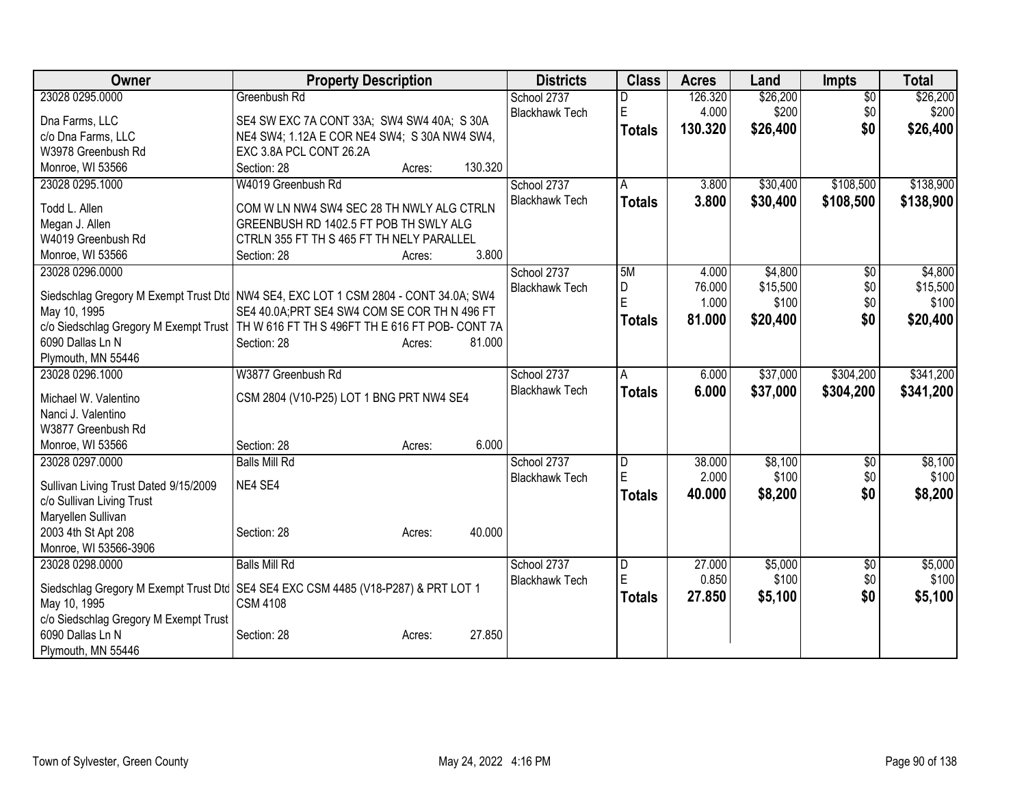| Owner                                                                                   | <b>Property Description</b>                   |        |         | <b>Districts</b>      | <b>Class</b>   | <b>Acres</b> | Land     | <b>Impts</b>    | <b>Total</b> |
|-----------------------------------------------------------------------------------------|-----------------------------------------------|--------|---------|-----------------------|----------------|--------------|----------|-----------------|--------------|
| 23028 0295.0000                                                                         | Greenbush Rd                                  |        |         | School 2737           |                | 126.320      | \$26,200 | $\overline{50}$ | \$26,200     |
| Dna Farms, LLC                                                                          | SE4 SW EXC 7A CONT 33A; SW4 SW4 40A; S 30A    |        |         | <b>Blackhawk Tech</b> | $\mathsf E$    | 4.000        | \$200    | \$0             | \$200        |
| c/o Dna Farms, LLC                                                                      | NE4 SW4; 1.12A E COR NE4 SW4; S 30A NW4 SW4,  |        |         |                       | <b>Totals</b>  | 130.320      | \$26,400 | \$0             | \$26,400     |
| W3978 Greenbush Rd                                                                      | EXC 3.8A PCL CONT 26.2A                       |        |         |                       |                |              |          |                 |              |
| Monroe, WI 53566                                                                        | Section: 28                                   | Acres: | 130.320 |                       |                |              |          |                 |              |
| 23028 0295.1000                                                                         | W4019 Greenbush Rd                            |        |         | School 2737           | A              | 3.800        | \$30,400 | \$108,500       | \$138,900    |
| Todd L. Allen                                                                           | COM W LN NW4 SW4 SEC 28 TH NWLY ALG CTRLN     |        |         | <b>Blackhawk Tech</b> | <b>Totals</b>  | 3.800        | \$30,400 | \$108,500       | \$138,900    |
| Megan J. Allen                                                                          | GREENBUSH RD 1402.5 FT POB TH SWLY ALG        |        |         |                       |                |              |          |                 |              |
| W4019 Greenbush Rd                                                                      | CTRLN 355 FT TH S 465 FT TH NELY PARALLEL     |        |         |                       |                |              |          |                 |              |
| Monroe, WI 53566                                                                        | Section: 28                                   | Acres: | 3.800   |                       |                |              |          |                 |              |
| 23028 0296.0000                                                                         |                                               |        |         | School 2737           | 5M             | 4.000        | \$4,800  | \$0             | \$4,800      |
|                                                                                         |                                               |        |         | <b>Blackhawk Tech</b> | D              | 76.000       | \$15,500 | \$0             | \$15,500     |
| Siedschlag Gregory M Exempt Trust Dtc   NW4 SE4, EXC LOT 1 CSM 2804 - CONT 34.0A; SW4   |                                               |        |         |                       | E              | 1.000        | \$100    | \$0             | \$100        |
| May 10, 1995                                                                            | SE4 40.0A; PRT SE4 SW4 COM SE COR TH N 496 FT |        |         |                       | Totals         | 81.000       | \$20,400 | \$0             | \$20,400     |
| c/o Siedschlag Gregory M Exempt Trust   TH W 616 FT TH S 496FT TH E 616 FT POB- CONT 7A |                                               |        |         |                       |                |              |          |                 |              |
| 6090 Dallas Ln N                                                                        | Section: 28                                   | Acres: | 81.000  |                       |                |              |          |                 |              |
| Plymouth, MN 55446<br>23028 0296.1000                                                   | W3877 Greenbush Rd                            |        |         | School 2737           |                | 6.000        | \$37,000 | \$304,200       | \$341,200    |
|                                                                                         |                                               |        |         | <b>Blackhawk Tech</b> | A              |              |          |                 |              |
| Michael W. Valentino                                                                    | CSM 2804 (V10-P25) LOT 1 BNG PRT NW4 SE4      |        |         |                       | <b>Totals</b>  | 6.000        | \$37,000 | \$304,200       | \$341,200    |
| Nanci J. Valentino                                                                      |                                               |        |         |                       |                |              |          |                 |              |
| W3877 Greenbush Rd                                                                      |                                               |        |         |                       |                |              |          |                 |              |
| Monroe, WI 53566                                                                        | Section: 28                                   | Acres: | 6.000   |                       |                |              |          |                 |              |
| 23028 0297.0000                                                                         | <b>Balls Mill Rd</b>                          |        |         | School 2737           | $\overline{D}$ | 38.000       | \$8,100  | \$0             | \$8,100      |
| Sullivan Living Trust Dated 9/15/2009                                                   | NE4 SE4                                       |        |         | <b>Blackhawk Tech</b> | E              | 2.000        | \$100    | \$0             | \$100        |
| c/o Sullivan Living Trust                                                               |                                               |        |         |                       | <b>Totals</b>  | 40.000       | \$8,200  | \$0             | \$8,200      |
| Maryellen Sullivan                                                                      |                                               |        |         |                       |                |              |          |                 |              |
| 2003 4th St Apt 208                                                                     | Section: 28                                   | Acres: | 40.000  |                       |                |              |          |                 |              |
| Monroe, WI 53566-3906                                                                   |                                               |        |         |                       |                |              |          |                 |              |
| 23028 0298.0000                                                                         | <b>Balls Mill Rd</b>                          |        |         | School 2737           | $\overline{D}$ | 27.000       | \$5,000  | $\sqrt[6]{}$    | \$5,000      |
|                                                                                         |                                               |        |         | <b>Blackhawk Tech</b> | E              | 0.850        | \$100    | \$0             | \$100        |
| Siedschlag Gregory M Exempt Trust Dtc   SE4 SE4 EXC CSM 4485 (V18-P287) & PRT LOT 1     |                                               |        |         |                       | <b>Totals</b>  | 27.850       | \$5,100  | \$0             | \$5,100      |
| May 10, 1995                                                                            | <b>CSM 4108</b>                               |        |         |                       |                |              |          |                 |              |
| c/o Siedschlag Gregory M Exempt Trust<br>6090 Dallas Ln N                               | Section: 28                                   | Acres: | 27.850  |                       |                |              |          |                 |              |
|                                                                                         |                                               |        |         |                       |                |              |          |                 |              |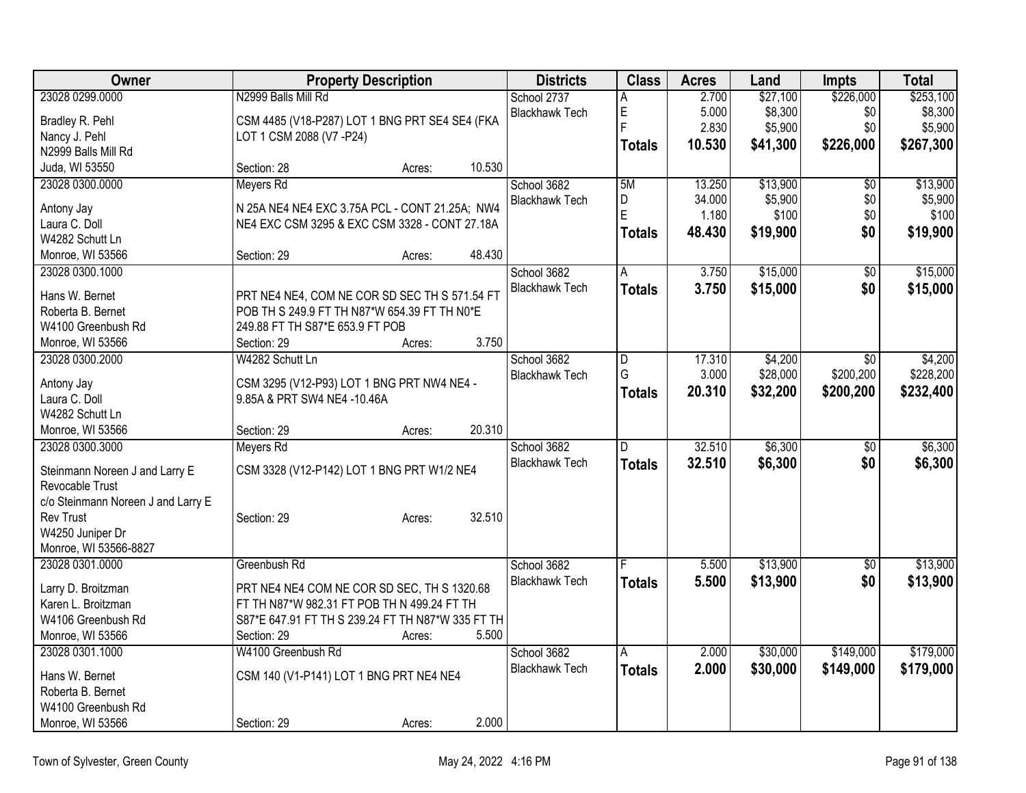| Owner                              |                                                                                                 | <b>Property Description</b> |        | <b>Districts</b>      | <b>Class</b>   | <b>Acres</b> | Land     | Impts           | <b>Total</b> |
|------------------------------------|-------------------------------------------------------------------------------------------------|-----------------------------|--------|-----------------------|----------------|--------------|----------|-----------------|--------------|
| 23028 0299.0000                    | N2999 Balls Mill Rd                                                                             |                             |        | School 2737           | А              | 2.700        | \$27,100 | \$226,000       | \$253,100    |
| Bradley R. Pehl                    | CSM 4485 (V18-P287) LOT 1 BNG PRT SE4 SE4 (FKA                                                  |                             |        | <b>Blackhawk Tech</b> | E              | 5.000        | \$8,300  | \$0             | \$8,300      |
| Nancy J. Pehl                      | LOT 1 CSM 2088 (V7 - P24)                                                                       |                             |        |                       | E              | 2.830        | \$5,900  | \$0             | \$5,900      |
| N2999 Balls Mill Rd                |                                                                                                 |                             |        |                       | <b>Totals</b>  | 10.530       | \$41,300 | \$226,000       | \$267,300    |
| Juda, WI 53550                     | Section: 28                                                                                     | Acres:                      | 10.530 |                       |                |              |          |                 |              |
| 23028 0300.0000                    | Meyers Rd                                                                                       |                             |        | School 3682           | 5M             | 13.250       | \$13,900 | $\overline{50}$ | \$13,900     |
|                                    |                                                                                                 |                             |        | <b>Blackhawk Tech</b> | D              | 34.000       | \$5,900  | \$0             | \$5,900      |
| Antony Jay                         | N 25A NE4 NE4 EXC 3.75A PCL - CONT 21.25A; NW4<br>NE4 EXC CSM 3295 & EXC CSM 3328 - CONT 27.18A |                             |        |                       | E              | 1.180        | \$100    | \$0             | \$100        |
| Laura C. Doll<br>W4282 Schutt Ln   |                                                                                                 |                             |        |                       | <b>Totals</b>  | 48.430       | \$19,900 | \$0             | \$19,900     |
| Monroe, WI 53566                   | Section: 29                                                                                     |                             | 48.430 |                       |                |              |          |                 |              |
| 23028 0300.1000                    |                                                                                                 | Acres:                      |        | School 3682           |                | 3.750        | \$15,000 | $\overline{50}$ | \$15,000     |
|                                    |                                                                                                 |                             |        |                       | A              |              |          |                 |              |
| Hans W. Bernet                     | PRT NE4 NE4, COM NE COR SD SEC TH S 571.54 FT                                                   |                             |        | <b>Blackhawk Tech</b> | <b>Totals</b>  | 3.750        | \$15,000 | \$0             | \$15,000     |
| Roberta B. Bernet                  | POB TH S 249.9 FT TH N87*W 654.39 FT TH N0*E                                                    |                             |        |                       |                |              |          |                 |              |
| W4100 Greenbush Rd                 | 249.88 FT TH S87*E 653.9 FT POB                                                                 |                             |        |                       |                |              |          |                 |              |
| Monroe, WI 53566                   | Section: 29                                                                                     | Acres:                      | 3.750  |                       |                |              |          |                 |              |
| 23028 0300.2000                    | W4282 Schutt Ln                                                                                 |                             |        | School 3682           | D              | 17.310       | \$4,200  | \$0             | \$4,200      |
|                                    |                                                                                                 |                             |        | <b>Blackhawk Tech</b> | G              | 3.000        | \$28,000 | \$200,200       | \$228,200    |
| Antony Jay                         | CSM 3295 (V12-P93) LOT 1 BNG PRT NW4 NE4 -                                                      |                             |        |                       | <b>Totals</b>  | 20.310       | \$32,200 | \$200,200       | \$232,400    |
| Laura C. Doll                      | 9.85A & PRT SW4 NE4 -10.46A                                                                     |                             |        |                       |                |              |          |                 |              |
| W4282 Schutt Ln                    |                                                                                                 |                             |        |                       |                |              |          |                 |              |
| Monroe, WI 53566                   | Section: 29                                                                                     | Acres:                      | 20.310 |                       | $\overline{D}$ |              |          |                 |              |
| 23028 0300.3000                    | Meyers Rd                                                                                       |                             |        | School 3682           |                | 32.510       | \$6,300  | $\overline{50}$ | \$6,300      |
| Steinmann Noreen J and Larry E     | CSM 3328 (V12-P142) LOT 1 BNG PRT W1/2 NE4                                                      |                             |        | <b>Blackhawk Tech</b> | <b>Totals</b>  | 32.510       | \$6,300  | \$0             | \$6,300      |
| Revocable Trust                    |                                                                                                 |                             |        |                       |                |              |          |                 |              |
| c/o Steinmann Noreen J and Larry E |                                                                                                 |                             |        |                       |                |              |          |                 |              |
| <b>Rev Trust</b>                   | Section: 29                                                                                     | Acres:                      | 32.510 |                       |                |              |          |                 |              |
| W4250 Juniper Dr                   |                                                                                                 |                             |        |                       |                |              |          |                 |              |
| Monroe, WI 53566-8827              |                                                                                                 |                             |        |                       |                |              |          |                 |              |
| 23028 0301.0000                    | Greenbush Rd                                                                                    |                             |        | School 3682           |                | 5.500        | \$13,900 | $\sqrt{6}$      | \$13,900     |
| Larry D. Broitzman                 | PRT NE4 NE4 COM NE COR SD SEC, TH S 1320.68                                                     |                             |        | <b>Blackhawk Tech</b> | <b>Totals</b>  | 5.500        | \$13,900 | \$0             | \$13,900     |
| Karen L. Broitzman                 | FT TH N87*W 982.31 FT POB TH N 499.24 FT TH                                                     |                             |        |                       |                |              |          |                 |              |
| W4106 Greenbush Rd                 | S87*E 647.91 FT TH S 239.24 FT TH N87*W 335 FT TH                                               |                             |        |                       |                |              |          |                 |              |
| Monroe, WI 53566                   | Section: 29                                                                                     | Acres:                      | 5.500  |                       |                |              |          |                 |              |
| 23028 0301.1000                    | W4100 Greenbush Rd                                                                              |                             |        | School 3682           | A              | 2.000        | \$30,000 | \$149,000       | \$179,000    |
|                                    |                                                                                                 |                             |        | <b>Blackhawk Tech</b> |                | 2.000        | \$30,000 | \$149,000       | \$179,000    |
| Hans W. Bernet                     | CSM 140 (V1-P141) LOT 1 BNG PRT NE4 NE4                                                         |                             |        |                       | <b>Totals</b>  |              |          |                 |              |
| Roberta B. Bernet                  |                                                                                                 |                             |        |                       |                |              |          |                 |              |
| W4100 Greenbush Rd                 |                                                                                                 |                             |        |                       |                |              |          |                 |              |
| Monroe, WI 53566                   | Section: 29                                                                                     | Acres:                      | 2.000  |                       |                |              |          |                 |              |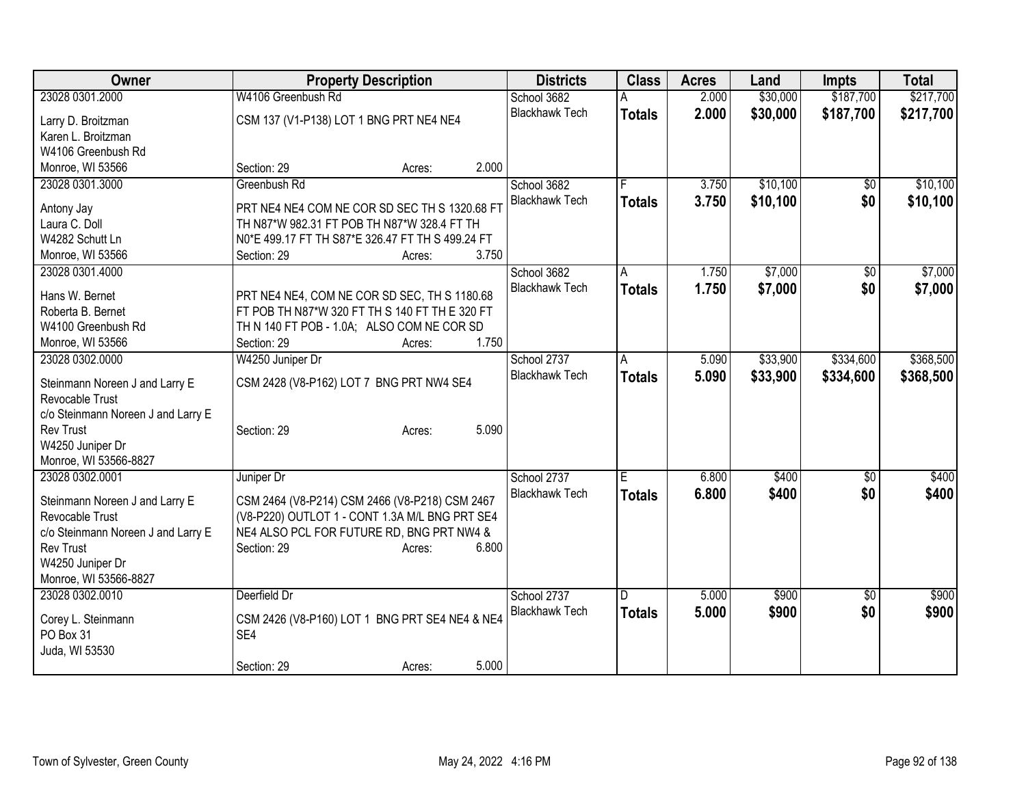| <b>Owner</b>                        | <b>Property Description</b>                                                  | <b>Districts</b>      | <b>Class</b>  | <b>Acres</b> | Land     | <b>Impts</b>    | <b>Total</b> |
|-------------------------------------|------------------------------------------------------------------------------|-----------------------|---------------|--------------|----------|-----------------|--------------|
| 23028 0301.2000                     | W4106 Greenbush Rd                                                           | School 3682           |               | 2.000        | \$30,000 | \$187,700       | \$217,700    |
| Larry D. Broitzman                  | CSM 137 (V1-P138) LOT 1 BNG PRT NE4 NE4                                      | <b>Blackhawk Tech</b> | <b>Totals</b> | 2.000        | \$30,000 | \$187,700       | \$217,700    |
| Karen L. Broitzman                  |                                                                              |                       |               |              |          |                 |              |
| W4106 Greenbush Rd                  |                                                                              |                       |               |              |          |                 |              |
| Monroe, WI 53566                    | 2.000<br>Section: 29<br>Acres:                                               |                       |               |              |          |                 |              |
| 23028 0301.3000                     | Greenbush Rd                                                                 | School 3682           |               | 3.750        | \$10,100 | $\sqrt{6}$      | \$10,100     |
| Antony Jay                          | PRT NE4 NE4 COM NE COR SD SEC TH S 1320.68 FT                                | <b>Blackhawk Tech</b> | <b>Totals</b> | 3.750        | \$10,100 | \$0             | \$10,100     |
| Laura C. Doll                       | TH N87*W 982.31 FT POB TH N87*W 328.4 FT TH                                  |                       |               |              |          |                 |              |
| W4282 Schutt Ln                     | N0*E 499.17 FT TH S87*E 326.47 FT TH S 499.24 FT                             |                       |               |              |          |                 |              |
| Monroe, WI 53566                    | 3.750<br>Section: 29<br>Acres:                                               |                       |               |              |          |                 |              |
| 23028 0301.4000                     |                                                                              | School 3682           | Α             | 1.750        | \$7,000  | \$0             | \$7,000      |
|                                     |                                                                              | <b>Blackhawk Tech</b> | <b>Totals</b> | 1.750        | \$7,000  | \$0             | \$7,000      |
| Hans W. Bernet                      | PRT NE4 NE4, COM NE COR SD SEC, TH S 1180.68                                 |                       |               |              |          |                 |              |
| Roberta B. Bernet                   | FT POB TH N87*W 320 FT TH S 140 FT TH E 320 FT                               |                       |               |              |          |                 |              |
| W4100 Greenbush Rd                  | TH N 140 FT POB - 1.0A; ALSO COM NE COR SD<br>1.750<br>Section: 29<br>Acres: |                       |               |              |          |                 |              |
| Monroe, WI 53566<br>23028 0302.0000 | W4250 Juniper Dr                                                             | School 2737           | A             | 5.090        | \$33,900 | \$334,600       | \$368,500    |
|                                     |                                                                              | <b>Blackhawk Tech</b> |               | 5.090        | \$33,900 | \$334,600       | \$368,500    |
| Steinmann Noreen J and Larry E      | CSM 2428 (V8-P162) LOT 7 BNG PRT NW4 SE4                                     |                       | <b>Totals</b> |              |          |                 |              |
| Revocable Trust                     |                                                                              |                       |               |              |          |                 |              |
| c/o Steinmann Noreen J and Larry E  |                                                                              |                       |               |              |          |                 |              |
| <b>Rev Trust</b>                    | 5.090<br>Section: 29<br>Acres:                                               |                       |               |              |          |                 |              |
| W4250 Juniper Dr                    |                                                                              |                       |               |              |          |                 |              |
| Monroe, WI 53566-8827               |                                                                              |                       |               |              |          |                 |              |
| 23028 0302.0001                     | Juniper Dr                                                                   | School 2737           | E.            | 6.800        | \$400    | $\sqrt{6}$      | \$400        |
| Steinmann Noreen J and Larry E      | CSM 2464 (V8-P214) CSM 2466 (V8-P218) CSM 2467                               | <b>Blackhawk Tech</b> | <b>Totals</b> | 6.800        | \$400    | \$0             | \$400        |
| Revocable Trust                     | (V8-P220) OUTLOT 1 - CONT 1.3A M/L BNG PRT SE4                               |                       |               |              |          |                 |              |
| c/o Steinmann Noreen J and Larry E  | NE4 ALSO PCL FOR FUTURE RD, BNG PRT NW4 &                                    |                       |               |              |          |                 |              |
| <b>Rev Trust</b>                    | Section: 29<br>6.800<br>Acres:                                               |                       |               |              |          |                 |              |
| W4250 Juniper Dr                    |                                                                              |                       |               |              |          |                 |              |
| Monroe, WI 53566-8827               |                                                                              |                       |               |              |          |                 |              |
| 23028 0302.0010                     | Deerfield Dr                                                                 | School 2737           | D             | 5.000        | \$900    | $\overline{50}$ | \$900        |
| Corey L. Steinmann                  | CSM 2426 (V8-P160) LOT 1 BNG PRT SE4 NE4 & NE4                               | <b>Blackhawk Tech</b> | <b>Totals</b> | 5.000        | \$900    | \$0             | \$900        |
| PO Box 31                           | SE4                                                                          |                       |               |              |          |                 |              |
| Juda, WI 53530                      |                                                                              |                       |               |              |          |                 |              |
|                                     | 5.000<br>Section: 29<br>Acres:                                               |                       |               |              |          |                 |              |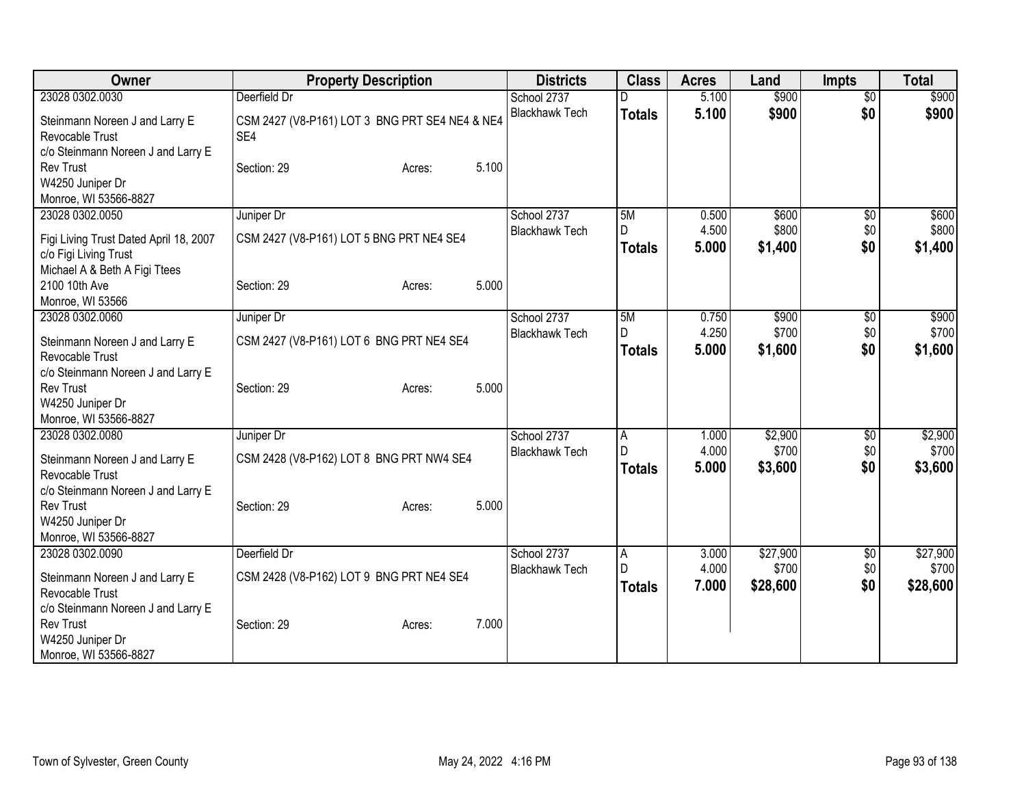| Owner                                                                                               | <b>Property Description</b>                           | <b>Districts</b>      | <b>Class</b>       | <b>Acres</b>   | Land              | <b>Impts</b>    | <b>Total</b>      |
|-----------------------------------------------------------------------------------------------------|-------------------------------------------------------|-----------------------|--------------------|----------------|-------------------|-----------------|-------------------|
| 23028 0302.0030                                                                                     | Deerfield Dr                                          | School 2737           |                    | 5.100          | \$900             | $\overline{50}$ | \$900             |
| Steinmann Noreen J and Larry E<br>Revocable Trust<br>c/o Steinmann Noreen J and Larry E             | CSM 2427 (V8-P161) LOT 3 BNG PRT SE4 NE4 & NE4<br>SE4 | <b>Blackhawk Tech</b> | <b>Totals</b>      | 5.100          | \$900             | \$0             | \$900             |
| <b>Rev Trust</b><br>W4250 Juniper Dr<br>Monroe, WI 53566-8827                                       | 5.100<br>Section: 29<br>Acres:                        |                       |                    |                |                   |                 |                   |
| 23028 0302.0050                                                                                     | Juniper Dr                                            | School 2737           | 5M                 | 0.500          | \$600             | $\overline{60}$ | \$600             |
| Figi Living Trust Dated April 18, 2007<br>c/o Figi Living Trust<br>Michael A & Beth A Figi Ttees    | CSM 2427 (V8-P161) LOT 5 BNG PRT NE4 SE4              | <b>Blackhawk Tech</b> | D<br><b>Totals</b> | 4.500<br>5.000 | \$800<br>\$1,400  | \$0<br>\$0      | \$800<br>\$1,400  |
| 2100 10th Ave<br>Monroe, WI 53566                                                                   | 5.000<br>Section: 29<br>Acres:                        |                       |                    |                |                   |                 |                   |
| 23028 0302.0060                                                                                     | Juniper Dr                                            | School 2737           | 5M                 | 0.750          | \$900             | \$0             | \$900             |
| Steinmann Noreen J and Larry E<br>Revocable Trust                                                   | CSM 2427 (V8-P161) LOT 6 BNG PRT NE4 SE4              | <b>Blackhawk Tech</b> | D<br><b>Totals</b> | 4.250<br>5.000 | \$700<br>\$1,600  | \$0<br>\$0      | \$700<br>\$1,600  |
| c/o Steinmann Noreen J and Larry E<br><b>Rev Trust</b><br>W4250 Juniper Dr<br>Monroe, WI 53566-8827 | 5.000<br>Section: 29<br>Acres:                        |                       |                    |                |                   |                 |                   |
| 23028 0302.0080                                                                                     | Juniper Dr                                            | School 2737           | A                  | 1.000          | \$2,900           | \$0             | \$2,900           |
| Steinmann Noreen J and Larry E<br>Revocable Trust<br>c/o Steinmann Noreen J and Larry E             | CSM 2428 (V8-P162) LOT 8 BNG PRT NW4 SE4              | <b>Blackhawk Tech</b> | D<br><b>Totals</b> | 4.000<br>5.000 | \$700<br>\$3,600  | \$0<br>\$0      | \$700<br>\$3,600  |
| <b>Rev Trust</b><br>W4250 Juniper Dr<br>Monroe, WI 53566-8827                                       | 5.000<br>Section: 29<br>Acres:                        |                       |                    |                |                   |                 |                   |
| 23028 0302.0090                                                                                     | Deerfield Dr                                          | School 2737           | $\overline{A}$     | 3.000          | \$27,900          | $\overline{60}$ | \$27,900          |
| Steinmann Noreen J and Larry E<br>Revocable Trust<br>c/o Steinmann Noreen J and Larry E             | CSM 2428 (V8-P162) LOT 9 BNG PRT NE4 SE4              | <b>Blackhawk Tech</b> | D<br><b>Totals</b> | 4.000<br>7.000 | \$700<br>\$28,600 | \$0<br>\$0      | \$700<br>\$28,600 |
| <b>Rev Trust</b><br>W4250 Juniper Dr<br>Monroe, WI 53566-8827                                       | 7.000<br>Section: 29<br>Acres:                        |                       |                    |                |                   |                 |                   |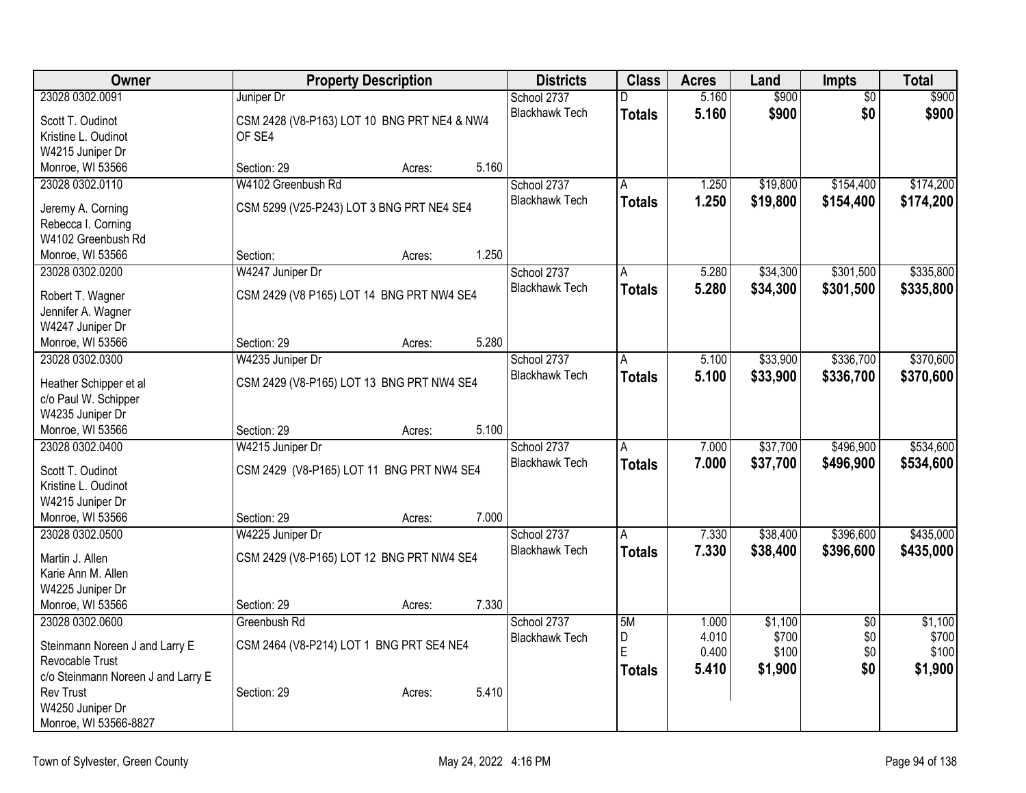| Owner                                  |                                             | <b>Property Description</b> |       | <b>Districts</b>      | <b>Class</b>  | <b>Acres</b> | Land     | <b>Impts</b>    | <b>Total</b> |
|----------------------------------------|---------------------------------------------|-----------------------------|-------|-----------------------|---------------|--------------|----------|-----------------|--------------|
| 23028 0302.0091                        | Juniper Dr                                  |                             |       | School 2737           | D.            | 5.160        | \$900    | $\overline{50}$ | \$900        |
| Scott T. Oudinot                       | CSM 2428 (V8-P163) LOT 10 BNG PRT NE4 & NW4 |                             |       | <b>Blackhawk Tech</b> | <b>Totals</b> | 5.160        | \$900    | \$0             | \$900        |
| Kristine L. Oudinot                    | OF SE4                                      |                             |       |                       |               |              |          |                 |              |
| W4215 Juniper Dr                       |                                             |                             |       |                       |               |              |          |                 |              |
| Monroe, WI 53566                       | Section: 29                                 | Acres:                      | 5.160 |                       |               |              |          |                 |              |
| 23028 0302.0110                        | W4102 Greenbush Rd                          |                             |       | School 2737           | A             | 1.250        | \$19,800 | \$154,400       | \$174,200    |
| Jeremy A. Corning                      | CSM 5299 (V25-P243) LOT 3 BNG PRT NE4 SE4   |                             |       | <b>Blackhawk Tech</b> | <b>Totals</b> | 1.250        | \$19,800 | \$154,400       | \$174,200    |
| Rebecca I. Corning                     |                                             |                             |       |                       |               |              |          |                 |              |
| W4102 Greenbush Rd                     |                                             |                             |       |                       |               |              |          |                 |              |
| Monroe, WI 53566                       | Section:                                    | Acres:                      | 1.250 |                       |               |              |          |                 |              |
| 23028 0302.0200                        | W4247 Juniper Dr                            |                             |       | School 2737           | A             | 5.280        | \$34,300 | \$301,500       | \$335,800    |
|                                        |                                             |                             |       | <b>Blackhawk Tech</b> | Totals        | 5.280        | \$34,300 | \$301,500       | \$335,800    |
| Robert T. Wagner                       | CSM 2429 (V8 P165) LOT 14 BNG PRT NW4 SE4   |                             |       |                       |               |              |          |                 |              |
| Jennifer A. Wagner<br>W4247 Juniper Dr |                                             |                             |       |                       |               |              |          |                 |              |
| Monroe, WI 53566                       | Section: 29                                 | Acres:                      | 5.280 |                       |               |              |          |                 |              |
| 23028 0302.0300                        | W4235 Juniper Dr                            |                             |       | School 2737           | A             | 5.100        | \$33,900 | \$336,700       | \$370,600    |
|                                        |                                             |                             |       | <b>Blackhawk Tech</b> | Totals        | 5.100        | \$33,900 | \$336,700       | \$370,600    |
| Heather Schipper et al                 | CSM 2429 (V8-P165) LOT 13 BNG PRT NW4 SE4   |                             |       |                       |               |              |          |                 |              |
| c/o Paul W. Schipper                   |                                             |                             |       |                       |               |              |          |                 |              |
| W4235 Juniper Dr                       |                                             |                             |       |                       |               |              |          |                 |              |
| Monroe, WI 53566                       | Section: 29                                 | Acres:                      | 5.100 |                       |               |              |          |                 |              |
| 23028 0302.0400                        | W4215 Juniper Dr                            |                             |       | School 2737           | A             | 7.000        | \$37,700 | \$496,900       | \$534,600    |
| Scott T. Oudinot                       | CSM 2429 (V8-P165) LOT 11 BNG PRT NW4 SE4   |                             |       | <b>Blackhawk Tech</b> | <b>Totals</b> | 7.000        | \$37,700 | \$496,900       | \$534,600    |
| Kristine L. Oudinot                    |                                             |                             |       |                       |               |              |          |                 |              |
| W4215 Juniper Dr                       |                                             |                             |       |                       |               |              |          |                 |              |
| Monroe, WI 53566                       | Section: 29                                 | Acres:                      | 7.000 |                       |               |              |          |                 |              |
| 23028 0302.0500                        | W4225 Juniper Dr                            |                             |       | School 2737           | A             | 7.330        | \$38,400 | \$396,600       | \$435,000    |
| Martin J. Allen                        | CSM 2429 (V8-P165) LOT 12 BNG PRT NW4 SE4   |                             |       | <b>Blackhawk Tech</b> | Totals        | 7.330        | \$38,400 | \$396,600       | \$435,000    |
| Karie Ann M. Allen                     |                                             |                             |       |                       |               |              |          |                 |              |
| W4225 Juniper Dr                       |                                             |                             |       |                       |               |              |          |                 |              |
| Monroe, WI 53566                       | Section: 29                                 | Acres:                      | 7.330 |                       |               |              |          |                 |              |
| 23028 0302.0600                        | Greenbush Rd                                |                             |       | School 2737           | 5M            | 1.000        | \$1,100  | $\overline{50}$ | \$1,100      |
| Steinmann Noreen J and Larry E         | CSM 2464 (V8-P214) LOT 1 BNG PRT SE4 NE4    |                             |       | <b>Blackhawk Tech</b> | D             | 4.010        | \$700    | \$0             | \$700        |
| Revocable Trust                        |                                             |                             |       |                       | E             | 0.400        | \$100    | \$0             | \$100        |
| c/o Steinmann Noreen J and Larry E     |                                             |                             |       |                       | <b>Totals</b> | 5.410        | \$1,900  | \$0             | \$1,900      |
| <b>Rev Trust</b>                       | Section: 29                                 | Acres:                      | 5.410 |                       |               |              |          |                 |              |
| W4250 Juniper Dr                       |                                             |                             |       |                       |               |              |          |                 |              |
| Monroe, WI 53566-8827                  |                                             |                             |       |                       |               |              |          |                 |              |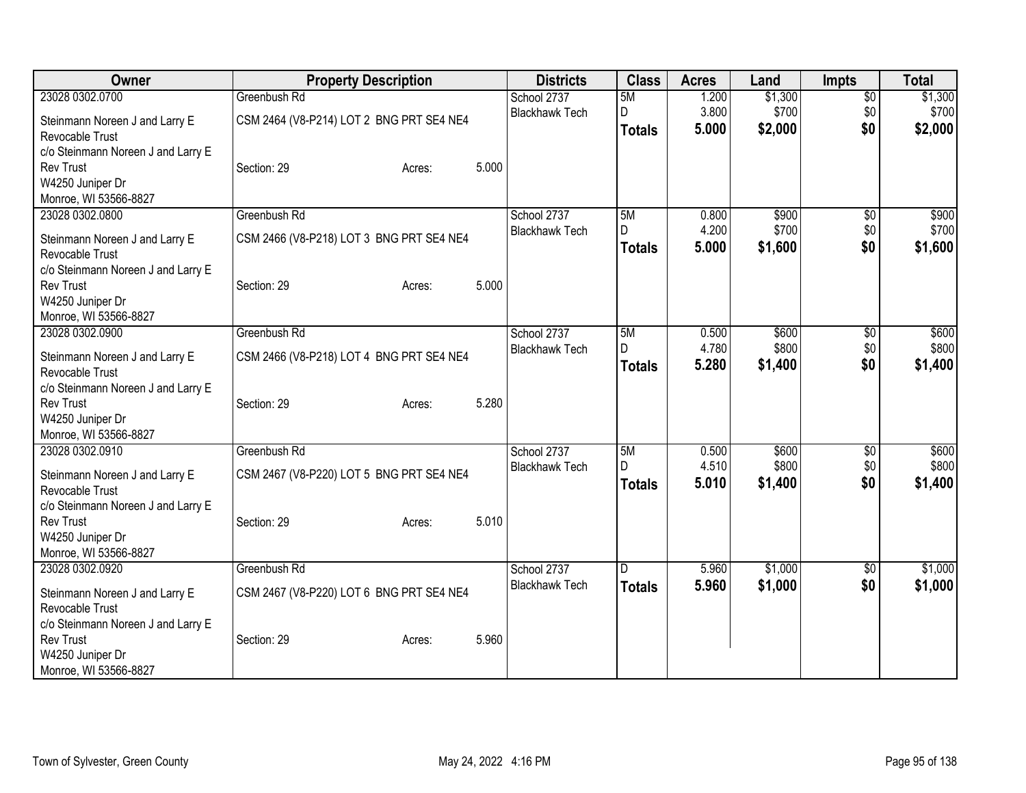| Owner                              | <b>Property Description</b>              |                 | <b>Districts</b>      | <b>Class</b>  | <b>Acres</b> | Land    | <b>Impts</b>    | <b>Total</b> |
|------------------------------------|------------------------------------------|-----------------|-----------------------|---------------|--------------|---------|-----------------|--------------|
| 23028 0302.0700                    | Greenbush Rd                             |                 | School 2737           | 5M            | 1.200        | \$1,300 | $\overline{50}$ | \$1,300      |
| Steinmann Noreen J and Larry E     | CSM 2464 (V8-P214) LOT 2 BNG PRT SE4 NE4 |                 | <b>Blackhawk Tech</b> | D             | 3.800        | \$700   | \$0             | \$700        |
| Revocable Trust                    |                                          |                 |                       | <b>Totals</b> | 5.000        | \$2,000 | \$0             | \$2,000      |
| c/o Steinmann Noreen J and Larry E |                                          |                 |                       |               |              |         |                 |              |
| <b>Rev Trust</b>                   | Section: 29                              | 5.000<br>Acres: |                       |               |              |         |                 |              |
| W4250 Juniper Dr                   |                                          |                 |                       |               |              |         |                 |              |
| Monroe, WI 53566-8827              |                                          |                 |                       |               |              |         |                 |              |
| 23028 0302.0800                    | Greenbush Rd                             |                 | School 2737           | 5M            | 0.800        | \$900   | \$0             | \$900        |
| Steinmann Noreen J and Larry E     | CSM 2466 (V8-P218) LOT 3 BNG PRT SE4 NE4 |                 | <b>Blackhawk Tech</b> | D             | 4.200        | \$700   | \$0             | \$700        |
| Revocable Trust                    |                                          |                 |                       | <b>Totals</b> | 5.000        | \$1,600 | \$0             | \$1,600      |
| c/o Steinmann Noreen J and Larry E |                                          |                 |                       |               |              |         |                 |              |
| <b>Rev Trust</b>                   | Section: 29                              | 5.000<br>Acres: |                       |               |              |         |                 |              |
| W4250 Juniper Dr                   |                                          |                 |                       |               |              |         |                 |              |
| Monroe, WI 53566-8827              |                                          |                 |                       |               |              |         |                 |              |
| 23028 0302.0900                    | Greenbush Rd                             |                 | School 2737           | 5M            | 0.500        | \$600   | $\sqrt{6}$      | \$600        |
| Steinmann Noreen J and Larry E     | CSM 2466 (V8-P218) LOT 4 BNG PRT SE4 NE4 |                 | <b>Blackhawk Tech</b> | D             | 4.780        | \$800   | \$0             | \$800        |
| Revocable Trust                    |                                          |                 |                       | <b>Totals</b> | 5.280        | \$1,400 | \$0             | \$1,400      |
| c/o Steinmann Noreen J and Larry E |                                          |                 |                       |               |              |         |                 |              |
| <b>Rev Trust</b>                   | Section: 29                              | 5.280<br>Acres: |                       |               |              |         |                 |              |
| W4250 Juniper Dr                   |                                          |                 |                       |               |              |         |                 |              |
| Monroe, WI 53566-8827              |                                          |                 |                       |               |              |         |                 |              |
| 23028 0302.0910                    | Greenbush Rd                             |                 | School 2737           | 5M            | 0.500        | \$600   | \$0             | \$600        |
| Steinmann Noreen J and Larry E     | CSM 2467 (V8-P220) LOT 5 BNG PRT SE4 NE4 |                 | <b>Blackhawk Tech</b> | D             | 4.510        | \$800   | \$0             | \$800        |
| Revocable Trust                    |                                          |                 |                       | <b>Totals</b> | 5.010        | \$1,400 | \$0             | \$1,400      |
| c/o Steinmann Noreen J and Larry E |                                          |                 |                       |               |              |         |                 |              |
| <b>Rev Trust</b>                   | Section: 29                              | 5.010<br>Acres: |                       |               |              |         |                 |              |
| W4250 Juniper Dr                   |                                          |                 |                       |               |              |         |                 |              |
| Monroe, WI 53566-8827              |                                          |                 |                       |               |              |         |                 |              |
| 23028 0302.0920                    | Greenbush Rd                             |                 | School 2737           | ID.           | 5.960        | \$1,000 | \$0             | \$1,000      |
| Steinmann Noreen J and Larry E     | CSM 2467 (V8-P220) LOT 6 BNG PRT SE4 NE4 |                 | <b>Blackhawk Tech</b> | <b>Totals</b> | 5.960        | \$1,000 | \$0             | \$1,000      |
| Revocable Trust                    |                                          |                 |                       |               |              |         |                 |              |
| c/o Steinmann Noreen J and Larry E |                                          |                 |                       |               |              |         |                 |              |
| <b>Rev Trust</b>                   | Section: 29                              | 5.960<br>Acres: |                       |               |              |         |                 |              |
| W4250 Juniper Dr                   |                                          |                 |                       |               |              |         |                 |              |
| Monroe, WI 53566-8827              |                                          |                 |                       |               |              |         |                 |              |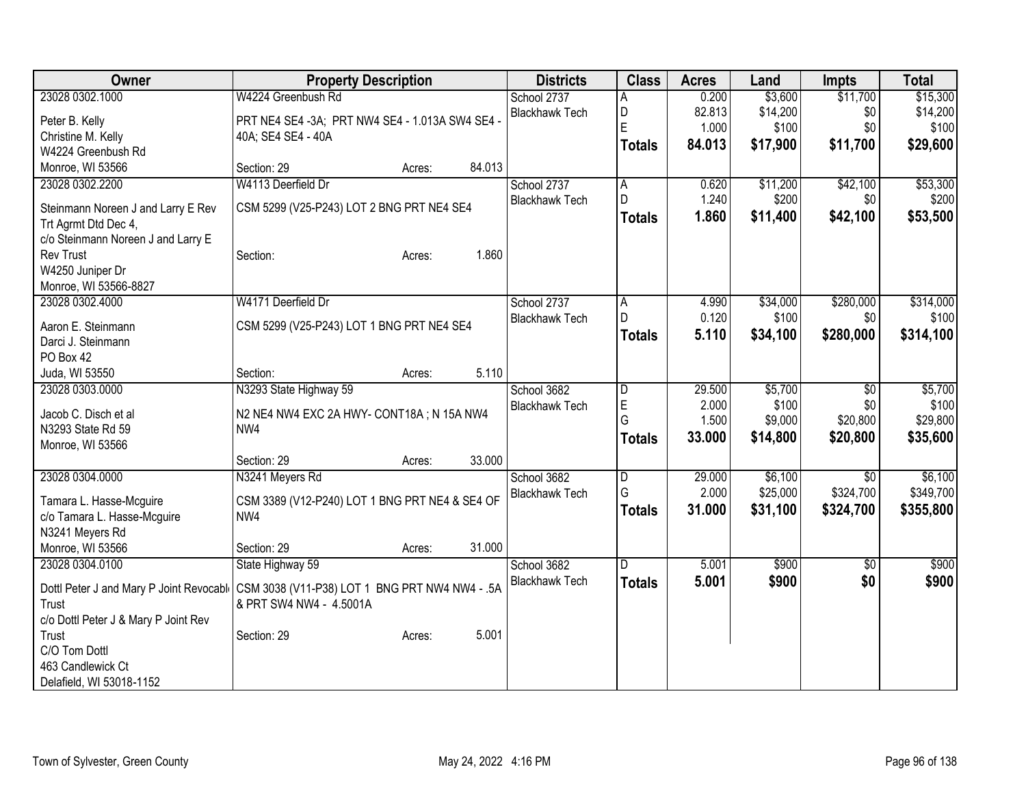| Owner                                     | <b>Property Description</b>                      |        |        | <b>Districts</b>                     | <b>Class</b>   | <b>Acres</b> | Land     | <b>Impts</b>    | <b>Total</b> |
|-------------------------------------------|--------------------------------------------------|--------|--------|--------------------------------------|----------------|--------------|----------|-----------------|--------------|
| 23028 0302.1000                           | W4224 Greenbush Rd                               |        |        | School 2737                          | А              | 0.200        | \$3,600  | \$11,700        | \$15,300     |
| Peter B. Kelly                            | PRT NE4 SE4 -3A; PRT NW4 SE4 - 1.013A SW4 SE4 -  |        |        | <b>Blackhawk Tech</b>                | D              | 82.813       | \$14,200 | \$0             | \$14,200     |
| Christine M. Kelly                        | 40A; SE4 SE4 - 40A                               |        |        |                                      | E              | 1.000        | \$100    | \$0             | \$100        |
| W4224 Greenbush Rd                        |                                                  |        |        |                                      | <b>Totals</b>  | 84.013       | \$17,900 | \$11,700        | \$29,600     |
| Monroe, WI 53566                          | Section: 29                                      | Acres: | 84.013 |                                      |                |              |          |                 |              |
| 23028 0302.2200                           | W4113 Deerfield Dr                               |        |        | School 2737                          | A              | 0.620        | \$11,200 | \$42,100        | \$53,300     |
| Steinmann Noreen J and Larry E Rev        | CSM 5299 (V25-P243) LOT 2 BNG PRT NE4 SE4        |        |        | <b>Blackhawk Tech</b>                | D              | 1.240        | \$200    | \$0             | \$200        |
| Trt Agrmt Dtd Dec 4,                      |                                                  |        |        |                                      | <b>Totals</b>  | 1.860        | \$11,400 | \$42,100        | \$53,500     |
| c/o Steinmann Noreen J and Larry E        |                                                  |        |        |                                      |                |              |          |                 |              |
| <b>Rev Trust</b>                          | Section:                                         | Acres: | 1.860  |                                      |                |              |          |                 |              |
| W4250 Juniper Dr                          |                                                  |        |        |                                      |                |              |          |                 |              |
| Monroe, WI 53566-8827                     |                                                  |        |        |                                      |                |              |          |                 |              |
| 23028 0302.4000                           | W4171 Deerfield Dr                               |        |        | School 2737                          | A              | 4.990        | \$34,000 | \$280,000       | \$314,000    |
| Aaron E. Steinmann                        | CSM 5299 (V25-P243) LOT 1 BNG PRT NE4 SE4        |        |        | <b>Blackhawk Tech</b>                | D              | 0.120        | \$100    | \$0             | \$100        |
| Darci J. Steinmann                        |                                                  |        |        |                                      | <b>Totals</b>  | 5.110        | \$34,100 | \$280,000       | \$314,100    |
| PO Box 42                                 |                                                  |        |        |                                      |                |              |          |                 |              |
| Juda, WI 53550                            | Section:                                         | Acres: | 5.110  |                                      |                |              |          |                 |              |
| 23028 0303.0000                           | N3293 State Highway 59                           |        |        | School 3682                          | D              | 29.500       | \$5,700  | \$0             | \$5,700      |
|                                           |                                                  |        |        | <b>Blackhawk Tech</b>                | E              | 2.000        | \$100    | \$0             | \$100        |
| Jacob C. Disch et al<br>N3293 State Rd 59 | N2 NE4 NW4 EXC 2A HWY- CONT18A; N 15A NW4<br>NW4 |        |        |                                      | G              | 1.500        | \$9,000  | \$20,800        | \$29,800     |
| Monroe, WI 53566                          |                                                  |        |        |                                      | <b>Totals</b>  | 33.000       | \$14,800 | \$20,800        | \$35,600     |
|                                           | Section: 29                                      | Acres: | 33.000 |                                      |                |              |          |                 |              |
| 23028 0304.0000                           | N3241 Meyers Rd                                  |        |        | School 3682                          | $\overline{D}$ | 29.000       | \$6,100  | \$0             | \$6,100      |
|                                           |                                                  |        |        | <b>Blackhawk Tech</b>                | G              | 2.000        | \$25,000 | \$324,700       | \$349,700    |
| Tamara L. Hasse-Mcguire                   | CSM 3389 (V12-P240) LOT 1 BNG PRT NE4 & SE4 OF   |        |        |                                      | <b>Totals</b>  | 31.000       | \$31,100 | \$324,700       | \$355,800    |
| c/o Tamara L. Hasse-Mcguire               | NW4                                              |        |        |                                      |                |              |          |                 |              |
| N3241 Meyers Rd                           |                                                  |        |        |                                      |                |              |          |                 |              |
| Monroe, WI 53566                          | Section: 29                                      | Acres: | 31.000 |                                      | D              |              |          |                 |              |
| 23028 0304.0100                           | State Highway 59                                 |        |        | School 3682<br><b>Blackhawk Tech</b> |                | 5.001        | \$900    | $\overline{50}$ | \$900        |
| Dottl Peter J and Mary P Joint Revocable  | CSM 3038 (V11-P38) LOT 1 BNG PRT NW4 NW4 - .5A   |        |        |                                      | <b>Totals</b>  | 5.001        | \$900    | \$0             | \$900        |
| Trust                                     | & PRT SW4 NW4 - 4.5001A                          |        |        |                                      |                |              |          |                 |              |
| c/o Dottl Peter J & Mary P Joint Rev      |                                                  |        |        |                                      |                |              |          |                 |              |
| Trust                                     | Section: 29                                      | Acres: | 5.001  |                                      |                |              |          |                 |              |
| C/O Tom Dottl                             |                                                  |        |        |                                      |                |              |          |                 |              |
| 463 Candlewick Ct                         |                                                  |        |        |                                      |                |              |          |                 |              |
| Delafield, WI 53018-1152                  |                                                  |        |        |                                      |                |              |          |                 |              |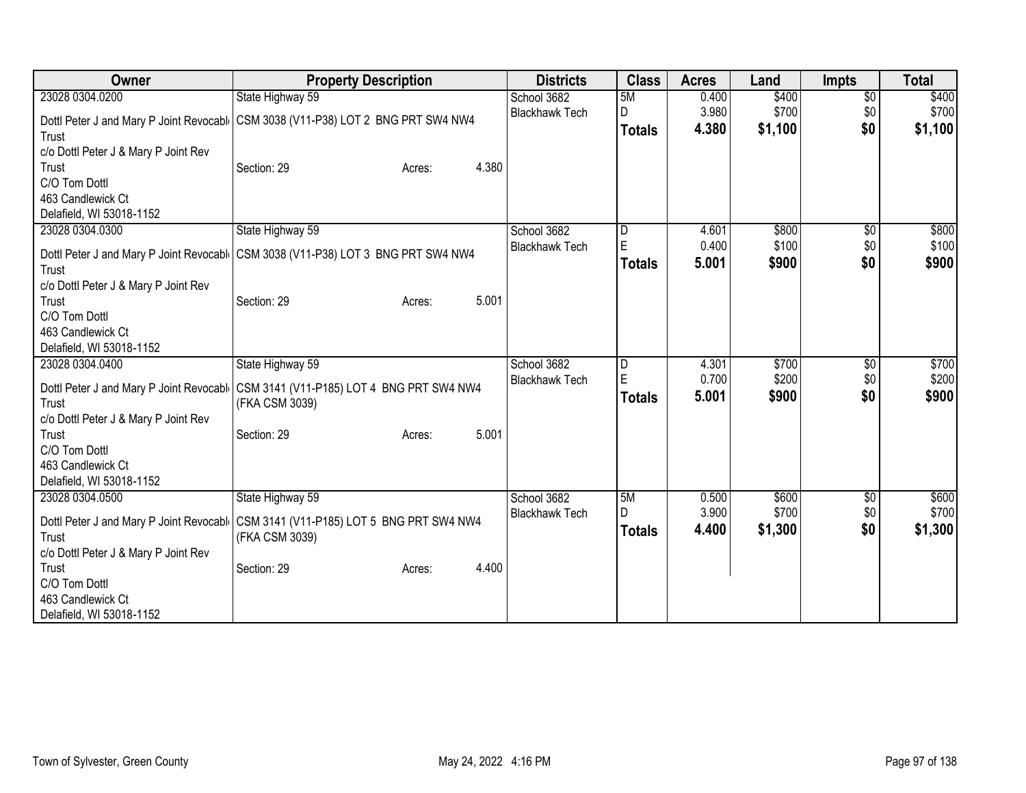| Owner                                    | <b>Property Description</b>               | <b>Districts</b>      | <b>Class</b>  | <b>Acres</b> | Land    | <b>Impts</b>    | <b>Total</b> |
|------------------------------------------|-------------------------------------------|-----------------------|---------------|--------------|---------|-----------------|--------------|
| 23028 0304.0200                          | State Highway 59                          | School 3682           | 5M            | 0.400        | \$400   | $\overline{60}$ | \$400        |
| Dottl Peter J and Mary P Joint Revocable | CSM 3038 (V11-P38) LOT 2 BNG PRT SW4 NW4  | <b>Blackhawk Tech</b> | D             | 3.980        | \$700   | \$0             | \$700        |
| Trust                                    |                                           |                       | <b>Totals</b> | 4.380        | \$1,100 | \$0             | \$1,100      |
| c/o Dottl Peter J & Mary P Joint Rev     |                                           |                       |               |              |         |                 |              |
| Trust                                    | 4.380<br>Section: 29<br>Acres:            |                       |               |              |         |                 |              |
| C/O Tom Dottl                            |                                           |                       |               |              |         |                 |              |
| 463 Candlewick Ct                        |                                           |                       |               |              |         |                 |              |
| Delafield, WI 53018-1152                 |                                           |                       |               |              |         |                 |              |
| 23028 0304.0300                          | State Highway 59                          | School 3682           | D             | 4.601        | \$800   | \$0             | \$800        |
| Dottl Peter J and Mary P Joint Revocabl  | CSM 3038 (V11-P38) LOT 3 BNG PRT SW4 NW4  | <b>Blackhawk Tech</b> | $\mathsf E$   | 0.400        | \$100   | \$0             | \$100        |
| Trust                                    |                                           |                       | <b>Totals</b> | 5.001        | \$900   | \$0             | \$900        |
| c/o Dottl Peter J & Mary P Joint Rev     |                                           |                       |               |              |         |                 |              |
| Trust                                    | 5.001<br>Section: 29<br>Acres:            |                       |               |              |         |                 |              |
| C/O Tom Dottl                            |                                           |                       |               |              |         |                 |              |
| 463 Candlewick Ct                        |                                           |                       |               |              |         |                 |              |
| Delafield, WI 53018-1152                 |                                           |                       |               |              |         |                 |              |
| 23028 0304.0400                          | State Highway 59                          | School 3682           | D             | 4.301        | \$700   | \$0             | \$700        |
| Dottl Peter J and Mary P Joint Revocabl  | CSM 3141 (V11-P185) LOT 4 BNG PRT SW4 NW4 | <b>Blackhawk Tech</b> | $\mathsf E$   | 0.700        | \$200   | \$0             | \$200        |
| Trust                                    | (FKA CSM 3039)                            |                       | <b>Totals</b> | 5.001        | \$900   | \$0             | \$900        |
| c/o Dottl Peter J & Mary P Joint Rev     |                                           |                       |               |              |         |                 |              |
| Trust                                    | 5.001<br>Section: 29<br>Acres:            |                       |               |              |         |                 |              |
| C/O Tom Dottl                            |                                           |                       |               |              |         |                 |              |
| 463 Candlewick Ct                        |                                           |                       |               |              |         |                 |              |
| Delafield, WI 53018-1152                 |                                           |                       |               |              |         |                 |              |
| 23028 0304.0500                          | State Highway 59                          | School 3682           | 5M            | 0.500        | \$600   | $\sqrt{6}$      | \$600        |
| Dottl Peter J and Mary P Joint Revocabl  | CSM 3141 (V11-P185) LOT 5 BNG PRT SW4 NW4 | <b>Blackhawk Tech</b> | D             | 3.900        | \$700   | \$0             | \$700        |
| Trust                                    | (FKA CSM 3039)                            |                       | <b>Totals</b> | 4.400        | \$1,300 | \$0             | \$1,300      |
| c/o Dottl Peter J & Mary P Joint Rev     |                                           |                       |               |              |         |                 |              |
| Trust                                    | 4.400<br>Section: 29<br>Acres:            |                       |               |              |         |                 |              |
| C/O Tom Dottl                            |                                           |                       |               |              |         |                 |              |
| 463 Candlewick Ct                        |                                           |                       |               |              |         |                 |              |
| Delafield, WI 53018-1152                 |                                           |                       |               |              |         |                 |              |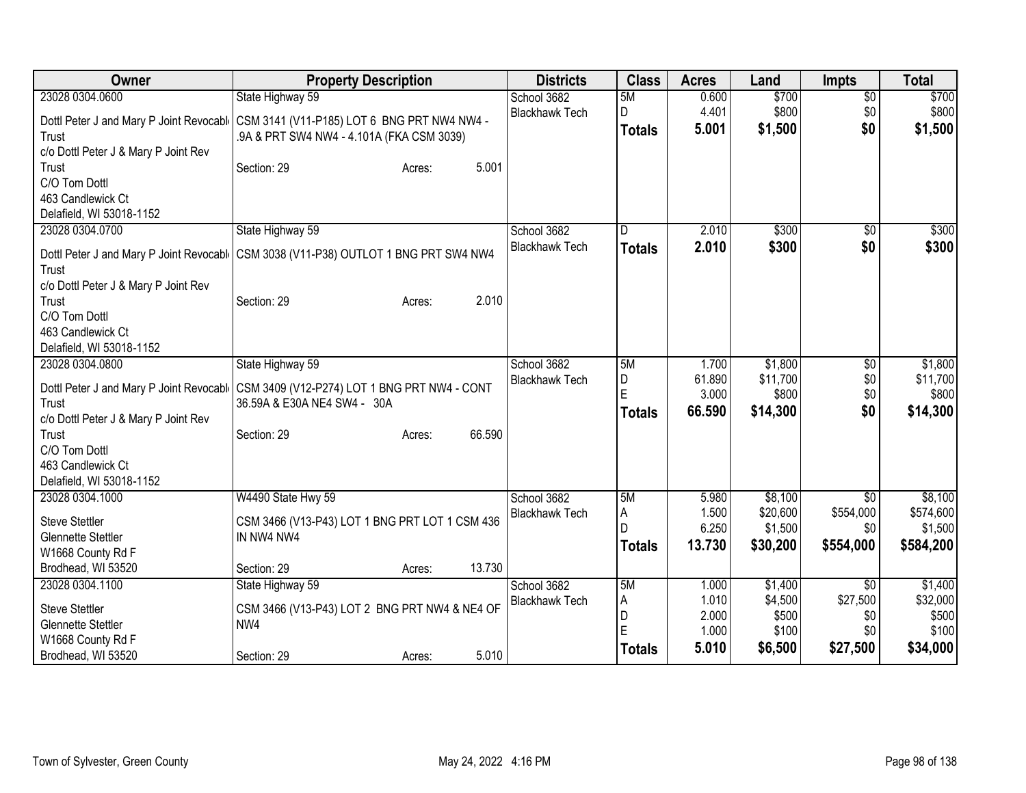| Owner                                                                                                                                       | <b>Property Description</b>                                                                                                                                                | <b>Districts</b>                     | <b>Class</b>                        | <b>Acres</b>                              | Land                                            | <b>Impts</b>                                          | <b>Total</b>                                      |
|---------------------------------------------------------------------------------------------------------------------------------------------|----------------------------------------------------------------------------------------------------------------------------------------------------------------------------|--------------------------------------|-------------------------------------|-------------------------------------------|-------------------------------------------------|-------------------------------------------------------|---------------------------------------------------|
| 23028 0304.0600                                                                                                                             | State Highway 59                                                                                                                                                           | School 3682                          | 5M                                  | 0.600                                     | \$700                                           | $\overline{60}$                                       | \$700                                             |
| Trust<br>c/o Dottl Peter J & Mary P Joint Rev                                                                                               | Dottl Peter J and Mary P Joint Revocabl   CSM 3141 (V11-P185) LOT 6 BNG PRT NW4 NW4 -<br>.9A & PRT SW4 NW4 - 4.101A (FKA CSM 3039)                                         | <b>Blackhawk Tech</b>                | D<br><b>Totals</b>                  | 4.401<br>5.001                            | \$800<br>\$1,500                                | \$0<br>\$0                                            | \$800<br>\$1,500                                  |
| Trust<br>C/O Tom Dottl<br>463 Candlewick Ct<br>Delafield, WI 53018-1152                                                                     | 5.001<br>Section: 29<br>Acres:                                                                                                                                             |                                      |                                     |                                           |                                                 |                                                       |                                                   |
| 23028 0304.0700<br>Trust<br>c/o Dottl Peter J & Mary P Joint Rev<br>Trust<br>C/O Tom Dottl                                                  | State Highway 59<br>Dottl Peter J and Mary P Joint Revocabl   CSM 3038 (V11-P38) OUTLOT 1 BNG PRT SW4 NW4<br>2.010<br>Section: 29<br>Acres:                                | School 3682<br><b>Blackhawk Tech</b> | ID.<br><b>Totals</b>                | 2.010<br>2.010                            | \$300<br>\$300                                  | $\sqrt{6}$<br>\$0                                     | \$300<br>\$300                                    |
| 463 Candlewick Ct<br>Delafield, WI 53018-1152                                                                                               |                                                                                                                                                                            |                                      |                                     |                                           |                                                 |                                                       |                                                   |
| 23028 0304.0800<br>Trust<br>c/o Dottl Peter J & Mary P Joint Rev<br>Trust<br>C/O Tom Dottl<br>463 Candlewick Ct<br>Delafield, WI 53018-1152 | State Highway 59<br>Dottl Peter J and Mary P Joint Revocabl CSM 3409 (V12-P274) LOT 1 BNG PRT NW4 - CONT<br>36.59A & E30A NE4 SW4 - 30A<br>66.590<br>Section: 29<br>Acres: | School 3682<br><b>Blackhawk Tech</b> | 5M<br>D<br>E<br><b>Totals</b>       | 1.700<br>61.890<br>3.000<br>66.590        | \$1,800<br>\$11,700<br>\$800<br>\$14,300        | \$0<br>\$0<br>\$0<br>\$0                              | \$1,800<br>\$11,700<br>\$800<br>\$14,300          |
| 23028 0304.1000<br><b>Steve Stettler</b><br><b>Glennette Stettler</b><br>W1668 County Rd F<br>Brodhead, WI 53520                            | W4490 State Hwy 59<br>CSM 3466 (V13-P43) LOT 1 BNG PRT LOT 1 CSM 436<br>IN NW4 NW4<br>13.730<br>Section: 29<br>Acres:                                                      | School 3682<br><b>Blackhawk Tech</b> | 5M<br>A<br>l D<br><b>Totals</b>     | 5.980<br>1.500<br>6.250<br>13.730         | \$8,100<br>\$20,600<br>\$1,500<br>\$30,200      | \$0<br>\$554,000<br>\$0<br>\$554,000                  | \$8,100<br>\$574,600<br>\$1,500<br>\$584,200      |
| 23028 0304.1100<br><b>Steve Stettler</b><br><b>Glennette Stettler</b><br>W1668 County Rd F<br>Brodhead, WI 53520                            | State Highway 59<br>CSM 3466 (V13-P43) LOT 2 BNG PRT NW4 & NE4 OF<br>NW4<br>5.010<br>Section: 29<br>Acres:                                                                 | School 3682<br><b>Blackhawk Tech</b> | 5M<br>A<br>D<br>ΙE<br><b>Totals</b> | 1.000<br>1.010<br>2.000<br>1.000<br>5.010 | \$1,400<br>\$4,500<br>\$500<br>\$100<br>\$6,500 | $\overline{50}$<br>\$27,500<br>\$0<br>\$0<br>\$27,500 | \$1,400<br>\$32,000<br>\$500<br>\$100<br>\$34,000 |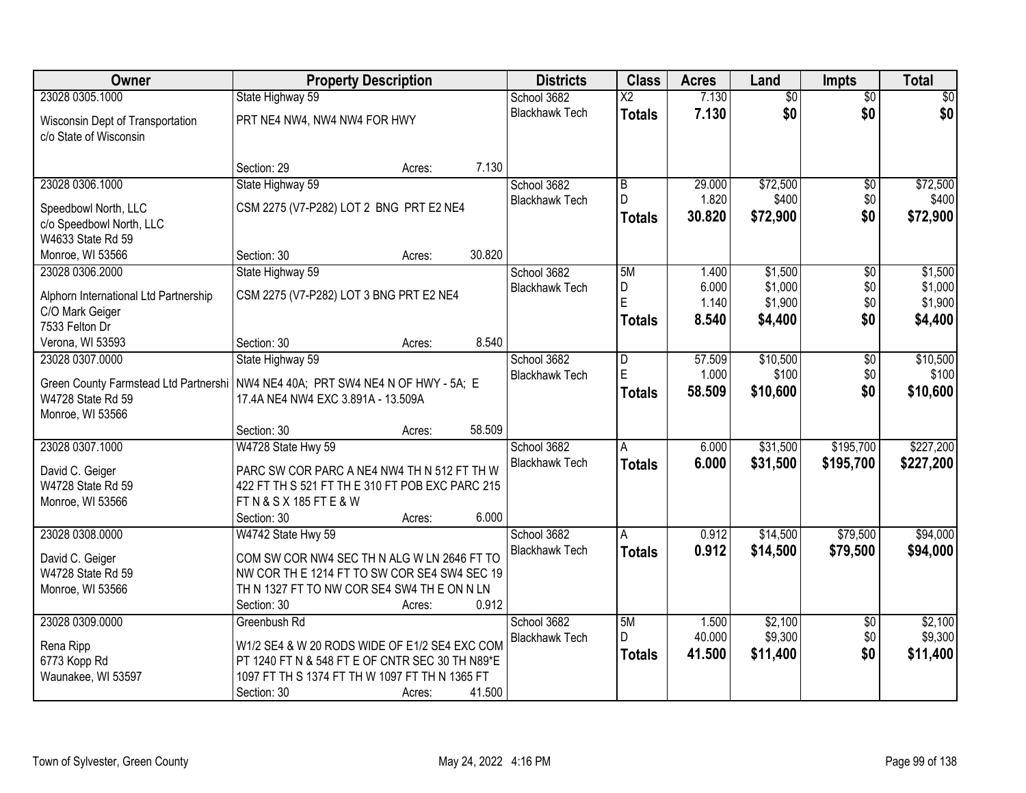| Owner                                                                       | <b>Property Description</b>                                                                                                                                                                           | <b>Districts</b>                     | <b>Class</b>             | <b>Acres</b>              | Land                           | <b>Impts</b>                  | <b>Total</b>                   |
|-----------------------------------------------------------------------------|-------------------------------------------------------------------------------------------------------------------------------------------------------------------------------------------------------|--------------------------------------|--------------------------|---------------------------|--------------------------------|-------------------------------|--------------------------------|
| 23028 0305.1000                                                             | State Highway 59                                                                                                                                                                                      | School 3682                          | $\overline{X2}$          | 7.130                     | \$0                            | $\overline{50}$               | \$0                            |
| Wisconsin Dept of Transportation<br>c/o State of Wisconsin                  | PRT NE4 NW4, NW4 NW4 FOR HWY                                                                                                                                                                          | <b>Blackhawk Tech</b>                | <b>Totals</b>            | 7.130                     | \$0                            | \$0                           | \$0                            |
|                                                                             | 7.130<br>Section: 29<br>Acres:                                                                                                                                                                        |                                      |                          |                           |                                |                               |                                |
| 23028 0306.1000                                                             | State Highway 59                                                                                                                                                                                      | School 3682                          | B                        | 29.000                    | \$72,500                       | \$0                           | \$72,500                       |
| Speedbowl North, LLC<br>c/o Speedbowl North, LLC<br>W4633 State Rd 59       | CSM 2275 (V7-P282) LOT 2 BNG PRT E2 NE4                                                                                                                                                               | <b>Blackhawk Tech</b>                | D<br><b>Totals</b>       | 1.820<br>30.820           | \$400<br>\$72,900              | \$0<br>\$0                    | \$400<br>\$72,900              |
| Monroe, WI 53566                                                            | 30.820<br>Section: 30<br>Acres:                                                                                                                                                                       |                                      |                          |                           |                                |                               |                                |
| 23028 0306.2000                                                             | State Highway 59                                                                                                                                                                                      | School 3682                          | 5M                       | 1.400                     | \$1,500                        | \$0                           | \$1,500                        |
| Alphorn International Ltd Partnership<br>C/O Mark Geiger<br>7533 Felton Dr  | CSM 2275 (V7-P282) LOT 3 BNG PRT E2 NE4                                                                                                                                                               | <b>Blackhawk Tech</b>                | D<br>Ė<br><b>Totals</b>  | 6.000<br>1.140<br>8.540   | \$1,000<br>\$1,900<br>\$4,400  | \$0\$<br>\$0<br>\$0           | \$1,000<br>\$1,900<br>\$4,400  |
| Verona, WI 53593                                                            | 8.540<br>Section: 30<br>Acres:                                                                                                                                                                        |                                      |                          |                           |                                |                               |                                |
| 23028 0307.0000                                                             | State Highway 59                                                                                                                                                                                      | School 3682                          | D                        | 57.509                    | \$10,500                       | $\overline{50}$               | \$10,500                       |
| W4728 State Rd 59<br>Monroe, WI 53566                                       | Green County Farmstead Ltd Partnershi   NW4 NE4 40A; PRT SW4 NE4 N OF HWY - 5A; E<br>17.4A NE4 NW4 EXC 3.891A - 13.509A                                                                               | <b>Blackhawk Tech</b>                | E<br><b>Totals</b>       | 1.000<br>58.509           | \$100<br>\$10,600              | \$0<br>\$0                    | \$100<br>\$10,600              |
|                                                                             | 58.509<br>Section: 30<br>Acres:                                                                                                                                                                       |                                      |                          |                           |                                |                               |                                |
| 23028 0307.1000<br>David C. Geiger<br>W4728 State Rd 59<br>Monroe, WI 53566 | W4728 State Hwy 59<br>PARC SW COR PARC A NE4 NW4 TH N 512 FT TH W<br>422 FT TH S 521 FT TH E 310 FT POB EXC PARC 215<br>FT N & S X 185 FT E & W                                                       | School 3682<br><b>Blackhawk Tech</b> | A<br><b>Totals</b>       | 6.000<br>6.000            | \$31,500<br>\$31,500           | \$195,700<br>\$195,700        | \$227,200<br>\$227,200         |
|                                                                             | 6.000<br>Section: 30<br>Acres:                                                                                                                                                                        |                                      |                          |                           |                                |                               |                                |
| 23028 0308.0000<br>David C. Geiger<br>W4728 State Rd 59<br>Monroe, WI 53566 | W4742 State Hwy 59<br>COM SW COR NW4 SEC TH N ALG W LN 2646 FT TO<br>NW COR THE 1214 FT TO SW COR SE4 SW4 SEC 19<br>TH N 1327 FT TO NW COR SE4 SW4 TH E ON N LN<br>0.912<br>Section: 30<br>Acres:     | School 3682<br><b>Blackhawk Tech</b> | Α<br><b>Totals</b>       | 0.912<br>0.912            | \$14,500<br>\$14,500           | \$79,500<br>\$79,500          | \$94,000<br>\$94,000           |
| 23028 0309.0000<br>Rena Ripp<br>6773 Kopp Rd<br>Waunakee, WI 53597          | Greenbush Rd<br>W1/2 SE4 & W 20 RODS WIDE OF E1/2 SE4 EXC COM<br>PT 1240 FT N & 548 FT E OF CNTR SEC 30 TH N89*E<br>1097 FT TH S 1374 FT TH W 1097 FT TH N 1365 FT<br>41.500<br>Section: 30<br>Acres: | School 3682<br><b>Blackhawk Tech</b> | 5M<br>D<br><b>Totals</b> | 1.500<br>40.000<br>41.500 | \$2,100<br>\$9,300<br>\$11,400 | $\overline{30}$<br>\$0<br>\$0 | \$2,100<br>\$9,300<br>\$11,400 |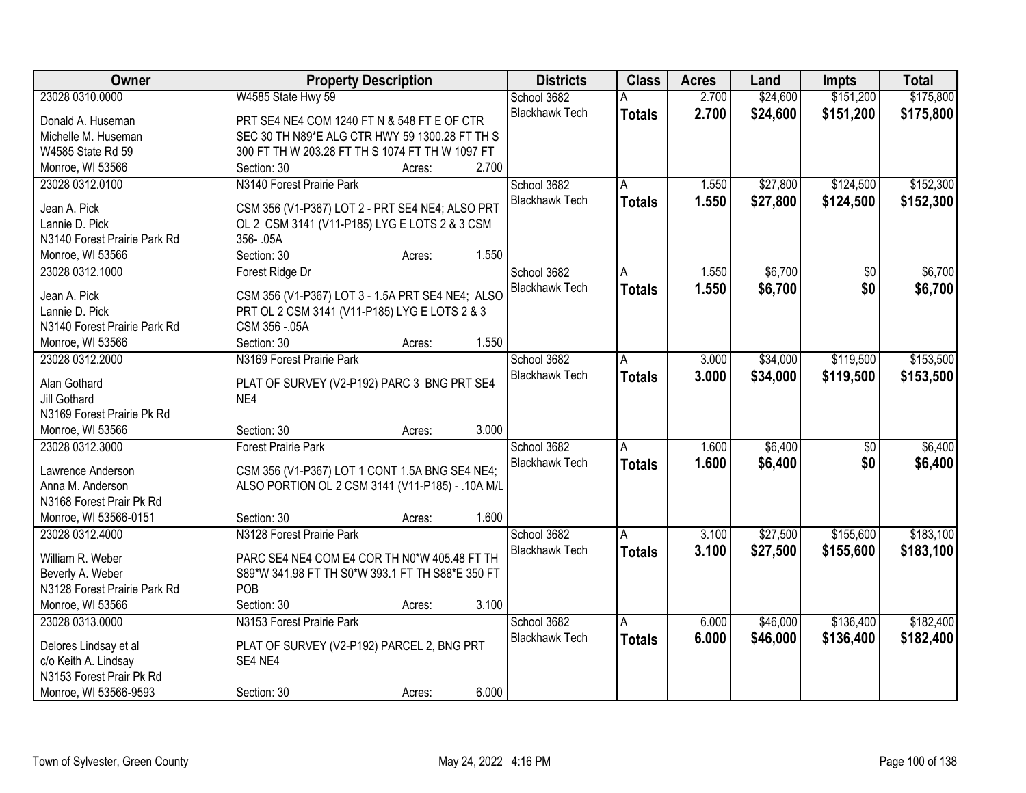| Owner                        | <b>Property Description</b>                      |        |       | <b>Districts</b>      | <b>Class</b>  | <b>Acres</b> | Land     | <b>Impts</b>    | <b>Total</b> |
|------------------------------|--------------------------------------------------|--------|-------|-----------------------|---------------|--------------|----------|-----------------|--------------|
| 23028 0310.0000              | W4585 State Hwy 59                               |        |       | School 3682           |               | 2.700        | \$24,600 | \$151,200       | \$175,800    |
| Donald A. Huseman            | PRT SE4 NE4 COM 1240 FT N & 548 FT E OF CTR      |        |       | <b>Blackhawk Tech</b> | <b>Totals</b> | 2.700        | \$24,600 | \$151,200       | \$175,800    |
| Michelle M. Huseman          | SEC 30 TH N89*E ALG CTR HWY 59 1300.28 FT TH S   |        |       |                       |               |              |          |                 |              |
| W4585 State Rd 59            | 300 FT TH W 203.28 FT TH S 1074 FT TH W 1097 FT  |        |       |                       |               |              |          |                 |              |
| Monroe, WI 53566             | Section: 30                                      | Acres: | 2.700 |                       |               |              |          |                 |              |
| 23028 0312.0100              | N3140 Forest Prairie Park                        |        |       | School 3682           | A             | 1.550        | \$27,800 | \$124,500       | \$152,300    |
|                              |                                                  |        |       | <b>Blackhawk Tech</b> | <b>Totals</b> | 1.550        | \$27,800 | \$124,500       | \$152,300    |
| Jean A. Pick                 | CSM 356 (V1-P367) LOT 2 - PRT SE4 NE4; ALSO PRT  |        |       |                       |               |              |          |                 |              |
| Lannie D. Pick               | OL 2 CSM 3141 (V11-P185) LYG E LOTS 2 & 3 CSM    |        |       |                       |               |              |          |                 |              |
| N3140 Forest Prairie Park Rd | 356-.05A                                         |        |       |                       |               |              |          |                 |              |
| Monroe, WI 53566             | Section: 30                                      | Acres: | 1.550 |                       |               |              |          |                 |              |
| 23028 0312.1000              | Forest Ridge Dr                                  |        |       | School 3682           | Α             | 1.550        | \$6,700  | $\overline{50}$ | \$6,700      |
| Jean A. Pick                 | CSM 356 (V1-P367) LOT 3 - 1.5A PRT SE4 NE4; ALSO |        |       | <b>Blackhawk Tech</b> | <b>Totals</b> | 1.550        | \$6,700  | \$0             | \$6,700      |
| Lannie D. Pick               | PRT OL 2 CSM 3141 (V11-P185) LYG E LOTS 2 & 3    |        |       |                       |               |              |          |                 |              |
| N3140 Forest Prairie Park Rd | CSM 356 - 05A                                    |        |       |                       |               |              |          |                 |              |
| Monroe, WI 53566             | Section: 30                                      | Acres: | 1.550 |                       |               |              |          |                 |              |
| 23028 0312,2000              | N3169 Forest Prairie Park                        |        |       | School 3682           | A             | 3.000        | \$34,000 | \$119,500       | \$153,500    |
|                              |                                                  |        |       | <b>Blackhawk Tech</b> | <b>Totals</b> | 3.000        | \$34,000 | \$119,500       | \$153,500    |
| Alan Gothard                 | PLAT OF SURVEY (V2-P192) PARC 3 BNG PRT SE4      |        |       |                       |               |              |          |                 |              |
| Jill Gothard                 | NE4                                              |        |       |                       |               |              |          |                 |              |
| N3169 Forest Prairie Pk Rd   |                                                  |        |       |                       |               |              |          |                 |              |
| Monroe, WI 53566             | Section: 30                                      | Acres: | 3.000 |                       |               |              |          |                 |              |
| 23028 0312.3000              | <b>Forest Prairie Park</b>                       |        |       | School 3682           | A             | 1.600        | \$6,400  | $\overline{50}$ | \$6,400      |
| Lawrence Anderson            | CSM 356 (V1-P367) LOT 1 CONT 1.5A BNG SE4 NE4;   |        |       | <b>Blackhawk Tech</b> | <b>Totals</b> | 1.600        | \$6,400  | \$0             | \$6,400      |
| Anna M. Anderson             | ALSO PORTION OL 2 CSM 3141 (V11-P185) - .10A M/L |        |       |                       |               |              |          |                 |              |
| N3168 Forest Prair Pk Rd     |                                                  |        |       |                       |               |              |          |                 |              |
| Monroe, WI 53566-0151        | Section: 30                                      | Acres: | 1.600 |                       |               |              |          |                 |              |
| 23028 0312.4000              | N3128 Forest Prairie Park                        |        |       | School 3682           | A             | 3.100        | \$27,500 | \$155,600       | \$183,100    |
|                              |                                                  |        |       | <b>Blackhawk Tech</b> | <b>Totals</b> | 3.100        | \$27,500 | \$155,600       | \$183,100    |
| William R. Weber             | PARC SE4 NE4 COM E4 COR TH N0*W 405.48 FT TH     |        |       |                       |               |              |          |                 |              |
| Beverly A. Weber             | S89*W 341.98 FT TH S0*W 393.1 FT TH S88*E 350 FT |        |       |                       |               |              |          |                 |              |
| N3128 Forest Prairie Park Rd | POB                                              |        |       |                       |               |              |          |                 |              |
| Monroe, WI 53566             | Section: 30                                      | Acres: | 3.100 |                       |               |              |          |                 |              |
| 23028 0313.0000              | N3153 Forest Prairie Park                        |        |       | School 3682           | A             | 6.000        | \$46,000 | \$136,400       | \$182,400    |
| Delores Lindsay et al        | PLAT OF SURVEY (V2-P192) PARCEL 2, BNG PRT       |        |       | <b>Blackhawk Tech</b> | <b>Totals</b> | 6.000        | \$46,000 | \$136,400       | \$182,400    |
| c/o Keith A. Lindsay         | SE4 NE4                                          |        |       |                       |               |              |          |                 |              |
| N3153 Forest Prair Pk Rd     |                                                  |        |       |                       |               |              |          |                 |              |
| Monroe, WI 53566-9593        | Section: 30                                      | Acres: | 6.000 |                       |               |              |          |                 |              |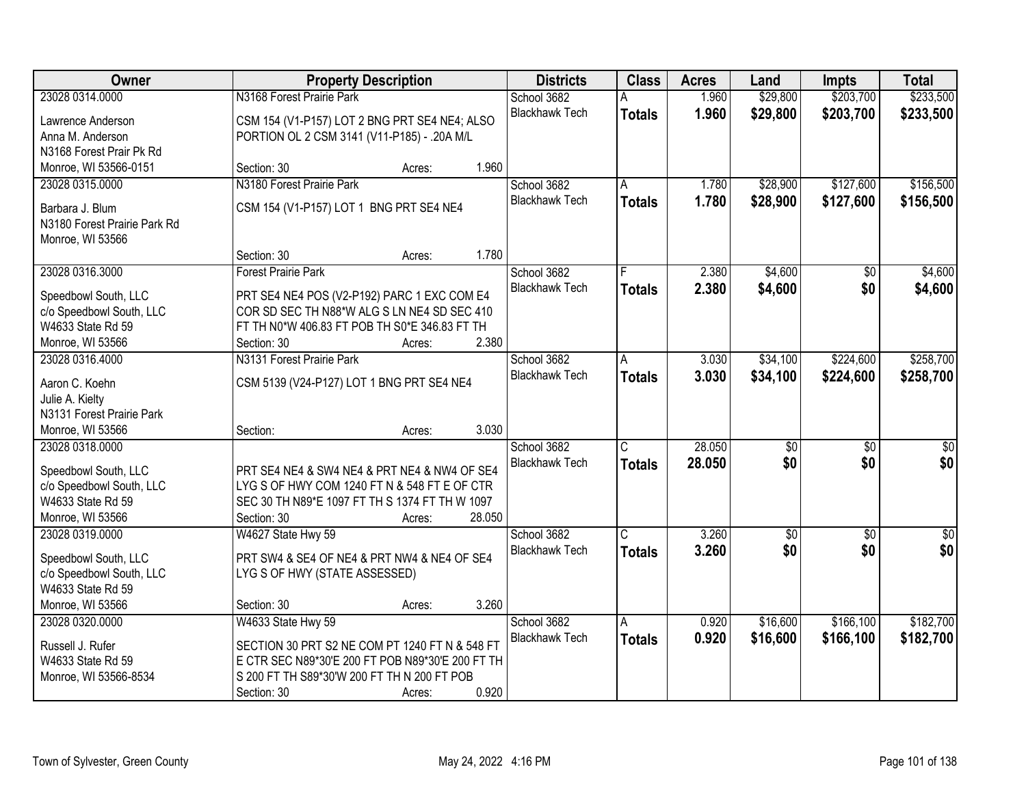| \$233,500<br>23028 0314.0000<br>N3168 Forest Prairie Park<br>1.960<br>\$29,800<br>\$203,700<br>School 3682<br><b>Blackhawk Tech</b><br>1.960<br>\$29,800<br>\$203,700<br>\$233,500<br><b>Totals</b><br>CSM 154 (V1-P157) LOT 2 BNG PRT SE4 NE4; ALSO<br>Lawrence Anderson<br>PORTION OL 2 CSM 3141 (V11-P185) - .20A M/L<br>Anna M. Anderson<br>N3168 Forest Prair Pk Rd<br>1.960<br>Monroe, WI 53566-0151<br>Section: 30<br>Acres:<br>N3180 Forest Prairie Park<br>\$28,900<br>\$127,600<br>\$156,500<br>23028 0315.0000<br>School 3682<br>1.780<br>Α<br>1.780<br><b>Blackhawk Tech</b><br>\$28,900<br>\$127,600<br>\$156,500<br>Totals<br>CSM 154 (V1-P157) LOT 1 BNG PRT SE4 NE4<br>Barbara J. Blum<br>N3180 Forest Prairie Park Rd<br>Monroe, WI 53566<br>1.780<br>Section: 30<br>Acres:<br>23028 0316.3000<br>2.380<br>\$4,600<br>\$4,600<br><b>Forest Prairie Park</b><br>School 3682<br>\$0<br><b>Blackhawk Tech</b><br>2.380<br>\$4,600<br>\$0<br>\$4,600<br><b>Totals</b><br>PRT SE4 NE4 POS (V2-P192) PARC 1 EXC COM E4<br>Speedbowl South, LLC<br>c/o Speedbowl South, LLC<br>COR SD SEC TH N88*W ALG S LN NE4 SD SEC 410<br>W4633 State Rd 59<br>FT TH N0*W 406.83 FT POB TH S0*E 346.83 FT TH<br>2.380<br>Monroe, WI 53566<br>Section: 30<br>Acres:<br>\$258,700<br>23028 0316.4000<br>N3131 Forest Prairie Park<br>School 3682<br>\$34,100<br>\$224,600<br>3.030<br>A<br><b>Blackhawk Tech</b><br>3.030<br>\$34,100<br>\$224,600<br>\$258,700<br><b>Totals</b><br>CSM 5139 (V24-P127) LOT 1 BNG PRT SE4 NE4<br>Aaron C. Koehn<br>Julie A. Kielty<br>N3131 Forest Prairie Park<br>3.030<br>Monroe, WI 53566<br>Section:<br>Acres:<br>28.050<br>$\overline{50}$<br>23028 0318.0000<br>School 3682<br>C<br>$\overline{50}$<br>\$0<br>\$0<br>28,050<br>\$0<br>\$0<br><b>Blackhawk Tech</b><br><b>Totals</b><br>Speedbowl South, LLC<br>PRT SE4 NE4 & SW4 NE4 & PRT NE4 & NW4 OF SE4<br>c/o Speedbowl South, LLC<br>LYG S OF HWY COM 1240 FT N & 548 FT E OF CTR<br>W4633 State Rd 59<br>SEC 30 TH N89*E 1097 FT TH S 1374 FT TH W 1097<br>Monroe, WI 53566<br>28.050<br>Section: 30<br>Acres:<br>3.260<br>School 3682<br>$\overline{\mathsf{C}}$<br>$\sqrt{50}$<br>23028 0319.0000<br>W4627 State Hwy 59<br>$\sqrt{$0}$<br>$\overline{50}$<br>\$0 <br>\$0<br>3.260<br>\$0<br><b>Blackhawk Tech</b><br><b>Totals</b><br>PRT SW4 & SE4 OF NE4 & PRT NW4 & NE4 OF SE4<br>Speedbowl South, LLC<br>c/o Speedbowl South, LLC<br>LYG S OF HWY (STATE ASSESSED)<br>W4633 State Rd 59<br>3.260<br>Monroe, WI 53566<br>Section: 30<br>Acres:<br>\$182,700<br>School 3682<br>0.920<br>A | Owner           | <b>Property Description</b> | <b>Districts</b> | <b>Class</b> | <b>Acres</b> | Land | <b>Impts</b> | <b>Total</b> |  |
|----------------------------------------------------------------------------------------------------------------------------------------------------------------------------------------------------------------------------------------------------------------------------------------------------------------------------------------------------------------------------------------------------------------------------------------------------------------------------------------------------------------------------------------------------------------------------------------------------------------------------------------------------------------------------------------------------------------------------------------------------------------------------------------------------------------------------------------------------------------------------------------------------------------------------------------------------------------------------------------------------------------------------------------------------------------------------------------------------------------------------------------------------------------------------------------------------------------------------------------------------------------------------------------------------------------------------------------------------------------------------------------------------------------------------------------------------------------------------------------------------------------------------------------------------------------------------------------------------------------------------------------------------------------------------------------------------------------------------------------------------------------------------------------------------------------------------------------------------------------------------------------------------------------------------------------------------------------------------------------------------------------------------------------------------------------------------------------------------------------------------------------------------------------------------------------------------------------------------------------------------------------------------------------------------------------------------------------------------------------------------------------------------------------------------------------------------------------------------------------------------------------------------------------------------------------------------------------|-----------------|-----------------------------|------------------|--------------|--------------|------|--------------|--------------|--|
|                                                                                                                                                                                                                                                                                                                                                                                                                                                                                                                                                                                                                                                                                                                                                                                                                                                                                                                                                                                                                                                                                                                                                                                                                                                                                                                                                                                                                                                                                                                                                                                                                                                                                                                                                                                                                                                                                                                                                                                                                                                                                                                                                                                                                                                                                                                                                                                                                                                                                                                                                                                        |                 |                             |                  |              |              |      |              |              |  |
|                                                                                                                                                                                                                                                                                                                                                                                                                                                                                                                                                                                                                                                                                                                                                                                                                                                                                                                                                                                                                                                                                                                                                                                                                                                                                                                                                                                                                                                                                                                                                                                                                                                                                                                                                                                                                                                                                                                                                                                                                                                                                                                                                                                                                                                                                                                                                                                                                                                                                                                                                                                        |                 |                             |                  |              |              |      |              |              |  |
|                                                                                                                                                                                                                                                                                                                                                                                                                                                                                                                                                                                                                                                                                                                                                                                                                                                                                                                                                                                                                                                                                                                                                                                                                                                                                                                                                                                                                                                                                                                                                                                                                                                                                                                                                                                                                                                                                                                                                                                                                                                                                                                                                                                                                                                                                                                                                                                                                                                                                                                                                                                        |                 |                             |                  |              |              |      |              |              |  |
|                                                                                                                                                                                                                                                                                                                                                                                                                                                                                                                                                                                                                                                                                                                                                                                                                                                                                                                                                                                                                                                                                                                                                                                                                                                                                                                                                                                                                                                                                                                                                                                                                                                                                                                                                                                                                                                                                                                                                                                                                                                                                                                                                                                                                                                                                                                                                                                                                                                                                                                                                                                        |                 |                             |                  |              |              |      |              |              |  |
|                                                                                                                                                                                                                                                                                                                                                                                                                                                                                                                                                                                                                                                                                                                                                                                                                                                                                                                                                                                                                                                                                                                                                                                                                                                                                                                                                                                                                                                                                                                                                                                                                                                                                                                                                                                                                                                                                                                                                                                                                                                                                                                                                                                                                                                                                                                                                                                                                                                                                                                                                                                        |                 |                             |                  |              |              |      |              |              |  |
|                                                                                                                                                                                                                                                                                                                                                                                                                                                                                                                                                                                                                                                                                                                                                                                                                                                                                                                                                                                                                                                                                                                                                                                                                                                                                                                                                                                                                                                                                                                                                                                                                                                                                                                                                                                                                                                                                                                                                                                                                                                                                                                                                                                                                                                                                                                                                                                                                                                                                                                                                                                        |                 |                             |                  |              |              |      |              |              |  |
|                                                                                                                                                                                                                                                                                                                                                                                                                                                                                                                                                                                                                                                                                                                                                                                                                                                                                                                                                                                                                                                                                                                                                                                                                                                                                                                                                                                                                                                                                                                                                                                                                                                                                                                                                                                                                                                                                                                                                                                                                                                                                                                                                                                                                                                                                                                                                                                                                                                                                                                                                                                        |                 |                             |                  |              |              |      |              |              |  |
|                                                                                                                                                                                                                                                                                                                                                                                                                                                                                                                                                                                                                                                                                                                                                                                                                                                                                                                                                                                                                                                                                                                                                                                                                                                                                                                                                                                                                                                                                                                                                                                                                                                                                                                                                                                                                                                                                                                                                                                                                                                                                                                                                                                                                                                                                                                                                                                                                                                                                                                                                                                        |                 |                             |                  |              |              |      |              |              |  |
|                                                                                                                                                                                                                                                                                                                                                                                                                                                                                                                                                                                                                                                                                                                                                                                                                                                                                                                                                                                                                                                                                                                                                                                                                                                                                                                                                                                                                                                                                                                                                                                                                                                                                                                                                                                                                                                                                                                                                                                                                                                                                                                                                                                                                                                                                                                                                                                                                                                                                                                                                                                        |                 |                             |                  |              |              |      |              |              |  |
|                                                                                                                                                                                                                                                                                                                                                                                                                                                                                                                                                                                                                                                                                                                                                                                                                                                                                                                                                                                                                                                                                                                                                                                                                                                                                                                                                                                                                                                                                                                                                                                                                                                                                                                                                                                                                                                                                                                                                                                                                                                                                                                                                                                                                                                                                                                                                                                                                                                                                                                                                                                        |                 |                             |                  |              |              |      |              |              |  |
|                                                                                                                                                                                                                                                                                                                                                                                                                                                                                                                                                                                                                                                                                                                                                                                                                                                                                                                                                                                                                                                                                                                                                                                                                                                                                                                                                                                                                                                                                                                                                                                                                                                                                                                                                                                                                                                                                                                                                                                                                                                                                                                                                                                                                                                                                                                                                                                                                                                                                                                                                                                        |                 |                             |                  |              |              |      |              |              |  |
|                                                                                                                                                                                                                                                                                                                                                                                                                                                                                                                                                                                                                                                                                                                                                                                                                                                                                                                                                                                                                                                                                                                                                                                                                                                                                                                                                                                                                                                                                                                                                                                                                                                                                                                                                                                                                                                                                                                                                                                                                                                                                                                                                                                                                                                                                                                                                                                                                                                                                                                                                                                        |                 |                             |                  |              |              |      |              |              |  |
|                                                                                                                                                                                                                                                                                                                                                                                                                                                                                                                                                                                                                                                                                                                                                                                                                                                                                                                                                                                                                                                                                                                                                                                                                                                                                                                                                                                                                                                                                                                                                                                                                                                                                                                                                                                                                                                                                                                                                                                                                                                                                                                                                                                                                                                                                                                                                                                                                                                                                                                                                                                        |                 |                             |                  |              |              |      |              |              |  |
|                                                                                                                                                                                                                                                                                                                                                                                                                                                                                                                                                                                                                                                                                                                                                                                                                                                                                                                                                                                                                                                                                                                                                                                                                                                                                                                                                                                                                                                                                                                                                                                                                                                                                                                                                                                                                                                                                                                                                                                                                                                                                                                                                                                                                                                                                                                                                                                                                                                                                                                                                                                        |                 |                             |                  |              |              |      |              |              |  |
|                                                                                                                                                                                                                                                                                                                                                                                                                                                                                                                                                                                                                                                                                                                                                                                                                                                                                                                                                                                                                                                                                                                                                                                                                                                                                                                                                                                                                                                                                                                                                                                                                                                                                                                                                                                                                                                                                                                                                                                                                                                                                                                                                                                                                                                                                                                                                                                                                                                                                                                                                                                        |                 |                             |                  |              |              |      |              |              |  |
|                                                                                                                                                                                                                                                                                                                                                                                                                                                                                                                                                                                                                                                                                                                                                                                                                                                                                                                                                                                                                                                                                                                                                                                                                                                                                                                                                                                                                                                                                                                                                                                                                                                                                                                                                                                                                                                                                                                                                                                                                                                                                                                                                                                                                                                                                                                                                                                                                                                                                                                                                                                        |                 |                             |                  |              |              |      |              |              |  |
|                                                                                                                                                                                                                                                                                                                                                                                                                                                                                                                                                                                                                                                                                                                                                                                                                                                                                                                                                                                                                                                                                                                                                                                                                                                                                                                                                                                                                                                                                                                                                                                                                                                                                                                                                                                                                                                                                                                                                                                                                                                                                                                                                                                                                                                                                                                                                                                                                                                                                                                                                                                        |                 |                             |                  |              |              |      |              |              |  |
|                                                                                                                                                                                                                                                                                                                                                                                                                                                                                                                                                                                                                                                                                                                                                                                                                                                                                                                                                                                                                                                                                                                                                                                                                                                                                                                                                                                                                                                                                                                                                                                                                                                                                                                                                                                                                                                                                                                                                                                                                                                                                                                                                                                                                                                                                                                                                                                                                                                                                                                                                                                        |                 |                             |                  |              |              |      |              |              |  |
|                                                                                                                                                                                                                                                                                                                                                                                                                                                                                                                                                                                                                                                                                                                                                                                                                                                                                                                                                                                                                                                                                                                                                                                                                                                                                                                                                                                                                                                                                                                                                                                                                                                                                                                                                                                                                                                                                                                                                                                                                                                                                                                                                                                                                                                                                                                                                                                                                                                                                                                                                                                        |                 |                             |                  |              |              |      |              |              |  |
|                                                                                                                                                                                                                                                                                                                                                                                                                                                                                                                                                                                                                                                                                                                                                                                                                                                                                                                                                                                                                                                                                                                                                                                                                                                                                                                                                                                                                                                                                                                                                                                                                                                                                                                                                                                                                                                                                                                                                                                                                                                                                                                                                                                                                                                                                                                                                                                                                                                                                                                                                                                        |                 |                             |                  |              |              |      |              |              |  |
|                                                                                                                                                                                                                                                                                                                                                                                                                                                                                                                                                                                                                                                                                                                                                                                                                                                                                                                                                                                                                                                                                                                                                                                                                                                                                                                                                                                                                                                                                                                                                                                                                                                                                                                                                                                                                                                                                                                                                                                                                                                                                                                                                                                                                                                                                                                                                                                                                                                                                                                                                                                        |                 |                             |                  |              |              |      |              |              |  |
|                                                                                                                                                                                                                                                                                                                                                                                                                                                                                                                                                                                                                                                                                                                                                                                                                                                                                                                                                                                                                                                                                                                                                                                                                                                                                                                                                                                                                                                                                                                                                                                                                                                                                                                                                                                                                                                                                                                                                                                                                                                                                                                                                                                                                                                                                                                                                                                                                                                                                                                                                                                        |                 |                             |                  |              |              |      |              |              |  |
|                                                                                                                                                                                                                                                                                                                                                                                                                                                                                                                                                                                                                                                                                                                                                                                                                                                                                                                                                                                                                                                                                                                                                                                                                                                                                                                                                                                                                                                                                                                                                                                                                                                                                                                                                                                                                                                                                                                                                                                                                                                                                                                                                                                                                                                                                                                                                                                                                                                                                                                                                                                        |                 |                             |                  |              |              |      |              |              |  |
|                                                                                                                                                                                                                                                                                                                                                                                                                                                                                                                                                                                                                                                                                                                                                                                                                                                                                                                                                                                                                                                                                                                                                                                                                                                                                                                                                                                                                                                                                                                                                                                                                                                                                                                                                                                                                                                                                                                                                                                                                                                                                                                                                                                                                                                                                                                                                                                                                                                                                                                                                                                        |                 |                             |                  |              |              |      |              |              |  |
|                                                                                                                                                                                                                                                                                                                                                                                                                                                                                                                                                                                                                                                                                                                                                                                                                                                                                                                                                                                                                                                                                                                                                                                                                                                                                                                                                                                                                                                                                                                                                                                                                                                                                                                                                                                                                                                                                                                                                                                                                                                                                                                                                                                                                                                                                                                                                                                                                                                                                                                                                                                        |                 |                             |                  |              |              |      |              |              |  |
|                                                                                                                                                                                                                                                                                                                                                                                                                                                                                                                                                                                                                                                                                                                                                                                                                                                                                                                                                                                                                                                                                                                                                                                                                                                                                                                                                                                                                                                                                                                                                                                                                                                                                                                                                                                                                                                                                                                                                                                                                                                                                                                                                                                                                                                                                                                                                                                                                                                                                                                                                                                        |                 |                             |                  |              |              |      |              |              |  |
|                                                                                                                                                                                                                                                                                                                                                                                                                                                                                                                                                                                                                                                                                                                                                                                                                                                                                                                                                                                                                                                                                                                                                                                                                                                                                                                                                                                                                                                                                                                                                                                                                                                                                                                                                                                                                                                                                                                                                                                                                                                                                                                                                                                                                                                                                                                                                                                                                                                                                                                                                                                        |                 |                             |                  |              |              |      |              |              |  |
|                                                                                                                                                                                                                                                                                                                                                                                                                                                                                                                                                                                                                                                                                                                                                                                                                                                                                                                                                                                                                                                                                                                                                                                                                                                                                                                                                                                                                                                                                                                                                                                                                                                                                                                                                                                                                                                                                                                                                                                                                                                                                                                                                                                                                                                                                                                                                                                                                                                                                                                                                                                        |                 |                             |                  |              |              |      |              |              |  |
|                                                                                                                                                                                                                                                                                                                                                                                                                                                                                                                                                                                                                                                                                                                                                                                                                                                                                                                                                                                                                                                                                                                                                                                                                                                                                                                                                                                                                                                                                                                                                                                                                                                                                                                                                                                                                                                                                                                                                                                                                                                                                                                                                                                                                                                                                                                                                                                                                                                                                                                                                                                        |                 |                             |                  |              |              |      |              |              |  |
|                                                                                                                                                                                                                                                                                                                                                                                                                                                                                                                                                                                                                                                                                                                                                                                                                                                                                                                                                                                                                                                                                                                                                                                                                                                                                                                                                                                                                                                                                                                                                                                                                                                                                                                                                                                                                                                                                                                                                                                                                                                                                                                                                                                                                                                                                                                                                                                                                                                                                                                                                                                        |                 |                             |                  |              |              |      |              |              |  |
|                                                                                                                                                                                                                                                                                                                                                                                                                                                                                                                                                                                                                                                                                                                                                                                                                                                                                                                                                                                                                                                                                                                                                                                                                                                                                                                                                                                                                                                                                                                                                                                                                                                                                                                                                                                                                                                                                                                                                                                                                                                                                                                                                                                                                                                                                                                                                                                                                                                                                                                                                                                        |                 |                             |                  |              |              |      |              |              |  |
|                                                                                                                                                                                                                                                                                                                                                                                                                                                                                                                                                                                                                                                                                                                                                                                                                                                                                                                                                                                                                                                                                                                                                                                                                                                                                                                                                                                                                                                                                                                                                                                                                                                                                                                                                                                                                                                                                                                                                                                                                                                                                                                                                                                                                                                                                                                                                                                                                                                                                                                                                                                        |                 |                             |                  |              |              |      |              |              |  |
|                                                                                                                                                                                                                                                                                                                                                                                                                                                                                                                                                                                                                                                                                                                                                                                                                                                                                                                                                                                                                                                                                                                                                                                                                                                                                                                                                                                                                                                                                                                                                                                                                                                                                                                                                                                                                                                                                                                                                                                                                                                                                                                                                                                                                                                                                                                                                                                                                                                                                                                                                                                        | 23028 0320.0000 | W4633 State Hwy 59          |                  |              |              |      | \$16,600     | \$166,100    |  |
| <b>Blackhawk Tech</b><br>0.920<br>\$16,600<br>\$166,100<br>\$182,700<br><b>Totals</b><br>SECTION 30 PRT S2 NE COM PT 1240 FT N & 548 FT<br>Russell J. Rufer                                                                                                                                                                                                                                                                                                                                                                                                                                                                                                                                                                                                                                                                                                                                                                                                                                                                                                                                                                                                                                                                                                                                                                                                                                                                                                                                                                                                                                                                                                                                                                                                                                                                                                                                                                                                                                                                                                                                                                                                                                                                                                                                                                                                                                                                                                                                                                                                                            |                 |                             |                  |              |              |      |              |              |  |
| E CTR SEC N89*30'E 200 FT POB N89*30'E 200 FT TH<br>W4633 State Rd 59                                                                                                                                                                                                                                                                                                                                                                                                                                                                                                                                                                                                                                                                                                                                                                                                                                                                                                                                                                                                                                                                                                                                                                                                                                                                                                                                                                                                                                                                                                                                                                                                                                                                                                                                                                                                                                                                                                                                                                                                                                                                                                                                                                                                                                                                                                                                                                                                                                                                                                                  |                 |                             |                  |              |              |      |              |              |  |
| S 200 FT TH S89*30'W 200 FT TH N 200 FT POB<br>Monroe, WI 53566-8534                                                                                                                                                                                                                                                                                                                                                                                                                                                                                                                                                                                                                                                                                                                                                                                                                                                                                                                                                                                                                                                                                                                                                                                                                                                                                                                                                                                                                                                                                                                                                                                                                                                                                                                                                                                                                                                                                                                                                                                                                                                                                                                                                                                                                                                                                                                                                                                                                                                                                                                   |                 |                             |                  |              |              |      |              |              |  |
| 0.920<br>Section: 30<br>Acres:                                                                                                                                                                                                                                                                                                                                                                                                                                                                                                                                                                                                                                                                                                                                                                                                                                                                                                                                                                                                                                                                                                                                                                                                                                                                                                                                                                                                                                                                                                                                                                                                                                                                                                                                                                                                                                                                                                                                                                                                                                                                                                                                                                                                                                                                                                                                                                                                                                                                                                                                                         |                 |                             |                  |              |              |      |              |              |  |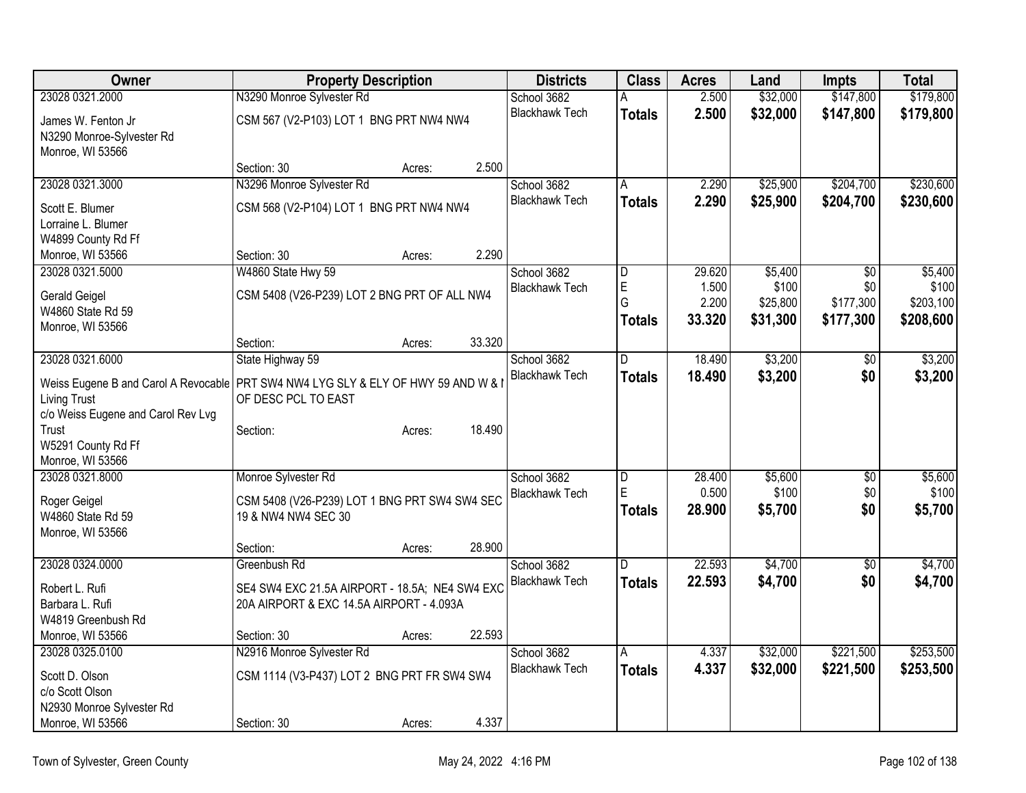| Owner                                                                              | <b>Property Description</b>                    |        |        | <b>Districts</b>      | <b>Class</b>   | <b>Acres</b> | Land     | <b>Impts</b>    | <b>Total</b> |
|------------------------------------------------------------------------------------|------------------------------------------------|--------|--------|-----------------------|----------------|--------------|----------|-----------------|--------------|
| 23028 0321.2000                                                                    | N3290 Monroe Sylvester Rd                      |        |        | School 3682           | А              | 2.500        | \$32,000 | \$147,800       | \$179,800    |
| James W. Fenton Jr                                                                 | CSM 567 (V2-P103) LOT 1 BNG PRT NW4 NW4        |        |        | <b>Blackhawk Tech</b> | <b>Totals</b>  | 2.500        | \$32,000 | \$147,800       | \$179,800    |
| N3290 Monroe-Sylvester Rd                                                          |                                                |        |        |                       |                |              |          |                 |              |
| Monroe, WI 53566                                                                   |                                                |        |        |                       |                |              |          |                 |              |
|                                                                                    | Section: 30                                    | Acres: | 2.500  |                       |                |              |          |                 |              |
| 23028 0321.3000                                                                    | N3296 Monroe Sylvester Rd                      |        |        | School 3682           | A              | 2.290        | \$25,900 | \$204,700       | \$230,600    |
| Scott E. Blumer                                                                    | CSM 568 (V2-P104) LOT 1 BNG PRT NW4 NW4        |        |        | <b>Blackhawk Tech</b> | <b>Totals</b>  | 2.290        | \$25,900 | \$204,700       | \$230,600    |
| Lorraine L. Blumer                                                                 |                                                |        |        |                       |                |              |          |                 |              |
| W4899 County Rd Ff                                                                 |                                                |        |        |                       |                |              |          |                 |              |
| Monroe, WI 53566                                                                   | Section: 30                                    | Acres: | 2.290  |                       |                |              |          |                 |              |
| 23028 0321.5000                                                                    | W4860 State Hwy 59                             |        |        | School 3682           | D              | 29.620       | \$5,400  | $\overline{50}$ | \$5,400      |
| <b>Gerald Geigel</b>                                                               | CSM 5408 (V26-P239) LOT 2 BNG PRT OF ALL NW4   |        |        | <b>Blackhawk Tech</b> | E              | 1.500        | \$100    | \$0             | \$100        |
| W4860 State Rd 59                                                                  |                                                |        |        |                       | G              | 2.200        | \$25,800 | \$177,300       | \$203,100    |
| Monroe, WI 53566                                                                   |                                                |        |        |                       | <b>Totals</b>  | 33.320       | \$31,300 | \$177,300       | \$208,600    |
|                                                                                    | Section:                                       | Acres: | 33.320 |                       |                |              |          |                 |              |
| 23028 0321.6000                                                                    | State Highway 59                               |        |        | School 3682           | D              | 18.490       | \$3,200  | \$0             | \$3,200      |
| Weiss Eugene B and Carol A Revocable   PRT SW4 NW4 LYG SLY & ELY OF HWY 59 AND W & |                                                |        |        | <b>Blackhawk Tech</b> | <b>Totals</b>  | 18.490       | \$3,200  | \$0             | \$3,200      |
| <b>Living Trust</b>                                                                | OF DESC PCL TO EAST                            |        |        |                       |                |              |          |                 |              |
| c/o Weiss Eugene and Carol Rev Lvg                                                 |                                                |        |        |                       |                |              |          |                 |              |
| Trust                                                                              | Section:                                       | Acres: | 18.490 |                       |                |              |          |                 |              |
| W5291 County Rd Ff                                                                 |                                                |        |        |                       |                |              |          |                 |              |
| Monroe, WI 53566                                                                   |                                                |        |        |                       |                |              |          |                 |              |
| 23028 0321.8000                                                                    | Monroe Sylvester Rd                            |        |        | School 3682           | $\overline{D}$ | 28.400       | \$5,600  | $\overline{50}$ | \$5,600      |
| Roger Geigel                                                                       | CSM 5408 (V26-P239) LOT 1 BNG PRT SW4 SW4 SEC  |        |        | <b>Blackhawk Tech</b> | E              | 0.500        | \$100    | \$0             | \$100        |
| W4860 State Rd 59                                                                  | 19 & NW4 NW4 SEC 30                            |        |        |                       | <b>Totals</b>  | 28,900       | \$5,700  | \$0             | \$5,700      |
| Monroe, WI 53566                                                                   |                                                |        |        |                       |                |              |          |                 |              |
|                                                                                    | Section:                                       | Acres: | 28.900 |                       |                |              |          |                 |              |
| 23028 0324.0000                                                                    | Greenbush Rd                                   |        |        | School 3682           | D              | 22.593       | \$4,700  | $\sqrt{6}$      | \$4,700      |
| Robert L. Rufi                                                                     | SE4 SW4 EXC 21.5A AIRPORT - 18.5A; NE4 SW4 EXC |        |        | <b>Blackhawk Tech</b> | <b>Totals</b>  | 22.593       | \$4,700  | \$0             | \$4,700      |
| Barbara L. Rufi                                                                    | 20A AIRPORT & EXC 14.5A AIRPORT - 4.093A       |        |        |                       |                |              |          |                 |              |
| W4819 Greenbush Rd                                                                 |                                                |        |        |                       |                |              |          |                 |              |
| Monroe, WI 53566                                                                   | Section: 30                                    | Acres: | 22.593 |                       |                |              |          |                 |              |
| 23028 0325.0100                                                                    | N2916 Monroe Sylvester Rd                      |        |        | School 3682           | A              | 4.337        | \$32,000 | \$221,500       | \$253,500    |
| Scott D. Olson                                                                     | CSM 1114 (V3-P437) LOT 2 BNG PRT FR SW4 SW4    |        |        | <b>Blackhawk Tech</b> | <b>Totals</b>  | 4.337        | \$32,000 | \$221,500       | \$253,500    |
| c/o Scott Olson                                                                    |                                                |        |        |                       |                |              |          |                 |              |
| N2930 Monroe Sylvester Rd                                                          |                                                |        |        |                       |                |              |          |                 |              |
| Monroe, WI 53566                                                                   | Section: 30                                    | Acres: | 4.337  |                       |                |              |          |                 |              |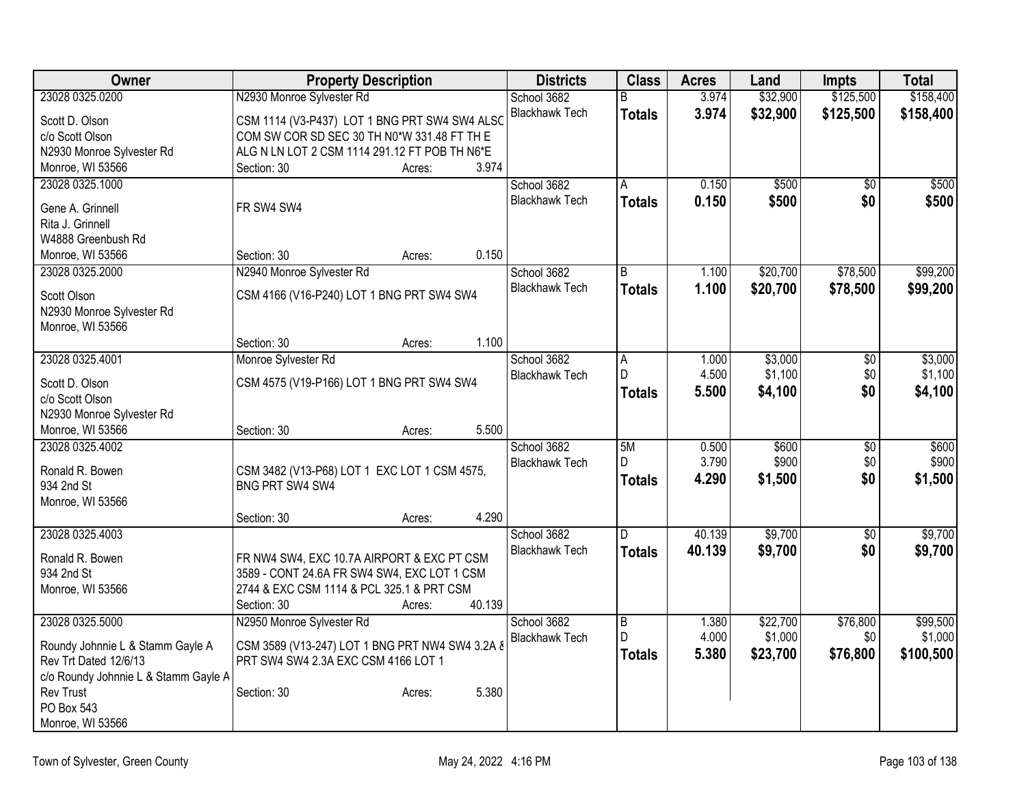| Owner                                    | <b>Property Description</b>                     |        |        | <b>Districts</b>      | <b>Class</b>   | <b>Acres</b> | Land     | <b>Impts</b>    | <b>Total</b> |
|------------------------------------------|-------------------------------------------------|--------|--------|-----------------------|----------------|--------------|----------|-----------------|--------------|
| 23028 0325.0200                          | N2930 Monroe Sylvester Rd                       |        |        | School 3682           | B              | 3.974        | \$32,900 | \$125,500       | \$158,400    |
| Scott D. Olson                           | CSM 1114 (V3-P437) LOT 1 BNG PRT SW4 SW4 ALSO   |        |        | <b>Blackhawk Tech</b> | <b>Totals</b>  | 3.974        | \$32,900 | \$125,500       | \$158,400    |
| c/o Scott Olson                          | COM SW COR SD SEC 30 TH N0*W 331.48 FT TH E     |        |        |                       |                |              |          |                 |              |
| N2930 Monroe Sylvester Rd                | ALG N LN LOT 2 CSM 1114 291.12 FT POB TH N6*E   |        |        |                       |                |              |          |                 |              |
| Monroe, WI 53566                         | Section: 30                                     | Acres: | 3.974  |                       |                |              |          |                 |              |
| 23028 0325.1000                          |                                                 |        |        | School 3682           | A              | 0.150        | \$500    | $\overline{50}$ | \$500        |
| Gene A. Grinnell                         | FR SW4 SW4                                      |        |        | <b>Blackhawk Tech</b> | <b>Totals</b>  | 0.150        | \$500    | \$0             | \$500        |
| Rita J. Grinnell                         |                                                 |        |        |                       |                |              |          |                 |              |
| W4888 Greenbush Rd                       |                                                 |        |        |                       |                |              |          |                 |              |
| Monroe, WI 53566                         | Section: 30                                     | Acres: | 0.150  |                       |                |              |          |                 |              |
| 23028 0325.2000                          | N2940 Monroe Sylvester Rd                       |        |        | School 3682           | B              | 1.100        | \$20,700 | \$78,500        | \$99,200     |
|                                          |                                                 |        |        | <b>Blackhawk Tech</b> | <b>Totals</b>  | 1.100        | \$20,700 | \$78,500        | \$99,200     |
| Scott Olson<br>N2930 Monroe Sylvester Rd | CSM 4166 (V16-P240) LOT 1 BNG PRT SW4 SW4       |        |        |                       |                |              |          |                 |              |
| Monroe, WI 53566                         |                                                 |        |        |                       |                |              |          |                 |              |
|                                          | Section: 30                                     | Acres: | 1.100  |                       |                |              |          |                 |              |
| 23028 0325.4001                          | Monroe Sylvester Rd                             |        |        | School 3682           | Α              | 1.000        | \$3,000  | \$0             | \$3,000      |
|                                          |                                                 |        |        | <b>Blackhawk Tech</b> | D              | 4.500        | \$1,100  | \$0             | \$1,100      |
| Scott D. Olson                           | CSM 4575 (V19-P166) LOT 1 BNG PRT SW4 SW4       |        |        |                       | <b>Totals</b>  | 5.500        | \$4,100  | \$0             | \$4,100      |
| c/o Scott Olson                          |                                                 |        |        |                       |                |              |          |                 |              |
| N2930 Monroe Sylvester Rd                |                                                 |        |        |                       |                |              |          |                 |              |
| Monroe, WI 53566                         | Section: 30                                     | Acres: | 5.500  |                       |                |              |          |                 |              |
| 23028 0325.4002                          |                                                 |        |        | School 3682           | 5M             | 0.500        | \$600    | $\overline{50}$ | \$600        |
| Ronald R. Bowen                          | CSM 3482 (V13-P68) LOT 1 EXC LOT 1 CSM 4575,    |        |        | <b>Blackhawk Tech</b> | D              | 3.790        | \$900    | \$0             | \$900        |
| 934 2nd St                               | BNG PRT SW4 SW4                                 |        |        |                       | <b>Totals</b>  | 4.290        | \$1,500  | \$0             | \$1,500      |
| Monroe, WI 53566                         |                                                 |        |        |                       |                |              |          |                 |              |
|                                          | Section: 30                                     | Acres: | 4.290  |                       |                |              |          |                 |              |
| 23028 0325.4003                          |                                                 |        |        | School 3682           | D.             | 40.139       | \$9,700  | $\overline{30}$ | \$9,700      |
| Ronald R. Bowen                          | FR NW4 SW4, EXC 10.7A AIRPORT & EXC PT CSM      |        |        | <b>Blackhawk Tech</b> | <b>Totals</b>  | 40.139       | \$9,700  | \$0             | \$9,700      |
| 934 2nd St                               | 3589 - CONT 24.6A FR SW4 SW4, EXC LOT 1 CSM     |        |        |                       |                |              |          |                 |              |
| Monroe, WI 53566                         | 2744 & EXC CSM 1114 & PCL 325.1 & PRT CSM       |        |        |                       |                |              |          |                 |              |
|                                          | Section: 30                                     | Acres: | 40.139 |                       |                |              |          |                 |              |
| 23028 0325.5000                          | N2950 Monroe Sylvester Rd                       |        |        | School 3682           | $\overline{B}$ | 1.380        | \$22,700 | \$76,800        | \$99,500     |
| Roundy Johnnie L & Stamm Gayle A         | CSM 3589 (V13-247) LOT 1 BNG PRT NW4 SW4 3.2A & |        |        | <b>Blackhawk Tech</b> | D.             | 4.000        | \$1,000  | \$0             | \$1,000      |
| Rev Trt Dated 12/6/13                    | PRT SW4 SW4 2.3A EXC CSM 4166 LOT 1             |        |        |                       | <b>Totals</b>  | 5.380        | \$23,700 | \$76,800        | \$100,500    |
| c/o Roundy Johnnie L & Stamm Gayle A     |                                                 |        |        |                       |                |              |          |                 |              |
| Rev Trust                                | Section: 30                                     | Acres: | 5.380  |                       |                |              |          |                 |              |
| PO Box 543                               |                                                 |        |        |                       |                |              |          |                 |              |
| Monroe, WI 53566                         |                                                 |        |        |                       |                |              |          |                 |              |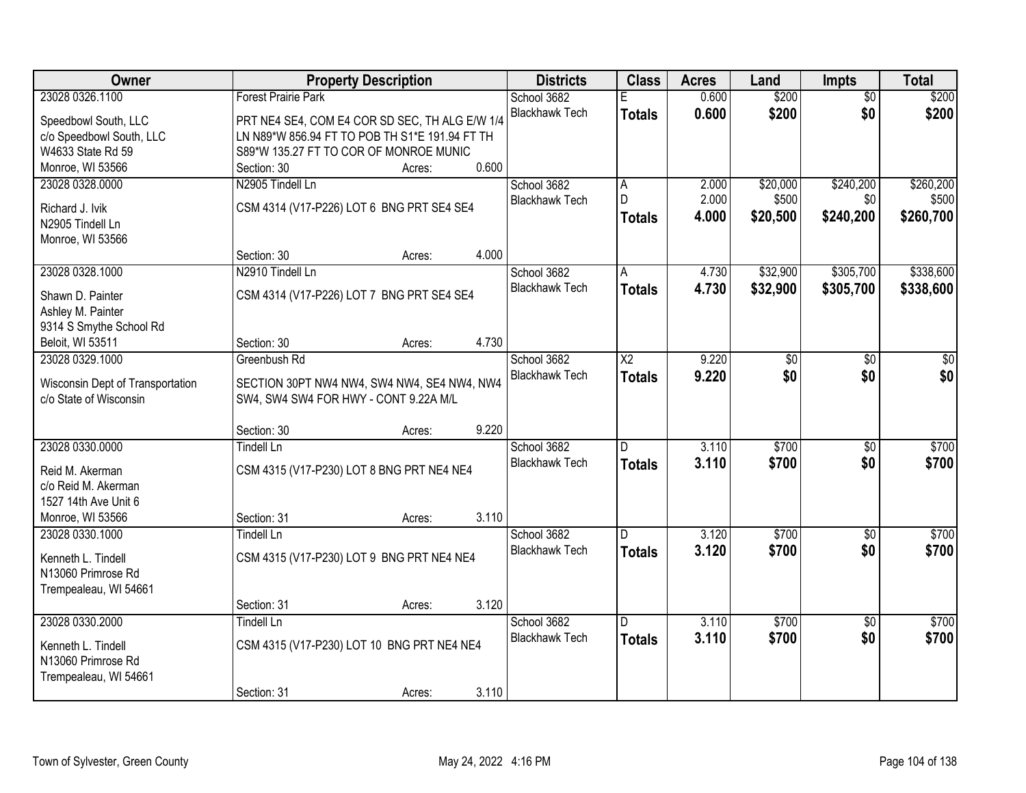| Owner                                                      |                                                                                      | <b>Property Description</b> |       | <b>Districts</b>      | <b>Class</b>            | <b>Acres</b> | Land     | <b>Impts</b>    | <b>Total</b> |
|------------------------------------------------------------|--------------------------------------------------------------------------------------|-----------------------------|-------|-----------------------|-------------------------|--------------|----------|-----------------|--------------|
| 23028 0326.1100                                            | <b>Forest Prairie Park</b>                                                           |                             |       | School 3682           |                         | 0.600        | \$200    | $\overline{50}$ | \$200        |
| Speedbowl South, LLC                                       | PRT NE4 SE4, COM E4 COR SD SEC, TH ALG E/W 1/4                                       |                             |       | <b>Blackhawk Tech</b> | <b>Totals</b>           | 0.600        | \$200    | \$0             | \$200        |
| c/o Speedbowl South, LLC                                   | LN N89*W 856.94 FT TO POB TH S1*E 191.94 FT TH                                       |                             |       |                       |                         |              |          |                 |              |
| W4633 State Rd 59                                          | S89*W 135.27 FT TO COR OF MONROE MUNIC                                               |                             |       |                       |                         |              |          |                 |              |
| Monroe, WI 53566                                           | Section: 30                                                                          | Acres:                      | 0.600 |                       |                         |              |          |                 |              |
| 23028 0328.0000                                            | N2905 Tindell Ln                                                                     |                             |       | School 3682           | $\overline{\mathsf{A}}$ | 2.000        | \$20,000 | \$240,200       | \$260,200    |
|                                                            |                                                                                      |                             |       | <b>Blackhawk Tech</b> | D.                      | 2.000        | \$500    | \$0             | \$500        |
| Richard J. Ivik                                            | CSM 4314 (V17-P226) LOT 6 BNG PRT SE4 SE4                                            |                             |       |                       | <b>Totals</b>           | 4.000        | \$20,500 | \$240,200       | \$260,700    |
| N2905 Tindell Ln                                           |                                                                                      |                             |       |                       |                         |              |          |                 |              |
| Monroe, WI 53566                                           |                                                                                      |                             |       |                       |                         |              |          |                 |              |
|                                                            | Section: 30                                                                          | Acres:                      | 4.000 |                       |                         |              |          |                 |              |
| 23028 0328.1000                                            | N2910 Tindell Ln                                                                     |                             |       | School 3682           | Α                       | 4.730        | \$32,900 | \$305,700       | \$338,600    |
| Shawn D. Painter                                           | CSM 4314 (V17-P226) LOT 7 BNG PRT SE4 SE4                                            |                             |       | <b>Blackhawk Tech</b> | <b>Totals</b>           | 4.730        | \$32,900 | \$305,700       | \$338,600    |
| Ashley M. Painter                                          |                                                                                      |                             |       |                       |                         |              |          |                 |              |
| 9314 S Smythe School Rd                                    |                                                                                      |                             |       |                       |                         |              |          |                 |              |
| Beloit, WI 53511                                           | Section: 30                                                                          | Acres:                      | 4.730 |                       |                         |              |          |                 |              |
| 23028 0329.1000                                            | Greenbush Rd                                                                         |                             |       | School 3682           | $\overline{\text{X2}}$  | 9.220        | \$0      | \$0             | \$0          |
|                                                            |                                                                                      |                             |       | <b>Blackhawk Tech</b> | <b>Totals</b>           | 9.220        | \$0      | \$0             | \$0          |
| Wisconsin Dept of Transportation<br>c/o State of Wisconsin | SECTION 30PT NW4 NW4, SW4 NW4, SE4 NW4, NW4<br>SW4, SW4 SW4 FOR HWY - CONT 9.22A M/L |                             |       |                       |                         |              |          |                 |              |
|                                                            |                                                                                      |                             |       |                       |                         |              |          |                 |              |
|                                                            | Section: 30                                                                          | Acres:                      | 9.220 |                       |                         |              |          |                 |              |
| 23028 0330.0000                                            | <b>Tindell Ln</b>                                                                    |                             |       | School 3682           | D.                      | 3.110        | \$700    | $\overline{50}$ | \$700        |
|                                                            |                                                                                      |                             |       | <b>Blackhawk Tech</b> | <b>Totals</b>           | 3.110        | \$700    | \$0             | \$700        |
| Reid M. Akerman<br>c/o Reid M. Akerman                     | CSM 4315 (V17-P230) LOT 8 BNG PRT NE4 NE4                                            |                             |       |                       |                         |              |          |                 |              |
| 1527 14th Ave Unit 6                                       |                                                                                      |                             |       |                       |                         |              |          |                 |              |
| Monroe, WI 53566                                           | Section: 31                                                                          | Acres:                      | 3.110 |                       |                         |              |          |                 |              |
| 23028 0330.1000                                            | <b>Tindell Ln</b>                                                                    |                             |       | School 3682           | D                       | 3.120        | \$700    | $\overline{50}$ | \$700        |
|                                                            |                                                                                      |                             |       | <b>Blackhawk Tech</b> |                         | 3.120        | \$700    | \$0             | \$700        |
| Kenneth L. Tindell                                         | CSM 4315 (V17-P230) LOT 9 BNG PRT NE4 NE4                                            |                             |       |                       | <b>Totals</b>           |              |          |                 |              |
| N13060 Primrose Rd                                         |                                                                                      |                             |       |                       |                         |              |          |                 |              |
| Trempealeau, WI 54661                                      |                                                                                      |                             |       |                       |                         |              |          |                 |              |
|                                                            | Section: 31                                                                          | Acres:                      | 3.120 |                       |                         |              |          |                 |              |
| 23028 0330.2000                                            | <b>Tindell Ln</b>                                                                    |                             |       | School 3682           | $\overline{\mathsf{D}}$ | 3.110        | \$700    | $\overline{50}$ | \$700        |
| Kenneth L. Tindell                                         | CSM 4315 (V17-P230) LOT 10 BNG PRT NE4 NE4                                           |                             |       | <b>Blackhawk Tech</b> | <b>Totals</b>           | 3.110        | \$700    | \$0             | \$700        |
| N13060 Primrose Rd                                         |                                                                                      |                             |       |                       |                         |              |          |                 |              |
| Trempealeau, WI 54661                                      |                                                                                      |                             |       |                       |                         |              |          |                 |              |
|                                                            | Section: 31                                                                          | Acres:                      | 3.110 |                       |                         |              |          |                 |              |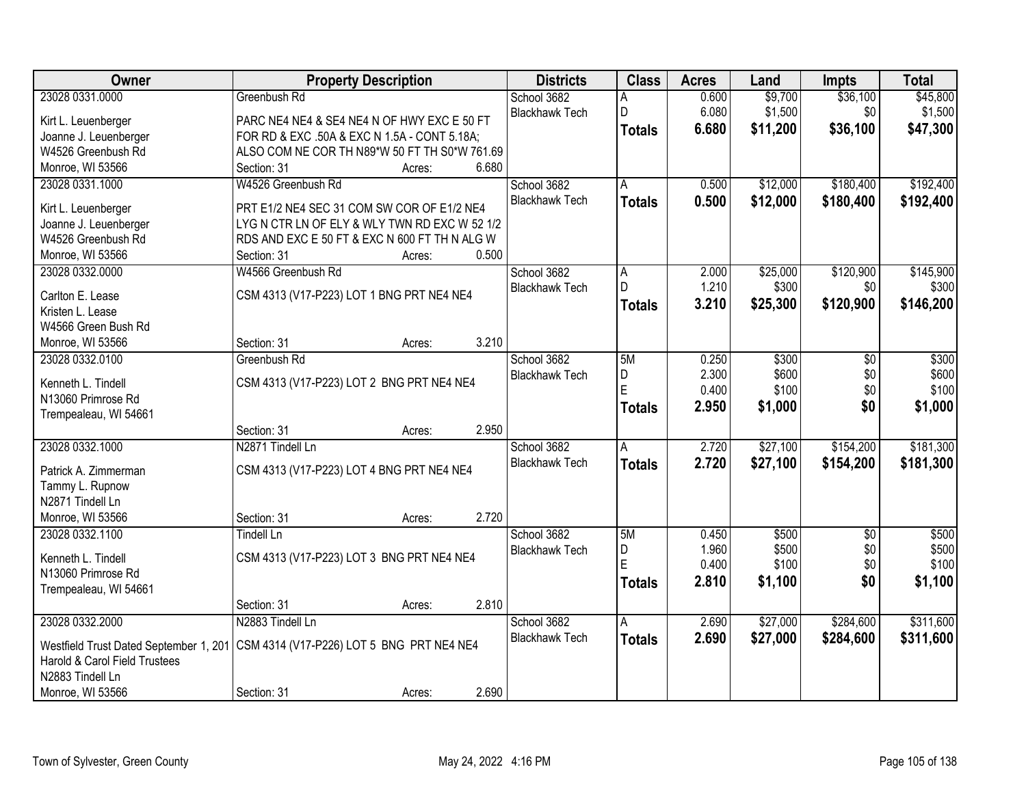| \$36,100<br>23028 0331.0000<br>0.600<br>\$9,700<br>\$45,800<br>Greenbush Rd<br>School 3682<br>\$1,500<br>D<br>6.080<br>\$1,500<br>\$0<br><b>Blackhawk Tech</b><br>PARC NE4 NE4 & SE4 NE4 N OF HWY EXC E 50 FT<br>Kirt L. Leuenberger<br>6.680<br>\$11,200<br>\$36,100<br>\$47,300<br><b>Totals</b><br>Joanne J. Leuenberger<br>FOR RD & EXC .50A & EXC N 1.5A - CONT 5.18A;<br>W4526 Greenbush Rd<br>ALSO COM NE COR TH N89*W 50 FT TH S0*W 761.69<br>Monroe, WI 53566<br>6.680<br>Section: 31<br>Acres:<br>\$12,000<br>\$180,400<br>23028 0331.1000<br>W4526 Greenbush Rd<br>School 3682<br>0.500<br>A<br><b>Blackhawk Tech</b><br>0.500<br>\$12,000<br>\$180,400<br><b>Totals</b><br>PRT E1/2 NE4 SEC 31 COM SW COR OF E1/2 NE4<br>Kirt L. Leuenberger<br>Joanne J. Leuenberger<br>LYG N CTR LN OF ELY & WLY TWN RD EXC W 52 1/2<br>W4526 Greenbush Rd<br>RDS AND EXC E 50 FT & EXC N 600 FT TH N ALG W<br>0.500<br>Monroe, WI 53566<br>Section: 31<br>Acres:<br>23028 0332.0000<br>W4566 Greenbush Rd<br>School 3682<br>\$25,000<br>\$120,900<br>2.000<br>A<br>D<br>1.210<br>\$300<br>\$0<br><b>Blackhawk Tech</b><br>CSM 4313 (V17-P223) LOT 1 BNG PRT NE4 NE4<br>Carlton E. Lease<br>3.210<br>\$25,300<br>\$120,900<br><b>Totals</b><br>Kristen L. Lease<br>W4566 Green Bush Rd<br>3.210<br>Monroe, WI 53566<br>Section: 31<br>Acres:<br>School 3682<br>\$300<br>\$300<br>23028 0332.0100<br>Greenbush Rd<br>5M<br>0.250<br>\$0<br>2.300<br>\$600<br>\$600<br>D<br>\$0<br><b>Blackhawk Tech</b><br>Kenneth L. Tindell<br>CSM 4313 (V17-P223) LOT 2 BNG PRT NE4 NE4<br>E<br>\$100<br>0.400<br>\$0<br>N13060 Primrose Rd<br>2.950<br>\$0<br>\$1,000<br><b>Totals</b><br>Trempealeau, WI 54661<br>2.950<br>Section: 31<br>Acres:<br>\$27,100<br>23028 0332.1000<br>N2871 Tindell Ln<br>2.720<br>\$154,200<br>School 3682<br>A<br>2.720<br>\$27,100<br>\$154,200<br><b>Blackhawk Tech</b><br><b>Totals</b><br>CSM 4313 (V17-P223) LOT 4 BNG PRT NE4 NE4<br>Patrick A. Zimmerman<br>Tammy L. Rupnow<br>N2871 Tindell Ln<br>2.720<br>Monroe, WI 53566<br>Section: 31<br>Acres:<br>School 3682<br>5M<br>\$500<br>\$500<br>23028 0332.1100<br><b>Tindell Ln</b><br>0.450<br>$\sqrt{6}$<br>1.960<br>\$500<br>\$0<br>D<br><b>Blackhawk Tech</b><br>CSM 4313 (V17-P223) LOT 3 BNG PRT NE4 NE4<br>Kenneth L. Tindell<br>F<br>0.400<br>\$100<br>\$0<br>N13060 Primrose Rd<br>2.810<br>\$1,100<br>\$0<br><b>Totals</b><br>Trempealeau, WI 54661 | Owner | <b>Property Description</b>    | <b>Districts</b> | <b>Class</b> | <b>Acres</b> | Land | <b>Impts</b> | <b>Total</b> |
|----------------------------------------------------------------------------------------------------------------------------------------------------------------------------------------------------------------------------------------------------------------------------------------------------------------------------------------------------------------------------------------------------------------------------------------------------------------------------------------------------------------------------------------------------------------------------------------------------------------------------------------------------------------------------------------------------------------------------------------------------------------------------------------------------------------------------------------------------------------------------------------------------------------------------------------------------------------------------------------------------------------------------------------------------------------------------------------------------------------------------------------------------------------------------------------------------------------------------------------------------------------------------------------------------------------------------------------------------------------------------------------------------------------------------------------------------------------------------------------------------------------------------------------------------------------------------------------------------------------------------------------------------------------------------------------------------------------------------------------------------------------------------------------------------------------------------------------------------------------------------------------------------------------------------------------------------------------------------------------------------------------------------------------------------------------------------------------------------------------------------------------------------------------------------------------------------------------------------------------------------------------------------------------------------------------------------------------------------------------------------------------------------------------------------------------|-------|--------------------------------|------------------|--------------|--------------|------|--------------|--------------|
|                                                                                                                                                                                                                                                                                                                                                                                                                                                                                                                                                                                                                                                                                                                                                                                                                                                                                                                                                                                                                                                                                                                                                                                                                                                                                                                                                                                                                                                                                                                                                                                                                                                                                                                                                                                                                                                                                                                                                                                                                                                                                                                                                                                                                                                                                                                                                                                                                                        |       |                                |                  |              |              |      |              |              |
| \$192,400<br>\$192,400<br>\$145,900<br>\$300<br>\$146,200<br>\$100<br>\$1,000<br>\$181,300<br>\$181,300<br>\$500<br>\$100<br>\$1,100                                                                                                                                                                                                                                                                                                                                                                                                                                                                                                                                                                                                                                                                                                                                                                                                                                                                                                                                                                                                                                                                                                                                                                                                                                                                                                                                                                                                                                                                                                                                                                                                                                                                                                                                                                                                                                                                                                                                                                                                                                                                                                                                                                                                                                                                                                   |       |                                |                  |              |              |      |              |              |
|                                                                                                                                                                                                                                                                                                                                                                                                                                                                                                                                                                                                                                                                                                                                                                                                                                                                                                                                                                                                                                                                                                                                                                                                                                                                                                                                                                                                                                                                                                                                                                                                                                                                                                                                                                                                                                                                                                                                                                                                                                                                                                                                                                                                                                                                                                                                                                                                                                        |       |                                |                  |              |              |      |              |              |
|                                                                                                                                                                                                                                                                                                                                                                                                                                                                                                                                                                                                                                                                                                                                                                                                                                                                                                                                                                                                                                                                                                                                                                                                                                                                                                                                                                                                                                                                                                                                                                                                                                                                                                                                                                                                                                                                                                                                                                                                                                                                                                                                                                                                                                                                                                                                                                                                                                        |       |                                |                  |              |              |      |              |              |
|                                                                                                                                                                                                                                                                                                                                                                                                                                                                                                                                                                                                                                                                                                                                                                                                                                                                                                                                                                                                                                                                                                                                                                                                                                                                                                                                                                                                                                                                                                                                                                                                                                                                                                                                                                                                                                                                                                                                                                                                                                                                                                                                                                                                                                                                                                                                                                                                                                        |       |                                |                  |              |              |      |              |              |
|                                                                                                                                                                                                                                                                                                                                                                                                                                                                                                                                                                                                                                                                                                                                                                                                                                                                                                                                                                                                                                                                                                                                                                                                                                                                                                                                                                                                                                                                                                                                                                                                                                                                                                                                                                                                                                                                                                                                                                                                                                                                                                                                                                                                                                                                                                                                                                                                                                        |       |                                |                  |              |              |      |              |              |
|                                                                                                                                                                                                                                                                                                                                                                                                                                                                                                                                                                                                                                                                                                                                                                                                                                                                                                                                                                                                                                                                                                                                                                                                                                                                                                                                                                                                                                                                                                                                                                                                                                                                                                                                                                                                                                                                                                                                                                                                                                                                                                                                                                                                                                                                                                                                                                                                                                        |       |                                |                  |              |              |      |              |              |
|                                                                                                                                                                                                                                                                                                                                                                                                                                                                                                                                                                                                                                                                                                                                                                                                                                                                                                                                                                                                                                                                                                                                                                                                                                                                                                                                                                                                                                                                                                                                                                                                                                                                                                                                                                                                                                                                                                                                                                                                                                                                                                                                                                                                                                                                                                                                                                                                                                        |       |                                |                  |              |              |      |              |              |
|                                                                                                                                                                                                                                                                                                                                                                                                                                                                                                                                                                                                                                                                                                                                                                                                                                                                                                                                                                                                                                                                                                                                                                                                                                                                                                                                                                                                                                                                                                                                                                                                                                                                                                                                                                                                                                                                                                                                                                                                                                                                                                                                                                                                                                                                                                                                                                                                                                        |       |                                |                  |              |              |      |              |              |
|                                                                                                                                                                                                                                                                                                                                                                                                                                                                                                                                                                                                                                                                                                                                                                                                                                                                                                                                                                                                                                                                                                                                                                                                                                                                                                                                                                                                                                                                                                                                                                                                                                                                                                                                                                                                                                                                                                                                                                                                                                                                                                                                                                                                                                                                                                                                                                                                                                        |       |                                |                  |              |              |      |              |              |
|                                                                                                                                                                                                                                                                                                                                                                                                                                                                                                                                                                                                                                                                                                                                                                                                                                                                                                                                                                                                                                                                                                                                                                                                                                                                                                                                                                                                                                                                                                                                                                                                                                                                                                                                                                                                                                                                                                                                                                                                                                                                                                                                                                                                                                                                                                                                                                                                                                        |       |                                |                  |              |              |      |              |              |
|                                                                                                                                                                                                                                                                                                                                                                                                                                                                                                                                                                                                                                                                                                                                                                                                                                                                                                                                                                                                                                                                                                                                                                                                                                                                                                                                                                                                                                                                                                                                                                                                                                                                                                                                                                                                                                                                                                                                                                                                                                                                                                                                                                                                                                                                                                                                                                                                                                        |       |                                |                  |              |              |      |              |              |
|                                                                                                                                                                                                                                                                                                                                                                                                                                                                                                                                                                                                                                                                                                                                                                                                                                                                                                                                                                                                                                                                                                                                                                                                                                                                                                                                                                                                                                                                                                                                                                                                                                                                                                                                                                                                                                                                                                                                                                                                                                                                                                                                                                                                                                                                                                                                                                                                                                        |       |                                |                  |              |              |      |              |              |
|                                                                                                                                                                                                                                                                                                                                                                                                                                                                                                                                                                                                                                                                                                                                                                                                                                                                                                                                                                                                                                                                                                                                                                                                                                                                                                                                                                                                                                                                                                                                                                                                                                                                                                                                                                                                                                                                                                                                                                                                                                                                                                                                                                                                                                                                                                                                                                                                                                        |       |                                |                  |              |              |      |              |              |
|                                                                                                                                                                                                                                                                                                                                                                                                                                                                                                                                                                                                                                                                                                                                                                                                                                                                                                                                                                                                                                                                                                                                                                                                                                                                                                                                                                                                                                                                                                                                                                                                                                                                                                                                                                                                                                                                                                                                                                                                                                                                                                                                                                                                                                                                                                                                                                                                                                        |       |                                |                  |              |              |      |              |              |
|                                                                                                                                                                                                                                                                                                                                                                                                                                                                                                                                                                                                                                                                                                                                                                                                                                                                                                                                                                                                                                                                                                                                                                                                                                                                                                                                                                                                                                                                                                                                                                                                                                                                                                                                                                                                                                                                                                                                                                                                                                                                                                                                                                                                                                                                                                                                                                                                                                        |       |                                |                  |              |              |      |              |              |
|                                                                                                                                                                                                                                                                                                                                                                                                                                                                                                                                                                                                                                                                                                                                                                                                                                                                                                                                                                                                                                                                                                                                                                                                                                                                                                                                                                                                                                                                                                                                                                                                                                                                                                                                                                                                                                                                                                                                                                                                                                                                                                                                                                                                                                                                                                                                                                                                                                        |       |                                |                  |              |              |      |              |              |
|                                                                                                                                                                                                                                                                                                                                                                                                                                                                                                                                                                                                                                                                                                                                                                                                                                                                                                                                                                                                                                                                                                                                                                                                                                                                                                                                                                                                                                                                                                                                                                                                                                                                                                                                                                                                                                                                                                                                                                                                                                                                                                                                                                                                                                                                                                                                                                                                                                        |       |                                |                  |              |              |      |              |              |
|                                                                                                                                                                                                                                                                                                                                                                                                                                                                                                                                                                                                                                                                                                                                                                                                                                                                                                                                                                                                                                                                                                                                                                                                                                                                                                                                                                                                                                                                                                                                                                                                                                                                                                                                                                                                                                                                                                                                                                                                                                                                                                                                                                                                                                                                                                                                                                                                                                        |       |                                |                  |              |              |      |              |              |
|                                                                                                                                                                                                                                                                                                                                                                                                                                                                                                                                                                                                                                                                                                                                                                                                                                                                                                                                                                                                                                                                                                                                                                                                                                                                                                                                                                                                                                                                                                                                                                                                                                                                                                                                                                                                                                                                                                                                                                                                                                                                                                                                                                                                                                                                                                                                                                                                                                        |       |                                |                  |              |              |      |              |              |
|                                                                                                                                                                                                                                                                                                                                                                                                                                                                                                                                                                                                                                                                                                                                                                                                                                                                                                                                                                                                                                                                                                                                                                                                                                                                                                                                                                                                                                                                                                                                                                                                                                                                                                                                                                                                                                                                                                                                                                                                                                                                                                                                                                                                                                                                                                                                                                                                                                        |       |                                |                  |              |              |      |              |              |
|                                                                                                                                                                                                                                                                                                                                                                                                                                                                                                                                                                                                                                                                                                                                                                                                                                                                                                                                                                                                                                                                                                                                                                                                                                                                                                                                                                                                                                                                                                                                                                                                                                                                                                                                                                                                                                                                                                                                                                                                                                                                                                                                                                                                                                                                                                                                                                                                                                        |       |                                |                  |              |              |      |              |              |
|                                                                                                                                                                                                                                                                                                                                                                                                                                                                                                                                                                                                                                                                                                                                                                                                                                                                                                                                                                                                                                                                                                                                                                                                                                                                                                                                                                                                                                                                                                                                                                                                                                                                                                                                                                                                                                                                                                                                                                                                                                                                                                                                                                                                                                                                                                                                                                                                                                        |       |                                |                  |              |              |      |              |              |
|                                                                                                                                                                                                                                                                                                                                                                                                                                                                                                                                                                                                                                                                                                                                                                                                                                                                                                                                                                                                                                                                                                                                                                                                                                                                                                                                                                                                                                                                                                                                                                                                                                                                                                                                                                                                                                                                                                                                                                                                                                                                                                                                                                                                                                                                                                                                                                                                                                        |       |                                |                  |              |              |      |              |              |
|                                                                                                                                                                                                                                                                                                                                                                                                                                                                                                                                                                                                                                                                                                                                                                                                                                                                                                                                                                                                                                                                                                                                                                                                                                                                                                                                                                                                                                                                                                                                                                                                                                                                                                                                                                                                                                                                                                                                                                                                                                                                                                                                                                                                                                                                                                                                                                                                                                        |       |                                |                  |              |              |      |              |              |
|                                                                                                                                                                                                                                                                                                                                                                                                                                                                                                                                                                                                                                                                                                                                                                                                                                                                                                                                                                                                                                                                                                                                                                                                                                                                                                                                                                                                                                                                                                                                                                                                                                                                                                                                                                                                                                                                                                                                                                                                                                                                                                                                                                                                                                                                                                                                                                                                                                        |       |                                |                  |              |              |      |              |              |
|                                                                                                                                                                                                                                                                                                                                                                                                                                                                                                                                                                                                                                                                                                                                                                                                                                                                                                                                                                                                                                                                                                                                                                                                                                                                                                                                                                                                                                                                                                                                                                                                                                                                                                                                                                                                                                                                                                                                                                                                                                                                                                                                                                                                                                                                                                                                                                                                                                        |       |                                |                  |              |              |      |              |              |
|                                                                                                                                                                                                                                                                                                                                                                                                                                                                                                                                                                                                                                                                                                                                                                                                                                                                                                                                                                                                                                                                                                                                                                                                                                                                                                                                                                                                                                                                                                                                                                                                                                                                                                                                                                                                                                                                                                                                                                                                                                                                                                                                                                                                                                                                                                                                                                                                                                        |       |                                |                  |              |              |      |              |              |
|                                                                                                                                                                                                                                                                                                                                                                                                                                                                                                                                                                                                                                                                                                                                                                                                                                                                                                                                                                                                                                                                                                                                                                                                                                                                                                                                                                                                                                                                                                                                                                                                                                                                                                                                                                                                                                                                                                                                                                                                                                                                                                                                                                                                                                                                                                                                                                                                                                        |       |                                |                  |              |              |      |              |              |
|                                                                                                                                                                                                                                                                                                                                                                                                                                                                                                                                                                                                                                                                                                                                                                                                                                                                                                                                                                                                                                                                                                                                                                                                                                                                                                                                                                                                                                                                                                                                                                                                                                                                                                                                                                                                                                                                                                                                                                                                                                                                                                                                                                                                                                                                                                                                                                                                                                        |       |                                |                  |              |              |      |              |              |
|                                                                                                                                                                                                                                                                                                                                                                                                                                                                                                                                                                                                                                                                                                                                                                                                                                                                                                                                                                                                                                                                                                                                                                                                                                                                                                                                                                                                                                                                                                                                                                                                                                                                                                                                                                                                                                                                                                                                                                                                                                                                                                                                                                                                                                                                                                                                                                                                                                        |       |                                |                  |              |              |      |              |              |
|                                                                                                                                                                                                                                                                                                                                                                                                                                                                                                                                                                                                                                                                                                                                                                                                                                                                                                                                                                                                                                                                                                                                                                                                                                                                                                                                                                                                                                                                                                                                                                                                                                                                                                                                                                                                                                                                                                                                                                                                                                                                                                                                                                                                                                                                                                                                                                                                                                        |       |                                |                  |              |              |      |              |              |
|                                                                                                                                                                                                                                                                                                                                                                                                                                                                                                                                                                                                                                                                                                                                                                                                                                                                                                                                                                                                                                                                                                                                                                                                                                                                                                                                                                                                                                                                                                                                                                                                                                                                                                                                                                                                                                                                                                                                                                                                                                                                                                                                                                                                                                                                                                                                                                                                                                        |       | 2.810<br>Section: 31<br>Acres: |                  |              |              |      |              |              |
| 23028 0332.2000<br>N2883 Tindell Ln<br>\$27,000<br>\$284,600<br>\$311,600<br>School 3682<br>A<br>2.690                                                                                                                                                                                                                                                                                                                                                                                                                                                                                                                                                                                                                                                                                                                                                                                                                                                                                                                                                                                                                                                                                                                                                                                                                                                                                                                                                                                                                                                                                                                                                                                                                                                                                                                                                                                                                                                                                                                                                                                                                                                                                                                                                                                                                                                                                                                                 |       |                                |                  |              |              |      |              |              |
| 2.690<br><b>Blackhawk Tech</b><br>\$27,000<br>\$284,600<br>\$311,600<br><b>Totals</b><br>Westfield Trust Dated September 1, 201 CSM 4314 (V17-P226) LOT 5 BNG PRT NE4 NE4                                                                                                                                                                                                                                                                                                                                                                                                                                                                                                                                                                                                                                                                                                                                                                                                                                                                                                                                                                                                                                                                                                                                                                                                                                                                                                                                                                                                                                                                                                                                                                                                                                                                                                                                                                                                                                                                                                                                                                                                                                                                                                                                                                                                                                                              |       |                                |                  |              |              |      |              |              |
| Harold & Carol Field Trustees                                                                                                                                                                                                                                                                                                                                                                                                                                                                                                                                                                                                                                                                                                                                                                                                                                                                                                                                                                                                                                                                                                                                                                                                                                                                                                                                                                                                                                                                                                                                                                                                                                                                                                                                                                                                                                                                                                                                                                                                                                                                                                                                                                                                                                                                                                                                                                                                          |       |                                |                  |              |              |      |              |              |
| N2883 Tindell Ln                                                                                                                                                                                                                                                                                                                                                                                                                                                                                                                                                                                                                                                                                                                                                                                                                                                                                                                                                                                                                                                                                                                                                                                                                                                                                                                                                                                                                                                                                                                                                                                                                                                                                                                                                                                                                                                                                                                                                                                                                                                                                                                                                                                                                                                                                                                                                                                                                       |       |                                |                  |              |              |      |              |              |
| Monroe, WI 53566<br>2.690<br>Section: 31<br>Acres:                                                                                                                                                                                                                                                                                                                                                                                                                                                                                                                                                                                                                                                                                                                                                                                                                                                                                                                                                                                                                                                                                                                                                                                                                                                                                                                                                                                                                                                                                                                                                                                                                                                                                                                                                                                                                                                                                                                                                                                                                                                                                                                                                                                                                                                                                                                                                                                     |       |                                |                  |              |              |      |              |              |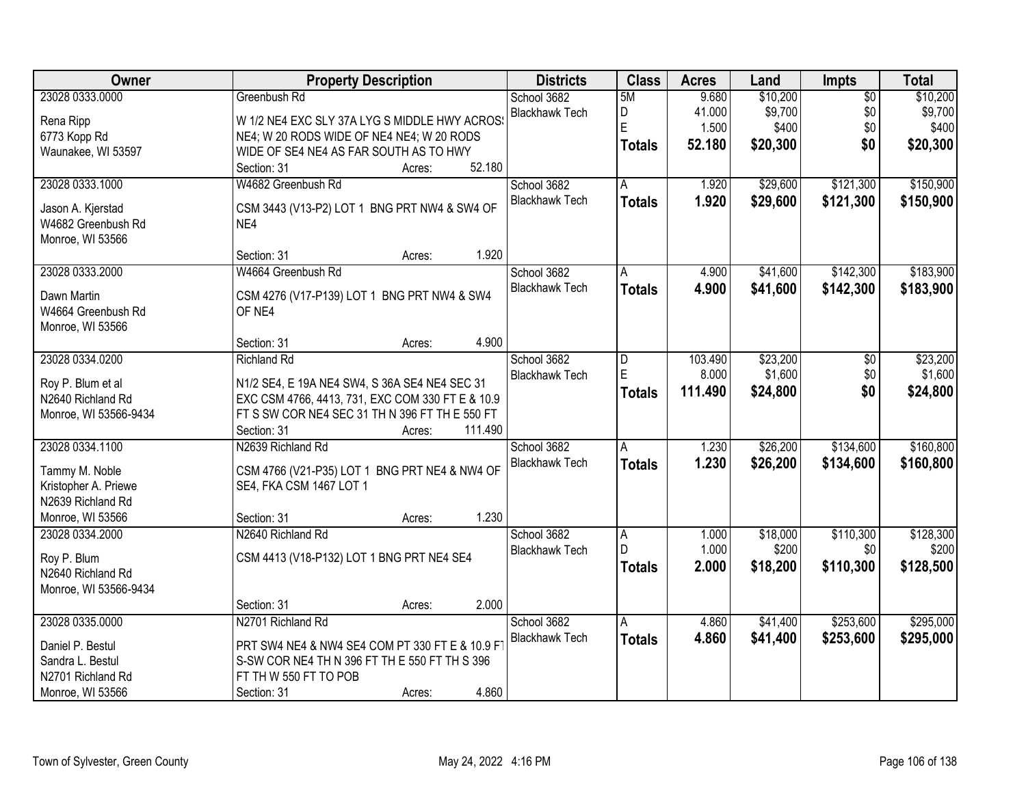| <b>Owner</b>                            | <b>Property Description</b>                      | <b>Districts</b>      | <b>Class</b>  | <b>Acres</b>   | Land              | Impts            | <b>Total</b>       |
|-----------------------------------------|--------------------------------------------------|-----------------------|---------------|----------------|-------------------|------------------|--------------------|
| 23028 0333.0000                         | Greenbush Rd                                     | School 3682           | 5M            | 9.680          | \$10,200          | $\overline{50}$  | \$10,200           |
| Rena Ripp                               | W 1/2 NE4 EXC SLY 37A LYG S MIDDLE HWY ACROSS    | <b>Blackhawk Tech</b> | D             | 41.000         | \$9,700           | \$0              | \$9,700            |
| 6773 Kopp Rd                            | NE4; W 20 RODS WIDE OF NE4 NE4; W 20 RODS        |                       | E             | 1.500          | \$400             | \$0              | \$400              |
| Waunakee, WI 53597                      | WIDE OF SE4 NE4 AS FAR SOUTH AS TO HWY           |                       | <b>Totals</b> | 52.180         | \$20,300          | \$0              | \$20,300           |
|                                         | 52.180<br>Section: 31<br>Acres:                  |                       |               |                |                   |                  |                    |
| 23028 0333.1000                         | W4682 Greenbush Rd                               | School 3682           | A             | 1.920          | \$29,600          | \$121,300        | \$150,900          |
|                                         |                                                  | <b>Blackhawk Tech</b> | <b>Totals</b> | 1.920          | \$29,600          | \$121,300        | \$150,900          |
| Jason A. Kjerstad<br>W4682 Greenbush Rd | CSM 3443 (V13-P2) LOT 1 BNG PRT NW4 & SW4 OF     |                       |               |                |                   |                  |                    |
|                                         | NE4                                              |                       |               |                |                   |                  |                    |
| Monroe, WI 53566                        | 1.920<br>Section: 31<br>Acres:                   |                       |               |                |                   |                  |                    |
| 23028 0333.2000                         | W4664 Greenbush Rd                               | School 3682           | Α             | 4.900          | \$41,600          | \$142,300        | \$183,900          |
|                                         |                                                  | <b>Blackhawk Tech</b> | <b>Totals</b> | 4.900          | \$41,600          | \$142,300        | \$183,900          |
| Dawn Martin                             | CSM 4276 (V17-P139) LOT 1 BNG PRT NW4 & SW4      |                       |               |                |                   |                  |                    |
| W4664 Greenbush Rd                      | OF NE4                                           |                       |               |                |                   |                  |                    |
| Monroe, WI 53566                        |                                                  |                       |               |                |                   |                  |                    |
|                                         | 4.900<br>Section: 31<br>Acres:                   |                       |               |                |                   |                  |                    |
| 23028 0334.0200                         | <b>Richland Rd</b>                               | School 3682           | D             | 103.490        | \$23,200          | \$0              | \$23,200           |
| Roy P. Blum et al                       | N1/2 SE4, E 19A NE4 SW4, S 36A SE4 NE4 SEC 31    | <b>Blackhawk Tech</b> | E             | 8.000          | \$1,600           | \$0              | \$1,600            |
| N2640 Richland Rd                       | EXC CSM 4766, 4413, 731, EXC COM 330 FT E & 10.9 |                       | <b>Totals</b> | 111.490        | \$24,800          | \$0              | \$24,800           |
| Monroe, WI 53566-9434                   | FT S SW COR NE4 SEC 31 TH N 396 FT TH E 550 FT   |                       |               |                |                   |                  |                    |
|                                         | 111.490<br>Section: 31<br>Acres:                 |                       |               |                |                   |                  |                    |
| 23028 0334.1100                         | N2639 Richland Rd                                | School 3682           | A             | 1.230          | \$26,200          | \$134,600        | \$160,800          |
|                                         |                                                  | <b>Blackhawk Tech</b> | <b>Totals</b> | 1.230          | \$26,200          | \$134,600        | \$160,800          |
| Tammy M. Noble                          | CSM 4766 (V21-P35) LOT 1 BNG PRT NE4 & NW4 OF    |                       |               |                |                   |                  |                    |
| Kristopher A. Priewe                    | SE4, FKA CSM 1467 LOT 1                          |                       |               |                |                   |                  |                    |
| N2639 Richland Rd                       | 1.230                                            |                       |               |                |                   |                  |                    |
| Monroe, WI 53566                        | Section: 31<br>Acres:                            |                       |               |                |                   |                  |                    |
| 23028 0334.2000                         | N2640 Richland Rd                                | School 3682           | A<br>D        | 1.000<br>1.000 | \$18,000<br>\$200 | \$110,300<br>\$0 | \$128,300<br>\$200 |
| Roy P. Blum                             | CSM 4413 (V18-P132) LOT 1 BNG PRT NE4 SE4        | <b>Blackhawk Tech</b> |               |                |                   |                  |                    |
| N2640 Richland Rd                       |                                                  |                       | <b>Totals</b> | 2.000          | \$18,200          | \$110,300        | \$128,500          |
| Monroe, WI 53566-9434                   |                                                  |                       |               |                |                   |                  |                    |
|                                         | 2.000<br>Section: 31<br>Acres:                   |                       |               |                |                   |                  |                    |
| 23028 0335.0000                         | N2701 Richland Rd                                | School 3682           | A             | 4.860          | \$41,400          | \$253,600        | \$295,000          |
| Daniel P. Bestul                        | PRT SW4 NE4 & NW4 SE4 COM PT 330 FT E & 10.9 FT  | <b>Blackhawk Tech</b> | <b>Totals</b> | 4.860          | \$41,400          | \$253,600        | \$295,000          |
| Sandra L. Bestul                        | S-SW COR NE4 TH N 396 FT TH E 550 FT TH S 396    |                       |               |                |                   |                  |                    |
| N2701 Richland Rd                       | FT TH W 550 FT TO POB                            |                       |               |                |                   |                  |                    |
| Monroe, WI 53566                        | 4.860<br>Section: 31<br>Acres:                   |                       |               |                |                   |                  |                    |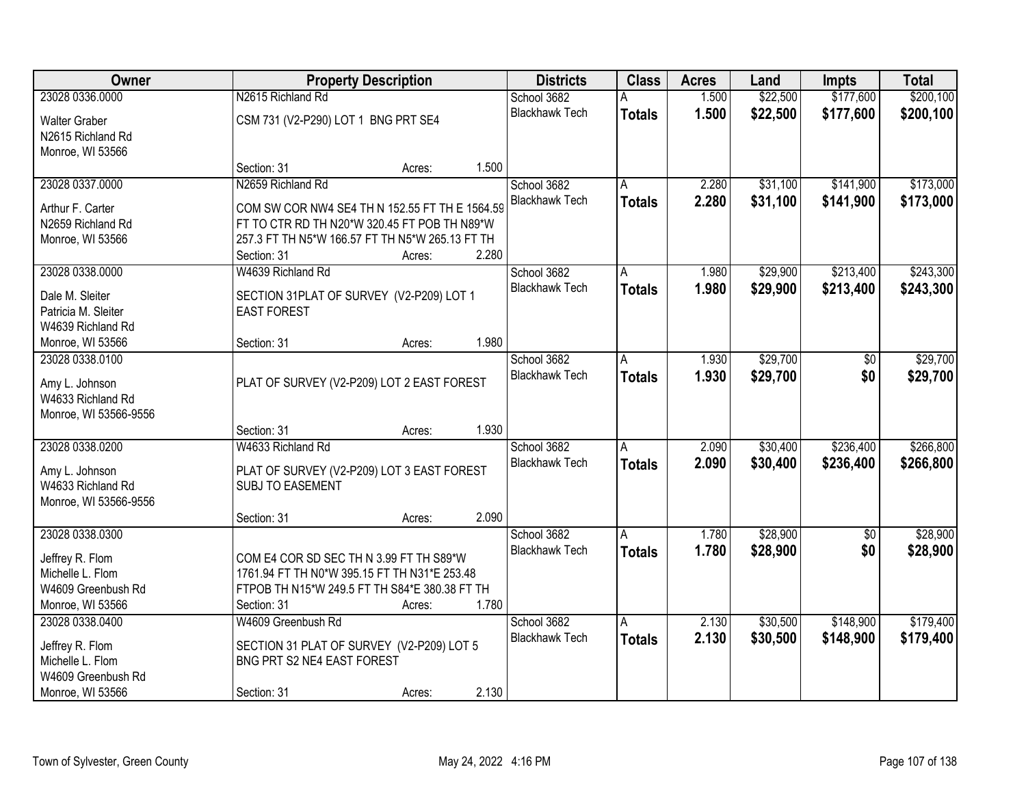| <b>Owner</b>                        |                                                 | <b>Property Description</b> |       |                                      | <b>Class</b>  | <b>Acres</b> | Land     | <b>Impts</b>    | <b>Total</b> |
|-------------------------------------|-------------------------------------------------|-----------------------------|-------|--------------------------------------|---------------|--------------|----------|-----------------|--------------|
| 23028 0336.0000                     | N2615 Richland Rd                               |                             |       | School 3682                          |               | 1.500        | \$22,500 | \$177,600       | \$200,100    |
| <b>Walter Graber</b>                | CSM 731 (V2-P290) LOT 1 BNG PRT SE4             |                             |       | <b>Blackhawk Tech</b>                | <b>Totals</b> | 1.500        | \$22,500 | \$177,600       | \$200,100    |
| N2615 Richland Rd                   |                                                 |                             |       |                                      |               |              |          |                 |              |
| Monroe, WI 53566                    |                                                 |                             |       |                                      |               |              |          |                 |              |
|                                     | Section: 31                                     | Acres:                      | 1.500 |                                      |               |              |          |                 |              |
| 23028 0337.0000                     | N2659 Richland Rd                               |                             |       | School 3682                          | A             | 2.280        | \$31,100 | \$141,900       | \$173,000    |
| Arthur F. Carter                    | COM SW COR NW4 SE4 TH N 152.55 FT TH E 1564.59  |                             |       | <b>Blackhawk Tech</b>                | <b>Totals</b> | 2.280        | \$31,100 | \$141,900       | \$173,000    |
| N2659 Richland Rd                   | FT TO CTR RD TH N20*W 320.45 FT POB TH N89*W    |                             |       |                                      |               |              |          |                 |              |
| Monroe, WI 53566                    | 257.3 FT TH N5*W 166.57 FT TH N5*W 265.13 FT TH |                             |       |                                      |               |              |          |                 |              |
|                                     | Section: 31                                     | Acres:                      | 2.280 |                                      |               |              |          |                 |              |
| 23028 0338.0000                     | W4639 Richland Rd                               |                             |       | School 3682                          | A             | 1.980        | \$29,900 | \$213,400       | \$243,300    |
| Dale M. Sleiter                     | SECTION 31PLAT OF SURVEY (V2-P209) LOT 1        |                             |       | <b>Blackhawk Tech</b>                | <b>Totals</b> | 1.980        | \$29,900 | \$213,400       | \$243,300    |
| Patricia M. Sleiter                 | <b>EAST FOREST</b>                              |                             |       |                                      |               |              |          |                 |              |
| W4639 Richland Rd                   |                                                 |                             |       |                                      |               |              |          |                 |              |
| Monroe, WI 53566                    | Section: 31                                     | Acres:                      | 1.980 |                                      |               |              |          |                 |              |
| 23028 0338.0100                     |                                                 |                             |       | School 3682                          | A             | 1.930        | \$29,700 | \$0             | \$29,700     |
|                                     |                                                 |                             |       | <b>Blackhawk Tech</b>                | <b>Totals</b> | 1.930        | \$29,700 | \$0             | \$29,700     |
| Amy L. Johnson<br>W4633 Richland Rd | PLAT OF SURVEY (V2-P209) LOT 2 EAST FOREST      |                             |       |                                      |               |              |          |                 |              |
| Monroe, WI 53566-9556               |                                                 |                             |       |                                      |               |              |          |                 |              |
|                                     | Section: 31                                     | Acres:                      | 1.930 |                                      |               |              |          |                 |              |
| 23028 0338.0200                     | W4633 Richland Rd                               |                             |       | School 3682                          | A             | 2.090        | \$30,400 | \$236,400       | \$266,800    |
|                                     |                                                 |                             |       | <b>Blackhawk Tech</b>                | <b>Totals</b> | 2.090        | \$30,400 | \$236,400       | \$266,800    |
| Amy L. Johnson                      | PLAT OF SURVEY (V2-P209) LOT 3 EAST FOREST      |                             |       |                                      |               |              |          |                 |              |
| W4633 Richland Rd                   | <b>SUBJ TO EASEMENT</b>                         |                             |       |                                      |               |              |          |                 |              |
| Monroe, WI 53566-9556               | Section: 31                                     | Acres:                      | 2.090 |                                      |               |              |          |                 |              |
| 23028 0338.0300                     |                                                 |                             |       | School 3682                          | A             | 1.780        | \$28,900 | $\overline{50}$ | \$28,900     |
|                                     |                                                 |                             |       | <b>Blackhawk Tech</b>                | <b>Totals</b> | 1.780        | \$28,900 | \$0             | \$28,900     |
| Jeffrey R. Flom                     | COM E4 COR SD SEC TH N 3.99 FT TH S89*W         |                             |       |                                      |               |              |          |                 |              |
| Michelle L. Flom                    | 1761.94 FT TH N0*W 395.15 FT TH N31*E 253.48    |                             |       |                                      |               |              |          |                 |              |
| W4609 Greenbush Rd                  | FTPOB TH N15*W 249.5 FT TH S84*E 380.38 FT TH   |                             |       |                                      |               |              |          |                 |              |
| Monroe, WI 53566<br>23028 0338,0400 | Section: 31                                     | Acres:                      | 1.780 |                                      |               |              |          |                 |              |
|                                     | W4609 Greenbush Rd                              |                             |       | School 3682<br><b>Blackhawk Tech</b> | A             | 2.130        | \$30,500 | \$148,900       | \$179,400    |
| Jeffrey R. Flom                     | SECTION 31 PLAT OF SURVEY (V2-P209) LOT 5       |                             |       |                                      | <b>Totals</b> | 2.130        | \$30,500 | \$148,900       | \$179,400    |
| Michelle L. Flom                    | BNG PRT S2 NE4 EAST FOREST                      |                             |       |                                      |               |              |          |                 |              |
| W4609 Greenbush Rd                  |                                                 |                             |       |                                      |               |              |          |                 |              |
| Monroe, WI 53566                    | Section: 31                                     | Acres:                      | 2.130 |                                      |               |              |          |                 |              |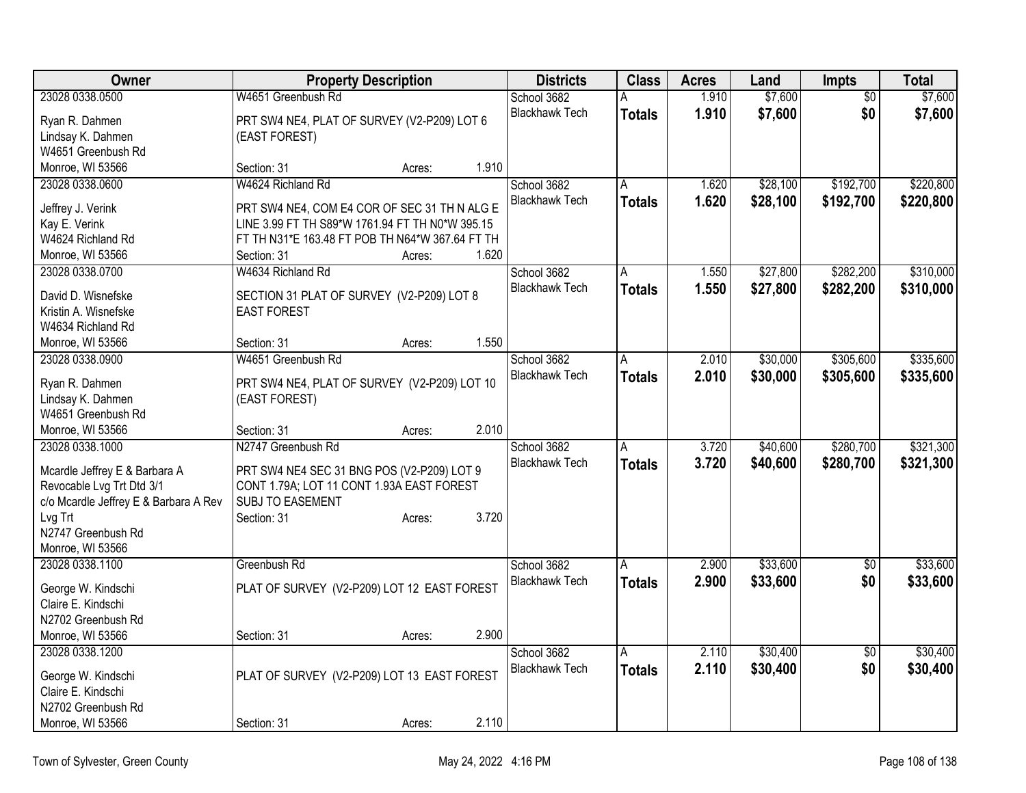| Owner                                 | <b>Property Description</b>                     |        |       | <b>Districts</b>      | <b>Class</b>  | <b>Acres</b> | Land     | Impts           | <b>Total</b> |
|---------------------------------------|-------------------------------------------------|--------|-------|-----------------------|---------------|--------------|----------|-----------------|--------------|
| 23028 0338.0500                       | W4651 Greenbush Rd                              |        |       | School 3682           | А             | 1.910        | \$7,600  | \$0             | \$7,600      |
| Ryan R. Dahmen                        | PRT SW4 NE4, PLAT OF SURVEY (V2-P209) LOT 6     |        |       | <b>Blackhawk Tech</b> | <b>Totals</b> | 1.910        | \$7,600  | \$0             | \$7,600      |
| Lindsay K. Dahmen                     | (EAST FOREST)                                   |        |       |                       |               |              |          |                 |              |
| W4651 Greenbush Rd                    |                                                 |        |       |                       |               |              |          |                 |              |
| Monroe, WI 53566                      | Section: 31                                     | Acres: | 1.910 |                       |               |              |          |                 |              |
| 23028 0338.0600                       | W4624 Richland Rd                               |        |       | School 3682           | A             | 1.620        | \$28,100 | \$192,700       | \$220,800    |
| Jeffrey J. Verink                     | PRT SW4 NE4, COM E4 COR OF SEC 31 TH N ALG E    |        |       | <b>Blackhawk Tech</b> | <b>Totals</b> | 1.620        | \$28,100 | \$192,700       | \$220,800    |
| Kay E. Verink                         | LINE 3.99 FT TH S89*W 1761.94 FT TH N0*W 395.15 |        |       |                       |               |              |          |                 |              |
| W4624 Richland Rd                     | FT TH N31*E 163.48 FT POB TH N64*W 367.64 FT TH |        |       |                       |               |              |          |                 |              |
| Monroe, WI 53566                      | Section: 31                                     | Acres: | 1.620 |                       |               |              |          |                 |              |
| 23028 0338.0700                       | W4634 Richland Rd                               |        |       | School 3682           | A             | 1.550        | \$27,800 | \$282,200       | \$310,000    |
|                                       |                                                 |        |       | <b>Blackhawk Tech</b> | <b>Totals</b> | 1.550        | \$27,800 | \$282,200       | \$310,000    |
| David D. Wisnefske                    | SECTION 31 PLAT OF SURVEY (V2-P209) LOT 8       |        |       |                       |               |              |          |                 |              |
| Kristin A. Wisnefske                  | <b>EAST FOREST</b>                              |        |       |                       |               |              |          |                 |              |
| W4634 Richland Rd                     |                                                 |        |       |                       |               |              |          |                 |              |
| Monroe, WI 53566                      | Section: 31                                     | Acres: | 1.550 |                       |               |              |          |                 |              |
| 23028 0338.0900                       | W4651 Greenbush Rd                              |        |       | School 3682           | A             | 2.010        | \$30,000 | \$305,600       | \$335,600    |
| Ryan R. Dahmen                        | PRT SW4 NE4, PLAT OF SURVEY (V2-P209) LOT 10    |        |       | <b>Blackhawk Tech</b> | <b>Totals</b> | 2.010        | \$30,000 | \$305,600       | \$335,600    |
| Lindsay K. Dahmen                     | (EAST FOREST)                                   |        |       |                       |               |              |          |                 |              |
| W4651 Greenbush Rd                    |                                                 |        |       |                       |               |              |          |                 |              |
| Monroe, WI 53566                      | Section: 31                                     | Acres: | 2.010 |                       |               |              |          |                 |              |
| 23028 0338.1000                       | N2747 Greenbush Rd                              |        |       | School 3682           | A             | 3.720        | \$40,600 | \$280,700       | \$321,300    |
|                                       |                                                 |        |       | <b>Blackhawk Tech</b> | <b>Totals</b> | 3.720        | \$40,600 | \$280,700       | \$321,300    |
| Mcardle Jeffrey E & Barbara A         | PRT SW4 NE4 SEC 31 BNG POS (V2-P209) LOT 9      |        |       |                       |               |              |          |                 |              |
| Revocable Lvg Trt Dtd 3/1             | CONT 1.79A; LOT 11 CONT 1.93A EAST FOREST       |        |       |                       |               |              |          |                 |              |
| c/o Mcardle Jeffrey E & Barbara A Rev | SUBJ TO EASEMENT                                |        |       |                       |               |              |          |                 |              |
| Lvg Trt                               | Section: 31                                     | Acres: | 3.720 |                       |               |              |          |                 |              |
| N2747 Greenbush Rd                    |                                                 |        |       |                       |               |              |          |                 |              |
| Monroe, WI 53566                      |                                                 |        |       |                       |               |              |          |                 |              |
| 23028 0338.1100                       | Greenbush Rd                                    |        |       | School 3682           | A             | 2.900        | \$33,600 | $\overline{50}$ | \$33,600     |
| George W. Kindschi                    | PLAT OF SURVEY (V2-P209) LOT 12 EAST FOREST     |        |       | <b>Blackhawk Tech</b> | <b>Totals</b> | 2.900        | \$33,600 | \$0             | \$33,600     |
| Claire E. Kindschi                    |                                                 |        |       |                       |               |              |          |                 |              |
| N2702 Greenbush Rd                    |                                                 |        |       |                       |               |              |          |                 |              |
| Monroe, WI 53566                      | Section: 31                                     | Acres: | 2.900 |                       |               |              |          |                 |              |
| 23028 0338.1200                       |                                                 |        |       | School 3682           | A             | 2.110        | \$30,400 | $\overline{50}$ | \$30,400     |
|                                       |                                                 |        |       | <b>Blackhawk Tech</b> | <b>Totals</b> | 2.110        | \$30,400 | \$0             | \$30,400     |
| George W. Kindschi                    | PLAT OF SURVEY (V2-P209) LOT 13 EAST FOREST     |        |       |                       |               |              |          |                 |              |
| Claire E. Kindschi                    |                                                 |        |       |                       |               |              |          |                 |              |
| N2702 Greenbush Rd                    |                                                 |        |       |                       |               |              |          |                 |              |
| Monroe, WI 53566                      | Section: 31                                     | Acres: | 2.110 |                       |               |              |          |                 |              |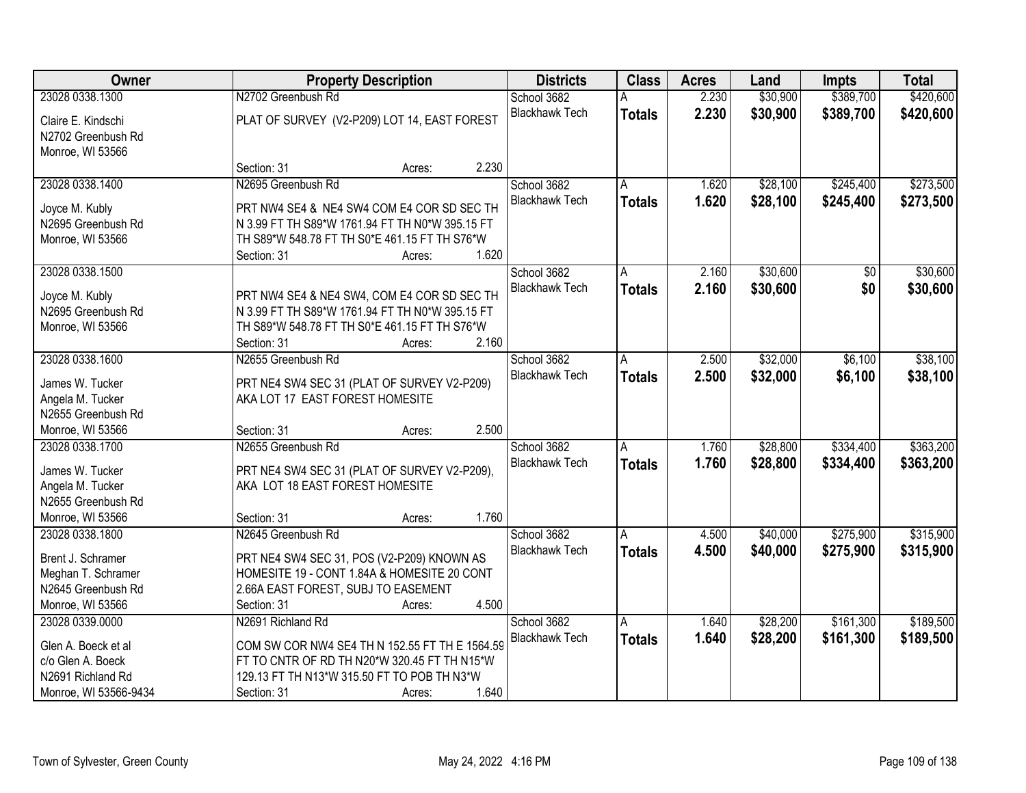| Owner                                    |                                                                                             | <b>Property Description</b> |                       | <b>Class</b>  | <b>Acres</b> | Land     | <b>Impts</b>    | <b>Total</b> |
|------------------------------------------|---------------------------------------------------------------------------------------------|-----------------------------|-----------------------|---------------|--------------|----------|-----------------|--------------|
| 23028 0338.1300                          | N2702 Greenbush Rd                                                                          |                             | School 3682           |               | 2.230        | \$30,900 | \$389,700       | \$420,600    |
| Claire E. Kindschi<br>N2702 Greenbush Rd | PLAT OF SURVEY (V2-P209) LOT 14, EAST FOREST                                                |                             | <b>Blackhawk Tech</b> | <b>Totals</b> | 2.230        | \$30,900 | \$389,700       | \$420,600    |
| Monroe, WI 53566                         |                                                                                             |                             |                       |               |              |          |                 |              |
|                                          | Section: 31                                                                                 | Acres:                      | 2.230                 |               |              |          |                 |              |
| 23028 0338.1400                          | N2695 Greenbush Rd                                                                          |                             | School 3682           | Α             | 1.620        | \$28,100 | \$245,400       | \$273,500    |
| Joyce M. Kubly                           | PRT NW4 SE4 & NE4 SW4 COM E4 COR SD SEC TH                                                  |                             | <b>Blackhawk Tech</b> | <b>Totals</b> | 1.620        | \$28,100 | \$245,400       | \$273,500    |
| N2695 Greenbush Rd                       | N 3.99 FT TH S89*W 1761.94 FT TH N0*W 395.15 FT                                             |                             |                       |               |              |          |                 |              |
| Monroe, WI 53566                         | TH S89*W 548.78 FT TH S0*E 461.15 FT TH S76*W                                               |                             |                       |               |              |          |                 |              |
|                                          | Section: 31                                                                                 | Acres:                      | 1.620                 |               |              |          |                 |              |
| 23028 0338.1500                          |                                                                                             |                             | School 3682           | Α             | 2.160        | \$30,600 | $\overline{50}$ | \$30,600     |
| Joyce M. Kubly                           | PRT NW4 SE4 & NE4 SW4, COM E4 COR SD SEC TH                                                 |                             | <b>Blackhawk Tech</b> | <b>Totals</b> | 2.160        | \$30,600 | \$0             | \$30,600     |
| N2695 Greenbush Rd                       | N 3.99 FT TH S89*W 1761.94 FT TH N0*W 395.15 FT                                             |                             |                       |               |              |          |                 |              |
| Monroe, WI 53566                         | TH S89*W 548.78 FT TH S0*E 461.15 FT TH S76*W                                               |                             |                       |               |              |          |                 |              |
|                                          | Section: 31                                                                                 | Acres:                      | 2.160                 |               |              |          |                 |              |
| 23028 0338.1600                          | N2655 Greenbush Rd                                                                          |                             | School 3682           | A             | 2.500        | \$32,000 | \$6,100         | \$38,100     |
|                                          |                                                                                             |                             | <b>Blackhawk Tech</b> | <b>Totals</b> | 2.500        | \$32,000 | \$6,100         | \$38,100     |
| James W. Tucker                          | PRT NE4 SW4 SEC 31 (PLAT OF SURVEY V2-P209)                                                 |                             |                       |               |              |          |                 |              |
| Angela M. Tucker                         | AKA LOT 17 EAST FOREST HOMESITE                                                             |                             |                       |               |              |          |                 |              |
| N2655 Greenbush Rd                       |                                                                                             |                             |                       |               |              |          |                 |              |
| Monroe, WI 53566                         | Section: 31                                                                                 | Acres:                      | 2.500                 |               |              |          |                 |              |
| 23028 0338.1700                          | N2655 Greenbush Rd                                                                          |                             | School 3682           | A             | 1.760        | \$28,800 | \$334,400       | \$363,200    |
| James W. Tucker                          | PRT NE4 SW4 SEC 31 (PLAT OF SURVEY V2-P209),                                                |                             | <b>Blackhawk Tech</b> | <b>Totals</b> | 1.760        | \$28,800 | \$334,400       | \$363,200    |
| Angela M. Tucker                         | AKA LOT 18 EAST FOREST HOMESITE                                                             |                             |                       |               |              |          |                 |              |
| N2655 Greenbush Rd                       |                                                                                             |                             |                       |               |              |          |                 |              |
| Monroe, WI 53566                         | Section: 31                                                                                 | Acres:                      | 1.760                 |               |              |          |                 |              |
| 23028 0338.1800                          | N2645 Greenbush Rd                                                                          |                             | School 3682           | A             | 4.500        | \$40,000 | \$275,900       | \$315,900    |
| Brent J. Schramer                        | PRT NE4 SW4 SEC 31, POS (V2-P209) KNOWN AS                                                  |                             | <b>Blackhawk Tech</b> | <b>Totals</b> | 4.500        | \$40,000 | \$275,900       | \$315,900    |
| Meghan T. Schramer                       | HOMESITE 19 - CONT 1.84A & HOMESITE 20 CONT                                                 |                             |                       |               |              |          |                 |              |
| N2645 Greenbush Rd                       | 2.66A EAST FOREST, SUBJ TO EASEMENT                                                         |                             |                       |               |              |          |                 |              |
| Monroe, WI 53566                         | Section: 31                                                                                 | Acres:                      | 4.500                 |               |              |          |                 |              |
| 23028 0339.0000                          | N2691 Richland Rd                                                                           |                             | School 3682           | A             | 1.640        | \$28,200 | \$161,300       | \$189,500    |
|                                          |                                                                                             |                             | <b>Blackhawk Tech</b> | <b>Totals</b> | 1.640        | \$28,200 | \$161,300       | \$189,500    |
| Glen A. Boeck et al                      | COM SW COR NW4 SE4 TH N 152.55 FT TH E 1564.59                                              |                             |                       |               |              |          |                 |              |
| c/o Glen A. Boeck<br>N2691 Richland Rd   | FT TO CNTR OF RD TH N20*W 320.45 FT TH N15*W<br>129.13 FT TH N13*W 315.50 FT TO POB TH N3*W |                             |                       |               |              |          |                 |              |
| Monroe, WI 53566-9434                    | Section: 31                                                                                 | Acres:                      | 1.640                 |               |              |          |                 |              |
|                                          |                                                                                             |                             |                       |               |              |          |                 |              |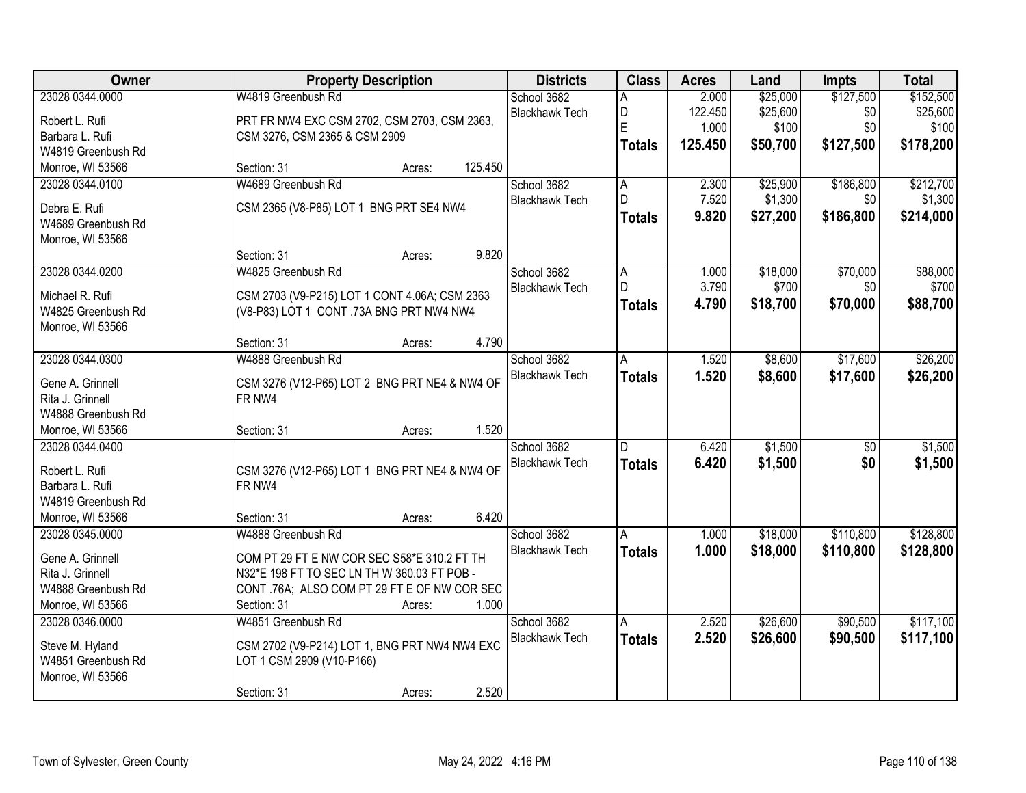| 23028 0344.0000<br>W4819 Greenbush Rd<br>\$25,000<br>\$127,500<br>\$152,500<br>School 3682<br>2.000<br>А<br>\$25,600<br>D<br>\$0<br>\$25,600<br><b>Blackhawk Tech</b><br>122.450<br>PRT FR NW4 EXC CSM 2702, CSM 2703, CSM 2363,<br>Robert L. Rufi<br>E<br>\$100<br>\$0<br>1.000<br>\$100<br>Barbara L. Rufi<br>CSM 3276, CSM 2365 & CSM 2909<br>\$127,500<br>\$178,200<br>125.450<br>\$50,700<br><b>Totals</b><br>W4819 Greenbush Rd<br>Monroe, WI 53566<br>125.450<br>Section: 31<br>Acres:<br>W4689 Greenbush Rd<br>\$25,900<br>\$212,700<br>23028 0344.0100<br>School 3682<br>2.300<br>\$186,800<br>А<br>D<br>7.520<br>\$1,300<br>\$1,300<br>\$0<br><b>Blackhawk Tech</b><br>CSM 2365 (V8-P85) LOT 1 BNG PRT SE4 NW4<br>Debra E. Rufi<br>9.820<br>\$27,200<br>\$186,800<br>\$214,000<br><b>Totals</b><br>W4689 Greenbush Rd<br>Monroe, WI 53566<br>9.820<br>Section: 31<br>Acres:<br>23028 0344.0200<br>W4825 Greenbush Rd<br>\$18,000<br>\$70,000<br>\$88,000<br>School 3682<br>A<br>1.000<br>D<br>3.790<br>\$700<br>\$0<br>\$700<br><b>Blackhawk Tech</b><br>Michael R. Rufi<br>CSM 2703 (V9-P215) LOT 1 CONT 4.06A; CSM 2363<br>4.790<br>\$70,000<br>\$88,700<br>\$18,700<br><b>Totals</b><br>(V8-P83) LOT 1 CONT .73A BNG PRT NW4 NW4<br>W4825 Greenbush Rd<br>Monroe, WI 53566<br>4.790<br>Section: 31<br>Acres:<br>\$8,600<br>\$17,600<br>\$26,200<br>23028 0344.0300<br>W4888 Greenbush Rd<br>School 3682<br>1.520<br>A<br><b>Blackhawk Tech</b><br>1.520<br>\$17,600<br>\$8,600<br>\$26,200<br><b>Totals</b><br>Gene A. Grinnell<br>CSM 3276 (V12-P65) LOT 2 BNG PRT NE4 & NW4 OF<br>Rita J. Grinnell<br>FR NW4<br>W4888 Greenbush Rd<br>1.520<br>Monroe, WI 53566<br>Section: 31<br>Acres:<br>\$1,500<br>23028 0344.0400<br>$\overline{50}$<br>School 3682<br>D<br>6.420<br>6.420<br>\$1,500<br>\$0<br><b>Blackhawk Tech</b><br><b>Totals</b><br>Robert L. Rufi<br>CSM 3276 (V12-P65) LOT 1 BNG PRT NE4 & NW4 OF<br>Barbara L. Rufi<br>FR NW4<br>W4819 Greenbush Rd<br>Monroe, WI 53566<br>6.420<br>Section: 31<br>Acres:<br>\$110,800<br>23028 0345.0000<br>W4888 Greenbush Rd<br>School 3682<br>\$18,000<br>1.000<br>A<br><b>Blackhawk Tech</b><br>1.000<br>\$18,000<br>\$110,800<br><b>Totals</b><br>COM PT 29 FT E NW COR SEC S58*E 310.2 FT TH<br>Gene A. Grinnell<br>N32*E 198 FT TO SEC LN TH W 360.03 FT POB -<br>Rita J. Grinnell<br>W4888 Greenbush Rd<br>CONT .76A; ALSO COM PT 29 FT E OF NW COR SEC<br>Monroe, WI 53566<br>1.000<br>Section: 31<br>Acres:<br>\$26,600<br>\$90,500<br>23028 0346.0000<br>W4851 Greenbush Rd<br>School 3682<br>2.520<br>A<br>2.520<br><b>Blackhawk Tech</b><br>\$90,500<br>\$26,600<br><b>Totals</b><br>CSM 2702 (V9-P214) LOT 1, BNG PRT NW4 NW4 EXC<br>Steve M. Hyland<br>W4851 Greenbush Rd<br>LOT 1 CSM 2909 (V10-P166) | Owner | <b>Property Description</b> | <b>Districts</b> | <b>Class</b> | <b>Acres</b> | Land | <b>Impts</b> | <b>Total</b> |
|-------------------------------------------------------------------------------------------------------------------------------------------------------------------------------------------------------------------------------------------------------------------------------------------------------------------------------------------------------------------------------------------------------------------------------------------------------------------------------------------------------------------------------------------------------------------------------------------------------------------------------------------------------------------------------------------------------------------------------------------------------------------------------------------------------------------------------------------------------------------------------------------------------------------------------------------------------------------------------------------------------------------------------------------------------------------------------------------------------------------------------------------------------------------------------------------------------------------------------------------------------------------------------------------------------------------------------------------------------------------------------------------------------------------------------------------------------------------------------------------------------------------------------------------------------------------------------------------------------------------------------------------------------------------------------------------------------------------------------------------------------------------------------------------------------------------------------------------------------------------------------------------------------------------------------------------------------------------------------------------------------------------------------------------------------------------------------------------------------------------------------------------------------------------------------------------------------------------------------------------------------------------------------------------------------------------------------------------------------------------------------------------------------------------------------------------------------------------------------------------------------------------------------------------------------------------------------------------------------------------------------------------------------------------------------------------------------------------------------------------------------------------------------------|-------|-----------------------------|------------------|--------------|--------------|------|--------------|--------------|
|                                                                                                                                                                                                                                                                                                                                                                                                                                                                                                                                                                                                                                                                                                                                                                                                                                                                                                                                                                                                                                                                                                                                                                                                                                                                                                                                                                                                                                                                                                                                                                                                                                                                                                                                                                                                                                                                                                                                                                                                                                                                                                                                                                                                                                                                                                                                                                                                                                                                                                                                                                                                                                                                                                                                                                                     |       |                             |                  |              |              |      |              |              |
|                                                                                                                                                                                                                                                                                                                                                                                                                                                                                                                                                                                                                                                                                                                                                                                                                                                                                                                                                                                                                                                                                                                                                                                                                                                                                                                                                                                                                                                                                                                                                                                                                                                                                                                                                                                                                                                                                                                                                                                                                                                                                                                                                                                                                                                                                                                                                                                                                                                                                                                                                                                                                                                                                                                                                                                     |       |                             |                  |              |              |      |              |              |
|                                                                                                                                                                                                                                                                                                                                                                                                                                                                                                                                                                                                                                                                                                                                                                                                                                                                                                                                                                                                                                                                                                                                                                                                                                                                                                                                                                                                                                                                                                                                                                                                                                                                                                                                                                                                                                                                                                                                                                                                                                                                                                                                                                                                                                                                                                                                                                                                                                                                                                                                                                                                                                                                                                                                                                                     |       |                             |                  |              |              |      |              |              |
|                                                                                                                                                                                                                                                                                                                                                                                                                                                                                                                                                                                                                                                                                                                                                                                                                                                                                                                                                                                                                                                                                                                                                                                                                                                                                                                                                                                                                                                                                                                                                                                                                                                                                                                                                                                                                                                                                                                                                                                                                                                                                                                                                                                                                                                                                                                                                                                                                                                                                                                                                                                                                                                                                                                                                                                     |       |                             |                  |              |              |      |              |              |
|                                                                                                                                                                                                                                                                                                                                                                                                                                                                                                                                                                                                                                                                                                                                                                                                                                                                                                                                                                                                                                                                                                                                                                                                                                                                                                                                                                                                                                                                                                                                                                                                                                                                                                                                                                                                                                                                                                                                                                                                                                                                                                                                                                                                                                                                                                                                                                                                                                                                                                                                                                                                                                                                                                                                                                                     |       |                             |                  |              |              |      |              |              |
|                                                                                                                                                                                                                                                                                                                                                                                                                                                                                                                                                                                                                                                                                                                                                                                                                                                                                                                                                                                                                                                                                                                                                                                                                                                                                                                                                                                                                                                                                                                                                                                                                                                                                                                                                                                                                                                                                                                                                                                                                                                                                                                                                                                                                                                                                                                                                                                                                                                                                                                                                                                                                                                                                                                                                                                     |       |                             |                  |              |              |      |              |              |
|                                                                                                                                                                                                                                                                                                                                                                                                                                                                                                                                                                                                                                                                                                                                                                                                                                                                                                                                                                                                                                                                                                                                                                                                                                                                                                                                                                                                                                                                                                                                                                                                                                                                                                                                                                                                                                                                                                                                                                                                                                                                                                                                                                                                                                                                                                                                                                                                                                                                                                                                                                                                                                                                                                                                                                                     |       |                             |                  |              |              |      |              |              |
|                                                                                                                                                                                                                                                                                                                                                                                                                                                                                                                                                                                                                                                                                                                                                                                                                                                                                                                                                                                                                                                                                                                                                                                                                                                                                                                                                                                                                                                                                                                                                                                                                                                                                                                                                                                                                                                                                                                                                                                                                                                                                                                                                                                                                                                                                                                                                                                                                                                                                                                                                                                                                                                                                                                                                                                     |       |                             |                  |              |              |      |              |              |
|                                                                                                                                                                                                                                                                                                                                                                                                                                                                                                                                                                                                                                                                                                                                                                                                                                                                                                                                                                                                                                                                                                                                                                                                                                                                                                                                                                                                                                                                                                                                                                                                                                                                                                                                                                                                                                                                                                                                                                                                                                                                                                                                                                                                                                                                                                                                                                                                                                                                                                                                                                                                                                                                                                                                                                                     |       |                             |                  |              |              |      |              |              |
|                                                                                                                                                                                                                                                                                                                                                                                                                                                                                                                                                                                                                                                                                                                                                                                                                                                                                                                                                                                                                                                                                                                                                                                                                                                                                                                                                                                                                                                                                                                                                                                                                                                                                                                                                                                                                                                                                                                                                                                                                                                                                                                                                                                                                                                                                                                                                                                                                                                                                                                                                                                                                                                                                                                                                                                     |       |                             |                  |              |              |      |              |              |
|                                                                                                                                                                                                                                                                                                                                                                                                                                                                                                                                                                                                                                                                                                                                                                                                                                                                                                                                                                                                                                                                                                                                                                                                                                                                                                                                                                                                                                                                                                                                                                                                                                                                                                                                                                                                                                                                                                                                                                                                                                                                                                                                                                                                                                                                                                                                                                                                                                                                                                                                                                                                                                                                                                                                                                                     |       |                             |                  |              |              |      |              |              |
|                                                                                                                                                                                                                                                                                                                                                                                                                                                                                                                                                                                                                                                                                                                                                                                                                                                                                                                                                                                                                                                                                                                                                                                                                                                                                                                                                                                                                                                                                                                                                                                                                                                                                                                                                                                                                                                                                                                                                                                                                                                                                                                                                                                                                                                                                                                                                                                                                                                                                                                                                                                                                                                                                                                                                                                     |       |                             |                  |              |              |      |              |              |
|                                                                                                                                                                                                                                                                                                                                                                                                                                                                                                                                                                                                                                                                                                                                                                                                                                                                                                                                                                                                                                                                                                                                                                                                                                                                                                                                                                                                                                                                                                                                                                                                                                                                                                                                                                                                                                                                                                                                                                                                                                                                                                                                                                                                                                                                                                                                                                                                                                                                                                                                                                                                                                                                                                                                                                                     |       |                             |                  |              |              |      |              |              |
|                                                                                                                                                                                                                                                                                                                                                                                                                                                                                                                                                                                                                                                                                                                                                                                                                                                                                                                                                                                                                                                                                                                                                                                                                                                                                                                                                                                                                                                                                                                                                                                                                                                                                                                                                                                                                                                                                                                                                                                                                                                                                                                                                                                                                                                                                                                                                                                                                                                                                                                                                                                                                                                                                                                                                                                     |       |                             |                  |              |              |      |              |              |
|                                                                                                                                                                                                                                                                                                                                                                                                                                                                                                                                                                                                                                                                                                                                                                                                                                                                                                                                                                                                                                                                                                                                                                                                                                                                                                                                                                                                                                                                                                                                                                                                                                                                                                                                                                                                                                                                                                                                                                                                                                                                                                                                                                                                                                                                                                                                                                                                                                                                                                                                                                                                                                                                                                                                                                                     |       |                             |                  |              |              |      |              |              |
|                                                                                                                                                                                                                                                                                                                                                                                                                                                                                                                                                                                                                                                                                                                                                                                                                                                                                                                                                                                                                                                                                                                                                                                                                                                                                                                                                                                                                                                                                                                                                                                                                                                                                                                                                                                                                                                                                                                                                                                                                                                                                                                                                                                                                                                                                                                                                                                                                                                                                                                                                                                                                                                                                                                                                                                     |       |                             |                  |              |              |      |              |              |
|                                                                                                                                                                                                                                                                                                                                                                                                                                                                                                                                                                                                                                                                                                                                                                                                                                                                                                                                                                                                                                                                                                                                                                                                                                                                                                                                                                                                                                                                                                                                                                                                                                                                                                                                                                                                                                                                                                                                                                                                                                                                                                                                                                                                                                                                                                                                                                                                                                                                                                                                                                                                                                                                                                                                                                                     |       |                             |                  |              |              |      |              |              |
|                                                                                                                                                                                                                                                                                                                                                                                                                                                                                                                                                                                                                                                                                                                                                                                                                                                                                                                                                                                                                                                                                                                                                                                                                                                                                                                                                                                                                                                                                                                                                                                                                                                                                                                                                                                                                                                                                                                                                                                                                                                                                                                                                                                                                                                                                                                                                                                                                                                                                                                                                                                                                                                                                                                                                                                     |       |                             |                  |              |              |      |              |              |
| \$1,500<br>\$1,500<br>\$128,800<br>\$128,800<br>\$117,100<br>\$117,100                                                                                                                                                                                                                                                                                                                                                                                                                                                                                                                                                                                                                                                                                                                                                                                                                                                                                                                                                                                                                                                                                                                                                                                                                                                                                                                                                                                                                                                                                                                                                                                                                                                                                                                                                                                                                                                                                                                                                                                                                                                                                                                                                                                                                                                                                                                                                                                                                                                                                                                                                                                                                                                                                                              |       |                             |                  |              |              |      |              |              |
|                                                                                                                                                                                                                                                                                                                                                                                                                                                                                                                                                                                                                                                                                                                                                                                                                                                                                                                                                                                                                                                                                                                                                                                                                                                                                                                                                                                                                                                                                                                                                                                                                                                                                                                                                                                                                                                                                                                                                                                                                                                                                                                                                                                                                                                                                                                                                                                                                                                                                                                                                                                                                                                                                                                                                                                     |       |                             |                  |              |              |      |              |              |
|                                                                                                                                                                                                                                                                                                                                                                                                                                                                                                                                                                                                                                                                                                                                                                                                                                                                                                                                                                                                                                                                                                                                                                                                                                                                                                                                                                                                                                                                                                                                                                                                                                                                                                                                                                                                                                                                                                                                                                                                                                                                                                                                                                                                                                                                                                                                                                                                                                                                                                                                                                                                                                                                                                                                                                                     |       |                             |                  |              |              |      |              |              |
|                                                                                                                                                                                                                                                                                                                                                                                                                                                                                                                                                                                                                                                                                                                                                                                                                                                                                                                                                                                                                                                                                                                                                                                                                                                                                                                                                                                                                                                                                                                                                                                                                                                                                                                                                                                                                                                                                                                                                                                                                                                                                                                                                                                                                                                                                                                                                                                                                                                                                                                                                                                                                                                                                                                                                                                     |       |                             |                  |              |              |      |              |              |
|                                                                                                                                                                                                                                                                                                                                                                                                                                                                                                                                                                                                                                                                                                                                                                                                                                                                                                                                                                                                                                                                                                                                                                                                                                                                                                                                                                                                                                                                                                                                                                                                                                                                                                                                                                                                                                                                                                                                                                                                                                                                                                                                                                                                                                                                                                                                                                                                                                                                                                                                                                                                                                                                                                                                                                                     |       |                             |                  |              |              |      |              |              |
|                                                                                                                                                                                                                                                                                                                                                                                                                                                                                                                                                                                                                                                                                                                                                                                                                                                                                                                                                                                                                                                                                                                                                                                                                                                                                                                                                                                                                                                                                                                                                                                                                                                                                                                                                                                                                                                                                                                                                                                                                                                                                                                                                                                                                                                                                                                                                                                                                                                                                                                                                                                                                                                                                                                                                                                     |       |                             |                  |              |              |      |              |              |
|                                                                                                                                                                                                                                                                                                                                                                                                                                                                                                                                                                                                                                                                                                                                                                                                                                                                                                                                                                                                                                                                                                                                                                                                                                                                                                                                                                                                                                                                                                                                                                                                                                                                                                                                                                                                                                                                                                                                                                                                                                                                                                                                                                                                                                                                                                                                                                                                                                                                                                                                                                                                                                                                                                                                                                                     |       |                             |                  |              |              |      |              |              |
|                                                                                                                                                                                                                                                                                                                                                                                                                                                                                                                                                                                                                                                                                                                                                                                                                                                                                                                                                                                                                                                                                                                                                                                                                                                                                                                                                                                                                                                                                                                                                                                                                                                                                                                                                                                                                                                                                                                                                                                                                                                                                                                                                                                                                                                                                                                                                                                                                                                                                                                                                                                                                                                                                                                                                                                     |       |                             |                  |              |              |      |              |              |
|                                                                                                                                                                                                                                                                                                                                                                                                                                                                                                                                                                                                                                                                                                                                                                                                                                                                                                                                                                                                                                                                                                                                                                                                                                                                                                                                                                                                                                                                                                                                                                                                                                                                                                                                                                                                                                                                                                                                                                                                                                                                                                                                                                                                                                                                                                                                                                                                                                                                                                                                                                                                                                                                                                                                                                                     |       |                             |                  |              |              |      |              |              |
|                                                                                                                                                                                                                                                                                                                                                                                                                                                                                                                                                                                                                                                                                                                                                                                                                                                                                                                                                                                                                                                                                                                                                                                                                                                                                                                                                                                                                                                                                                                                                                                                                                                                                                                                                                                                                                                                                                                                                                                                                                                                                                                                                                                                                                                                                                                                                                                                                                                                                                                                                                                                                                                                                                                                                                                     |       |                             |                  |              |              |      |              |              |
|                                                                                                                                                                                                                                                                                                                                                                                                                                                                                                                                                                                                                                                                                                                                                                                                                                                                                                                                                                                                                                                                                                                                                                                                                                                                                                                                                                                                                                                                                                                                                                                                                                                                                                                                                                                                                                                                                                                                                                                                                                                                                                                                                                                                                                                                                                                                                                                                                                                                                                                                                                                                                                                                                                                                                                                     |       |                             |                  |              |              |      |              |              |
|                                                                                                                                                                                                                                                                                                                                                                                                                                                                                                                                                                                                                                                                                                                                                                                                                                                                                                                                                                                                                                                                                                                                                                                                                                                                                                                                                                                                                                                                                                                                                                                                                                                                                                                                                                                                                                                                                                                                                                                                                                                                                                                                                                                                                                                                                                                                                                                                                                                                                                                                                                                                                                                                                                                                                                                     |       |                             |                  |              |              |      |              |              |
|                                                                                                                                                                                                                                                                                                                                                                                                                                                                                                                                                                                                                                                                                                                                                                                                                                                                                                                                                                                                                                                                                                                                                                                                                                                                                                                                                                                                                                                                                                                                                                                                                                                                                                                                                                                                                                                                                                                                                                                                                                                                                                                                                                                                                                                                                                                                                                                                                                                                                                                                                                                                                                                                                                                                                                                     |       |                             |                  |              |              |      |              |              |
|                                                                                                                                                                                                                                                                                                                                                                                                                                                                                                                                                                                                                                                                                                                                                                                                                                                                                                                                                                                                                                                                                                                                                                                                                                                                                                                                                                                                                                                                                                                                                                                                                                                                                                                                                                                                                                                                                                                                                                                                                                                                                                                                                                                                                                                                                                                                                                                                                                                                                                                                                                                                                                                                                                                                                                                     |       |                             |                  |              |              |      |              |              |
|                                                                                                                                                                                                                                                                                                                                                                                                                                                                                                                                                                                                                                                                                                                                                                                                                                                                                                                                                                                                                                                                                                                                                                                                                                                                                                                                                                                                                                                                                                                                                                                                                                                                                                                                                                                                                                                                                                                                                                                                                                                                                                                                                                                                                                                                                                                                                                                                                                                                                                                                                                                                                                                                                                                                                                                     |       |                             |                  |              |              |      |              |              |
|                                                                                                                                                                                                                                                                                                                                                                                                                                                                                                                                                                                                                                                                                                                                                                                                                                                                                                                                                                                                                                                                                                                                                                                                                                                                                                                                                                                                                                                                                                                                                                                                                                                                                                                                                                                                                                                                                                                                                                                                                                                                                                                                                                                                                                                                                                                                                                                                                                                                                                                                                                                                                                                                                                                                                                                     |       |                             |                  |              |              |      |              |              |
| Monroe, WI 53566                                                                                                                                                                                                                                                                                                                                                                                                                                                                                                                                                                                                                                                                                                                                                                                                                                                                                                                                                                                                                                                                                                                                                                                                                                                                                                                                                                                                                                                                                                                                                                                                                                                                                                                                                                                                                                                                                                                                                                                                                                                                                                                                                                                                                                                                                                                                                                                                                                                                                                                                                                                                                                                                                                                                                                    |       |                             |                  |              |              |      |              |              |
| 2.520<br>Section: 31<br>Acres:                                                                                                                                                                                                                                                                                                                                                                                                                                                                                                                                                                                                                                                                                                                                                                                                                                                                                                                                                                                                                                                                                                                                                                                                                                                                                                                                                                                                                                                                                                                                                                                                                                                                                                                                                                                                                                                                                                                                                                                                                                                                                                                                                                                                                                                                                                                                                                                                                                                                                                                                                                                                                                                                                                                                                      |       |                             |                  |              |              |      |              |              |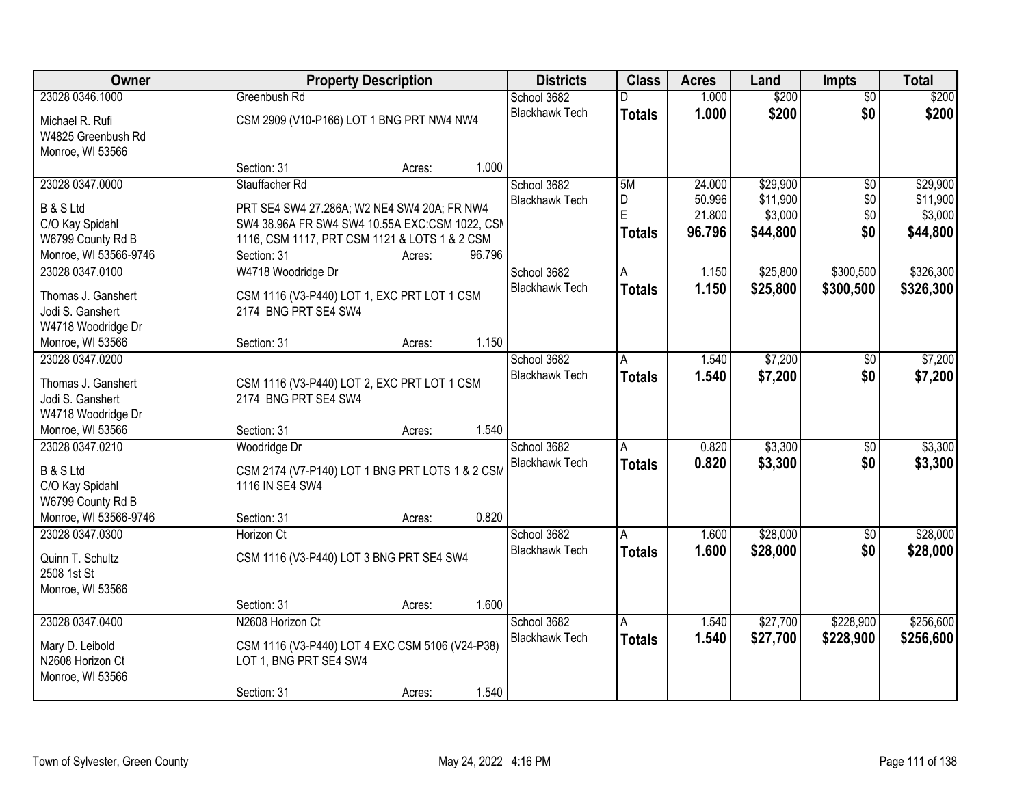| Owner                 |                                                 | <b>Property Description</b> |        |                       | <b>Class</b>  | <b>Acres</b> | Land     | <b>Impts</b>    | <b>Total</b> |
|-----------------------|-------------------------------------------------|-----------------------------|--------|-----------------------|---------------|--------------|----------|-----------------|--------------|
| 23028 0346.1000       | Greenbush Rd                                    |                             |        | School 3682           |               | 1.000        | \$200    | $\overline{50}$ | \$200        |
| Michael R. Rufi       | CSM 2909 (V10-P166) LOT 1 BNG PRT NW4 NW4       |                             |        | <b>Blackhawk Tech</b> | <b>Totals</b> | 1.000        | \$200    | \$0             | \$200        |
| W4825 Greenbush Rd    |                                                 |                             |        |                       |               |              |          |                 |              |
| Monroe, WI 53566      |                                                 |                             |        |                       |               |              |          |                 |              |
|                       | Section: 31                                     | Acres:                      | 1.000  |                       |               |              |          |                 |              |
| 23028 0347.0000       | Stauffacher Rd                                  |                             |        | School 3682           | 5M            | 24.000       | \$29,900 | $\overline{50}$ | \$29,900     |
| <b>B &amp; S Ltd</b>  | PRT SE4 SW4 27.286A; W2 NE4 SW4 20A; FR NW4     |                             |        | <b>Blackhawk Tech</b> | D<br>E        | 50.996       | \$11,900 | \$0             | \$11,900     |
| C/O Kay Spidahl       | SW4 38.96A FR SW4 SW4 10.55A EXC:CSM 1022, CSM  |                             |        |                       |               | 21.800       | \$3,000  | \$0             | \$3,000      |
| W6799 County Rd B     | 1116, CSM 1117, PRT CSM 1121 & LOTS 1 & 2 CSM   |                             |        |                       | <b>Totals</b> | 96.796       | \$44,800 | \$0             | \$44,800     |
| Monroe, WI 53566-9746 | Section: 31                                     | Acres:                      | 96.796 |                       |               |              |          |                 |              |
| 23028 0347.0100       | W4718 Woodridge Dr                              |                             |        | School 3682           | A             | 1.150        | \$25,800 | \$300,500       | \$326,300    |
| Thomas J. Ganshert    | CSM 1116 (V3-P440) LOT 1, EXC PRT LOT 1 CSM     |                             |        | <b>Blackhawk Tech</b> | <b>Totals</b> | 1.150        | \$25,800 | \$300,500       | \$326,300    |
| Jodi S. Ganshert      | 2174 BNG PRT SE4 SW4                            |                             |        |                       |               |              |          |                 |              |
| W4718 Woodridge Dr    |                                                 |                             |        |                       |               |              |          |                 |              |
| Monroe, WI 53566      | Section: 31                                     | Acres:                      | 1.150  |                       |               |              |          |                 |              |
| 23028 0347.0200       |                                                 |                             |        | School 3682           | A             | 1.540        | \$7,200  | \$0             | \$7,200      |
| Thomas J. Ganshert    | CSM 1116 (V3-P440) LOT 2, EXC PRT LOT 1 CSM     |                             |        | <b>Blackhawk Tech</b> | <b>Totals</b> | 1.540        | \$7,200  | \$0             | \$7,200      |
| Jodi S. Ganshert      | 2174 BNG PRT SE4 SW4                            |                             |        |                       |               |              |          |                 |              |
| W4718 Woodridge Dr    |                                                 |                             |        |                       |               |              |          |                 |              |
| Monroe, WI 53566      | Section: 31                                     | Acres:                      | 1.540  |                       |               |              |          |                 |              |
| 23028 0347.0210       | Woodridge Dr                                    |                             |        | School 3682           | A             | 0.820        | \$3,300  | $\overline{60}$ | \$3,300      |
| <b>B &amp; S Ltd</b>  | CSM 2174 (V7-P140) LOT 1 BNG PRT LOTS 1 & 2 CSM |                             |        | <b>Blackhawk Tech</b> | <b>Totals</b> | 0.820        | \$3,300  | \$0             | \$3,300      |
| C/O Kay Spidahl       | 1116 IN SE4 SW4                                 |                             |        |                       |               |              |          |                 |              |
| W6799 County Rd B     |                                                 |                             |        |                       |               |              |          |                 |              |
| Monroe, WI 53566-9746 | Section: 31                                     | Acres:                      | 0.820  |                       |               |              |          |                 |              |
| 23028 0347.0300       | Horizon Ct                                      |                             |        | School 3682           | A             | 1.600        | \$28,000 | \$0             | \$28,000     |
| Quinn T. Schultz      | CSM 1116 (V3-P440) LOT 3 BNG PRT SE4 SW4        |                             |        | <b>Blackhawk Tech</b> | <b>Totals</b> | 1.600        | \$28,000 | \$0             | \$28,000     |
| 2508 1st St           |                                                 |                             |        |                       |               |              |          |                 |              |
| Monroe, WI 53566      |                                                 |                             |        |                       |               |              |          |                 |              |
|                       | Section: 31                                     | Acres:                      | 1.600  |                       |               |              |          |                 |              |
| 23028 0347.0400       | N2608 Horizon Ct                                |                             |        | School 3682           | A             | 1.540        | \$27,700 | \$228,900       | \$256,600    |
| Mary D. Leibold       | CSM 1116 (V3-P440) LOT 4 EXC CSM 5106 (V24-P38) |                             |        | <b>Blackhawk Tech</b> | <b>Totals</b> | 1.540        | \$27,700 | \$228,900       | \$256,600    |
| N2608 Horizon Ct      | LOT 1, BNG PRT SE4 SW4                          |                             |        |                       |               |              |          |                 |              |
| Monroe, WI 53566      |                                                 |                             |        |                       |               |              |          |                 |              |
|                       | Section: 31                                     | Acres:                      | 1.540  |                       |               |              |          |                 |              |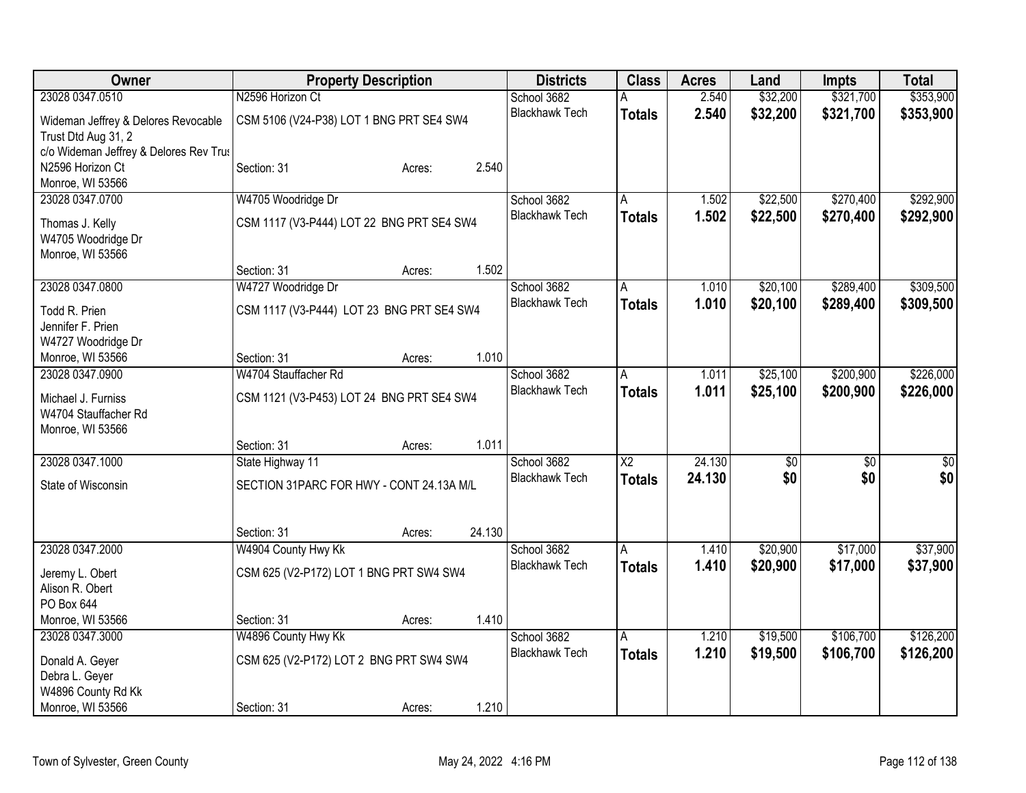| N2596 Horizon Ct<br>\$32,200<br>\$321,700<br>\$353,900<br>23028 0347.0510<br>School 3682<br>2.540<br>А<br>2.540<br>\$32,200<br><b>Blackhawk Tech</b><br>\$321,700<br>\$353,900<br><b>Totals</b><br>CSM 5106 (V24-P38) LOT 1 BNG PRT SE4 SW4<br>Wideman Jeffrey & Delores Revocable<br>Trust Dtd Aug 31, 2<br>c/o Wideman Jeffrey & Delores Rev Trus<br>N2596 Horizon Ct<br>2.540<br>Section: 31<br>Acres:<br>Monroe, WI 53566<br>\$270,400<br>\$292,900<br>23028 0347.0700<br>W4705 Woodridge Dr<br>School 3682<br>\$22,500<br>1.502<br>A<br><b>Blackhawk Tech</b><br>1.502<br>\$22,500<br>\$270,400<br>\$292,900<br><b>Totals</b><br>CSM 1117 (V3-P444) LOT 22 BNG PRT SE4 SW4<br>Thomas J. Kelly<br>W4705 Woodridge Dr<br>Monroe, WI 53566<br>1.502<br>Section: 31<br>Acres:<br>\$289,400<br>W4727 Woodridge Dr<br>School 3682<br>\$20,100<br>\$309,500<br>23028 0347.0800<br>1.010<br>A<br><b>Blackhawk Tech</b><br>1.010<br>\$20,100<br>\$289,400<br>\$309,500<br><b>Totals</b><br>CSM 1117 (V3-P444) LOT 23 BNG PRT SE4 SW4<br>Todd R. Prien<br>Jennifer F. Prien<br>W4727 Woodridge Dr<br>1.010<br>Monroe, WI 53566<br>Section: 31<br>Acres:<br>W4704 Stauffacher Rd<br>\$200,900<br>\$226,000<br>23028 0347.0900<br>School 3682<br>\$25,100<br>1.011<br>A<br><b>Blackhawk Tech</b><br>1.011<br>\$25,100<br>\$200,900<br>\$226,000<br><b>Totals</b><br>CSM 1121 (V3-P453) LOT 24 BNG PRT SE4 SW4<br>Michael J. Furniss<br>W4704 Stauffacher Rd<br>Monroe, WI 53566<br>1.011<br>Section: 31<br>Acres:<br>24.130<br>23028 0347.1000<br>School 3682<br>$\overline{\text{X2}}$<br>State Highway 11<br>\$0<br>\$0<br>\$0<br>\$0<br>\$0<br><b>Blackhawk Tech</b><br>24.130<br>\$0<br><b>Totals</b><br>State of Wisconsin<br>SECTION 31PARC FOR HWY - CONT 24.13A M/L<br>24.130<br>Section: 31<br>Acres:<br>23028 0347.2000<br>W4904 County Hwy Kk<br>\$20,900<br>\$17,000<br>\$37,900<br>School 3682<br>A<br>1.410<br><b>Blackhawk Tech</b><br>1.410<br>\$20,900<br>\$17,000<br>\$37,900<br><b>Totals</b><br>CSM 625 (V2-P172) LOT 1 BNG PRT SW4 SW4<br>Jeremy L. Obert<br>Alison R. Obert<br>PO Box 644<br>1.410<br>Monroe, WI 53566<br>Section: 31<br>Acres:<br>W4896 County Hwy Kk<br>\$106,700<br>\$126,200<br>23028 0347.3000<br>School 3682<br>1.210<br>\$19,500<br>Α<br><b>Blackhawk Tech</b><br>1.210<br>\$106,700<br><b>Totals</b><br>\$19,500<br>\$126,200<br>CSM 625 (V2-P172) LOT 2 BNG PRT SW4 SW4<br>Donald A. Geyer<br>Debra L. Geyer | Owner | <b>Property Description</b> |  | <b>Districts</b> | <b>Class</b> | <b>Acres</b> | Land | <b>Impts</b> | <b>Total</b> |
|------------------------------------------------------------------------------------------------------------------------------------------------------------------------------------------------------------------------------------------------------------------------------------------------------------------------------------------------------------------------------------------------------------------------------------------------------------------------------------------------------------------------------------------------------------------------------------------------------------------------------------------------------------------------------------------------------------------------------------------------------------------------------------------------------------------------------------------------------------------------------------------------------------------------------------------------------------------------------------------------------------------------------------------------------------------------------------------------------------------------------------------------------------------------------------------------------------------------------------------------------------------------------------------------------------------------------------------------------------------------------------------------------------------------------------------------------------------------------------------------------------------------------------------------------------------------------------------------------------------------------------------------------------------------------------------------------------------------------------------------------------------------------------------------------------------------------------------------------------------------------------------------------------------------------------------------------------------------------------------------------------------------------------------------------------------------------------------------------------------------------------------------------------------------------------------------------------------------------------------------------------------------------------------------------------------------------------------------------------------------------------------------------------------------------------------------------|-------|-----------------------------|--|------------------|--------------|--------------|------|--------------|--------------|
|                                                                                                                                                                                                                                                                                                                                                                                                                                                                                                                                                                                                                                                                                                                                                                                                                                                                                                                                                                                                                                                                                                                                                                                                                                                                                                                                                                                                                                                                                                                                                                                                                                                                                                                                                                                                                                                                                                                                                                                                                                                                                                                                                                                                                                                                                                                                                                                                                                                      |       |                             |  |                  |              |              |      |              |              |
|                                                                                                                                                                                                                                                                                                                                                                                                                                                                                                                                                                                                                                                                                                                                                                                                                                                                                                                                                                                                                                                                                                                                                                                                                                                                                                                                                                                                                                                                                                                                                                                                                                                                                                                                                                                                                                                                                                                                                                                                                                                                                                                                                                                                                                                                                                                                                                                                                                                      |       |                             |  |                  |              |              |      |              |              |
|                                                                                                                                                                                                                                                                                                                                                                                                                                                                                                                                                                                                                                                                                                                                                                                                                                                                                                                                                                                                                                                                                                                                                                                                                                                                                                                                                                                                                                                                                                                                                                                                                                                                                                                                                                                                                                                                                                                                                                                                                                                                                                                                                                                                                                                                                                                                                                                                                                                      |       |                             |  |                  |              |              |      |              |              |
|                                                                                                                                                                                                                                                                                                                                                                                                                                                                                                                                                                                                                                                                                                                                                                                                                                                                                                                                                                                                                                                                                                                                                                                                                                                                                                                                                                                                                                                                                                                                                                                                                                                                                                                                                                                                                                                                                                                                                                                                                                                                                                                                                                                                                                                                                                                                                                                                                                                      |       |                             |  |                  |              |              |      |              |              |
|                                                                                                                                                                                                                                                                                                                                                                                                                                                                                                                                                                                                                                                                                                                                                                                                                                                                                                                                                                                                                                                                                                                                                                                                                                                                                                                                                                                                                                                                                                                                                                                                                                                                                                                                                                                                                                                                                                                                                                                                                                                                                                                                                                                                                                                                                                                                                                                                                                                      |       |                             |  |                  |              |              |      |              |              |
|                                                                                                                                                                                                                                                                                                                                                                                                                                                                                                                                                                                                                                                                                                                                                                                                                                                                                                                                                                                                                                                                                                                                                                                                                                                                                                                                                                                                                                                                                                                                                                                                                                                                                                                                                                                                                                                                                                                                                                                                                                                                                                                                                                                                                                                                                                                                                                                                                                                      |       |                             |  |                  |              |              |      |              |              |
|                                                                                                                                                                                                                                                                                                                                                                                                                                                                                                                                                                                                                                                                                                                                                                                                                                                                                                                                                                                                                                                                                                                                                                                                                                                                                                                                                                                                                                                                                                                                                                                                                                                                                                                                                                                                                                                                                                                                                                                                                                                                                                                                                                                                                                                                                                                                                                                                                                                      |       |                             |  |                  |              |              |      |              |              |
|                                                                                                                                                                                                                                                                                                                                                                                                                                                                                                                                                                                                                                                                                                                                                                                                                                                                                                                                                                                                                                                                                                                                                                                                                                                                                                                                                                                                                                                                                                                                                                                                                                                                                                                                                                                                                                                                                                                                                                                                                                                                                                                                                                                                                                                                                                                                                                                                                                                      |       |                             |  |                  |              |              |      |              |              |
|                                                                                                                                                                                                                                                                                                                                                                                                                                                                                                                                                                                                                                                                                                                                                                                                                                                                                                                                                                                                                                                                                                                                                                                                                                                                                                                                                                                                                                                                                                                                                                                                                                                                                                                                                                                                                                                                                                                                                                                                                                                                                                                                                                                                                                                                                                                                                                                                                                                      |       |                             |  |                  |              |              |      |              |              |
|                                                                                                                                                                                                                                                                                                                                                                                                                                                                                                                                                                                                                                                                                                                                                                                                                                                                                                                                                                                                                                                                                                                                                                                                                                                                                                                                                                                                                                                                                                                                                                                                                                                                                                                                                                                                                                                                                                                                                                                                                                                                                                                                                                                                                                                                                                                                                                                                                                                      |       |                             |  |                  |              |              |      |              |              |
|                                                                                                                                                                                                                                                                                                                                                                                                                                                                                                                                                                                                                                                                                                                                                                                                                                                                                                                                                                                                                                                                                                                                                                                                                                                                                                                                                                                                                                                                                                                                                                                                                                                                                                                                                                                                                                                                                                                                                                                                                                                                                                                                                                                                                                                                                                                                                                                                                                                      |       |                             |  |                  |              |              |      |              |              |
|                                                                                                                                                                                                                                                                                                                                                                                                                                                                                                                                                                                                                                                                                                                                                                                                                                                                                                                                                                                                                                                                                                                                                                                                                                                                                                                                                                                                                                                                                                                                                                                                                                                                                                                                                                                                                                                                                                                                                                                                                                                                                                                                                                                                                                                                                                                                                                                                                                                      |       |                             |  |                  |              |              |      |              |              |
|                                                                                                                                                                                                                                                                                                                                                                                                                                                                                                                                                                                                                                                                                                                                                                                                                                                                                                                                                                                                                                                                                                                                                                                                                                                                                                                                                                                                                                                                                                                                                                                                                                                                                                                                                                                                                                                                                                                                                                                                                                                                                                                                                                                                                                                                                                                                                                                                                                                      |       |                             |  |                  |              |              |      |              |              |
|                                                                                                                                                                                                                                                                                                                                                                                                                                                                                                                                                                                                                                                                                                                                                                                                                                                                                                                                                                                                                                                                                                                                                                                                                                                                                                                                                                                                                                                                                                                                                                                                                                                                                                                                                                                                                                                                                                                                                                                                                                                                                                                                                                                                                                                                                                                                                                                                                                                      |       |                             |  |                  |              |              |      |              |              |
|                                                                                                                                                                                                                                                                                                                                                                                                                                                                                                                                                                                                                                                                                                                                                                                                                                                                                                                                                                                                                                                                                                                                                                                                                                                                                                                                                                                                                                                                                                                                                                                                                                                                                                                                                                                                                                                                                                                                                                                                                                                                                                                                                                                                                                                                                                                                                                                                                                                      |       |                             |  |                  |              |              |      |              |              |
|                                                                                                                                                                                                                                                                                                                                                                                                                                                                                                                                                                                                                                                                                                                                                                                                                                                                                                                                                                                                                                                                                                                                                                                                                                                                                                                                                                                                                                                                                                                                                                                                                                                                                                                                                                                                                                                                                                                                                                                                                                                                                                                                                                                                                                                                                                                                                                                                                                                      |       |                             |  |                  |              |              |      |              |              |
|                                                                                                                                                                                                                                                                                                                                                                                                                                                                                                                                                                                                                                                                                                                                                                                                                                                                                                                                                                                                                                                                                                                                                                                                                                                                                                                                                                                                                                                                                                                                                                                                                                                                                                                                                                                                                                                                                                                                                                                                                                                                                                                                                                                                                                                                                                                                                                                                                                                      |       |                             |  |                  |              |              |      |              |              |
|                                                                                                                                                                                                                                                                                                                                                                                                                                                                                                                                                                                                                                                                                                                                                                                                                                                                                                                                                                                                                                                                                                                                                                                                                                                                                                                                                                                                                                                                                                                                                                                                                                                                                                                                                                                                                                                                                                                                                                                                                                                                                                                                                                                                                                                                                                                                                                                                                                                      |       |                             |  |                  |              |              |      |              |              |
|                                                                                                                                                                                                                                                                                                                                                                                                                                                                                                                                                                                                                                                                                                                                                                                                                                                                                                                                                                                                                                                                                                                                                                                                                                                                                                                                                                                                                                                                                                                                                                                                                                                                                                                                                                                                                                                                                                                                                                                                                                                                                                                                                                                                                                                                                                                                                                                                                                                      |       |                             |  |                  |              |              |      |              |              |
|                                                                                                                                                                                                                                                                                                                                                                                                                                                                                                                                                                                                                                                                                                                                                                                                                                                                                                                                                                                                                                                                                                                                                                                                                                                                                                                                                                                                                                                                                                                                                                                                                                                                                                                                                                                                                                                                                                                                                                                                                                                                                                                                                                                                                                                                                                                                                                                                                                                      |       |                             |  |                  |              |              |      |              |              |
|                                                                                                                                                                                                                                                                                                                                                                                                                                                                                                                                                                                                                                                                                                                                                                                                                                                                                                                                                                                                                                                                                                                                                                                                                                                                                                                                                                                                                                                                                                                                                                                                                                                                                                                                                                                                                                                                                                                                                                                                                                                                                                                                                                                                                                                                                                                                                                                                                                                      |       |                             |  |                  |              |              |      |              |              |
|                                                                                                                                                                                                                                                                                                                                                                                                                                                                                                                                                                                                                                                                                                                                                                                                                                                                                                                                                                                                                                                                                                                                                                                                                                                                                                                                                                                                                                                                                                                                                                                                                                                                                                                                                                                                                                                                                                                                                                                                                                                                                                                                                                                                                                                                                                                                                                                                                                                      |       |                             |  |                  |              |              |      |              |              |
|                                                                                                                                                                                                                                                                                                                                                                                                                                                                                                                                                                                                                                                                                                                                                                                                                                                                                                                                                                                                                                                                                                                                                                                                                                                                                                                                                                                                                                                                                                                                                                                                                                                                                                                                                                                                                                                                                                                                                                                                                                                                                                                                                                                                                                                                                                                                                                                                                                                      |       |                             |  |                  |              |              |      |              |              |
|                                                                                                                                                                                                                                                                                                                                                                                                                                                                                                                                                                                                                                                                                                                                                                                                                                                                                                                                                                                                                                                                                                                                                                                                                                                                                                                                                                                                                                                                                                                                                                                                                                                                                                                                                                                                                                                                                                                                                                                                                                                                                                                                                                                                                                                                                                                                                                                                                                                      |       |                             |  |                  |              |              |      |              |              |
|                                                                                                                                                                                                                                                                                                                                                                                                                                                                                                                                                                                                                                                                                                                                                                                                                                                                                                                                                                                                                                                                                                                                                                                                                                                                                                                                                                                                                                                                                                                                                                                                                                                                                                                                                                                                                                                                                                                                                                                                                                                                                                                                                                                                                                                                                                                                                                                                                                                      |       |                             |  |                  |              |              |      |              |              |
|                                                                                                                                                                                                                                                                                                                                                                                                                                                                                                                                                                                                                                                                                                                                                                                                                                                                                                                                                                                                                                                                                                                                                                                                                                                                                                                                                                                                                                                                                                                                                                                                                                                                                                                                                                                                                                                                                                                                                                                                                                                                                                                                                                                                                                                                                                                                                                                                                                                      |       |                             |  |                  |              |              |      |              |              |
|                                                                                                                                                                                                                                                                                                                                                                                                                                                                                                                                                                                                                                                                                                                                                                                                                                                                                                                                                                                                                                                                                                                                                                                                                                                                                                                                                                                                                                                                                                                                                                                                                                                                                                                                                                                                                                                                                                                                                                                                                                                                                                                                                                                                                                                                                                                                                                                                                                                      |       |                             |  |                  |              |              |      |              |              |
|                                                                                                                                                                                                                                                                                                                                                                                                                                                                                                                                                                                                                                                                                                                                                                                                                                                                                                                                                                                                                                                                                                                                                                                                                                                                                                                                                                                                                                                                                                                                                                                                                                                                                                                                                                                                                                                                                                                                                                                                                                                                                                                                                                                                                                                                                                                                                                                                                                                      |       |                             |  |                  |              |              |      |              |              |
|                                                                                                                                                                                                                                                                                                                                                                                                                                                                                                                                                                                                                                                                                                                                                                                                                                                                                                                                                                                                                                                                                                                                                                                                                                                                                                                                                                                                                                                                                                                                                                                                                                                                                                                                                                                                                                                                                                                                                                                                                                                                                                                                                                                                                                                                                                                                                                                                                                                      |       |                             |  |                  |              |              |      |              |              |
|                                                                                                                                                                                                                                                                                                                                                                                                                                                                                                                                                                                                                                                                                                                                                                                                                                                                                                                                                                                                                                                                                                                                                                                                                                                                                                                                                                                                                                                                                                                                                                                                                                                                                                                                                                                                                                                                                                                                                                                                                                                                                                                                                                                                                                                                                                                                                                                                                                                      |       |                             |  |                  |              |              |      |              |              |
|                                                                                                                                                                                                                                                                                                                                                                                                                                                                                                                                                                                                                                                                                                                                                                                                                                                                                                                                                                                                                                                                                                                                                                                                                                                                                                                                                                                                                                                                                                                                                                                                                                                                                                                                                                                                                                                                                                                                                                                                                                                                                                                                                                                                                                                                                                                                                                                                                                                      |       |                             |  |                  |              |              |      |              |              |
|                                                                                                                                                                                                                                                                                                                                                                                                                                                                                                                                                                                                                                                                                                                                                                                                                                                                                                                                                                                                                                                                                                                                                                                                                                                                                                                                                                                                                                                                                                                                                                                                                                                                                                                                                                                                                                                                                                                                                                                                                                                                                                                                                                                                                                                                                                                                                                                                                                                      |       |                             |  |                  |              |              |      |              |              |
|                                                                                                                                                                                                                                                                                                                                                                                                                                                                                                                                                                                                                                                                                                                                                                                                                                                                                                                                                                                                                                                                                                                                                                                                                                                                                                                                                                                                                                                                                                                                                                                                                                                                                                                                                                                                                                                                                                                                                                                                                                                                                                                                                                                                                                                                                                                                                                                                                                                      |       |                             |  |                  |              |              |      |              |              |
|                                                                                                                                                                                                                                                                                                                                                                                                                                                                                                                                                                                                                                                                                                                                                                                                                                                                                                                                                                                                                                                                                                                                                                                                                                                                                                                                                                                                                                                                                                                                                                                                                                                                                                                                                                                                                                                                                                                                                                                                                                                                                                                                                                                                                                                                                                                                                                                                                                                      |       |                             |  |                  |              |              |      |              |              |
| W4896 County Rd Kk                                                                                                                                                                                                                                                                                                                                                                                                                                                                                                                                                                                                                                                                                                                                                                                                                                                                                                                                                                                                                                                                                                                                                                                                                                                                                                                                                                                                                                                                                                                                                                                                                                                                                                                                                                                                                                                                                                                                                                                                                                                                                                                                                                                                                                                                                                                                                                                                                                   |       |                             |  |                  |              |              |      |              |              |
| 1.210<br>Monroe, WI 53566<br>Section: 31<br>Acres:                                                                                                                                                                                                                                                                                                                                                                                                                                                                                                                                                                                                                                                                                                                                                                                                                                                                                                                                                                                                                                                                                                                                                                                                                                                                                                                                                                                                                                                                                                                                                                                                                                                                                                                                                                                                                                                                                                                                                                                                                                                                                                                                                                                                                                                                                                                                                                                                   |       |                             |  |                  |              |              |      |              |              |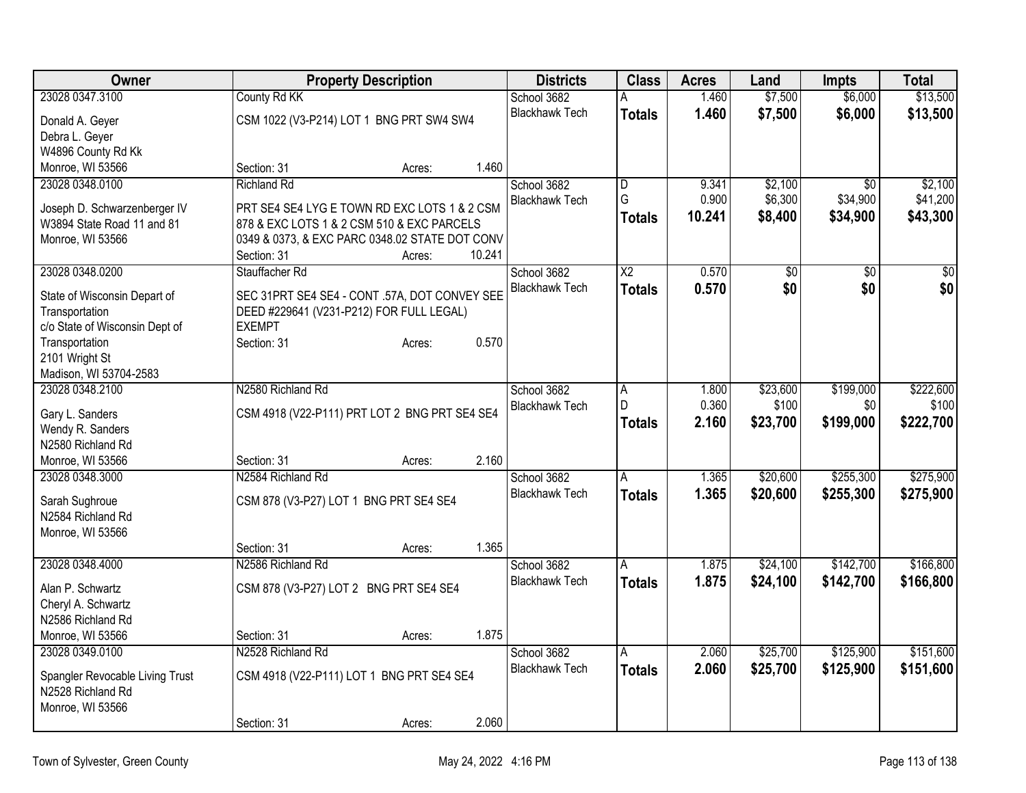| Owner                                          |                                                           | <b>Property Description</b> |        | <b>Districts</b>      | <b>Class</b>    | <b>Acres</b> | Land            | <b>Impts</b>    | <b>Total</b>     |
|------------------------------------------------|-----------------------------------------------------------|-----------------------------|--------|-----------------------|-----------------|--------------|-----------------|-----------------|------------------|
| 23028 0347.3100                                | County Rd KK                                              |                             |        | School 3682           | A               | 1.460        | \$7,500         | \$6,000         | \$13,500         |
| Donald A. Geyer                                | CSM 1022 (V3-P214) LOT 1 BNG PRT SW4 SW4                  |                             |        | <b>Blackhawk Tech</b> | <b>Totals</b>   | 1.460        | \$7,500         | \$6,000         | \$13,500         |
| Debra L. Geyer                                 |                                                           |                             |        |                       |                 |              |                 |                 |                  |
| W4896 County Rd Kk                             |                                                           |                             |        |                       |                 |              |                 |                 |                  |
| Monroe, WI 53566                               | Section: 31                                               | Acres:                      | 1.460  |                       |                 |              |                 |                 |                  |
| 23028 0348.0100                                | <b>Richland Rd</b>                                        |                             |        | School 3682           | $\overline{D}$  | 9.341        | \$2,100         | $\overline{50}$ | \$2,100          |
| Joseph D. Schwarzenberger IV                   | PRT SE4 SE4 LYG E TOWN RD EXC LOTS 1 & 2 CSM              |                             |        | <b>Blackhawk Tech</b> | G               | 0.900        | \$6,300         | \$34,900        | \$41,200         |
| W3894 State Road 11 and 81                     | 878 & EXC LOTS 1 & 2 CSM 510 & EXC PARCELS                |                             |        |                       | <b>Totals</b>   | 10.241       | \$8,400         | \$34,900        | \$43,300         |
| Monroe, WI 53566                               | 0349 & 0373, & EXC PARC 0348.02 STATE DOT CONV            |                             |        |                       |                 |              |                 |                 |                  |
|                                                | Section: 31                                               | Acres:                      | 10.241 |                       |                 |              |                 |                 |                  |
| 23028 0348.0200                                | Stauffacher Rd                                            |                             |        | School 3682           | $\overline{X2}$ | 0.570        | $\overline{50}$ | \$0             | $\overline{\$0}$ |
|                                                |                                                           |                             |        | <b>Blackhawk Tech</b> | <b>Totals</b>   | 0.570        | \$0             | \$0             | \$0              |
| State of Wisconsin Depart of<br>Transportation | SEC 31PRT SE4 SE4 - CONT .57A, DOT CONVEY SEE             |                             |        |                       |                 |              |                 |                 |                  |
| c/o State of Wisconsin Dept of                 | DEED #229641 (V231-P212) FOR FULL LEGAL)<br><b>EXEMPT</b> |                             |        |                       |                 |              |                 |                 |                  |
| Transportation                                 | Section: 31                                               | Acres:                      | 0.570  |                       |                 |              |                 |                 |                  |
| 2101 Wright St                                 |                                                           |                             |        |                       |                 |              |                 |                 |                  |
| Madison, WI 53704-2583                         |                                                           |                             |        |                       |                 |              |                 |                 |                  |
| 23028 0348.2100                                | N2580 Richland Rd                                         |                             |        | School 3682           | A               | 1.800        | \$23,600        | \$199,000       | \$222,600        |
|                                                |                                                           |                             |        | <b>Blackhawk Tech</b> | D               | 0.360        | \$100           | \$0             | \$100            |
| Gary L. Sanders<br>Wendy R. Sanders            | CSM 4918 (V22-P111) PRT LOT 2 BNG PRT SE4 SE4             |                             |        |                       | <b>Totals</b>   | 2.160        | \$23,700        | \$199,000       | \$222,700        |
| N2580 Richland Rd                              |                                                           |                             |        |                       |                 |              |                 |                 |                  |
| Monroe, WI 53566                               | Section: 31                                               | Acres:                      | 2.160  |                       |                 |              |                 |                 |                  |
| 23028 0348.3000                                | N2584 Richland Rd                                         |                             |        | School 3682           | A               | 1.365        | \$20,600        | \$255,300       | \$275,900        |
|                                                |                                                           |                             |        | <b>Blackhawk Tech</b> | <b>Totals</b>   | 1.365        | \$20,600        | \$255,300       | \$275,900        |
| Sarah Sughroue                                 | CSM 878 (V3-P27) LOT 1 BNG PRT SE4 SE4                    |                             |        |                       |                 |              |                 |                 |                  |
| N2584 Richland Rd                              |                                                           |                             |        |                       |                 |              |                 |                 |                  |
| Monroe, WI 53566                               |                                                           |                             | 1.365  |                       |                 |              |                 |                 |                  |
| 23028 0348.4000                                | Section: 31<br>N2586 Richland Rd                          | Acres:                      |        | School 3682           |                 | 1.875        | \$24,100        | \$142,700       | \$166,800        |
|                                                |                                                           |                             |        | <b>Blackhawk Tech</b> | A               | 1.875        | \$24,100        | \$142,700       | \$166,800        |
| Alan P. Schwartz                               | CSM 878 (V3-P27) LOT 2 BNG PRT SE4 SE4                    |                             |        |                       | <b>Totals</b>   |              |                 |                 |                  |
| Cheryl A. Schwartz                             |                                                           |                             |        |                       |                 |              |                 |                 |                  |
| N2586 Richland Rd                              |                                                           |                             |        |                       |                 |              |                 |                 |                  |
| Monroe, WI 53566                               | Section: 31                                               | Acres:                      | 1.875  |                       |                 |              |                 |                 |                  |
| 23028 0349.0100                                | N2528 Richland Rd                                         |                             |        | School 3682           | A               | 2.060        | \$25,700        | \$125,900       | \$151,600        |
| Spangler Revocable Living Trust                | CSM 4918 (V22-P111) LOT 1 BNG PRT SE4 SE4                 |                             |        | <b>Blackhawk Tech</b> | <b>Totals</b>   | 2.060        | \$25,700        | \$125,900       | \$151,600        |
| N2528 Richland Rd                              |                                                           |                             |        |                       |                 |              |                 |                 |                  |
| Monroe, WI 53566                               |                                                           |                             |        |                       |                 |              |                 |                 |                  |
|                                                | Section: 31                                               | Acres:                      | 2.060  |                       |                 |              |                 |                 |                  |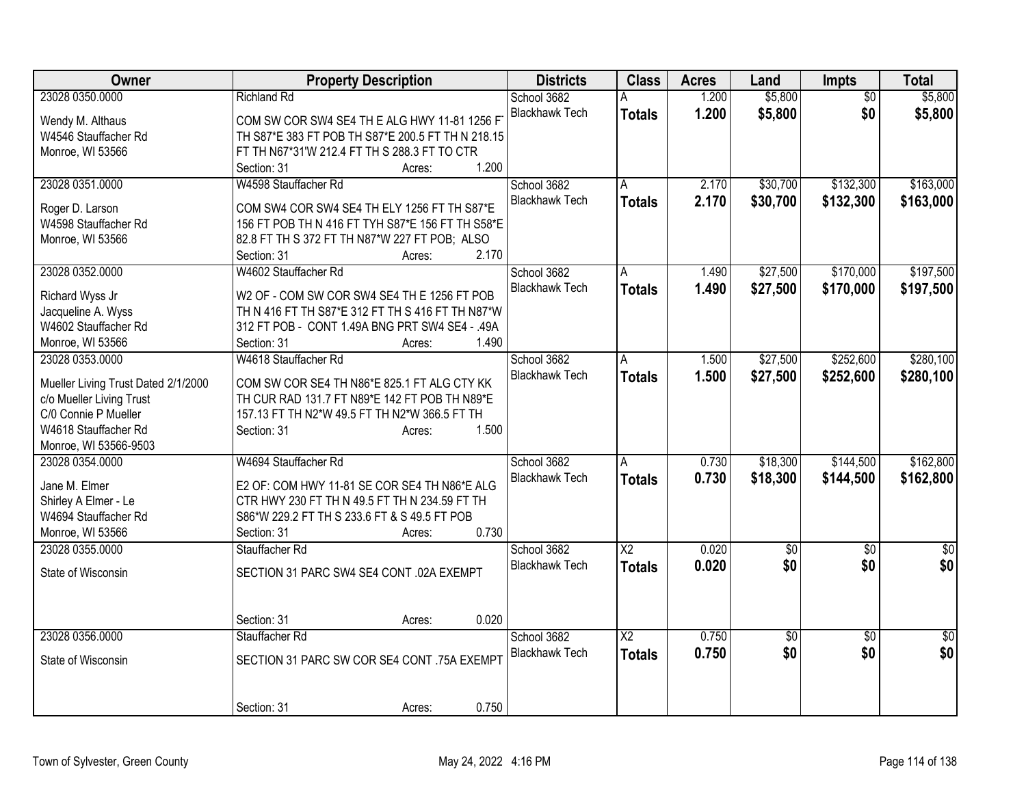| Owner                               | <b>Property Description</b>                       | <b>Districts</b>      | <b>Class</b>    | <b>Acres</b> | Land            | <b>Impts</b>    | <b>Total</b>    |
|-------------------------------------|---------------------------------------------------|-----------------------|-----------------|--------------|-----------------|-----------------|-----------------|
| 23028 0350.0000                     | <b>Richland Rd</b>                                | School 3682           |                 | 1.200        | \$5,800         | $\overline{50}$ | \$5,800         |
| Wendy M. Althaus                    | COM SW COR SW4 SE4 TH E ALG HWY 11-81 1256 F      | <b>Blackhawk Tech</b> | <b>Totals</b>   | 1.200        | \$5,800         | \$0             | \$5,800         |
| W4546 Stauffacher Rd                | TH S87*E 383 FT POB TH S87*E 200.5 FT TH N 218.15 |                       |                 |              |                 |                 |                 |
| Monroe, WI 53566                    | FT TH N67*31'W 212.4 FT TH S 288.3 FT TO CTR      |                       |                 |              |                 |                 |                 |
|                                     | 1.200<br>Section: 31<br>Acres:                    |                       |                 |              |                 |                 |                 |
| 23028 0351.0000                     | W4598 Stauffacher Rd                              | School 3682           | A               | 2.170        | \$30,700        | \$132,300       | \$163,000       |
|                                     |                                                   | <b>Blackhawk Tech</b> | <b>Totals</b>   | 2.170        | \$30,700        | \$132,300       | \$163,000       |
| Roger D. Larson                     | COM SW4 COR SW4 SE4 TH ELY 1256 FT TH S87*E       |                       |                 |              |                 |                 |                 |
| W4598 Stauffacher Rd                | 156 FT POB TH N 416 FT TYH S87*E 156 FT TH S58*E  |                       |                 |              |                 |                 |                 |
| Monroe, WI 53566                    | 82.8 FT TH S 372 FT TH N87*W 227 FT POB; ALSO     |                       |                 |              |                 |                 |                 |
|                                     | 2.170<br>Section: 31<br>Acres:                    |                       |                 |              |                 |                 |                 |
| 23028 0352.0000                     | W4602 Stauffacher Rd                              | School 3682           | A               | 1.490        | \$27,500        | \$170,000       | \$197,500       |
| Richard Wyss Jr                     | W2 OF - COM SW COR SW4 SE4 TH E 1256 FT POB       | <b>Blackhawk Tech</b> | <b>Totals</b>   | 1.490        | \$27,500        | \$170,000       | \$197,500       |
| Jacqueline A. Wyss                  | TH N 416 FT TH S87*E 312 FT TH S 416 FT TH N87*W  |                       |                 |              |                 |                 |                 |
| W4602 Stauffacher Rd                | 312 FT POB - CONT 1.49A BNG PRT SW4 SE4 - .49A    |                       |                 |              |                 |                 |                 |
| Monroe, WI 53566                    | 1.490<br>Section: 31<br>Acres:                    |                       |                 |              |                 |                 |                 |
|                                     |                                                   |                       |                 |              |                 |                 |                 |
| 23028 0353.0000                     | W4618 Stauffacher Rd                              | School 3682           | A               | 1.500        | \$27,500        | \$252,600       | \$280,100       |
| Mueller Living Trust Dated 2/1/2000 | COM SW COR SE4 TH N86*E 825.1 FT ALG CTY KK       | <b>Blackhawk Tech</b> | <b>Totals</b>   | 1.500        | \$27,500        | \$252,600       | \$280,100       |
| c/o Mueller Living Trust            | TH CUR RAD 131.7 FT N89*E 142 FT POB TH N89*E     |                       |                 |              |                 |                 |                 |
| C/0 Connie P Mueller                | 157.13 FT TH N2*W 49.5 FT TH N2*W 366.5 FT TH     |                       |                 |              |                 |                 |                 |
| W4618 Stauffacher Rd                | 1.500<br>Section: 31<br>Acres:                    |                       |                 |              |                 |                 |                 |
| Monroe, WI 53566-9503               |                                                   |                       |                 |              |                 |                 |                 |
| 23028 0354.0000                     | W4694 Stauffacher Rd                              | School 3682           | A               | 0.730        | \$18,300        | \$144,500       | \$162,800       |
|                                     |                                                   | <b>Blackhawk Tech</b> | <b>Totals</b>   | 0.730        | \$18,300        | \$144,500       | \$162,800       |
| Jane M. Elmer                       | E2 OF: COM HWY 11-81 SE COR SE4 TH N86*E ALG      |                       |                 |              |                 |                 |                 |
| Shirley A Elmer - Le                | CTR HWY 230 FT TH N 49.5 FT TH N 234.59 FT TH     |                       |                 |              |                 |                 |                 |
| W4694 Stauffacher Rd                | S86*W 229.2 FT TH S 233.6 FT & S 49.5 FT POB      |                       |                 |              |                 |                 |                 |
| Monroe, WI 53566                    | 0.730<br>Section: 31<br>Acres:                    |                       |                 |              |                 |                 |                 |
| 23028 0355.0000                     | Stauffacher Rd                                    | School 3682           | $\overline{X2}$ | 0.020        | $\overline{60}$ | $\overline{50}$ | $\overline{50}$ |
| State of Wisconsin                  | SECTION 31 PARC SW4 SE4 CONT .02A EXEMPT          | <b>Blackhawk Tech</b> | <b>Totals</b>   | 0.020        | \$0             | \$0             | \$0             |
|                                     |                                                   |                       |                 |              |                 |                 |                 |
|                                     |                                                   |                       |                 |              |                 |                 |                 |
|                                     | 0.020<br>Section: 31<br>Acres:                    |                       |                 |              |                 |                 |                 |
| 23028 0356.0000                     | Stauffacher Rd                                    | School 3682           | $\overline{X2}$ | 0.750        | $\overline{60}$ | $\overline{30}$ | $\overline{50}$ |
|                                     |                                                   | <b>Blackhawk Tech</b> |                 | 0.750        | \$0             | \$0             | \$0             |
| State of Wisconsin                  | SECTION 31 PARC SW COR SE4 CONT .75A EXEMPT       |                       | <b>Totals</b>   |              |                 |                 |                 |
|                                     |                                                   |                       |                 |              |                 |                 |                 |
|                                     |                                                   |                       |                 |              |                 |                 |                 |
|                                     | 0.750<br>Section: 31<br>Acres:                    |                       |                 |              |                 |                 |                 |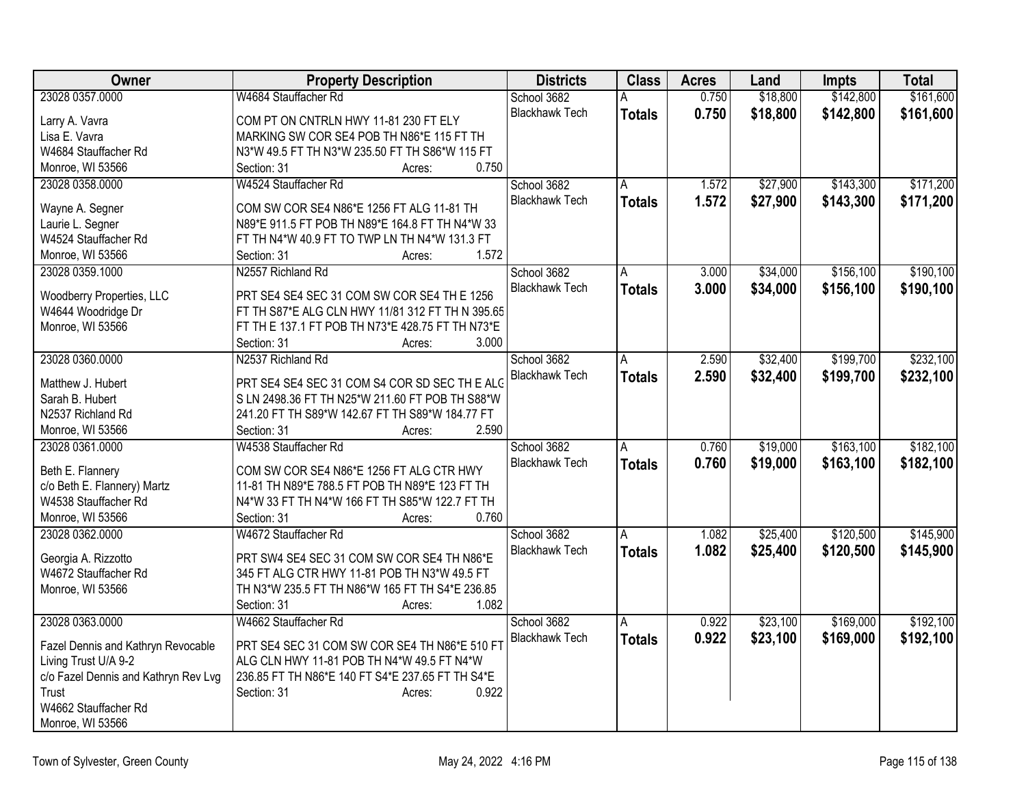| Owner                                | <b>Property Description</b>                      | <b>Districts</b>      | <b>Class</b>   | <b>Acres</b> | Land     | Impts     | <b>Total</b> |
|--------------------------------------|--------------------------------------------------|-----------------------|----------------|--------------|----------|-----------|--------------|
| 23028 0357.0000                      | W4684 Stauffacher Rd                             | School 3682           | A              | 0.750        | \$18,800 | \$142,800 | \$161,600    |
| Larry A. Vavra                       | COM PT ON CNTRLN HWY 11-81 230 FT ELY            | <b>Blackhawk Tech</b> | <b>Totals</b>  | 0.750        | \$18,800 | \$142,800 | \$161,600    |
| Lisa E. Vavra                        | MARKING SW COR SE4 POB TH N86*E 115 FT TH        |                       |                |              |          |           |              |
| W4684 Stauffacher Rd                 | N3*W 49.5 FT TH N3*W 235.50 FT TH S86*W 115 FT   |                       |                |              |          |           |              |
| Monroe, WI 53566                     | 0.750<br>Section: 31<br>Acres:                   |                       |                |              |          |           |              |
| 23028 0358.0000                      | W4524 Stauffacher Rd                             | School 3682           | A              | 1.572        | \$27,900 | \$143,300 | \$171,200    |
|                                      |                                                  | <b>Blackhawk Tech</b> | <b>Totals</b>  | 1.572        | \$27,900 | \$143,300 | \$171,200    |
| Wayne A. Segner                      | COM SW COR SE4 N86*E 1256 FT ALG 11-81 TH        |                       |                |              |          |           |              |
| Laurie L. Segner                     | N89*E 911.5 FT POB TH N89*E 164.8 FT TH N4*W 33  |                       |                |              |          |           |              |
| W4524 Stauffacher Rd                 | FT TH N4*W 40.9 FT TO TWP LN TH N4*W 131.3 FT    |                       |                |              |          |           |              |
| Monroe, WI 53566                     | 1.572<br>Section: 31<br>Acres:                   |                       |                |              |          |           |              |
| 23028 0359.1000                      | N2557 Richland Rd                                | School 3682           | A              | 3.000        | \$34,000 | \$156,100 | \$190,100    |
| Woodberry Properties, LLC            | PRT SE4 SE4 SEC 31 COM SW COR SE4 TH E 1256      | <b>Blackhawk Tech</b> | <b>Totals</b>  | 3.000        | \$34,000 | \$156,100 | \$190,100    |
| W4644 Woodridge Dr                   | FT TH S87*E ALG CLN HWY 11/81 312 FT TH N 395.65 |                       |                |              |          |           |              |
| Monroe, WI 53566                     | FT TH E 137.1 FT POB TH N73*E 428.75 FT TH N73*E |                       |                |              |          |           |              |
|                                      | 3.000<br>Section: 31                             |                       |                |              |          |           |              |
|                                      | Acres:                                           |                       |                |              |          |           |              |
| 23028 0360.0000                      | N2537 Richland Rd                                | School 3682           | A              | 2.590        | \$32,400 | \$199,700 | \$232,100    |
| Matthew J. Hubert                    | PRT SE4 SE4 SEC 31 COM S4 COR SD SEC TH E ALG    | <b>Blackhawk Tech</b> | <b>Totals</b>  | 2.590        | \$32,400 | \$199,700 | \$232,100    |
| Sarah B. Hubert                      | S LN 2498.36 FT TH N25*W 211.60 FT POB TH S88*W  |                       |                |              |          |           |              |
| N2537 Richland Rd                    | 241.20 FT TH S89*W 142.67 FT TH S89*W 184.77 FT  |                       |                |              |          |           |              |
| Monroe, WI 53566                     | 2.590<br>Section: 31<br>Acres:                   |                       |                |              |          |           |              |
| 23028 0361.0000                      | W4538 Stauffacher Rd                             | School 3682           | $\overline{A}$ | 0.760        | \$19,000 | \$163,100 | \$182,100    |
|                                      |                                                  | <b>Blackhawk Tech</b> | <b>Totals</b>  | 0.760        | \$19,000 | \$163,100 | \$182,100    |
| Beth E. Flannery                     | COM SW COR SE4 N86*E 1256 FT ALG CTR HWY         |                       |                |              |          |           |              |
| c/o Beth E. Flannery) Martz          | 11-81 TH N89*E 788.5 FT POB TH N89*E 123 FT TH   |                       |                |              |          |           |              |
| W4538 Stauffacher Rd                 | N4*W 33 FT TH N4*W 166 FT TH S85*W 122.7 FT TH   |                       |                |              |          |           |              |
| Monroe, WI 53566                     | 0.760<br>Section: 31<br>Acres:                   |                       |                |              |          |           |              |
| 23028 0362.0000                      | W4672 Stauffacher Rd                             | School 3682           | A              | 1.082        | \$25,400 | \$120,500 | \$145,900    |
| Georgia A. Rizzotto                  | PRT SW4 SE4 SEC 31 COM SW COR SE4 TH N86*E       | <b>Blackhawk Tech</b> | <b>Totals</b>  | 1.082        | \$25,400 | \$120,500 | \$145,900    |
| W4672 Stauffacher Rd                 | 345 FT ALG CTR HWY 11-81 POB TH N3*W 49.5 FT     |                       |                |              |          |           |              |
| Monroe, WI 53566                     | TH N3*W 235.5 FT TH N86*W 165 FT TH S4*E 236.85  |                       |                |              |          |           |              |
|                                      | 1.082<br>Section: 31<br>Acres:                   |                       |                |              |          |           |              |
| 23028 0363.0000                      | W4662 Stauffacher Rd                             | School 3682           | A              | 0.922        | \$23,100 | \$169,000 | \$192,100    |
|                                      |                                                  | <b>Blackhawk Tech</b> |                |              |          |           |              |
| Fazel Dennis and Kathryn Revocable   | PRT SE4 SEC 31 COM SW COR SE4 TH N86*E 510 FT    |                       | <b>Totals</b>  | 0.922        | \$23,100 | \$169,000 | \$192,100    |
| Living Trust U/A 9-2                 | ALG CLN HWY 11-81 POB TH N4*W 49.5 FT N4*W       |                       |                |              |          |           |              |
| c/o Fazel Dennis and Kathryn Rev Lvg | 236.85 FT TH N86*E 140 FT S4*E 237.65 FT TH S4*E |                       |                |              |          |           |              |
| Trust                                | 0.922<br>Section: 31<br>Acres:                   |                       |                |              |          |           |              |
| W4662 Stauffacher Rd                 |                                                  |                       |                |              |          |           |              |
| Monroe, WI 53566                     |                                                  |                       |                |              |          |           |              |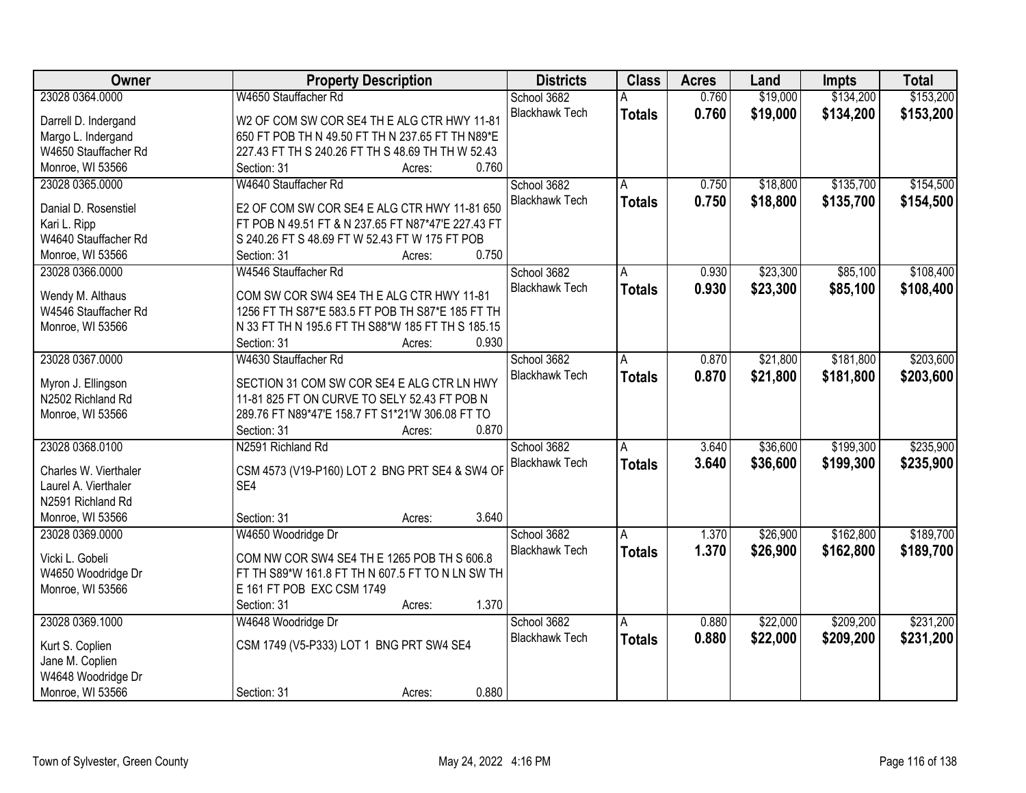| Owner                 | <b>Property Description</b>                        | <b>Districts</b>      | <b>Class</b>  | <b>Acres</b> | Land     | <b>Impts</b> | <b>Total</b> |
|-----------------------|----------------------------------------------------|-----------------------|---------------|--------------|----------|--------------|--------------|
| 23028 0364.0000       | W4650 Stauffacher Rd                               | School 3682           |               | 0.760        | \$19,000 | \$134,200    | \$153,200    |
| Darrell D. Indergand  | W2 OF COM SW COR SE4 TH E ALG CTR HWY 11-81        | <b>Blackhawk Tech</b> | <b>Totals</b> | 0.760        | \$19,000 | \$134,200    | \$153,200    |
| Margo L. Indergand    | 650 FT POB TH N 49.50 FT TH N 237.65 FT TH N89*E   |                       |               |              |          |              |              |
| W4650 Stauffacher Rd  | 227.43 FT TH S 240.26 FT TH S 48.69 TH TH W 52.43  |                       |               |              |          |              |              |
| Monroe, WI 53566      | 0.760<br>Section: 31<br>Acres:                     |                       |               |              |          |              |              |
| 23028 0365.0000       | W4640 Stauffacher Rd                               | School 3682           | A             | 0.750        | \$18,800 | \$135,700    | \$154,500    |
|                       |                                                    | <b>Blackhawk Tech</b> | <b>Totals</b> | 0.750        | \$18,800 | \$135,700    | \$154,500    |
| Danial D. Rosenstiel  | E2 OF COM SW COR SE4 E ALG CTR HWY 11-81 650       |                       |               |              |          |              |              |
| Kari L. Ripp          | FT POB N 49.51 FT & N 237.65 FT N87*47'E 227.43 FT |                       |               |              |          |              |              |
| W4640 Stauffacher Rd  | S 240.26 FT S 48.69 FT W 52.43 FT W 175 FT POB     |                       |               |              |          |              |              |
| Monroe, WI 53566      | 0.750<br>Section: 31<br>Acres:                     |                       |               |              |          |              |              |
| 23028 0366.0000       | W4546 Stauffacher Rd                               | School 3682           | A             | 0.930        | \$23,300 | \$85,100     | \$108,400    |
| Wendy M. Althaus      | COM SW COR SW4 SE4 TH E ALG CTR HWY 11-81          | <b>Blackhawk Tech</b> | <b>Totals</b> | 0.930        | \$23,300 | \$85,100     | \$108,400    |
| W4546 Stauffacher Rd  | 1256 FT TH S87*E 583.5 FT POB TH S87*E 185 FT TH   |                       |               |              |          |              |              |
| Monroe, WI 53566      | N 33 FT TH N 195.6 FT TH S88*W 185 FT TH S 185.15  |                       |               |              |          |              |              |
|                       | Section: 31<br>0.930<br>Acres:                     |                       |               |              |          |              |              |
| 23028 0367.0000       | W4630 Stauffacher Rd                               | School 3682           | A             | 0.870        | \$21,800 | \$181,800    | \$203,600    |
|                       |                                                    | <b>Blackhawk Tech</b> | <b>Totals</b> | 0.870        | \$21,800 | \$181,800    | \$203,600    |
| Myron J. Ellingson    | SECTION 31 COM SW COR SE4 E ALG CTR LN HWY         |                       |               |              |          |              |              |
| N2502 Richland Rd     | 11-81 825 FT ON CURVE TO SELY 52.43 FT POB N       |                       |               |              |          |              |              |
| Monroe, WI 53566      | 289.76 FT N89*47'E 158.7 FT S1*21'W 306.08 FT TO   |                       |               |              |          |              |              |
|                       | 0.870<br>Section: 31<br>Acres:                     |                       |               |              |          |              |              |
| 23028 0368.0100       | N2591 Richland Rd                                  | School 3682           | A             | 3.640        | \$36,600 | \$199,300    | \$235,900    |
| Charles W. Vierthaler | CSM 4573 (V19-P160) LOT 2 BNG PRT SE4 & SW4 OF     | <b>Blackhawk Tech</b> | <b>Totals</b> | 3.640        | \$36,600 | \$199,300    | \$235,900    |
| Laurel A. Vierthaler  | SE4                                                |                       |               |              |          |              |              |
| N2591 Richland Rd     |                                                    |                       |               |              |          |              |              |
| Monroe, WI 53566      | 3.640<br>Section: 31<br>Acres:                     |                       |               |              |          |              |              |
| 23028 0369.0000       | W4650 Woodridge Dr                                 | School 3682           | A             | 1.370        | \$26,900 | \$162,800    | \$189,700    |
|                       |                                                    | <b>Blackhawk Tech</b> |               |              |          |              |              |
| Vicki L. Gobeli       | COM NW COR SW4 SE4 TH E 1265 POB TH S 606.8        |                       | <b>Totals</b> | 1.370        | \$26,900 | \$162,800    | \$189,700    |
| W4650 Woodridge Dr    | FT TH S89*W 161.8 FT TH N 607.5 FT TO N LN SW TH   |                       |               |              |          |              |              |
| Monroe, WI 53566      | E 161 FT POB EXC CSM 1749                          |                       |               |              |          |              |              |
|                       | 1.370<br>Section: 31<br>Acres:                     |                       |               |              |          |              |              |
| 23028 0369.1000       | W4648 Woodridge Dr                                 | School 3682           | A             | 0.880        | \$22,000 | \$209,200    | \$231,200    |
|                       |                                                    | <b>Blackhawk Tech</b> | <b>Totals</b> | 0.880        | \$22,000 | \$209,200    | \$231,200    |
| Kurt S. Coplien       | CSM 1749 (V5-P333) LOT 1 BNG PRT SW4 SE4           |                       |               |              |          |              |              |
| Jane M. Coplien       |                                                    |                       |               |              |          |              |              |
| W4648 Woodridge Dr    |                                                    |                       |               |              |          |              |              |
| Monroe, WI 53566      | 0.880<br>Section: 31<br>Acres:                     |                       |               |              |          |              |              |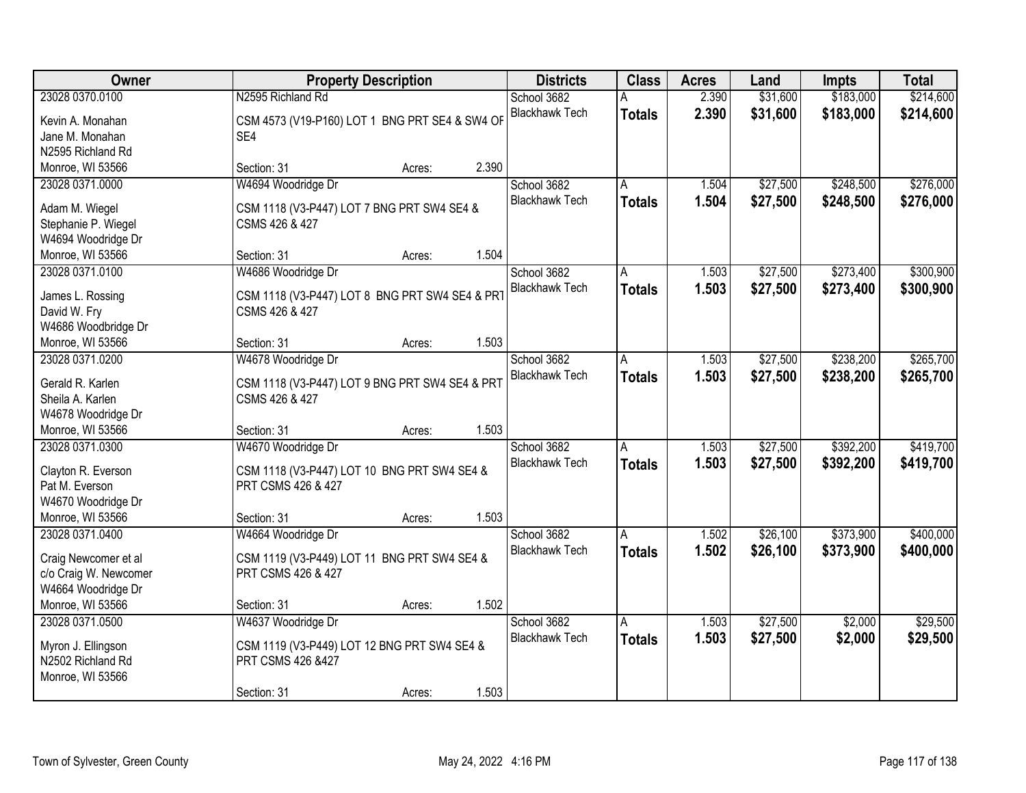| Owner                                  |                                                                  | <b>Property Description</b> |       | <b>Districts</b>      | <b>Class</b>  | <b>Acres</b> | Land     | Impts     | <b>Total</b> |
|----------------------------------------|------------------------------------------------------------------|-----------------------------|-------|-----------------------|---------------|--------------|----------|-----------|--------------|
| 23028 0370.0100                        | N2595 Richland Rd                                                |                             |       | School 3682           |               | 2.390        | \$31,600 | \$183,000 | \$214,600    |
| Kevin A. Monahan                       | CSM 4573 (V19-P160) LOT 1 BNG PRT SE4 & SW4 OF                   |                             |       | <b>Blackhawk Tech</b> | <b>Totals</b> | 2.390        | \$31,600 | \$183,000 | \$214,600    |
| Jane M. Monahan                        | SE4                                                              |                             |       |                       |               |              |          |           |              |
| N2595 Richland Rd                      |                                                                  |                             |       |                       |               |              |          |           |              |
| Monroe, WI 53566                       | Section: 31                                                      | Acres:                      | 2.390 |                       |               |              |          |           |              |
| 23028 0371.0000                        | W4694 Woodridge Dr                                               |                             |       | School 3682           | Α             | 1.504        | \$27,500 | \$248,500 | \$276,000    |
|                                        |                                                                  |                             |       | <b>Blackhawk Tech</b> | <b>Totals</b> | 1.504        | \$27,500 | \$248,500 | \$276,000    |
| Adam M. Wiegel                         | CSM 1118 (V3-P447) LOT 7 BNG PRT SW4 SE4 &                       |                             |       |                       |               |              |          |           |              |
| Stephanie P. Wiegel                    | CSMS 426 & 427                                                   |                             |       |                       |               |              |          |           |              |
| W4694 Woodridge Dr                     |                                                                  |                             |       |                       |               |              |          |           |              |
| Monroe, WI 53566                       | Section: 31                                                      | Acres:                      | 1.504 |                       |               |              |          |           |              |
| 23028 0371.0100                        | W4686 Woodridge Dr                                               |                             |       | School 3682           | A             | 1.503        | \$27,500 | \$273,400 | \$300,900    |
| James L. Rossing                       | CSM 1118 (V3-P447) LOT 8 BNG PRT SW4 SE4 & PRT                   |                             |       | <b>Blackhawk Tech</b> | <b>Totals</b> | 1.503        | \$27,500 | \$273,400 | \$300,900    |
| David W. Fry                           | CSMS 426 & 427                                                   |                             |       |                       |               |              |          |           |              |
| W4686 Woodbridge Dr                    |                                                                  |                             |       |                       |               |              |          |           |              |
| Monroe, WI 53566                       | Section: 31                                                      | Acres:                      | 1.503 |                       |               |              |          |           |              |
| 23028 0371.0200                        | W4678 Woodridge Dr                                               |                             |       | School 3682           | A             | 1.503        | \$27,500 | \$238,200 | \$265,700    |
|                                        |                                                                  |                             |       | <b>Blackhawk Tech</b> | <b>Totals</b> | 1.503        | \$27,500 | \$238,200 | \$265,700    |
| Gerald R. Karlen<br>Sheila A. Karlen   | CSM 1118 (V3-P447) LOT 9 BNG PRT SW4 SE4 & PRT<br>CSMS 426 & 427 |                             |       |                       |               |              |          |           |              |
|                                        |                                                                  |                             |       |                       |               |              |          |           |              |
| W4678 Woodridge Dr<br>Monroe, WI 53566 | Section: 31                                                      | Acres:                      | 1.503 |                       |               |              |          |           |              |
| 23028 0371.0300                        | W4670 Woodridge Dr                                               |                             |       | School 3682           | A             | 1.503        | \$27,500 | \$392,200 | \$419,700    |
|                                        |                                                                  |                             |       |                       |               |              |          |           |              |
| Clayton R. Everson                     | CSM 1118 (V3-P447) LOT 10 BNG PRT SW4 SE4 &                      |                             |       | <b>Blackhawk Tech</b> | <b>Totals</b> | 1.503        | \$27,500 | \$392,200 | \$419,700    |
| Pat M. Everson                         | PRT CSMS 426 & 427                                               |                             |       |                       |               |              |          |           |              |
| W4670 Woodridge Dr                     |                                                                  |                             |       |                       |               |              |          |           |              |
| Monroe, WI 53566                       | Section: 31                                                      | Acres:                      | 1.503 |                       |               |              |          |           |              |
| 23028 0371.0400                        | W4664 Woodridge Dr                                               |                             |       | School 3682           | A             | 1.502        | \$26,100 | \$373,900 | \$400,000    |
| Craig Newcomer et al                   | CSM 1119 (V3-P449) LOT 11 BNG PRT SW4 SE4 &                      |                             |       | <b>Blackhawk Tech</b> | <b>Totals</b> | 1.502        | \$26,100 | \$373,900 | \$400,000    |
| c/o Craig W. Newcomer                  | PRT CSMS 426 & 427                                               |                             |       |                       |               |              |          |           |              |
| W4664 Woodridge Dr                     |                                                                  |                             |       |                       |               |              |          |           |              |
| Monroe, WI 53566                       | Section: 31                                                      | Acres:                      | 1.502 |                       |               |              |          |           |              |
| 23028 0371.0500                        | W4637 Woodridge Dr                                               |                             |       | School 3682           | A             | 1.503        | \$27,500 | \$2,000   | \$29,500     |
|                                        |                                                                  |                             |       | <b>Blackhawk Tech</b> | <b>Totals</b> | 1.503        | \$27,500 | \$2,000   | \$29,500     |
| Myron J. Ellingson                     | CSM 1119 (V3-P449) LOT 12 BNG PRT SW4 SE4 &                      |                             |       |                       |               |              |          |           |              |
| N2502 Richland Rd                      | PRT CSMS 426 &427                                                |                             |       |                       |               |              |          |           |              |
| Monroe, WI 53566                       |                                                                  |                             |       |                       |               |              |          |           |              |
|                                        | Section: 31                                                      | Acres:                      | 1.503 |                       |               |              |          |           |              |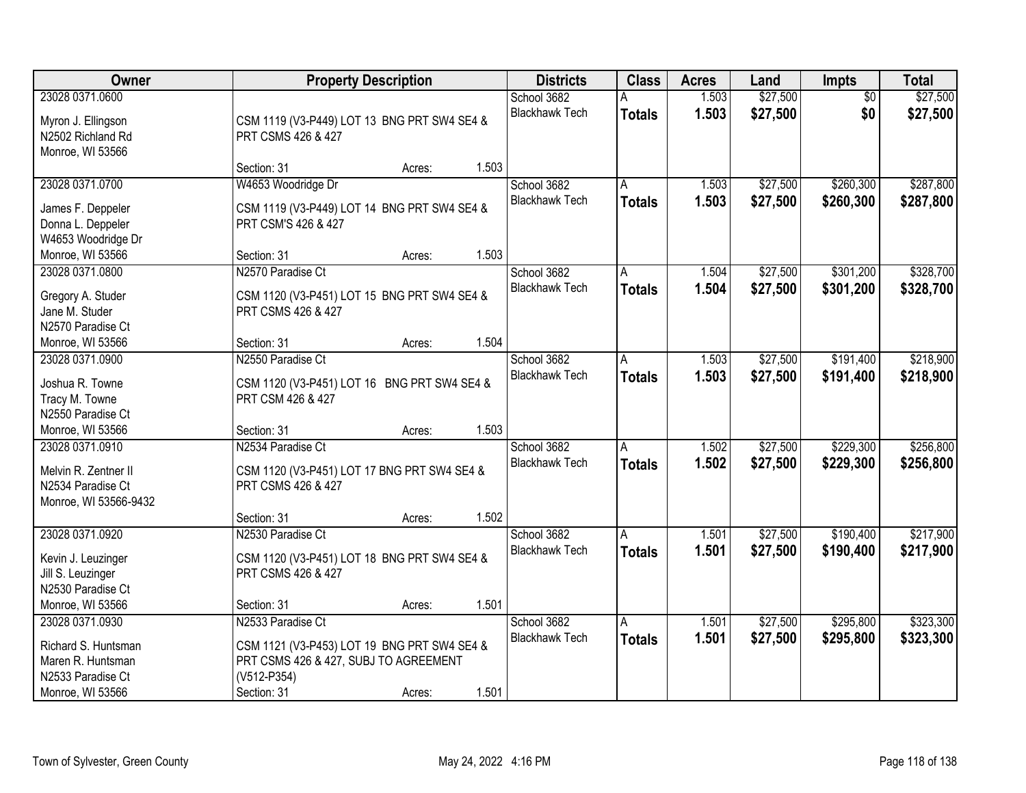| Owner                 |                                             | <b>Property Description</b> |       | <b>Districts</b>      | <b>Class</b>  | <b>Acres</b> | Land     | <b>Impts</b>    | <b>Total</b> |
|-----------------------|---------------------------------------------|-----------------------------|-------|-----------------------|---------------|--------------|----------|-----------------|--------------|
| 23028 0371.0600       |                                             |                             |       | School 3682           |               | 1.503        | \$27,500 | $\overline{50}$ | \$27,500     |
| Myron J. Ellingson    | CSM 1119 (V3-P449) LOT 13 BNG PRT SW4 SE4 & |                             |       | <b>Blackhawk Tech</b> | <b>Totals</b> | 1.503        | \$27,500 | \$0             | \$27,500     |
| N2502 Richland Rd     | PRT CSMS 426 & 427                          |                             |       |                       |               |              |          |                 |              |
| Monroe, WI 53566      |                                             |                             |       |                       |               |              |          |                 |              |
|                       | Section: 31                                 | Acres:                      | 1.503 |                       |               |              |          |                 |              |
| 23028 0371.0700       | W4653 Woodridge Dr                          |                             |       | School 3682           | A             | 1.503        | \$27,500 | \$260,300       | \$287,800    |
| James F. Deppeler     | CSM 1119 (V3-P449) LOT 14 BNG PRT SW4 SE4 & |                             |       | <b>Blackhawk Tech</b> | <b>Totals</b> | 1.503        | \$27,500 | \$260,300       | \$287,800    |
| Donna L. Deppeler     | PRT CSM'S 426 & 427                         |                             |       |                       |               |              |          |                 |              |
| W4653 Woodridge Dr    |                                             |                             |       |                       |               |              |          |                 |              |
| Monroe, WI 53566      | Section: 31                                 | Acres:                      | 1.503 |                       |               |              |          |                 |              |
| 23028 0371.0800       | N2570 Paradise Ct                           |                             |       | School 3682           | A             | 1.504        | \$27,500 | \$301,200       | \$328,700    |
|                       |                                             |                             |       | <b>Blackhawk Tech</b> | <b>Totals</b> | 1.504        | \$27,500 | \$301,200       | \$328,700    |
| Gregory A. Studer     | CSM 1120 (V3-P451) LOT 15 BNG PRT SW4 SE4 & |                             |       |                       |               |              |          |                 |              |
| Jane M. Studer        | PRT CSMS 426 & 427                          |                             |       |                       |               |              |          |                 |              |
| N2570 Paradise Ct     |                                             |                             |       |                       |               |              |          |                 |              |
| Monroe, WI 53566      | Section: 31                                 | Acres:                      | 1.504 |                       |               |              |          |                 |              |
| 23028 0371.0900       | N2550 Paradise Ct                           |                             |       | School 3682           | A             | 1.503        | \$27,500 | \$191,400       | \$218,900    |
| Joshua R. Towne       | CSM 1120 (V3-P451) LOT 16 BNG PRT SW4 SE4 & |                             |       | <b>Blackhawk Tech</b> | <b>Totals</b> | 1.503        | \$27,500 | \$191,400       | \$218,900    |
| Tracy M. Towne        | PRT CSM 426 & 427                           |                             |       |                       |               |              |          |                 |              |
| N2550 Paradise Ct     |                                             |                             |       |                       |               |              |          |                 |              |
| Monroe, WI 53566      | Section: 31                                 | Acres:                      | 1.503 |                       |               |              |          |                 |              |
| 23028 0371.0910       | N2534 Paradise Ct                           |                             |       | School 3682           | A             | 1.502        | \$27,500 | \$229,300       | \$256,800    |
|                       |                                             |                             |       | <b>Blackhawk Tech</b> | Totals        | 1.502        | \$27,500 | \$229,300       | \$256,800    |
| Melvin R. Zentner II  | CSM 1120 (V3-P451) LOT 17 BNG PRT SW4 SE4 & |                             |       |                       |               |              |          |                 |              |
| N2534 Paradise Ct     | PRT CSMS 426 & 427                          |                             |       |                       |               |              |          |                 |              |
| Monroe, WI 53566-9432 | Section: 31                                 |                             | 1.502 |                       |               |              |          |                 |              |
| 23028 0371.0920       | N2530 Paradise Ct                           | Acres:                      |       | School 3682           |               |              | \$27,500 | \$190,400       | \$217,900    |
|                       |                                             |                             |       | <b>Blackhawk Tech</b> | A             | 1.501        |          |                 |              |
| Kevin J. Leuzinger    | CSM 1120 (V3-P451) LOT 18 BNG PRT SW4 SE4 & |                             |       |                       | <b>Totals</b> | 1.501        | \$27,500 | \$190,400       | \$217,900    |
| Jill S. Leuzinger     | PRT CSMS 426 & 427                          |                             |       |                       |               |              |          |                 |              |
| N2530 Paradise Ct     |                                             |                             |       |                       |               |              |          |                 |              |
| Monroe, WI 53566      | Section: 31                                 | Acres:                      | 1.501 |                       |               |              |          |                 |              |
| 23028 0371.0930       | N2533 Paradise Ct                           |                             |       | School 3682           | A             | 1.501        | \$27,500 | \$295,800       | \$323,300    |
| Richard S. Huntsman   | CSM 1121 (V3-P453) LOT 19 BNG PRT SW4 SE4 & |                             |       | <b>Blackhawk Tech</b> | Totals        | 1.501        | \$27,500 | \$295,800       | \$323,300    |
| Maren R. Huntsman     | PRT CSMS 426 & 427, SUBJ TO AGREEMENT       |                             |       |                       |               |              |          |                 |              |
| N2533 Paradise Ct     | (V512-P354)                                 |                             |       |                       |               |              |          |                 |              |
| Monroe, WI 53566      | Section: 31                                 | Acres:                      | 1.501 |                       |               |              |          |                 |              |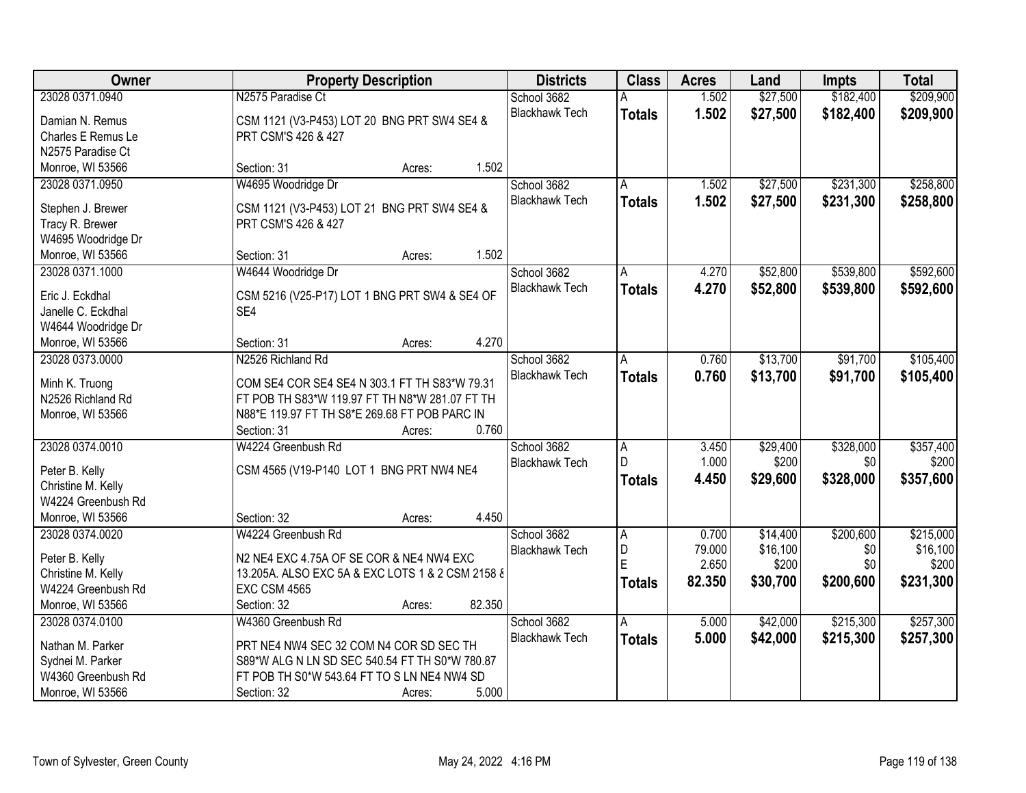| Owner              | <b>Property Description</b>                      | <b>Districts</b>      | <b>Class</b>   | <b>Acres</b> | Land     | Impts     | <b>Total</b> |
|--------------------|--------------------------------------------------|-----------------------|----------------|--------------|----------|-----------|--------------|
| 23028 0371.0940    | N2575 Paradise Ct                                | School 3682           |                | 1.502        | \$27,500 | \$182,400 | \$209,900    |
| Damian N. Remus    | CSM 1121 (V3-P453) LOT 20 BNG PRT SW4 SE4 &      | <b>Blackhawk Tech</b> | <b>Totals</b>  | 1.502        | \$27,500 | \$182,400 | \$209,900    |
| Charles E Remus Le | PRT CSM'S 426 & 427                              |                       |                |              |          |           |              |
| N2575 Paradise Ct  |                                                  |                       |                |              |          |           |              |
| Monroe, WI 53566   | 1.502<br>Section: 31<br>Acres:                   |                       |                |              |          |           |              |
| 23028 0371.0950    | W4695 Woodridge Dr                               | School 3682           | A              | 1.502        | \$27,500 | \$231,300 | \$258,800    |
|                    |                                                  | <b>Blackhawk Tech</b> | <b>Totals</b>  | 1.502        | \$27,500 | \$231,300 | \$258,800    |
| Stephen J. Brewer  | CSM 1121 (V3-P453) LOT 21 BNG PRT SW4 SE4 &      |                       |                |              |          |           |              |
| Tracy R. Brewer    | PRT CSM'S 426 & 427                              |                       |                |              |          |           |              |
| W4695 Woodridge Dr |                                                  |                       |                |              |          |           |              |
| Monroe, WI 53566   | 1.502<br>Section: 31<br>Acres:                   |                       |                |              |          |           |              |
| 23028 0371.1000    | W4644 Woodridge Dr                               | School 3682           | A              | 4.270        | \$52,800 | \$539,800 | \$592,600    |
| Eric J. Eckdhal    | CSM 5216 (V25-P17) LOT 1 BNG PRT SW4 & SE4 OF    | <b>Blackhawk Tech</b> | <b>Totals</b>  | 4.270        | \$52,800 | \$539,800 | \$592,600    |
| Janelle C. Eckdhal | SE4                                              |                       |                |              |          |           |              |
| W4644 Woodridge Dr |                                                  |                       |                |              |          |           |              |
| Monroe, WI 53566   | 4.270<br>Section: 31<br>Acres:                   |                       |                |              |          |           |              |
| 23028 0373,0000    | N2526 Richland Rd                                | School 3682           | A              | 0.760        | \$13,700 | \$91,700  | \$105,400    |
|                    |                                                  | <b>Blackhawk Tech</b> |                |              |          |           |              |
| Minh K. Truong     | COM SE4 COR SE4 SE4 N 303.1 FT TH S83*W 79.31    |                       | <b>Totals</b>  | 0.760        | \$13,700 | \$91,700  | \$105,400    |
| N2526 Richland Rd  | FT POB TH S83*W 119.97 FT TH N8*W 281.07 FT TH   |                       |                |              |          |           |              |
| Monroe, WI 53566   | N88*E 119.97 FT TH S8*E 269.68 FT POB PARC IN    |                       |                |              |          |           |              |
|                    | 0.760<br>Section: 31<br>Acres:                   |                       |                |              |          |           |              |
| 23028 0374.0010    | W4224 Greenbush Rd                               | School 3682           | $\overline{A}$ | 3.450        | \$29,400 | \$328,000 | \$357,400    |
|                    |                                                  | <b>Blackhawk Tech</b> | D              | 1.000        | \$200    | \$0       | \$200        |
| Peter B. Kelly     | CSM 4565 (V19-P140 LOT 1 BNG PRT NW4 NE4         |                       | <b>Totals</b>  | 4.450        | \$29,600 | \$328,000 | \$357,600    |
| Christine M. Kelly |                                                  |                       |                |              |          |           |              |
| W4224 Greenbush Rd |                                                  |                       |                |              |          |           |              |
| Monroe, WI 53566   | 4.450<br>Section: 32<br>Acres:                   |                       |                |              |          |           |              |
| 23028 0374.0020    | W4224 Greenbush Rd                               | School 3682           | A              | 0.700        | \$14,400 | \$200,600 | \$215,000    |
| Peter B. Kelly     | N2 NE4 EXC 4.75A OF SE COR & NE4 NW4 EXC         | <b>Blackhawk Tech</b> | D<br>Ė         | 79.000       | \$16,100 | \$0       | \$16,100     |
| Christine M. Kelly | 13.205A. ALSO EXC 5A & EXC LOTS 1 & 2 CSM 2158 & |                       |                | 2.650        | \$200    | \$0       | \$200        |
| W4224 Greenbush Rd | <b>EXC CSM 4565</b>                              |                       | <b>Totals</b>  | 82.350       | \$30,700 | \$200,600 | \$231,300    |
| Monroe, WI 53566   | 82.350<br>Section: 32<br>Acres:                  |                       |                |              |          |           |              |
| 23028 0374.0100    | W4360 Greenbush Rd                               | School 3682           | Α              | 5.000        | \$42,000 | \$215,300 | \$257,300    |
|                    |                                                  | <b>Blackhawk Tech</b> | <b>Totals</b>  | 5.000        | \$42,000 | \$215,300 | \$257,300    |
| Nathan M. Parker   | PRT NE4 NW4 SEC 32 COM N4 COR SD SEC TH          |                       |                |              |          |           |              |
| Sydnei M. Parker   | S89*W ALG N LN SD SEC 540.54 FT TH S0*W 780.87   |                       |                |              |          |           |              |
| W4360 Greenbush Rd | FT POB TH S0*W 543.64 FT TO S LN NE4 NW4 SD      |                       |                |              |          |           |              |
| Monroe, WI 53566   | 5.000<br>Section: 32<br>Acres:                   |                       |                |              |          |           |              |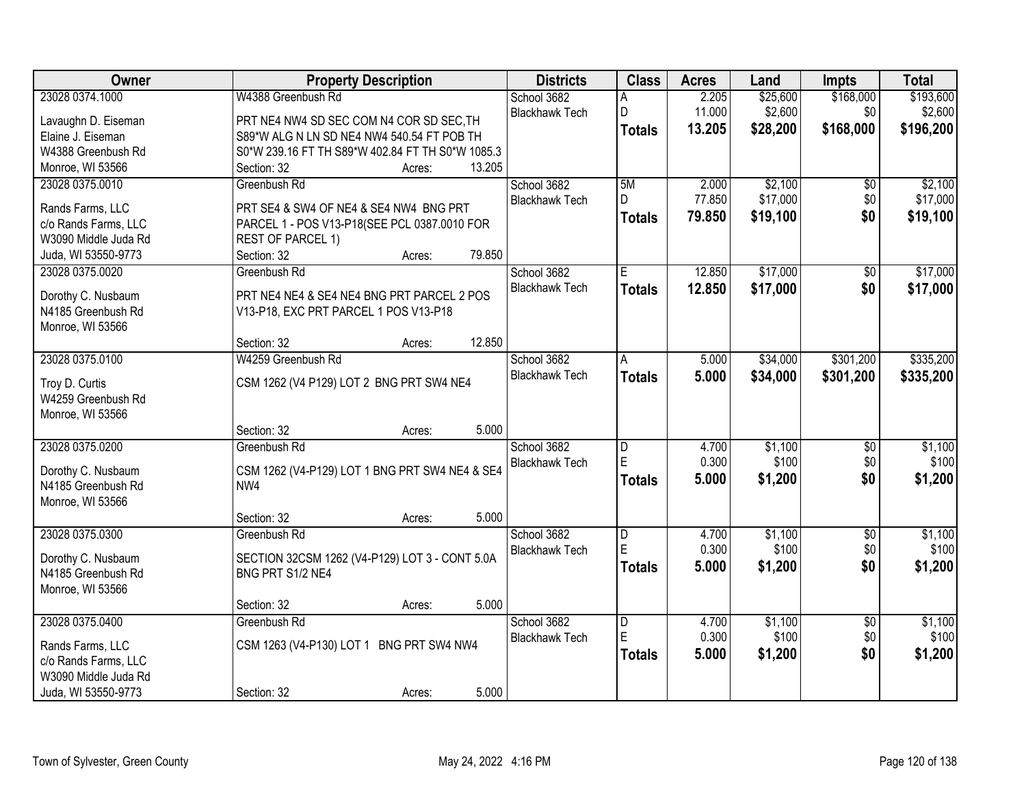| Owner                                    | <b>Property Description</b>                                       | <b>Districts</b>      | <b>Class</b>   | <b>Acres</b> | Land     | Impts           | <b>Total</b> |
|------------------------------------------|-------------------------------------------------------------------|-----------------------|----------------|--------------|----------|-----------------|--------------|
| 23028 0374.1000                          | W4388 Greenbush Rd                                                | School 3682           | Α              | 2.205        | \$25,600 | \$168,000       | \$193,600    |
| Lavaughn D. Eiseman                      | PRT NE4 NW4 SD SEC COM N4 COR SD SEC, TH                          | <b>Blackhawk Tech</b> | D              | 11.000       | \$2,600  | \$0             | \$2,600      |
| Elaine J. Eiseman                        | S89*W ALG N LN SD NE4 NW4 540.54 FT POB TH                        |                       | <b>Totals</b>  | 13.205       | \$28,200 | \$168,000       | \$196,200    |
| W4388 Greenbush Rd                       | S0*W 239.16 FT TH S89*W 402.84 FT TH S0*W 1085.3                  |                       |                |              |          |                 |              |
| Monroe, WI 53566                         | 13.205<br>Section: 32<br>Acres:                                   |                       |                |              |          |                 |              |
| 23028 0375.0010                          | Greenbush Rd                                                      | School 3682           | 5M             | 2.000        | \$2,100  | \$0             | \$2,100      |
|                                          | PRT SE4 & SW4 OF NE4 & SE4 NW4 BNG PRT                            | <b>Blackhawk Tech</b> | D              | 77.850       | \$17,000 | \$0             | \$17,000     |
| Rands Farms, LLC<br>c/o Rands Farms, LLC |                                                                   |                       | <b>Totals</b>  | 79.850       | \$19,100 | \$0             | \$19,100     |
| W3090 Middle Juda Rd                     | PARCEL 1 - POS V13-P18(SEE PCL 0387.0010 FOR<br>REST OF PARCEL 1) |                       |                |              |          |                 |              |
| Juda, WI 53550-9773                      | 79.850<br>Section: 32<br>Acres:                                   |                       |                |              |          |                 |              |
| 23028 0375.0020                          | Greenbush Rd                                                      | School 3682           | E              | 12.850       | \$17,000 | \$0             | \$17,000     |
|                                          |                                                                   | <b>Blackhawk Tech</b> | <b>Totals</b>  | 12.850       | \$17,000 | \$0             | \$17,000     |
| Dorothy C. Nusbaum                       | PRT NE4 NE4 & SE4 NE4 BNG PRT PARCEL 2 POS                        |                       |                |              |          |                 |              |
| N4185 Greenbush Rd                       | V13-P18, EXC PRT PARCEL 1 POS V13-P18                             |                       |                |              |          |                 |              |
| Monroe, WI 53566                         |                                                                   |                       |                |              |          |                 |              |
|                                          | 12.850<br>Section: 32<br>Acres:                                   |                       |                |              |          |                 |              |
| 23028 0375.0100                          | W4259 Greenbush Rd                                                | School 3682           | A              | 5.000        | \$34,000 | \$301,200       | \$335,200    |
| Troy D. Curtis                           | CSM 1262 (V4 P129) LOT 2 BNG PRT SW4 NE4                          | <b>Blackhawk Tech</b> | <b>Totals</b>  | 5.000        | \$34,000 | \$301,200       | \$335,200    |
| W4259 Greenbush Rd                       |                                                                   |                       |                |              |          |                 |              |
| Monroe, WI 53566                         |                                                                   |                       |                |              |          |                 |              |
|                                          | 5.000<br>Section: 32<br>Acres:                                    |                       |                |              |          |                 |              |
| 23028 0375.0200                          | Greenbush Rd                                                      | School 3682           | D              | 4.700        | \$1,100  | $\overline{50}$ | \$1,100      |
| Dorothy C. Nusbaum                       | CSM 1262 (V4-P129) LOT 1 BNG PRT SW4 NE4 & SE4                    | <b>Blackhawk Tech</b> | E              | 0.300        | \$100    | \$0             | \$100        |
| N4185 Greenbush Rd                       | NW4                                                               |                       | <b>Totals</b>  | 5.000        | \$1,200  | \$0             | \$1,200      |
| Monroe, WI 53566                         |                                                                   |                       |                |              |          |                 |              |
|                                          | 5.000<br>Section: 32<br>Acres:                                    |                       |                |              |          |                 |              |
| 23028 0375.0300                          | Greenbush Rd                                                      | School 3682           | D              | 4.700        | \$1,100  | $\overline{50}$ | \$1,100      |
|                                          |                                                                   | <b>Blackhawk Tech</b> | E              | 0.300        | \$100    | \$0             | \$100        |
| Dorothy C. Nusbaum                       | SECTION 32CSM 1262 (V4-P129) LOT 3 - CONT 5.0A                    |                       | <b>Totals</b>  | 5.000        | \$1,200  | \$0             | \$1,200      |
| N4185 Greenbush Rd<br>Monroe, WI 53566   | BNG PRT S1/2 NE4                                                  |                       |                |              |          |                 |              |
|                                          | 5.000<br>Section: 32<br>Acres:                                    |                       |                |              |          |                 |              |
| 23028 0375.0400                          | Greenbush Rd                                                      | School 3682           | $\overline{D}$ | 4.700        | \$1,100  | $\overline{50}$ | \$1,100      |
|                                          |                                                                   | <b>Blackhawk Tech</b> | E              | 0.300        | \$100    | \$0             | \$100        |
| Rands Farms, LLC                         | CSM 1263 (V4-P130) LOT 1 BNG PRT SW4 NW4                          |                       | <b>Totals</b>  | 5.000        | \$1,200  | \$0             | \$1,200      |
| c/o Rands Farms, LLC                     |                                                                   |                       |                |              |          |                 |              |
| W3090 Middle Juda Rd                     |                                                                   |                       |                |              |          |                 |              |
| Juda, WI 53550-9773                      | 5.000<br>Section: 32<br>Acres:                                    |                       |                |              |          |                 |              |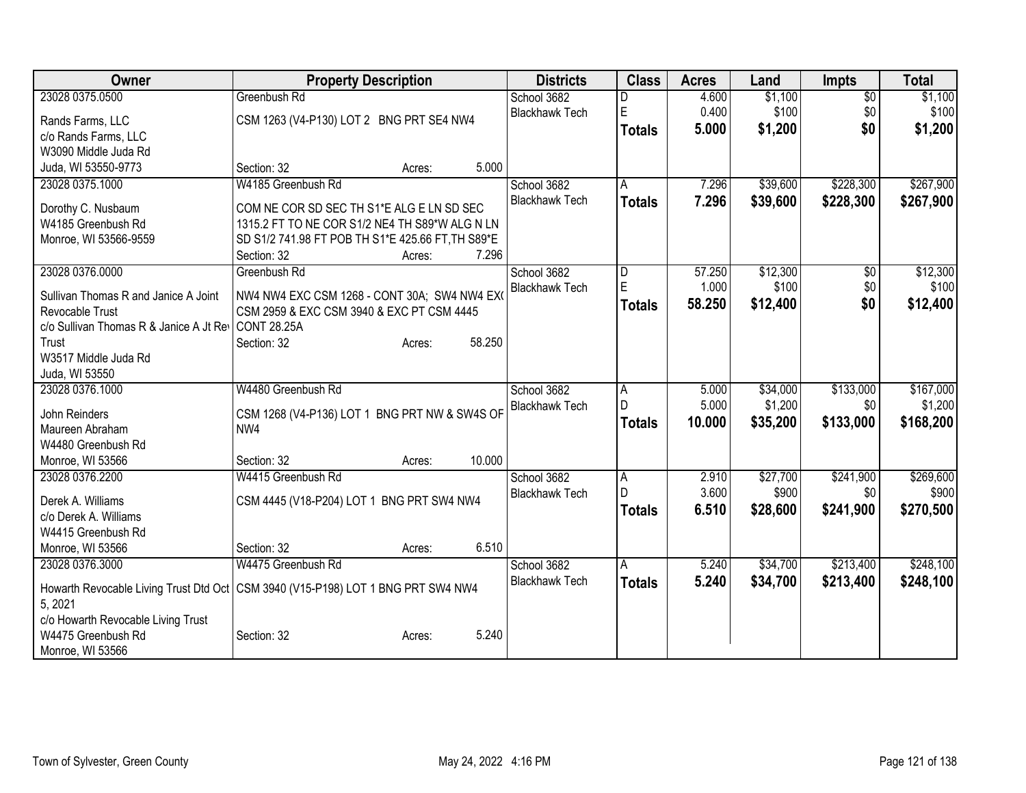| Owner                                   | <b>Property Description</b>                                                        | <b>Districts</b>      | <b>Class</b>   | <b>Acres</b> | Land     | <b>Impts</b>    | <b>Total</b> |
|-----------------------------------------|------------------------------------------------------------------------------------|-----------------------|----------------|--------------|----------|-----------------|--------------|
| 23028 0375.0500                         | Greenbush Rd                                                                       | School 3682           |                | 4.600        | \$1,100  | $\overline{50}$ | \$1,100      |
| Rands Farms, LLC                        | CSM 1263 (V4-P130) LOT 2 BNG PRT SE4 NW4                                           | <b>Blackhawk Tech</b> | E              | 0.400        | \$100    | \$0             | \$100        |
| c/o Rands Farms, LLC                    |                                                                                    |                       | <b>Totals</b>  | 5.000        | \$1,200  | \$0             | \$1,200      |
| W3090 Middle Juda Rd                    |                                                                                    |                       |                |              |          |                 |              |
| Juda, WI 53550-9773                     | 5.000<br>Section: 32<br>Acres:                                                     |                       |                |              |          |                 |              |
| 23028 0375.1000                         | W4185 Greenbush Rd                                                                 | School 3682           | А              | 7.296        | \$39,600 | \$228,300       | \$267,900    |
|                                         |                                                                                    | <b>Blackhawk Tech</b> | <b>Totals</b>  | 7.296        | \$39,600 | \$228,300       | \$267,900    |
| Dorothy C. Nusbaum                      | COM NE COR SD SEC TH S1*E ALG E LN SD SEC                                          |                       |                |              |          |                 |              |
| W4185 Greenbush Rd                      | 1315.2 FT TO NE COR S1/2 NE4 TH S89*W ALG N LN                                     |                       |                |              |          |                 |              |
| Monroe, WI 53566-9559                   | SD S1/2 741.98 FT POB TH S1*E 425.66 FT, TH S89*E                                  |                       |                |              |          |                 |              |
|                                         | Section: 32<br>7.296<br>Acres:                                                     |                       |                |              |          |                 |              |
| 23028 0376.0000                         | Greenbush Rd                                                                       | School 3682           | D              | 57.250       | \$12,300 | \$0             | \$12,300     |
| Sullivan Thomas R and Janice A Joint    | NW4 NW4 EXC CSM 1268 - CONT 30A; SW4 NW4 EX0                                       | <b>Blackhawk Tech</b> | E              | 1.000        | \$100    | \$0             | \$100        |
| Revocable Trust                         | CSM 2959 & EXC CSM 3940 & EXC PT CSM 4445                                          |                       | <b>Totals</b>  | 58.250       | \$12,400 | \$0             | \$12,400     |
| c/o Sullivan Thomas R & Janice A Jt Rev | CONT 28.25A                                                                        |                       |                |              |          |                 |              |
|                                         | 58.250                                                                             |                       |                |              |          |                 |              |
| Trust<br>W3517 Middle Juda Rd           | Section: 32<br>Acres:                                                              |                       |                |              |          |                 |              |
|                                         |                                                                                    |                       |                |              |          |                 |              |
| Juda, WI 53550                          |                                                                                    |                       |                |              |          |                 |              |
| 23028 0376.1000                         | W4480 Greenbush Rd                                                                 | School 3682           | A              | 5.000        | \$34,000 | \$133,000       | \$167,000    |
| John Reinders                           | CSM 1268 (V4-P136) LOT 1 BNG PRT NW & SW4S OF                                      | <b>Blackhawk Tech</b> | D              | 5.000        | \$1,200  | \$0             | \$1,200      |
| Maureen Abraham                         | NW4                                                                                |                       | <b>Totals</b>  | 10.000       | \$35,200 | \$133,000       | \$168,200    |
| W4480 Greenbush Rd                      |                                                                                    |                       |                |              |          |                 |              |
| Monroe, WI 53566                        | 10.000<br>Section: 32<br>Acres:                                                    |                       |                |              |          |                 |              |
| 23028 0376.2200                         | W4415 Greenbush Rd                                                                 | School 3682           | $\overline{A}$ | 2.910        | \$27,700 | \$241,900       | \$269,600    |
|                                         |                                                                                    | <b>Blackhawk Tech</b> | D              | 3.600        | \$900    | \$0             | \$900        |
| Derek A. Williams                       | CSM 4445 (V18-P204) LOT 1 BNG PRT SW4 NW4                                          |                       | <b>Totals</b>  | 6.510        | \$28,600 | \$241,900       | \$270,500    |
| c/o Derek A. Williams                   |                                                                                    |                       |                |              |          |                 |              |
| W4415 Greenbush Rd                      |                                                                                    |                       |                |              |          |                 |              |
| Monroe, WI 53566                        | 6.510<br>Section: 32<br>Acres:                                                     |                       |                |              |          |                 |              |
| 23028 0376.3000                         | W4475 Greenbush Rd                                                                 | School 3682           | A              | 5.240        | \$34,700 | \$213,400       | \$248,100    |
|                                         | Howarth Revocable Living Trust Dtd Oct   CSM 3940 (V15-P198) LOT 1 BNG PRT SW4 NW4 | <b>Blackhawk Tech</b> | <b>Totals</b>  | 5.240        | \$34,700 | \$213,400       | \$248,100    |
| 5, 2021                                 |                                                                                    |                       |                |              |          |                 |              |
| c/o Howarth Revocable Living Trust      |                                                                                    |                       |                |              |          |                 |              |
| W4475 Greenbush Rd                      | 5.240<br>Section: 32<br>Acres:                                                     |                       |                |              |          |                 |              |
| Monroe, WI 53566                        |                                                                                    |                       |                |              |          |                 |              |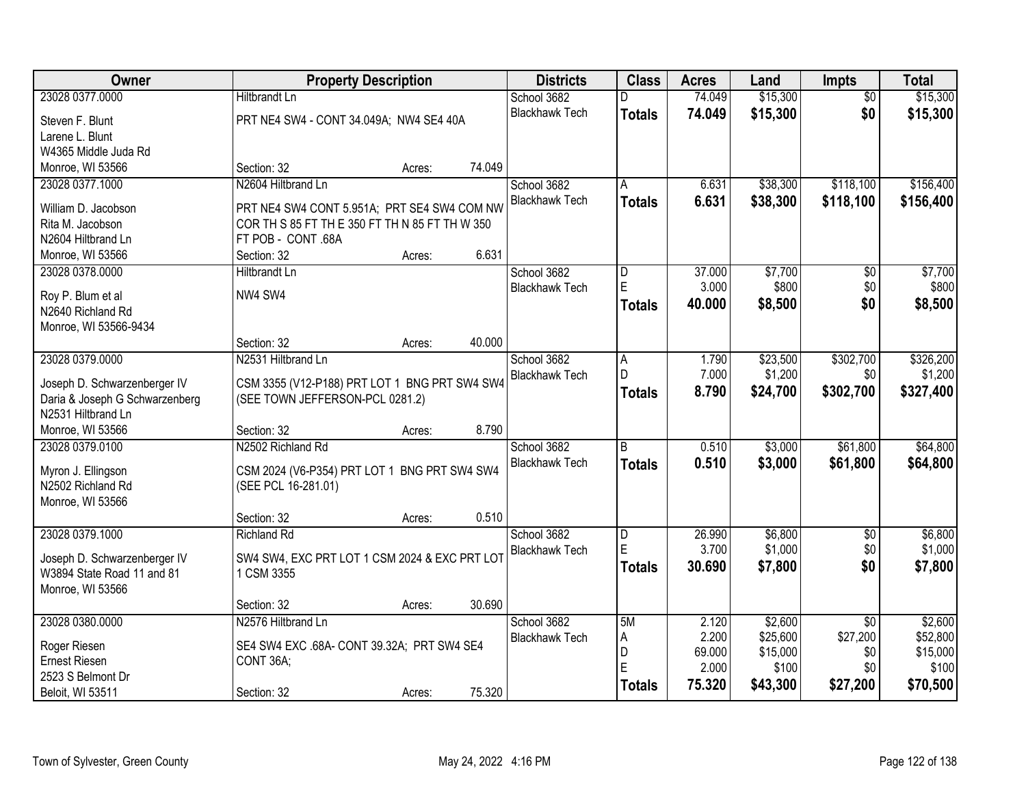| 23028 0377.0000<br>74.049<br>\$15,300<br>\$15,300<br><b>Hiltbrandt Ln</b><br>School 3682<br>$\overline{50}$<br>\$15,300<br>\$0<br><b>Blackhawk Tech</b><br>74.049<br>\$15,300<br><b>Totals</b><br>PRT NE4 SW4 - CONT 34.049A; NW4 SE4 40A<br>Steven F. Blunt<br>Larene L. Blunt<br>W4365 Middle Juda Rd<br>74.049<br>Monroe, WI 53566<br>Section: 32<br>Acres:<br>\$118,100<br>\$156,400<br>23028 0377.1000<br>N2604 Hiltbrand Ln<br>6.631<br>\$38,300<br>School 3682<br>A<br>6.631<br>\$118,100<br><b>Blackhawk Tech</b><br>\$38,300<br>\$156,400<br><b>Totals</b><br>William D. Jacobson<br>PRT NE4 SW4 CONT 5.951A; PRT SE4 SW4 COM NW<br>Rita M. Jacobson<br>COR TH S 85 FT TH E 350 FT TH N 85 FT TH W 350<br>N2604 Hiltbrand Ln<br>FT POB - CONT .68A<br>6.631<br>Monroe, WI 53566<br>Section: 32<br>Acres:<br>\$7,700<br>23028 0378.0000<br>School 3682<br>37.000<br>$\overline{50}$<br>\$7,700<br><b>Hiltbrandt Ln</b><br>D<br>E<br>\$0<br>3.000<br>\$800<br>\$800<br><b>Blackhawk Tech</b><br>NW4 SW4<br>Roy P. Blum et al<br>40.000<br>\$8,500<br>\$0<br>\$8,500<br><b>Totals</b><br>N2640 Richland Rd<br>Monroe, WI 53566-9434<br>40.000<br>Section: 32<br>Acres:<br>23028 0379.0000<br>N2531 Hiltbrand Ln<br>\$23,500<br>\$302,700<br>\$326,200<br>School 3682<br>1.790<br>Α<br>7.000<br>\$1,200<br>D<br>\$0<br>\$1,200<br><b>Blackhawk Tech</b><br>CSM 3355 (V12-P188) PRT LOT 1 BNG PRT SW4 SW4<br>Joseph D. Schwarzenberger IV<br>\$302,700<br>8.790<br>\$24,700<br>\$327,400<br><b>Totals</b><br>(SEE TOWN JEFFERSON-PCL 0281.2)<br>Daria & Joseph G Schwarzenberg<br>N2531 Hiltbrand Ln<br>8.790<br>Monroe, WI 53566<br>Section: 32<br>Acres:<br>\$3,000<br>\$61,800<br>23028 0379.0100<br>N2502 Richland Rd<br>$\overline{B}$<br>0.510<br>School 3682<br>0.510<br>\$3,000<br>\$61,800<br><b>Blackhawk Tech</b><br><b>Totals</b><br>CSM 2024 (V6-P354) PRT LOT 1 BNG PRT SW4 SW4<br>Myron J. Ellingson<br>N2502 Richland Rd<br>(SEE PCL 16-281.01)<br>Monroe, WI 53566<br>0.510<br>Section: 32<br>Acres:<br>23028 0379.1000<br>\$6,800<br>School 3682<br>D<br>26.990<br>$\sqrt{6}$<br><b>Richland Rd</b><br>E<br>\$0<br>3.700<br>\$1,000<br><b>Blackhawk Tech</b><br>Joseph D. Schwarzenberger IV<br>SW4 SW4, EXC PRT LOT 1 CSM 2024 & EXC PRT LOT<br>30.690<br>\$7,800<br>\$0<br>\$7,800<br><b>Totals</b><br>1 CSM 3355<br>W3894 State Road 11 and 81<br>Monroe, WI 53566<br>30.690<br>Section: 32<br>Acres:<br>23028 0380.0000<br>N2576 Hiltbrand Ln<br>School 3682<br>\$2,600<br>\$2,600<br>5M<br>2.120<br>$\overline{50}$<br>2.200<br>\$25,600<br>\$27,200<br>\$52,800<br>Α<br><b>Blackhawk Tech</b><br>Roger Riesen<br>SE4 SW4 EXC .68A- CONT 39.32A; PRT SW4 SE4<br>69.000<br>\$15,000<br>D<br>\$0<br><b>Ernest Riesen</b><br>CONT 36A;<br>E<br>\$0<br>2.000<br>\$100<br>\$100<br>2523 S Belmont Dr | Owner            | <b>Property Description</b> |        |        | <b>Districts</b> | <b>Class</b>  | <b>Acres</b> | Land     | Impts    | <b>Total</b> |
|----------------------------------------------------------------------------------------------------------------------------------------------------------------------------------------------------------------------------------------------------------------------------------------------------------------------------------------------------------------------------------------------------------------------------------------------------------------------------------------------------------------------------------------------------------------------------------------------------------------------------------------------------------------------------------------------------------------------------------------------------------------------------------------------------------------------------------------------------------------------------------------------------------------------------------------------------------------------------------------------------------------------------------------------------------------------------------------------------------------------------------------------------------------------------------------------------------------------------------------------------------------------------------------------------------------------------------------------------------------------------------------------------------------------------------------------------------------------------------------------------------------------------------------------------------------------------------------------------------------------------------------------------------------------------------------------------------------------------------------------------------------------------------------------------------------------------------------------------------------------------------------------------------------------------------------------------------------------------------------------------------------------------------------------------------------------------------------------------------------------------------------------------------------------------------------------------------------------------------------------------------------------------------------------------------------------------------------------------------------------------------------------------------------------------------------------------------------------------------------------------------------------------------------------------------------------------------------------------------------------------------------------------------------------------------------------------------------------------------------------------------------------------------------------------------------------------|------------------|-----------------------------|--------|--------|------------------|---------------|--------------|----------|----------|--------------|
|                                                                                                                                                                                                                                                                                                                                                                                                                                                                                                                                                                                                                                                                                                                                                                                                                                                                                                                                                                                                                                                                                                                                                                                                                                                                                                                                                                                                                                                                                                                                                                                                                                                                                                                                                                                                                                                                                                                                                                                                                                                                                                                                                                                                                                                                                                                                                                                                                                                                                                                                                                                                                                                                                                                                                                                                                            |                  |                             |        |        |                  |               |              |          |          |              |
|                                                                                                                                                                                                                                                                                                                                                                                                                                                                                                                                                                                                                                                                                                                                                                                                                                                                                                                                                                                                                                                                                                                                                                                                                                                                                                                                                                                                                                                                                                                                                                                                                                                                                                                                                                                                                                                                                                                                                                                                                                                                                                                                                                                                                                                                                                                                                                                                                                                                                                                                                                                                                                                                                                                                                                                                                            |                  |                             |        |        |                  |               |              |          |          |              |
|                                                                                                                                                                                                                                                                                                                                                                                                                                                                                                                                                                                                                                                                                                                                                                                                                                                                                                                                                                                                                                                                                                                                                                                                                                                                                                                                                                                                                                                                                                                                                                                                                                                                                                                                                                                                                                                                                                                                                                                                                                                                                                                                                                                                                                                                                                                                                                                                                                                                                                                                                                                                                                                                                                                                                                                                                            |                  |                             |        |        |                  |               |              |          |          |              |
|                                                                                                                                                                                                                                                                                                                                                                                                                                                                                                                                                                                                                                                                                                                                                                                                                                                                                                                                                                                                                                                                                                                                                                                                                                                                                                                                                                                                                                                                                                                                                                                                                                                                                                                                                                                                                                                                                                                                                                                                                                                                                                                                                                                                                                                                                                                                                                                                                                                                                                                                                                                                                                                                                                                                                                                                                            |                  |                             |        |        |                  |               |              |          |          |              |
|                                                                                                                                                                                                                                                                                                                                                                                                                                                                                                                                                                                                                                                                                                                                                                                                                                                                                                                                                                                                                                                                                                                                                                                                                                                                                                                                                                                                                                                                                                                                                                                                                                                                                                                                                                                                                                                                                                                                                                                                                                                                                                                                                                                                                                                                                                                                                                                                                                                                                                                                                                                                                                                                                                                                                                                                                            |                  |                             |        |        |                  |               |              |          |          |              |
|                                                                                                                                                                                                                                                                                                                                                                                                                                                                                                                                                                                                                                                                                                                                                                                                                                                                                                                                                                                                                                                                                                                                                                                                                                                                                                                                                                                                                                                                                                                                                                                                                                                                                                                                                                                                                                                                                                                                                                                                                                                                                                                                                                                                                                                                                                                                                                                                                                                                                                                                                                                                                                                                                                                                                                                                                            |                  |                             |        |        |                  |               |              |          |          |              |
|                                                                                                                                                                                                                                                                                                                                                                                                                                                                                                                                                                                                                                                                                                                                                                                                                                                                                                                                                                                                                                                                                                                                                                                                                                                                                                                                                                                                                                                                                                                                                                                                                                                                                                                                                                                                                                                                                                                                                                                                                                                                                                                                                                                                                                                                                                                                                                                                                                                                                                                                                                                                                                                                                                                                                                                                                            |                  |                             |        |        |                  |               |              |          |          |              |
|                                                                                                                                                                                                                                                                                                                                                                                                                                                                                                                                                                                                                                                                                                                                                                                                                                                                                                                                                                                                                                                                                                                                                                                                                                                                                                                                                                                                                                                                                                                                                                                                                                                                                                                                                                                                                                                                                                                                                                                                                                                                                                                                                                                                                                                                                                                                                                                                                                                                                                                                                                                                                                                                                                                                                                                                                            |                  |                             |        |        |                  |               |              |          |          |              |
|                                                                                                                                                                                                                                                                                                                                                                                                                                                                                                                                                                                                                                                                                                                                                                                                                                                                                                                                                                                                                                                                                                                                                                                                                                                                                                                                                                                                                                                                                                                                                                                                                                                                                                                                                                                                                                                                                                                                                                                                                                                                                                                                                                                                                                                                                                                                                                                                                                                                                                                                                                                                                                                                                                                                                                                                                            |                  |                             |        |        |                  |               |              |          |          |              |
|                                                                                                                                                                                                                                                                                                                                                                                                                                                                                                                                                                                                                                                                                                                                                                                                                                                                                                                                                                                                                                                                                                                                                                                                                                                                                                                                                                                                                                                                                                                                                                                                                                                                                                                                                                                                                                                                                                                                                                                                                                                                                                                                                                                                                                                                                                                                                                                                                                                                                                                                                                                                                                                                                                                                                                                                                            |                  |                             |        |        |                  |               |              |          |          |              |
|                                                                                                                                                                                                                                                                                                                                                                                                                                                                                                                                                                                                                                                                                                                                                                                                                                                                                                                                                                                                                                                                                                                                                                                                                                                                                                                                                                                                                                                                                                                                                                                                                                                                                                                                                                                                                                                                                                                                                                                                                                                                                                                                                                                                                                                                                                                                                                                                                                                                                                                                                                                                                                                                                                                                                                                                                            |                  |                             |        |        |                  |               |              |          |          |              |
|                                                                                                                                                                                                                                                                                                                                                                                                                                                                                                                                                                                                                                                                                                                                                                                                                                                                                                                                                                                                                                                                                                                                                                                                                                                                                                                                                                                                                                                                                                                                                                                                                                                                                                                                                                                                                                                                                                                                                                                                                                                                                                                                                                                                                                                                                                                                                                                                                                                                                                                                                                                                                                                                                                                                                                                                                            |                  |                             |        |        |                  |               |              |          |          |              |
|                                                                                                                                                                                                                                                                                                                                                                                                                                                                                                                                                                                                                                                                                                                                                                                                                                                                                                                                                                                                                                                                                                                                                                                                                                                                                                                                                                                                                                                                                                                                                                                                                                                                                                                                                                                                                                                                                                                                                                                                                                                                                                                                                                                                                                                                                                                                                                                                                                                                                                                                                                                                                                                                                                                                                                                                                            |                  |                             |        |        |                  |               |              |          |          |              |
|                                                                                                                                                                                                                                                                                                                                                                                                                                                                                                                                                                                                                                                                                                                                                                                                                                                                                                                                                                                                                                                                                                                                                                                                                                                                                                                                                                                                                                                                                                                                                                                                                                                                                                                                                                                                                                                                                                                                                                                                                                                                                                                                                                                                                                                                                                                                                                                                                                                                                                                                                                                                                                                                                                                                                                                                                            |                  |                             |        |        |                  |               |              |          |          |              |
|                                                                                                                                                                                                                                                                                                                                                                                                                                                                                                                                                                                                                                                                                                                                                                                                                                                                                                                                                                                                                                                                                                                                                                                                                                                                                                                                                                                                                                                                                                                                                                                                                                                                                                                                                                                                                                                                                                                                                                                                                                                                                                                                                                                                                                                                                                                                                                                                                                                                                                                                                                                                                                                                                                                                                                                                                            |                  |                             |        |        |                  |               |              |          |          |              |
|                                                                                                                                                                                                                                                                                                                                                                                                                                                                                                                                                                                                                                                                                                                                                                                                                                                                                                                                                                                                                                                                                                                                                                                                                                                                                                                                                                                                                                                                                                                                                                                                                                                                                                                                                                                                                                                                                                                                                                                                                                                                                                                                                                                                                                                                                                                                                                                                                                                                                                                                                                                                                                                                                                                                                                                                                            |                  |                             |        |        |                  |               |              |          |          |              |
|                                                                                                                                                                                                                                                                                                                                                                                                                                                                                                                                                                                                                                                                                                                                                                                                                                                                                                                                                                                                                                                                                                                                                                                                                                                                                                                                                                                                                                                                                                                                                                                                                                                                                                                                                                                                                                                                                                                                                                                                                                                                                                                                                                                                                                                                                                                                                                                                                                                                                                                                                                                                                                                                                                                                                                                                                            |                  |                             |        |        |                  |               |              |          |          |              |
|                                                                                                                                                                                                                                                                                                                                                                                                                                                                                                                                                                                                                                                                                                                                                                                                                                                                                                                                                                                                                                                                                                                                                                                                                                                                                                                                                                                                                                                                                                                                                                                                                                                                                                                                                                                                                                                                                                                                                                                                                                                                                                                                                                                                                                                                                                                                                                                                                                                                                                                                                                                                                                                                                                                                                                                                                            |                  |                             |        |        |                  |               |              |          |          |              |
|                                                                                                                                                                                                                                                                                                                                                                                                                                                                                                                                                                                                                                                                                                                                                                                                                                                                                                                                                                                                                                                                                                                                                                                                                                                                                                                                                                                                                                                                                                                                                                                                                                                                                                                                                                                                                                                                                                                                                                                                                                                                                                                                                                                                                                                                                                                                                                                                                                                                                                                                                                                                                                                                                                                                                                                                                            |                  |                             |        |        |                  |               |              |          |          |              |
| \$64,800<br>\$64,800<br>\$6,800<br>\$1,000<br>\$15,000                                                                                                                                                                                                                                                                                                                                                                                                                                                                                                                                                                                                                                                                                                                                                                                                                                                                                                                                                                                                                                                                                                                                                                                                                                                                                                                                                                                                                                                                                                                                                                                                                                                                                                                                                                                                                                                                                                                                                                                                                                                                                                                                                                                                                                                                                                                                                                                                                                                                                                                                                                                                                                                                                                                                                                     |                  |                             |        |        |                  |               |              |          |          |              |
|                                                                                                                                                                                                                                                                                                                                                                                                                                                                                                                                                                                                                                                                                                                                                                                                                                                                                                                                                                                                                                                                                                                                                                                                                                                                                                                                                                                                                                                                                                                                                                                                                                                                                                                                                                                                                                                                                                                                                                                                                                                                                                                                                                                                                                                                                                                                                                                                                                                                                                                                                                                                                                                                                                                                                                                                                            |                  |                             |        |        |                  |               |              |          |          |              |
|                                                                                                                                                                                                                                                                                                                                                                                                                                                                                                                                                                                                                                                                                                                                                                                                                                                                                                                                                                                                                                                                                                                                                                                                                                                                                                                                                                                                                                                                                                                                                                                                                                                                                                                                                                                                                                                                                                                                                                                                                                                                                                                                                                                                                                                                                                                                                                                                                                                                                                                                                                                                                                                                                                                                                                                                                            |                  |                             |        |        |                  |               |              |          |          |              |
|                                                                                                                                                                                                                                                                                                                                                                                                                                                                                                                                                                                                                                                                                                                                                                                                                                                                                                                                                                                                                                                                                                                                                                                                                                                                                                                                                                                                                                                                                                                                                                                                                                                                                                                                                                                                                                                                                                                                                                                                                                                                                                                                                                                                                                                                                                                                                                                                                                                                                                                                                                                                                                                                                                                                                                                                                            |                  |                             |        |        |                  |               |              |          |          |              |
|                                                                                                                                                                                                                                                                                                                                                                                                                                                                                                                                                                                                                                                                                                                                                                                                                                                                                                                                                                                                                                                                                                                                                                                                                                                                                                                                                                                                                                                                                                                                                                                                                                                                                                                                                                                                                                                                                                                                                                                                                                                                                                                                                                                                                                                                                                                                                                                                                                                                                                                                                                                                                                                                                                                                                                                                                            |                  |                             |        |        |                  |               |              |          |          |              |
|                                                                                                                                                                                                                                                                                                                                                                                                                                                                                                                                                                                                                                                                                                                                                                                                                                                                                                                                                                                                                                                                                                                                                                                                                                                                                                                                                                                                                                                                                                                                                                                                                                                                                                                                                                                                                                                                                                                                                                                                                                                                                                                                                                                                                                                                                                                                                                                                                                                                                                                                                                                                                                                                                                                                                                                                                            |                  |                             |        |        |                  |               |              |          |          |              |
|                                                                                                                                                                                                                                                                                                                                                                                                                                                                                                                                                                                                                                                                                                                                                                                                                                                                                                                                                                                                                                                                                                                                                                                                                                                                                                                                                                                                                                                                                                                                                                                                                                                                                                                                                                                                                                                                                                                                                                                                                                                                                                                                                                                                                                                                                                                                                                                                                                                                                                                                                                                                                                                                                                                                                                                                                            |                  |                             |        |        |                  |               |              |          |          |              |
|                                                                                                                                                                                                                                                                                                                                                                                                                                                                                                                                                                                                                                                                                                                                                                                                                                                                                                                                                                                                                                                                                                                                                                                                                                                                                                                                                                                                                                                                                                                                                                                                                                                                                                                                                                                                                                                                                                                                                                                                                                                                                                                                                                                                                                                                                                                                                                                                                                                                                                                                                                                                                                                                                                                                                                                                                            |                  |                             |        |        |                  |               |              |          |          |              |
|                                                                                                                                                                                                                                                                                                                                                                                                                                                                                                                                                                                                                                                                                                                                                                                                                                                                                                                                                                                                                                                                                                                                                                                                                                                                                                                                                                                                                                                                                                                                                                                                                                                                                                                                                                                                                                                                                                                                                                                                                                                                                                                                                                                                                                                                                                                                                                                                                                                                                                                                                                                                                                                                                                                                                                                                                            |                  |                             |        |        |                  |               |              |          |          |              |
|                                                                                                                                                                                                                                                                                                                                                                                                                                                                                                                                                                                                                                                                                                                                                                                                                                                                                                                                                                                                                                                                                                                                                                                                                                                                                                                                                                                                                                                                                                                                                                                                                                                                                                                                                                                                                                                                                                                                                                                                                                                                                                                                                                                                                                                                                                                                                                                                                                                                                                                                                                                                                                                                                                                                                                                                                            |                  |                             |        |        |                  |               |              |          |          |              |
|                                                                                                                                                                                                                                                                                                                                                                                                                                                                                                                                                                                                                                                                                                                                                                                                                                                                                                                                                                                                                                                                                                                                                                                                                                                                                                                                                                                                                                                                                                                                                                                                                                                                                                                                                                                                                                                                                                                                                                                                                                                                                                                                                                                                                                                                                                                                                                                                                                                                                                                                                                                                                                                                                                                                                                                                                            |                  |                             |        |        |                  |               |              |          |          |              |
|                                                                                                                                                                                                                                                                                                                                                                                                                                                                                                                                                                                                                                                                                                                                                                                                                                                                                                                                                                                                                                                                                                                                                                                                                                                                                                                                                                                                                                                                                                                                                                                                                                                                                                                                                                                                                                                                                                                                                                                                                                                                                                                                                                                                                                                                                                                                                                                                                                                                                                                                                                                                                                                                                                                                                                                                                            |                  |                             |        |        |                  |               |              |          |          |              |
|                                                                                                                                                                                                                                                                                                                                                                                                                                                                                                                                                                                                                                                                                                                                                                                                                                                                                                                                                                                                                                                                                                                                                                                                                                                                                                                                                                                                                                                                                                                                                                                                                                                                                                                                                                                                                                                                                                                                                                                                                                                                                                                                                                                                                                                                                                                                                                                                                                                                                                                                                                                                                                                                                                                                                                                                                            |                  |                             |        |        |                  |               |              |          |          |              |
|                                                                                                                                                                                                                                                                                                                                                                                                                                                                                                                                                                                                                                                                                                                                                                                                                                                                                                                                                                                                                                                                                                                                                                                                                                                                                                                                                                                                                                                                                                                                                                                                                                                                                                                                                                                                                                                                                                                                                                                                                                                                                                                                                                                                                                                                                                                                                                                                                                                                                                                                                                                                                                                                                                                                                                                                                            |                  |                             |        |        |                  |               |              |          |          |              |
|                                                                                                                                                                                                                                                                                                                                                                                                                                                                                                                                                                                                                                                                                                                                                                                                                                                                                                                                                                                                                                                                                                                                                                                                                                                                                                                                                                                                                                                                                                                                                                                                                                                                                                                                                                                                                                                                                                                                                                                                                                                                                                                                                                                                                                                                                                                                                                                                                                                                                                                                                                                                                                                                                                                                                                                                                            |                  |                             |        |        |                  |               |              |          |          |              |
|                                                                                                                                                                                                                                                                                                                                                                                                                                                                                                                                                                                                                                                                                                                                                                                                                                                                                                                                                                                                                                                                                                                                                                                                                                                                                                                                                                                                                                                                                                                                                                                                                                                                                                                                                                                                                                                                                                                                                                                                                                                                                                                                                                                                                                                                                                                                                                                                                                                                                                                                                                                                                                                                                                                                                                                                                            |                  |                             |        |        |                  |               |              |          |          |              |
|                                                                                                                                                                                                                                                                                                                                                                                                                                                                                                                                                                                                                                                                                                                                                                                                                                                                                                                                                                                                                                                                                                                                                                                                                                                                                                                                                                                                                                                                                                                                                                                                                                                                                                                                                                                                                                                                                                                                                                                                                                                                                                                                                                                                                                                                                                                                                                                                                                                                                                                                                                                                                                                                                                                                                                                                                            | Beloit, WI 53511 | Section: 32                 | Acres: | 75.320 |                  | <b>Totals</b> | 75.320       | \$43,300 | \$27,200 | \$70,500     |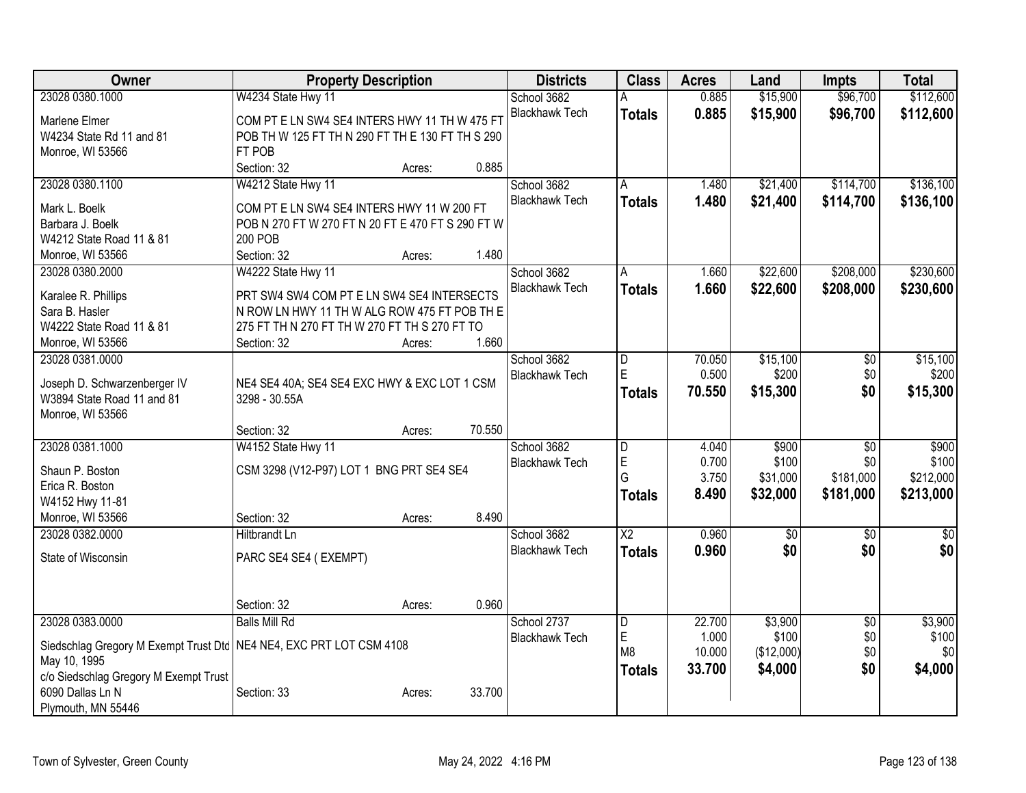| \$15,900<br>\$96,700<br>\$112,600<br>23028 0380.1000<br>W4234 State Hwy 11<br>School 3682<br>0.885<br><b>Blackhawk Tech</b><br>0.885<br>\$15,900<br>\$96,700<br>\$112,600<br><b>Totals</b><br>COM PT E LN SW4 SE4 INTERS HWY 11 TH W 475 FT<br>Marlene Elmer<br>POB TH W 125 FT TH N 290 FT TH E 130 FT TH S 290<br>W4234 State Rd 11 and 81<br>FT POB<br>Monroe, WI 53566<br>0.885<br>Section: 32<br>Acres:<br>\$136,100<br>23028 0380.1100<br>W4212 State Hwy 11<br>School 3682<br>\$21,400<br>\$114,700<br>1.480<br>A<br><b>Blackhawk Tech</b><br>1.480<br>\$21,400<br>\$114,700<br>\$136,100<br><b>Totals</b><br>COM PT E LN SW4 SE4 INTERS HWY 11 W 200 FT<br>Mark L. Boelk<br>POB N 270 FT W 270 FT N 20 FT E 470 FT S 290 FT W<br>Barbara J. Boelk<br>W4212 State Road 11 & 81<br><b>200 POB</b><br>1.480<br>Section: 32<br>Monroe, WI 53566<br>Acres:<br>W4222 State Hwy 11<br>School 3682<br>\$22,600<br>\$208,000<br>\$230,600<br>23028 0380.2000<br>1.660<br>A<br><b>Blackhawk Tech</b><br>1.660<br>\$22,600<br>\$208,000<br>\$230,600<br><b>Totals</b><br>Karalee R. Phillips<br>PRT SW4 SW4 COM PT E LN SW4 SE4 INTERSECTS<br>N ROW LN HWY 11 TH W ALG ROW 475 FT POB TH E<br>Sara B. Hasler<br>W4222 State Road 11 & 81<br>275 FT TH N 270 FT TH W 270 FT TH S 270 FT TO<br>1.660<br>Monroe, WI 53566<br>Section: 32<br>Acres:<br>School 3682<br>\$15,100<br>\$15,100<br>23028 0381.0000<br>70.050<br>\$0<br>D<br>E<br>0.500<br>\$200<br>\$0<br>\$200<br><b>Blackhawk Tech</b><br>Joseph D. Schwarzenberger IV<br>NE4 SE4 40A; SE4 SE4 EXC HWY & EXC LOT 1 CSM<br>70.550<br>\$0<br>\$15,300<br>\$15,300<br><b>Totals</b><br>W3894 State Road 11 and 81<br>3298 - 30.55A<br>Monroe, WI 53566<br>70.550<br>Section: 32<br>Acres:<br>23028 0381.1000<br>W4152 State Hwy 11<br>\$900<br>$\overline{D}$<br>4.040<br>\$900<br>\$0<br>School 3682<br>E<br>\$100<br>\$100<br>0.700<br>\$0<br><b>Blackhawk Tech</b><br>CSM 3298 (V12-P97) LOT 1 BNG PRT SE4 SE4<br>Shaun P. Boston<br>G<br>\$212,000<br>3.750<br>\$31,000<br>\$181,000<br>Erica R. Boston<br>8.490<br>\$32,000<br>\$181,000<br>\$213,000<br><b>Totals</b><br>W4152 Hwy 11-81<br>8.490<br>Monroe, WI 53566<br>Section: 32<br>Acres:<br>$\overline{X2}$<br>23028 0382.0000<br>0.960<br>$\overline{30}$<br><b>Hiltbrandt Ln</b><br>School 3682<br>$\overline{50}$<br>$\overline{50}$<br>\$0<br>\$0<br><b>Blackhawk Tech</b><br>0.960<br>\$0<br><b>Totals</b><br>State of Wisconsin<br>PARC SE4 SE4 (EXEMPT)<br>0.960<br>Section: 32<br>Acres:<br>23028 0383.0000<br><b>Balls Mill Rd</b><br>\$3,900<br>\$3,900<br>School 2737<br>22.700<br>$\overline{50}$<br>$\overline{D}$<br>E<br>\$100<br>\$0<br>\$100<br>1.000<br><b>Blackhawk Tech</b><br>Siedschlag Gregory M Exempt Trust Dtc   NE4 NE4, EXC PRT LOT CSM 4108<br>\$0<br>\$0<br>M8<br>10.000<br>(\$12,000)<br>May 10, 1995<br>\$4,000<br>\$0<br>33.700<br>\$4,000<br><b>Totals</b><br>c/o Siedschlag Gregory M Exempt Trust<br>6090 Dallas Ln N<br>33.700<br>Section: 33<br>Acres: | Owner              | <b>Property Description</b> |  |  | <b>Districts</b> | <b>Class</b> | <b>Acres</b> | Land | Impts | <b>Total</b> |
|-------------------------------------------------------------------------------------------------------------------------------------------------------------------------------------------------------------------------------------------------------------------------------------------------------------------------------------------------------------------------------------------------------------------------------------------------------------------------------------------------------------------------------------------------------------------------------------------------------------------------------------------------------------------------------------------------------------------------------------------------------------------------------------------------------------------------------------------------------------------------------------------------------------------------------------------------------------------------------------------------------------------------------------------------------------------------------------------------------------------------------------------------------------------------------------------------------------------------------------------------------------------------------------------------------------------------------------------------------------------------------------------------------------------------------------------------------------------------------------------------------------------------------------------------------------------------------------------------------------------------------------------------------------------------------------------------------------------------------------------------------------------------------------------------------------------------------------------------------------------------------------------------------------------------------------------------------------------------------------------------------------------------------------------------------------------------------------------------------------------------------------------------------------------------------------------------------------------------------------------------------------------------------------------------------------------------------------------------------------------------------------------------------------------------------------------------------------------------------------------------------------------------------------------------------------------------------------------------------------------------------------------------------------------------------------------------------------------------------------------------------------------------------------------------------------------------------------------------------------------------------------------------------------------------------------------------------------------------------------------------------------|--------------------|-----------------------------|--|--|------------------|--------------|--------------|------|-------|--------------|
|                                                                                                                                                                                                                                                                                                                                                                                                                                                                                                                                                                                                                                                                                                                                                                                                                                                                                                                                                                                                                                                                                                                                                                                                                                                                                                                                                                                                                                                                                                                                                                                                                                                                                                                                                                                                                                                                                                                                                                                                                                                                                                                                                                                                                                                                                                                                                                                                                                                                                                                                                                                                                                                                                                                                                                                                                                                                                                                                                                                                             |                    |                             |  |  |                  |              |              |      |       |              |
|                                                                                                                                                                                                                                                                                                                                                                                                                                                                                                                                                                                                                                                                                                                                                                                                                                                                                                                                                                                                                                                                                                                                                                                                                                                                                                                                                                                                                                                                                                                                                                                                                                                                                                                                                                                                                                                                                                                                                                                                                                                                                                                                                                                                                                                                                                                                                                                                                                                                                                                                                                                                                                                                                                                                                                                                                                                                                                                                                                                                             |                    |                             |  |  |                  |              |              |      |       |              |
|                                                                                                                                                                                                                                                                                                                                                                                                                                                                                                                                                                                                                                                                                                                                                                                                                                                                                                                                                                                                                                                                                                                                                                                                                                                                                                                                                                                                                                                                                                                                                                                                                                                                                                                                                                                                                                                                                                                                                                                                                                                                                                                                                                                                                                                                                                                                                                                                                                                                                                                                                                                                                                                                                                                                                                                                                                                                                                                                                                                                             |                    |                             |  |  |                  |              |              |      |       |              |
|                                                                                                                                                                                                                                                                                                                                                                                                                                                                                                                                                                                                                                                                                                                                                                                                                                                                                                                                                                                                                                                                                                                                                                                                                                                                                                                                                                                                                                                                                                                                                                                                                                                                                                                                                                                                                                                                                                                                                                                                                                                                                                                                                                                                                                                                                                                                                                                                                                                                                                                                                                                                                                                                                                                                                                                                                                                                                                                                                                                                             |                    |                             |  |  |                  |              |              |      |       |              |
|                                                                                                                                                                                                                                                                                                                                                                                                                                                                                                                                                                                                                                                                                                                                                                                                                                                                                                                                                                                                                                                                                                                                                                                                                                                                                                                                                                                                                                                                                                                                                                                                                                                                                                                                                                                                                                                                                                                                                                                                                                                                                                                                                                                                                                                                                                                                                                                                                                                                                                                                                                                                                                                                                                                                                                                                                                                                                                                                                                                                             |                    |                             |  |  |                  |              |              |      |       |              |
|                                                                                                                                                                                                                                                                                                                                                                                                                                                                                                                                                                                                                                                                                                                                                                                                                                                                                                                                                                                                                                                                                                                                                                                                                                                                                                                                                                                                                                                                                                                                                                                                                                                                                                                                                                                                                                                                                                                                                                                                                                                                                                                                                                                                                                                                                                                                                                                                                                                                                                                                                                                                                                                                                                                                                                                                                                                                                                                                                                                                             |                    |                             |  |  |                  |              |              |      |       |              |
|                                                                                                                                                                                                                                                                                                                                                                                                                                                                                                                                                                                                                                                                                                                                                                                                                                                                                                                                                                                                                                                                                                                                                                                                                                                                                                                                                                                                                                                                                                                                                                                                                                                                                                                                                                                                                                                                                                                                                                                                                                                                                                                                                                                                                                                                                                                                                                                                                                                                                                                                                                                                                                                                                                                                                                                                                                                                                                                                                                                                             |                    |                             |  |  |                  |              |              |      |       |              |
|                                                                                                                                                                                                                                                                                                                                                                                                                                                                                                                                                                                                                                                                                                                                                                                                                                                                                                                                                                                                                                                                                                                                                                                                                                                                                                                                                                                                                                                                                                                                                                                                                                                                                                                                                                                                                                                                                                                                                                                                                                                                                                                                                                                                                                                                                                                                                                                                                                                                                                                                                                                                                                                                                                                                                                                                                                                                                                                                                                                                             |                    |                             |  |  |                  |              |              |      |       |              |
|                                                                                                                                                                                                                                                                                                                                                                                                                                                                                                                                                                                                                                                                                                                                                                                                                                                                                                                                                                                                                                                                                                                                                                                                                                                                                                                                                                                                                                                                                                                                                                                                                                                                                                                                                                                                                                                                                                                                                                                                                                                                                                                                                                                                                                                                                                                                                                                                                                                                                                                                                                                                                                                                                                                                                                                                                                                                                                                                                                                                             |                    |                             |  |  |                  |              |              |      |       |              |
|                                                                                                                                                                                                                                                                                                                                                                                                                                                                                                                                                                                                                                                                                                                                                                                                                                                                                                                                                                                                                                                                                                                                                                                                                                                                                                                                                                                                                                                                                                                                                                                                                                                                                                                                                                                                                                                                                                                                                                                                                                                                                                                                                                                                                                                                                                                                                                                                                                                                                                                                                                                                                                                                                                                                                                                                                                                                                                                                                                                                             |                    |                             |  |  |                  |              |              |      |       |              |
|                                                                                                                                                                                                                                                                                                                                                                                                                                                                                                                                                                                                                                                                                                                                                                                                                                                                                                                                                                                                                                                                                                                                                                                                                                                                                                                                                                                                                                                                                                                                                                                                                                                                                                                                                                                                                                                                                                                                                                                                                                                                                                                                                                                                                                                                                                                                                                                                                                                                                                                                                                                                                                                                                                                                                                                                                                                                                                                                                                                                             |                    |                             |  |  |                  |              |              |      |       |              |
|                                                                                                                                                                                                                                                                                                                                                                                                                                                                                                                                                                                                                                                                                                                                                                                                                                                                                                                                                                                                                                                                                                                                                                                                                                                                                                                                                                                                                                                                                                                                                                                                                                                                                                                                                                                                                                                                                                                                                                                                                                                                                                                                                                                                                                                                                                                                                                                                                                                                                                                                                                                                                                                                                                                                                                                                                                                                                                                                                                                                             |                    |                             |  |  |                  |              |              |      |       |              |
|                                                                                                                                                                                                                                                                                                                                                                                                                                                                                                                                                                                                                                                                                                                                                                                                                                                                                                                                                                                                                                                                                                                                                                                                                                                                                                                                                                                                                                                                                                                                                                                                                                                                                                                                                                                                                                                                                                                                                                                                                                                                                                                                                                                                                                                                                                                                                                                                                                                                                                                                                                                                                                                                                                                                                                                                                                                                                                                                                                                                             |                    |                             |  |  |                  |              |              |      |       |              |
|                                                                                                                                                                                                                                                                                                                                                                                                                                                                                                                                                                                                                                                                                                                                                                                                                                                                                                                                                                                                                                                                                                                                                                                                                                                                                                                                                                                                                                                                                                                                                                                                                                                                                                                                                                                                                                                                                                                                                                                                                                                                                                                                                                                                                                                                                                                                                                                                                                                                                                                                                                                                                                                                                                                                                                                                                                                                                                                                                                                                             |                    |                             |  |  |                  |              |              |      |       |              |
|                                                                                                                                                                                                                                                                                                                                                                                                                                                                                                                                                                                                                                                                                                                                                                                                                                                                                                                                                                                                                                                                                                                                                                                                                                                                                                                                                                                                                                                                                                                                                                                                                                                                                                                                                                                                                                                                                                                                                                                                                                                                                                                                                                                                                                                                                                                                                                                                                                                                                                                                                                                                                                                                                                                                                                                                                                                                                                                                                                                                             |                    |                             |  |  |                  |              |              |      |       |              |
|                                                                                                                                                                                                                                                                                                                                                                                                                                                                                                                                                                                                                                                                                                                                                                                                                                                                                                                                                                                                                                                                                                                                                                                                                                                                                                                                                                                                                                                                                                                                                                                                                                                                                                                                                                                                                                                                                                                                                                                                                                                                                                                                                                                                                                                                                                                                                                                                                                                                                                                                                                                                                                                                                                                                                                                                                                                                                                                                                                                                             |                    |                             |  |  |                  |              |              |      |       |              |
|                                                                                                                                                                                                                                                                                                                                                                                                                                                                                                                                                                                                                                                                                                                                                                                                                                                                                                                                                                                                                                                                                                                                                                                                                                                                                                                                                                                                                                                                                                                                                                                                                                                                                                                                                                                                                                                                                                                                                                                                                                                                                                                                                                                                                                                                                                                                                                                                                                                                                                                                                                                                                                                                                                                                                                                                                                                                                                                                                                                                             |                    |                             |  |  |                  |              |              |      |       |              |
|                                                                                                                                                                                                                                                                                                                                                                                                                                                                                                                                                                                                                                                                                                                                                                                                                                                                                                                                                                                                                                                                                                                                                                                                                                                                                                                                                                                                                                                                                                                                                                                                                                                                                                                                                                                                                                                                                                                                                                                                                                                                                                                                                                                                                                                                                                                                                                                                                                                                                                                                                                                                                                                                                                                                                                                                                                                                                                                                                                                                             |                    |                             |  |  |                  |              |              |      |       |              |
|                                                                                                                                                                                                                                                                                                                                                                                                                                                                                                                                                                                                                                                                                                                                                                                                                                                                                                                                                                                                                                                                                                                                                                                                                                                                                                                                                                                                                                                                                                                                                                                                                                                                                                                                                                                                                                                                                                                                                                                                                                                                                                                                                                                                                                                                                                                                                                                                                                                                                                                                                                                                                                                                                                                                                                                                                                                                                                                                                                                                             |                    |                             |  |  |                  |              |              |      |       |              |
|                                                                                                                                                                                                                                                                                                                                                                                                                                                                                                                                                                                                                                                                                                                                                                                                                                                                                                                                                                                                                                                                                                                                                                                                                                                                                                                                                                                                                                                                                                                                                                                                                                                                                                                                                                                                                                                                                                                                                                                                                                                                                                                                                                                                                                                                                                                                                                                                                                                                                                                                                                                                                                                                                                                                                                                                                                                                                                                                                                                                             |                    |                             |  |  |                  |              |              |      |       |              |
|                                                                                                                                                                                                                                                                                                                                                                                                                                                                                                                                                                                                                                                                                                                                                                                                                                                                                                                                                                                                                                                                                                                                                                                                                                                                                                                                                                                                                                                                                                                                                                                                                                                                                                                                                                                                                                                                                                                                                                                                                                                                                                                                                                                                                                                                                                                                                                                                                                                                                                                                                                                                                                                                                                                                                                                                                                                                                                                                                                                                             |                    |                             |  |  |                  |              |              |      |       |              |
|                                                                                                                                                                                                                                                                                                                                                                                                                                                                                                                                                                                                                                                                                                                                                                                                                                                                                                                                                                                                                                                                                                                                                                                                                                                                                                                                                                                                                                                                                                                                                                                                                                                                                                                                                                                                                                                                                                                                                                                                                                                                                                                                                                                                                                                                                                                                                                                                                                                                                                                                                                                                                                                                                                                                                                                                                                                                                                                                                                                                             |                    |                             |  |  |                  |              |              |      |       |              |
|                                                                                                                                                                                                                                                                                                                                                                                                                                                                                                                                                                                                                                                                                                                                                                                                                                                                                                                                                                                                                                                                                                                                                                                                                                                                                                                                                                                                                                                                                                                                                                                                                                                                                                                                                                                                                                                                                                                                                                                                                                                                                                                                                                                                                                                                                                                                                                                                                                                                                                                                                                                                                                                                                                                                                                                                                                                                                                                                                                                                             |                    |                             |  |  |                  |              |              |      |       |              |
|                                                                                                                                                                                                                                                                                                                                                                                                                                                                                                                                                                                                                                                                                                                                                                                                                                                                                                                                                                                                                                                                                                                                                                                                                                                                                                                                                                                                                                                                                                                                                                                                                                                                                                                                                                                                                                                                                                                                                                                                                                                                                                                                                                                                                                                                                                                                                                                                                                                                                                                                                                                                                                                                                                                                                                                                                                                                                                                                                                                                             |                    |                             |  |  |                  |              |              |      |       |              |
|                                                                                                                                                                                                                                                                                                                                                                                                                                                                                                                                                                                                                                                                                                                                                                                                                                                                                                                                                                                                                                                                                                                                                                                                                                                                                                                                                                                                                                                                                                                                                                                                                                                                                                                                                                                                                                                                                                                                                                                                                                                                                                                                                                                                                                                                                                                                                                                                                                                                                                                                                                                                                                                                                                                                                                                                                                                                                                                                                                                                             |                    |                             |  |  |                  |              |              |      |       |              |
|                                                                                                                                                                                                                                                                                                                                                                                                                                                                                                                                                                                                                                                                                                                                                                                                                                                                                                                                                                                                                                                                                                                                                                                                                                                                                                                                                                                                                                                                                                                                                                                                                                                                                                                                                                                                                                                                                                                                                                                                                                                                                                                                                                                                                                                                                                                                                                                                                                                                                                                                                                                                                                                                                                                                                                                                                                                                                                                                                                                                             |                    |                             |  |  |                  |              |              |      |       |              |
|                                                                                                                                                                                                                                                                                                                                                                                                                                                                                                                                                                                                                                                                                                                                                                                                                                                                                                                                                                                                                                                                                                                                                                                                                                                                                                                                                                                                                                                                                                                                                                                                                                                                                                                                                                                                                                                                                                                                                                                                                                                                                                                                                                                                                                                                                                                                                                                                                                                                                                                                                                                                                                                                                                                                                                                                                                                                                                                                                                                                             |                    |                             |  |  |                  |              |              |      |       |              |
|                                                                                                                                                                                                                                                                                                                                                                                                                                                                                                                                                                                                                                                                                                                                                                                                                                                                                                                                                                                                                                                                                                                                                                                                                                                                                                                                                                                                                                                                                                                                                                                                                                                                                                                                                                                                                                                                                                                                                                                                                                                                                                                                                                                                                                                                                                                                                                                                                                                                                                                                                                                                                                                                                                                                                                                                                                                                                                                                                                                                             |                    |                             |  |  |                  |              |              |      |       |              |
|                                                                                                                                                                                                                                                                                                                                                                                                                                                                                                                                                                                                                                                                                                                                                                                                                                                                                                                                                                                                                                                                                                                                                                                                                                                                                                                                                                                                                                                                                                                                                                                                                                                                                                                                                                                                                                                                                                                                                                                                                                                                                                                                                                                                                                                                                                                                                                                                                                                                                                                                                                                                                                                                                                                                                                                                                                                                                                                                                                                                             |                    |                             |  |  |                  |              |              |      |       |              |
|                                                                                                                                                                                                                                                                                                                                                                                                                                                                                                                                                                                                                                                                                                                                                                                                                                                                                                                                                                                                                                                                                                                                                                                                                                                                                                                                                                                                                                                                                                                                                                                                                                                                                                                                                                                                                                                                                                                                                                                                                                                                                                                                                                                                                                                                                                                                                                                                                                                                                                                                                                                                                                                                                                                                                                                                                                                                                                                                                                                                             |                    |                             |  |  |                  |              |              |      |       |              |
|                                                                                                                                                                                                                                                                                                                                                                                                                                                                                                                                                                                                                                                                                                                                                                                                                                                                                                                                                                                                                                                                                                                                                                                                                                                                                                                                                                                                                                                                                                                                                                                                                                                                                                                                                                                                                                                                                                                                                                                                                                                                                                                                                                                                                                                                                                                                                                                                                                                                                                                                                                                                                                                                                                                                                                                                                                                                                                                                                                                                             |                    |                             |  |  |                  |              |              |      |       |              |
|                                                                                                                                                                                                                                                                                                                                                                                                                                                                                                                                                                                                                                                                                                                                                                                                                                                                                                                                                                                                                                                                                                                                                                                                                                                                                                                                                                                                                                                                                                                                                                                                                                                                                                                                                                                                                                                                                                                                                                                                                                                                                                                                                                                                                                                                                                                                                                                                                                                                                                                                                                                                                                                                                                                                                                                                                                                                                                                                                                                                             |                    |                             |  |  |                  |              |              |      |       |              |
|                                                                                                                                                                                                                                                                                                                                                                                                                                                                                                                                                                                                                                                                                                                                                                                                                                                                                                                                                                                                                                                                                                                                                                                                                                                                                                                                                                                                                                                                                                                                                                                                                                                                                                                                                                                                                                                                                                                                                                                                                                                                                                                                                                                                                                                                                                                                                                                                                                                                                                                                                                                                                                                                                                                                                                                                                                                                                                                                                                                                             |                    |                             |  |  |                  |              |              |      |       |              |
|                                                                                                                                                                                                                                                                                                                                                                                                                                                                                                                                                                                                                                                                                                                                                                                                                                                                                                                                                                                                                                                                                                                                                                                                                                                                                                                                                                                                                                                                                                                                                                                                                                                                                                                                                                                                                                                                                                                                                                                                                                                                                                                                                                                                                                                                                                                                                                                                                                                                                                                                                                                                                                                                                                                                                                                                                                                                                                                                                                                                             |                    |                             |  |  |                  |              |              |      |       |              |
|                                                                                                                                                                                                                                                                                                                                                                                                                                                                                                                                                                                                                                                                                                                                                                                                                                                                                                                                                                                                                                                                                                                                                                                                                                                                                                                                                                                                                                                                                                                                                                                                                                                                                                                                                                                                                                                                                                                                                                                                                                                                                                                                                                                                                                                                                                                                                                                                                                                                                                                                                                                                                                                                                                                                                                                                                                                                                                                                                                                                             |                    |                             |  |  |                  |              |              |      |       |              |
|                                                                                                                                                                                                                                                                                                                                                                                                                                                                                                                                                                                                                                                                                                                                                                                                                                                                                                                                                                                                                                                                                                                                                                                                                                                                                                                                                                                                                                                                                                                                                                                                                                                                                                                                                                                                                                                                                                                                                                                                                                                                                                                                                                                                                                                                                                                                                                                                                                                                                                                                                                                                                                                                                                                                                                                                                                                                                                                                                                                                             |                    |                             |  |  |                  |              |              |      |       |              |
|                                                                                                                                                                                                                                                                                                                                                                                                                                                                                                                                                                                                                                                                                                                                                                                                                                                                                                                                                                                                                                                                                                                                                                                                                                                                                                                                                                                                                                                                                                                                                                                                                                                                                                                                                                                                                                                                                                                                                                                                                                                                                                                                                                                                                                                                                                                                                                                                                                                                                                                                                                                                                                                                                                                                                                                                                                                                                                                                                                                                             |                    |                             |  |  |                  |              |              |      |       |              |
|                                                                                                                                                                                                                                                                                                                                                                                                                                                                                                                                                                                                                                                                                                                                                                                                                                                                                                                                                                                                                                                                                                                                                                                                                                                                                                                                                                                                                                                                                                                                                                                                                                                                                                                                                                                                                                                                                                                                                                                                                                                                                                                                                                                                                                                                                                                                                                                                                                                                                                                                                                                                                                                                                                                                                                                                                                                                                                                                                                                                             | Plymouth, MN 55446 |                             |  |  |                  |              |              |      |       |              |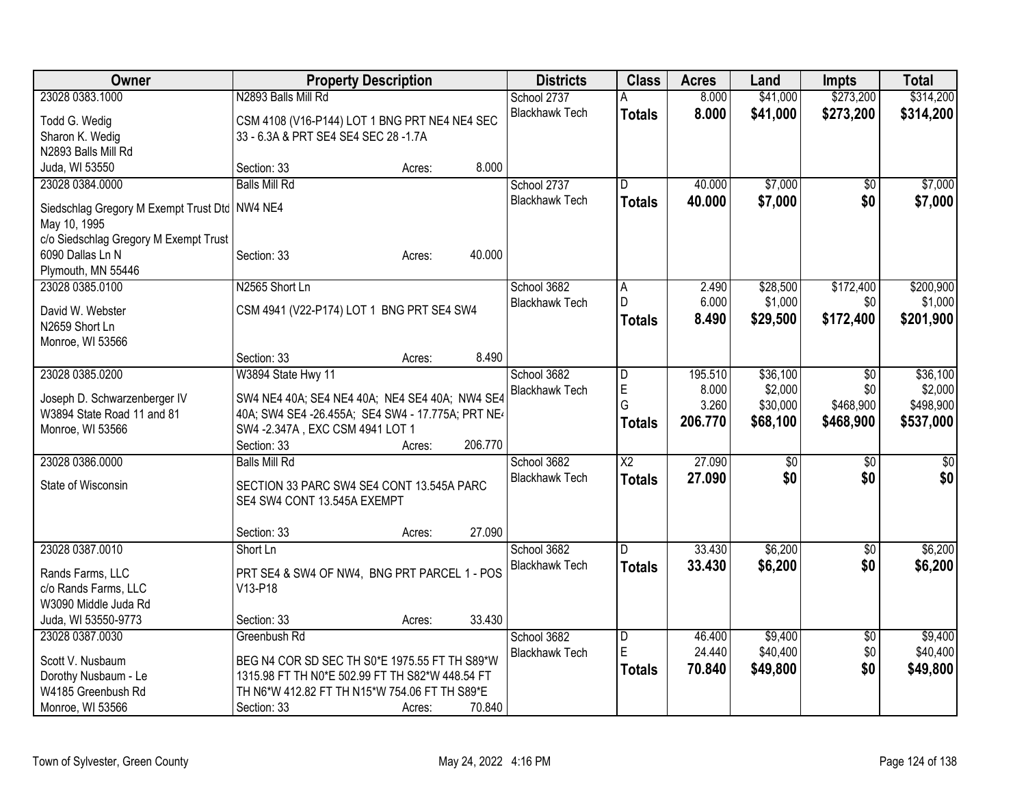| Owner                                           | <b>Property Description</b>                       |        |         | <b>Districts</b>      | <b>Class</b>            | <b>Acres</b> | Land            | <b>Impts</b>    | <b>Total</b>    |
|-------------------------------------------------|---------------------------------------------------|--------|---------|-----------------------|-------------------------|--------------|-----------------|-----------------|-----------------|
| 23028 0383.1000                                 | N2893 Balls Mill Rd                               |        |         | School 2737           | A                       | 8.000        | \$41,000        | \$273,200       | \$314,200       |
| Todd G. Wedig                                   | CSM 4108 (V16-P144) LOT 1 BNG PRT NE4 NE4 SEC     |        |         | <b>Blackhawk Tech</b> | <b>Totals</b>           | 8.000        | \$41,000        | \$273,200       | \$314,200       |
| Sharon K. Wedig                                 | 33 - 6.3A & PRT SE4 SE4 SEC 28 -1.7A              |        |         |                       |                         |              |                 |                 |                 |
| N2893 Balls Mill Rd                             |                                                   |        |         |                       |                         |              |                 |                 |                 |
| Juda, WI 53550                                  | Section: 33                                       | Acres: | 8.000   |                       |                         |              |                 |                 |                 |
| 23028 0384.0000                                 | <b>Balls Mill Rd</b>                              |        |         | School 2737           | D                       | 40.000       | \$7,000         | $\overline{50}$ | \$7,000         |
| Siedschlag Gregory M Exempt Trust Dtd   NW4 NE4 |                                                   |        |         | <b>Blackhawk Tech</b> | <b>Totals</b>           | 40.000       | \$7,000         | \$0             | \$7,000         |
| May 10, 1995                                    |                                                   |        |         |                       |                         |              |                 |                 |                 |
| c/o Siedschlag Gregory M Exempt Trust           |                                                   |        |         |                       |                         |              |                 |                 |                 |
| 6090 Dallas Ln N                                | Section: 33                                       | Acres: | 40.000  |                       |                         |              |                 |                 |                 |
| Plymouth, MN 55446                              |                                                   |        |         |                       |                         |              |                 |                 |                 |
| 23028 0385.0100                                 | N2565 Short Ln                                    |        |         | School 3682           | A                       | 2.490        | \$28,500        | \$172,400       | \$200,900       |
| David W. Webster                                | CSM 4941 (V22-P174) LOT 1 BNG PRT SE4 SW4         |        |         | <b>Blackhawk Tech</b> | D                       | 6.000        | \$1,000         | \$0             | \$1,000         |
| N2659 Short Ln                                  |                                                   |        |         |                       | <b>Totals</b>           | 8.490        | \$29,500        | \$172,400       | \$201,900       |
| Monroe, WI 53566                                |                                                   |        |         |                       |                         |              |                 |                 |                 |
|                                                 | Section: 33                                       | Acres: | 8.490   |                       |                         |              |                 |                 |                 |
| 23028 0385.0200                                 | W3894 State Hwy 11                                |        |         | School 3682           | $\overline{\mathsf{D}}$ | 195.510      | \$36,100        | \$0             | \$36,100        |
|                                                 |                                                   |        |         | <b>Blackhawk Tech</b> | E                       | 8.000        | \$2,000         | \$0             | \$2,000         |
| Joseph D. Schwarzenberger IV                    | SW4 NE4 40A; SE4 NE4 40A; NE4 SE4 40A; NW4 SE4    |        |         |                       | G                       | 3.260        | \$30,000        | \$468,900       | \$498,900       |
| W3894 State Road 11 and 81                      | 40A; SW4 SE4 -26.455A; SE4 SW4 - 17.775A; PRT NE4 |        |         |                       | Totals                  | 206.770      | \$68,100        | \$468,900       | \$537,000       |
| Monroe, WI 53566                                | SW4 - 2.347A, EXC CSM 4941 LOT 1<br>Section: 33   |        | 206.770 |                       |                         |              |                 |                 |                 |
| 23028 0386.0000                                 | <b>Balls Mill Rd</b>                              | Acres: |         | School 3682           | X2                      | 27.090       | $\overline{50}$ | $\overline{30}$ | $\overline{50}$ |
|                                                 |                                                   |        |         | <b>Blackhawk Tech</b> | <b>Totals</b>           | 27.090       | \$0             | \$0             | \$0             |
| State of Wisconsin                              | SECTION 33 PARC SW4 SE4 CONT 13.545A PARC         |        |         |                       |                         |              |                 |                 |                 |
|                                                 | SE4 SW4 CONT 13.545A EXEMPT                       |        |         |                       |                         |              |                 |                 |                 |
|                                                 |                                                   |        |         |                       |                         |              |                 |                 |                 |
|                                                 | Section: 33                                       | Acres: | 27.090  |                       |                         |              |                 |                 |                 |
| 23028 0387.0010                                 | Short Ln                                          |        |         | School 3682           | D                       | 33.430       | \$6,200         | \$0             | \$6,200         |
| Rands Farms, LLC                                | PRT SE4 & SW4 OF NW4, BNG PRT PARCEL 1 - POS      |        |         | <b>Blackhawk Tech</b> | <b>Totals</b>           | 33.430       | \$6,200         | \$0             | \$6,200         |
| c/o Rands Farms, LLC                            | V13-P18                                           |        |         |                       |                         |              |                 |                 |                 |
| W3090 Middle Juda Rd                            |                                                   |        |         |                       |                         |              |                 |                 |                 |
| Juda, WI 53550-9773                             | Section: 33                                       | Acres: | 33.430  |                       |                         |              |                 |                 |                 |
| 23028 0387.0030                                 | Greenbush Rd                                      |        |         | School 3682           | D                       | 46.400       | \$9,400         | \$0             | \$9,400         |
| Scott V. Nusbaum                                | BEG N4 COR SD SEC TH S0*E 1975.55 FT TH S89*W     |        |         | <b>Blackhawk Tech</b> | ΙE                      | 24.440       | \$40,400        | \$0             | \$40,400        |
| Dorothy Nusbaum - Le                            | 1315.98 FT TH N0*E 502.99 FT TH S82*W 448.54 FT   |        |         |                       | <b>Totals</b>           | 70.840       | \$49,800        | \$0             | \$49,800        |
| W4185 Greenbush Rd                              | TH N6*W 412.82 FT TH N15*W 754.06 FT TH S89*E     |        |         |                       |                         |              |                 |                 |                 |
| Monroe, WI 53566                                | Section: 33                                       | Acres: | 70.840  |                       |                         |              |                 |                 |                 |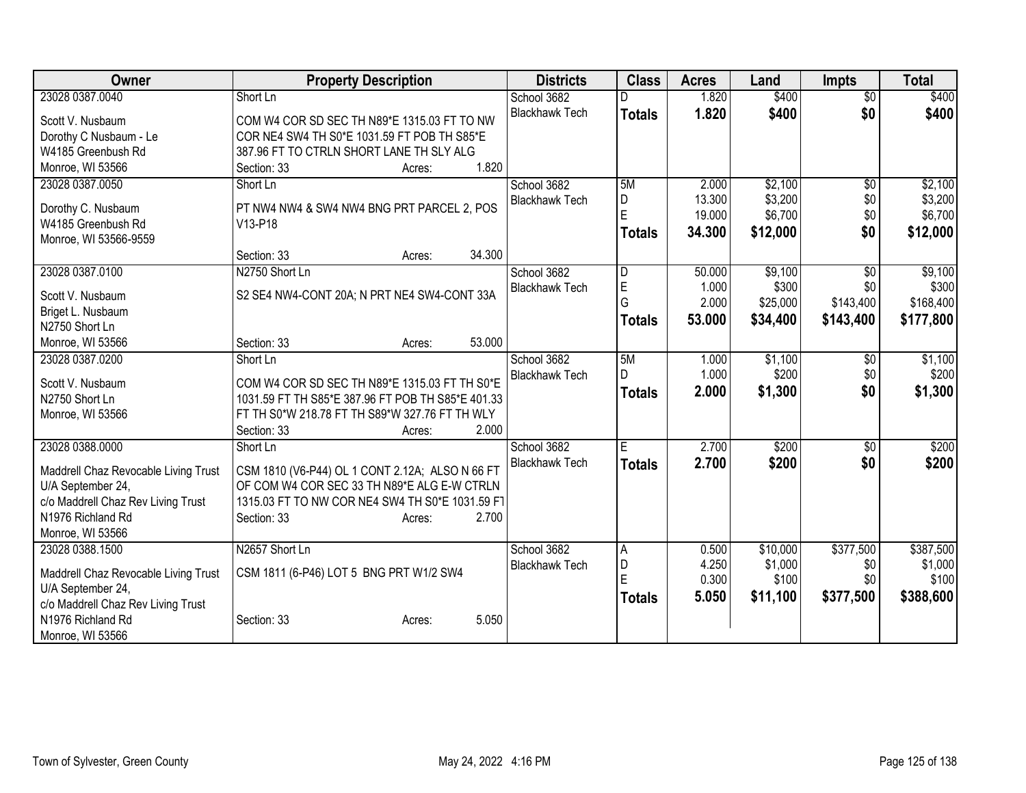| <b>Owner</b>                         | <b>Property Description</b>                                                                        | <b>Districts</b>      | <b>Class</b>  | <b>Acres</b> | Land     | <b>Impts</b>    | <b>Total</b> |
|--------------------------------------|----------------------------------------------------------------------------------------------------|-----------------------|---------------|--------------|----------|-----------------|--------------|
| 23028 0387.0040                      | Short Ln                                                                                           | School 3682           |               | 1.820        | \$400    | $\overline{50}$ | \$400        |
| Scott V. Nusbaum                     | COM W4 COR SD SEC TH N89*E 1315.03 FT TO NW                                                        | <b>Blackhawk Tech</b> | <b>Totals</b> | 1.820        | \$400    | \$0             | \$400        |
| Dorothy C Nusbaum - Le               | COR NE4 SW4 TH S0*E 1031.59 FT POB TH S85*E                                                        |                       |               |              |          |                 |              |
| W4185 Greenbush Rd                   | 387.96 FT TO CTRLN SHORT LANE TH SLY ALG                                                           |                       |               |              |          |                 |              |
| Monroe, WI 53566                     | 1.820<br>Section: 33<br>Acres:                                                                     |                       |               |              |          |                 |              |
| 23028 0387.0050                      | Short Ln                                                                                           | School 3682           | 5M            | 2.000        | \$2,100  | \$0             | \$2,100      |
| Dorothy C. Nusbaum                   | PT NW4 NW4 & SW4 NW4 BNG PRT PARCEL 2, POS                                                         | <b>Blackhawk Tech</b> | D             | 13.300       | \$3,200  | \$0             | \$3,200      |
| W4185 Greenbush Rd                   | V13-P18                                                                                            |                       | E             | 19.000       | \$6,700  | \$0             | \$6,700      |
| Monroe, WI 53566-9559                |                                                                                                    |                       | <b>Totals</b> | 34.300       | \$12,000 | \$0             | \$12,000     |
|                                      | 34.300<br>Section: 33<br>Acres:                                                                    |                       |               |              |          |                 |              |
| 23028 0387.0100                      | N2750 Short Ln                                                                                     | School 3682           | D             | 50.000       | \$9,100  | $\overline{50}$ | \$9,100      |
| Scott V. Nusbaum                     | S2 SE4 NW4-CONT 20A; N PRT NE4 SW4-CONT 33A                                                        | <b>Blackhawk Tech</b> | $\mathsf E$   | 1.000        | \$300    | \$0             | \$300        |
| Briget L. Nusbaum                    |                                                                                                    |                       | G             | 2.000        | \$25,000 | \$143,400       | \$168,400    |
| N2750 Short Ln                       |                                                                                                    |                       | <b>Totals</b> | 53.000       | \$34,400 | \$143,400       | \$177,800    |
| Monroe, WI 53566                     | 53.000<br>Section: 33<br>Acres:                                                                    |                       |               |              |          |                 |              |
| 23028 0387.0200                      | Short Ln                                                                                           | School 3682           | 5M            | 1.000        | \$1,100  | $\sqrt[6]{}$    | \$1,100      |
|                                      |                                                                                                    | <b>Blackhawk Tech</b> | D             | 1.000        | \$200    | \$0             | \$200        |
| Scott V. Nusbaum<br>N2750 Short Ln   | COM W4 COR SD SEC TH N89*E 1315.03 FT TH S0*E<br>1031.59 FT TH S85*E 387.96 FT POB TH S85*E 401.33 |                       | <b>Totals</b> | 2.000        | \$1,300  | \$0             | \$1,300      |
| Monroe, WI 53566                     | FT TH S0*W 218.78 FT TH S89*W 327.76 FT TH WLY                                                     |                       |               |              |          |                 |              |
|                                      | 2.000<br>Section: 33<br>Acres:                                                                     |                       |               |              |          |                 |              |
| 23028 0388.0000                      | Short Ln                                                                                           | School 3682           | E.            | 2.700        | \$200    | \$0             | \$200        |
|                                      |                                                                                                    | <b>Blackhawk Tech</b> | <b>Totals</b> | 2.700        | \$200    | \$0             | \$200        |
| Maddrell Chaz Revocable Living Trust | CSM 1810 (V6-P44) OL 1 CONT 2.12A; ALSO N 66 FT                                                    |                       |               |              |          |                 |              |
| U/A September 24,                    | OF COM W4 COR SEC 33 TH N89*E ALG E-W CTRLN                                                        |                       |               |              |          |                 |              |
| c/o Maddrell Chaz Rev Living Trust   | 1315.03 FT TO NW COR NE4 SW4 TH S0*E 1031.59 FT                                                    |                       |               |              |          |                 |              |
| N1976 Richland Rd                    | 2.700<br>Section: 33<br>Acres:                                                                     |                       |               |              |          |                 |              |
| Monroe, WI 53566                     |                                                                                                    |                       |               |              |          |                 |              |
| 23028 0388.1500                      | N2657 Short Ln                                                                                     | School 3682           | A             | 0.500        | \$10,000 | \$377,500       | \$387,500    |
| Maddrell Chaz Revocable Living Trust | CSM 1811 (6-P46) LOT 5 BNG PRT W1/2 SW4                                                            | <b>Blackhawk Tech</b> | D             | 4.250        | \$1,000  | \$0             | \$1,000      |
| U/A September 24,                    |                                                                                                    |                       | F             | 0.300        | \$100    | \$0             | \$100        |
| c/o Maddrell Chaz Rev Living Trust   |                                                                                                    |                       | <b>Totals</b> | 5.050        | \$11,100 | \$377,500       | \$388,600    |
| N1976 Richland Rd                    | 5.050<br>Section: 33<br>Acres:                                                                     |                       |               |              |          |                 |              |
| Monroe, WI 53566                     |                                                                                                    |                       |               |              |          |                 |              |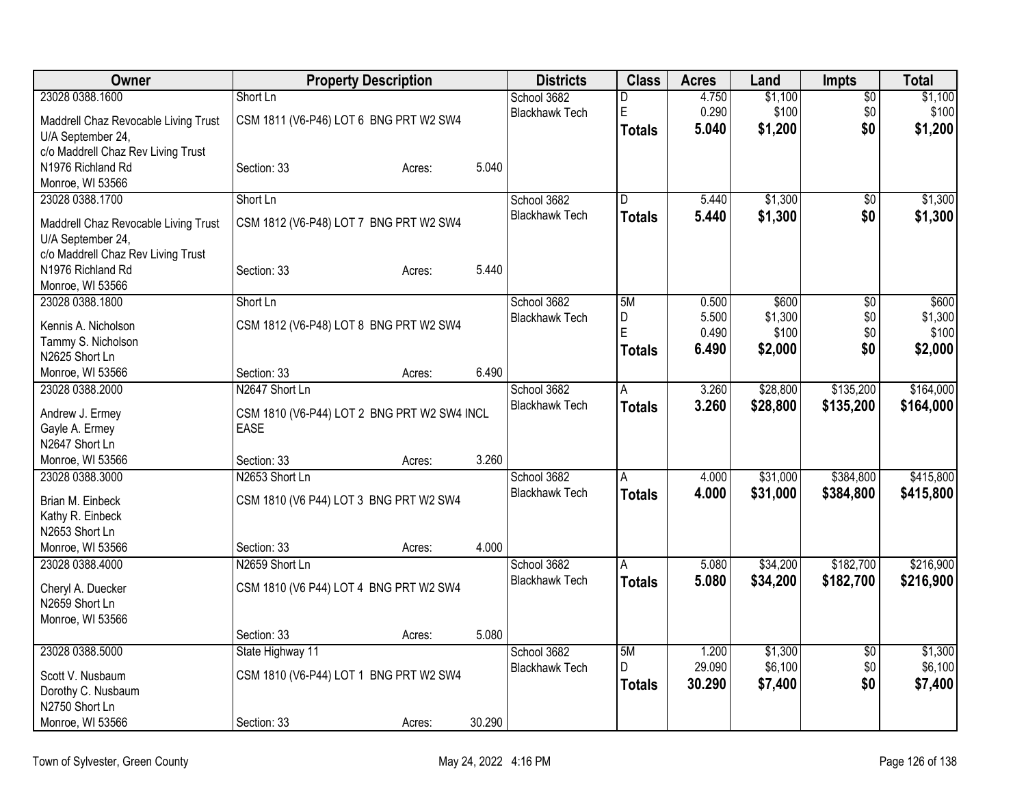| Owner                                | <b>Property Description</b>                 |        |        | <b>Districts</b>      | <b>Class</b>  | <b>Acres</b>   | Land             | <b>Impts</b>    | <b>Total</b>     |
|--------------------------------------|---------------------------------------------|--------|--------|-----------------------|---------------|----------------|------------------|-----------------|------------------|
| 23028 0388.1600                      | Short Ln                                    |        |        | School 3682           | D             | 4.750          | \$1,100          | $\overline{50}$ | \$1,100          |
| Maddrell Chaz Revocable Living Trust | CSM 1811 (V6-P46) LOT 6 BNG PRT W2 SW4      |        |        | <b>Blackhawk Tech</b> | $\mathsf E$   | 0.290          | \$100            | \$0             | \$100            |
| U/A September 24,                    |                                             |        |        |                       | <b>Totals</b> | 5.040          | \$1,200          | \$0             | \$1,200          |
| c/o Maddrell Chaz Rev Living Trust   |                                             |        |        |                       |               |                |                  |                 |                  |
| N1976 Richland Rd                    | Section: 33                                 | Acres: | 5.040  |                       |               |                |                  |                 |                  |
| Monroe, WI 53566                     |                                             |        |        |                       |               |                |                  |                 |                  |
| 23028 0388.1700                      | Short Ln                                    |        |        | School 3682           | D             | 5.440          | \$1,300          | \$0             | \$1,300          |
| Maddrell Chaz Revocable Living Trust | CSM 1812 (V6-P48) LOT 7 BNG PRT W2 SW4      |        |        | <b>Blackhawk Tech</b> | Totals        | 5.440          | \$1,300          | \$0             | \$1,300          |
| U/A September 24,                    |                                             |        |        |                       |               |                |                  |                 |                  |
| c/o Maddrell Chaz Rev Living Trust   |                                             |        |        |                       |               |                |                  |                 |                  |
| N1976 Richland Rd                    | Section: 33                                 | Acres: | 5.440  |                       |               |                |                  |                 |                  |
| Monroe, WI 53566                     |                                             |        |        |                       |               |                |                  |                 |                  |
| 23028 0388.1800                      | Short Ln                                    |        |        | School 3682           | 5M            | 0.500          | \$600            | \$0             | \$600            |
| Kennis A. Nicholson                  | CSM 1812 (V6-P48) LOT 8 BNG PRT W2 SW4      |        |        | <b>Blackhawk Tech</b> | D<br>E        | 5.500<br>0.490 | \$1,300<br>\$100 | \$0<br>\$0      | \$1,300<br>\$100 |
| Tammy S. Nicholson                   |                                             |        |        |                       |               | 6.490          | \$2,000          | \$0             | \$2,000          |
| N2625 Short Ln                       |                                             |        |        |                       | <b>Totals</b> |                |                  |                 |                  |
| Monroe, WI 53566                     | Section: 33                                 | Acres: | 6.490  |                       |               |                |                  |                 |                  |
| 23028 0388.2000                      | N2647 Short Ln                              |        |        | School 3682           | A             | 3.260          | \$28,800         | \$135,200       | \$164,000        |
| Andrew J. Ermey                      | CSM 1810 (V6-P44) LOT 2 BNG PRT W2 SW4 INCL |        |        | <b>Blackhawk Tech</b> | <b>Totals</b> | 3.260          | \$28,800         | \$135,200       | \$164,000        |
| Gayle A. Ermey                       | <b>EASE</b>                                 |        |        |                       |               |                |                  |                 |                  |
| N2647 Short Ln                       |                                             |        |        |                       |               |                |                  |                 |                  |
| Monroe, WI 53566                     | Section: 33                                 | Acres: | 3.260  |                       |               |                |                  |                 |                  |
| 23028 0388.3000                      | N2653 Short Ln                              |        |        | School 3682           | A             | 4.000          | \$31,000         | \$384,800       | \$415,800        |
| Brian M. Einbeck                     | CSM 1810 (V6 P44) LOT 3 BNG PRT W2 SW4      |        |        | <b>Blackhawk Tech</b> | <b>Totals</b> | 4.000          | \$31,000         | \$384,800       | \$415,800        |
| Kathy R. Einbeck                     |                                             |        |        |                       |               |                |                  |                 |                  |
| N2653 Short Ln                       |                                             |        |        |                       |               |                |                  |                 |                  |
| Monroe, WI 53566                     | Section: 33                                 | Acres: | 4.000  |                       |               |                |                  |                 |                  |
| 23028 0388.4000                      | N2659 Short Ln                              |        |        | School 3682           | A             | 5.080          | \$34,200         | \$182,700       | \$216,900        |
| Cheryl A. Duecker                    | CSM 1810 (V6 P44) LOT 4 BNG PRT W2 SW4      |        |        | <b>Blackhawk Tech</b> | <b>Totals</b> | 5.080          | \$34,200         | \$182,700       | \$216,900        |
| N2659 Short Ln                       |                                             |        |        |                       |               |                |                  |                 |                  |
| Monroe, WI 53566                     |                                             |        |        |                       |               |                |                  |                 |                  |
|                                      | Section: 33                                 | Acres: | 5.080  |                       |               |                |                  |                 |                  |
| 23028 0388.5000                      | State Highway 11                            |        |        | School 3682           | 5M            | 1.200          | \$1,300          | $\overline{50}$ | \$1,300          |
| Scott V. Nusbaum                     | CSM 1810 (V6-P44) LOT 1 BNG PRT W2 SW4      |        |        | <b>Blackhawk Tech</b> | D             | 29.090         | \$6,100          | \$0             | \$6,100          |
| Dorothy C. Nusbaum                   |                                             |        |        |                       | <b>Totals</b> | 30.290         | \$7,400          | \$0             | \$7,400          |
| N2750 Short Ln                       |                                             |        |        |                       |               |                |                  |                 |                  |
| Monroe, WI 53566                     | Section: 33                                 | Acres: | 30.290 |                       |               |                |                  |                 |                  |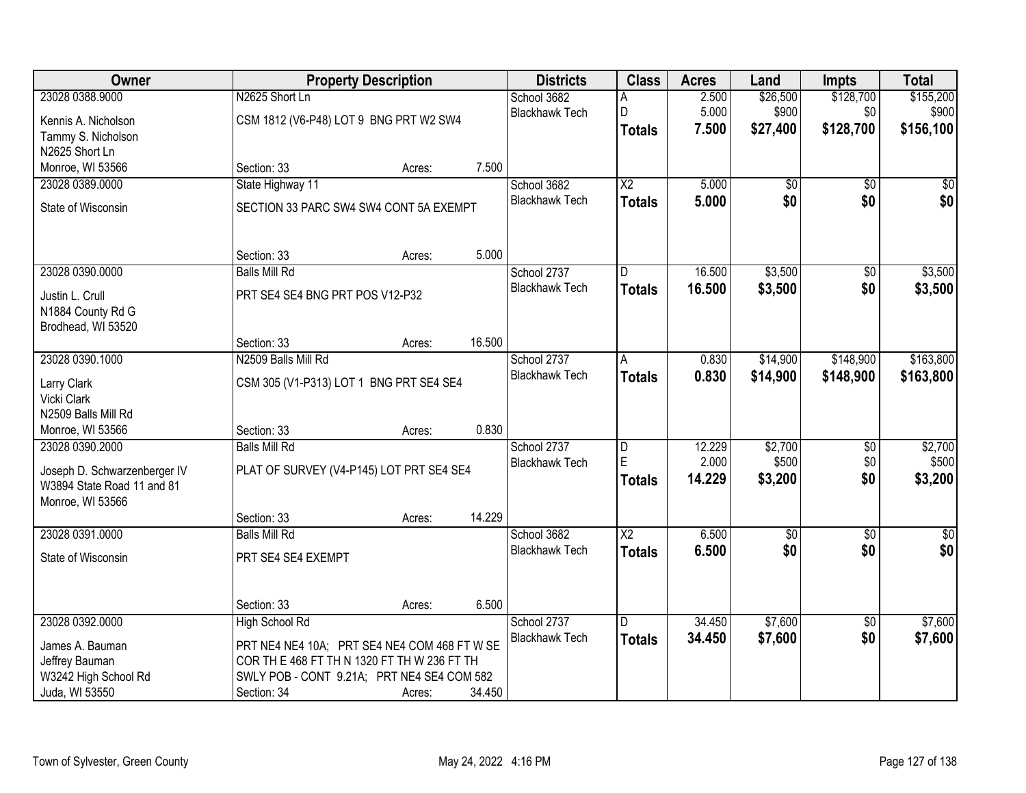| Owner                        |                                              | <b>Property Description</b> |        | <b>Districts</b>                     | <b>Class</b>           | <b>Acres</b>    | Land             | <b>Impts</b>    | <b>Total</b>     |
|------------------------------|----------------------------------------------|-----------------------------|--------|--------------------------------------|------------------------|-----------------|------------------|-----------------|------------------|
| 23028 0388.9000              | N2625 Short Ln                               |                             |        | School 3682                          | Α                      | 2.500           | \$26,500         | \$128,700       | \$155,200        |
| Kennis A. Nicholson          | CSM 1812 (V6-P48) LOT 9 BNG PRT W2 SW4       |                             |        | <b>Blackhawk Tech</b>                | D                      | 5.000           | \$900            | \$0             | \$900            |
| Tammy S. Nicholson           |                                              |                             |        |                                      | <b>Totals</b>          | 7.500           | \$27,400         | \$128,700       | \$156,100        |
| N2625 Short Ln               |                                              |                             |        |                                      |                        |                 |                  |                 |                  |
| Monroe, WI 53566             | Section: 33                                  | Acres:                      | 7.500  |                                      |                        |                 |                  |                 |                  |
| 23028 0389.0000              | State Highway 11                             |                             |        | School 3682                          | $\overline{X2}$        | 5.000           | \$0              | $\overline{50}$ | \$0              |
| State of Wisconsin           | SECTION 33 PARC SW4 SW4 CONT 5A EXEMPT       |                             |        | <b>Blackhawk Tech</b>                | <b>Totals</b>          | 5.000           | \$0              | \$0             | \$0              |
|                              |                                              |                             |        |                                      |                        |                 |                  |                 |                  |
|                              | Section: 33                                  | Acres:                      | 5.000  |                                      |                        |                 |                  |                 |                  |
| 23028 0390.0000              | <b>Balls Mill Rd</b>                         |                             |        | School 2737<br><b>Blackhawk Tech</b> | D                      | 16.500          | \$3,500          | $\overline{50}$ | \$3,500          |
| Justin L. Crull              | PRT SE4 SE4 BNG PRT POS V12-P32              |                             |        |                                      | <b>Totals</b>          | 16.500          | \$3,500          | \$0             | \$3,500          |
| N1884 County Rd G            |                                              |                             |        |                                      |                        |                 |                  |                 |                  |
| Brodhead, WI 53520           |                                              |                             |        |                                      |                        |                 |                  |                 |                  |
|                              | Section: 33                                  | Acres:                      | 16.500 |                                      |                        |                 |                  |                 |                  |
| 23028 0390.1000              | N2509 Balls Mill Rd                          |                             |        | School 2737                          | A                      | 0.830           | \$14,900         | \$148,900       | \$163,800        |
| Larry Clark                  | CSM 305 (V1-P313) LOT 1 BNG PRT SE4 SE4      |                             |        | <b>Blackhawk Tech</b>                | <b>Totals</b>          | 0.830           | \$14,900         | \$148,900       | \$163,800        |
| Vicki Clark                  |                                              |                             |        |                                      |                        |                 |                  |                 |                  |
| N2509 Balls Mill Rd          |                                              |                             |        |                                      |                        |                 |                  |                 |                  |
| Monroe, WI 53566             | Section: 33                                  | Acres:                      | 0.830  |                                      |                        |                 |                  |                 |                  |
| 23028 0390.2000              | <b>Balls Mill Rd</b>                         |                             |        | School 2737                          | D<br>E                 | 12.229<br>2.000 | \$2,700<br>\$500 | $\overline{50}$ | \$2,700          |
| Joseph D. Schwarzenberger IV | PLAT OF SURVEY (V4-P145) LOT PRT SE4 SE4     |                             |        | <b>Blackhawk Tech</b>                |                        | 14.229          | \$3,200          | \$0<br>\$0      | \$500<br>\$3,200 |
| W3894 State Road 11 and 81   |                                              |                             |        |                                      | <b>Totals</b>          |                 |                  |                 |                  |
| Monroe, WI 53566             |                                              |                             |        |                                      |                        |                 |                  |                 |                  |
|                              | Section: 33                                  | Acres:                      | 14.229 |                                      |                        |                 |                  |                 |                  |
| 23028 0391.0000              | <b>Balls Mill Rd</b>                         |                             |        | School 3682                          | $\overline{\text{X2}}$ | 6.500           | $\sqrt{50}$      | $\overline{50}$ | $\overline{50}$  |
| State of Wisconsin           | PRT SE4 SE4 EXEMPT                           |                             |        | <b>Blackhawk Tech</b>                | <b>Totals</b>          | 6.500           | \$0              | \$0             | \$0              |
|                              | Section: 33                                  | Acres:                      | 6.500  |                                      |                        |                 |                  |                 |                  |
| 23028 0392.0000              | <b>High School Rd</b>                        |                             |        | School 2737                          | D.                     | 34.450          | \$7,600          | $\overline{50}$ | \$7,600          |
| James A. Bauman              | PRT NE4 NE4 10A; PRT SE4 NE4 COM 468 FT W SE |                             |        | <b>Blackhawk Tech</b>                | <b>Totals</b>          | 34.450          | \$7,600          | \$0             | \$7,600          |
| Jeffrey Bauman               | COR TH E 468 FT TH N 1320 FT TH W 236 FT TH  |                             |        |                                      |                        |                 |                  |                 |                  |
| W3242 High School Rd         | SWLY POB - CONT 9.21A; PRT NE4 SE4 COM 582   |                             |        |                                      |                        |                 |                  |                 |                  |
| Juda, WI 53550               | Section: 34                                  | Acres:                      | 34.450 |                                      |                        |                 |                  |                 |                  |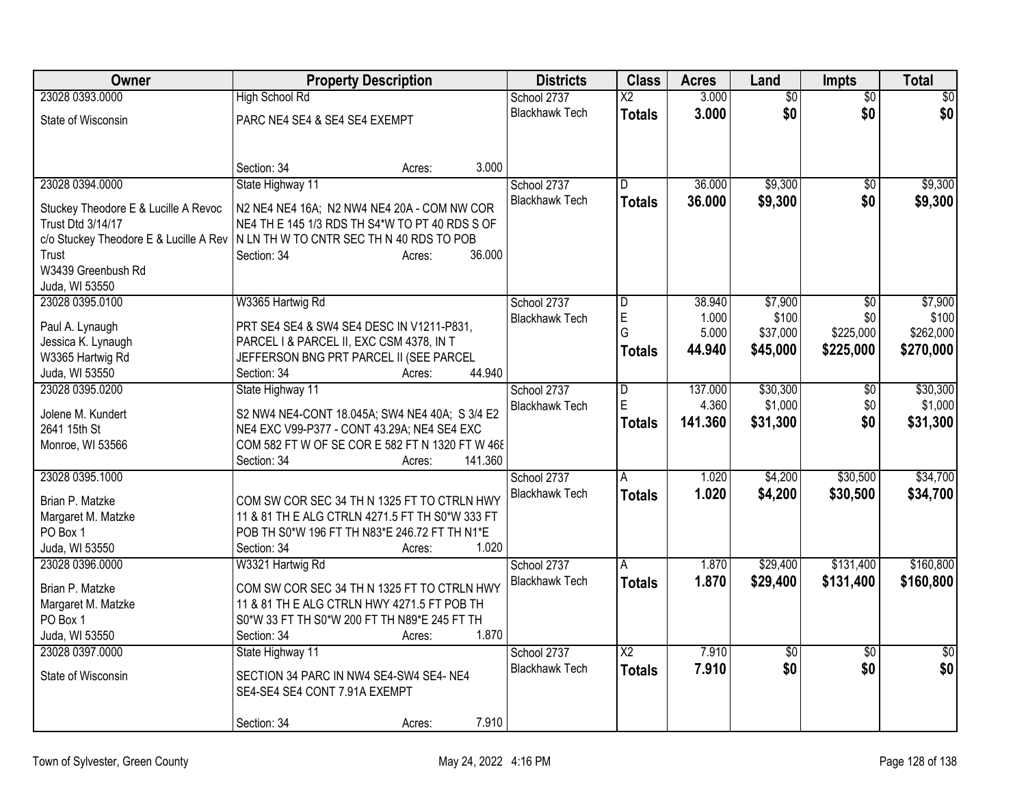| Owner                                  | <b>Property Description</b>                     | <b>Districts</b>                     | <b>Class</b>             | <b>Acres</b>     | Land                | <b>Impts</b>    | <b>Total</b>       |
|----------------------------------------|-------------------------------------------------|--------------------------------------|--------------------------|------------------|---------------------|-----------------|--------------------|
| 23028 0393.0000                        | <b>High School Rd</b>                           | School 2737                          | $\overline{\text{X2}}$   | 3.000            | $\overline{50}$     | $\overline{50}$ | $\overline{50}$    |
| State of Wisconsin                     | PARC NE4 SE4 & SE4 SE4 EXEMPT                   | <b>Blackhawk Tech</b>                | <b>Totals</b>            | 3.000            | \$0                 | \$0             | \$0                |
|                                        |                                                 |                                      |                          |                  |                     |                 |                    |
|                                        |                                                 |                                      |                          |                  |                     |                 |                    |
|                                        | Section: 34<br>3.000<br>Acres:                  |                                      |                          |                  |                     |                 |                    |
| 23028 0394.0000                        | State Highway 11                                | School 2737<br><b>Blackhawk Tech</b> | ID.                      | 36.000<br>36.000 | \$9,300<br>\$9,300  | \$0<br>\$0      | \$9,300<br>\$9,300 |
| Stuckey Theodore E & Lucille A Revoc   | N2 NE4 NE4 16A; N2 NW4 NE4 20A - COM NW COR     |                                      | <b>Totals</b>            |                  |                     |                 |                    |
| Trust Dtd 3/14/17                      | NE4 TH E 145 1/3 RDS TH S4*W TO PT 40 RDS S OF  |                                      |                          |                  |                     |                 |                    |
| c/o Stuckey Theodore E & Lucille A Rev | N LN TH W TO CNTR SEC TH N 40 RDS TO POB        |                                      |                          |                  |                     |                 |                    |
| Trust                                  | 36.000<br>Section: 34<br>Acres:                 |                                      |                          |                  |                     |                 |                    |
| W3439 Greenbush Rd                     |                                                 |                                      |                          |                  |                     |                 |                    |
| Juda, WI 53550                         |                                                 |                                      |                          |                  |                     |                 |                    |
| 23028 0395.0100                        | W3365 Hartwig Rd                                | School 2737                          | ID                       | 38.940           | \$7,900             | $\overline{50}$ | \$7,900            |
| Paul A. Lynaugh                        | PRT SE4 SE4 & SW4 SE4 DESC IN V1211-P831,       | <b>Blackhawk Tech</b>                | E                        | 1.000            | \$100               | \$0             | \$100              |
| Jessica K. Lynaugh                     | PARCEL I & PARCEL II, EXC CSM 4378, IN T        |                                      | G                        | 5.000            | \$37,000            | \$225,000       | \$262,000          |
| W3365 Hartwig Rd                       | JEFFERSON BNG PRT PARCEL II (SEE PARCEL         |                                      | Totals                   | 44.940           | \$45,000            | \$225,000       | \$270,000          |
| Juda, WI 53550                         | 44.940<br>Section: 34<br>Acres:                 |                                      |                          |                  |                     |                 |                    |
| 23028 0395.0200                        |                                                 | School 2737                          |                          | 137.000          |                     | \$0             | \$30,300           |
|                                        | State Highway 11                                |                                      | D<br>E                   | 4.360            | \$30,300<br>\$1,000 |                 |                    |
| Jolene M. Kundert                      | S2 NW4 NE4-CONT 18.045A; SW4 NE4 40A; S 3/4 E2  | <b>Blackhawk Tech</b>                |                          |                  |                     | \$0             | \$1,000            |
| 2641 15th St                           | NE4 EXC V99-P377 - CONT 43.29A; NE4 SE4 EXC     |                                      | <b>Totals</b>            | 141.360          | \$31,300            | \$0             | \$31,300           |
| Monroe, WI 53566                       | COM 582 FT W OF SE COR E 582 FT N 1320 FT W 468 |                                      |                          |                  |                     |                 |                    |
|                                        | 141.360<br>Section: 34<br>Acres:                |                                      |                          |                  |                     |                 |                    |
| 23028 0395.1000                        |                                                 | School 2737                          | $\overline{A}$           | 1.020            | \$4,200             | \$30,500        | \$34,700           |
|                                        |                                                 | <b>Blackhawk Tech</b>                | <b>Totals</b>            | 1.020            | \$4,200             | \$30,500        | \$34,700           |
| Brian P. Matzke                        | COM SW COR SEC 34 TH N 1325 FT TO CTRLN HWY     |                                      |                          |                  |                     |                 |                    |
| Margaret M. Matzke                     | 11 & 81 TH E ALG CTRLN 4271.5 FT TH S0*W 333 FT |                                      |                          |                  |                     |                 |                    |
| PO Box 1                               | POB TH S0*W 196 FT TH N83*E 246.72 FT TH N1*E   |                                      |                          |                  |                     |                 |                    |
| Juda, WI 53550                         | 1.020<br>Section: 34<br>Acres:                  |                                      |                          |                  |                     |                 |                    |
| 23028 0396.0000                        | W3321 Hartwig Rd                                | School 2737                          | A                        | 1.870            | \$29,400            | \$131,400       | \$160,800          |
| Brian P. Matzke                        | COM SW COR SEC 34 TH N 1325 FT TO CTRLN HWY     | <b>Blackhawk Tech</b>                | <b>Totals</b>            | 1.870            | \$29,400            | \$131,400       | \$160,800          |
| Margaret M. Matzke                     | 11 & 81 TH E ALG CTRLN HWY 4271.5 FT POB TH     |                                      |                          |                  |                     |                 |                    |
| PO Box 1                               | S0*W 33 FT TH S0*W 200 FT TH N89*E 245 FT TH    |                                      |                          |                  |                     |                 |                    |
| Juda, WI 53550                         | 1.870<br>Section: 34<br>Acres:                  |                                      |                          |                  |                     |                 |                    |
| 23028 0397.0000                        | State Highway 11                                | School 2737                          | $\overline{\mathsf{X2}}$ | 7.910            | $\sqrt{6}$          | $\overline{30}$ | $\overline{30}$    |
|                                        |                                                 | <b>Blackhawk Tech</b>                | <b>Totals</b>            | 7.910            | \$0                 | \$0             | \$0                |
| State of Wisconsin                     | SECTION 34 PARC IN NW4 SE4-SW4 SE4-NE4          |                                      |                          |                  |                     |                 |                    |
|                                        | SE4-SE4 SE4 CONT 7.91A EXEMPT                   |                                      |                          |                  |                     |                 |                    |
|                                        |                                                 |                                      |                          |                  |                     |                 |                    |
|                                        | 7.910<br>Section: 34<br>Acres:                  |                                      |                          |                  |                     |                 |                    |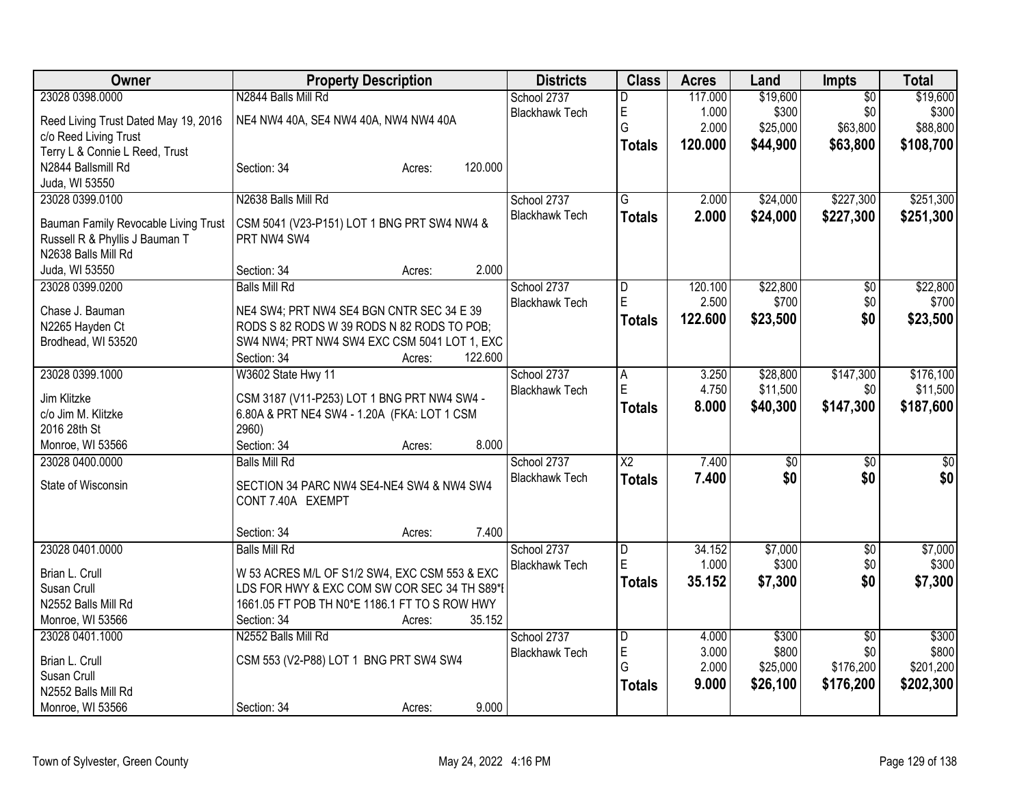| Owner                                 | <b>Property Description</b>                   | <b>Districts</b>      | <b>Class</b>           | <b>Acres</b>     | Land            | <b>Impts</b>    | <b>Total</b>    |
|---------------------------------------|-----------------------------------------------|-----------------------|------------------------|------------------|-----------------|-----------------|-----------------|
| 23028 0398.0000                       | N2844 Balls Mill Rd                           | School 2737           | D                      | 117.000          | \$19,600        | $\overline{30}$ | \$19,600        |
| Reed Living Trust Dated May 19, 2016  | NE4 NW4 40A, SE4 NW4 40A, NW4 NW4 40A         | <b>Blackhawk Tech</b> | E                      | 1.000            | \$300           | \$0             | \$300           |
| c/o Reed Living Trust                 |                                               |                       | G                      | 2.000            | \$25,000        | \$63,800        | \$88,800        |
| Terry L & Connie L Reed, Trust        |                                               |                       | <b>Totals</b>          | 120,000          | \$44,900        | \$63,800        | \$108,700       |
| N2844 Ballsmill Rd                    | 120.000<br>Section: 34<br>Acres:              |                       |                        |                  |                 |                 |                 |
| Juda, WI 53550                        |                                               |                       |                        |                  |                 |                 |                 |
| 23028 0399.0100                       | N2638 Balls Mill Rd                           | School 2737           | $\overline{G}$         | 2.000            | \$24,000        | \$227,300       | \$251,300       |
|                                       |                                               | <b>Blackhawk Tech</b> | <b>Totals</b>          | 2.000            | \$24,000        | \$227,300       | \$251,300       |
| Bauman Family Revocable Living Trust  | CSM 5041 (V23-P151) LOT 1 BNG PRT SW4 NW4 &   |                       |                        |                  |                 |                 |                 |
| Russell R & Phyllis J Bauman T        | PRT NW4 SW4                                   |                       |                        |                  |                 |                 |                 |
| N2638 Balls Mill Rd<br>Juda, WI 53550 | 2.000<br>Section: 34                          |                       |                        |                  |                 |                 |                 |
| 23028 0399.0200                       | Acres:<br><b>Balls Mill Rd</b>                | School 2737           |                        |                  | \$22,800        |                 | \$22,800        |
|                                       |                                               | <b>Blackhawk Tech</b> | D<br>$\mathsf E$       | 120.100<br>2.500 | \$700           | \$0<br>\$0      | \$700           |
| Chase J. Bauman                       | NE4 SW4; PRT NW4 SE4 BGN CNTR SEC 34 E 39     |                       |                        | 122.600          | \$23,500        | \$0             |                 |
| N2265 Hayden Ct                       | RODS S 82 RODS W 39 RODS N 82 RODS TO POB;    |                       | <b>Totals</b>          |                  |                 |                 | \$23,500        |
| Brodhead, WI 53520                    | SW4 NW4; PRT NW4 SW4 EXC CSM 5041 LOT 1, EXC  |                       |                        |                  |                 |                 |                 |
|                                       | 122.600<br>Section: 34<br>Acres:              |                       |                        |                  |                 |                 |                 |
| 23028 0399.1000                       | W3602 State Hwy 11                            | School 2737           | A                      | 3.250            | \$28,800        | \$147,300       | \$176,100       |
| Jim Klitzke                           | CSM 3187 (V11-P253) LOT 1 BNG PRT NW4 SW4 -   | <b>Blackhawk Tech</b> | E                      | 4.750            | \$11,500        | \$0             | \$11,500        |
| c/o Jim M. Klitzke                    | 6.80A & PRT NE4 SW4 - 1.20A (FKA: LOT 1 CSM   |                       | <b>Totals</b>          | 8.000            | \$40,300        | \$147,300       | \$187,600       |
| 2016 28th St                          | 2960)                                         |                       |                        |                  |                 |                 |                 |
| Monroe, WI 53566                      | 8.000<br>Section: 34<br>Acres:                |                       |                        |                  |                 |                 |                 |
| 23028 0400.0000                       | <b>Balls Mill Rd</b>                          | School 2737           | $\overline{\text{X2}}$ | 7.400            | $\overline{50}$ | \$0             | $\overline{50}$ |
|                                       |                                               | <b>Blackhawk Tech</b> | <b>Totals</b>          | 7.400            | \$0             | \$0             | \$0             |
| State of Wisconsin                    | SECTION 34 PARC NW4 SE4-NE4 SW4 & NW4 SW4     |                       |                        |                  |                 |                 |                 |
|                                       | CONT 7.40A EXEMPT                             |                       |                        |                  |                 |                 |                 |
|                                       |                                               |                       |                        |                  |                 |                 |                 |
|                                       | 7.400<br>Section: 34<br>Acres:                |                       |                        |                  |                 |                 |                 |
| 23028 0401.0000                       | <b>Balls Mill Rd</b>                          | School 2737           | D                      | 34.152           | \$7,000         | \$0             | \$7,000         |
| Brian L. Crull                        | W 53 ACRES M/L OF S1/2 SW4, EXC CSM 553 & EXC | <b>Blackhawk Tech</b> | ΙE                     | 1.000            | \$300           | \$0             | \$300           |
| Susan Crull                           | LDS FOR HWY & EXC COM SW COR SEC 34 TH S89*I  |                       | <b>Totals</b>          | 35.152           | \$7,300         | \$0             | \$7,300         |
| N2552 Balls Mill Rd                   | 1661.05 FT POB TH N0*E 1186.1 FT TO S ROW HWY |                       |                        |                  |                 |                 |                 |
| Monroe, WI 53566                      | Section: 34<br>35.152<br>Acres:               |                       |                        |                  |                 |                 |                 |
| 23028 0401.1000                       | N2552 Balls Mill Rd                           | School 2737           | D                      | 4.000            | \$300           | $\overline{30}$ | \$300           |
| Brian L. Crull                        | CSM 553 (V2-P88) LOT 1 BNG PRT SW4 SW4        | <b>Blackhawk Tech</b> | E                      | 3.000            | \$800           | \$0             | \$800           |
| Susan Crull                           |                                               |                       | G                      | 2.000            | \$25,000        | \$176,200       | \$201,200       |
| N2552 Balls Mill Rd                   |                                               |                       | <b>Totals</b>          | 9.000            | \$26,100        | \$176,200       | \$202,300       |
| Monroe, WI 53566                      | 9.000<br>Section: 34<br>Acres:                |                       |                        |                  |                 |                 |                 |
|                                       |                                               |                       |                        |                  |                 |                 |                 |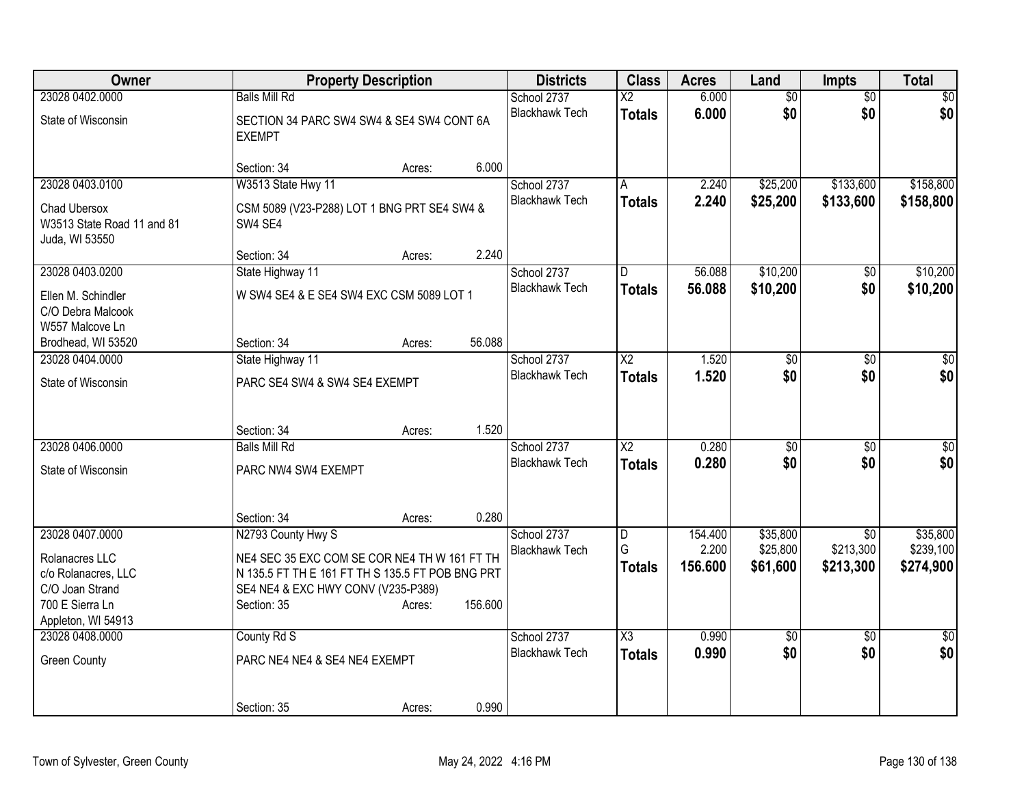| Owner                                | <b>Property Description</b>                                | <b>Districts</b>                     | <b>Class</b>            | <b>Acres</b> | Land            | <b>Impts</b>    | <b>Total</b>    |
|--------------------------------------|------------------------------------------------------------|--------------------------------------|-------------------------|--------------|-----------------|-----------------|-----------------|
| 23028 0402.0000                      | <b>Balls Mill Rd</b>                                       | School 2737                          | $\overline{X2}$         | 6.000        | $\overline{50}$ | $\overline{50}$ | $\overline{50}$ |
| State of Wisconsin                   | SECTION 34 PARC SW4 SW4 & SE4 SW4 CONT 6A<br><b>EXEMPT</b> | <b>Blackhawk Tech</b>                | <b>Totals</b>           | 6.000        | \$0             | \$0             | \$0             |
|                                      |                                                            |                                      |                         |              |                 |                 |                 |
|                                      | 6.000<br>Section: 34<br>Acres:                             |                                      |                         |              |                 |                 |                 |
| 23028 0403.0100                      | W3513 State Hwy 11                                         | School 2737                          | A                       | 2.240        | \$25,200        | \$133,600       | \$158,800       |
| Chad Ubersox                         | CSM 5089 (V23-P288) LOT 1 BNG PRT SE4 SW4 &                | <b>Blackhawk Tech</b>                | <b>Totals</b>           | 2.240        | \$25,200        | \$133,600       | \$158,800       |
| W3513 State Road 11 and 81           | SW4 SE4                                                    |                                      |                         |              |                 |                 |                 |
| Juda, WI 53550                       | 2.240                                                      |                                      |                         |              |                 |                 |                 |
| 23028 0403.0200                      | Section: 34<br>Acres:<br>State Highway 11                  | School 2737                          | D.                      | 56.088       | \$10,200        | \$0             | \$10,200        |
|                                      |                                                            | <b>Blackhawk Tech</b>                | <b>Totals</b>           | 56.088       | \$10,200        | \$0             | \$10,200        |
| Ellen M. Schindler                   | W SW4 SE4 & E SE4 SW4 EXC CSM 5089 LOT 1                   |                                      |                         |              |                 |                 |                 |
| C/O Debra Malcook<br>W557 Malcove Ln |                                                            |                                      |                         |              |                 |                 |                 |
| Brodhead, WI 53520                   | 56.088<br>Section: 34<br>Acres:                            |                                      |                         |              |                 |                 |                 |
| 23028 0404.0000                      | State Highway 11                                           | School 2737                          | $\overline{\chi_2}$     | 1.520        | $\overline{50}$ | \$0             | $\overline{30}$ |
| State of Wisconsin                   | PARC SE4 SW4 & SW4 SE4 EXEMPT                              | <b>Blackhawk Tech</b>                | <b>Totals</b>           | 1.520        | \$0             | \$0             | \$0             |
|                                      |                                                            |                                      |                         |              |                 |                 |                 |
|                                      |                                                            |                                      |                         |              |                 |                 |                 |
|                                      | 1.520<br>Section: 34<br>Acres:                             |                                      |                         |              |                 |                 |                 |
| 23028 0406.0000                      | <b>Balls Mill Rd</b>                                       | School 2737                          | $\overline{\text{X2}}$  | 0.280        | $\overline{50}$ | $\overline{30}$ | $\overline{50}$ |
| State of Wisconsin                   | PARC NW4 SW4 EXEMPT                                        | <b>Blackhawk Tech</b>                | <b>Totals</b>           | 0.280        | \$0             | \$0             | \$0             |
|                                      |                                                            |                                      |                         |              |                 |                 |                 |
|                                      | 0.280<br>Section: 34<br>Acres:                             |                                      |                         |              |                 |                 |                 |
| 23028 0407.0000                      | N2793 County Hwy S                                         | School 2737                          | $\overline{\mathsf{D}}$ | 154.400      | \$35,800        | $\overline{50}$ | \$35,800        |
| Rolanacres LLC                       | NE4 SEC 35 EXC COM SE COR NE4 TH W 161 FT TH               | <b>Blackhawk Tech</b>                | G                       | 2.200        | \$25,800        | \$213,300       | \$239,100       |
| c/o Rolanacres, LLC                  | N 135.5 FT TH E 161 FT TH S 135.5 FT POB BNG PRT           |                                      | <b>Totals</b>           | 156.600      | \$61,600        | \$213,300       | \$274,900       |
| C/O Joan Strand                      | SE4 NE4 & EXC HWY CONV (V235-P389)                         |                                      |                         |              |                 |                 |                 |
| 700 E Sierra Ln                      | 156.600<br>Section: 35<br>Acres:                           |                                      |                         |              |                 |                 |                 |
| Appleton, WI 54913                   |                                                            |                                      |                         |              |                 |                 |                 |
| 23028 0408.0000                      | County Rd S                                                | School 2737<br><b>Blackhawk Tech</b> | $\overline{\text{X3}}$  | 0.990        | $\overline{60}$ | $\overline{30}$ | $\sqrt{30}$     |
| <b>Green County</b>                  | PARC NE4 NE4 & SE4 NE4 EXEMPT                              |                                      | <b>Totals</b>           | 0.990        | \$0             | \$0             | \$0             |
|                                      |                                                            |                                      |                         |              |                 |                 |                 |
|                                      | 0.990<br>Section: 35<br>Acres:                             |                                      |                         |              |                 |                 |                 |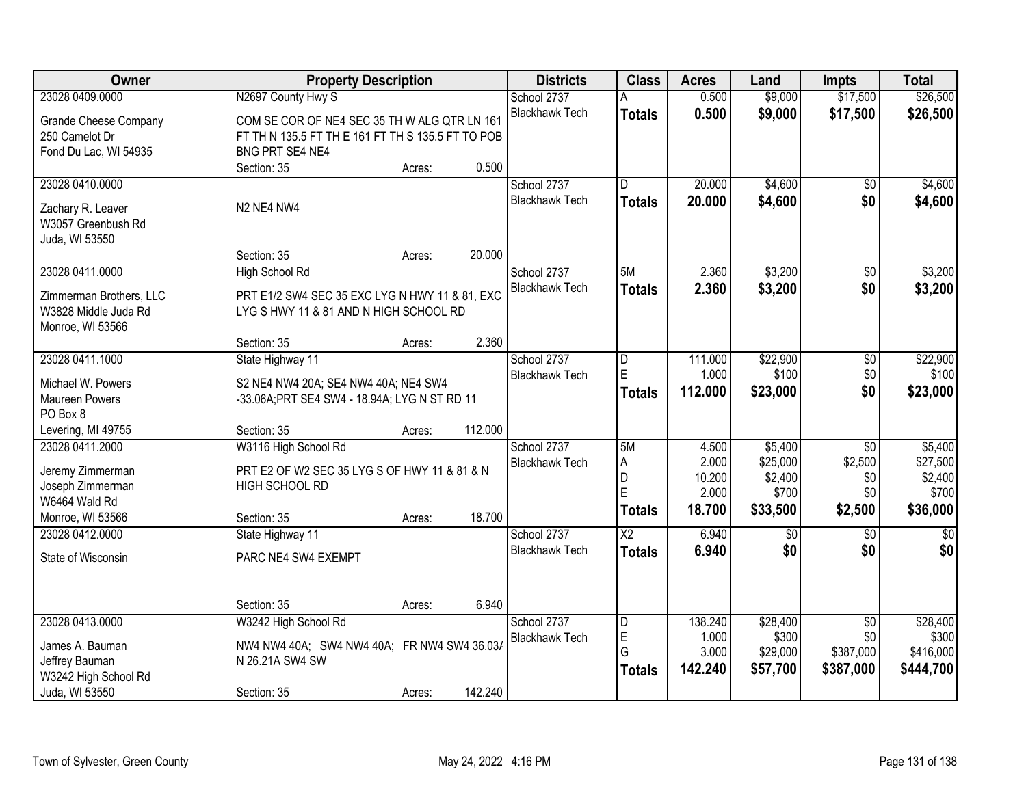| Owner                        | <b>Property Description</b>                       |        |         | <b>Districts</b>      | <b>Class</b>           | <b>Acres</b> | Land     | <b>Impts</b>    | <b>Total</b>  |
|------------------------------|---------------------------------------------------|--------|---------|-----------------------|------------------------|--------------|----------|-----------------|---------------|
| 23028 0409.0000              | N2697 County Hwy S                                |        |         | School 2737           |                        | 0.500        | \$9,000  | \$17,500        | \$26,500      |
| <b>Grande Cheese Company</b> | COM SE COR OF NE4 SEC 35 TH W ALG QTR LN 161      |        |         | <b>Blackhawk Tech</b> | <b>Totals</b>          | 0.500        | \$9,000  | \$17,500        | \$26,500      |
| 250 Camelot Dr               | FT TH N 135.5 FT TH E 161 FT TH S 135.5 FT TO POB |        |         |                       |                        |              |          |                 |               |
| Fond Du Lac, WI 54935        | BNG PRT SE4 NE4                                   |        |         |                       |                        |              |          |                 |               |
|                              | Section: 35                                       | Acres: | 0.500   |                       |                        |              |          |                 |               |
| 23028 0410.0000              |                                                   |        |         | School 2737           | $\overline{D}$         | 20.000       | \$4,600  | $\overline{50}$ | \$4,600       |
|                              |                                                   |        |         | <b>Blackhawk Tech</b> | <b>Totals</b>          | 20.000       | \$4,600  | \$0             | \$4,600       |
| Zachary R. Leaver            | N2 NE4 NW4                                        |        |         |                       |                        |              |          |                 |               |
| W3057 Greenbush Rd           |                                                   |        |         |                       |                        |              |          |                 |               |
| Juda, WI 53550               | Section: 35                                       | Acres: | 20.000  |                       |                        |              |          |                 |               |
| 23028 0411.0000              | High School Rd                                    |        |         | School 2737           | 5M                     | 2.360        | \$3,200  | $\overline{50}$ | \$3,200       |
|                              |                                                   |        |         | <b>Blackhawk Tech</b> |                        |              |          |                 |               |
| Zimmerman Brothers, LLC      | PRT E1/2 SW4 SEC 35 EXC LYG N HWY 11 & 81, EXC    |        |         |                       | <b>Totals</b>          | 2.360        | \$3,200  | \$0             | \$3,200       |
| W3828 Middle Juda Rd         | LYG S HWY 11 & 81 AND N HIGH SCHOOL RD            |        |         |                       |                        |              |          |                 |               |
| Monroe, WI 53566             |                                                   |        |         |                       |                        |              |          |                 |               |
|                              | Section: 35                                       | Acres: | 2.360   |                       |                        |              |          |                 |               |
| 23028 0411.1000              | State Highway 11                                  |        |         | School 2737           | D                      | 111.000      | \$22,900 | \$0             | \$22,900      |
| Michael W. Powers            | S2 NE4 NW4 20A; SE4 NW4 40A; NE4 SW4              |        |         | <b>Blackhawk Tech</b> | E                      | 1.000        | \$100    | \$0             | \$100         |
| Maureen Powers               | -33.06A;PRT SE4 SW4 - 18.94A; LYG N ST RD 11      |        |         |                       | <b>Totals</b>          | 112.000      | \$23,000 | \$0             | \$23,000      |
| PO Box 8                     |                                                   |        |         |                       |                        |              |          |                 |               |
| Levering, MI 49755           | Section: 35                                       | Acres: | 112.000 |                       |                        |              |          |                 |               |
| 23028 0411.2000              | W3116 High School Rd                              |        |         | School 2737           | 5M                     | 4.500        | \$5,400  | $\overline{50}$ | \$5,400       |
|                              |                                                   |        |         | <b>Blackhawk Tech</b> | A                      | 2.000        | \$25,000 | \$2,500         | \$27,500      |
| Jeremy Zimmerman             | PRT E2 OF W2 SEC 35 LYG S OF HWY 11 & 81 & N      |        |         |                       | D                      | 10.200       | \$2,400  | \$0             | \$2,400       |
| Joseph Zimmerman             | HIGH SCHOOL RD                                    |        |         |                       | E                      | 2.000        | \$700    | \$0             | \$700         |
| W6464 Wald Rd                |                                                   |        |         |                       | <b>Totals</b>          | 18.700       | \$33,500 | \$2,500         | \$36,000      |
| Monroe, WI 53566             | Section: 35                                       | Acres: | 18.700  |                       |                        |              |          |                 |               |
| 23028 0412.0000              | State Highway 11                                  |        |         | School 2737           | $\overline{\text{X2}}$ | 6.940        | \$0      | $\sqrt{6}$      | $\frac{1}{6}$ |
| State of Wisconsin           | PARC NE4 SW4 EXEMPT                               |        |         | <b>Blackhawk Tech</b> | <b>Totals</b>          | 6.940        | \$0      | \$0             | \$0           |
|                              |                                                   |        |         |                       |                        |              |          |                 |               |
|                              |                                                   |        |         |                       |                        |              |          |                 |               |
|                              | Section: 35                                       | Acres: | 6.940   |                       |                        |              |          |                 |               |
| 23028 0413.0000              | W3242 High School Rd                              |        |         | School 2737           | D                      | 138.240      | \$28,400 | $\overline{50}$ | \$28,400      |
| James A. Bauman              | NW4 NW4 40A; SW4 NW4 40A; FR NW4 SW4 36.03A       |        |         | <b>Blackhawk Tech</b> | E                      | 1.000        | \$300    | \$0             | \$300         |
| Jeffrey Bauman               | N 26.21A SW4 SW                                   |        |         |                       | G                      | 3.000        | \$29,000 | \$387,000       | \$416,000     |
| W3242 High School Rd         |                                                   |        |         |                       | <b>Totals</b>          | 142.240      | \$57,700 | \$387,000       | \$444,700     |
| Juda, WI 53550               | Section: 35                                       | Acres: | 142.240 |                       |                        |              |          |                 |               |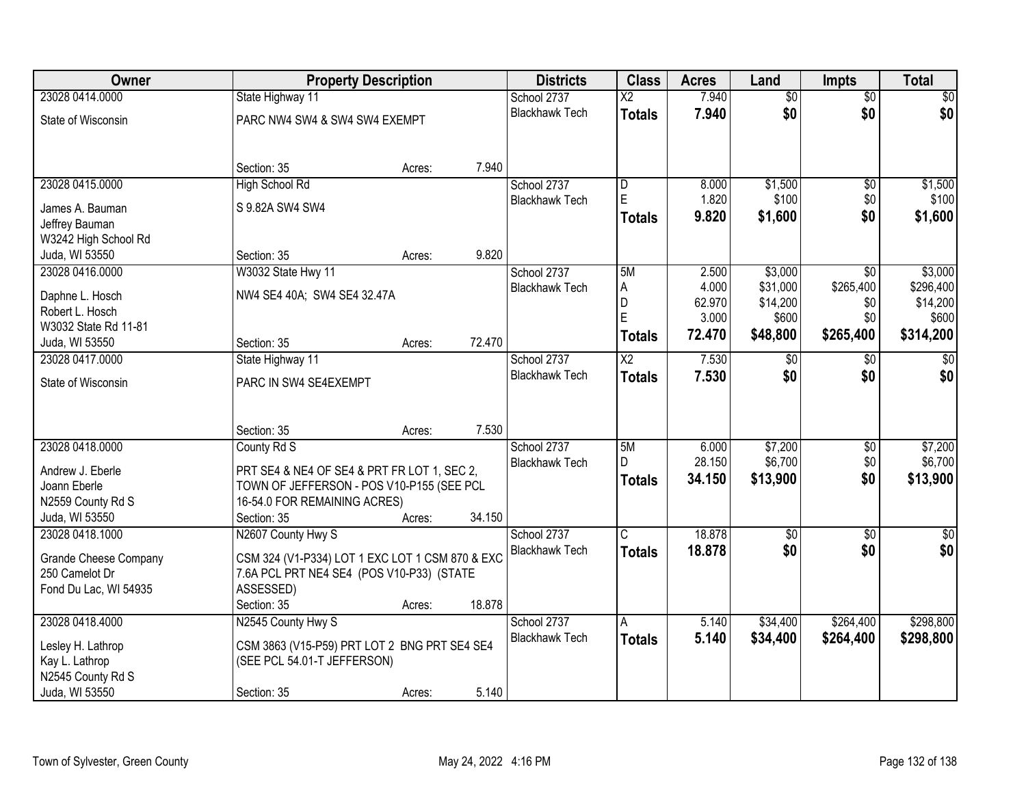| Owner                                   | <b>Property Description</b>                     |        | <b>Districts</b>      | <b>Class</b>            | <b>Acres</b> | Land            | <b>Impts</b>    | <b>Total</b> |
|-----------------------------------------|-------------------------------------------------|--------|-----------------------|-------------------------|--------------|-----------------|-----------------|--------------|
| 23028 0414.0000                         | State Highway 11                                |        | School 2737           | $\overline{\text{X2}}$  | 7.940        | $\overline{50}$ | $\overline{50}$ | \$0          |
| State of Wisconsin                      | PARC NW4 SW4 & SW4 SW4 EXEMPT                   |        | <b>Blackhawk Tech</b> | <b>Totals</b>           | 7.940        | \$0             | \$0             | \$0          |
|                                         |                                                 |        |                       |                         |              |                 |                 |              |
|                                         |                                                 |        |                       |                         |              |                 |                 |              |
|                                         | Section: 35                                     | Acres: | 7.940                 |                         |              |                 |                 |              |
| 23028 0415,0000                         | <b>High School Rd</b>                           |        | School 2737           | l D                     | 8.000        | \$1,500         | \$0             | \$1,500      |
| James A. Bauman                         | S 9.82A SW4 SW4                                 |        | <b>Blackhawk Tech</b> | E                       | 1.820        | \$100           | \$0             | \$100        |
| Jeffrey Bauman                          |                                                 |        |                       | Totals                  | 9.820        | \$1,600         | \$0             | \$1,600      |
| W3242 High School Rd                    |                                                 |        |                       |                         |              |                 |                 |              |
| Juda, WI 53550                          | Section: 35                                     | Acres: | 9.820                 |                         |              |                 |                 |              |
| 23028 0416.0000                         | W3032 State Hwy 11                              |        | School 2737           | 5M                      | 2.500        | \$3,000         | $\overline{50}$ | \$3,000      |
|                                         | NW4 SE4 40A; SW4 SE4 32.47A                     |        | <b>Blackhawk Tech</b> | A                       | 4.000        | \$31,000        | \$265,400       | \$296,400    |
| Daphne L. Hosch                         |                                                 |        |                       | D                       | 62.970       | \$14,200        | \$0             | \$14,200     |
| Robert L. Hosch<br>W3032 State Rd 11-81 |                                                 |        |                       | E                       | 3.000        | \$600           | \$0             | \$600        |
| Juda, WI 53550                          | Section: 35                                     | Acres: | 72.470                | Totals                  | 72.470       | \$48,800        | \$265,400       | \$314,200    |
| 23028 0417.0000                         | State Highway 11                                |        | School 2737           | $\overline{X2}$         | 7.530        | $\sqrt[6]{30}$  | $\frac{1}{20}$  | $\sqrt{50}$  |
|                                         |                                                 |        | <b>Blackhawk Tech</b> |                         | 7.530        | \$0             | \$0             | \$0          |
| State of Wisconsin                      | PARC IN SW4 SE4EXEMPT                           |        |                       | <b>Totals</b>           |              |                 |                 |              |
|                                         |                                                 |        |                       |                         |              |                 |                 |              |
|                                         |                                                 |        |                       |                         |              |                 |                 |              |
|                                         | Section: 35                                     | Acres: | 7.530                 |                         |              |                 |                 |              |
| 23028 0418.0000                         | County Rd S                                     |        | School 2737           | 5M                      | 6.000        | \$7,200         | $\overline{50}$ | \$7,200      |
| Andrew J. Eberle                        | PRT SE4 & NE4 OF SE4 & PRT FR LOT 1, SEC 2,     |        | <b>Blackhawk Tech</b> | D.                      | 28.150       | \$6,700         | \$0             | \$6,700      |
| Joann Eberle                            | TOWN OF JEFFERSON - POS V10-P155 (SEE PCL       |        |                       | <b>Totals</b>           | 34.150       | \$13,900        | \$0             | \$13,900     |
| N2559 County Rd S                       | 16-54.0 FOR REMAINING ACRES)                    |        |                       |                         |              |                 |                 |              |
| Juda, WI 53550                          | Section: 35                                     | Acres: | 34.150                |                         |              |                 |                 |              |
| 23028 0418.1000                         | N2607 County Hwy S                              |        | School 2737           | $\overline{\mathsf{c}}$ | 18.878       | $\overline{50}$ | $\overline{50}$ | \$0          |
|                                         |                                                 |        | <b>Blackhawk Tech</b> | <b>Totals</b>           | 18,878       | \$0             | \$0             | \$0          |
| <b>Grande Cheese Company</b>            | CSM 324 (V1-P334) LOT 1 EXC LOT 1 CSM 870 & EXC |        |                       |                         |              |                 |                 |              |
| 250 Camelot Dr                          | 7.6A PCL PRT NE4 SE4 (POS V10-P33) (STATE       |        |                       |                         |              |                 |                 |              |
| Fond Du Lac, WI 54935                   | ASSESSED)                                       |        |                       |                         |              |                 |                 |              |
|                                         | Section: 35                                     | Acres: | 18.878                |                         |              |                 |                 |              |
| 23028 0418.4000                         | N2545 County Hwy S                              |        | School 2737           | A                       | 5.140        | \$34,400        | \$264,400       | \$298,800    |
| Lesley H. Lathrop                       | CSM 3863 (V15-P59) PRT LOT 2 BNG PRT SE4 SE4    |        | <b>Blackhawk Tech</b> | <b>Totals</b>           | 5.140        | \$34,400        | \$264,400       | \$298,800    |
| Kay L. Lathrop                          | (SEE PCL 54.01-T JEFFERSON)                     |        |                       |                         |              |                 |                 |              |
| N2545 County Rd S                       |                                                 |        |                       |                         |              |                 |                 |              |
| Juda, WI 53550                          | Section: 35                                     | Acres: | 5.140                 |                         |              |                 |                 |              |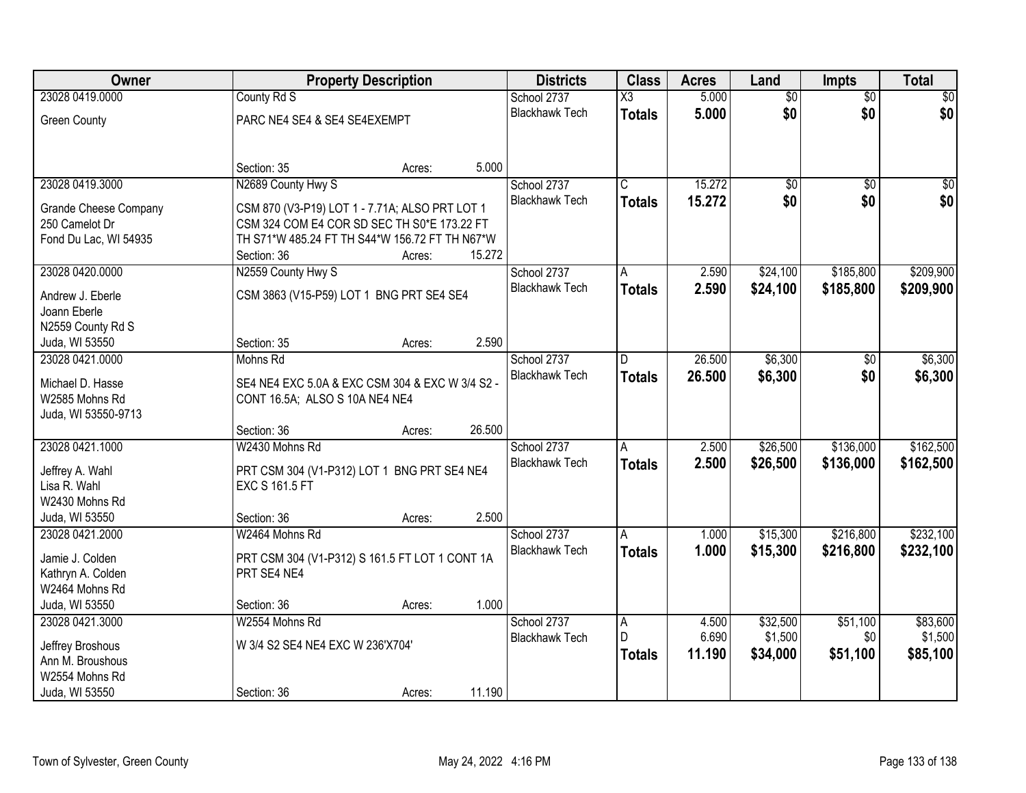| Owner                 |                                                 | <b>Property Description</b> |        |                       |                       | <b>Acres</b> | Land            | <b>Impts</b>    | <b>Total</b> |
|-----------------------|-------------------------------------------------|-----------------------------|--------|-----------------------|-----------------------|--------------|-----------------|-----------------|--------------|
| 23028 0419.0000       | County Rd S                                     |                             |        | School 2737           | X3                    | 5.000        | $\overline{50}$ | $\overline{50}$ | $\sqrt{50}$  |
| <b>Green County</b>   | PARC NE4 SE4 & SE4 SE4EXEMPT                    |                             |        | <b>Blackhawk Tech</b> | <b>Totals</b>         | 5.000        | \$0             | \$0             | \$0          |
|                       |                                                 |                             |        |                       |                       |              |                 |                 |              |
|                       | Section: 35                                     | Acres:                      | 5.000  |                       |                       |              |                 |                 |              |
| 23028 0419.3000       | N2689 County Hwy S                              |                             |        | School 2737           | $\overline{\text{C}}$ | 15.272       | $\overline{50}$ | $\overline{50}$ | $\sqrt{50}$  |
| Grande Cheese Company | CSM 870 (V3-P19) LOT 1 - 7.71A; ALSO PRT LOT 1  |                             |        | <b>Blackhawk Tech</b> | Totals                | 15.272       | \$0             | \$0             | \$0          |
| 250 Camelot Dr        | CSM 324 COM E4 COR SD SEC TH S0*E 173.22 FT     |                             |        |                       |                       |              |                 |                 |              |
| Fond Du Lac, WI 54935 | TH S71*W 485.24 FT TH S44*W 156.72 FT TH N67*W  |                             |        |                       |                       |              |                 |                 |              |
|                       | Section: 36                                     | Acres:                      | 15.272 |                       |                       |              |                 |                 |              |
| 23028 0420.0000       | N2559 County Hwy S                              |                             |        | School 2737           | A                     | 2.590        | \$24,100        | \$185,800       | \$209,900    |
| Andrew J. Eberle      | CSM 3863 (V15-P59) LOT 1 BNG PRT SE4 SE4        |                             |        | <b>Blackhawk Tech</b> | <b>Totals</b>         | 2.590        | \$24,100        | \$185,800       | \$209,900    |
| Joann Eberle          |                                                 |                             |        |                       |                       |              |                 |                 |              |
| N2559 County Rd S     |                                                 |                             |        |                       |                       |              |                 |                 |              |
| Juda, WI 53550        | Section: 35                                     | Acres:                      | 2.590  |                       |                       |              |                 |                 |              |
| 23028 0421.0000       | Mohns Rd                                        |                             |        | School 2737           | D                     | 26.500       | \$6,300         | \$0             | \$6,300      |
|                       |                                                 |                             |        | <b>Blackhawk Tech</b> | <b>Totals</b>         | 26.500       | \$6,300         | \$0             | \$6,300      |
| Michael D. Hasse      | SE4 NE4 EXC 5.0A & EXC CSM 304 & EXC W 3/4 S2 - |                             |        |                       |                       |              |                 |                 |              |
| W2585 Mohns Rd        | CONT 16.5A; ALSO S 10A NE4 NE4                  |                             |        |                       |                       |              |                 |                 |              |
| Juda, WI 53550-9713   |                                                 |                             |        |                       |                       |              |                 |                 |              |
|                       | Section: 36                                     | Acres:                      | 26.500 |                       |                       |              |                 |                 |              |
| 23028 0421.1000       | W2430 Mohns Rd                                  |                             |        | School 2737           | A                     | 2.500        | \$26,500        | \$136,000       | \$162,500    |
| Jeffrey A. Wahl       | PRT CSM 304 (V1-P312) LOT 1 BNG PRT SE4 NE4     |                             |        | <b>Blackhawk Tech</b> | <b>Totals</b>         | 2.500        | \$26,500        | \$136,000       | \$162,500    |
| Lisa R. Wahl          | <b>EXC S 161.5 FT</b>                           |                             |        |                       |                       |              |                 |                 |              |
| W2430 Mohns Rd        |                                                 |                             |        |                       |                       |              |                 |                 |              |
| Juda, WI 53550        | Section: 36                                     | Acres:                      | 2.500  |                       |                       |              |                 |                 |              |
| 23028 0421.2000       | W2464 Mohns Rd                                  |                             |        | School 2737           | A                     | 1.000        | \$15,300        | \$216,800       | \$232,100    |
| Jamie J. Colden       | PRT CSM 304 (V1-P312) S 161.5 FT LOT 1 CONT 1A  |                             |        | <b>Blackhawk Tech</b> | <b>Totals</b>         | 1.000        | \$15,300        | \$216,800       | \$232,100    |
| Kathryn A. Colden     | PRT SE4 NE4                                     |                             |        |                       |                       |              |                 |                 |              |
| W2464 Mohns Rd        |                                                 |                             |        |                       |                       |              |                 |                 |              |
| Juda, WI 53550        | Section: 36                                     | Acres:                      | 1.000  |                       |                       |              |                 |                 |              |
| 23028 0421.3000       | W2554 Mohns Rd                                  |                             |        | School 2737           | A                     | 4.500        | \$32,500        | \$51,100        | \$83,600     |
|                       |                                                 |                             |        | <b>Blackhawk Tech</b> | D                     | 6.690        | \$1,500         | \$0             | \$1,500      |
| Jeffrey Broshous      | W 3/4 S2 SE4 NE4 EXC W 236'X704'                |                             |        |                       | <b>Totals</b>         | 11.190       | \$34,000        | \$51,100        | \$85,100     |
| Ann M. Broushous      |                                                 |                             |        |                       |                       |              |                 |                 |              |
| W2554 Mohns Rd        |                                                 |                             |        |                       |                       |              |                 |                 |              |
| Juda, WI 53550        | Section: 36                                     | Acres:                      | 11.190 |                       |                       |              |                 |                 |              |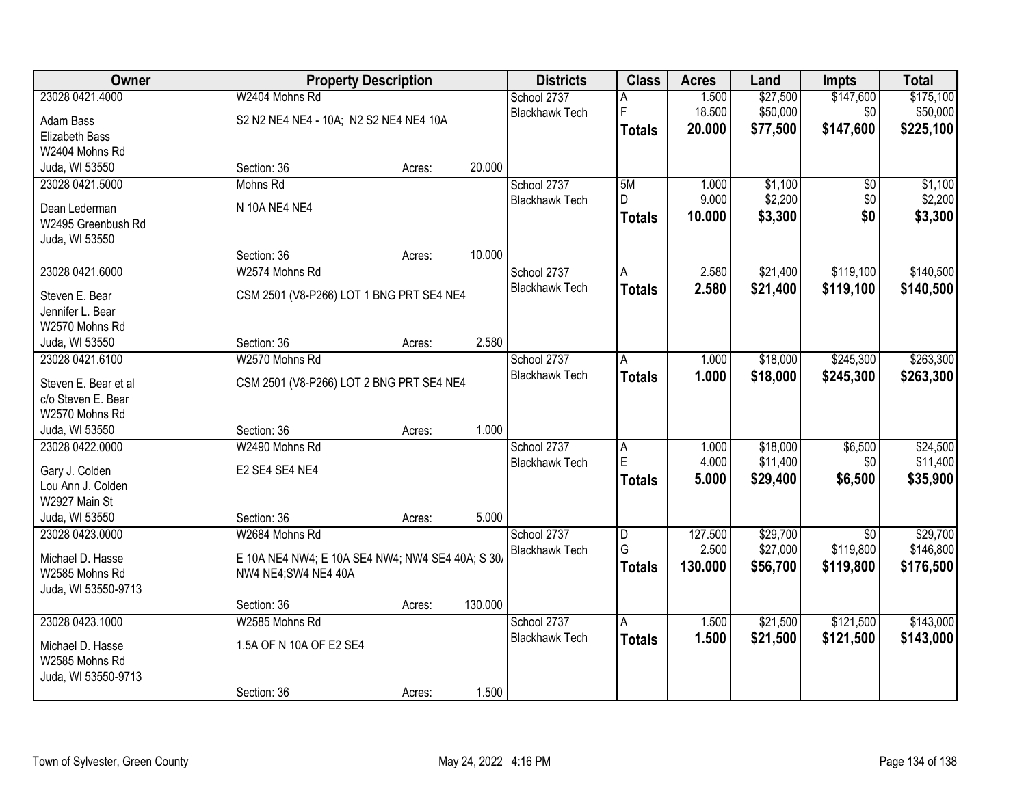| \$147,600<br>23028 0421.4000<br>W2404 Mohns Rd<br>\$27,500<br>\$175,100<br>School 2737<br>1.500<br>Α<br>F<br>\$50,000<br>\$0<br>\$50,000<br><b>Blackhawk Tech</b><br>18.500<br>S2 N2 NE4 NE4 - 10A; N2 S2 NE4 NE4 10A<br>Adam Bass<br>\$77,500<br>\$147,600<br>\$225,100<br>20.000<br><b>Totals</b><br>Elizabeth Bass<br>W2404 Mohns Rd<br>20.000<br>Juda, WI 53550<br>Section: 36<br>Acres:<br>23028 0421.5000<br>5M<br>\$1,100<br>\$1,100<br>Mohns Rd<br>School 2737<br>1.000<br>\$0<br>\$2,200<br>\$0<br>\$2,200<br>D.<br>9.000<br><b>Blackhawk Tech</b><br>N 10A NE4 NE4<br>Dean Lederman<br>\$0<br>\$3,300<br>10.000<br>\$3,300<br><b>Totals</b><br>W2495 Greenbush Rd<br>Juda, WI 53550<br>10.000<br>Section: 36<br>Acres:<br>\$119,100<br>\$140,500<br>23028 0421.6000<br>W2574 Mohns Rd<br>2.580<br>\$21,400<br>School 2737<br>A<br><b>Blackhawk Tech</b><br>\$21,400<br>2.580<br>\$119,100<br>\$140,500<br><b>Totals</b><br>Steven E. Bear<br>CSM 2501 (V8-P266) LOT 1 BNG PRT SE4 NE4<br>Jennifer L. Bear<br>W2570 Mohns Rd<br>2.580<br>Section: 36<br>Juda, WI 53550<br>Acres: |
|-------------------------------------------------------------------------------------------------------------------------------------------------------------------------------------------------------------------------------------------------------------------------------------------------------------------------------------------------------------------------------------------------------------------------------------------------------------------------------------------------------------------------------------------------------------------------------------------------------------------------------------------------------------------------------------------------------------------------------------------------------------------------------------------------------------------------------------------------------------------------------------------------------------------------------------------------------------------------------------------------------------------------------------------------------------------------------------------|
|                                                                                                                                                                                                                                                                                                                                                                                                                                                                                                                                                                                                                                                                                                                                                                                                                                                                                                                                                                                                                                                                                           |
|                                                                                                                                                                                                                                                                                                                                                                                                                                                                                                                                                                                                                                                                                                                                                                                                                                                                                                                                                                                                                                                                                           |
|                                                                                                                                                                                                                                                                                                                                                                                                                                                                                                                                                                                                                                                                                                                                                                                                                                                                                                                                                                                                                                                                                           |
|                                                                                                                                                                                                                                                                                                                                                                                                                                                                                                                                                                                                                                                                                                                                                                                                                                                                                                                                                                                                                                                                                           |
|                                                                                                                                                                                                                                                                                                                                                                                                                                                                                                                                                                                                                                                                                                                                                                                                                                                                                                                                                                                                                                                                                           |
|                                                                                                                                                                                                                                                                                                                                                                                                                                                                                                                                                                                                                                                                                                                                                                                                                                                                                                                                                                                                                                                                                           |
|                                                                                                                                                                                                                                                                                                                                                                                                                                                                                                                                                                                                                                                                                                                                                                                                                                                                                                                                                                                                                                                                                           |
|                                                                                                                                                                                                                                                                                                                                                                                                                                                                                                                                                                                                                                                                                                                                                                                                                                                                                                                                                                                                                                                                                           |
|                                                                                                                                                                                                                                                                                                                                                                                                                                                                                                                                                                                                                                                                                                                                                                                                                                                                                                                                                                                                                                                                                           |
|                                                                                                                                                                                                                                                                                                                                                                                                                                                                                                                                                                                                                                                                                                                                                                                                                                                                                                                                                                                                                                                                                           |
|                                                                                                                                                                                                                                                                                                                                                                                                                                                                                                                                                                                                                                                                                                                                                                                                                                                                                                                                                                                                                                                                                           |
|                                                                                                                                                                                                                                                                                                                                                                                                                                                                                                                                                                                                                                                                                                                                                                                                                                                                                                                                                                                                                                                                                           |
|                                                                                                                                                                                                                                                                                                                                                                                                                                                                                                                                                                                                                                                                                                                                                                                                                                                                                                                                                                                                                                                                                           |
|                                                                                                                                                                                                                                                                                                                                                                                                                                                                                                                                                                                                                                                                                                                                                                                                                                                                                                                                                                                                                                                                                           |
|                                                                                                                                                                                                                                                                                                                                                                                                                                                                                                                                                                                                                                                                                                                                                                                                                                                                                                                                                                                                                                                                                           |
|                                                                                                                                                                                                                                                                                                                                                                                                                                                                                                                                                                                                                                                                                                                                                                                                                                                                                                                                                                                                                                                                                           |
| \$18,000<br>\$245,300<br>\$263,300<br>23028 0421.6100<br>W2570 Mohns Rd<br>School 2737<br>1.000<br>A                                                                                                                                                                                                                                                                                                                                                                                                                                                                                                                                                                                                                                                                                                                                                                                                                                                                                                                                                                                      |
| <b>Blackhawk Tech</b><br>1.000<br>\$18,000<br>\$245,300<br>\$263,300<br><b>Totals</b><br>Steven E. Bear et al<br>CSM 2501 (V8-P266) LOT 2 BNG PRT SE4 NE4                                                                                                                                                                                                                                                                                                                                                                                                                                                                                                                                                                                                                                                                                                                                                                                                                                                                                                                                 |
| c/o Steven E. Bear                                                                                                                                                                                                                                                                                                                                                                                                                                                                                                                                                                                                                                                                                                                                                                                                                                                                                                                                                                                                                                                                        |
| W2570 Mohns Rd                                                                                                                                                                                                                                                                                                                                                                                                                                                                                                                                                                                                                                                                                                                                                                                                                                                                                                                                                                                                                                                                            |
| 1.000<br>Juda, WI 53550<br>Section: 36<br>Acres:                                                                                                                                                                                                                                                                                                                                                                                                                                                                                                                                                                                                                                                                                                                                                                                                                                                                                                                                                                                                                                          |
| \$18,000<br>\$24,500<br>23028 0422.0000<br>W2490 Mohns Rd<br>\$6,500<br>School 2737<br>A<br>1.000                                                                                                                                                                                                                                                                                                                                                                                                                                                                                                                                                                                                                                                                                                                                                                                                                                                                                                                                                                                         |
| E<br>4.000<br>\$11,400<br>\$11,400<br>\$0<br><b>Blackhawk Tech</b>                                                                                                                                                                                                                                                                                                                                                                                                                                                                                                                                                                                                                                                                                                                                                                                                                                                                                                                                                                                                                        |
| E2 SE4 SE4 NE4<br>Gary J. Colden<br>5.000<br>\$29,400<br>\$6,500<br>\$35,900<br><b>Totals</b>                                                                                                                                                                                                                                                                                                                                                                                                                                                                                                                                                                                                                                                                                                                                                                                                                                                                                                                                                                                             |
| Lou Ann J. Colden                                                                                                                                                                                                                                                                                                                                                                                                                                                                                                                                                                                                                                                                                                                                                                                                                                                                                                                                                                                                                                                                         |
| W2927 Main St                                                                                                                                                                                                                                                                                                                                                                                                                                                                                                                                                                                                                                                                                                                                                                                                                                                                                                                                                                                                                                                                             |
| 5.000<br>Juda, WI 53550<br>Section: 36<br>Acres:                                                                                                                                                                                                                                                                                                                                                                                                                                                                                                                                                                                                                                                                                                                                                                                                                                                                                                                                                                                                                                          |
| \$29,700<br>\$29,700<br>23028 0423.0000<br>W2684 Mohns Rd<br>School 2737<br>127.500<br>$\overline{D}$<br>\$0                                                                                                                                                                                                                                                                                                                                                                                                                                                                                                                                                                                                                                                                                                                                                                                                                                                                                                                                                                              |
| G<br>2.500<br>\$27,000<br>\$119,800<br>\$146,800<br><b>Blackhawk Tech</b><br>Michael D. Hasse<br>E 10A NE4 NW4; E 10A SE4 NW4; NW4 SE4 40A; S 30/                                                                                                                                                                                                                                                                                                                                                                                                                                                                                                                                                                                                                                                                                                                                                                                                                                                                                                                                         |
| 130.000<br>\$56,700<br>\$119,800<br>\$176,500<br><b>Totals</b><br>W2585 Mohns Rd<br>NW4 NE4;SW4 NE4 40A                                                                                                                                                                                                                                                                                                                                                                                                                                                                                                                                                                                                                                                                                                                                                                                                                                                                                                                                                                                   |
| Juda, WI 53550-9713                                                                                                                                                                                                                                                                                                                                                                                                                                                                                                                                                                                                                                                                                                                                                                                                                                                                                                                                                                                                                                                                       |
| 130.000<br>Section: 36<br>Acres:                                                                                                                                                                                                                                                                                                                                                                                                                                                                                                                                                                                                                                                                                                                                                                                                                                                                                                                                                                                                                                                          |
| \$121,500<br>\$143,000<br>23028 0423.1000<br>W2585 Mohns Rd<br>\$21,500<br>School 2737<br>A<br>1.500                                                                                                                                                                                                                                                                                                                                                                                                                                                                                                                                                                                                                                                                                                                                                                                                                                                                                                                                                                                      |
| <b>Blackhawk Tech</b><br>1.500<br>\$21,500<br>\$121,500<br>\$143,000<br><b>Totals</b><br>1.5A OF N 10A OF E2 SE4                                                                                                                                                                                                                                                                                                                                                                                                                                                                                                                                                                                                                                                                                                                                                                                                                                                                                                                                                                          |
| Michael D. Hasse<br>W2585 Mohns Rd                                                                                                                                                                                                                                                                                                                                                                                                                                                                                                                                                                                                                                                                                                                                                                                                                                                                                                                                                                                                                                                        |
| Juda, WI 53550-9713                                                                                                                                                                                                                                                                                                                                                                                                                                                                                                                                                                                                                                                                                                                                                                                                                                                                                                                                                                                                                                                                       |
| 1.500<br>Section: 36<br>Acres:                                                                                                                                                                                                                                                                                                                                                                                                                                                                                                                                                                                                                                                                                                                                                                                                                                                                                                                                                                                                                                                            |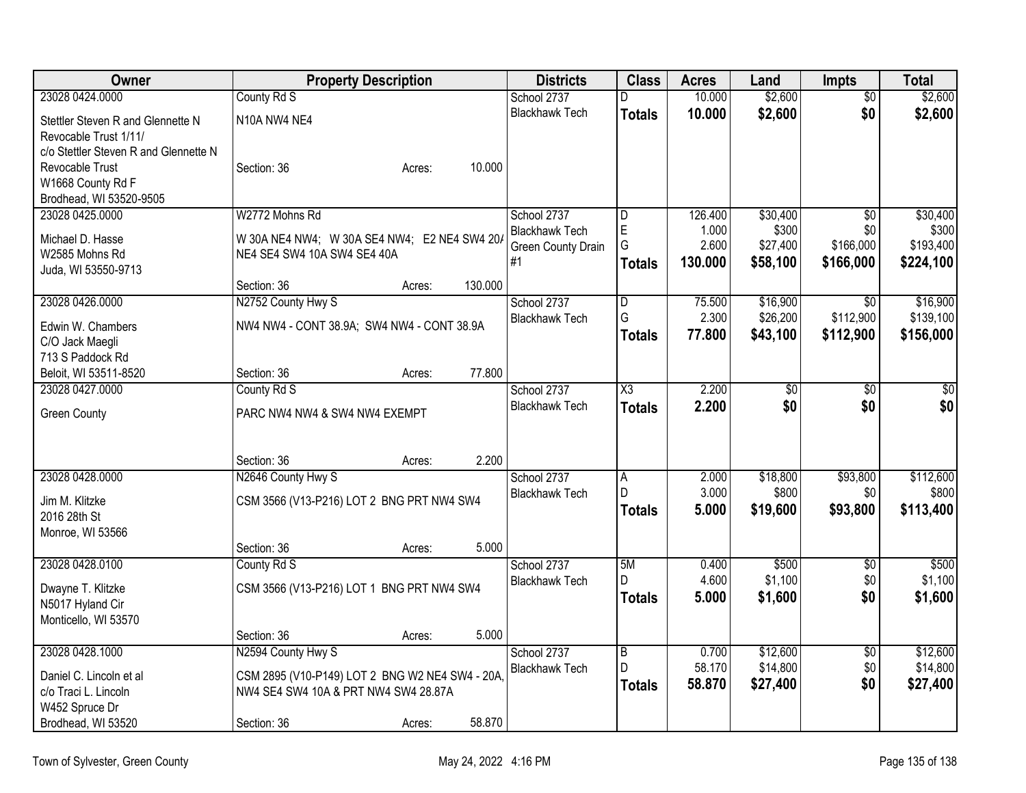| Owner                                 | <b>Property Description</b>                    | <b>Districts</b>                            | <b>Class</b>            | <b>Acres</b>   | Land              | Impts            | <b>Total</b>       |
|---------------------------------------|------------------------------------------------|---------------------------------------------|-------------------------|----------------|-------------------|------------------|--------------------|
| 23028 0424.0000                       | County Rd S                                    | School 2737                                 | D                       | 10.000         | \$2,600           | $\overline{50}$  | \$2,600            |
| Stettler Steven R and Glennette N     | N <sub>10</sub> A NW <sub>4</sub> NE4          | <b>Blackhawk Tech</b>                       | <b>Totals</b>           | 10.000         | \$2,600           | \$0              | \$2,600            |
| Revocable Trust 1/11/                 |                                                |                                             |                         |                |                   |                  |                    |
| c/o Stettler Steven R and Glennette N |                                                |                                             |                         |                |                   |                  |                    |
| Revocable Trust                       | 10.000<br>Section: 36<br>Acres:                |                                             |                         |                |                   |                  |                    |
| W1668 County Rd F                     |                                                |                                             |                         |                |                   |                  |                    |
| Brodhead, WI 53520-9505               |                                                |                                             |                         |                |                   |                  |                    |
| 23028 0425.0000                       | W2772 Mohns Rd                                 | School 2737                                 | $\overline{\mathsf{D}}$ | 126.400        | \$30,400          | $\overline{30}$  | \$30,400           |
| Michael D. Hasse                      | W 30A NE4 NW4; W 30A SE4 NW4; E2 NE4 SW4 20A   | <b>Blackhawk Tech</b><br>Green County Drain | E<br>G                  | 1.000<br>2.600 | \$300<br>\$27,400 | \$0<br>\$166,000 | \$300<br>\$193,400 |
| W2585 Mohns Rd                        | NE4 SE4 SW4 10A SW4 SE4 40A                    | #1                                          | <b>Totals</b>           | 130.000        | \$58,100          | \$166,000        | \$224,100          |
| Juda, WI 53550-9713                   |                                                |                                             |                         |                |                   |                  |                    |
|                                       | 130.000<br>Section: 36<br>Acres:               |                                             |                         |                |                   |                  |                    |
| 23028 0426.0000                       | N2752 County Hwy S                             | School 2737                                 | D                       | 75.500         | \$16,900          | $\overline{30}$  | \$16,900           |
| Edwin W. Chambers                     | NW4 NW4 - CONT 38.9A; SW4 NW4 - CONT 38.9A     | <b>Blackhawk Tech</b>                       | G                       | 2.300          | \$26,200          | \$112,900        | \$139,100          |
| C/O Jack Maegli                       |                                                |                                             | <b>Totals</b>           | 77.800         | \$43,100          | \$112,900        | \$156,000          |
| 713 S Paddock Rd                      |                                                |                                             |                         |                |                   |                  |                    |
| Beloit, WI 53511-8520                 | 77.800<br>Section: 36<br>Acres:                |                                             |                         |                |                   |                  |                    |
| 23028 0427.0000                       | County Rd S                                    | School 2737                                 | $\overline{\chi_3}$     | 2.200          | \$0               | \$0              | \$0                |
| <b>Green County</b>                   | PARC NW4 NW4 & SW4 NW4 EXEMPT                  | <b>Blackhawk Tech</b>                       | <b>Totals</b>           | 2.200          | \$0               | \$0              | \$0                |
|                                       |                                                |                                             |                         |                |                   |                  |                    |
|                                       |                                                |                                             |                         |                |                   |                  |                    |
|                                       | 2.200<br>Section: 36<br>Acres:                 |                                             |                         |                |                   |                  |                    |
| 23028 0428.0000                       | N2646 County Hwy S                             | School 2737                                 | A                       | 2.000          | \$18,800          | \$93,800         | \$112,600          |
| Jim M. Klitzke                        | CSM 3566 (V13-P216) LOT 2 BNG PRT NW4 SW4      | <b>Blackhawk Tech</b>                       | D.                      | 3.000          | \$800             | \$0              | \$800              |
| 2016 28th St                          |                                                |                                             | <b>Totals</b>           | 5.000          | \$19,600          | \$93,800         | \$113,400          |
| Monroe, WI 53566                      |                                                |                                             |                         |                |                   |                  |                    |
|                                       | 5.000<br>Section: 36<br>Acres:                 |                                             |                         |                |                   |                  |                    |
| 23028 0428.0100                       | County Rd S                                    | School 2737                                 | 5M                      | 0.400          | \$500             | $\overline{50}$  | \$500              |
| Dwayne T. Klitzke                     | CSM 3566 (V13-P216) LOT 1 BNG PRT NW4 SW4      | <b>Blackhawk Tech</b>                       | D                       | 4.600          | \$1,100           | \$0              | \$1,100            |
| N5017 Hyland Cir                      |                                                |                                             | <b>Totals</b>           | 5.000          | \$1,600           | \$0              | \$1,600            |
| Monticello, WI 53570                  |                                                |                                             |                         |                |                   |                  |                    |
|                                       | 5.000<br>Section: 36<br>Acres:                 |                                             |                         |                |                   |                  |                    |
| 23028 0428.1000                       | N2594 County Hwy S                             | School 2737                                 | $\overline{B}$          | 0.700          | \$12,600          | $\sqrt{$0}$      | \$12,600           |
| Daniel C. Lincoln et al               | CSM 2895 (V10-P149) LOT 2 BNG W2 NE4 SW4 - 20A | <b>Blackhawk Tech</b>                       | D                       | 58.170         | \$14,800          | \$0              | \$14,800           |
| c/o Traci L. Lincoln                  | NW4 SE4 SW4 10A & PRT NW4 SW4 28.87A           |                                             | <b>Totals</b>           | 58.870         | \$27,400          | \$0              | \$27,400           |
| W452 Spruce Dr                        |                                                |                                             |                         |                |                   |                  |                    |
| Brodhead, WI 53520                    | 58.870<br>Section: 36<br>Acres:                |                                             |                         |                |                   |                  |                    |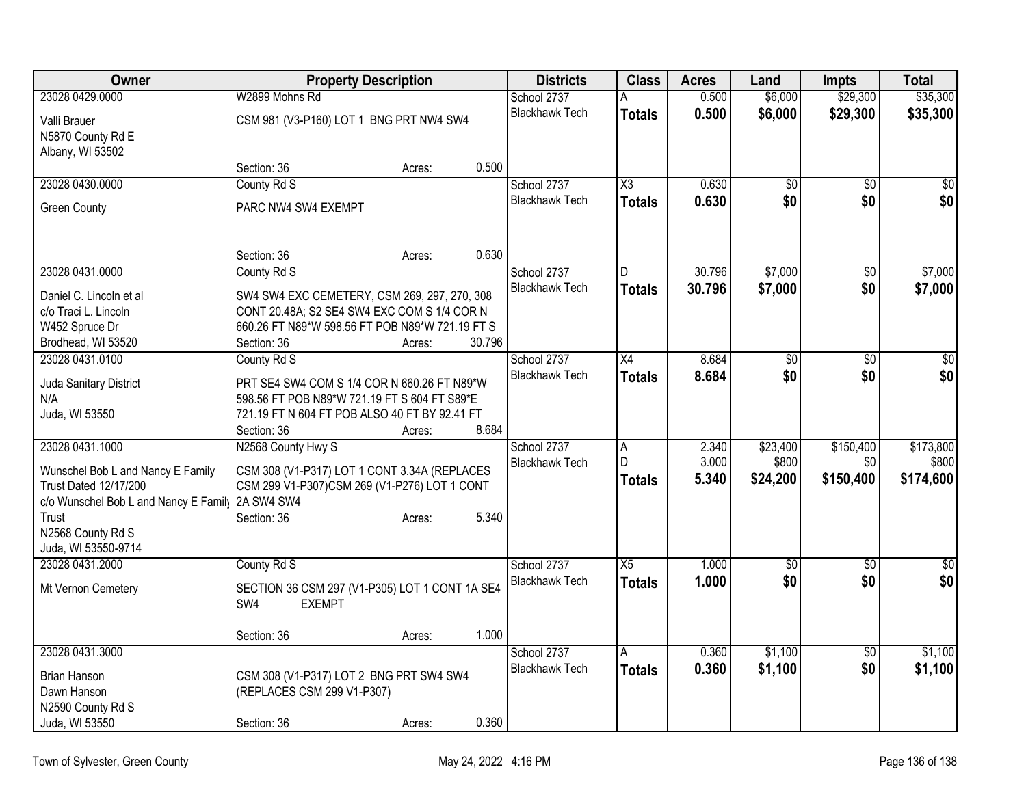| <b>Owner</b>                                     | <b>Property Description</b>                     | <b>Districts</b> | <b>Class</b> | <b>Acres</b>                         | Land            | <b>Impts</b> | <b>Total</b>    |                 |                 |
|--------------------------------------------------|-------------------------------------------------|------------------|--------------|--------------------------------------|-----------------|--------------|-----------------|-----------------|-----------------|
| 23028 0429.0000                                  | W2899 Mohns Rd                                  |                  |              | School 2737                          |                 | 0.500        | \$6,000         | \$29,300        | \$35,300        |
| Valli Brauer                                     | CSM 981 (V3-P160) LOT 1 BNG PRT NW4 SW4         |                  |              | <b>Blackhawk Tech</b>                | <b>Totals</b>   | 0.500        | \$6,000         | \$29,300        | \$35,300        |
| N5870 County Rd E                                |                                                 |                  |              |                                      |                 |              |                 |                 |                 |
| Albany, WI 53502                                 |                                                 |                  |              |                                      |                 |              |                 |                 |                 |
|                                                  | Section: 36                                     | Acres:           | 0.500        |                                      |                 |              |                 |                 |                 |
| 23028 0430.0000                                  | County Rd S                                     |                  |              | School 2737                          | X3              | 0.630        | \$0             | \$0             | \$0             |
| <b>Green County</b>                              | PARC NW4 SW4 EXEMPT                             |                  |              | <b>Blackhawk Tech</b>                | <b>Totals</b>   | 0.630        | \$0             | \$0             | \$0             |
|                                                  |                                                 |                  |              |                                      |                 |              |                 |                 |                 |
|                                                  |                                                 |                  |              |                                      |                 |              |                 |                 |                 |
|                                                  | Section: 36                                     | Acres:           | 0.630        |                                      |                 |              |                 |                 |                 |
| 23028 0431.0000                                  | County Rd S                                     |                  |              | School 2737<br><b>Blackhawk Tech</b> | D               | 30.796       | \$7,000         | \$0             | \$7,000         |
| Daniel C. Lincoln et al                          | SW4 SW4 EXC CEMETERY, CSM 269, 297, 270, 308    |                  |              |                                      | <b>Totals</b>   | 30.796       | \$7,000         | \$0             | \$7,000         |
| c/o Traci L. Lincoln                             | CONT 20.48A; S2 SE4 SW4 EXC COM S 1/4 COR N     |                  |              |                                      |                 |              |                 |                 |                 |
| W452 Spruce Dr                                   | 660.26 FT N89*W 598.56 FT POB N89*W 721.19 FT S |                  |              |                                      |                 |              |                 |                 |                 |
| Brodhead, WI 53520                               | Section: 36                                     | Acres:           | 30.796       |                                      |                 |              |                 |                 |                 |
| 23028 0431.0100                                  | County Rd S                                     |                  |              | School 2737                          | $\overline{X4}$ | 8.684        | $\overline{50}$ | \$0             | $\overline{30}$ |
| Juda Sanitary District                           | PRT SE4 SW4 COM S 1/4 COR N 660.26 FT N89*W     |                  |              | <b>Blackhawk Tech</b>                | <b>Totals</b>   | 8.684        | \$0             | \$0             | \$0             |
| N/A                                              | 598.56 FT POB N89*W 721.19 FT S 604 FT S89*E    |                  |              |                                      |                 |              |                 |                 |                 |
| Juda, WI 53550                                   | 721.19 FT N 604 FT POB ALSO 40 FT BY 92.41 FT   |                  |              |                                      |                 |              |                 |                 |                 |
|                                                  | Section: 36                                     | Acres:           | 8.684        |                                      |                 |              |                 |                 |                 |
| 23028 0431.1000                                  | N2568 County Hwy S                              |                  |              | School 2737                          | $\overline{A}$  | 2.340        | \$23,400        | \$150,400       | \$173,800       |
| Wunschel Bob L and Nancy E Family                | CSM 308 (V1-P317) LOT 1 CONT 3.34A (REPLACES    |                  |              | <b>Blackhawk Tech</b>                | D               | 3.000        | \$800           | \$0             | \$800           |
| <b>Trust Dated 12/17/200</b>                     | CSM 299 V1-P307)CSM 269 (V1-P276) LOT 1 CONT    |                  |              |                                      | <b>Totals</b>   | 5.340        | \$24,200        | \$150,400       | \$174,600       |
| c/o Wunschel Bob L and Nancy E Family 2A SW4 SW4 |                                                 |                  |              |                                      |                 |              |                 |                 |                 |
| Trust                                            | Section: 36                                     | Acres:           | 5.340        |                                      |                 |              |                 |                 |                 |
| N2568 County Rd S                                |                                                 |                  |              |                                      |                 |              |                 |                 |                 |
| Juda, WI 53550-9714                              |                                                 |                  |              |                                      |                 |              |                 |                 |                 |
| 23028 0431.2000                                  | County Rd S                                     |                  |              | School 2737<br><b>Blackhawk Tech</b> | $\overline{X5}$ | 1.000        | $\sqrt{6}$      | $\overline{50}$ | $\frac{1}{30}$  |
| Mt Vernon Cemetery                               | SECTION 36 CSM 297 (V1-P305) LOT 1 CONT 1A SE4  |                  |              |                                      | <b>Totals</b>   | 1.000        | \$0             | \$0             | \$0             |
|                                                  | SW4<br><b>EXEMPT</b>                            |                  |              |                                      |                 |              |                 |                 |                 |
|                                                  |                                                 |                  |              |                                      |                 |              |                 |                 |                 |
|                                                  | Section: 36                                     | Acres:           | 1.000        |                                      |                 |              |                 |                 |                 |
| 23028 0431.3000                                  |                                                 |                  |              | School 2737                          | A               | 0.360        | \$1,100         | $\overline{50}$ | \$1,100         |
| <b>Brian Hanson</b>                              | CSM 308 (V1-P317) LOT 2 BNG PRT SW4 SW4         |                  |              | <b>Blackhawk Tech</b>                | <b>Totals</b>   | 0.360        | \$1,100         | \$0             | \$1,100         |
| Dawn Hanson                                      | (REPLACES CSM 299 V1-P307)                      |                  |              |                                      |                 |              |                 |                 |                 |
| N2590 County Rd S                                |                                                 |                  |              |                                      |                 |              |                 |                 |                 |
| Juda, WI 53550                                   | Section: 36                                     | Acres:           | 0.360        |                                      |                 |              |                 |                 |                 |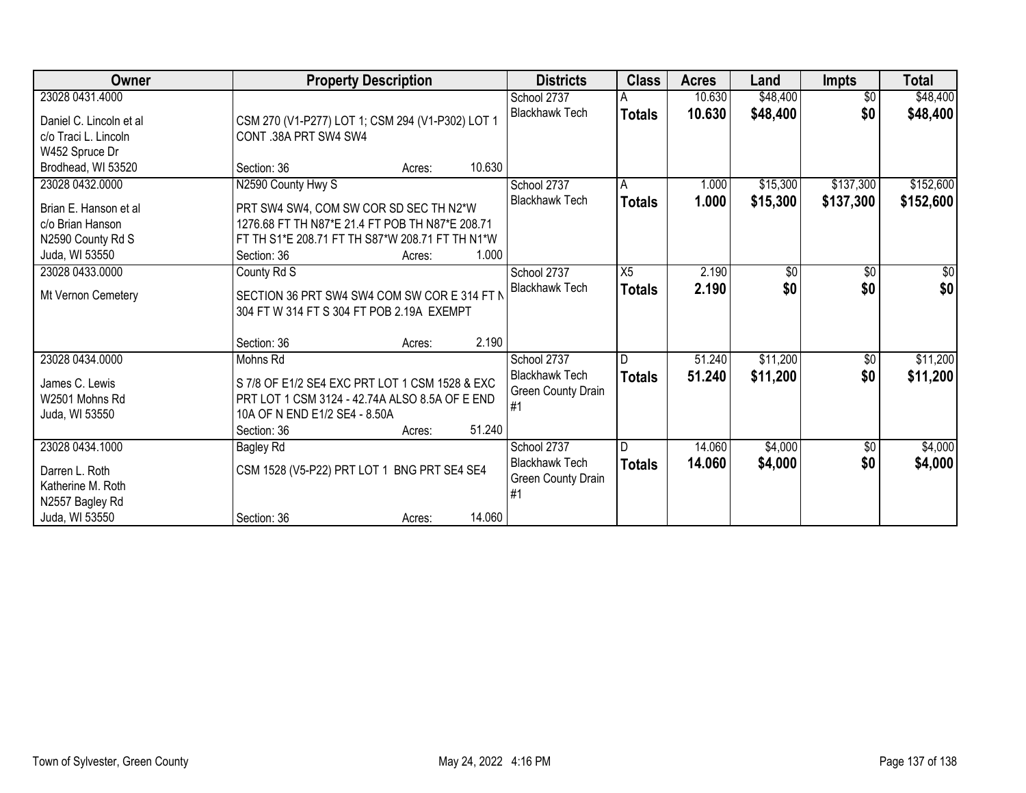| Owner                                                                                               | <b>Property Description</b>                                                                                                                                                                 | <b>Districts</b>                                                           | <b>Class</b>         | <b>Acres</b>     | Land                 | <b>Impts</b>           | <b>Total</b>           |
|-----------------------------------------------------------------------------------------------------|---------------------------------------------------------------------------------------------------------------------------------------------------------------------------------------------|----------------------------------------------------------------------------|----------------------|------------------|----------------------|------------------------|------------------------|
| 23028 0431.4000                                                                                     |                                                                                                                                                                                             | School 2737                                                                | A                    | 10.630           | \$48,400             | $\overline{50}$        | \$48,400               |
| Daniel C. Lincoln et al<br>c/o Traci L. Lincoln<br>W452 Spruce Dr                                   | CSM 270 (V1-P277) LOT 1; CSM 294 (V1-P302) LOT 1<br>CONT .38A PRT SW4 SW4                                                                                                                   | <b>Blackhawk Tech</b>                                                      | <b>Totals</b>        | 10.630           | \$48,400             | \$0                    | \$48,400               |
| Brodhead, WI 53520                                                                                  | Section: 36<br>Acres:                                                                                                                                                                       | 10.630                                                                     |                      |                  |                      |                        |                        |
| 23028 0432.0000<br>Brian E. Hanson et al<br>c/o Brian Hanson<br>N2590 County Rd S<br>Juda, WI 53550 | N2590 County Hwy S<br>PRT SW4 SW4, COM SW COR SD SEC TH N2*W<br>1276.68 FT TH N87*E 21.4 FT POB TH N87*E 208.71<br>FT TH S1*E 208.71 FT TH S87*W 208.71 FT TH N1*W<br>Section: 36<br>Acres: | School 2737<br><b>Blackhawk Tech</b><br>1.000                              | A<br><b>Totals</b>   | 1.000<br>1.000   | \$15,300<br>\$15,300 | \$137,300<br>\$137,300 | \$152,600<br>\$152,600 |
| 23028 0433.0000                                                                                     | County Rd S                                                                                                                                                                                 | School 2737                                                                | X5                   | 2.190            | $\sqrt{50}$          | $\sqrt{6}$             | $\sqrt{50}$            |
| Mt Vernon Cemetery                                                                                  | SECTION 36 PRT SW4 SW4 COM SW COR E 314 FT N<br>304 FT W 314 FT S 304 FT POB 2.19A EXEMPT                                                                                                   | <b>Blackhawk Tech</b>                                                      | <b>Totals</b>        | 2.190            | \$0                  | \$0                    | \$0                    |
|                                                                                                     | Section: 36<br>Acres:                                                                                                                                                                       | 2.190                                                                      |                      |                  |                      |                        |                        |
| 23028 0434.0000<br>James C. Lewis<br>W2501 Mohns Rd<br>Juda, WI 53550                               | Mohns Rd<br>S 7/8 OF E1/2 SE4 EXC PRT LOT 1 CSM 1528 & EXC<br>PRT LOT 1 CSM 3124 - 42.74A ALSO 8.5A OF E END<br>10A OF N END E1/2 SE4 - 8.50A<br>Section: 36<br>Acres:                      | School 2737<br><b>Blackhawk Tech</b><br>Green County Drain<br>#1<br>51.240 | ID.<br><b>Totals</b> | 51.240<br>51.240 | \$11,200<br>\$11,200 | $\sqrt[6]{3}$<br>\$0   | \$11,200<br>\$11,200   |
| 23028 0434.1000<br>Darren L. Roth<br>Katherine M. Roth<br>N2557 Bagley Rd<br>Juda, WI 53550         | <b>Bagley Rd</b><br>CSM 1528 (V5-P22) PRT LOT 1 BNG PRT SE4 SE4<br>Section: 36<br>Acres:                                                                                                    | School 2737<br><b>Blackhawk Tech</b><br>Green County Drain<br>#1<br>14.060 | l D<br><b>Totals</b> | 14.060<br>14.060 | \$4,000<br>\$4,000   | $\sqrt[6]{30}$<br>\$0  | \$4,000<br>\$4,000     |